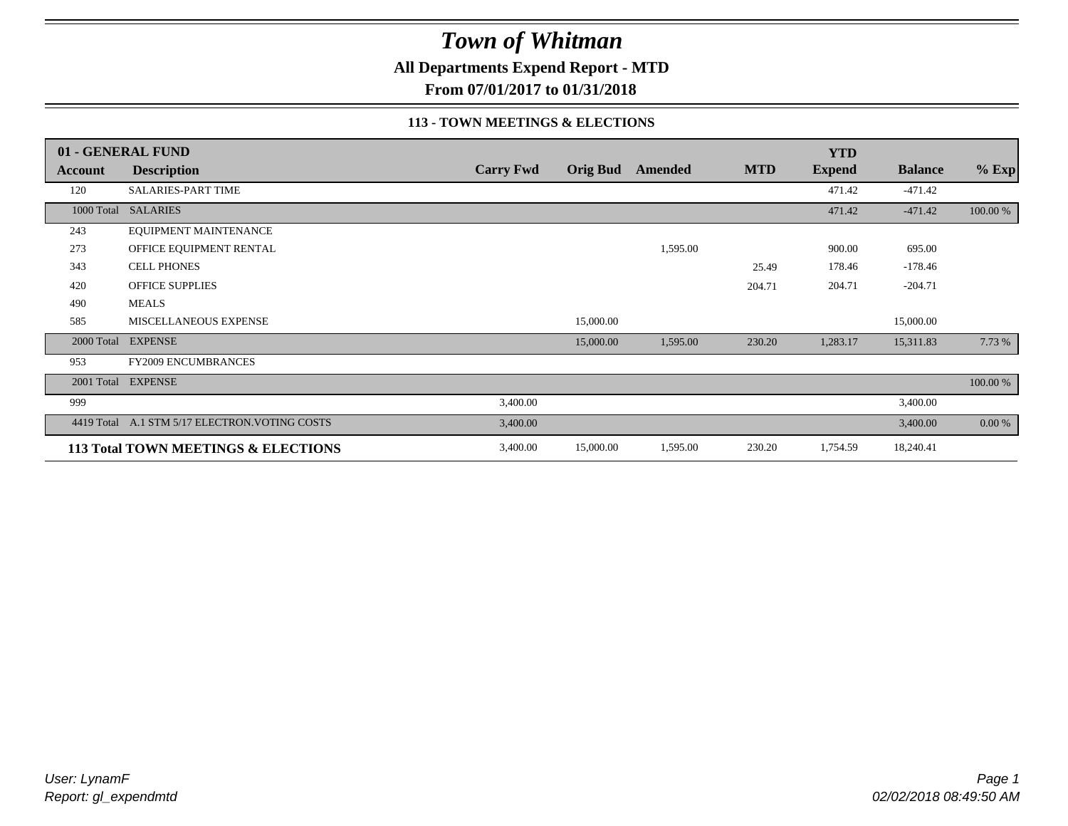**All Departments Expend Report - MTD**

**From 07/01/2017 to 01/31/2018**

### **113 - TOWN MEETINGS & ELECTIONS**

|            | 01 - GENERAL FUND                              |                  |                 |          |            | <b>YTD</b>    |                |          |
|------------|------------------------------------------------|------------------|-----------------|----------|------------|---------------|----------------|----------|
| Account    | <b>Description</b>                             | <b>Carry Fwd</b> | <b>Orig Bud</b> | Amended  | <b>MTD</b> | <b>Expend</b> | <b>Balance</b> | $%$ Exp  |
| 120        | SALARIES-PART TIME                             |                  |                 |          |            | 471.42        | $-471.42$      |          |
| 1000 Total | <b>SALARIES</b>                                |                  |                 |          |            | 471.42        | $-471.42$      | 100.00 % |
| 243        | EQUIPMENT MAINTENANCE                          |                  |                 |          |            |               |                |          |
| 273        | OFFICE EQUIPMENT RENTAL                        |                  |                 | 1,595.00 |            | 900.00        | 695.00         |          |
| 343        | <b>CELL PHONES</b>                             |                  |                 |          | 25.49      | 178.46        | $-178.46$      |          |
| 420        | <b>OFFICE SUPPLIES</b>                         |                  |                 |          | 204.71     | 204.71        | $-204.71$      |          |
| 490        | <b>MEALS</b>                                   |                  |                 |          |            |               |                |          |
| 585        | MISCELLANEOUS EXPENSE                          |                  | 15,000.00       |          |            |               | 15,000.00      |          |
|            | 2000 Total EXPENSE                             |                  | 15,000.00       | 1,595.00 | 230.20     | 1,283.17      | 15,311.83      | 7.73 %   |
| 953        | <b>FY2009 ENCUMBRANCES</b>                     |                  |                 |          |            |               |                |          |
| 2001 Total | <b>EXPENSE</b>                                 |                  |                 |          |            |               |                | 100.00 % |
| 999        |                                                | 3,400.00         |                 |          |            |               | 3,400.00       |          |
|            | 4419 Total A.1 STM 5/17 ELECTRON. VOTING COSTS | 3,400.00         |                 |          |            |               | 3,400.00       | 0.00 %   |
|            | 113 Total TOWN MEETINGS & ELECTIONS            | 3,400.00         | 15,000.00       | 1,595.00 | 230.20     | 1,754.59      | 18,240.41      |          |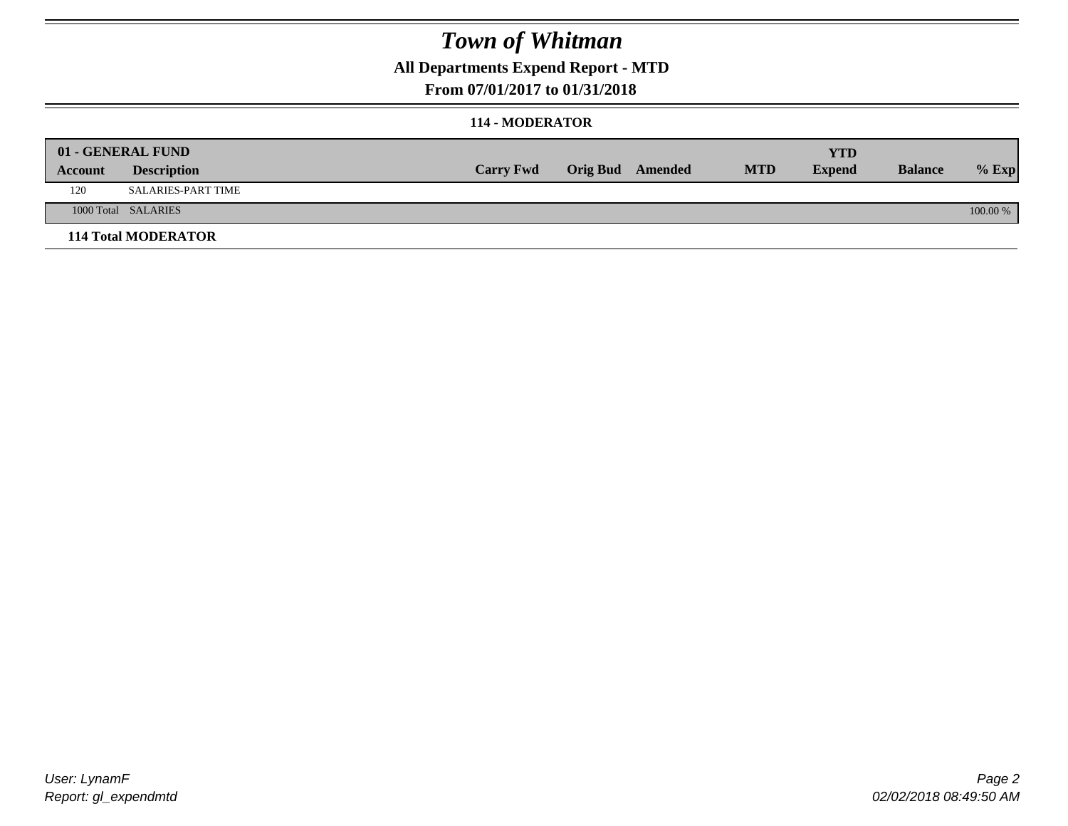### **All Departments Expend Report - MTD**

### **From 07/01/2017 to 01/31/2018**

#### **114 - MODERATOR**

|         | 01 - GENERAL FUND<br><b>Description</b> | <b>Carry Fwd</b> | <b>Orig Bud</b> Amended | <b>MTD</b> | <b>YTD</b><br><b>Expend</b> | <b>Balance</b> | $%$ Exp  |
|---------|-----------------------------------------|------------------|-------------------------|------------|-----------------------------|----------------|----------|
| Account |                                         |                  |                         |            |                             |                |          |
| 120     | SALARIES-PART TIME                      |                  |                         |            |                             |                |          |
|         | 1000 Total SALARIES                     |                  |                         |            |                             |                | 100.00 % |
|         | <b>114 Total MODERATOR</b>              |                  |                         |            |                             |                |          |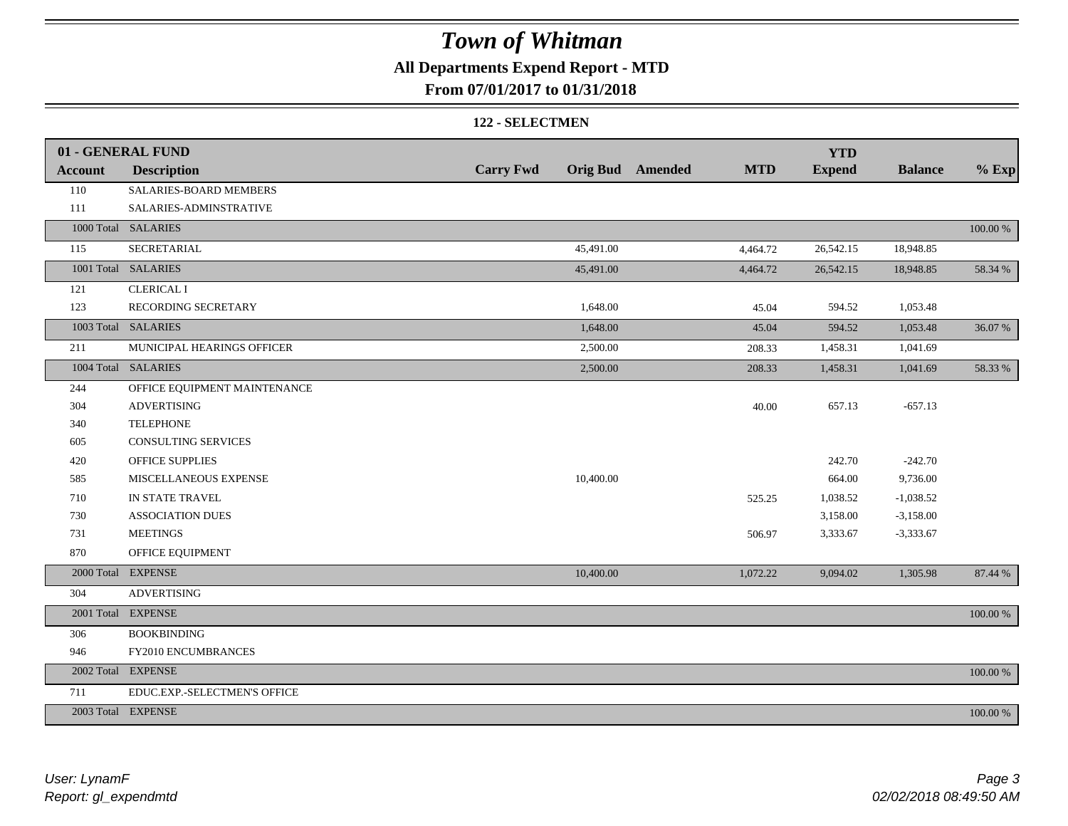### **All Departments Expend Report - MTD**

### **From 07/01/2017 to 01/31/2018**

#### **122 - SELECTMEN**

|                | 01 - GENERAL FUND            |                  |          |                         |            | <b>YTD</b>    |                |             |
|----------------|------------------------------|------------------|----------|-------------------------|------------|---------------|----------------|-------------|
| <b>Account</b> | <b>Description</b>           | <b>Carry Fwd</b> |          | <b>Orig Bud</b> Amended | <b>MTD</b> | <b>Expend</b> | <b>Balance</b> | $%$ Exp     |
| 110            | SALARIES-BOARD MEMBERS       |                  |          |                         |            |               |                |             |
| 111            | SALARIES-ADMINSTRATIVE       |                  |          |                         |            |               |                |             |
|                | 1000 Total SALARIES          |                  |          |                         |            |               |                | $100.00~\%$ |
| 115            | SECRETARIAL                  | 45,491.00        |          |                         | 4,464.72   | 26,542.15     | 18,948.85      |             |
|                | 1001 Total SALARIES          | 45,491.00        |          |                         | 4,464.72   | 26,542.15     | 18,948.85      | 58.34 %     |
| 121            | <b>CLERICAL I</b>            |                  |          |                         |            |               |                |             |
| 123            | RECORDING SECRETARY          |                  | 1,648.00 |                         | 45.04      | 594.52        | 1,053.48       |             |
|                | 1003 Total SALARIES          |                  | 1,648.00 |                         | 45.04      | 594.52        | 1,053.48       | 36.07%      |
| 211            | MUNICIPAL HEARINGS OFFICER   |                  | 2,500.00 |                         | 208.33     | 1,458.31      | 1,041.69       |             |
|                | 1004 Total SALARIES          |                  | 2,500.00 |                         | 208.33     | 1,458.31      | 1,041.69       | 58.33 %     |
| 244            | OFFICE EQUIPMENT MAINTENANCE |                  |          |                         |            |               |                |             |
| 304            | <b>ADVERTISING</b>           |                  |          |                         | 40.00      | 657.13        | $-657.13$      |             |
| 340            | <b>TELEPHONE</b>             |                  |          |                         |            |               |                |             |
| 605            | <b>CONSULTING SERVICES</b>   |                  |          |                         |            |               |                |             |
| 420            | OFFICE SUPPLIES              |                  |          |                         |            | 242.70        | $-242.70$      |             |
| 585            | MISCELLANEOUS EXPENSE        | 10,400.00        |          |                         |            | 664.00        | 9,736.00       |             |
| 710            | IN STATE TRAVEL              |                  |          |                         | 525.25     | 1,038.52      | $-1,038.52$    |             |
| 730            | <b>ASSOCIATION DUES</b>      |                  |          |                         |            | 3,158.00      | $-3,158.00$    |             |
| 731            | <b>MEETINGS</b>              |                  |          |                         | 506.97     | 3,333.67      | $-3,333.67$    |             |
| 870            | OFFICE EQUIPMENT             |                  |          |                         |            |               |                |             |
|                | 2000 Total EXPENSE           | 10,400.00        |          |                         | 1,072.22   | 9,094.02      | 1,305.98       | 87.44 %     |
| 304            | <b>ADVERTISING</b>           |                  |          |                         |            |               |                |             |
|                | 2001 Total EXPENSE           |                  |          |                         |            |               |                | 100.00 %    |
| 306            | <b>BOOKBINDING</b>           |                  |          |                         |            |               |                |             |
| 946            | FY2010 ENCUMBRANCES          |                  |          |                         |            |               |                |             |
|                | 2002 Total EXPENSE           |                  |          |                         |            |               |                | 100.00 %    |
| 711            | EDUC.EXP.-SELECTMEN'S OFFICE |                  |          |                         |            |               |                |             |
|                | 2003 Total EXPENSE           |                  |          |                         |            |               |                | 100.00 %    |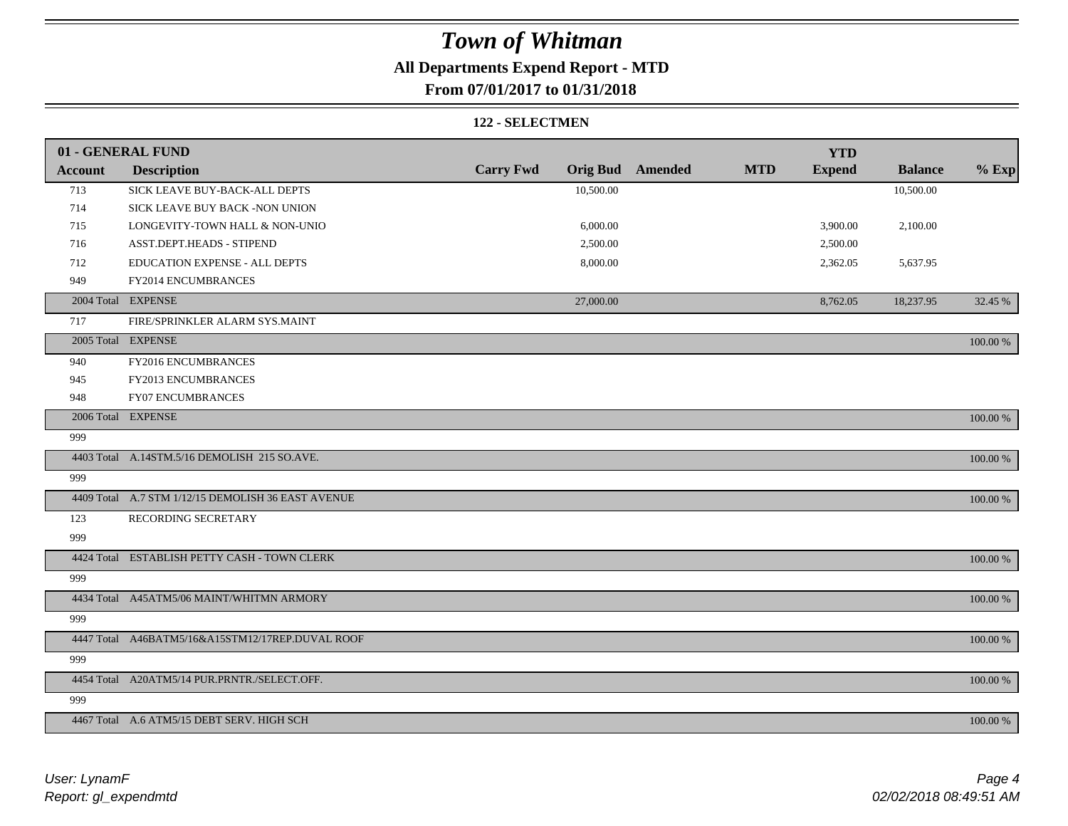# **All Departments Expend Report - MTD**

### **From 07/01/2017 to 01/31/2018**

#### **122 - SELECTMEN**

|                | 01 - GENERAL FUND                                  |                  |           |                         |            | <b>YTD</b>    |                |          |
|----------------|----------------------------------------------------|------------------|-----------|-------------------------|------------|---------------|----------------|----------|
| <b>Account</b> | <b>Description</b>                                 | <b>Carry Fwd</b> |           | <b>Orig Bud</b> Amended | <b>MTD</b> | <b>Expend</b> | <b>Balance</b> | $%$ Exp  |
| 713            | SICK LEAVE BUY-BACK-ALL DEPTS                      |                  | 10,500.00 |                         |            |               | 10,500.00      |          |
| 714            | SICK LEAVE BUY BACK -NON UNION                     |                  |           |                         |            |               |                |          |
| 715            | LONGEVITY-TOWN HALL & NON-UNIO                     |                  | 6,000.00  |                         |            | 3,900.00      | 2,100.00       |          |
| 716            | ASST.DEPT.HEADS - STIPEND                          |                  | 2,500.00  |                         |            | 2,500.00      |                |          |
| 712            | EDUCATION EXPENSE - ALL DEPTS                      |                  | 8,000.00  |                         |            | 2,362.05      | 5,637.95       |          |
| 949            | FY2014 ENCUMBRANCES                                |                  |           |                         |            |               |                |          |
|                | 2004 Total EXPENSE                                 |                  | 27,000.00 |                         |            | 8,762.05      | 18,237.95      | 32.45 %  |
| 717            | FIRE/SPRINKLER ALARM SYS.MAINT                     |                  |           |                         |            |               |                |          |
|                | 2005 Total EXPENSE                                 |                  |           |                         |            |               |                | 100.00 % |
| 940            | FY2016 ENCUMBRANCES                                |                  |           |                         |            |               |                |          |
| 945            | FY2013 ENCUMBRANCES                                |                  |           |                         |            |               |                |          |
| 948            | <b>FY07 ENCUMBRANCES</b>                           |                  |           |                         |            |               |                |          |
|                | 2006 Total EXPENSE                                 |                  |           |                         |            |               |                | 100.00 % |
| 999            |                                                    |                  |           |                         |            |               |                |          |
|                | 4403 Total A.14STM.5/16 DEMOLISH 215 SO.AVE.       |                  |           |                         |            |               |                | 100.00 % |
| 999            |                                                    |                  |           |                         |            |               |                |          |
|                | 4409 Total A.7 STM 1/12/15 DEMOLISH 36 EAST AVENUE |                  |           |                         |            |               |                | 100.00 % |
| 123            | RECORDING SECRETARY                                |                  |           |                         |            |               |                |          |
| 999            |                                                    |                  |           |                         |            |               |                |          |
|                | 4424 Total ESTABLISH PETTY CASH - TOWN CLERK       |                  |           |                         |            |               |                | 100.00 % |
| 999            |                                                    |                  |           |                         |            |               |                |          |
|                | 4434 Total A45ATM5/06 MAINT/WHITMN ARMORY          |                  |           |                         |            |               |                | 100.00 % |
| 999            |                                                    |                  |           |                         |            |               |                |          |
|                | 4447 Total A46BATM5/16&A15STM12/17REP.DUVAL ROOF   |                  |           |                         |            |               |                | 100.00 % |
| 999            |                                                    |                  |           |                         |            |               |                |          |
|                | 4454 Total A20ATM5/14 PUR.PRNTR./SELECT.OFF.       |                  |           |                         |            |               |                | 100.00 % |
| 999            |                                                    |                  |           |                         |            |               |                |          |
|                | 4467 Total A.6 ATM5/15 DEBT SERV. HIGH SCH         |                  |           |                         |            |               |                | 100.00 % |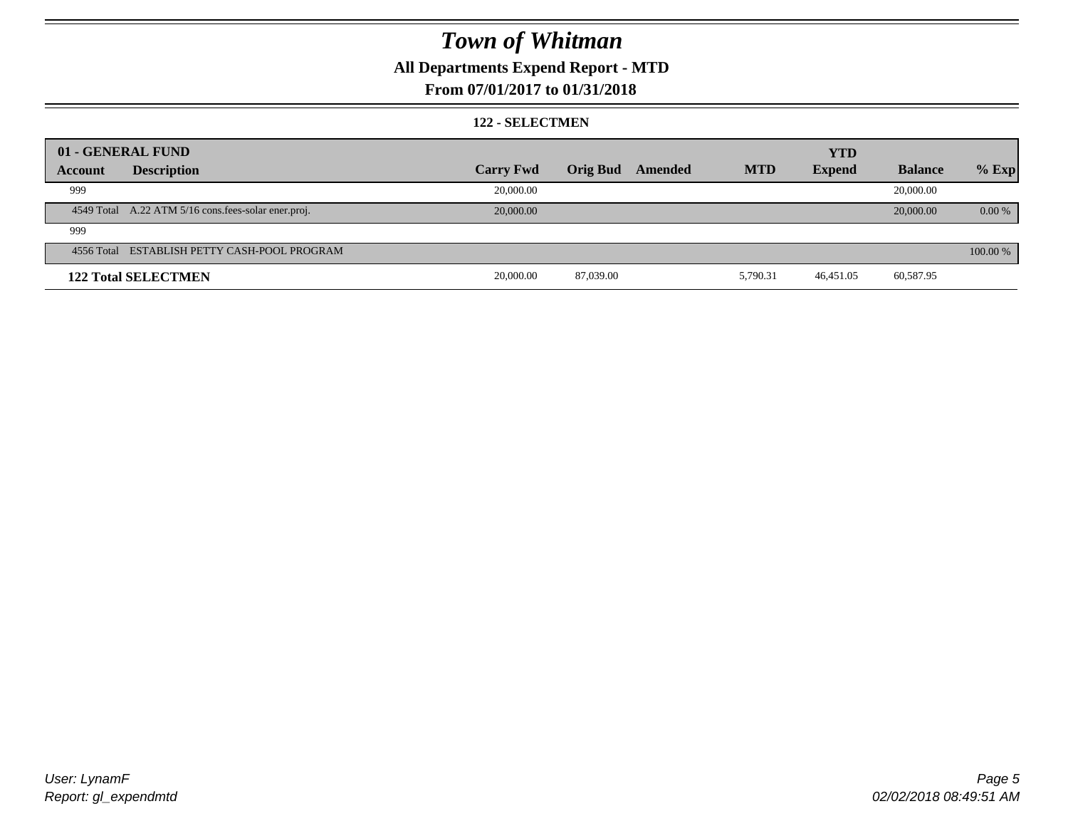### **All Departments Expend Report - MTD**

### **From 07/01/2017 to 01/31/2018**

#### **122 - SELECTMEN**

|         | 01 - GENERAL FUND                                   |                  |           |         |            | <b>YTD</b>    |                |          |
|---------|-----------------------------------------------------|------------------|-----------|---------|------------|---------------|----------------|----------|
| Account | <b>Description</b>                                  | <b>Carry Fwd</b> | Orig Bud  | Amended | <b>MTD</b> | <b>Expend</b> | <b>Balance</b> | $%$ Exp  |
| 999     |                                                     | 20,000.00        |           |         |            |               | 20,000.00      |          |
|         | 4549 Total A.22 ATM 5/16 cons.fees-solar ener.proj. | 20,000.00        |           |         |            |               | 20,000.00      | $0.00\%$ |
| 999     |                                                     |                  |           |         |            |               |                |          |
|         | 4556 Total ESTABLISH PETTY CASH-POOL PROGRAM        |                  |           |         |            |               |                | 100.00 % |
|         | <b>122 Total SELECTMEN</b>                          | 20,000.00        | 87,039.00 |         | 5,790.31   | 46,451.05     | 60,587.95      |          |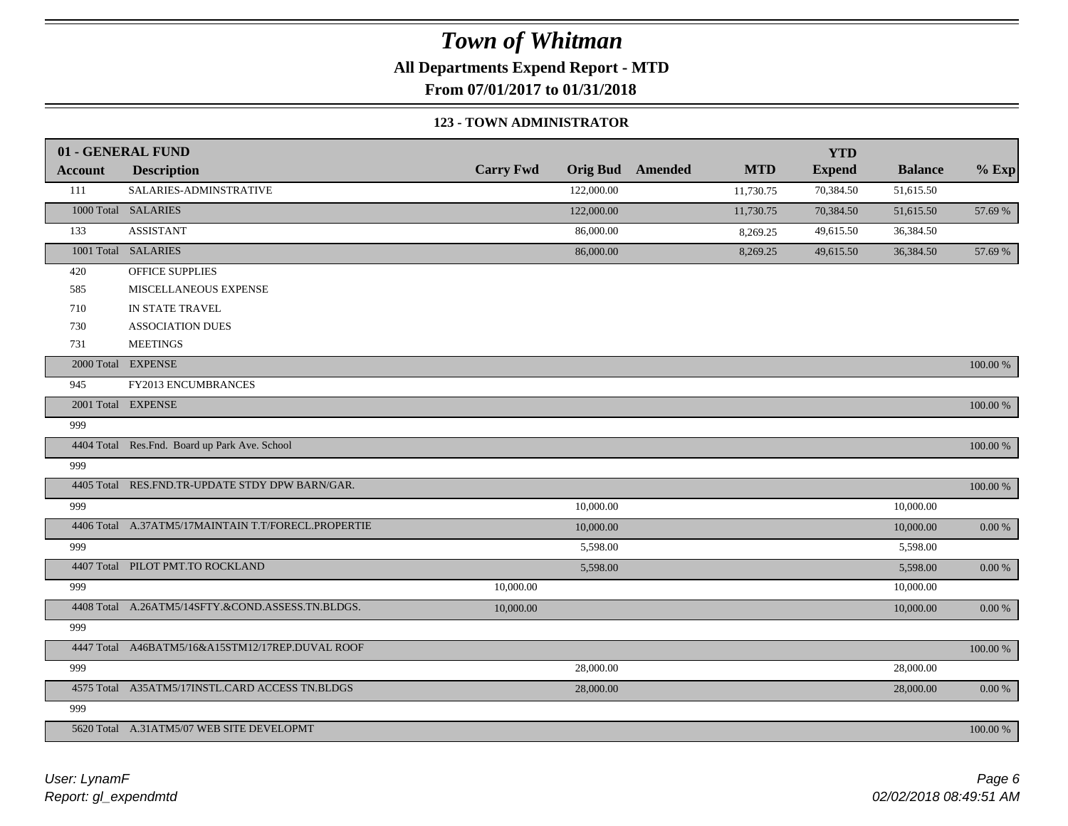**All Departments Expend Report - MTD**

**From 07/01/2017 to 01/31/2018**

#### **123 - TOWN ADMINISTRATOR**

|                | 01 - GENERAL FUND                                   |                  |                 |         |            | <b>YTD</b>    |                |               |
|----------------|-----------------------------------------------------|------------------|-----------------|---------|------------|---------------|----------------|---------------|
| <b>Account</b> | <b>Description</b>                                  | <b>Carry Fwd</b> | <b>Orig Bud</b> | Amended | <b>MTD</b> | <b>Expend</b> | <b>Balance</b> | $%$ Exp       |
| 111            | SALARIES-ADMINSTRATIVE                              |                  | 122,000.00      |         | 11,730.75  | 70,384.50     | 51,615.50      |               |
|                | 1000 Total SALARIES                                 |                  | 122,000.00      |         | 11,730.75  | 70,384.50     | 51,615.50      | 57.69 %       |
| 133            | <b>ASSISTANT</b>                                    |                  | 86,000.00       |         | 8,269.25   | 49,615.50     | 36,384.50      |               |
|                | 1001 Total SALARIES                                 |                  | 86,000.00       |         | 8,269.25   | 49,615.50     | 36,384.50      | 57.69 %       |
| 420            | OFFICE SUPPLIES                                     |                  |                 |         |            |               |                |               |
| 585            | MISCELLANEOUS EXPENSE                               |                  |                 |         |            |               |                |               |
| 710            | IN STATE TRAVEL                                     |                  |                 |         |            |               |                |               |
| 730            | <b>ASSOCIATION DUES</b>                             |                  |                 |         |            |               |                |               |
| 731            | <b>MEETINGS</b>                                     |                  |                 |         |            |               |                |               |
|                | 2000 Total EXPENSE                                  |                  |                 |         |            |               |                | 100.00 %      |
| 945            | FY2013 ENCUMBRANCES                                 |                  |                 |         |            |               |                |               |
|                | 2001 Total EXPENSE                                  |                  |                 |         |            |               |                | $100.00~\%$   |
| 999            |                                                     |                  |                 |         |            |               |                |               |
|                | 4404 Total Res.Fnd. Board up Park Ave. School       |                  |                 |         |            |               |                | 100.00 %      |
| 999            |                                                     |                  |                 |         |            |               |                |               |
|                | 4405 Total RES.FND.TR-UPDATE STDY DPW BARN/GAR.     |                  |                 |         |            |               |                | $100.00~\%$   |
| 999            |                                                     |                  | 10,000.00       |         |            |               | 10,000.00      |               |
|                | 4406 Total A.37ATM5/17MAINTAIN T.T/FORECL.PROPERTIE |                  | 10,000.00       |         |            |               | 10,000.00      | $0.00~\%$     |
| 999            |                                                     |                  | 5,598.00        |         |            |               | 5,598.00       |               |
|                | 4407 Total PILOT PMT.TO ROCKLAND                    |                  | 5,598.00        |         |            |               | 5,598.00       | $0.00~\%$     |
| 999            |                                                     | 10,000.00        |                 |         |            |               | 10,000.00      |               |
|                | 4408 Total A.26ATM5/14SFTY.&COND.ASSESS.TN.BLDGS.   | 10,000.00        |                 |         |            |               | 10,000.00      | $0.00\ \%$    |
| 999            |                                                     |                  |                 |         |            |               |                |               |
|                | 4447 Total A46BATM5/16&A15STM12/17REP.DUVAL ROOF    |                  |                 |         |            |               |                | $100.00$ $\%$ |
| 999            |                                                     |                  | 28,000.00       |         |            |               | 28,000.00      |               |
|                | 4575 Total A35ATM5/17INSTL.CARD ACCESS TN.BLDGS     |                  | 28,000.00       |         |            |               | 28,000.00      | $0.00\ \%$    |
| 999            |                                                     |                  |                 |         |            |               |                |               |
|                | 5620 Total A.31ATM5/07 WEB SITE DEVELOPMT           |                  |                 |         |            |               |                | 100.00 %      |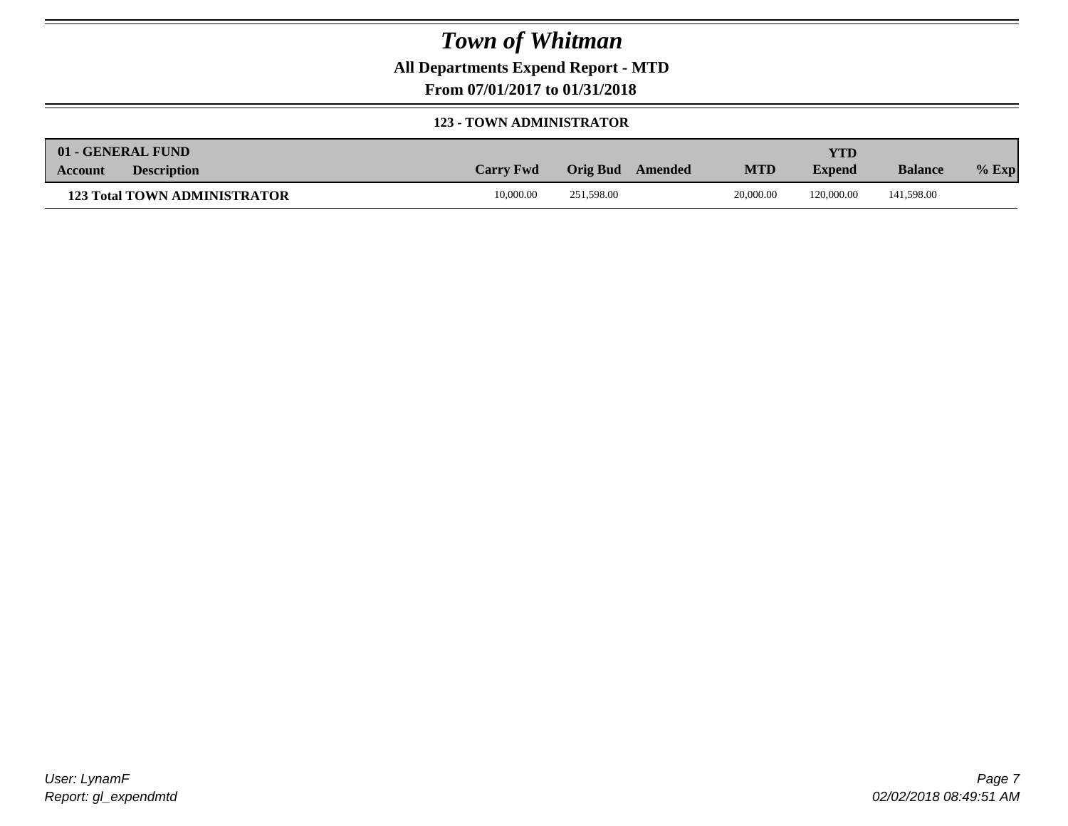**All Departments Expend Report - MTD**

**From 07/01/2017 to 01/31/2018**

### **123 - TOWN ADMINISTRATOR**

| 01 - GENERAL FUND |                                     |                  |                     |            | YTD           |                |         |
|-------------------|-------------------------------------|------------------|---------------------|------------|---------------|----------------|---------|
| Account           | <b>Description</b>                  | <b>Carry Fwd</b> | Orig Bud<br>Amended | <b>MTD</b> | <b>Expend</b> | <b>Balance</b> | $%$ Exp |
|                   | <b>123 Total TOWN ADMINISTRATOR</b> | 10,000.00        | 251.598.00          | 20,000.00  | 120,000.00    | 141,598.00     |         |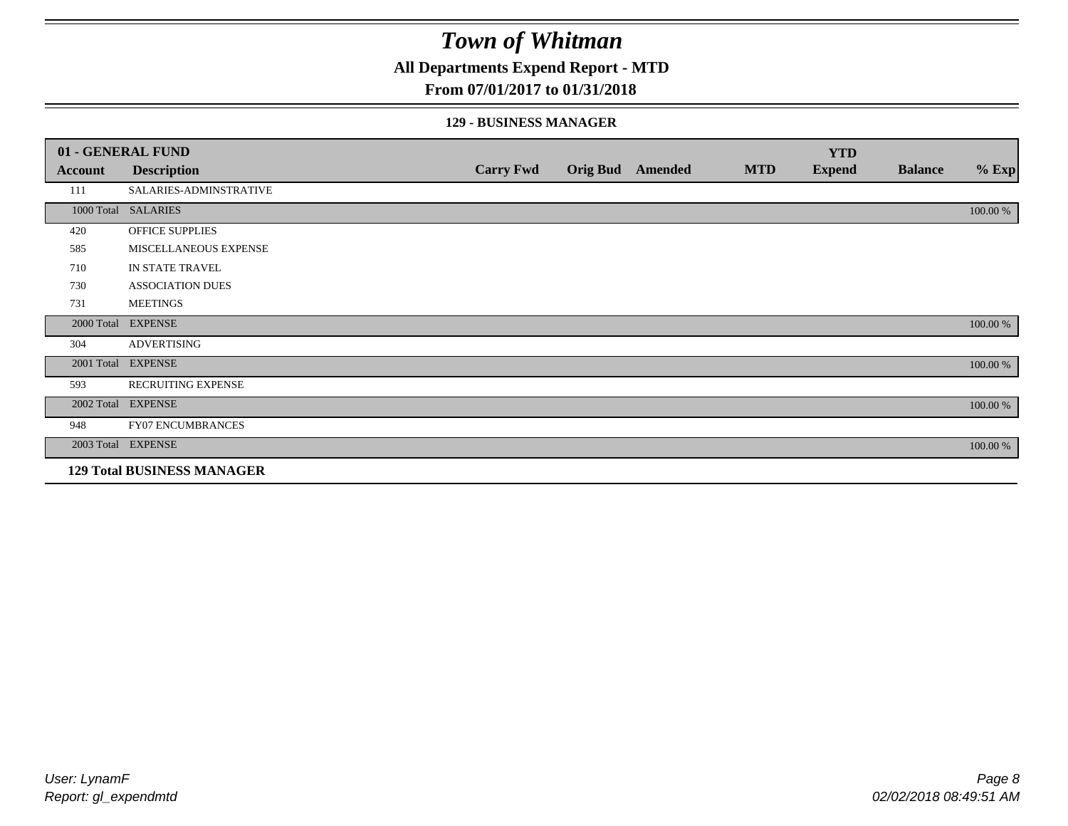**All Departments Expend Report - MTD**

### **From 07/01/2017 to 01/31/2018**

### **129 - BUSINESS MANAGER**

|            | 01 - GENERAL FUND                 |                  |                 |                |            | <b>YTD</b>    |                |          |
|------------|-----------------------------------|------------------|-----------------|----------------|------------|---------------|----------------|----------|
| Account    | <b>Description</b>                | <b>Carry Fwd</b> | <b>Orig Bud</b> | <b>Amended</b> | <b>MTD</b> | <b>Expend</b> | <b>Balance</b> | $%$ Exp  |
| 111        | SALARIES-ADMINSTRATIVE            |                  |                 |                |            |               |                |          |
|            | 1000 Total SALARIES               |                  |                 |                |            |               |                | 100.00 % |
| 420        | OFFICE SUPPLIES                   |                  |                 |                |            |               |                |          |
| 585        | MISCELLANEOUS EXPENSE             |                  |                 |                |            |               |                |          |
| 710        | IN STATE TRAVEL                   |                  |                 |                |            |               |                |          |
| 730        | <b>ASSOCIATION DUES</b>           |                  |                 |                |            |               |                |          |
| 731        | <b>MEETINGS</b>                   |                  |                 |                |            |               |                |          |
| 2000 Total | <b>EXPENSE</b>                    |                  |                 |                |            |               |                | 100.00 % |
| 304        | <b>ADVERTISING</b>                |                  |                 |                |            |               |                |          |
| 2001 Total | <b>EXPENSE</b>                    |                  |                 |                |            |               |                | 100.00 % |
| 593        | <b>RECRUITING EXPENSE</b>         |                  |                 |                |            |               |                |          |
|            | 2002 Total EXPENSE                |                  |                 |                |            |               |                | 100.00 % |
| 948        | <b>FY07 ENCUMBRANCES</b>          |                  |                 |                |            |               |                |          |
|            | 2003 Total EXPENSE                |                  |                 |                |            |               |                | 100.00 % |
|            | <b>129 Total BUSINESS MANAGER</b> |                  |                 |                |            |               |                |          |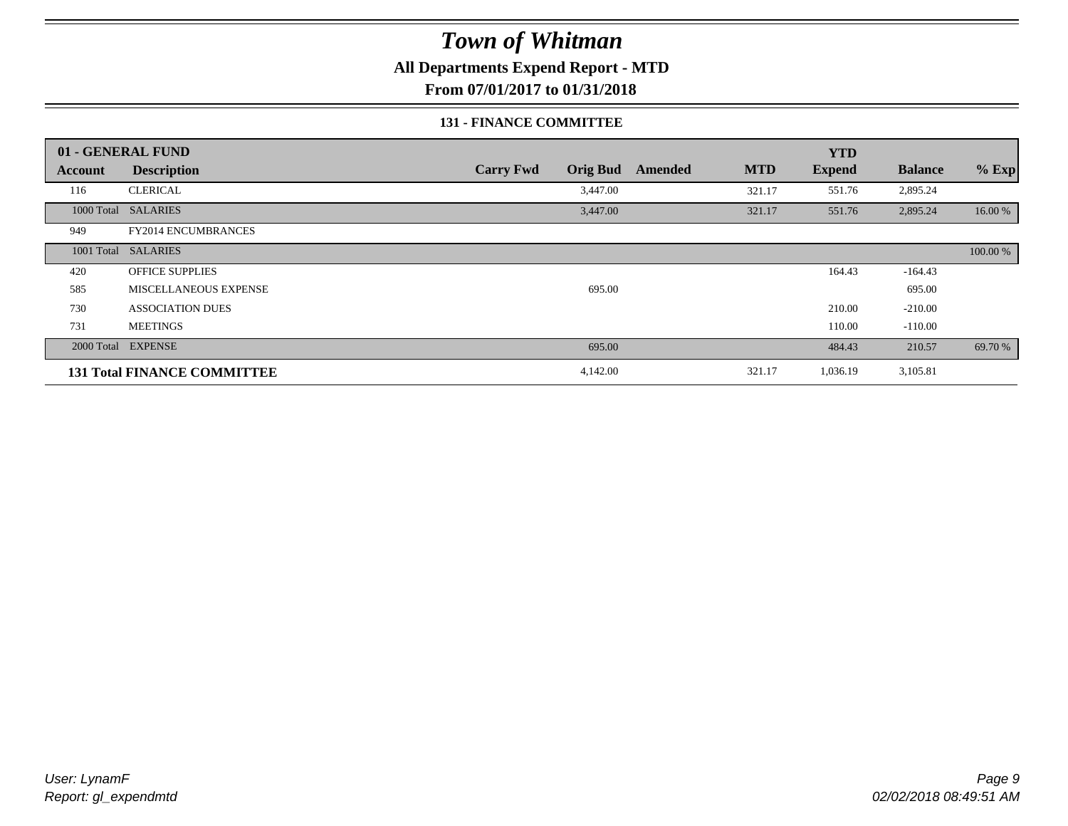**All Departments Expend Report - MTD**

**From 07/01/2017 to 01/31/2018**

### **131 - FINANCE COMMITTEE**

|         | 01 - GENERAL FUND                  |                                     |         |            | <b>YTD</b>    |                |          |
|---------|------------------------------------|-------------------------------------|---------|------------|---------------|----------------|----------|
| Account | <b>Description</b>                 | <b>Orig Bud</b><br><b>Carry Fwd</b> | Amended | <b>MTD</b> | <b>Expend</b> | <b>Balance</b> | $%$ Exp  |
| 116     | <b>CLERICAL</b>                    | 3,447.00                            |         | 321.17     | 551.76        | 2,895.24       |          |
|         | 1000 Total SALARIES                | 3,447.00                            |         | 321.17     | 551.76        | 2,895.24       | 16.00 %  |
| 949     | FY2014 ENCUMBRANCES                |                                     |         |            |               |                |          |
|         | 1001 Total SALARIES                |                                     |         |            |               |                | 100.00 % |
| 420     | <b>OFFICE SUPPLIES</b>             |                                     |         |            | 164.43        | $-164.43$      |          |
| 585     | MISCELLANEOUS EXPENSE              | 695.00                              |         |            |               | 695.00         |          |
| 730     | <b>ASSOCIATION DUES</b>            |                                     |         |            | 210.00        | $-210.00$      |          |
| 731     | <b>MEETINGS</b>                    |                                     |         |            | 110.00        | $-110.00$      |          |
|         | 2000 Total EXPENSE                 | 695.00                              |         |            | 484.43        | 210.57         | 69.70 %  |
|         | <b>131 Total FINANCE COMMITTEE</b> | 4,142.00                            |         | 321.17     | 1,036.19      | 3,105.81       |          |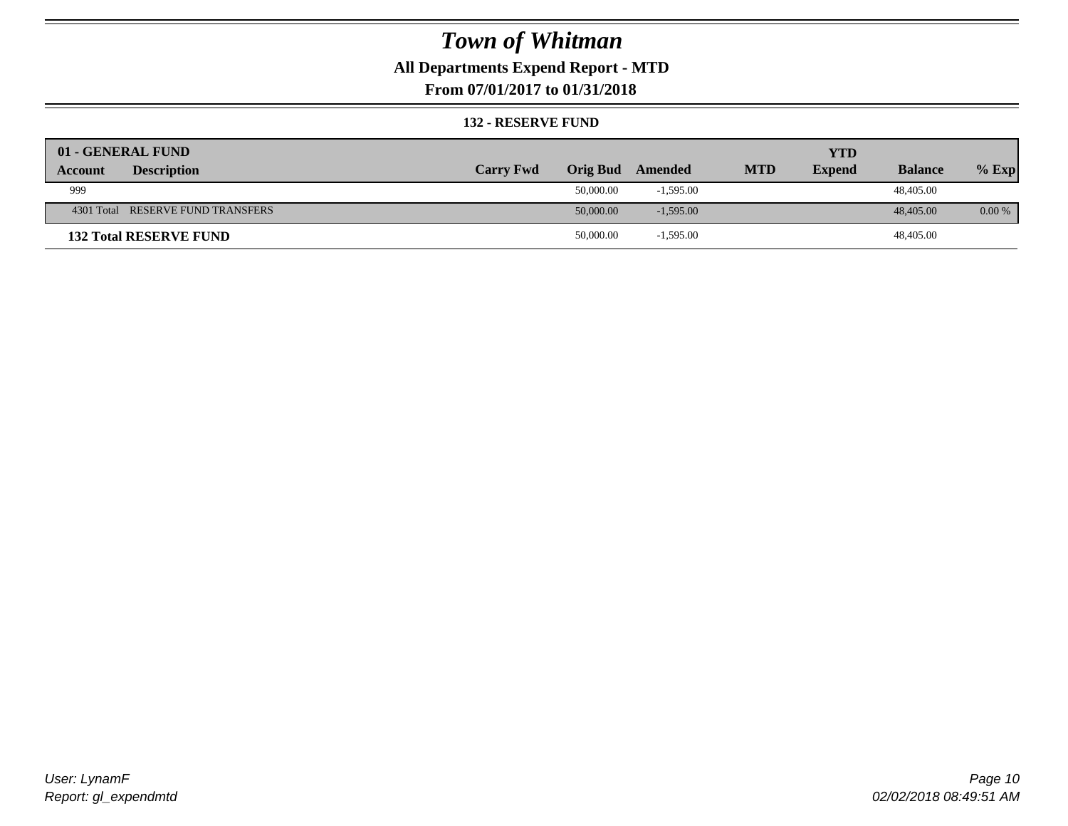### **All Departments Expend Report - MTD**

**From 07/01/2017 to 01/31/2018**

### **132 - RESERVE FUND**

| 01 - GENERAL FUND                    |                  |                 |             |            | <b>YTD</b>    |                |          |
|--------------------------------------|------------------|-----------------|-------------|------------|---------------|----------------|----------|
| <b>Description</b><br><b>Account</b> | <b>Carry Fwd</b> | <b>Orig Bud</b> | Amended     | <b>MTD</b> | <b>Expend</b> | <b>Balance</b> | $%$ Exp  |
| 999                                  |                  | 50,000.00       | $-1,595.00$ |            |               | 48,405.00      |          |
| 4301 Total RESERVE FUND TRANSFERS    |                  | 50,000.00       | $-1,595.00$ |            |               | 48,405.00      | $0.00\%$ |
| <b>132 Total RESERVE FUND</b>        |                  | 50,000.00       | $-1,595.00$ |            |               | 48,405.00      |          |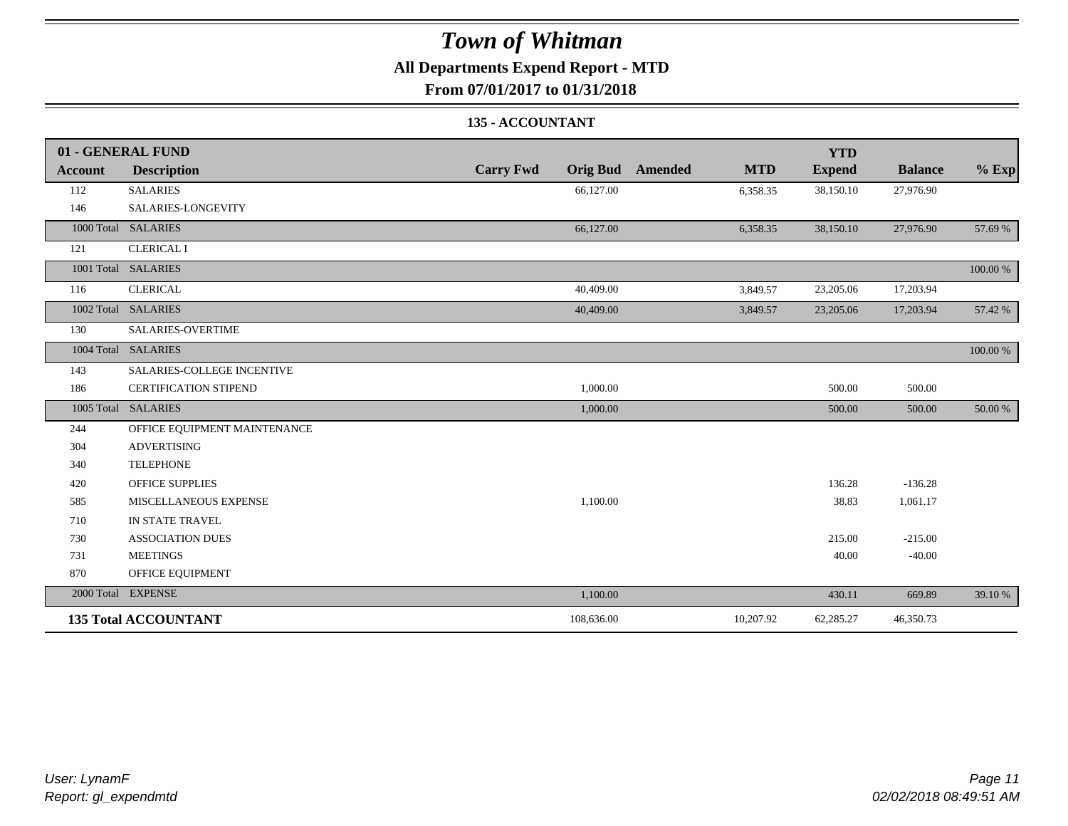### **All Departments Expend Report - MTD**

**From 07/01/2017 to 01/31/2018**

### **135 - ACCOUNTANT**

|         | 01 - GENERAL FUND            |                                     |                              | <b>YTD</b>    |                |          |
|---------|------------------------------|-------------------------------------|------------------------------|---------------|----------------|----------|
| Account | <b>Description</b>           | <b>Carry Fwd</b><br><b>Orig Bud</b> | <b>MTD</b><br><b>Amended</b> | <b>Expend</b> | <b>Balance</b> | $%$ Exp  |
| 112     | <b>SALARIES</b>              | 66,127.00                           | 6,358.35                     | 38,150.10     | 27,976.90      |          |
| 146     | SALARIES-LONGEVITY           |                                     |                              |               |                |          |
|         | 1000 Total SALARIES          | 66,127.00                           | 6,358.35                     | 38,150.10     | 27,976.90      | 57.69 %  |
| 121     | <b>CLERICAL I</b>            |                                     |                              |               |                |          |
|         | 1001 Total SALARIES          |                                     |                              |               |                | 100.00 % |
| 116     | <b>CLERICAL</b>              | 40,409.00                           | 3,849.57                     | 23,205.06     | 17,203.94      |          |
|         | 1002 Total SALARIES          | 40,409.00                           | 3,849.57                     | 23,205.06     | 17,203.94      | 57.42 %  |
| 130     | <b>SALARIES-OVERTIME</b>     |                                     |                              |               |                |          |
|         | 1004 Total SALARIES          |                                     |                              |               |                | 100.00 % |
| 143     | SALARIES-COLLEGE INCENTIVE   |                                     |                              |               |                |          |
| 186     | <b>CERTIFICATION STIPEND</b> | 1,000.00                            |                              | 500.00        | 500.00         |          |
|         | 1005 Total SALARIES          | 1,000.00                            |                              | 500.00        | 500.00         | 50.00 %  |
| 244     | OFFICE EQUIPMENT MAINTENANCE |                                     |                              |               |                |          |
| 304     | <b>ADVERTISING</b>           |                                     |                              |               |                |          |
| 340     | <b>TELEPHONE</b>             |                                     |                              |               |                |          |
| 420     | <b>OFFICE SUPPLIES</b>       |                                     |                              | 136.28        | $-136.28$      |          |
| 585     | MISCELLANEOUS EXPENSE        | 1,100.00                            |                              | 38.83         | 1,061.17       |          |
| 710     | IN STATE TRAVEL              |                                     |                              |               |                |          |
| 730     | <b>ASSOCIATION DUES</b>      |                                     |                              | 215.00        | $-215.00$      |          |
| 731     | <b>MEETINGS</b>              |                                     |                              | 40.00         | $-40.00$       |          |
| 870     | OFFICE EQUIPMENT             |                                     |                              |               |                |          |
|         | 2000 Total EXPENSE           | 1,100.00                            |                              | 430.11        | 669.89         | 39.10 %  |
|         | <b>135 Total ACCOUNTANT</b>  | 108,636.00                          | 10,207.92                    | 62,285.27     | 46,350.73      |          |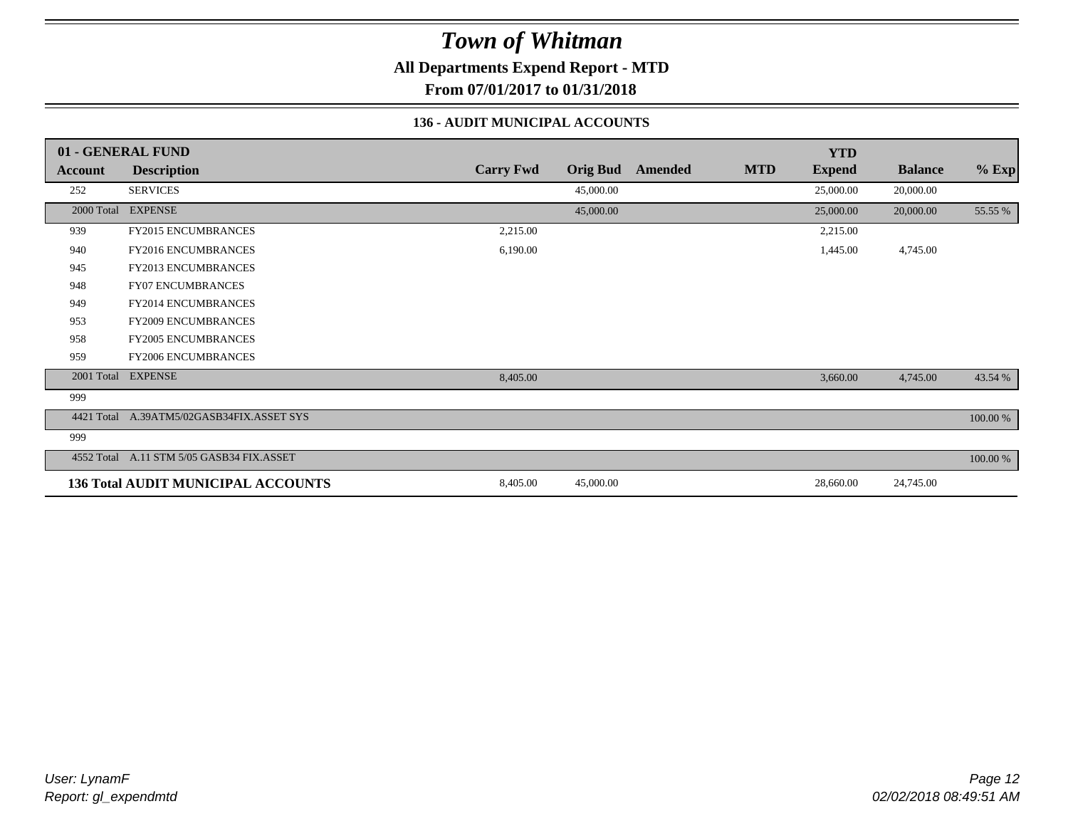**All Departments Expend Report - MTD**

**From 07/01/2017 to 01/31/2018**

### **136 - AUDIT MUNICIPAL ACCOUNTS**

|            | 01 - GENERAL FUND                         |                  |                 |         |            | <b>YTD</b>    |                |          |
|------------|-------------------------------------------|------------------|-----------------|---------|------------|---------------|----------------|----------|
| Account    | <b>Description</b>                        | <b>Carry Fwd</b> | <b>Orig Bud</b> | Amended | <b>MTD</b> | <b>Expend</b> | <b>Balance</b> | $%$ Exp  |
| 252        | <b>SERVICES</b>                           |                  | 45,000.00       |         |            | 25,000.00     | 20,000.00      |          |
|            | 2000 Total EXPENSE                        |                  | 45,000.00       |         |            | 25,000.00     | 20,000.00      | 55.55 %  |
| 939        | FY2015 ENCUMBRANCES                       | 2,215.00         |                 |         |            | 2,215.00      |                |          |
| 940        | <b>FY2016 ENCUMBRANCES</b>                | 6,190.00         |                 |         |            | 1,445.00      | 4,745.00       |          |
| 945        | FY2013 ENCUMBRANCES                       |                  |                 |         |            |               |                |          |
| 948        | <b>FY07 ENCUMBRANCES</b>                  |                  |                 |         |            |               |                |          |
| 949        | <b>FY2014 ENCUMBRANCES</b>                |                  |                 |         |            |               |                |          |
| 953        | <b>FY2009 ENCUMBRANCES</b>                |                  |                 |         |            |               |                |          |
| 958        | <b>FY2005 ENCUMBRANCES</b>                |                  |                 |         |            |               |                |          |
| 959        | FY2006 ENCUMBRANCES                       |                  |                 |         |            |               |                |          |
|            | 2001 Total EXPENSE                        | 8,405.00         |                 |         |            | 3,660.00      | 4,745.00       | 43.54 %  |
| 999        |                                           |                  |                 |         |            |               |                |          |
| 4421 Total | A.39ATM5/02GASB34FIX.ASSET SYS            |                  |                 |         |            |               |                | 100.00 % |
| 999        |                                           |                  |                 |         |            |               |                |          |
|            | 4552 Total A.11 STM 5/05 GASB34 FIX.ASSET |                  |                 |         |            |               |                | 100.00 % |
|            | 136 Total AUDIT MUNICIPAL ACCOUNTS        | 8,405.00         | 45,000.00       |         |            | 28,660.00     | 24,745.00      |          |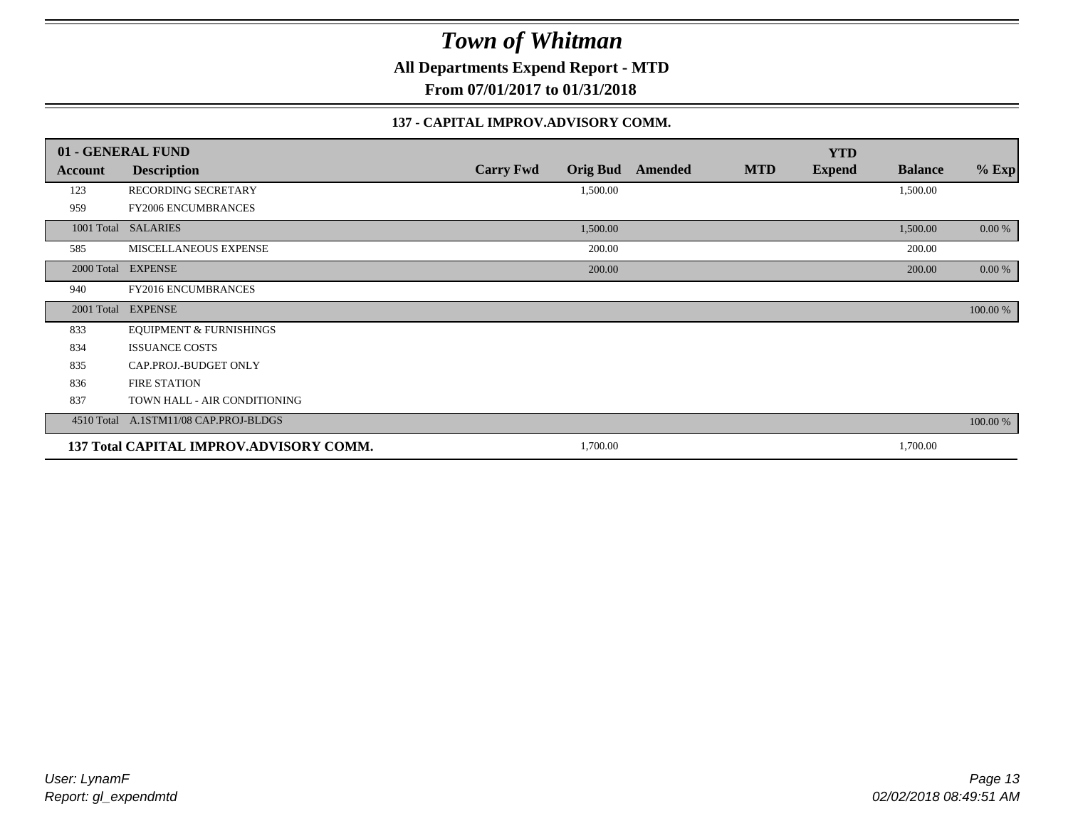**All Departments Expend Report - MTD**

**From 07/01/2017 to 01/31/2018**

### **137 - CAPITAL IMPROV.ADVISORY COMM.**

|            | 01 - GENERAL FUND                       |                  |                 |         |            | <b>YTD</b>    |                |          |
|------------|-----------------------------------------|------------------|-----------------|---------|------------|---------------|----------------|----------|
| Account    | <b>Description</b>                      | <b>Carry Fwd</b> | <b>Orig Bud</b> | Amended | <b>MTD</b> | <b>Expend</b> | <b>Balance</b> | $%$ Exp  |
| 123        | RECORDING SECRETARY                     |                  | 1,500.00        |         |            |               | 1,500.00       |          |
| 959        | FY2006 ENCUMBRANCES                     |                  |                 |         |            |               |                |          |
|            | 1001 Total SALARIES                     |                  | 1,500.00        |         |            |               | 1,500.00       | 0.00 %   |
| 585        | MISCELLANEOUS EXPENSE                   |                  | 200.00          |         |            |               | 200.00         |          |
|            | 2000 Total EXPENSE                      |                  | 200.00          |         |            |               | 200.00         | $0.00\%$ |
| 940        | FY2016 ENCUMBRANCES                     |                  |                 |         |            |               |                |          |
| 2001 Total | <b>EXPENSE</b>                          |                  |                 |         |            |               |                | 100.00 % |
| 833        | <b>EQUIPMENT &amp; FURNISHINGS</b>      |                  |                 |         |            |               |                |          |
| 834        | <b>ISSUANCE COSTS</b>                   |                  |                 |         |            |               |                |          |
| 835        | CAP.PROJ.-BUDGET ONLY                   |                  |                 |         |            |               |                |          |
| 836        | <b>FIRE STATION</b>                     |                  |                 |         |            |               |                |          |
| 837        | TOWN HALL - AIR CONDITIONING            |                  |                 |         |            |               |                |          |
| 4510 Total | A.1STM11/08 CAP.PROJ-BLDGS              |                  |                 |         |            |               |                | 100.00 % |
|            | 137 Total CAPITAL IMPROV.ADVISORY COMM. |                  | 1,700.00        |         |            |               | 1,700.00       |          |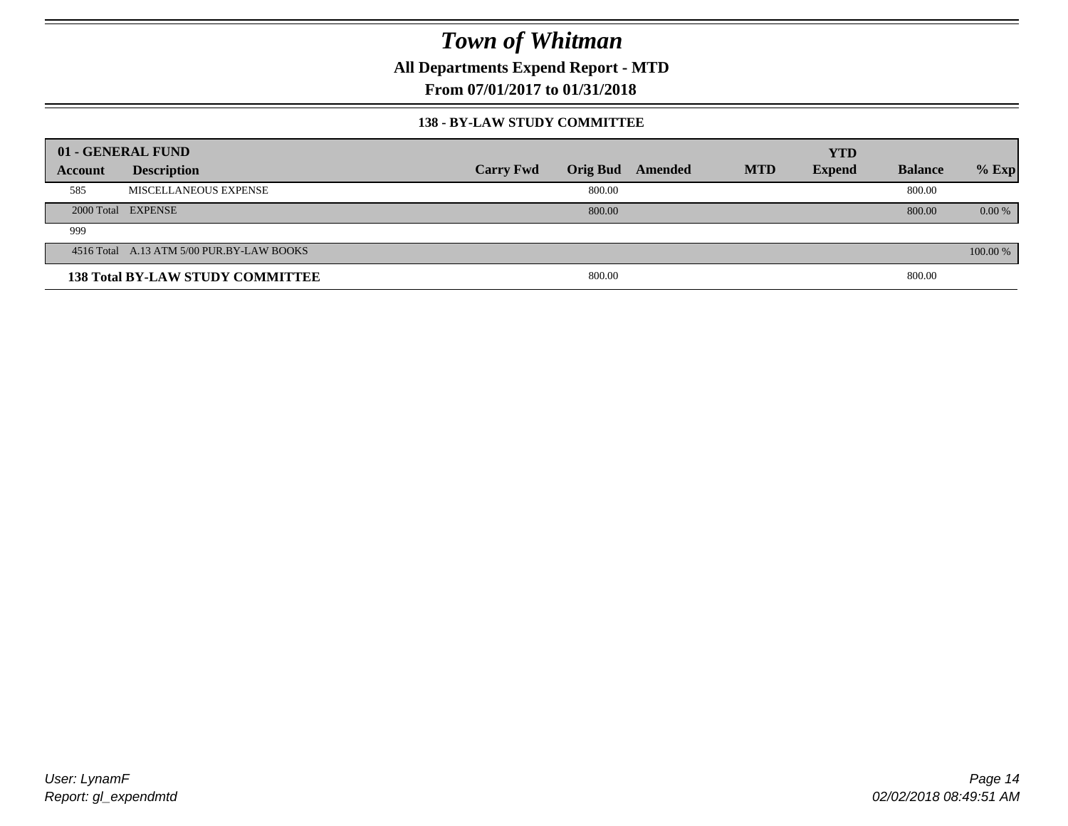**All Departments Expend Report - MTD**

**From 07/01/2017 to 01/31/2018**

### **138 - BY-LAW STUDY COMMITTEE**

| 01 - GENERAL FUND |                                           |                  |        |                         |            | <b>YTD</b>    |                |          |
|-------------------|-------------------------------------------|------------------|--------|-------------------------|------------|---------------|----------------|----------|
| Account           | <b>Description</b>                        | <b>Carry Fwd</b> |        | <b>Orig Bud</b> Amended | <b>MTD</b> | <b>Expend</b> | <b>Balance</b> | $%$ Exp  |
| 585               | MISCELLANEOUS EXPENSE                     |                  | 800.00 |                         |            |               | 800.00         |          |
|                   | 2000 Total EXPENSE                        |                  | 800.00 |                         |            |               | 800.00         | $0.00\%$ |
| 999               |                                           |                  |        |                         |            |               |                |          |
|                   | 4516 Total A.13 ATM 5/00 PUR.BY-LAW BOOKS |                  |        |                         |            |               |                | 100.00 % |
|                   | <b>138 Total BY-LAW STUDY COMMITTEE</b>   |                  | 800.00 |                         |            |               | 800.00         |          |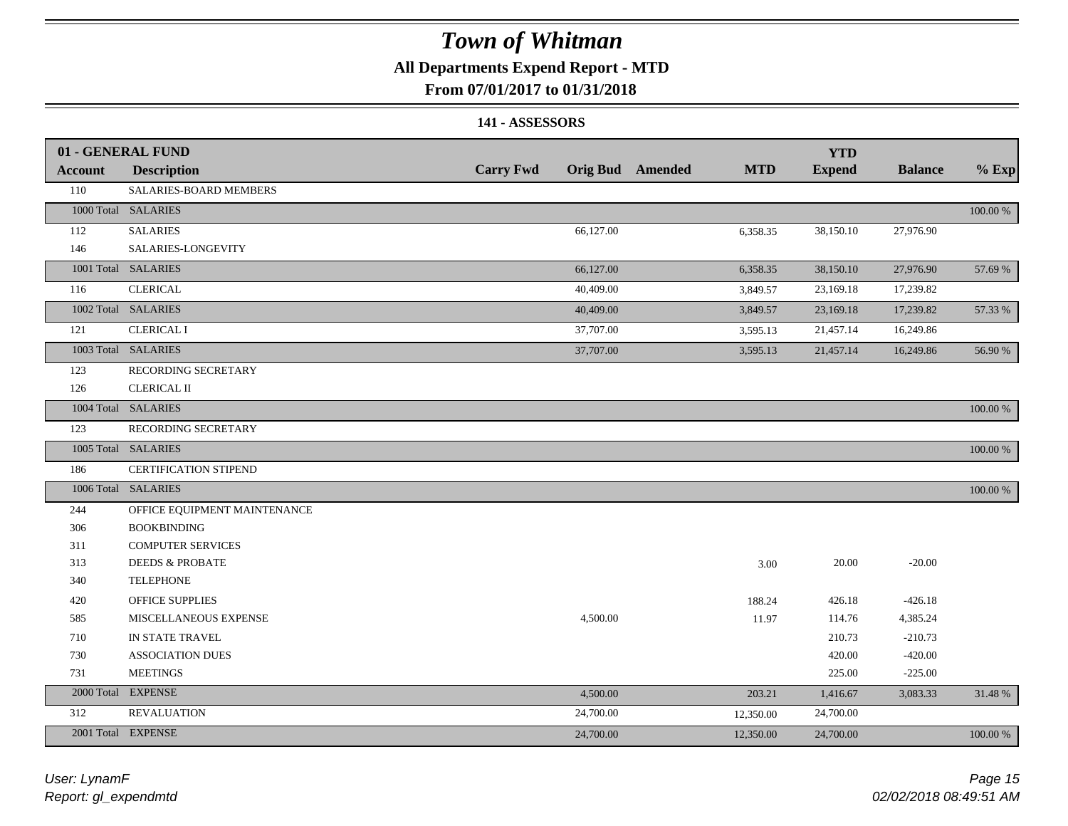### **All Departments Expend Report - MTD**

### **From 07/01/2017 to 01/31/2018**

#### **141 - ASSESSORS**

|                | 01 - GENERAL FUND            |                  |           |                         |            | <b>YTD</b>    |                |          |
|----------------|------------------------------|------------------|-----------|-------------------------|------------|---------------|----------------|----------|
| <b>Account</b> | <b>Description</b>           | <b>Carry Fwd</b> |           | <b>Orig Bud</b> Amended | <b>MTD</b> | <b>Expend</b> | <b>Balance</b> | $%$ Exp  |
| 110            | SALARIES-BOARD MEMBERS       |                  |           |                         |            |               |                |          |
|                | 1000 Total SALARIES          |                  |           |                         |            |               |                | 100.00 % |
| 112            | <b>SALARIES</b>              |                  | 66,127.00 |                         | 6,358.35   | 38,150.10     | 27,976.90      |          |
| 146            | SALARIES-LONGEVITY           |                  |           |                         |            |               |                |          |
|                | 1001 Total SALARIES          |                  | 66,127.00 |                         | 6,358.35   | 38,150.10     | 27,976.90      | 57.69 %  |
| 116            | <b>CLERICAL</b>              |                  | 40,409.00 |                         | 3,849.57   | 23,169.18     | 17,239.82      |          |
|                | 1002 Total SALARIES          |                  | 40,409.00 |                         | 3,849.57   | 23,169.18     | 17,239.82      | 57.33 %  |
| 121            | <b>CLERICAL I</b>            |                  | 37,707.00 |                         | 3,595.13   | 21,457.14     | 16,249.86      |          |
|                | 1003 Total SALARIES          |                  | 37,707.00 |                         | 3,595.13   | 21,457.14     | 16,249.86      | 56.90 %  |
| 123            | RECORDING SECRETARY          |                  |           |                         |            |               |                |          |
| 126            | <b>CLERICAL II</b>           |                  |           |                         |            |               |                |          |
|                | 1004 Total SALARIES          |                  |           |                         |            |               |                | 100.00 % |
| 123            | RECORDING SECRETARY          |                  |           |                         |            |               |                |          |
|                | 1005 Total SALARIES          |                  |           |                         |            |               |                | 100.00 % |
| 186            | CERTIFICATION STIPEND        |                  |           |                         |            |               |                |          |
|                | 1006 Total SALARIES          |                  |           |                         |            |               |                | 100.00 % |
| 244            | OFFICE EQUIPMENT MAINTENANCE |                  |           |                         |            |               |                |          |
| 306            | <b>BOOKBINDING</b>           |                  |           |                         |            |               |                |          |
| 311            | <b>COMPUTER SERVICES</b>     |                  |           |                         |            |               |                |          |
| 313            | <b>DEEDS &amp; PROBATE</b>   |                  |           |                         | 3.00       | 20.00         | $-20.00$       |          |
| 340            | <b>TELEPHONE</b>             |                  |           |                         |            |               |                |          |
| 420            | <b>OFFICE SUPPLIES</b>       |                  |           |                         | 188.24     | 426.18        | $-426.18$      |          |
| 585            | MISCELLANEOUS EXPENSE        |                  | 4,500.00  |                         | 11.97      | 114.76        | 4,385.24       |          |
| 710            | IN STATE TRAVEL              |                  |           |                         |            | 210.73        | $-210.73$      |          |
| 730            | <b>ASSOCIATION DUES</b>      |                  |           |                         |            | 420.00        | $-420.00$      |          |
| 731            | <b>MEETINGS</b>              |                  |           |                         |            | 225.00        | $-225.00$      |          |
| 2000 Total     | <b>EXPENSE</b>               |                  | 4,500.00  |                         | 203.21     | 1,416.67      | 3,083.33       | 31.48%   |
| 312            | <b>REVALUATION</b>           |                  | 24,700.00 |                         | 12,350.00  | 24,700.00     |                |          |
|                | 2001 Total EXPENSE           |                  | 24,700.00 |                         | 12,350.00  | 24,700.00     |                | 100.00 % |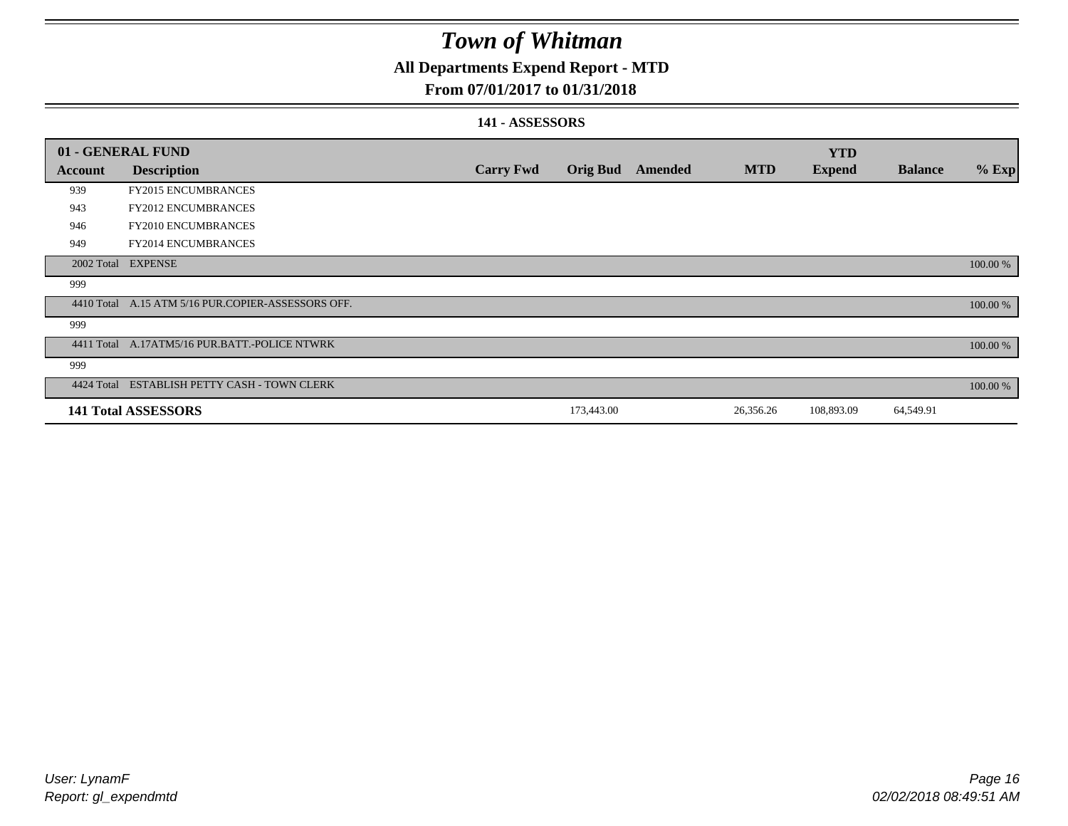### **All Departments Expend Report - MTD**

### **From 07/01/2017 to 01/31/2018**

### **141 - ASSESSORS**

|                | 01 - GENERAL FUND                                  |                  |                 |         |            | <b>YTD</b>    |                |          |
|----------------|----------------------------------------------------|------------------|-----------------|---------|------------|---------------|----------------|----------|
| <b>Account</b> | <b>Description</b>                                 | <b>Carry Fwd</b> | <b>Orig Bud</b> | Amended | <b>MTD</b> | <b>Expend</b> | <b>Balance</b> | $%$ Exp  |
| 939            | <b>FY2015 ENCUMBRANCES</b>                         |                  |                 |         |            |               |                |          |
| 943            | FY2012 ENCUMBRANCES                                |                  |                 |         |            |               |                |          |
| 946            | FY2010 ENCUMBRANCES                                |                  |                 |         |            |               |                |          |
| 949            | <b>FY2014 ENCUMBRANCES</b>                         |                  |                 |         |            |               |                |          |
|                | 2002 Total EXPENSE                                 |                  |                 |         |            |               |                | 100.00 % |
| 999            |                                                    |                  |                 |         |            |               |                |          |
|                | 4410 Total A.15 ATM 5/16 PUR.COPIER-ASSESSORS OFF. |                  |                 |         |            |               |                | 100.00 % |
| 999            |                                                    |                  |                 |         |            |               |                |          |
|                | 4411 Total A.17ATM5/16 PUR.BATT.-POLICE NTWRK      |                  |                 |         |            |               |                | 100.00 % |
| 999            |                                                    |                  |                 |         |            |               |                |          |
|                | 4424 Total ESTABLISH PETTY CASH - TOWN CLERK       |                  |                 |         |            |               |                | 100.00 % |
|                | <b>141 Total ASSESSORS</b>                         |                  | 173,443.00      |         | 26,356.26  | 108,893.09    | 64,549.91      |          |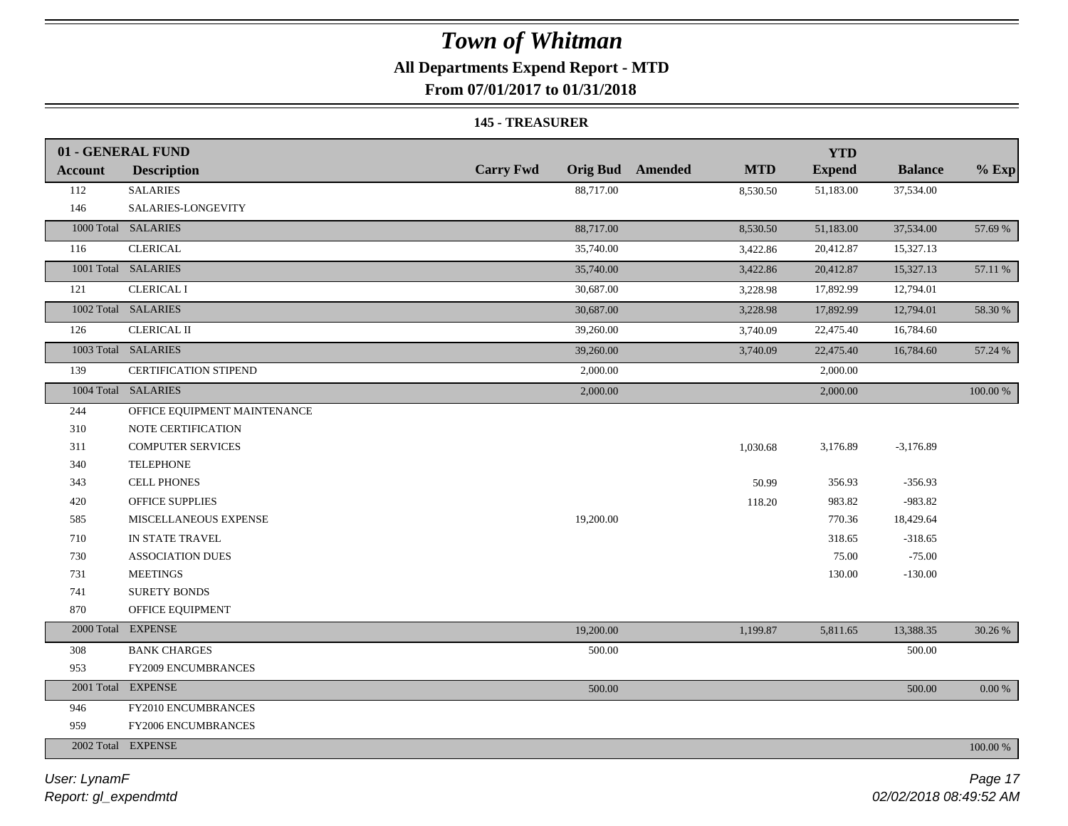### **All Departments Expend Report - MTD**

**From 07/01/2017 to 01/31/2018**

#### **145 - TREASURER**

|                | 01 - GENERAL FUND            |                  |                                       | <b>YTD</b>    |                |          |
|----------------|------------------------------|------------------|---------------------------------------|---------------|----------------|----------|
| <b>Account</b> | <b>Description</b>           | <b>Carry Fwd</b> | <b>Orig Bud</b> Amended<br><b>MTD</b> | <b>Expend</b> | <b>Balance</b> | $%$ Exp  |
| 112            | <b>SALARIES</b>              | 88,717.00        | 8,530.50                              | 51,183.00     | 37,534.00      |          |
| 146            | SALARIES-LONGEVITY           |                  |                                       |               |                |          |
|                | 1000 Total SALARIES          | 88,717.00        | 8,530.50                              | 51,183.00     | 37,534.00      | 57.69 %  |
| 116            | <b>CLERICAL</b>              | 35,740.00        | 3,422.86                              | 20,412.87     | 15,327.13      |          |
|                | 1001 Total SALARIES          | 35,740.00        | 3,422.86                              | 20,412.87     | 15,327.13      | 57.11 %  |
| 121            | <b>CLERICAL I</b>            | 30,687.00        | 3,228.98                              | 17,892.99     | 12,794.01      |          |
|                | 1002 Total SALARIES          | 30,687.00        | 3,228.98                              | 17,892.99     | 12,794.01      | 58.30 %  |
| 126            | <b>CLERICAL II</b>           | 39,260.00        | 3,740.09                              | 22,475.40     | 16,784.60      |          |
|                | 1003 Total SALARIES          | 39,260.00        | 3,740.09                              | 22,475.40     | 16,784.60      | 57.24 %  |
| 139            | CERTIFICATION STIPEND        | 2,000.00         |                                       | 2,000.00      |                |          |
|                | 1004 Total SALARIES          | 2,000.00         |                                       | 2,000.00      |                | 100.00 % |
| 244            | OFFICE EQUIPMENT MAINTENANCE |                  |                                       |               |                |          |
| 310            | NOTE CERTIFICATION           |                  |                                       |               |                |          |
| 311            | <b>COMPUTER SERVICES</b>     |                  | 1,030.68                              | 3,176.89      | $-3,176.89$    |          |
| 340            | <b>TELEPHONE</b>             |                  |                                       |               |                |          |
| 343            | <b>CELL PHONES</b>           |                  | 50.99                                 | 356.93        | $-356.93$      |          |
| 420            | OFFICE SUPPLIES              |                  | 118.20                                | 983.82        | $-983.82$      |          |
| 585            | MISCELLANEOUS EXPENSE        | 19,200.00        |                                       | 770.36        | 18,429.64      |          |
| 710            | IN STATE TRAVEL              |                  |                                       | 318.65        | $-318.65$      |          |
| 730            | <b>ASSOCIATION DUES</b>      |                  |                                       | 75.00         | $-75.00$       |          |
| 731            | <b>MEETINGS</b>              |                  |                                       | 130.00        | $-130.00$      |          |
| 741            | <b>SURETY BONDS</b>          |                  |                                       |               |                |          |
| 870            | OFFICE EQUIPMENT             |                  |                                       |               |                |          |
|                | 2000 Total EXPENSE           | 19,200.00        | 1,199.87                              | 5,811.65      | 13,388.35      | 30.26 %  |
| 308            | <b>BANK CHARGES</b>          | 500.00           |                                       |               | 500.00         |          |
| 953            | FY2009 ENCUMBRANCES          |                  |                                       |               |                |          |
|                | 2001 Total EXPENSE           | 500.00           |                                       |               | 500.00         | 0.00 %   |
| 946            | FY2010 ENCUMBRANCES          |                  |                                       |               |                |          |
| 959            | FY2006 ENCUMBRANCES          |                  |                                       |               |                |          |
|                | 2002 Total EXPENSE           |                  |                                       |               |                | 100.00 % |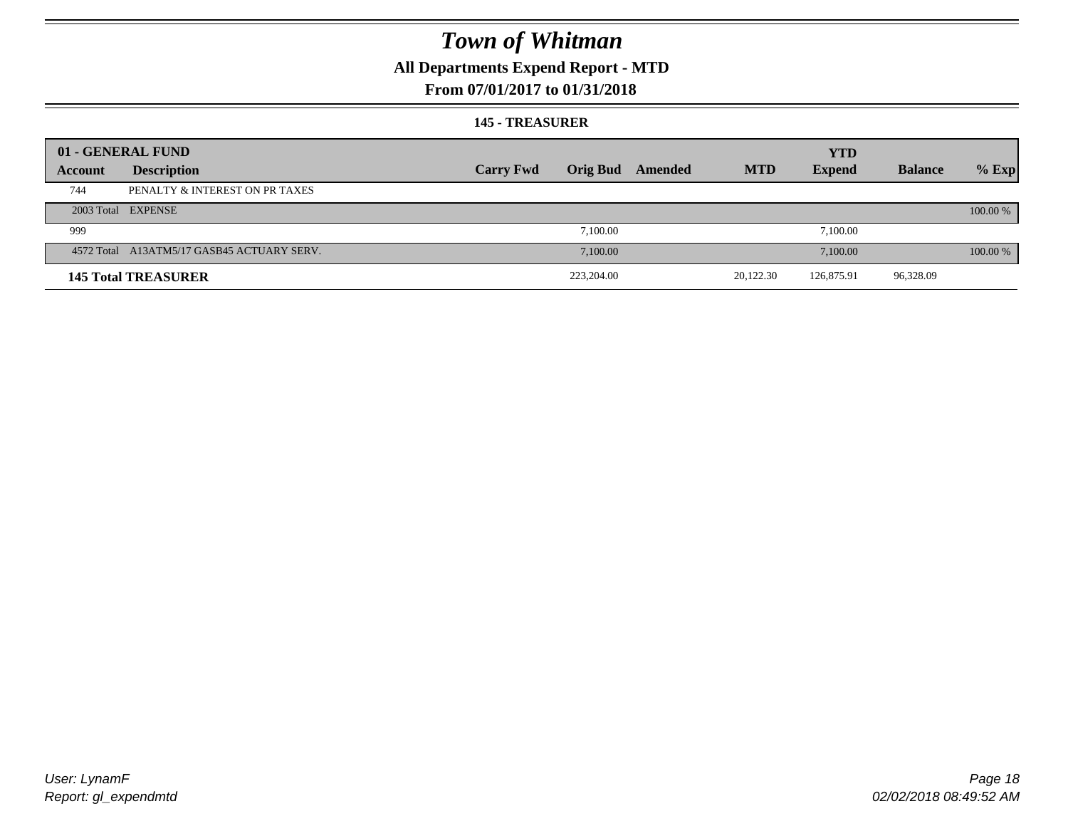### **All Departments Expend Report - MTD**

### **From 07/01/2017 to 01/31/2018**

#### **145 - TREASURER**

|         | 01 - GENERAL FUND                          |                  |                 |         |            | <b>YTD</b>    |                |          |
|---------|--------------------------------------------|------------------|-----------------|---------|------------|---------------|----------------|----------|
| Account | <b>Description</b>                         | <b>Carry Fwd</b> | <b>Orig Bud</b> | Amended | <b>MTD</b> | <b>Expend</b> | <b>Balance</b> | $%$ Exp  |
| 744     | PENALTY & INTEREST ON PR TAXES             |                  |                 |         |            |               |                |          |
|         | 2003 Total EXPENSE                         |                  |                 |         |            |               |                | 100.00 % |
| 999     |                                            |                  | 7.100.00        |         |            | 7,100.00      |                |          |
|         | 4572 Total A13ATM5/17 GASB45 ACTUARY SERV. |                  | 7.100.00        |         |            | 7,100.00      |                | 100.00 % |
|         | <b>145 Total TREASURER</b>                 |                  | 223,204.00      |         | 20,122.30  | 126,875.91    | 96,328.09      |          |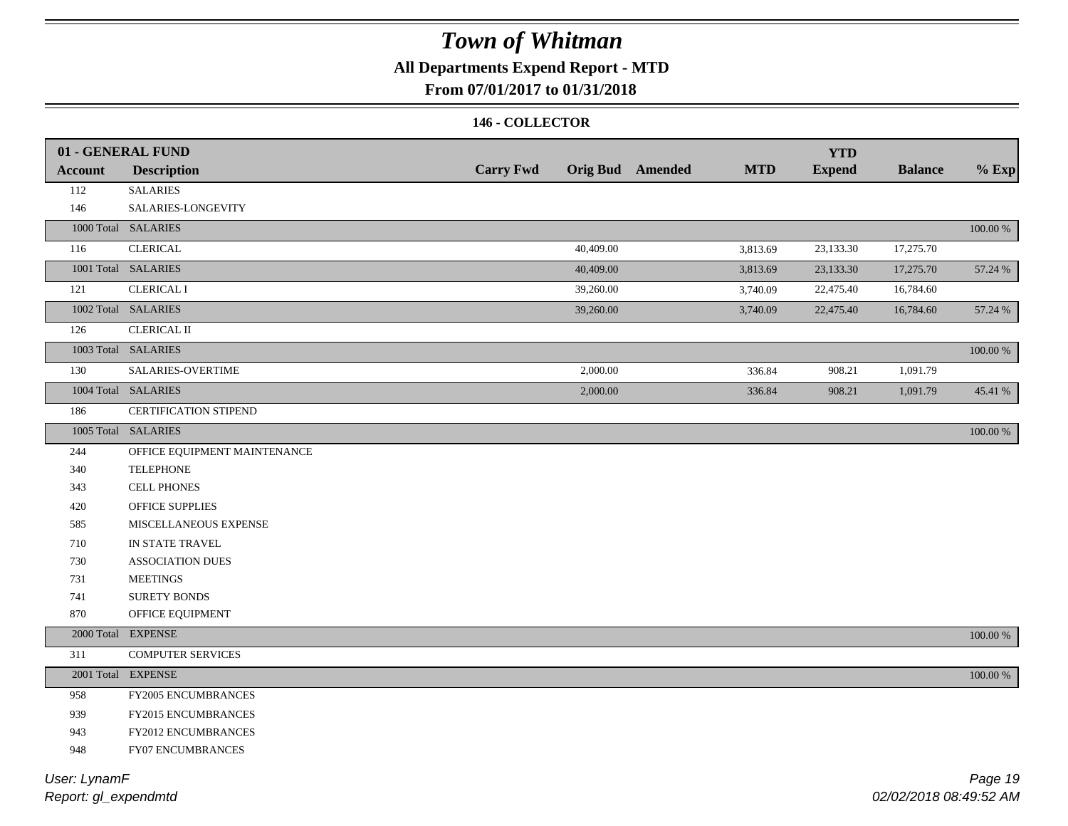### **All Departments Expend Report - MTD**

### **From 07/01/2017 to 01/31/2018**

### **146 - COLLECTOR**

| <b>Account</b> | 01 - GENERAL FUND<br><b>Description</b> | <b>Carry Fwd</b> | <b>Orig Bud</b> Amended | <b>MTD</b> | <b>YTD</b><br><b>Expend</b> | <b>Balance</b> | $%$ Exp     |
|----------------|-----------------------------------------|------------------|-------------------------|------------|-----------------------------|----------------|-------------|
| 112            | <b>SALARIES</b>                         |                  |                         |            |                             |                |             |
| 146            | SALARIES-LONGEVITY                      |                  |                         |            |                             |                |             |
|                | 1000 Total SALARIES                     |                  |                         |            |                             |                | $100.00~\%$ |
| 116            | <b>CLERICAL</b>                         | 40,409.00        |                         | 3,813.69   | 23,133.30                   | 17,275.70      |             |
|                | 1001 Total SALARIES                     | 40,409.00        |                         | 3,813.69   | 23,133.30                   | 17,275.70      | 57.24 %     |
|                | <b>CLERICAL I</b>                       |                  |                         |            |                             |                |             |
| 121            |                                         | 39,260.00        |                         | 3,740.09   | 22,475.40                   | 16,784.60      |             |
|                | 1002 Total SALARIES                     | 39,260.00        |                         | 3,740.09   | 22,475.40                   | 16,784.60      | 57.24 %     |
| 126            | <b>CLERICAL II</b>                      |                  |                         |            |                             |                |             |
|                | 1003 Total SALARIES                     |                  |                         |            |                             |                | 100.00 %    |
| 130            | SALARIES-OVERTIME                       | 2,000.00         |                         | 336.84     | 908.21                      | 1,091.79       |             |
|                | 1004 Total SALARIES                     | 2,000.00         |                         | 336.84     | 908.21                      | 1,091.79       | 45.41 %     |
| 186            | <b>CERTIFICATION STIPEND</b>            |                  |                         |            |                             |                |             |
|                | 1005 Total SALARIES                     |                  |                         |            |                             |                | 100.00 %    |
| 244            | OFFICE EQUIPMENT MAINTENANCE            |                  |                         |            |                             |                |             |
| 340            | <b>TELEPHONE</b>                        |                  |                         |            |                             |                |             |
| 343            | <b>CELL PHONES</b>                      |                  |                         |            |                             |                |             |
| 420            | OFFICE SUPPLIES                         |                  |                         |            |                             |                |             |
| 585            | MISCELLANEOUS EXPENSE                   |                  |                         |            |                             |                |             |
| 710            | IN STATE TRAVEL                         |                  |                         |            |                             |                |             |
| 730            | <b>ASSOCIATION DUES</b>                 |                  |                         |            |                             |                |             |
| 731            | <b>MEETINGS</b>                         |                  |                         |            |                             |                |             |
| 741            | <b>SURETY BONDS</b>                     |                  |                         |            |                             |                |             |
| 870            | OFFICE EQUIPMENT                        |                  |                         |            |                             |                |             |
|                | 2000 Total EXPENSE                      |                  |                         |            |                             |                | 100.00 %    |
| 311            | <b>COMPUTER SERVICES</b>                |                  |                         |            |                             |                |             |
|                | 2001 Total EXPENSE                      |                  |                         |            |                             |                | $100.00~\%$ |
| 958            | FY2005 ENCUMBRANCES                     |                  |                         |            |                             |                |             |
| 939            | FY2015 ENCUMBRANCES                     |                  |                         |            |                             |                |             |
| 943            | FY2012 ENCUMBRANCES                     |                  |                         |            |                             |                |             |
| 948            | FY07 ENCUMBRANCES                       |                  |                         |            |                             |                |             |
|                |                                         |                  |                         |            |                             |                |             |

*Report: gl\_expendmtd User: LynamF*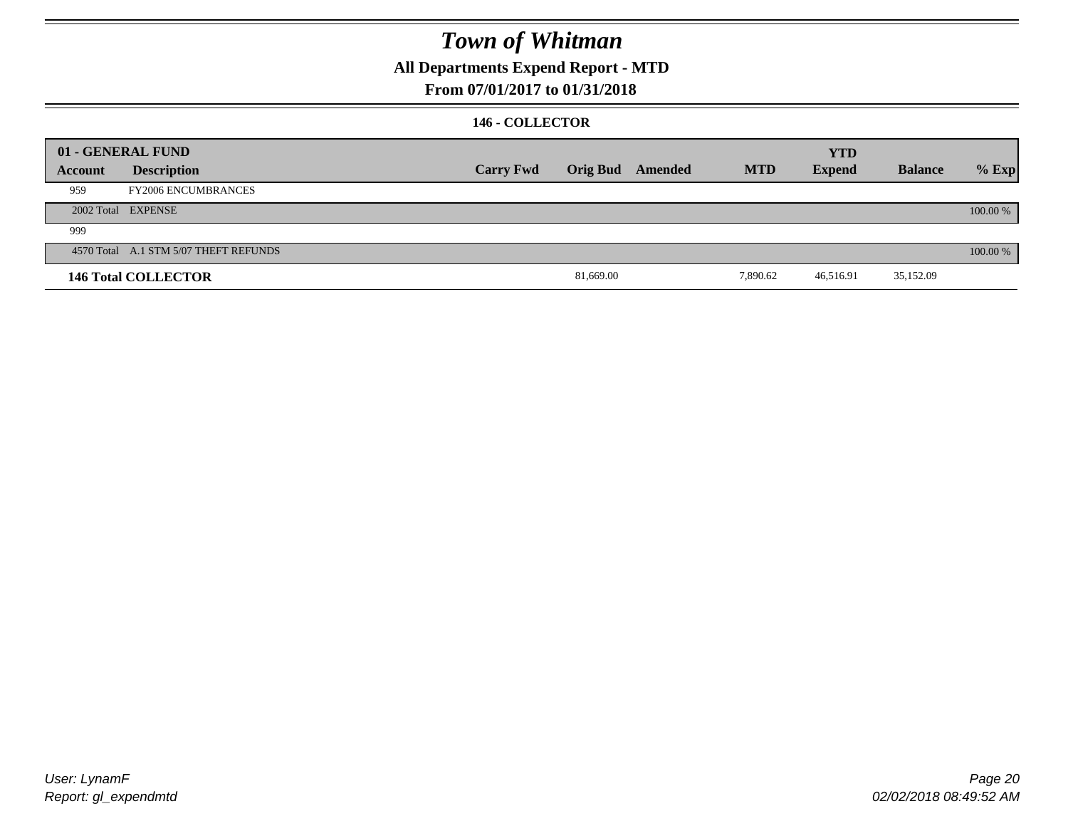**All Departments Expend Report - MTD**

### **From 07/01/2017 to 01/31/2018**

### **146 - COLLECTOR**

|         | 01 - GENERAL FUND                     |                  |           |                  |            | <b>YTD</b>    |                |          |
|---------|---------------------------------------|------------------|-----------|------------------|------------|---------------|----------------|----------|
| Account | <b>Description</b>                    | <b>Carry Fwd</b> |           | Orig Bud Amended | <b>MTD</b> | <b>Expend</b> | <b>Balance</b> | $%$ Exp  |
| 959     | <b>FY2006 ENCUMBRANCES</b>            |                  |           |                  |            |               |                |          |
|         | 2002 Total EXPENSE                    |                  |           |                  |            |               |                | 100.00 % |
| 999     |                                       |                  |           |                  |            |               |                |          |
|         | 4570 Total A.1 STM 5/07 THEFT REFUNDS |                  |           |                  |            |               |                | 100.00 % |
|         | <b>146 Total COLLECTOR</b>            |                  | 81,669.00 |                  | 7,890.62   | 46,516.91     | 35,152.09      |          |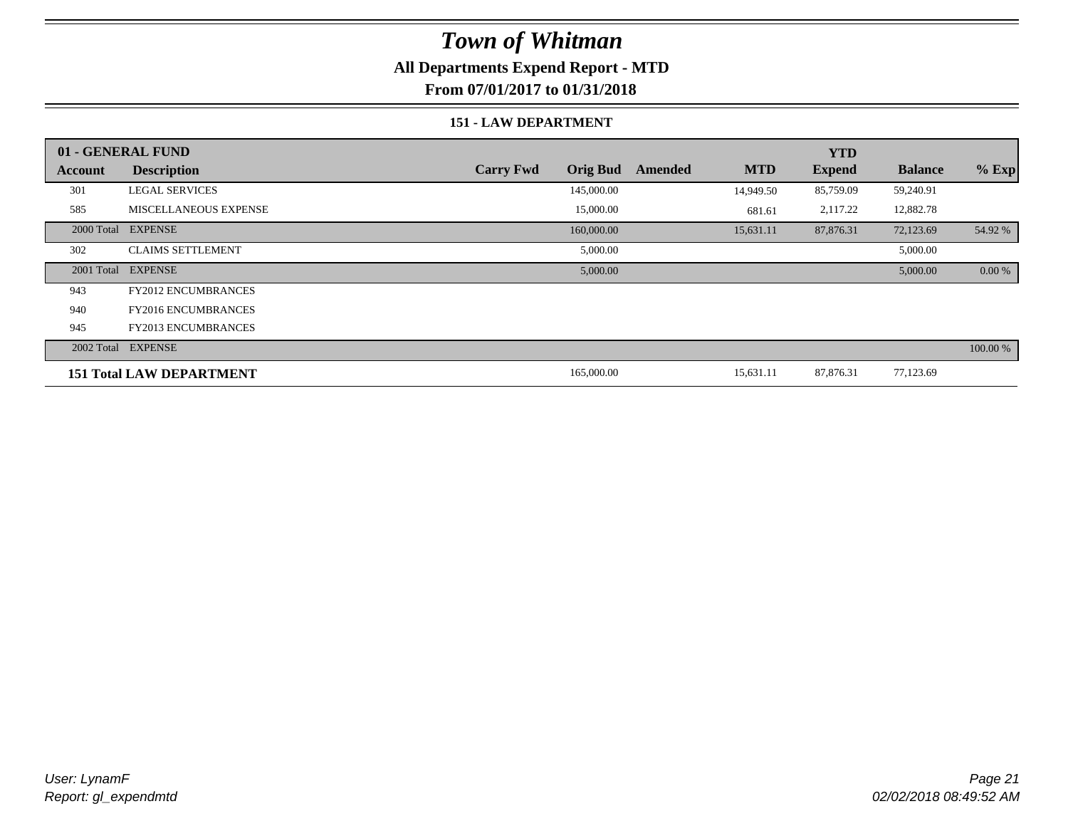### **All Departments Expend Report - MTD**

**From 07/01/2017 to 01/31/2018**

### **151 - LAW DEPARTMENT**

|         | 01 - GENERAL FUND               |                                     |         |            | <b>YTD</b>    |                |           |
|---------|---------------------------------|-------------------------------------|---------|------------|---------------|----------------|-----------|
| Account | <b>Description</b>              | <b>Carry Fwd</b><br><b>Orig Bud</b> | Amended | <b>MTD</b> | <b>Expend</b> | <b>Balance</b> | $%$ Exp   |
| 301     | <b>LEGAL SERVICES</b>           | 145,000.00                          |         | 14,949.50  | 85,759.09     | 59,240.91      |           |
| 585     | <b>MISCELLANEOUS EXPENSE</b>    | 15,000.00                           |         | 681.61     | 2,117.22      | 12,882.78      |           |
|         | 2000 Total EXPENSE              | 160,000.00                          |         | 15,631.11  | 87,876.31     | 72,123.69      | 54.92 %   |
| 302     | <b>CLAIMS SETTLEMENT</b>        | 5,000.00                            |         |            |               | 5,000.00       |           |
|         | 2001 Total EXPENSE              | 5,000.00                            |         |            |               | 5,000.00       | $0.00 \%$ |
| 943     | <b>FY2012 ENCUMBRANCES</b>      |                                     |         |            |               |                |           |
| 940     | <b>FY2016 ENCUMBRANCES</b>      |                                     |         |            |               |                |           |
| 945     | <b>FY2013 ENCUMBRANCES</b>      |                                     |         |            |               |                |           |
|         | 2002 Total EXPENSE              |                                     |         |            |               |                | 100.00 %  |
|         | <b>151 Total LAW DEPARTMENT</b> | 165,000.00                          |         | 15,631.11  | 87,876.31     | 77,123.69      |           |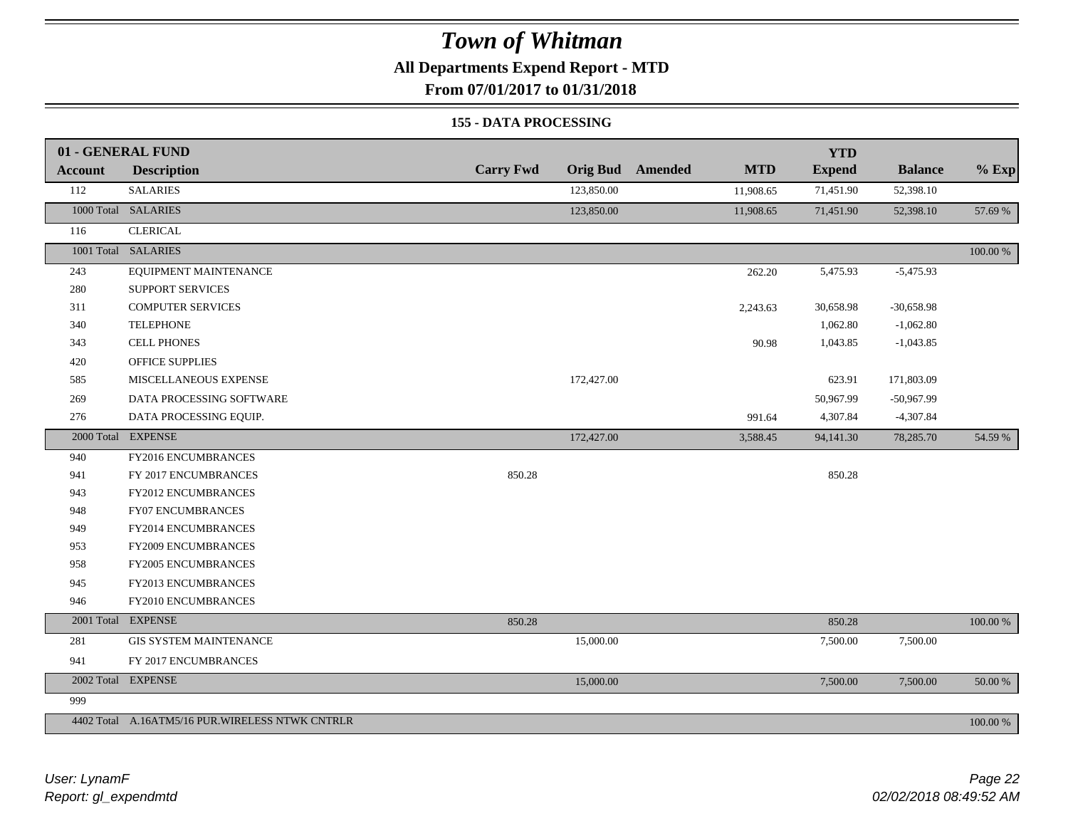**All Departments Expend Report - MTD**

**From 07/01/2017 to 01/31/2018**

#### **155 - DATA PROCESSING**

|                | 01 - GENERAL FUND                                |                  |                 |         |            | <b>YTD</b>    |                |          |
|----------------|--------------------------------------------------|------------------|-----------------|---------|------------|---------------|----------------|----------|
| <b>Account</b> | <b>Description</b>                               | <b>Carry Fwd</b> | <b>Orig Bud</b> | Amended | <b>MTD</b> | <b>Expend</b> | <b>Balance</b> | $%$ Exp  |
| 112            | <b>SALARIES</b>                                  |                  | 123,850.00      |         | 11,908.65  | 71,451.90     | 52,398.10      |          |
|                | 1000 Total SALARIES                              |                  | 123,850.00      |         | 11,908.65  | 71,451.90     | 52,398.10      | 57.69 %  |
| 116            | <b>CLERICAL</b>                                  |                  |                 |         |            |               |                |          |
|                | 1001 Total SALARIES                              |                  |                 |         |            |               |                | 100.00 % |
| 243            | EQUIPMENT MAINTENANCE                            |                  |                 |         | 262.20     | 5,475.93      | $-5,475.93$    |          |
| 280            | SUPPORT SERVICES                                 |                  |                 |         |            |               |                |          |
| 311            | <b>COMPUTER SERVICES</b>                         |                  |                 |         | 2,243.63   | 30,658.98     | $-30,658.98$   |          |
| 340            | <b>TELEPHONE</b>                                 |                  |                 |         |            | 1,062.80      | $-1,062.80$    |          |
| 343            | <b>CELL PHONES</b>                               |                  |                 |         | 90.98      | 1,043.85      | $-1,043.85$    |          |
| 420            | <b>OFFICE SUPPLIES</b>                           |                  |                 |         |            |               |                |          |
| 585            | MISCELLANEOUS EXPENSE                            |                  | 172,427.00      |         |            | 623.91        | 171,803.09     |          |
| 269            | DATA PROCESSING SOFTWARE                         |                  |                 |         |            | 50,967.99     | -50,967.99     |          |
| 276            | DATA PROCESSING EQUIP.                           |                  |                 |         | 991.64     | 4,307.84      | $-4,307.84$    |          |
|                | 2000 Total EXPENSE                               |                  | 172,427.00      |         | 3,588.45   | 94,141.30     | 78,285.70      | 54.59 %  |
| 940            | FY2016 ENCUMBRANCES                              |                  |                 |         |            |               |                |          |
| 941            | FY 2017 ENCUMBRANCES                             | 850.28           |                 |         |            | 850.28        |                |          |
| 943            | FY2012 ENCUMBRANCES                              |                  |                 |         |            |               |                |          |
| 948            | <b>FY07 ENCUMBRANCES</b>                         |                  |                 |         |            |               |                |          |
| 949            | FY2014 ENCUMBRANCES                              |                  |                 |         |            |               |                |          |
| 953            | FY2009 ENCUMBRANCES                              |                  |                 |         |            |               |                |          |
| 958            | FY2005 ENCUMBRANCES                              |                  |                 |         |            |               |                |          |
| 945            | FY2013 ENCUMBRANCES                              |                  |                 |         |            |               |                |          |
| 946            | FY2010 ENCUMBRANCES                              |                  |                 |         |            |               |                |          |
|                | 2001 Total EXPENSE                               | 850.28           |                 |         |            | 850.28        |                | 100.00 % |
| 281            | <b>GIS SYSTEM MAINTENANCE</b>                    |                  | 15,000.00       |         |            | 7,500.00      | 7,500.00       |          |
| 941            | FY 2017 ENCUMBRANCES                             |                  |                 |         |            |               |                |          |
|                | 2002 Total EXPENSE                               |                  | 15,000.00       |         |            | 7,500.00      | 7,500.00       | 50.00 %  |
| 999            |                                                  |                  |                 |         |            |               |                |          |
|                | 4402 Total A.16ATM5/16 PUR. WIRELESS NTWK CNTRLR |                  |                 |         |            |               |                | 100.00 % |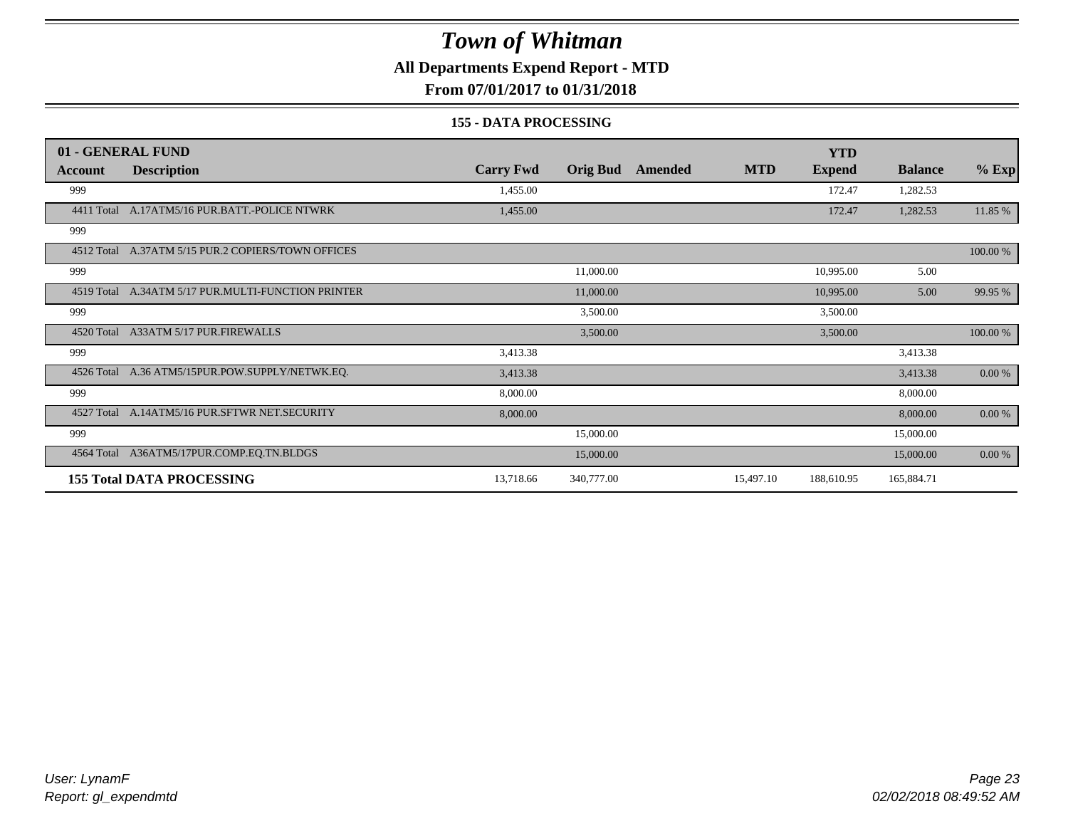**All Departments Expend Report - MTD**

**From 07/01/2017 to 01/31/2018**

#### **155 - DATA PROCESSING**

|            | 01 - GENERAL FUND                                  |                  |                 |         |            | <b>YTD</b>    |                |           |
|------------|----------------------------------------------------|------------------|-----------------|---------|------------|---------------|----------------|-----------|
| Account    | <b>Description</b>                                 | <b>Carry Fwd</b> | <b>Orig Bud</b> | Amended | <b>MTD</b> | <b>Expend</b> | <b>Balance</b> | $%$ Exp   |
| 999        |                                                    | 1,455.00         |                 |         |            | 172.47        | 1,282.53       |           |
|            | 4411 Total A.17ATM5/16 PUR.BATT.-POLICE NTWRK      | 1,455.00         |                 |         |            | 172.47        | 1,282.53       | 11.85 %   |
| 999        |                                                    |                  |                 |         |            |               |                |           |
|            | 4512 Total A.37ATM 5/15 PUR.2 COPIERS/TOWN OFFICES |                  |                 |         |            |               |                | 100.00 %  |
| 999        |                                                    |                  | 11,000.00       |         |            | 10,995.00     | 5.00           |           |
| 4519 Total | A.34ATM 5/17 PUR.MULTI-FUNCTION PRINTER            |                  | 11,000.00       |         |            | 10,995.00     | 5.00           | 99.95 %   |
| 999        |                                                    |                  | 3,500.00        |         |            | 3,500.00      |                |           |
|            | 4520 Total A33ATM 5/17 PUR.FIREWALLS               |                  | 3,500.00        |         |            | 3,500.00      |                | 100.00 %  |
| 999        |                                                    | 3,413.38         |                 |         |            |               | 3,413.38       |           |
|            | 4526 Total A.36 ATM5/15PUR.POW.SUPPLY/NETWK.EQ.    | 3,413.38         |                 |         |            |               | 3,413.38       | $0.00 \%$ |
| 999        |                                                    | 8,000.00         |                 |         |            |               | 8,000.00       |           |
|            | 4527 Total A.14ATM5/16 PUR.SFTWR NET.SECURITY      | 8,000.00         |                 |         |            |               | 8,000.00       | 0.00 %    |
| 999        |                                                    |                  | 15,000.00       |         |            |               | 15,000.00      |           |
| 4564 Total | A36ATM5/17PUR.COMP.EQ.TN.BLDGS                     |                  | 15,000.00       |         |            |               | 15,000.00      | 0.00 %    |
|            | <b>155 Total DATA PROCESSING</b>                   | 13,718.66        | 340,777.00      |         | 15,497.10  | 188,610.95    | 165,884.71     |           |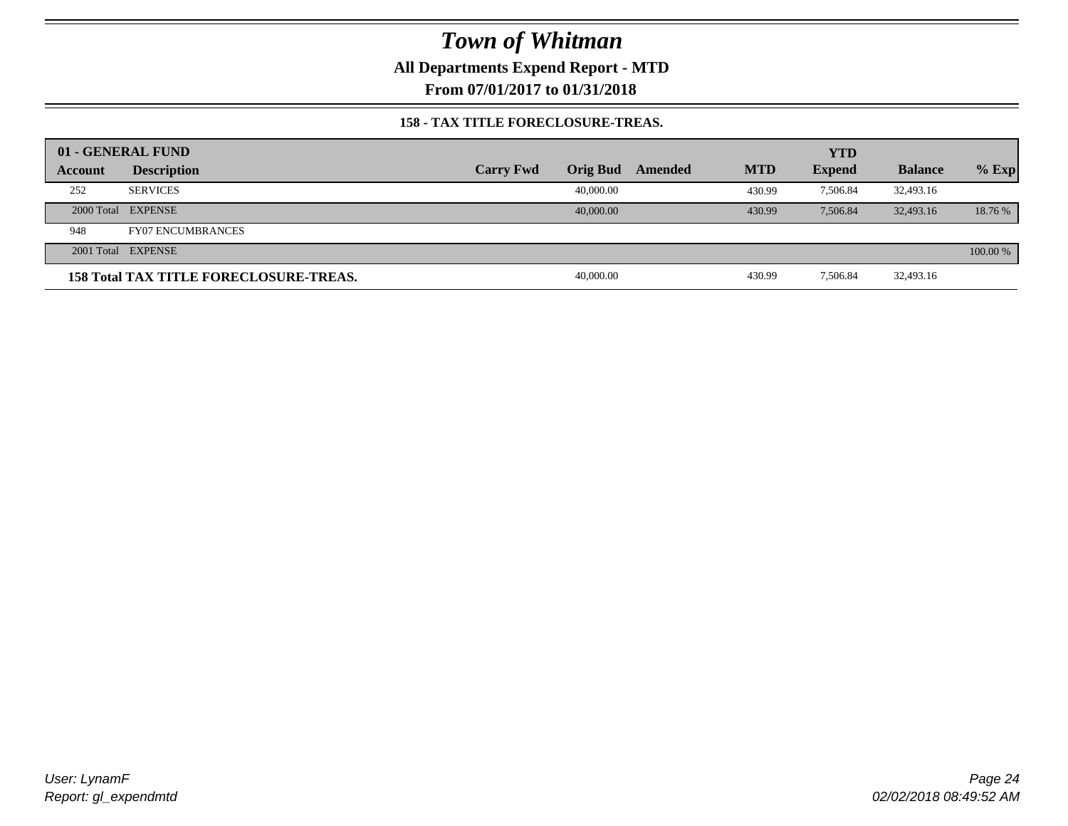**All Departments Expend Report - MTD**

**From 07/01/2017 to 01/31/2018**

### **158 - TAX TITLE FORECLOSURE-TREAS.**

|         | 01 - GENERAL FUND                             |                  |                 |         |            | <b>YTD</b>    |                |          |
|---------|-----------------------------------------------|------------------|-----------------|---------|------------|---------------|----------------|----------|
| Account | <b>Description</b>                            | <b>Carry Fwd</b> | <b>Orig Bud</b> | Amended | <b>MTD</b> | <b>Expend</b> | <b>Balance</b> | $%$ Exp  |
| 252     | <b>SERVICES</b>                               |                  | 40,000.00       |         | 430.99     | 7.506.84      | 32,493.16      |          |
|         | 2000 Total EXPENSE                            |                  | 40,000,00       |         | 430.99     | 7.506.84      | 32,493.16      | 18.76 %  |
| 948     | <b>FY07 ENCUMBRANCES</b>                      |                  |                 |         |            |               |                |          |
|         | 2001 Total EXPENSE                            |                  |                 |         |            |               |                | 100.00 % |
|         | <b>158 Total TAX TITLE FORECLOSURE-TREAS.</b> |                  | 40,000.00       |         | 430.99     | 7,506.84      | 32,493.16      |          |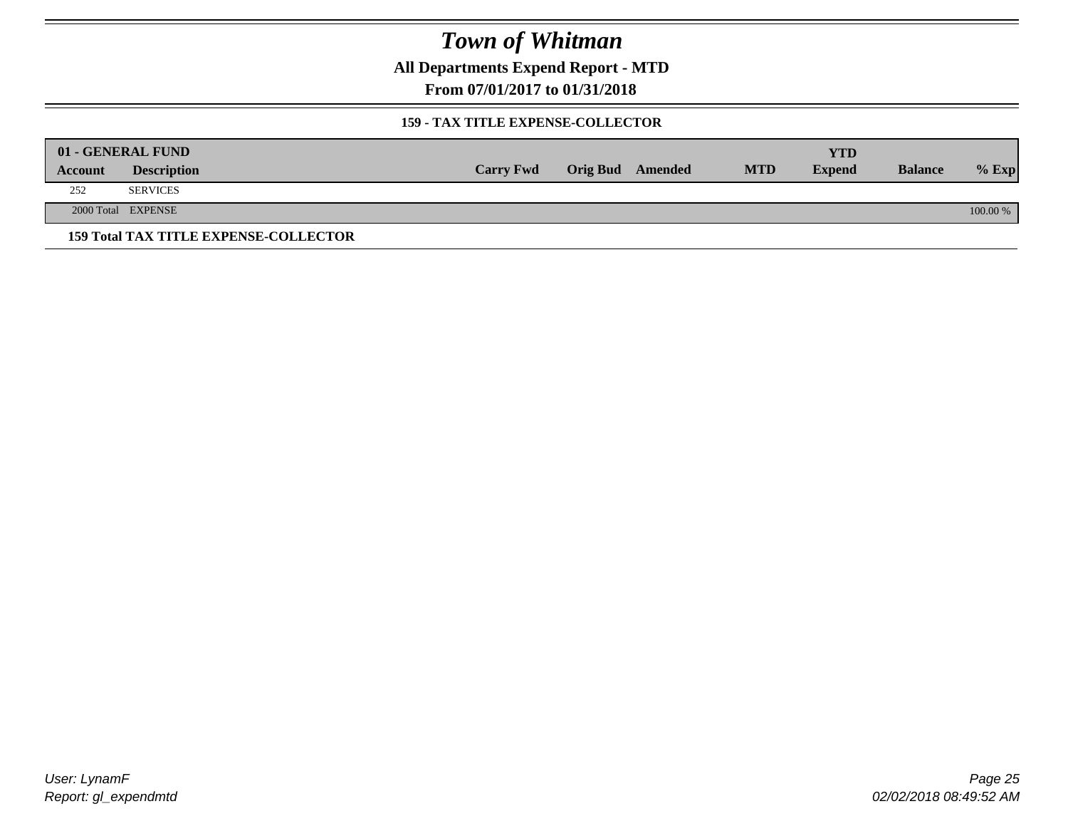**All Departments Expend Report - MTD**

**From 07/01/2017 to 01/31/2018**

### **159 - TAX TITLE EXPENSE-COLLECTOR**

|         | 01 - GENERAL FUND                            |                  |                         |            | YTD           |                |          |
|---------|----------------------------------------------|------------------|-------------------------|------------|---------------|----------------|----------|
| Account | <b>Description</b>                           | <b>Carry Fwd</b> | <b>Orig Bud</b> Amended | <b>MTD</b> | <b>Expend</b> | <b>Balance</b> | $%$ Exp  |
| 252     | <b>SERVICES</b>                              |                  |                         |            |               |                |          |
|         | 2000 Total EXPENSE                           |                  |                         |            |               |                | 100.00 % |
|         | <b>159 Total TAX TITLE EXPENSE-COLLECTOR</b> |                  |                         |            |               |                |          |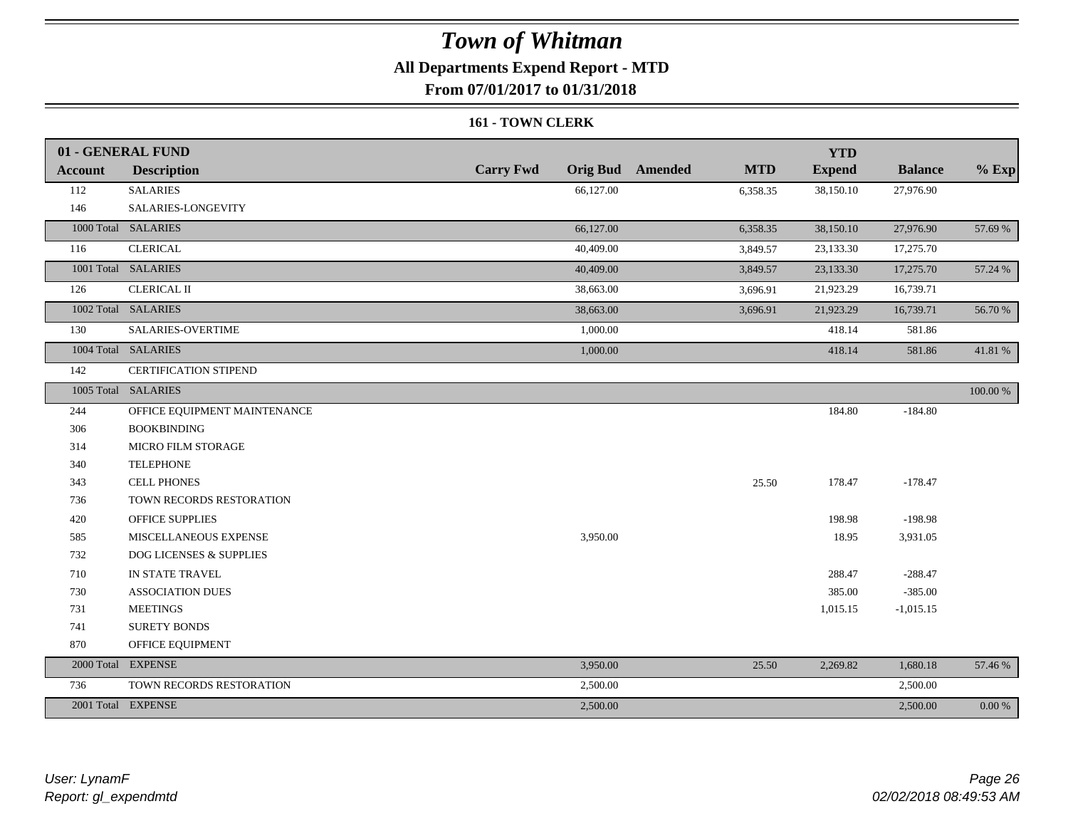### **All Departments Expend Report - MTD**

**From 07/01/2017 to 01/31/2018**

### **161 - TOWN CLERK**

|                | 01 - GENERAL FUND            |                  |           |                         |            | <b>YTD</b>    |                |           |
|----------------|------------------------------|------------------|-----------|-------------------------|------------|---------------|----------------|-----------|
| <b>Account</b> | <b>Description</b>           | <b>Carry Fwd</b> |           | <b>Orig Bud</b> Amended | <b>MTD</b> | <b>Expend</b> | <b>Balance</b> | $%$ Exp   |
| 112            | <b>SALARIES</b>              |                  | 66,127.00 |                         | 6,358.35   | 38,150.10     | 27,976.90      |           |
| 146            | SALARIES-LONGEVITY           |                  |           |                         |            |               |                |           |
|                | 1000 Total SALARIES          |                  | 66,127.00 |                         | 6,358.35   | 38,150.10     | 27,976.90      | 57.69 %   |
| 116            | <b>CLERICAL</b>              |                  | 40,409.00 |                         | 3,849.57   | 23,133.30     | 17,275.70      |           |
|                | 1001 Total SALARIES          |                  | 40,409.00 |                         | 3,849.57   | 23,133.30     | 17,275.70      | 57.24 %   |
| 126            | <b>CLERICAL II</b>           |                  | 38,663.00 |                         | 3,696.91   | 21,923.29     | 16,739.71      |           |
|                | 1002 Total SALARIES          |                  | 38,663.00 |                         | 3,696.91   | 21,923.29     | 16,739.71      | 56.70 %   |
| 130            | SALARIES-OVERTIME            |                  | 1,000.00  |                         |            | 418.14        | 581.86         |           |
|                | 1004 Total SALARIES          |                  | 1,000.00  |                         |            | 418.14        | 581.86         | 41.81 %   |
| 142            | <b>CERTIFICATION STIPEND</b> |                  |           |                         |            |               |                |           |
|                | 1005 Total SALARIES          |                  |           |                         |            |               |                | 100.00 %  |
| 244            | OFFICE EQUIPMENT MAINTENANCE |                  |           |                         |            | 184.80        | $-184.80$      |           |
| 306            | <b>BOOKBINDING</b>           |                  |           |                         |            |               |                |           |
| 314            | MICRO FILM STORAGE           |                  |           |                         |            |               |                |           |
| 340            | <b>TELEPHONE</b>             |                  |           |                         |            |               |                |           |
| 343            | <b>CELL PHONES</b>           |                  |           |                         | 25.50      | 178.47        | $-178.47$      |           |
| 736            | TOWN RECORDS RESTORATION     |                  |           |                         |            |               |                |           |
| 420            | <b>OFFICE SUPPLIES</b>       |                  |           |                         |            | 198.98        | $-198.98$      |           |
| 585            | MISCELLANEOUS EXPENSE        |                  | 3,950.00  |                         |            | 18.95         | 3,931.05       |           |
| 732            | DOG LICENSES & SUPPLIES      |                  |           |                         |            |               |                |           |
| 710            | IN STATE TRAVEL              |                  |           |                         |            | 288.47        | $-288.47$      |           |
| 730            | <b>ASSOCIATION DUES</b>      |                  |           |                         |            | 385.00        | $-385.00$      |           |
| 731            | <b>MEETINGS</b>              |                  |           |                         |            | 1,015.15      | $-1,015.15$    |           |
| 741            | <b>SURETY BONDS</b>          |                  |           |                         |            |               |                |           |
| 870            | OFFICE EQUIPMENT             |                  |           |                         |            |               |                |           |
|                | 2000 Total EXPENSE           |                  | 3,950.00  |                         | 25.50      | 2,269.82      | 1,680.18       | 57.46 %   |
| 736            | TOWN RECORDS RESTORATION     |                  | 2,500.00  |                         |            |               | 2,500.00       |           |
|                | 2001 Total EXPENSE           |                  | 2,500.00  |                         |            |               | 2,500.00       | $0.00 \%$ |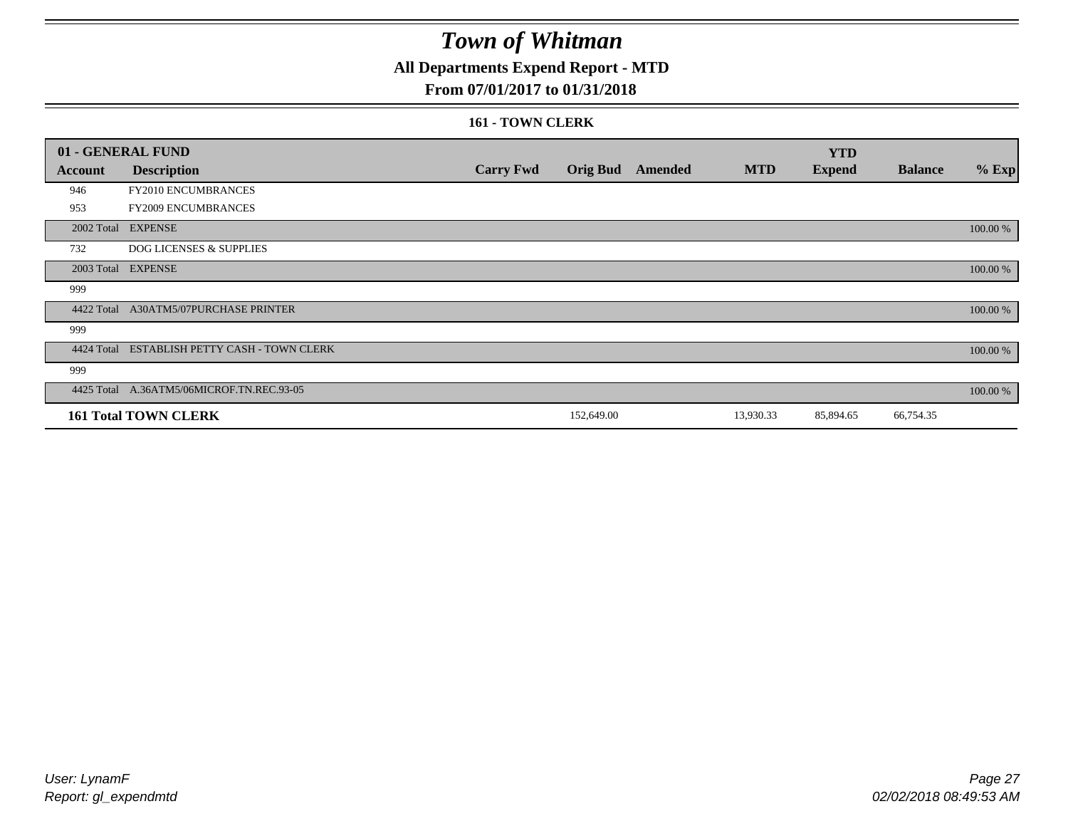### **All Departments Expend Report - MTD**

### **From 07/01/2017 to 01/31/2018**

#### **161 - TOWN CLERK**

|            | 01 - GENERAL FUND                         |                  |                 |         |            | <b>YTD</b>    |                |          |
|------------|-------------------------------------------|------------------|-----------------|---------|------------|---------------|----------------|----------|
| Account    | <b>Description</b>                        | <b>Carry Fwd</b> | <b>Orig Bud</b> | Amended | <b>MTD</b> | <b>Expend</b> | <b>Balance</b> | $%$ Exp  |
| 946        | FY2010 ENCUMBRANCES                       |                  |                 |         |            |               |                |          |
| 953        | FY2009 ENCUMBRANCES                       |                  |                 |         |            |               |                |          |
|            | 2002 Total EXPENSE                        |                  |                 |         |            |               |                | 100.00 % |
| 732        | <b>DOG LICENSES &amp; SUPPLIES</b>        |                  |                 |         |            |               |                |          |
|            | 2003 Total EXPENSE                        |                  |                 |         |            |               |                | 100.00 % |
| 999        |                                           |                  |                 |         |            |               |                |          |
| 4422 Total | <b>A30ATM5/07PURCHASE PRINTER</b>         |                  |                 |         |            |               |                | 100.00 % |
| 999        |                                           |                  |                 |         |            |               |                |          |
| 4424 Total | ESTABLISH PETTY CASH - TOWN CLERK         |                  |                 |         |            |               |                | 100.00 % |
| 999        |                                           |                  |                 |         |            |               |                |          |
|            | 4425 Total A.36ATM5/06MICROF.TN.REC.93-05 |                  |                 |         |            |               |                | 100.00 % |
|            | <b>161 Total TOWN CLERK</b>               |                  | 152,649.00      |         | 13,930.33  | 85,894.65     | 66,754.35      |          |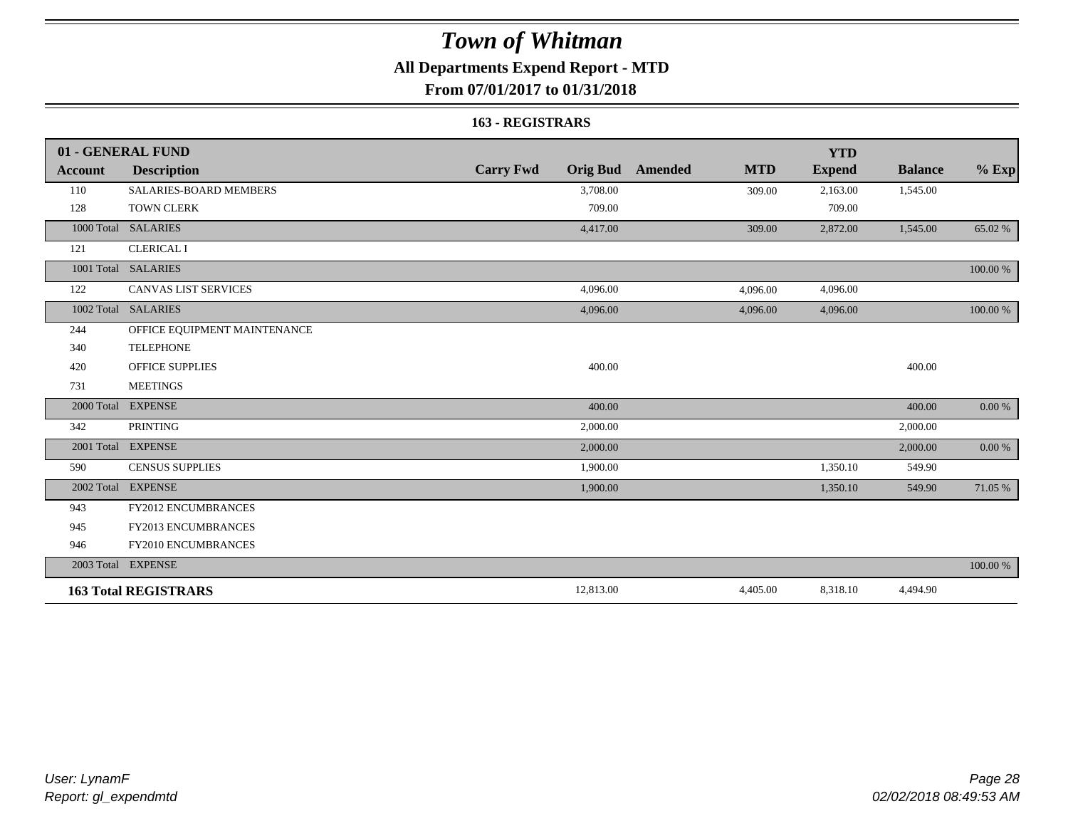### **All Departments Expend Report - MTD**

### **From 07/01/2017 to 01/31/2018**

#### **163 - REGISTRARS**

|                | 01 - GENERAL FUND            |                                     |                              | <b>YTD</b>    |                |            |
|----------------|------------------------------|-------------------------------------|------------------------------|---------------|----------------|------------|
| <b>Account</b> | <b>Description</b>           | <b>Carry Fwd</b><br><b>Orig Bud</b> | <b>MTD</b><br><b>Amended</b> | <b>Expend</b> | <b>Balance</b> | $\%$ Exp   |
| 110            | SALARIES-BOARD MEMBERS       | 3,708.00                            | 309.00                       | 2,163.00      | 1,545.00       |            |
| 128            | <b>TOWN CLERK</b>            | 709.00                              |                              | 709.00        |                |            |
|                | 1000 Total SALARIES          | 4,417.00                            | 309.00                       | 2,872.00      | 1,545.00       | 65.02 %    |
| 121            | <b>CLERICAL I</b>            |                                     |                              |               |                |            |
|                | 1001 Total SALARIES          |                                     |                              |               |                | 100.00 %   |
| 122            | <b>CANVAS LIST SERVICES</b>  | 4,096.00                            | 4,096.00                     | 4,096.00      |                |            |
|                | 1002 Total SALARIES          | 4,096.00                            | 4,096.00                     | 4,096.00      |                | 100.00 %   |
| 244            | OFFICE EQUIPMENT MAINTENANCE |                                     |                              |               |                |            |
| 340            | <b>TELEPHONE</b>             |                                     |                              |               |                |            |
| 420            | <b>OFFICE SUPPLIES</b>       | 400.00                              |                              |               | 400.00         |            |
| 731            | <b>MEETINGS</b>              |                                     |                              |               |                |            |
| 2000 Total     | <b>EXPENSE</b>               | 400.00                              |                              |               | 400.00         | 0.00 %     |
| 342            | <b>PRINTING</b>              | 2,000.00                            |                              |               | 2,000.00       |            |
|                | 2001 Total EXPENSE           | 2,000.00                            |                              |               | 2,000.00       | $0.00\,\%$ |
| 590            | <b>CENSUS SUPPLIES</b>       | 1,900.00                            |                              | 1,350.10      | 549.90         |            |
|                | 2002 Total EXPENSE           | 1,900.00                            |                              | 1,350.10      | 549.90         | 71.05 %    |
| 943            | FY2012 ENCUMBRANCES          |                                     |                              |               |                |            |
| 945            | <b>FY2013 ENCUMBRANCES</b>   |                                     |                              |               |                |            |
| 946            | FY2010 ENCUMBRANCES          |                                     |                              |               |                |            |
|                | 2003 Total EXPENSE           |                                     |                              |               |                | 100.00 %   |
|                | <b>163 Total REGISTRARS</b>  | 12,813.00                           | 4,405.00                     | 8,318.10      | 4,494.90       |            |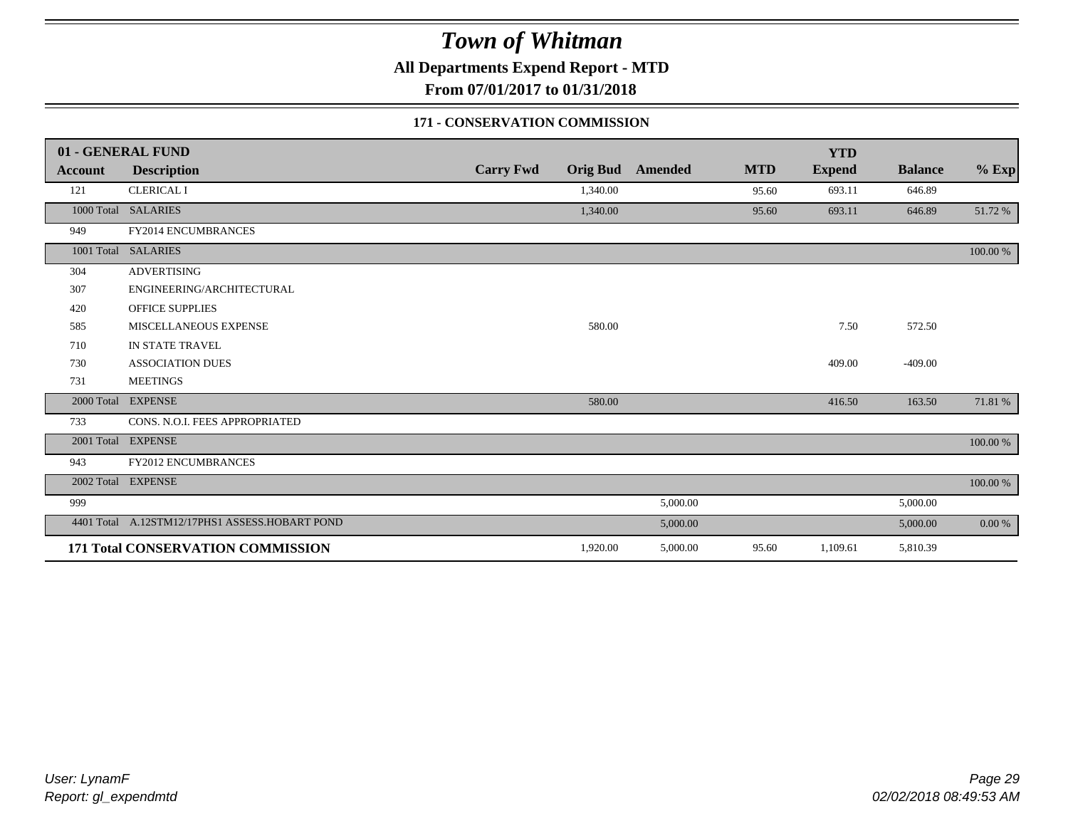**All Departments Expend Report - MTD**

**From 07/01/2017 to 01/31/2018**

### **171 - CONSERVATION COMMISSION**

|            | 01 - GENERAL FUND                              |                  |                 |                |            | <b>YTD</b>    |                |             |
|------------|------------------------------------------------|------------------|-----------------|----------------|------------|---------------|----------------|-------------|
| Account    | <b>Description</b>                             | <b>Carry Fwd</b> | <b>Orig Bud</b> | <b>Amended</b> | <b>MTD</b> | <b>Expend</b> | <b>Balance</b> | $%$ Exp     |
| 121        | <b>CLERICAL I</b>                              |                  | 1,340.00        |                | 95.60      | 693.11        | 646.89         |             |
|            | 1000 Total SALARIES                            |                  | 1,340.00        |                | 95.60      | 693.11        | 646.89         | 51.72 %     |
| 949        | FY2014 ENCUMBRANCES                            |                  |                 |                |            |               |                |             |
| 1001 Total | <b>SALARIES</b>                                |                  |                 |                |            |               |                | 100.00 %    |
| 304        | <b>ADVERTISING</b>                             |                  |                 |                |            |               |                |             |
| 307        | ENGINEERING/ARCHITECTURAL                      |                  |                 |                |            |               |                |             |
| 420        | <b>OFFICE SUPPLIES</b>                         |                  |                 |                |            |               |                |             |
| 585        | MISCELLANEOUS EXPENSE                          |                  | 580.00          |                |            | 7.50          | 572.50         |             |
| 710        | IN STATE TRAVEL                                |                  |                 |                |            |               |                |             |
| 730        | <b>ASSOCIATION DUES</b>                        |                  |                 |                |            | 409.00        | $-409.00$      |             |
| 731        | <b>MEETINGS</b>                                |                  |                 |                |            |               |                |             |
| 2000 Total | <b>EXPENSE</b>                                 |                  | 580.00          |                |            | 416.50        | 163.50         | 71.81 %     |
| 733        | CONS. N.O.I. FEES APPROPRIATED                 |                  |                 |                |            |               |                |             |
|            | 2001 Total EXPENSE                             |                  |                 |                |            |               |                | $100.00~\%$ |
| 943        | <b>FY2012 ENCUMBRANCES</b>                     |                  |                 |                |            |               |                |             |
| 2002 Total | <b>EXPENSE</b>                                 |                  |                 |                |            |               |                | 100.00 %    |
| 999        |                                                |                  |                 | 5,000.00       |            |               | 5,000.00       |             |
|            | 4401 Total A.12STM12/17PHS1 ASSESS.HOBART POND |                  |                 | 5,000.00       |            |               | 5,000.00       | $0.00 \%$   |
|            | 171 Total CONSERVATION COMMISSION              |                  | 1,920.00        | 5,000.00       | 95.60      | 1,109.61      | 5,810.39       |             |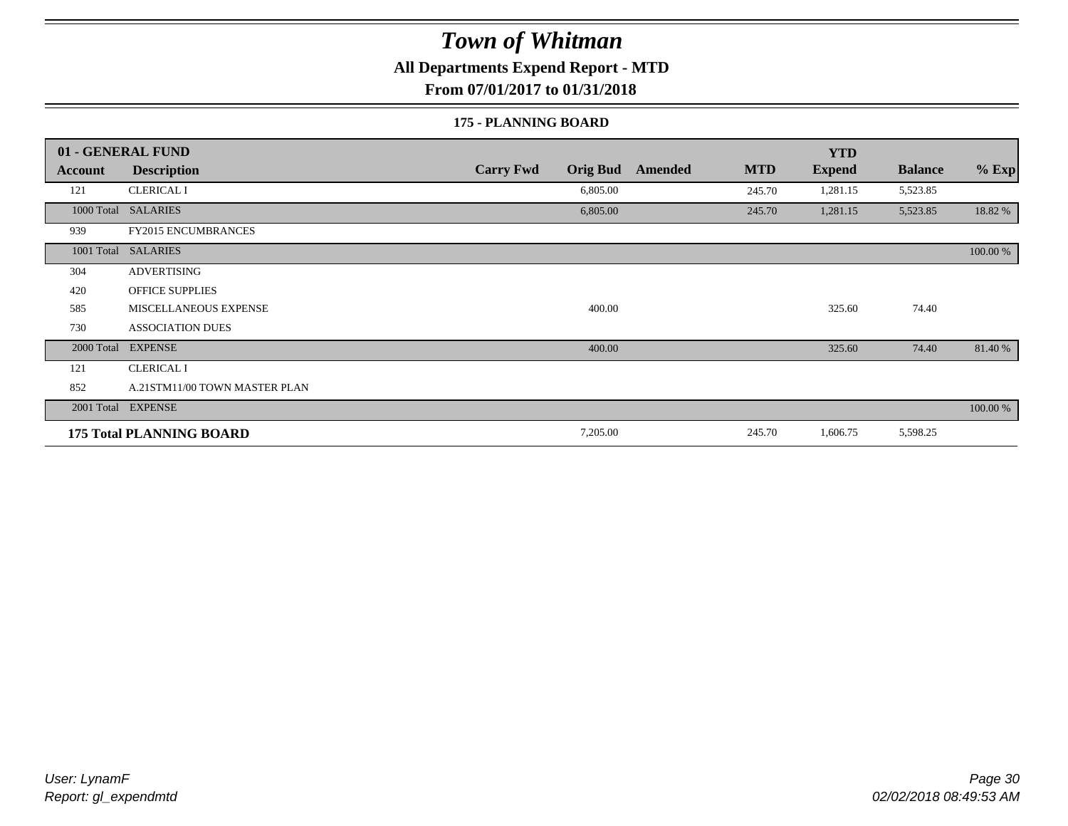**All Departments Expend Report - MTD**

**From 07/01/2017 to 01/31/2018**

#### **175 - PLANNING BOARD**

|            | 01 - GENERAL FUND               |                                     |                       | <b>YTD</b>    |                |          |
|------------|---------------------------------|-------------------------------------|-----------------------|---------------|----------------|----------|
| Account    | <b>Description</b>              | <b>Carry Fwd</b><br><b>Orig Bud</b> | <b>MTD</b><br>Amended | <b>Expend</b> | <b>Balance</b> | $%$ Exp  |
| 121        | <b>CLERICAL I</b>               | 6,805.00                            | 245.70                | 1,281.15      | 5,523.85       |          |
|            | 1000 Total SALARIES             | 6,805.00                            | 245.70                | 1,281.15      | 5,523.85       | 18.82 %  |
| 939        | <b>FY2015 ENCUMBRANCES</b>      |                                     |                       |               |                |          |
|            | 1001 Total SALARIES             |                                     |                       |               |                | 100.00 % |
| 304        | <b>ADVERTISING</b>              |                                     |                       |               |                |          |
| 420        | <b>OFFICE SUPPLIES</b>          |                                     |                       |               |                |          |
| 585        | MISCELLANEOUS EXPENSE           | 400.00                              |                       | 325.60        | 74.40          |          |
| 730        | <b>ASSOCIATION DUES</b>         |                                     |                       |               |                |          |
| 2000 Total | <b>EXPENSE</b>                  | 400.00                              |                       | 325.60        | 74.40          | 81.40 %  |
| 121        | <b>CLERICAL I</b>               |                                     |                       |               |                |          |
| 852        | A.21STM11/00 TOWN MASTER PLAN   |                                     |                       |               |                |          |
|            | 2001 Total EXPENSE              |                                     |                       |               |                | 100.00 % |
|            | <b>175 Total PLANNING BOARD</b> | 7,205.00                            | 245.70                | 1,606.75      | 5,598.25       |          |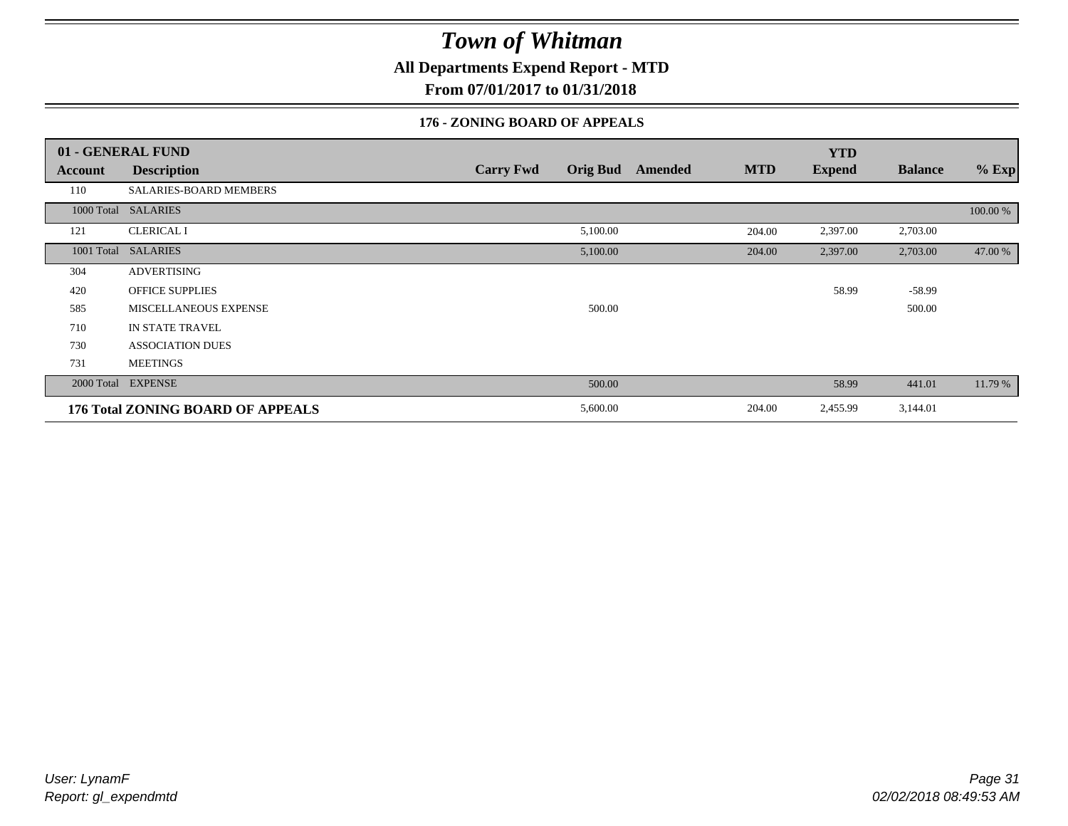**All Departments Expend Report - MTD**

**From 07/01/2017 to 01/31/2018**

### **176 - ZONING BOARD OF APPEALS**

|            | 01 - GENERAL FUND                 |                                     |                       | <b>YTD</b>    |                |          |
|------------|-----------------------------------|-------------------------------------|-----------------------|---------------|----------------|----------|
| Account    | <b>Description</b>                | <b>Orig Bud</b><br><b>Carry Fwd</b> | <b>MTD</b><br>Amended | <b>Expend</b> | <b>Balance</b> | $%$ Exp  |
| 110        | SALARIES-BOARD MEMBERS            |                                     |                       |               |                |          |
| 1000 Total | <b>SALARIES</b>                   |                                     |                       |               |                | 100.00 % |
| 121        | <b>CLERICAL I</b>                 | 5,100.00                            | 204.00                | 2,397.00      | 2,703.00       |          |
| 1001 Total | <b>SALARIES</b>                   | 5,100.00                            | 204.00                | 2,397.00      | 2,703.00       | 47.00 %  |
| 304        | <b>ADVERTISING</b>                |                                     |                       |               |                |          |
| 420        | <b>OFFICE SUPPLIES</b>            |                                     |                       | 58.99         | $-58.99$       |          |
| 585        | MISCELLANEOUS EXPENSE             | 500.00                              |                       |               | 500.00         |          |
| 710        | IN STATE TRAVEL                   |                                     |                       |               |                |          |
| 730        | <b>ASSOCIATION DUES</b>           |                                     |                       |               |                |          |
| 731        | <b>MEETINGS</b>                   |                                     |                       |               |                |          |
| 2000 Total | <b>EXPENSE</b>                    | 500.00                              |                       | 58.99         | 441.01         | 11.79 %  |
|            | 176 Total ZONING BOARD OF APPEALS | 5,600.00                            | 204.00                | 2,455.99      | 3,144.01       |          |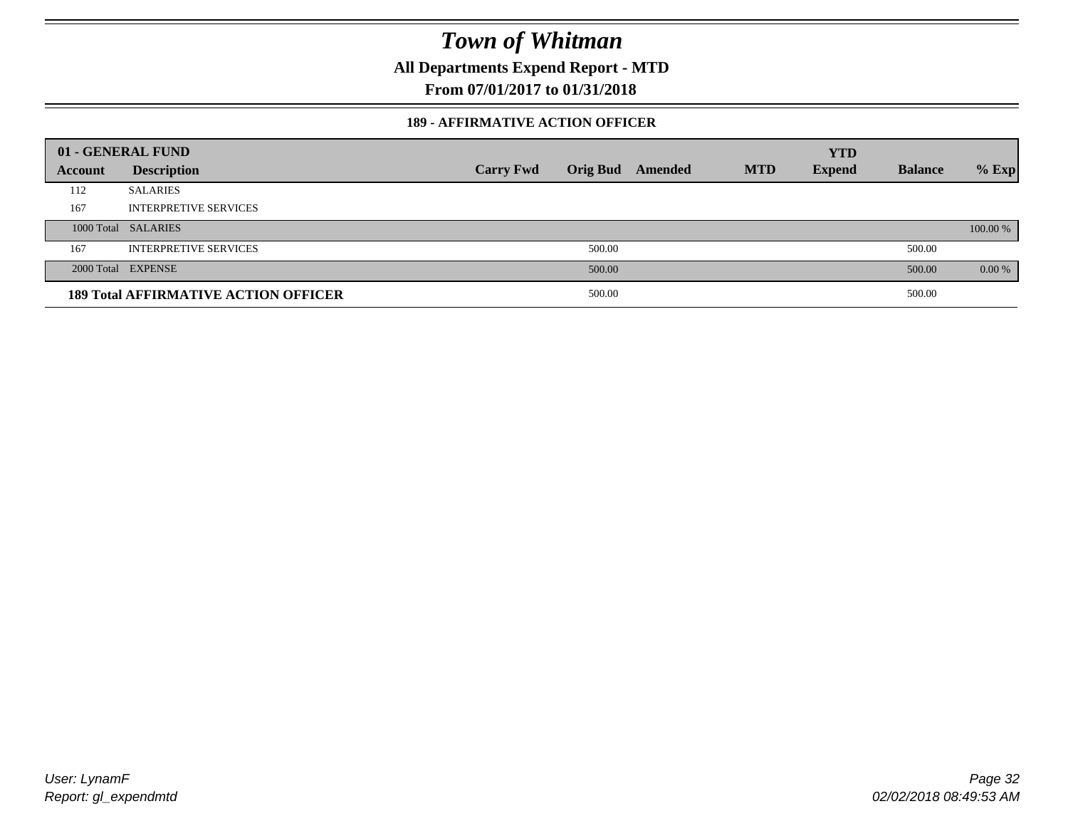**All Departments Expend Report - MTD**

**From 07/01/2017 to 01/31/2018**

### **189 - AFFIRMATIVE ACTION OFFICER**

|         | 01 - GENERAL FUND                           |                  |        |                         |            | <b>YTD</b>    |                |          |
|---------|---------------------------------------------|------------------|--------|-------------------------|------------|---------------|----------------|----------|
| Account | <b>Description</b>                          | <b>Carry Fwd</b> |        | <b>Orig Bud</b> Amended | <b>MTD</b> | <b>Expend</b> | <b>Balance</b> | $%$ Exp  |
| 112     | <b>SALARIES</b>                             |                  |        |                         |            |               |                |          |
| 167     | <b>INTERPRETIVE SERVICES</b>                |                  |        |                         |            |               |                |          |
|         | 1000 Total SALARIES                         |                  |        |                         |            |               |                | 100.00 % |
| 167     | <b>INTERPRETIVE SERVICES</b>                |                  | 500.00 |                         |            |               | 500.00         |          |
|         | 2000 Total EXPENSE                          |                  | 500.00 |                         |            |               | 500.00         | $0.00\%$ |
|         | <b>189 Total AFFIRMATIVE ACTION OFFICER</b> |                  | 500.00 |                         |            |               | 500.00         |          |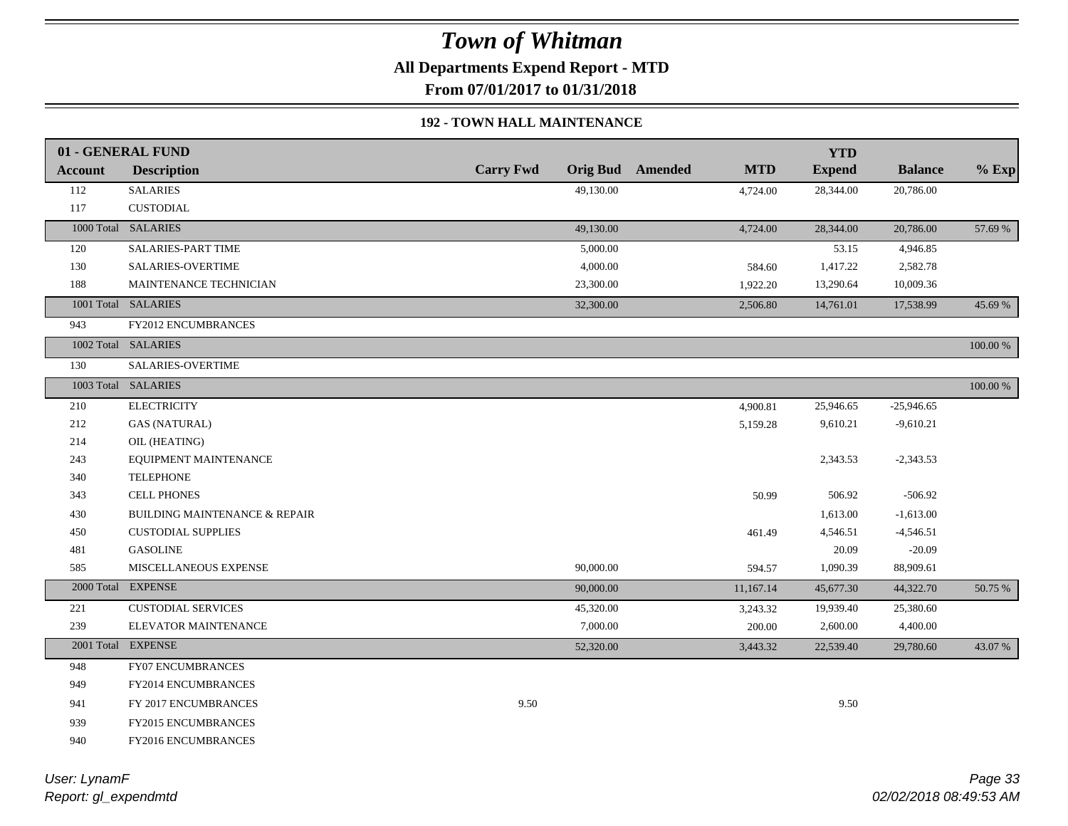**All Departments Expend Report - MTD**

**From 07/01/2017 to 01/31/2018**

### **192 - TOWN HALL MAINTENANCE**

|                | 01 - GENERAL FUND                        |                  |                         |            | <b>YTD</b>    |                |             |
|----------------|------------------------------------------|------------------|-------------------------|------------|---------------|----------------|-------------|
| <b>Account</b> | <b>Description</b>                       | <b>Carry Fwd</b> | <b>Orig Bud</b> Amended | <b>MTD</b> | <b>Expend</b> | <b>Balance</b> | $%$ Exp     |
| 112            | <b>SALARIES</b>                          | 49,130.00        |                         | 4,724.00   | 28,344.00     | 20,786.00      |             |
| 117            | <b>CUSTODIAL</b>                         |                  |                         |            |               |                |             |
|                | 1000 Total SALARIES                      | 49,130.00        |                         | 4,724.00   | 28,344.00     | 20,786.00      | 57.69 %     |
| 120            | SALARIES-PART TIME                       | 5,000.00         |                         |            | 53.15         | 4,946.85       |             |
| 130            | SALARIES-OVERTIME                        | 4,000.00         |                         | 584.60     | 1,417.22      | 2,582.78       |             |
| 188            | MAINTENANCE TECHNICIAN                   | 23,300.00        |                         | 1,922.20   | 13,290.64     | 10,009.36      |             |
|                | 1001 Total SALARIES                      | 32,300.00        |                         | 2,506.80   | 14,761.01     | 17,538.99      | 45.69%      |
| 943            | FY2012 ENCUMBRANCES                      |                  |                         |            |               |                |             |
|                | 1002 Total SALARIES                      |                  |                         |            |               |                | 100.00 %    |
| 130            | SALARIES-OVERTIME                        |                  |                         |            |               |                |             |
|                | 1003 Total SALARIES                      |                  |                         |            |               |                | $100.00~\%$ |
| 210            | <b>ELECTRICITY</b>                       |                  |                         | 4,900.81   | 25,946.65     | $-25,946.65$   |             |
| 212            | <b>GAS (NATURAL)</b>                     |                  |                         | 5,159.28   | 9,610.21      | $-9,610.21$    |             |
| 214            | OIL (HEATING)                            |                  |                         |            |               |                |             |
| 243            | EQUIPMENT MAINTENANCE                    |                  |                         |            | 2,343.53      | $-2,343.53$    |             |
| 340            | <b>TELEPHONE</b>                         |                  |                         |            |               |                |             |
| 343            | <b>CELL PHONES</b>                       |                  |                         | 50.99      | 506.92        | $-506.92$      |             |
| 430            | <b>BUILDING MAINTENANCE &amp; REPAIR</b> |                  |                         |            | 1,613.00      | $-1,613.00$    |             |
| 450            | <b>CUSTODIAL SUPPLIES</b>                |                  |                         | 461.49     | 4,546.51      | $-4,546.51$    |             |
| 481            | <b>GASOLINE</b>                          |                  |                         |            | 20.09         | $-20.09$       |             |
| 585            | MISCELLANEOUS EXPENSE                    | 90,000.00        |                         | 594.57     | 1,090.39      | 88,909.61      |             |
|                | 2000 Total EXPENSE                       | 90,000.00        |                         | 11,167.14  | 45,677.30     | 44,322.70      | 50.75 %     |
| 221            | <b>CUSTODIAL SERVICES</b>                | 45,320.00        |                         | 3,243.32   | 19,939.40     | 25,380.60      |             |
| 239            | ELEVATOR MAINTENANCE                     | 7,000.00         |                         | 200.00     | 2,600.00      | 4,400.00       |             |
|                | 2001 Total EXPENSE                       | 52,320.00        |                         | 3,443.32   | 22,539.40     | 29,780.60      | 43.07%      |
| 948            | <b>FY07 ENCUMBRANCES</b>                 |                  |                         |            |               |                |             |
| 949            | <b>FY2014 ENCUMBRANCES</b>               |                  |                         |            |               |                |             |
| 941            | FY 2017 ENCUMBRANCES                     | 9.50             |                         |            | 9.50          |                |             |
| 939            | <b>FY2015 ENCUMBRANCES</b>               |                  |                         |            |               |                |             |
| 940            | FY2016 ENCUMBRANCES                      |                  |                         |            |               |                |             |
|                |                                          |                  |                         |            |               |                |             |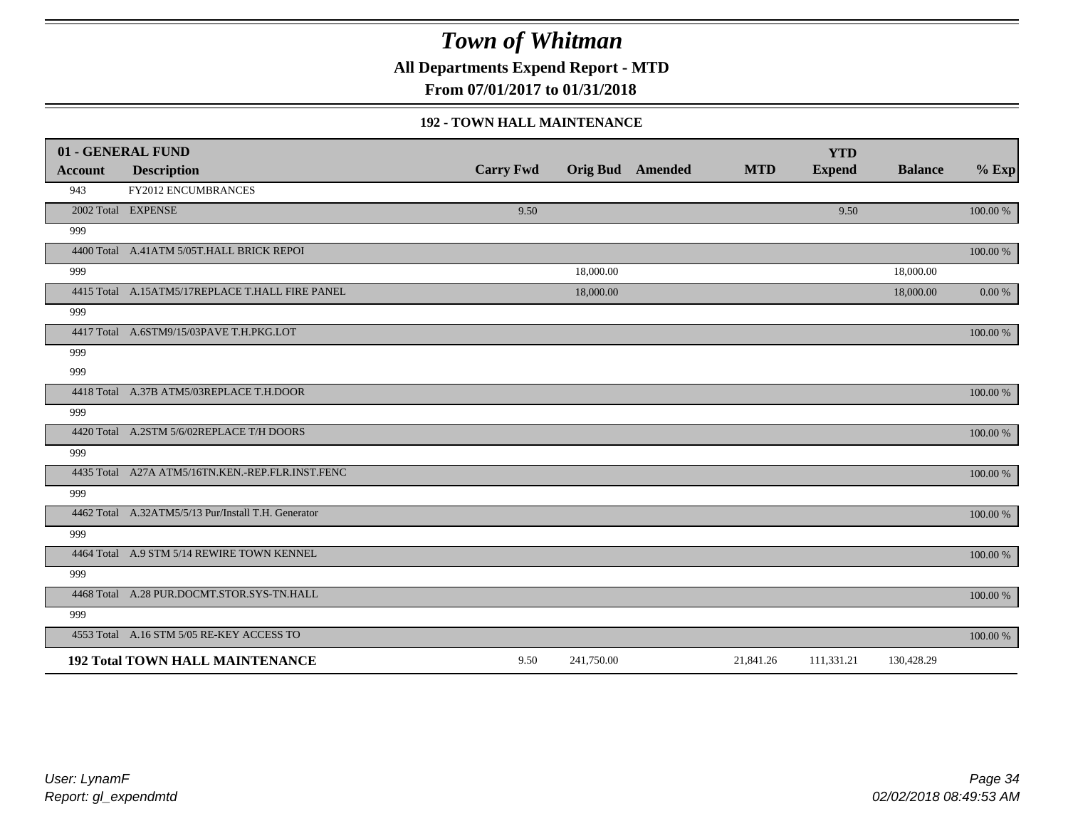**All Departments Expend Report - MTD**

**From 07/01/2017 to 01/31/2018**

### **192 - TOWN HALL MAINTENANCE**

|                | 01 - GENERAL FUND                                   |                  |            |                         |            | <b>YTD</b>    |                |           |
|----------------|-----------------------------------------------------|------------------|------------|-------------------------|------------|---------------|----------------|-----------|
| <b>Account</b> | <b>Description</b>                                  | <b>Carry Fwd</b> |            | <b>Orig Bud</b> Amended | <b>MTD</b> | <b>Expend</b> | <b>Balance</b> | $%$ Exp   |
| 943            | FY2012 ENCUMBRANCES                                 |                  |            |                         |            |               |                |           |
|                | 2002 Total EXPENSE                                  | 9.50             |            |                         |            | 9.50          |                | 100.00 %  |
| 999            |                                                     |                  |            |                         |            |               |                |           |
|                | 4400 Total A.41ATM 5/05T.HALL BRICK REPOI           |                  |            |                         |            |               |                | 100.00 %  |
| 999            |                                                     |                  | 18,000.00  |                         |            |               | 18,000.00      |           |
|                | 4415 Total A.15ATM5/17REPLACE T.HALL FIRE PANEL     |                  | 18,000.00  |                         |            |               | 18,000.00      | $0.00 \%$ |
| 999            |                                                     |                  |            |                         |            |               |                |           |
|                | 4417 Total A.6STM9/15/03PAVE T.H.PKG.LOT            |                  |            |                         |            |               |                | 100.00 %  |
| 999            |                                                     |                  |            |                         |            |               |                |           |
| 999            |                                                     |                  |            |                         |            |               |                |           |
|                | 4418 Total A.37B ATM5/03REPLACE T.H.DOOR            |                  |            |                         |            |               |                | 100.00 %  |
| 999            |                                                     |                  |            |                         |            |               |                |           |
|                | 4420 Total A.2STM 5/6/02REPLACE T/H DOORS           |                  |            |                         |            |               |                | 100.00 %  |
| 999            |                                                     |                  |            |                         |            |               |                |           |
|                | 4435 Total A27A ATM5/16TN.KEN.-REP.FLR.INST.FENC    |                  |            |                         |            |               |                | 100.00 %  |
| 999            |                                                     |                  |            |                         |            |               |                |           |
|                | 4462 Total A.32ATM5/5/13 Pur/Install T.H. Generator |                  |            |                         |            |               |                | 100.00 %  |
| 999            |                                                     |                  |            |                         |            |               |                |           |
|                | 4464 Total A.9 STM 5/14 REWIRE TOWN KENNEL          |                  |            |                         |            |               |                | 100.00 %  |
| 999            |                                                     |                  |            |                         |            |               |                |           |
|                | 4468 Total A.28 PUR.DOCMT.STOR.SYS-TN.HALL          |                  |            |                         |            |               |                | 100.00 %  |
| 999            |                                                     |                  |            |                         |            |               |                |           |
|                | 4553 Total A.16 STM 5/05 RE-KEY ACCESS TO           |                  |            |                         |            |               |                | 100.00 %  |
|                | <b>192 Total TOWN HALL MAINTENANCE</b>              | 9.50             | 241,750.00 |                         | 21,841.26  | 111,331.21    | 130,428.29     |           |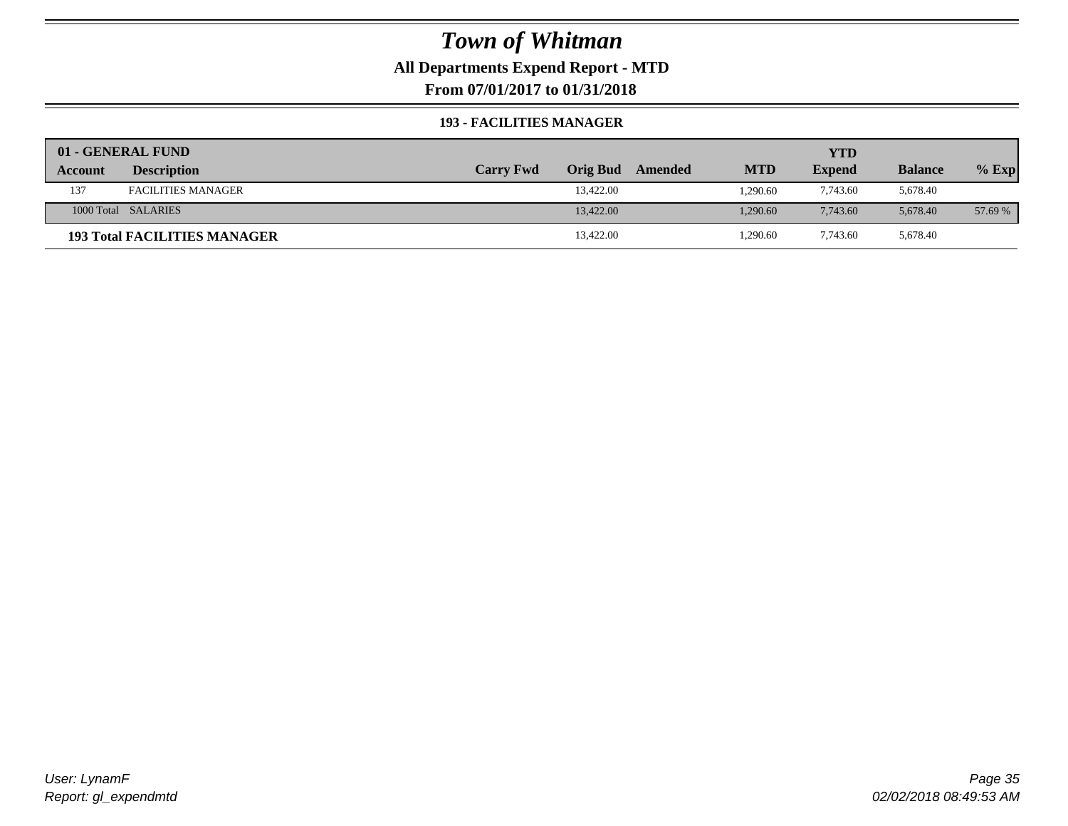### **All Departments Expend Report - MTD**

**From 07/01/2017 to 01/31/2018**

### **193 - FACILITIES MANAGER**

|         | 01 - GENERAL FUND                   |                  |                 |         |            | YTD           |                |         |
|---------|-------------------------------------|------------------|-----------------|---------|------------|---------------|----------------|---------|
| Account | <b>Description</b>                  | <b>Carry Fwd</b> | <b>Orig Bud</b> | Amended | <b>MTD</b> | <b>Expend</b> | <b>Balance</b> | $%$ Exp |
| 137     | <b>FACILITIES MANAGER</b>           |                  | 13,422.00       |         | 1.290.60   | 7,743.60      | 5,678.40       |         |
|         | 1000 Total SALARIES                 |                  | 13,422.00       |         | 1.290.60   | 7,743.60      | 5.678.40       | 57.69 % |
|         | <b>193 Total FACILITIES MANAGER</b> |                  | 13,422.00       |         | 1,290.60   | 7,743.60      | 5,678.40       |         |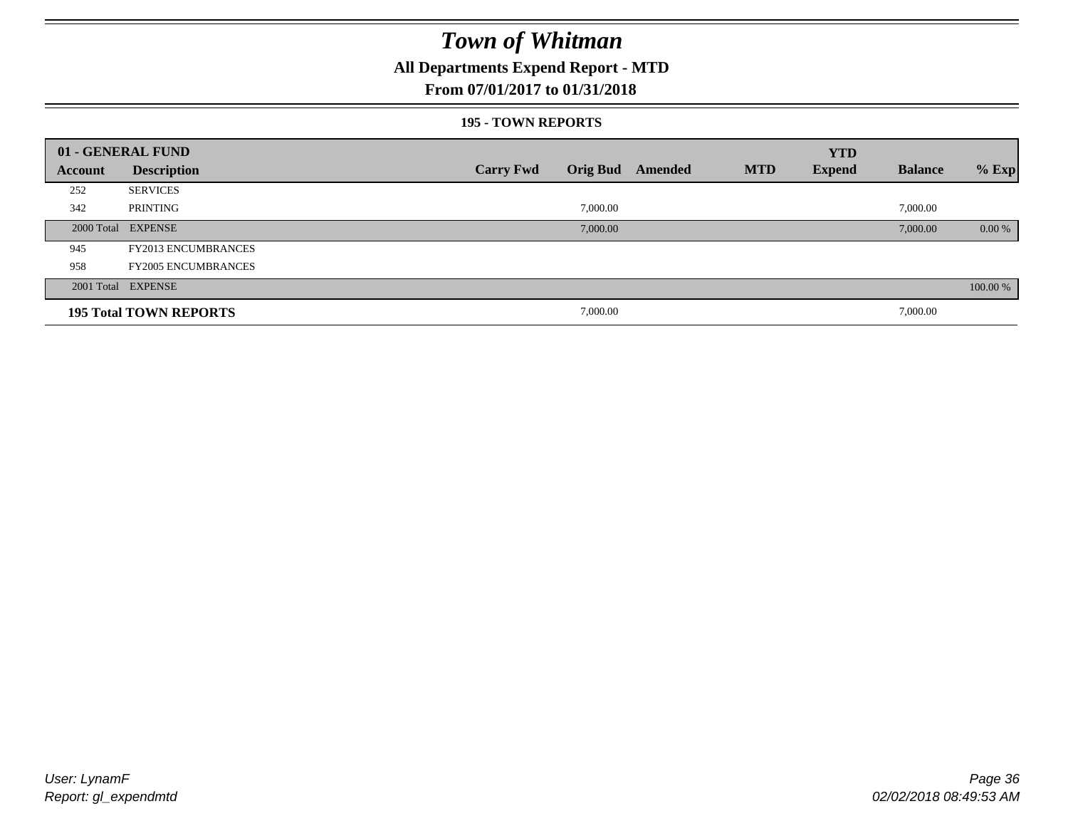### **All Departments Expend Report - MTD**

### **From 07/01/2017 to 01/31/2018**

#### **195 - TOWN REPORTS**

|         | 01 - GENERAL FUND             |                  |          |                  |            | <b>YTD</b>    |                |          |
|---------|-------------------------------|------------------|----------|------------------|------------|---------------|----------------|----------|
| Account | <b>Description</b>            | <b>Carry Fwd</b> |          | Orig Bud Amended | <b>MTD</b> | <b>Expend</b> | <b>Balance</b> | $%$ Exp  |
| 252     | <b>SERVICES</b>               |                  |          |                  |            |               |                |          |
| 342     | PRINTING                      |                  | 7,000.00 |                  |            |               | 7,000.00       |          |
|         | 2000 Total EXPENSE            |                  | 7,000.00 |                  |            |               | 7,000.00       | 0.00 %   |
| 945     | <b>FY2013 ENCUMBRANCES</b>    |                  |          |                  |            |               |                |          |
| 958     | <b>FY2005 ENCUMBRANCES</b>    |                  |          |                  |            |               |                |          |
|         | 2001 Total EXPENSE            |                  |          |                  |            |               |                | 100.00 % |
|         | <b>195 Total TOWN REPORTS</b> |                  | 7,000.00 |                  |            |               | 7,000.00       |          |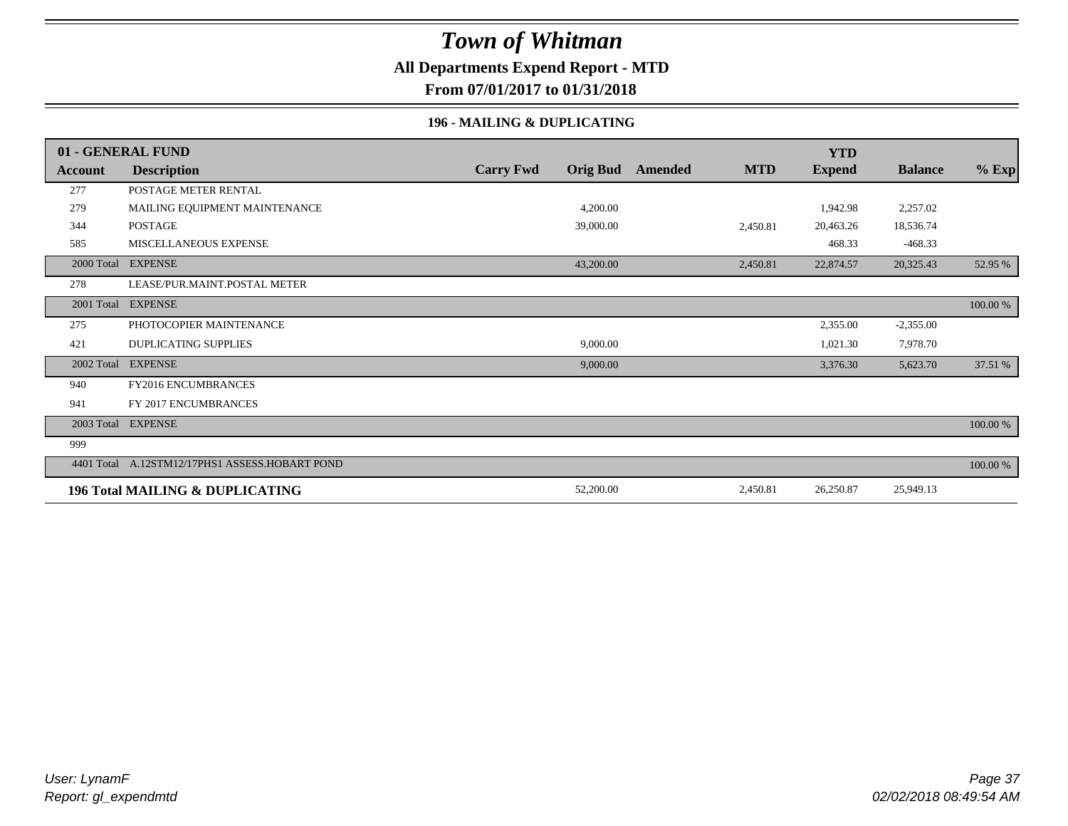### **All Departments Expend Report - MTD**

**From 07/01/2017 to 01/31/2018**

#### **196 - MAILING & DUPLICATING**

|            | 01 - GENERAL FUND                          |                  |                 |         |            | <b>YTD</b>    |                |          |
|------------|--------------------------------------------|------------------|-----------------|---------|------------|---------------|----------------|----------|
| Account    | <b>Description</b>                         | <b>Carry Fwd</b> | <b>Orig Bud</b> | Amended | <b>MTD</b> | <b>Expend</b> | <b>Balance</b> | $%$ Exp  |
| 277        | POSTAGE METER RENTAL                       |                  |                 |         |            |               |                |          |
| 279        | MAILING EQUIPMENT MAINTENANCE              |                  | 4,200.00        |         |            | 1,942.98      | 2,257.02       |          |
| 344        | <b>POSTAGE</b>                             |                  | 39,000.00       |         | 2,450.81   | 20,463.26     | 18,536.74      |          |
| 585        | MISCELLANEOUS EXPENSE                      |                  |                 |         |            | 468.33        | $-468.33$      |          |
| 2000 Total | <b>EXPENSE</b>                             |                  | 43,200.00       |         | 2,450.81   | 22,874.57     | 20,325.43      | 52.95 %  |
| 278        | LEASE/PUR.MAINT.POSTAL METER               |                  |                 |         |            |               |                |          |
| 2001 Total | <b>EXPENSE</b>                             |                  |                 |         |            |               |                | 100.00 % |
| 275        | PHOTOCOPIER MAINTENANCE                    |                  |                 |         |            | 2,355.00      | $-2,355.00$    |          |
| 421        | <b>DUPLICATING SUPPLIES</b>                |                  | 9,000.00        |         |            | 1,021.30      | 7,978.70       |          |
| 2002 Total | <b>EXPENSE</b>                             |                  | 9,000.00        |         |            | 3,376.30      | 5,623.70       | 37.51 %  |
| 940        | FY2016 ENCUMBRANCES                        |                  |                 |         |            |               |                |          |
| 941        | FY 2017 ENCUMBRANCES                       |                  |                 |         |            |               |                |          |
|            | 2003 Total EXPENSE                         |                  |                 |         |            |               |                | 100.00 % |
| 999        |                                            |                  |                 |         |            |               |                |          |
| 4401 Total | A.12STM12/17PHS1 ASSESS.HOBART POND        |                  |                 |         |            |               |                | 100.00 % |
|            | <b>196 Total MAILING &amp; DUPLICATING</b> |                  | 52,200.00       |         | 2,450.81   | 26,250.87     | 25,949.13      |          |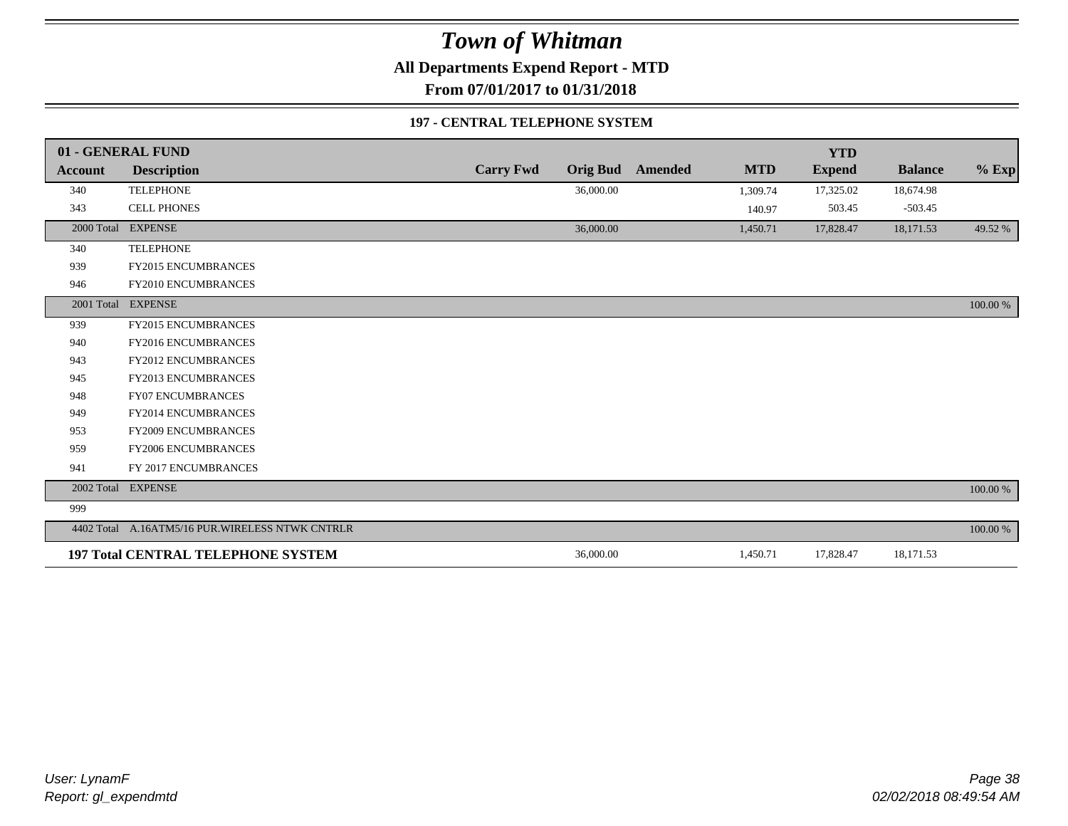**All Departments Expend Report - MTD**

**From 07/01/2017 to 01/31/2018**

#### **197 - CENTRAL TELEPHONE SYSTEM**

|                | 01 - GENERAL FUND                                |                  |                 |         |            | <b>YTD</b>    |                |             |
|----------------|--------------------------------------------------|------------------|-----------------|---------|------------|---------------|----------------|-------------|
| <b>Account</b> | <b>Description</b>                               | <b>Carry Fwd</b> | <b>Orig Bud</b> | Amended | <b>MTD</b> | <b>Expend</b> | <b>Balance</b> | $%$ Exp     |
| 340            | <b>TELEPHONE</b>                                 |                  | 36,000.00       |         | 1,309.74   | 17,325.02     | 18,674.98      |             |
| 343            | <b>CELL PHONES</b>                               |                  |                 |         | 140.97     | 503.45        | $-503.45$      |             |
| 2000 Total     | <b>EXPENSE</b>                                   |                  | 36,000.00       |         | 1,450.71   | 17,828.47     | 18,171.53      | 49.52 %     |
| 340            | <b>TELEPHONE</b>                                 |                  |                 |         |            |               |                |             |
| 939            | <b>FY2015 ENCUMBRANCES</b>                       |                  |                 |         |            |               |                |             |
| 946            | FY2010 ENCUMBRANCES                              |                  |                 |         |            |               |                |             |
|                | 2001 Total EXPENSE                               |                  |                 |         |            |               |                | 100.00 %    |
| 939            | <b>FY2015 ENCUMBRANCES</b>                       |                  |                 |         |            |               |                |             |
| 940            | <b>FY2016 ENCUMBRANCES</b>                       |                  |                 |         |            |               |                |             |
| 943            | FY2012 ENCUMBRANCES                              |                  |                 |         |            |               |                |             |
| 945            | FY2013 ENCUMBRANCES                              |                  |                 |         |            |               |                |             |
| 948            | <b>FY07 ENCUMBRANCES</b>                         |                  |                 |         |            |               |                |             |
| 949            | FY2014 ENCUMBRANCES                              |                  |                 |         |            |               |                |             |
| 953            | <b>FY2009 ENCUMBRANCES</b>                       |                  |                 |         |            |               |                |             |
| 959            | FY2006 ENCUMBRANCES                              |                  |                 |         |            |               |                |             |
| 941            | FY 2017 ENCUMBRANCES                             |                  |                 |         |            |               |                |             |
| 2002 Total     | <b>EXPENSE</b>                                   |                  |                 |         |            |               |                | $100.00~\%$ |
| 999            |                                                  |                  |                 |         |            |               |                |             |
|                | 4402 Total A.16ATM5/16 PUR. WIRELESS NTWK CNTRLR |                  |                 |         |            |               |                | 100.00 %    |
|                | <b>197 Total CENTRAL TELEPHONE SYSTEM</b>        |                  | 36,000.00       |         | 1,450.71   | 17,828.47     | 18,171.53      |             |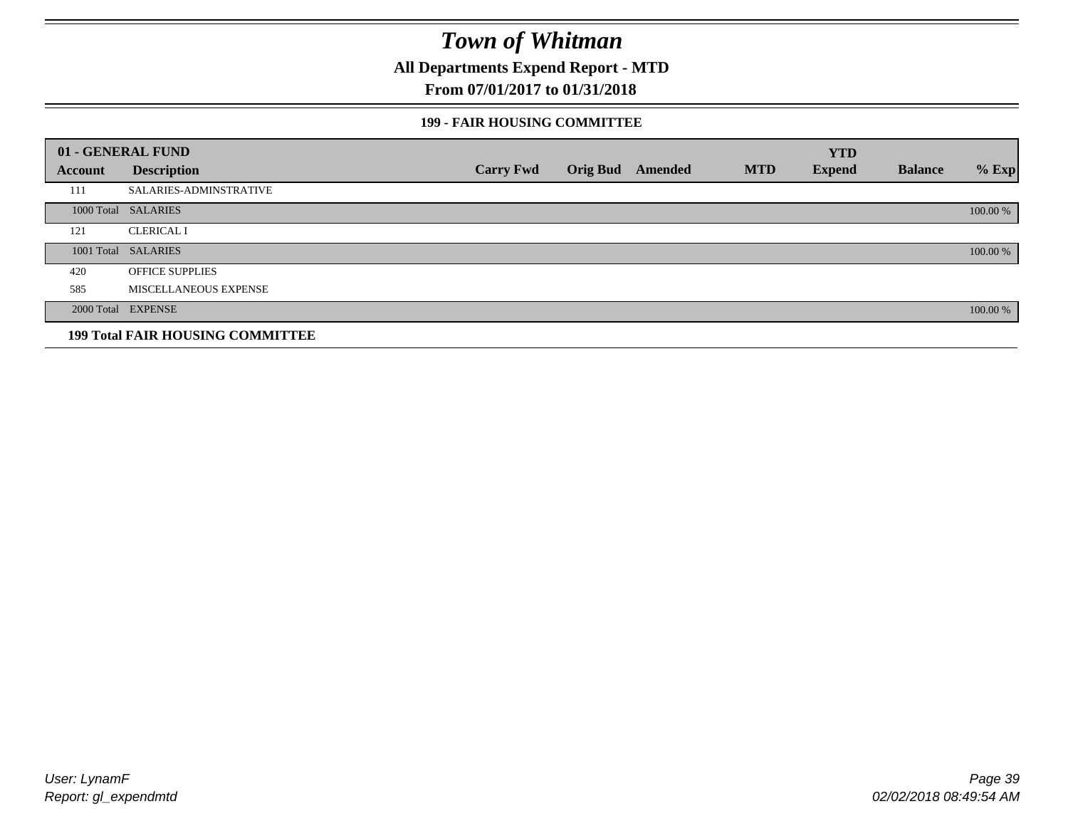**All Departments Expend Report - MTD**

### **From 07/01/2017 to 01/31/2018**

#### **199 - FAIR HOUSING COMMITTEE**

|         | 01 - GENERAL FUND                       |                  |                         |            | <b>YTD</b>    |                |          |
|---------|-----------------------------------------|------------------|-------------------------|------------|---------------|----------------|----------|
| Account | <b>Description</b>                      | <b>Carry Fwd</b> | <b>Orig Bud</b> Amended | <b>MTD</b> | <b>Expend</b> | <b>Balance</b> | $%$ Exp  |
| 111     | <b>SALARIES-ADMINSTRATIVE</b>           |                  |                         |            |               |                |          |
|         | 1000 Total SALARIES                     |                  |                         |            |               |                | 100.00 % |
| 121     | <b>CLERICAL I</b>                       |                  |                         |            |               |                |          |
|         | 1001 Total SALARIES                     |                  |                         |            |               |                | 100.00 % |
| 420     | <b>OFFICE SUPPLIES</b>                  |                  |                         |            |               |                |          |
| 585     | MISCELLANEOUS EXPENSE                   |                  |                         |            |               |                |          |
|         | 2000 Total EXPENSE                      |                  |                         |            |               |                | 100.00 % |
|         | <b>199 Total FAIR HOUSING COMMITTEE</b> |                  |                         |            |               |                |          |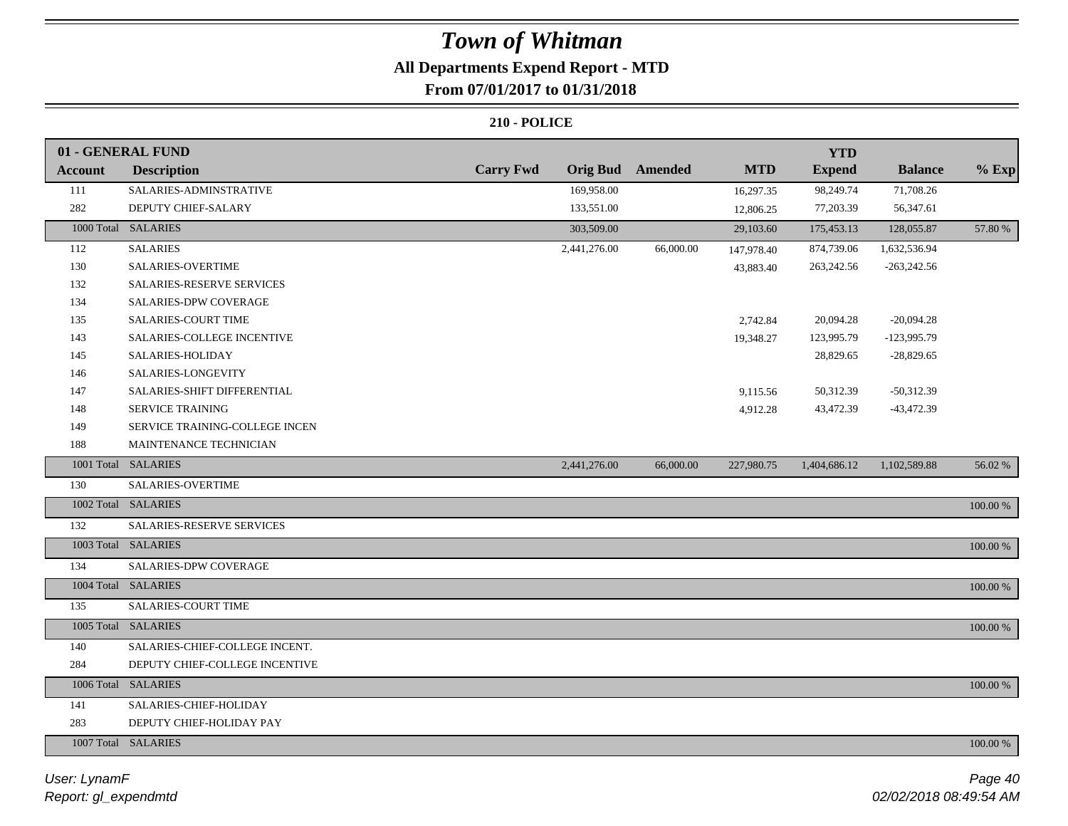### **All Departments Expend Report - MTD From 07/01/2017 to 01/31/2018**

|                | 01 - GENERAL FUND              |                  |                 |                |            | <b>YTD</b>    |                |             |
|----------------|--------------------------------|------------------|-----------------|----------------|------------|---------------|----------------|-------------|
| <b>Account</b> | <b>Description</b>             | <b>Carry Fwd</b> | <b>Orig Bud</b> | <b>Amended</b> | <b>MTD</b> | <b>Expend</b> | <b>Balance</b> | $%$ Exp     |
| 111            | SALARIES-ADMINSTRATIVE         |                  | 169,958.00      |                | 16,297.35  | 98,249.74     | 71,708.26      |             |
| 282            | DEPUTY CHIEF-SALARY            |                  | 133,551.00      |                | 12,806.25  | 77,203.39     | 56,347.61      |             |
|                | 1000 Total SALARIES            |                  | 303,509.00      |                | 29,103.60  | 175,453.13    | 128,055.87     | 57.80 %     |
| 112            | <b>SALARIES</b>                |                  | 2,441,276.00    | 66,000.00      | 147,978.40 | 874,739.06    | 1,632,536.94   |             |
| 130            | <b>SALARIES-OVERTIME</b>       |                  |                 |                | 43,883.40  | 263,242.56    | $-263,242.56$  |             |
| 132            | SALARIES-RESERVE SERVICES      |                  |                 |                |            |               |                |             |
| 134            | SALARIES-DPW COVERAGE          |                  |                 |                |            |               |                |             |
| 135            | SALARIES-COURT TIME            |                  |                 |                | 2,742.84   | 20,094.28     | $-20,094.28$   |             |
| 143            | SALARIES-COLLEGE INCENTIVE     |                  |                 |                | 19,348.27  | 123,995.79    | $-123,995.79$  |             |
| 145            | SALARIES-HOLIDAY               |                  |                 |                |            | 28,829.65     | $-28,829.65$   |             |
| 146            | SALARIES-LONGEVITY             |                  |                 |                |            |               |                |             |
| 147            | SALARIES-SHIFT DIFFERENTIAL    |                  |                 |                | 9,115.56   | 50,312.39     | $-50,312.39$   |             |
| 148            | SERVICE TRAINING               |                  |                 |                | 4,912.28   | 43,472.39     | $-43,472.39$   |             |
| 149            | SERVICE TRAINING-COLLEGE INCEN |                  |                 |                |            |               |                |             |
| 188            | MAINTENANCE TECHNICIAN         |                  |                 |                |            |               |                |             |
|                | 1001 Total SALARIES            |                  | 2,441,276.00    | 66,000.00      | 227,980.75 | 1,404,686.12  | 1,102,589.88   | 56.02%      |
| 130            | SALARIES-OVERTIME              |                  |                 |                |            |               |                |             |
|                | 1002 Total SALARIES            |                  |                 |                |            |               |                | $100.00~\%$ |
| 132            | SALARIES-RESERVE SERVICES      |                  |                 |                |            |               |                |             |
|                | 1003 Total SALARIES            |                  |                 |                |            |               |                | 100.00 %    |
| 134            | SALARIES-DPW COVERAGE          |                  |                 |                |            |               |                |             |
|                | 1004 Total SALARIES            |                  |                 |                |            |               |                | 100.00 %    |
| 135            | <b>SALARIES-COURT TIME</b>     |                  |                 |                |            |               |                |             |
|                | 1005 Total SALARIES            |                  |                 |                |            |               |                | 100.00 %    |
| 140            | SALARIES-CHIEF-COLLEGE INCENT. |                  |                 |                |            |               |                |             |
| 284            | DEPUTY CHIEF-COLLEGE INCENTIVE |                  |                 |                |            |               |                |             |
|                | 1006 Total SALARIES            |                  |                 |                |            |               |                | $100.00~\%$ |
| 141            | SALARIES-CHIEF-HOLIDAY         |                  |                 |                |            |               |                |             |
| 283            | DEPUTY CHIEF-HOLIDAY PAY       |                  |                 |                |            |               |                |             |
|                | 1007 Total SALARIES            |                  |                 |                |            |               |                | $100.00~\%$ |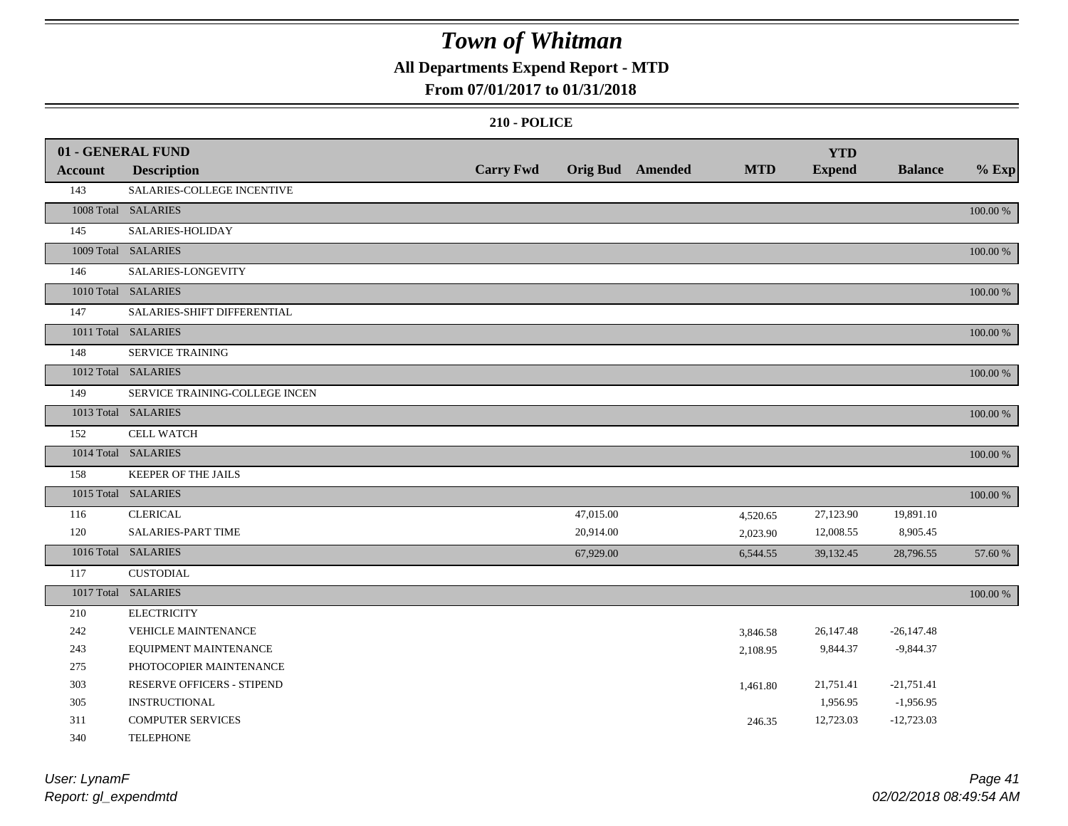### **All Departments Expend Report - MTD**

### **From 07/01/2017 to 01/31/2018**

|                | 01 - GENERAL FUND              |                  |           |                  |            | <b>YTD</b>    |                |          |
|----------------|--------------------------------|------------------|-----------|------------------|------------|---------------|----------------|----------|
| <b>Account</b> | <b>Description</b>             | <b>Carry Fwd</b> |           | Orig Bud Amended | <b>MTD</b> | <b>Expend</b> | <b>Balance</b> | $%$ Exp  |
| 143            | SALARIES-COLLEGE INCENTIVE     |                  |           |                  |            |               |                |          |
|                | 1008 Total SALARIES            |                  |           |                  |            |               |                | 100.00 % |
| 145            | SALARIES-HOLIDAY               |                  |           |                  |            |               |                |          |
|                | 1009 Total SALARIES            |                  |           |                  |            |               |                | 100.00 % |
| 146            | SALARIES-LONGEVITY             |                  |           |                  |            |               |                |          |
|                | 1010 Total SALARIES            |                  |           |                  |            |               |                | 100.00 % |
| 147            | SALARIES-SHIFT DIFFERENTIAL    |                  |           |                  |            |               |                |          |
|                | 1011 Total SALARIES            |                  |           |                  |            |               |                | 100.00 % |
| 148            | SERVICE TRAINING               |                  |           |                  |            |               |                |          |
|                | 1012 Total SALARIES            |                  |           |                  |            |               |                | 100.00 % |
| 149            | SERVICE TRAINING-COLLEGE INCEN |                  |           |                  |            |               |                |          |
|                | 1013 Total SALARIES            |                  |           |                  |            |               |                | 100.00 % |
| 152            | <b>CELL WATCH</b>              |                  |           |                  |            |               |                |          |
|                | 1014 Total SALARIES            |                  |           |                  |            |               |                | 100.00 % |
| 158            | KEEPER OF THE JAILS            |                  |           |                  |            |               |                |          |
|                | 1015 Total SALARIES            |                  |           |                  |            |               |                | 100.00 % |
| 116            | <b>CLERICAL</b>                |                  | 47,015.00 |                  | 4,520.65   | 27,123.90     | 19,891.10      |          |
| 120            | <b>SALARIES-PART TIME</b>      |                  | 20,914.00 |                  | 2,023.90   | 12,008.55     | 8,905.45       |          |
|                | 1016 Total SALARIES            |                  | 67,929.00 |                  | 6,544.55   | 39,132.45     | 28,796.55      | 57.60 %  |
| 117            | <b>CUSTODIAL</b>               |                  |           |                  |            |               |                |          |
|                | 1017 Total SALARIES            |                  |           |                  |            |               |                | 100.00 % |
| 210            | <b>ELECTRICITY</b>             |                  |           |                  |            |               |                |          |
| 242            | <b>VEHICLE MAINTENANCE</b>     |                  |           |                  | 3,846.58   | 26,147.48     | $-26,147.48$   |          |
| 243            | EQUIPMENT MAINTENANCE          |                  |           |                  | 2,108.95   | 9,844.37      | $-9,844.37$    |          |
| 275            | PHOTOCOPIER MAINTENANCE        |                  |           |                  |            |               |                |          |
| 303            | RESERVE OFFICERS - STIPEND     |                  |           |                  | 1,461.80   | 21,751.41     | $-21,751.41$   |          |
| 305            | <b>INSTRUCTIONAL</b>           |                  |           |                  |            | 1,956.95      | $-1,956.95$    |          |
| 311            | <b>COMPUTER SERVICES</b>       |                  |           |                  | 246.35     | 12,723.03     | $-12,723.03$   |          |
| 340            | <b>TELEPHONE</b>               |                  |           |                  |            |               |                |          |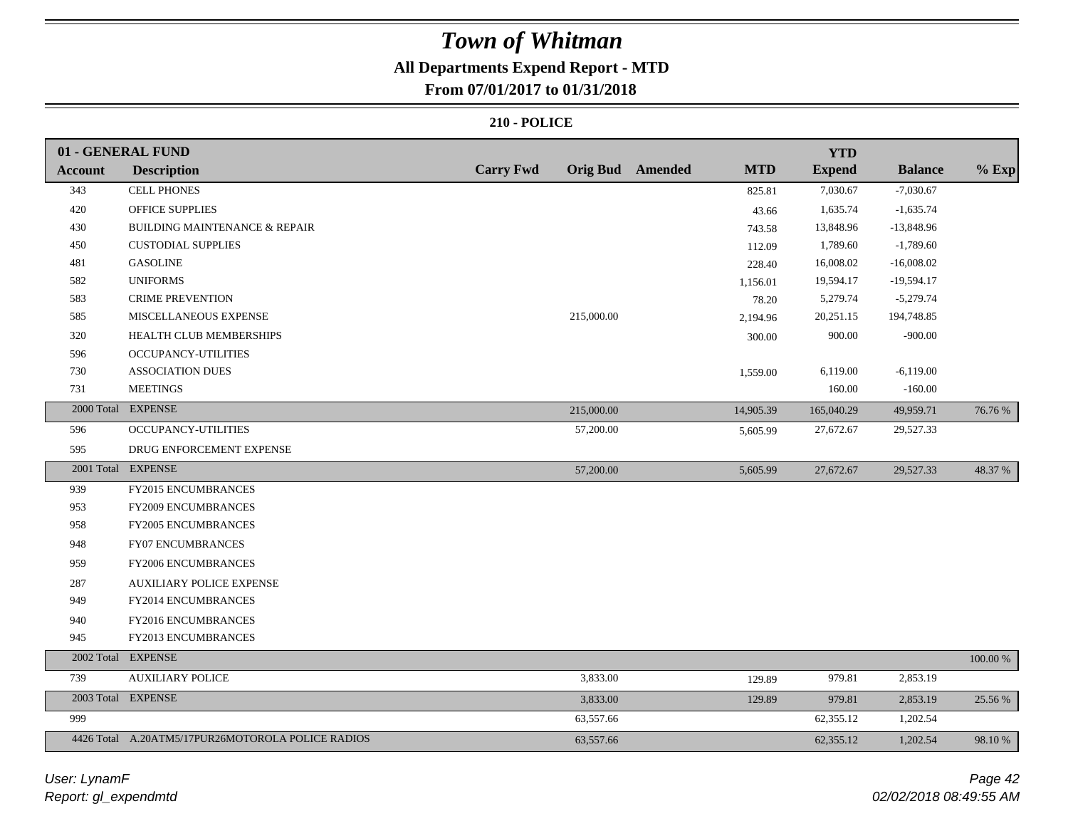# **All Departments Expend Report - MTD**

### **From 07/01/2017 to 01/31/2018**

|                | 01 - GENERAL FUND                                 |                  |            |                  |            | <b>YTD</b>    |                |             |
|----------------|---------------------------------------------------|------------------|------------|------------------|------------|---------------|----------------|-------------|
| <b>Account</b> | <b>Description</b>                                | <b>Carry Fwd</b> |            | Orig Bud Amended | <b>MTD</b> | <b>Expend</b> | <b>Balance</b> | $%$ Exp     |
| 343            | <b>CELL PHONES</b>                                |                  |            |                  | 825.81     | 7,030.67      | $-7,030.67$    |             |
| 420            | <b>OFFICE SUPPLIES</b>                            |                  |            |                  | 43.66      | 1,635.74      | $-1,635.74$    |             |
| 430            | <b>BUILDING MAINTENANCE &amp; REPAIR</b>          |                  |            |                  | 743.58     | 13,848.96     | $-13,848.96$   |             |
| 450            | <b>CUSTODIAL SUPPLIES</b>                         |                  |            |                  | 112.09     | 1,789.60      | $-1,789.60$    |             |
| 481            | <b>GASOLINE</b>                                   |                  |            |                  | 228.40     | 16,008.02     | $-16,008.02$   |             |
| 582            | <b>UNIFORMS</b>                                   |                  |            |                  | 1,156.01   | 19,594.17     | $-19,594.17$   |             |
| 583            | <b>CRIME PREVENTION</b>                           |                  |            |                  | 78.20      | 5,279.74      | $-5,279.74$    |             |
| 585            | MISCELLANEOUS EXPENSE                             |                  | 215,000.00 |                  | 2,194.96   | 20,251.15     | 194,748.85     |             |
| 320            | HEALTH CLUB MEMBERSHIPS                           |                  |            |                  | 300.00     | 900.00        | $-900.00$      |             |
| 596            | <b>OCCUPANCY-UTILITIES</b>                        |                  |            |                  |            |               |                |             |
| 730            | <b>ASSOCIATION DUES</b>                           |                  |            |                  | 1,559.00   | 6,119.00      | $-6,119.00$    |             |
| 731            | <b>MEETINGS</b>                                   |                  |            |                  |            | 160.00        | $-160.00$      |             |
|                | 2000 Total EXPENSE                                |                  | 215,000.00 |                  | 14,905.39  | 165,040.29    | 49,959.71      | 76.76 %     |
| 596            | OCCUPANCY-UTILITIES                               |                  | 57,200.00  |                  | 5,605.99   | 27,672.67     | 29,527.33      |             |
| 595            | DRUG ENFORCEMENT EXPENSE                          |                  |            |                  |            |               |                |             |
|                | 2001 Total EXPENSE                                |                  | 57,200.00  |                  | 5,605.99   | 27,672.67     | 29,527.33      | 48.37 %     |
| 939            | FY2015 ENCUMBRANCES                               |                  |            |                  |            |               |                |             |
| 953            | FY2009 ENCUMBRANCES                               |                  |            |                  |            |               |                |             |
| 958            | FY2005 ENCUMBRANCES                               |                  |            |                  |            |               |                |             |
| 948            | <b>FY07 ENCUMBRANCES</b>                          |                  |            |                  |            |               |                |             |
| 959            | FY2006 ENCUMBRANCES                               |                  |            |                  |            |               |                |             |
| 287            | <b>AUXILIARY POLICE EXPENSE</b>                   |                  |            |                  |            |               |                |             |
| 949            | FY2014 ENCUMBRANCES                               |                  |            |                  |            |               |                |             |
| 940            | FY2016 ENCUMBRANCES                               |                  |            |                  |            |               |                |             |
| 945            | FY2013 ENCUMBRANCES                               |                  |            |                  |            |               |                |             |
|                | 2002 Total EXPENSE                                |                  |            |                  |            |               |                | $100.00~\%$ |
| 739            | <b>AUXILIARY POLICE</b>                           |                  | 3,833.00   |                  | 129.89     | 979.81        | 2,853.19       |             |
|                | 2003 Total EXPENSE                                |                  | 3,833.00   |                  | 129.89     | 979.81        | 2,853.19       | 25.56 %     |
| 999            |                                                   |                  | 63,557.66  |                  |            | 62,355.12     | 1,202.54       |             |
|                | 4426 Total A.20ATM5/17PUR26MOTOROLA POLICE RADIOS |                  | 63,557.66  |                  |            | 62,355.12     | 1,202.54       | 98.10 %     |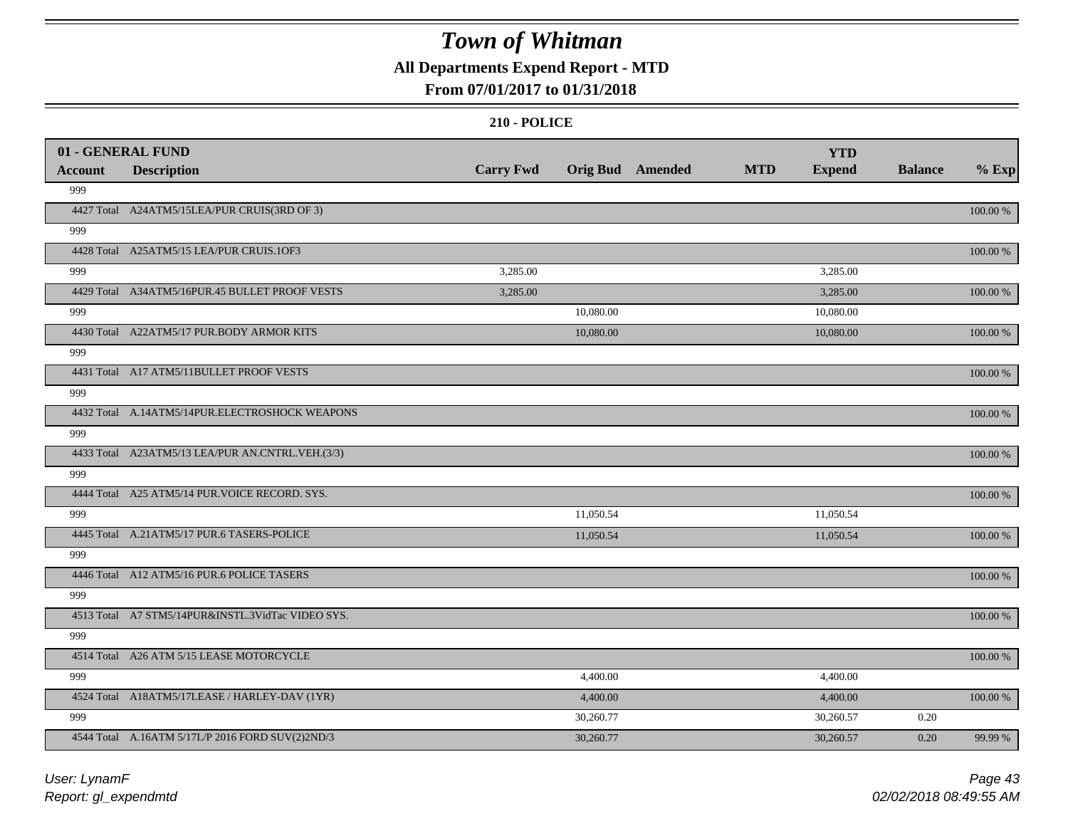### **All Departments Expend Report - MTD**

### **From 07/01/2017 to 01/31/2018**

|                       | 01 - GENERAL FUND                                 | <b>Carry Fwd</b> | <b>Orig Bud</b> Amended | <b>MTD</b> | <b>YTD</b><br><b>Expend</b> | <b>Balance</b> | $%$ Exp     |
|-----------------------|---------------------------------------------------|------------------|-------------------------|------------|-----------------------------|----------------|-------------|
| <b>Account</b><br>999 | <b>Description</b>                                |                  |                         |            |                             |                |             |
|                       | 4427 Total A24ATM5/15LEA/PUR CRUIS(3RD OF 3)      |                  |                         |            |                             |                | 100.00 %    |
| 999                   |                                                   |                  |                         |            |                             |                |             |
|                       | 4428 Total A25ATM5/15 LEA/PUR CRUIS.10F3          |                  |                         |            |                             |                | 100.00 %    |
| 999                   |                                                   | 3,285.00         |                         |            | 3,285.00                    |                |             |
|                       | 4429 Total A34ATM5/16PUR.45 BULLET PROOF VESTS    | 3,285.00         |                         |            | 3,285.00                    |                | 100.00 %    |
| 999                   |                                                   |                  | 10,080.00               |            | 10,080.00                   |                |             |
|                       | 4430 Total A22ATM5/17 PUR.BODY ARMOR KITS         |                  | 10,080.00               |            | 10,080.00                   |                | 100.00 %    |
| 999                   |                                                   |                  |                         |            |                             |                |             |
|                       | 4431 Total A17 ATM5/11BULLET PROOF VESTS          |                  |                         |            |                             |                | 100.00 %    |
| 999                   |                                                   |                  |                         |            |                             |                |             |
|                       | 4432 Total A.14ATM5/14PUR.ELECTROSHOCK WEAPONS    |                  |                         |            |                             |                | 100.00 %    |
| 999                   |                                                   |                  |                         |            |                             |                |             |
|                       | 4433 Total A23ATM5/13 LEA/PUR AN.CNTRL.VEH.(3/3)  |                  |                         |            |                             |                | 100.00 %    |
| 999                   |                                                   |                  |                         |            |                             |                |             |
|                       | 4444 Total A25 ATM5/14 PUR. VOICE RECORD. SYS.    |                  |                         |            |                             |                | 100.00 %    |
| 999                   |                                                   |                  | 11,050.54               |            | 11,050.54                   |                |             |
|                       | 4445 Total A.21ATM5/17 PUR.6 TASERS-POLICE        |                  | 11,050.54               |            | 11,050.54                   |                | 100.00 %    |
| 999                   |                                                   |                  |                         |            |                             |                |             |
|                       | 4446 Total A12 ATM5/16 PUR.6 POLICE TASERS        |                  |                         |            |                             |                | $100.00~\%$ |
| 999                   |                                                   |                  |                         |            |                             |                |             |
|                       | 4513 Total A7 STM5/14PUR&INSTL.3VidTac VIDEO SYS. |                  |                         |            |                             |                | 100.00 %    |
| 999                   |                                                   |                  |                         |            |                             |                |             |
|                       | 4514 Total A26 ATM 5/15 LEASE MOTORCYCLE          |                  |                         |            |                             |                | 100.00 %    |
| 999                   |                                                   |                  | 4,400.00                |            | 4,400.00                    |                |             |
|                       | 4524 Total A18ATM5/17LEASE / HARLEY-DAV (1YR)     |                  | 4,400.00                |            | 4,400.00                    |                | 100.00 %    |
| 999                   |                                                   |                  | 30,260.77               |            | 30,260.57                   | 0.20           |             |
|                       | 4544 Total A.16ATM 5/17L/P 2016 FORD SUV(2)2ND/3  |                  | 30,260.77               |            | 30,260.57                   | 0.20           | 99.99 %     |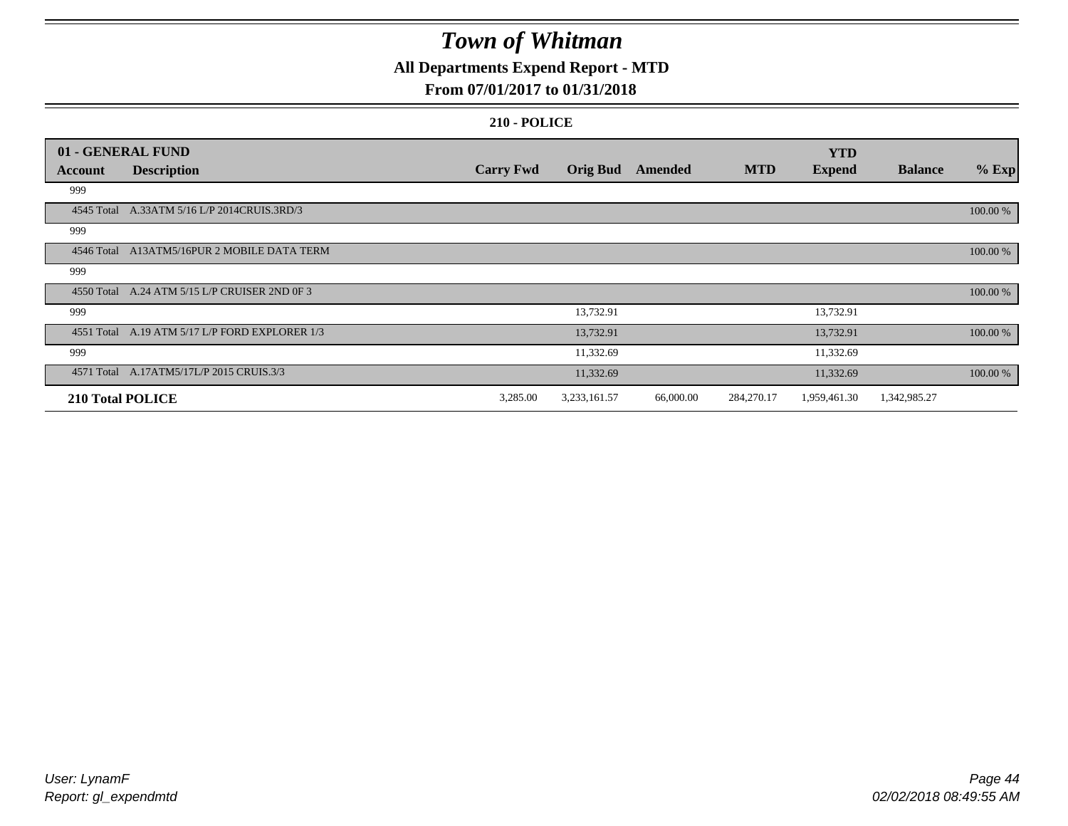### **All Departments Expend Report - MTD**

### **From 07/01/2017 to 01/31/2018**

|         | 01 - GENERAL FUND                              |                  |                 |           |            | <b>YTD</b>    |                |            |
|---------|------------------------------------------------|------------------|-----------------|-----------|------------|---------------|----------------|------------|
| Account | <b>Description</b>                             | <b>Carry Fwd</b> | <b>Orig Bud</b> | Amended   | <b>MTD</b> | <b>Expend</b> | <b>Balance</b> | $%$ Exp    |
| 999     |                                                |                  |                 |           |            |               |                |            |
|         | 4545 Total A.33ATM 5/16 L/P 2014CRUIS.3RD/3    |                  |                 |           |            |               |                | 100.00 %   |
| 999     |                                                |                  |                 |           |            |               |                |            |
|         | 4546 Total A13ATM5/16PUR 2 MOBILE DATA TERM    |                  |                 |           |            |               |                | 100.00 %   |
| 999     |                                                |                  |                 |           |            |               |                |            |
|         | 4550 Total A.24 ATM 5/15 L/P CRUISER 2ND 0F 3  |                  |                 |           |            |               |                | 100.00 %   |
| 999     |                                                |                  | 13,732.91       |           |            | 13,732.91     |                |            |
|         | 4551 Total A.19 ATM 5/17 L/P FORD EXPLORER 1/3 |                  | 13,732.91       |           |            | 13,732.91     |                | 100.00 %   |
| 999     |                                                |                  | 11,332.69       |           |            | 11,332.69     |                |            |
|         | 4571 Total A.17ATM5/17L/P 2015 CRUIS.3/3       |                  | 11,332.69       |           |            | 11,332.69     |                | $100.00\%$ |
|         | 210 Total POLICE                               | 3,285.00         | 3,233,161.57    | 66,000.00 | 284,270.17 | 1,959,461.30  | 1,342,985.27   |            |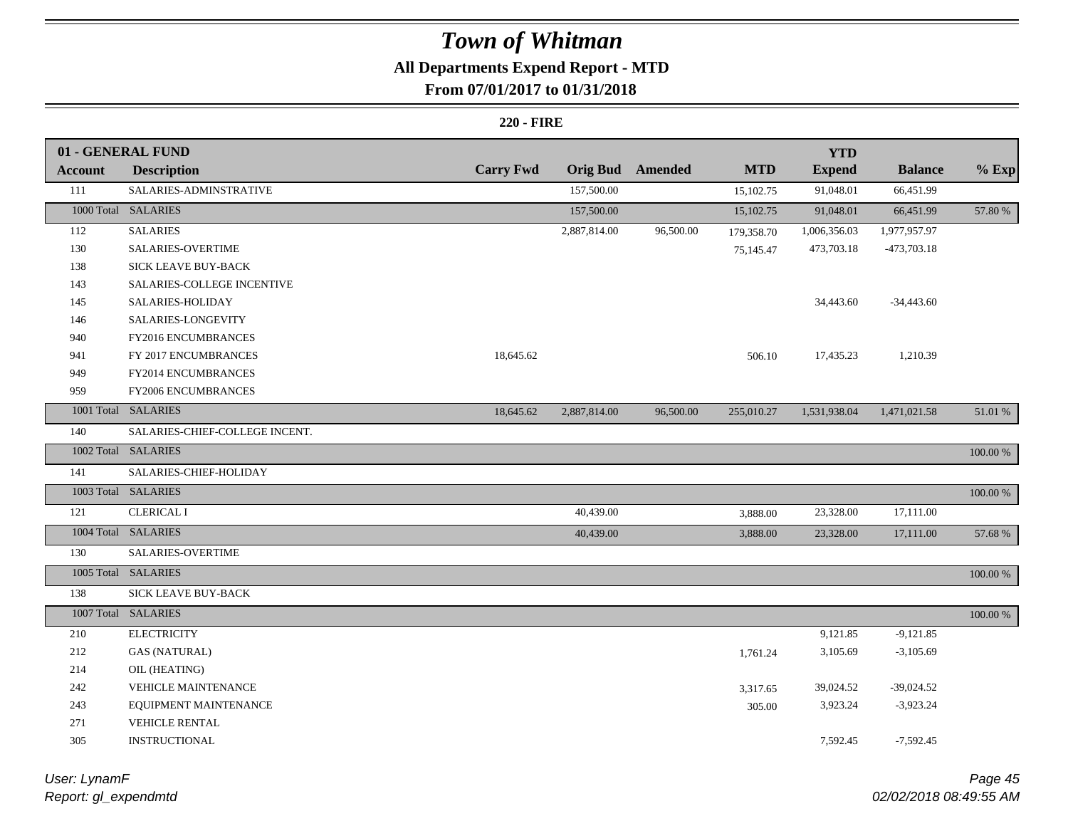# **All Departments Expend Report - MTD**

## **From 07/01/2017 to 01/31/2018**

|                | 01 - GENERAL FUND              |                  |              |                         |            | <b>YTD</b>    |                |             |
|----------------|--------------------------------|------------------|--------------|-------------------------|------------|---------------|----------------|-------------|
| <b>Account</b> | <b>Description</b>             | <b>Carry Fwd</b> |              | <b>Orig Bud</b> Amended | <b>MTD</b> | <b>Expend</b> | <b>Balance</b> | $%$ Exp     |
| 111            | SALARIES-ADMINSTRATIVE         |                  | 157,500.00   |                         | 15,102.75  | 91,048.01     | 66,451.99      |             |
|                | 1000 Total SALARIES            |                  | 157,500.00   |                         | 15,102.75  | 91,048.01     | 66,451.99      | 57.80 %     |
| 112            | <b>SALARIES</b>                |                  | 2,887,814.00 | 96,500.00               | 179,358.70 | 1,006,356.03  | 1,977,957.97   |             |
| 130            | <b>SALARIES-OVERTIME</b>       |                  |              |                         | 75,145.47  | 473,703.18    | -473,703.18    |             |
| 138            | SICK LEAVE BUY-BACK            |                  |              |                         |            |               |                |             |
| 143            | SALARIES-COLLEGE INCENTIVE     |                  |              |                         |            |               |                |             |
| 145            | SALARIES-HOLIDAY               |                  |              |                         |            | 34,443.60     | $-34,443.60$   |             |
| 146            | SALARIES-LONGEVITY             |                  |              |                         |            |               |                |             |
| 940            | FY2016 ENCUMBRANCES            |                  |              |                         |            |               |                |             |
| 941            | FY 2017 ENCUMBRANCES           | 18,645.62        |              |                         | 506.10     | 17,435.23     | 1,210.39       |             |
| 949            | FY2014 ENCUMBRANCES            |                  |              |                         |            |               |                |             |
| 959            | <b>FY2006 ENCUMBRANCES</b>     |                  |              |                         |            |               |                |             |
|                | 1001 Total SALARIES            | 18,645.62        | 2,887,814.00 | 96,500.00               | 255,010.27 | 1,531,938.04  | 1,471,021.58   | 51.01 %     |
| 140            | SALARIES-CHIEF-COLLEGE INCENT. |                  |              |                         |            |               |                |             |
|                | 1002 Total SALARIES            |                  |              |                         |            |               |                | $100.00~\%$ |
| 141            | SALARIES-CHIEF-HOLIDAY         |                  |              |                         |            |               |                |             |
|                | 1003 Total SALARIES            |                  |              |                         |            |               |                | 100.00 %    |
| 121            | <b>CLERICAL I</b>              |                  | 40,439.00    |                         | 3,888.00   | 23,328.00     | 17,111.00      |             |
|                | 1004 Total SALARIES            |                  | 40,439.00    |                         | 3,888.00   | 23,328.00     | 17,111.00      | 57.68 %     |
| 130            | SALARIES-OVERTIME              |                  |              |                         |            |               |                |             |
|                | 1005 Total SALARIES            |                  |              |                         |            |               |                | $100.00~\%$ |
| 138            | SICK LEAVE BUY-BACK            |                  |              |                         |            |               |                |             |
|                | 1007 Total SALARIES            |                  |              |                         |            |               |                | 100.00 %    |
| 210            | <b>ELECTRICITY</b>             |                  |              |                         |            | 9,121.85      | $-9,121.85$    |             |
| 212            | <b>GAS (NATURAL)</b>           |                  |              |                         | 1,761.24   | 3,105.69      | $-3,105.69$    |             |
| 214            | OIL (HEATING)                  |                  |              |                         |            |               |                |             |
| 242            | <b>VEHICLE MAINTENANCE</b>     |                  |              |                         | 3,317.65   | 39,024.52     | $-39,024.52$   |             |
| 243            | EQUIPMENT MAINTENANCE          |                  |              |                         | 305.00     | 3,923.24      | $-3,923.24$    |             |
| 271            | VEHICLE RENTAL                 |                  |              |                         |            |               |                |             |
| 305            | <b>INSTRUCTIONAL</b>           |                  |              |                         |            | 7,592.45      | $-7,592.45$    |             |

| User: LynamF         |  |
|----------------------|--|
| Report: gl_expendmtd |  |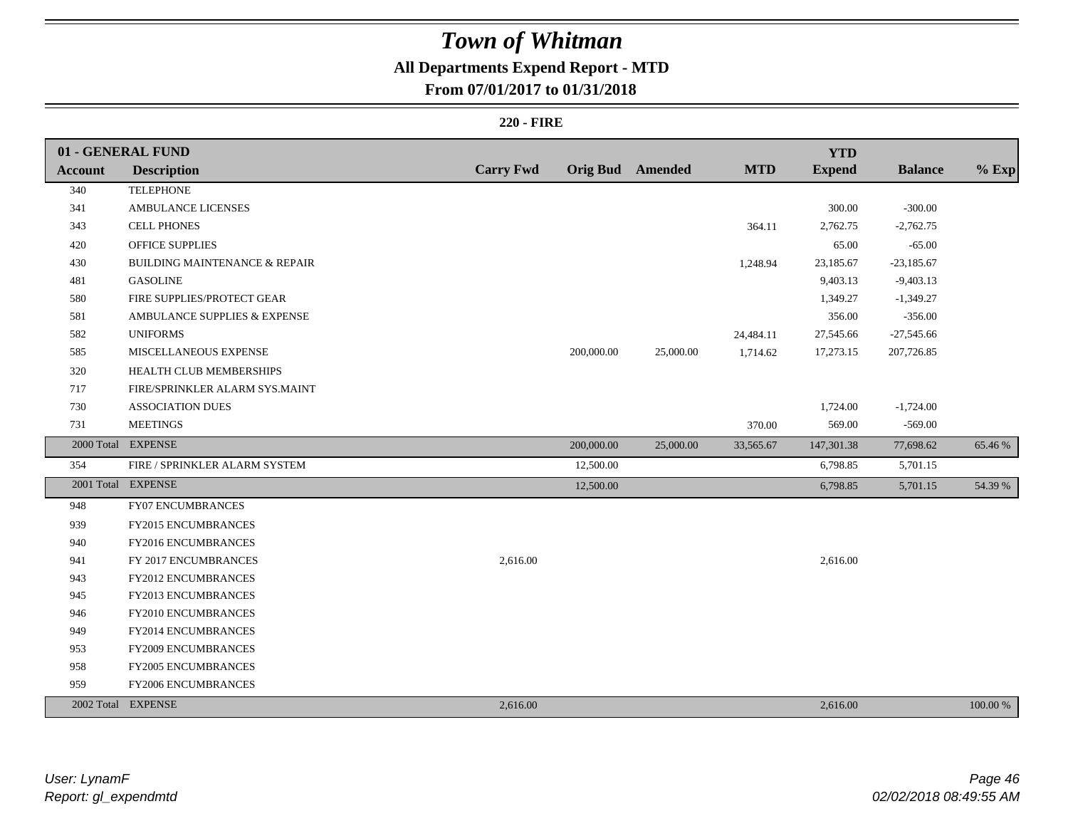## **All Departments Expend Report - MTD**

### **From 07/01/2017 to 01/31/2018**

|                | 01 - GENERAL FUND                        |                  |            |                         |            | <b>YTD</b>    |                |          |
|----------------|------------------------------------------|------------------|------------|-------------------------|------------|---------------|----------------|----------|
| <b>Account</b> | <b>Description</b>                       | <b>Carry Fwd</b> |            | <b>Orig Bud</b> Amended | <b>MTD</b> | <b>Expend</b> | <b>Balance</b> | $%$ Exp  |
| 340            | <b>TELEPHONE</b>                         |                  |            |                         |            |               |                |          |
| 341            | AMBULANCE LICENSES                       |                  |            |                         |            | 300.00        | $-300.00$      |          |
| 343            | <b>CELL PHONES</b>                       |                  |            |                         | 364.11     | 2,762.75      | $-2,762.75$    |          |
| 420            | OFFICE SUPPLIES                          |                  |            |                         |            | 65.00         | $-65.00$       |          |
| 430            | <b>BUILDING MAINTENANCE &amp; REPAIR</b> |                  |            |                         | 1,248.94   | 23,185.67     | $-23,185.67$   |          |
| 481            | <b>GASOLINE</b>                          |                  |            |                         |            | 9,403.13      | $-9,403.13$    |          |
| 580            | FIRE SUPPLIES/PROTECT GEAR               |                  |            |                         |            | 1,349.27      | $-1,349.27$    |          |
| 581            | AMBULANCE SUPPLIES & EXPENSE             |                  |            |                         |            | 356.00        | $-356.00$      |          |
| 582            | <b>UNIFORMS</b>                          |                  |            |                         | 24,484.11  | 27,545.66     | $-27,545.66$   |          |
| 585            | MISCELLANEOUS EXPENSE                    |                  | 200,000.00 | 25,000.00               | 1,714.62   | 17,273.15     | 207,726.85     |          |
| 320            | HEALTH CLUB MEMBERSHIPS                  |                  |            |                         |            |               |                |          |
| 717            | FIRE/SPRINKLER ALARM SYS.MAINT           |                  |            |                         |            |               |                |          |
| 730            | <b>ASSOCIATION DUES</b>                  |                  |            |                         |            | 1,724.00      | $-1,724.00$    |          |
| 731            | <b>MEETINGS</b>                          |                  |            |                         | 370.00     | 569.00        | $-569.00$      |          |
|                | 2000 Total EXPENSE                       |                  | 200,000.00 | 25,000.00               | 33,565.67  | 147,301.38    | 77,698.62      | 65.46 %  |
| 354            | FIRE / SPRINKLER ALARM SYSTEM            |                  | 12,500.00  |                         |            | 6,798.85      | 5,701.15       |          |
|                | 2001 Total EXPENSE                       |                  | 12,500.00  |                         |            | 6,798.85      | 5,701.15       | 54.39 %  |
| 948            | <b>FY07 ENCUMBRANCES</b>                 |                  |            |                         |            |               |                |          |
| 939            | FY2015 ENCUMBRANCES                      |                  |            |                         |            |               |                |          |
| 940            | FY2016 ENCUMBRANCES                      |                  |            |                         |            |               |                |          |
| 941            | FY 2017 ENCUMBRANCES                     | 2,616.00         |            |                         |            | 2,616.00      |                |          |
| 943            | <b>FY2012 ENCUMBRANCES</b>               |                  |            |                         |            |               |                |          |
| 945            | FY2013 ENCUMBRANCES                      |                  |            |                         |            |               |                |          |
| 946            | FY2010 ENCUMBRANCES                      |                  |            |                         |            |               |                |          |
| 949            | FY2014 ENCUMBRANCES                      |                  |            |                         |            |               |                |          |
| 953            | FY2009 ENCUMBRANCES                      |                  |            |                         |            |               |                |          |
| 958            | <b>FY2005 ENCUMBRANCES</b>               |                  |            |                         |            |               |                |          |
| 959            | FY2006 ENCUMBRANCES                      |                  |            |                         |            |               |                |          |
|                | 2002 Total EXPENSE                       | 2,616.00         |            |                         |            | 2,616.00      |                | 100.00 % |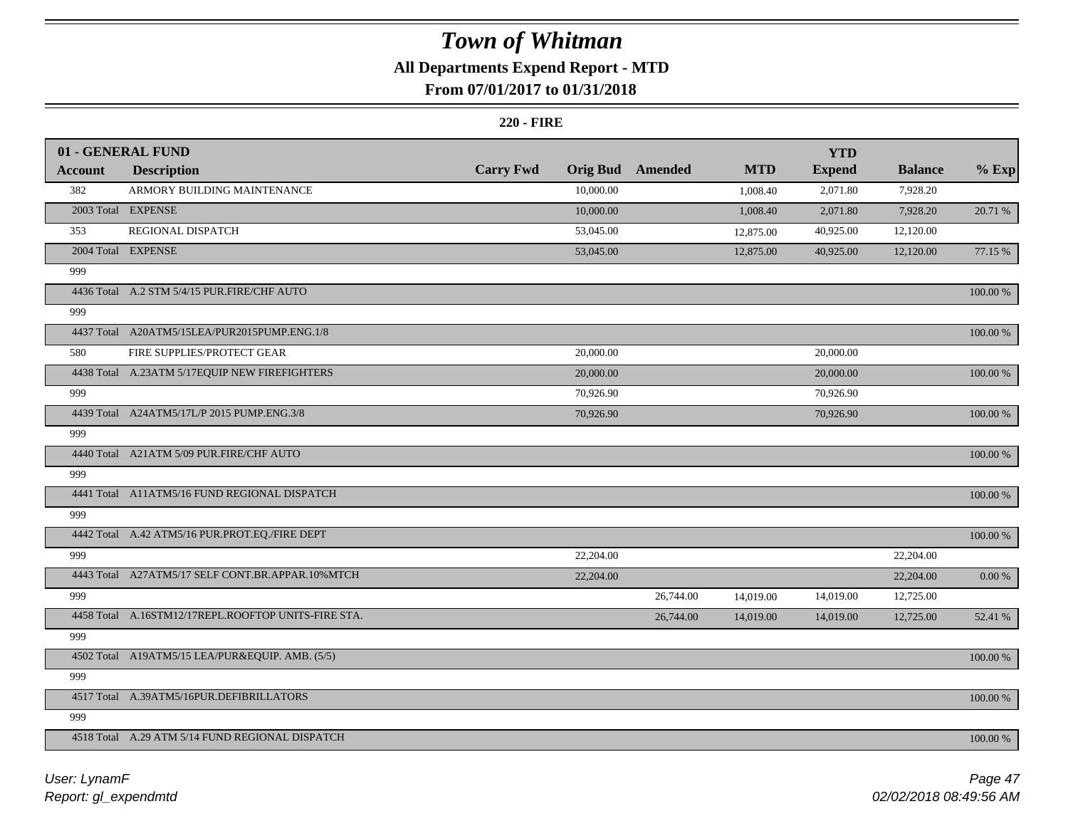## **All Departments Expend Report - MTD**

### **From 07/01/2017 to 01/31/2018**

|         | 01 - GENERAL FUND                                   |                  |                 |           |            | <b>YTD</b>    |                |             |
|---------|-----------------------------------------------------|------------------|-----------------|-----------|------------|---------------|----------------|-------------|
| Account | <b>Description</b>                                  | <b>Carry Fwd</b> | <b>Orig Bud</b> | Amended   | <b>MTD</b> | <b>Expend</b> | <b>Balance</b> | $%$ Exp     |
| 382     | ARMORY BUILDING MAINTENANCE                         |                  | 10,000.00       |           | 1,008.40   | 2,071.80      | 7,928.20       |             |
|         | 2003 Total EXPENSE                                  |                  | 10,000.00       |           | 1,008.40   | 2,071.80      | 7,928.20       | 20.71 %     |
| 353     | REGIONAL DISPATCH                                   |                  | 53,045.00       |           | 12,875.00  | 40,925.00     | 12,120.00      |             |
|         | 2004 Total EXPENSE                                  |                  | 53,045.00       |           | 12,875.00  | 40,925.00     | 12,120.00      | 77.15 %     |
| 999     |                                                     |                  |                 |           |            |               |                |             |
|         | 4436 Total A.2 STM 5/4/15 PUR.FIRE/CHF AUTO         |                  |                 |           |            |               |                | 100.00 %    |
| 999     |                                                     |                  |                 |           |            |               |                |             |
|         | 4437 Total A20ATM5/15LEA/PUR2015PUMP.ENG.1/8        |                  |                 |           |            |               |                | 100.00 %    |
| 580     | FIRE SUPPLIES/PROTECT GEAR                          |                  | 20,000.00       |           |            | 20,000.00     |                |             |
|         | 4438 Total A.23ATM 5/17EQUIP NEW FIREFIGHTERS       |                  | 20,000.00       |           |            | 20,000.00     |                | 100.00 %    |
| 999     |                                                     |                  | 70,926.90       |           |            | 70,926.90     |                |             |
|         | 4439 Total A24ATM5/17L/P 2015 PUMP.ENG.3/8          |                  | 70,926.90       |           |            | 70,926.90     |                | 100.00 %    |
| 999     |                                                     |                  |                 |           |            |               |                |             |
|         | 4440 Total A21ATM 5/09 PUR.FIRE/CHF AUTO            |                  |                 |           |            |               |                | 100.00 %    |
| 999     |                                                     |                  |                 |           |            |               |                |             |
|         | 4441 Total A11ATM5/16 FUND REGIONAL DISPATCH        |                  |                 |           |            |               |                | 100.00 %    |
| 999     |                                                     |                  |                 |           |            |               |                |             |
|         | 4442 Total A.42 ATM5/16 PUR.PROT.EQ./FIRE DEPT      |                  |                 |           |            |               |                | 100.00 %    |
| 999     |                                                     |                  | 22,204.00       |           |            |               | 22,204.00      |             |
|         | 4443 Total A27ATM5/17 SELF CONT.BR.APPAR.10%MTCH    |                  | 22,204.00       |           |            |               | 22,204.00      | $0.00~\%$   |
| 999     |                                                     |                  |                 | 26,744.00 | 14,019.00  | 14,019.00     | 12,725.00      |             |
|         | 4458 Total A.16STM12/17REPL.ROOFTOP UNITS-FIRE STA. |                  |                 | 26,744.00 | 14,019.00  | 14,019.00     | 12,725.00      | 52.41 %     |
| 999     |                                                     |                  |                 |           |            |               |                |             |
|         | 4502 Total A19ATM5/15 LEA/PUR&EQUIP. AMB. (5/5)     |                  |                 |           |            |               |                | $100.00~\%$ |
| 999     |                                                     |                  |                 |           |            |               |                |             |
|         | 4517 Total A.39ATM5/16PUR.DEFIBRILLATORS            |                  |                 |           |            |               |                | 100.00 %    |
| 999     |                                                     |                  |                 |           |            |               |                |             |
|         | 4518 Total A.29 ATM 5/14 FUND REGIONAL DISPATCH     |                  |                 |           |            |               |                | 100.00 %    |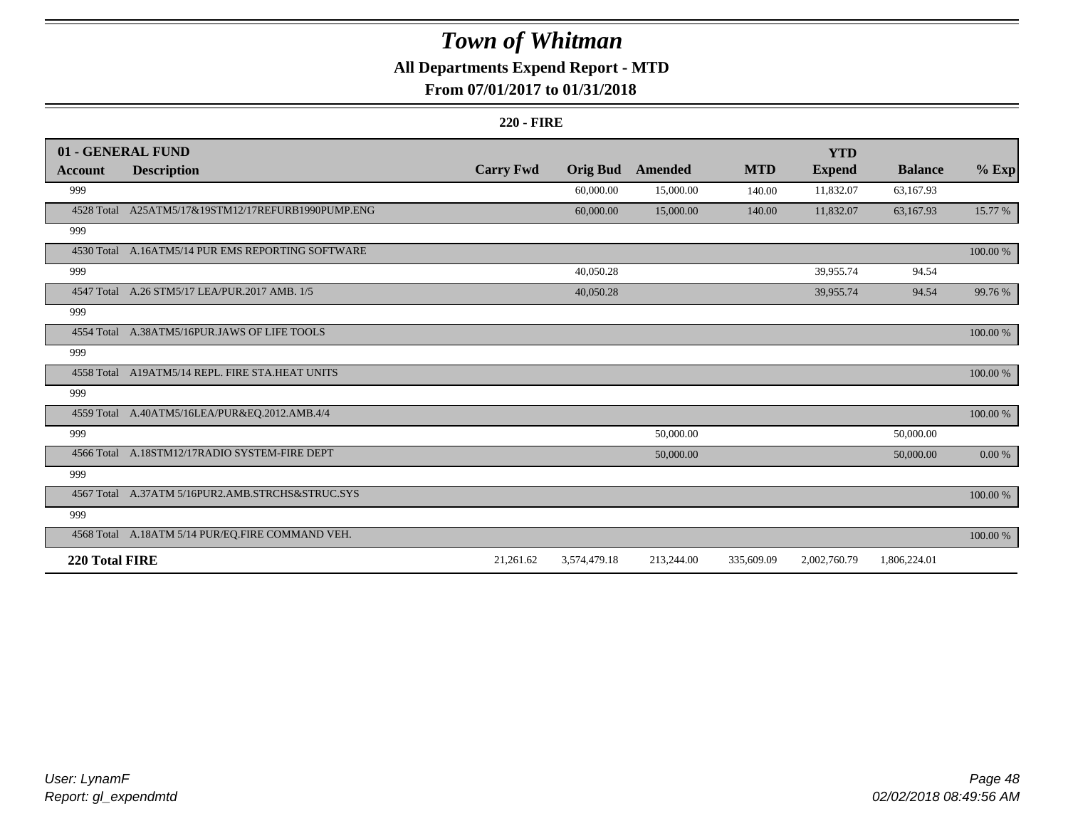### **All Departments Expend Report - MTD**

### **From 07/01/2017 to 01/31/2018**

|                | 01 - GENERAL FUND                                 |                  |                 |            |            | <b>YTD</b>    |                |            |
|----------------|---------------------------------------------------|------------------|-----------------|------------|------------|---------------|----------------|------------|
| Account        | <b>Description</b>                                | <b>Carry Fwd</b> | <b>Orig Bud</b> | Amended    | <b>MTD</b> | <b>Expend</b> | <b>Balance</b> | $%$ Exp    |
| 999            |                                                   |                  | 60,000.00       | 15,000.00  | 140.00     | 11,832.07     | 63,167.93      |            |
| 4528 Total     | A25ATM5/17&19STM12/17REFURB1990PUMP.ENG           |                  | 60,000.00       | 15,000.00  | 140.00     | 11,832.07     | 63,167.93      | 15.77 %    |
| 999            |                                                   |                  |                 |            |            |               |                |            |
|                | 4530 Total A.16ATM5/14 PUR EMS REPORTING SOFTWARE |                  |                 |            |            |               |                | 100.00 %   |
| 999            |                                                   |                  | 40,050.28       |            |            | 39,955.74     | 94.54          |            |
| 4547 Total     | A.26 STM5/17 LEA/PUR.2017 AMB. 1/5                |                  | 40,050.28       |            |            | 39,955.74     | 94.54          | 99.76 %    |
| 999            |                                                   |                  |                 |            |            |               |                |            |
|                | 4554 Total A.38ATM5/16PUR.JAWS OF LIFE TOOLS      |                  |                 |            |            |               |                | 100.00 %   |
| 999            |                                                   |                  |                 |            |            |               |                |            |
|                | 4558 Total A19ATM5/14 REPL. FIRE STA.HEAT UNITS   |                  |                 |            |            |               |                | 100.00 %   |
| 999            |                                                   |                  |                 |            |            |               |                |            |
|                | 4559 Total A.40ATM5/16LEA/PUR&EQ.2012.AMB.4/4     |                  |                 |            |            |               |                | 100.00 %   |
| 999            |                                                   |                  |                 | 50,000.00  |            |               | 50,000.00      |            |
|                | 4566 Total A.18STM12/17RADIO SYSTEM-FIRE DEPT     |                  |                 | 50,000.00  |            |               | 50,000.00      | $0.00\,\%$ |
| 999            |                                                   |                  |                 |            |            |               |                |            |
|                | 4567 Total A.37ATM 5/16PUR2.AMB.STRCHS&STRUC.SYS  |                  |                 |            |            |               |                | 100.00 %   |
| 999            |                                                   |                  |                 |            |            |               |                |            |
|                | 4568 Total A.18ATM 5/14 PUR/EQ.FIRE COMMAND VEH.  |                  |                 |            |            |               |                | 100.00 %   |
| 220 Total FIRE |                                                   | 21,261.62        | 3,574,479.18    | 213,244.00 | 335,609.09 | 2,002,760.79  | 1,806,224.01   |            |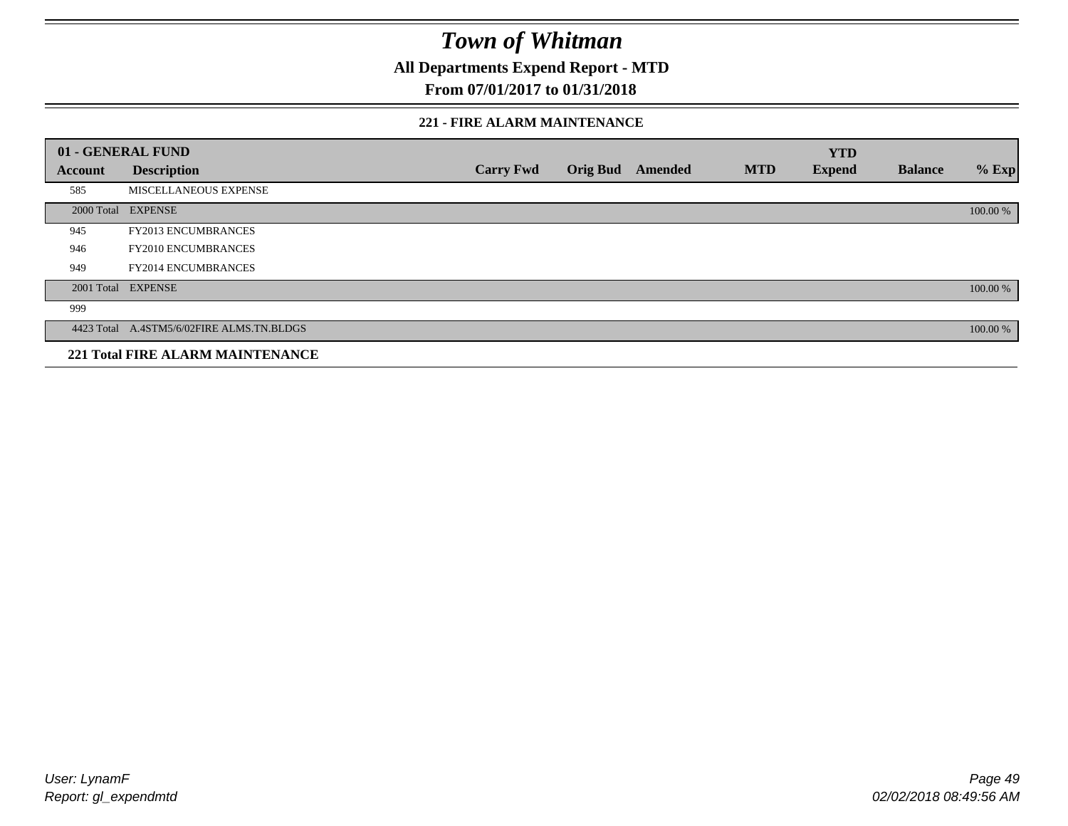**All Departments Expend Report - MTD**

### **From 07/01/2017 to 01/31/2018**

#### **221 - FIRE ALARM MAINTENANCE**

|         | 01 - GENERAL FUND                         |                  |                 |         |            | <b>YTD</b>    |                |          |
|---------|-------------------------------------------|------------------|-----------------|---------|------------|---------------|----------------|----------|
| Account | <b>Description</b>                        | <b>Carry Fwd</b> | <b>Orig Bud</b> | Amended | <b>MTD</b> | <b>Expend</b> | <b>Balance</b> | $%$ Exp  |
| 585     | MISCELLANEOUS EXPENSE                     |                  |                 |         |            |               |                |          |
|         | 2000 Total EXPENSE                        |                  |                 |         |            |               |                | 100.00 % |
| 945     | <b>FY2013 ENCUMBRANCES</b>                |                  |                 |         |            |               |                |          |
| 946     | <b>FY2010 ENCUMBRANCES</b>                |                  |                 |         |            |               |                |          |
| 949     | <b>FY2014 ENCUMBRANCES</b>                |                  |                 |         |            |               |                |          |
|         | 2001 Total EXPENSE                        |                  |                 |         |            |               |                | 100.00 % |
| 999     |                                           |                  |                 |         |            |               |                |          |
|         | 4423 Total A.4STM5/6/02FIRE ALMS.TN.BLDGS |                  |                 |         |            |               |                | 100.00 % |
|         | <b>221 Total FIRE ALARM MAINTENANCE</b>   |                  |                 |         |            |               |                |          |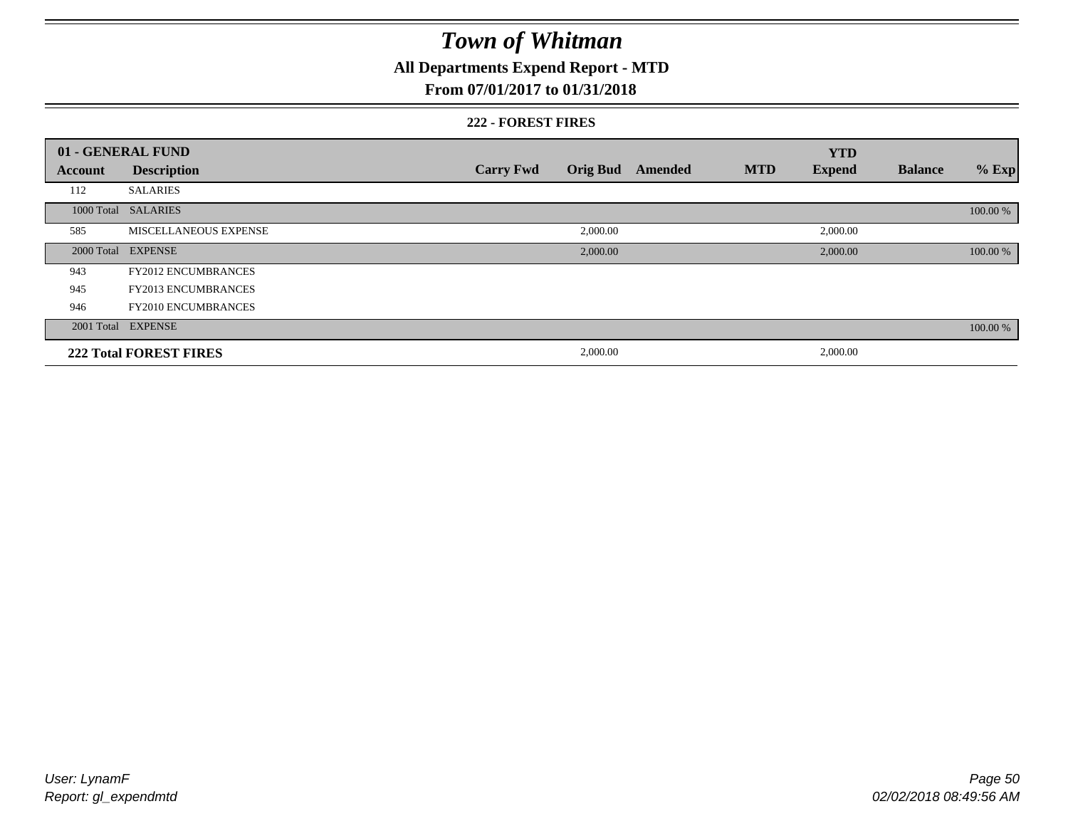### **All Departments Expend Report - MTD**

### **From 07/01/2017 to 01/31/2018**

#### **222 - FOREST FIRES**

|         | 01 - GENERAL FUND             |                  |          |                         |            | <b>YTD</b>    |                |          |
|---------|-------------------------------|------------------|----------|-------------------------|------------|---------------|----------------|----------|
| Account | <b>Description</b>            | <b>Carry Fwd</b> |          | <b>Orig Bud</b> Amended | <b>MTD</b> | <b>Expend</b> | <b>Balance</b> | $%$ Exp  |
| 112     | <b>SALARIES</b>               |                  |          |                         |            |               |                |          |
|         | 1000 Total SALARIES           |                  |          |                         |            |               |                | 100.00 % |
| 585     | MISCELLANEOUS EXPENSE         |                  | 2,000.00 |                         |            | 2,000.00      |                |          |
|         | 2000 Total EXPENSE            |                  | 2,000.00 |                         |            | 2,000.00      |                | 100.00 % |
| 943     | <b>FY2012 ENCUMBRANCES</b>    |                  |          |                         |            |               |                |          |
| 945     | <b>FY2013 ENCUMBRANCES</b>    |                  |          |                         |            |               |                |          |
| 946     | <b>FY2010 ENCUMBRANCES</b>    |                  |          |                         |            |               |                |          |
|         | 2001 Total EXPENSE            |                  |          |                         |            |               |                | 100.00 % |
|         | <b>222 Total FOREST FIRES</b> |                  | 2,000.00 |                         |            | 2,000.00      |                |          |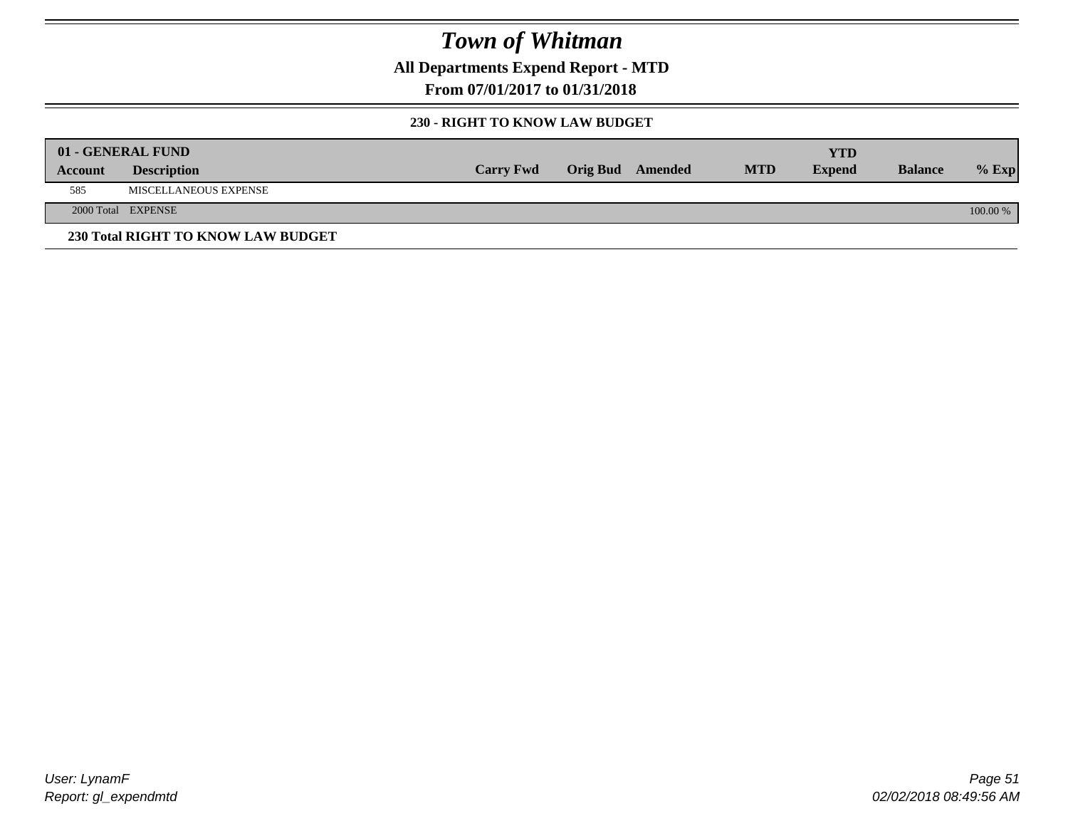**All Departments Expend Report - MTD**

**From 07/01/2017 to 01/31/2018**

#### **230 - RIGHT TO KNOW LAW BUDGET**

|         | 01 - GENERAL FUND                  |                  |                  |            | YTD           |                |          |
|---------|------------------------------------|------------------|------------------|------------|---------------|----------------|----------|
| Account | <b>Description</b>                 | <b>Carry Fwd</b> | Orig Bud Amended | <b>MTD</b> | <b>Expend</b> | <b>Balance</b> | $%$ Exp  |
| 585     | MISCELLANEOUS EXPENSE              |                  |                  |            |               |                |          |
|         | 2000 Total EXPENSE                 |                  |                  |            |               |                | 100.00 % |
|         | 230 Total RIGHT TO KNOW LAW BUDGET |                  |                  |            |               |                |          |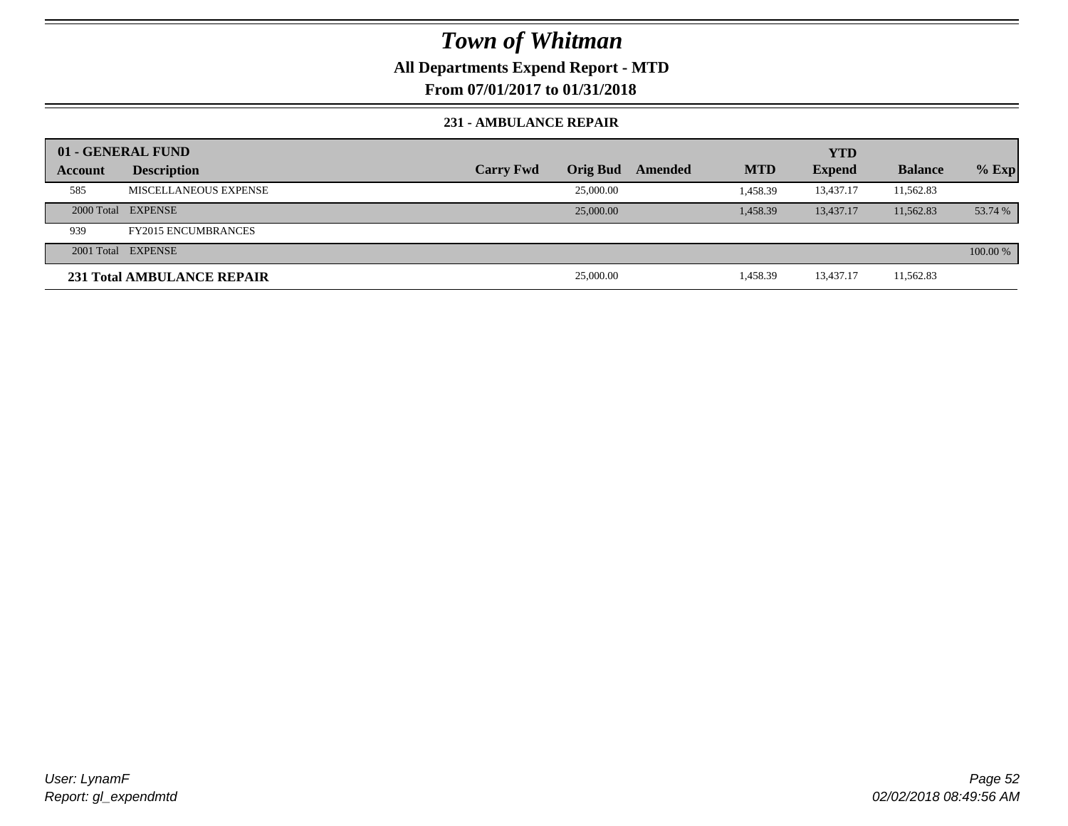### **All Departments Expend Report - MTD**

**From 07/01/2017 to 01/31/2018**

#### **231 - AMBULANCE REPAIR**

|         | 01 - GENERAL FUND            |                  |                 |         |            | <b>YTD</b>    |                |          |
|---------|------------------------------|------------------|-----------------|---------|------------|---------------|----------------|----------|
| Account | <b>Description</b>           | <b>Carry Fwd</b> | <b>Orig Bud</b> | Amended | <b>MTD</b> | <b>Expend</b> | <b>Balance</b> | $%$ Exp  |
| 585     | <b>MISCELLANEOUS EXPENSE</b> |                  | 25,000.00       |         | 1.458.39   | 13,437.17     | 11,562.83      |          |
|         | 2000 Total EXPENSE           |                  | 25,000.00       |         | 1.458.39   | 13,437.17     | 11,562.83      | 53.74 %  |
| 939     | <b>FY2015 ENCUMBRANCES</b>   |                  |                 |         |            |               |                |          |
|         | 2001 Total EXPENSE           |                  |                 |         |            |               |                | 100.00 % |
|         | 231 Total AMBULANCE REPAIR   |                  | 25,000.00       |         | 1,458.39   | 13,437.17     | 11,562.83      |          |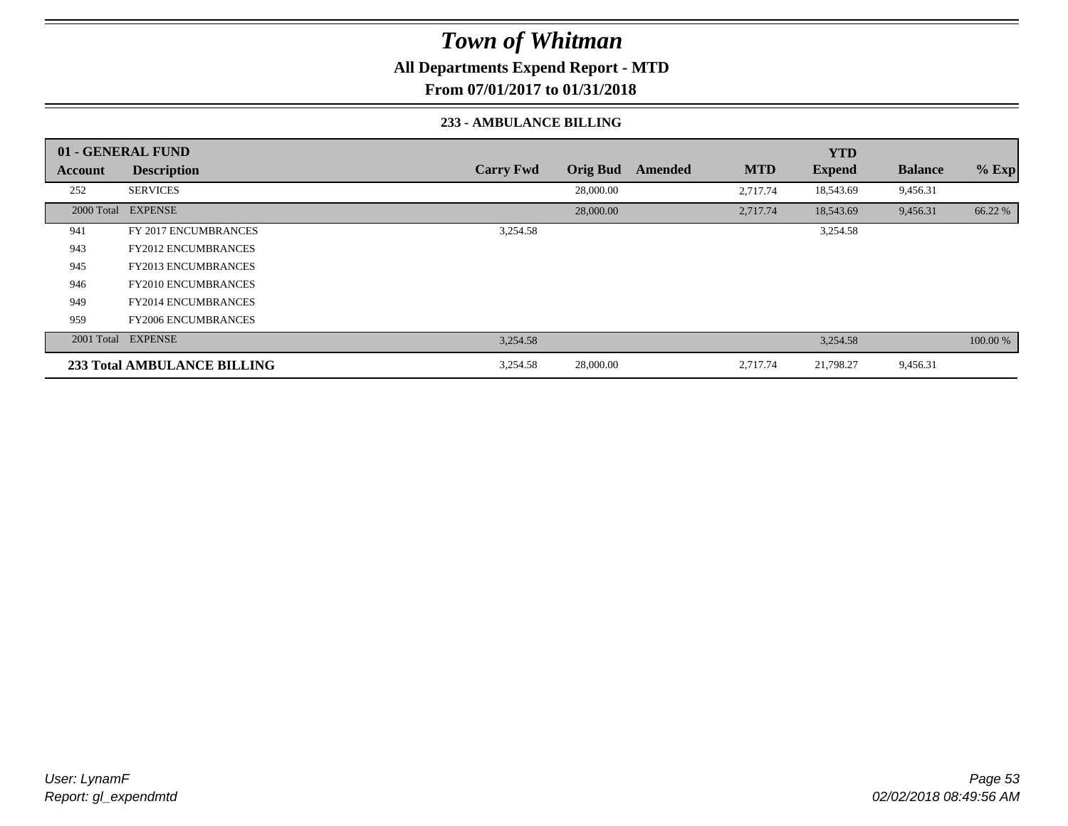**All Departments Expend Report - MTD**

**From 07/01/2017 to 01/31/2018**

#### **233 - AMBULANCE BILLING**

|         | 01 - GENERAL FUND           |                  |                 |         |            | <b>YTD</b>    |                |          |
|---------|-----------------------------|------------------|-----------------|---------|------------|---------------|----------------|----------|
| Account | <b>Description</b>          | <b>Carry Fwd</b> | <b>Orig Bud</b> | Amended | <b>MTD</b> | <b>Expend</b> | <b>Balance</b> | $%$ Exp  |
| 252     | <b>SERVICES</b>             |                  | 28,000.00       |         | 2,717.74   | 18,543.69     | 9,456.31       |          |
|         | 2000 Total EXPENSE          |                  | 28,000.00       |         | 2,717.74   | 18,543.69     | 9,456.31       | 66.22 %  |
| 941     | FY 2017 ENCUMBRANCES        | 3,254.58         |                 |         |            | 3,254.58      |                |          |
| 943     | <b>FY2012 ENCUMBRANCES</b>  |                  |                 |         |            |               |                |          |
| 945     | <b>FY2013 ENCUMBRANCES</b>  |                  |                 |         |            |               |                |          |
| 946     | <b>FY2010 ENCUMBRANCES</b>  |                  |                 |         |            |               |                |          |
| 949     | <b>FY2014 ENCUMBRANCES</b>  |                  |                 |         |            |               |                |          |
| 959     | <b>FY2006 ENCUMBRANCES</b>  |                  |                 |         |            |               |                |          |
|         | 2001 Total EXPENSE          | 3,254.58         |                 |         |            | 3,254.58      |                | 100.00 % |
|         | 233 Total AMBULANCE BILLING | 3,254.58         | 28,000.00       |         | 2,717.74   | 21,798.27     | 9,456.31       |          |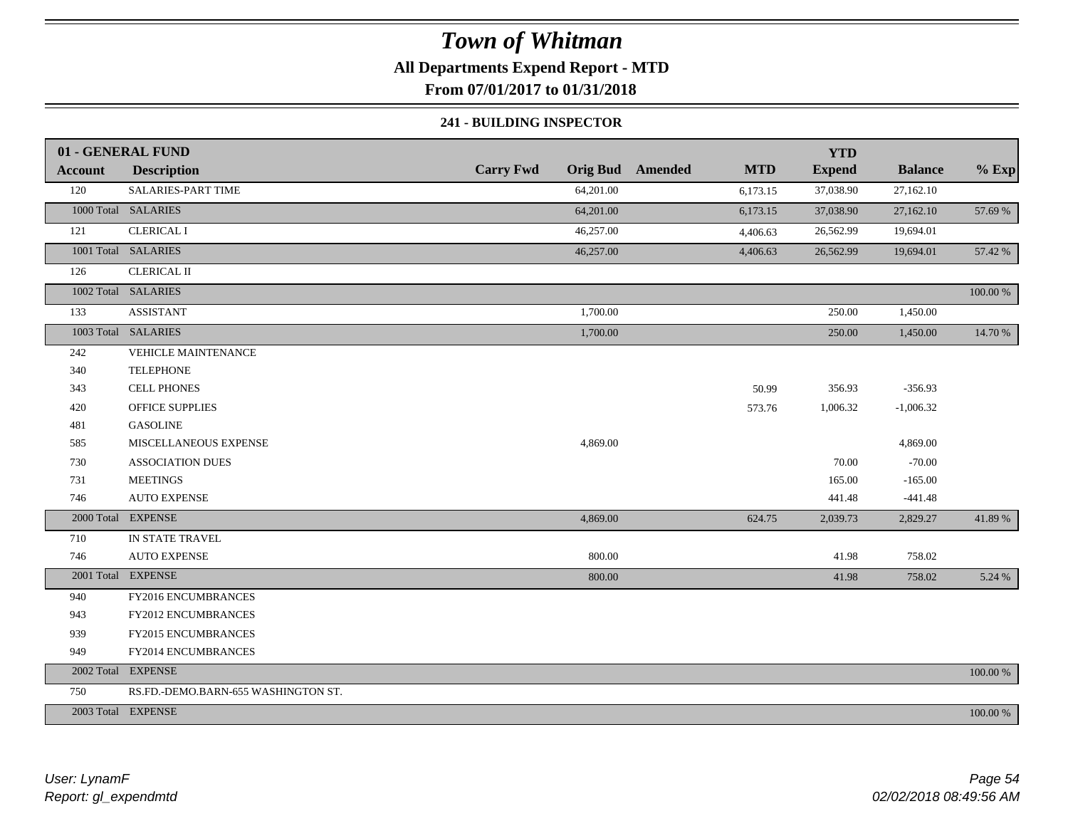**All Departments Expend Report - MTD**

**From 07/01/2017 to 01/31/2018**

#### **241 - BUILDING INSPECTOR**

|                | 01 - GENERAL FUND                   |                  |           |                         |            | <b>YTD</b>    |                |          |
|----------------|-------------------------------------|------------------|-----------|-------------------------|------------|---------------|----------------|----------|
| <b>Account</b> | <b>Description</b>                  | <b>Carry Fwd</b> |           | <b>Orig Bud</b> Amended | <b>MTD</b> | <b>Expend</b> | <b>Balance</b> | $%$ Exp  |
| 120            | SALARIES-PART TIME                  |                  | 64,201.00 |                         | 6,173.15   | 37,038.90     | 27,162.10      |          |
|                | 1000 Total SALARIES                 |                  | 64,201.00 |                         | 6,173.15   | 37,038.90     | 27,162.10      | 57.69 %  |
| 121            | <b>CLERICAL I</b>                   |                  | 46,257.00 |                         | 4,406.63   | 26,562.99     | 19,694.01      |          |
|                | 1001 Total SALARIES                 |                  | 46,257.00 |                         | 4,406.63   | 26,562.99     | 19,694.01      | 57.42 %  |
| 126            | <b>CLERICAL II</b>                  |                  |           |                         |            |               |                |          |
|                | 1002 Total SALARIES                 |                  |           |                         |            |               |                | 100.00 % |
| 133            | <b>ASSISTANT</b>                    |                  | 1,700.00  |                         |            | 250.00        | 1,450.00       |          |
|                | 1003 Total SALARIES                 |                  | 1,700.00  |                         |            | 250.00        | 1,450.00       | 14.70 %  |
| 242            | <b>VEHICLE MAINTENANCE</b>          |                  |           |                         |            |               |                |          |
| 340            | <b>TELEPHONE</b>                    |                  |           |                         |            |               |                |          |
| 343            | <b>CELL PHONES</b>                  |                  |           |                         | 50.99      | 356.93        | $-356.93$      |          |
| 420            | <b>OFFICE SUPPLIES</b>              |                  |           |                         | 573.76     | 1,006.32      | $-1,006.32$    |          |
| 481            | <b>GASOLINE</b>                     |                  |           |                         |            |               |                |          |
| 585            | MISCELLANEOUS EXPENSE               |                  | 4,869.00  |                         |            |               | 4,869.00       |          |
| 730            | <b>ASSOCIATION DUES</b>             |                  |           |                         |            | 70.00         | $-70.00$       |          |
| 731            | <b>MEETINGS</b>                     |                  |           |                         |            | 165.00        | $-165.00$      |          |
| 746            | <b>AUTO EXPENSE</b>                 |                  |           |                         |            | 441.48        | $-441.48$      |          |
|                | 2000 Total EXPENSE                  |                  | 4,869.00  |                         | 624.75     | 2,039.73      | 2,829.27       | 41.89 %  |
| 710            | IN STATE TRAVEL                     |                  |           |                         |            |               |                |          |
| 746            | <b>AUTO EXPENSE</b>                 |                  | 800.00    |                         |            | 41.98         | 758.02         |          |
|                | 2001 Total EXPENSE                  |                  | 800.00    |                         |            | 41.98         | 758.02         | 5.24 %   |
| 940            | FY2016 ENCUMBRANCES                 |                  |           |                         |            |               |                |          |
| 943            | FY2012 ENCUMBRANCES                 |                  |           |                         |            |               |                |          |
| 939            | FY2015 ENCUMBRANCES                 |                  |           |                         |            |               |                |          |
| 949            | FY2014 ENCUMBRANCES                 |                  |           |                         |            |               |                |          |
|                | 2002 Total EXPENSE                  |                  |           |                         |            |               |                | 100.00 % |
| 750            | RS.FD.-DEMO.BARN-655 WASHINGTON ST. |                  |           |                         |            |               |                |          |
|                | 2003 Total EXPENSE                  |                  |           |                         |            |               |                | 100.00 % |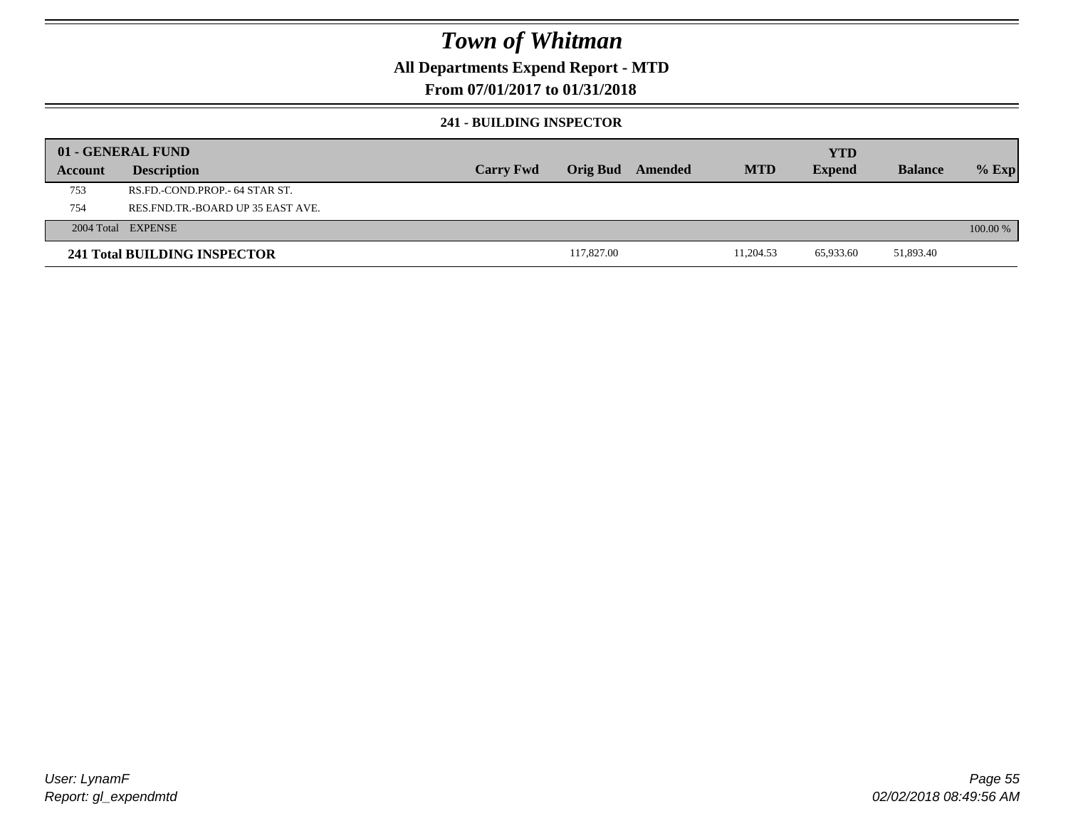### **All Departments Expend Report - MTD**

### **From 07/01/2017 to 01/31/2018**

#### **241 - BUILDING INSPECTOR**

|         | 01 - GENERAL FUND                   |                  |                 |         |            | <b>YTD</b>    |                |          |
|---------|-------------------------------------|------------------|-----------------|---------|------------|---------------|----------------|----------|
| Account | <b>Description</b>                  | <b>Carry Fwd</b> | <b>Orig Bud</b> | Amended | <b>MTD</b> | <b>Expend</b> | <b>Balance</b> | $%$ Exp  |
| 753     | RS.FD.-COND.PROP.- 64 STAR ST.      |                  |                 |         |            |               |                |          |
| 754     | RES.FND.TR.-BOARD UP 35 EAST AVE.   |                  |                 |         |            |               |                |          |
|         | 2004 Total EXPENSE                  |                  |                 |         |            |               |                | 100.00 % |
|         | <b>241 Total BUILDING INSPECTOR</b> |                  | 117,827.00      |         | 11,204.53  | 65,933.60     | 51,893.40      |          |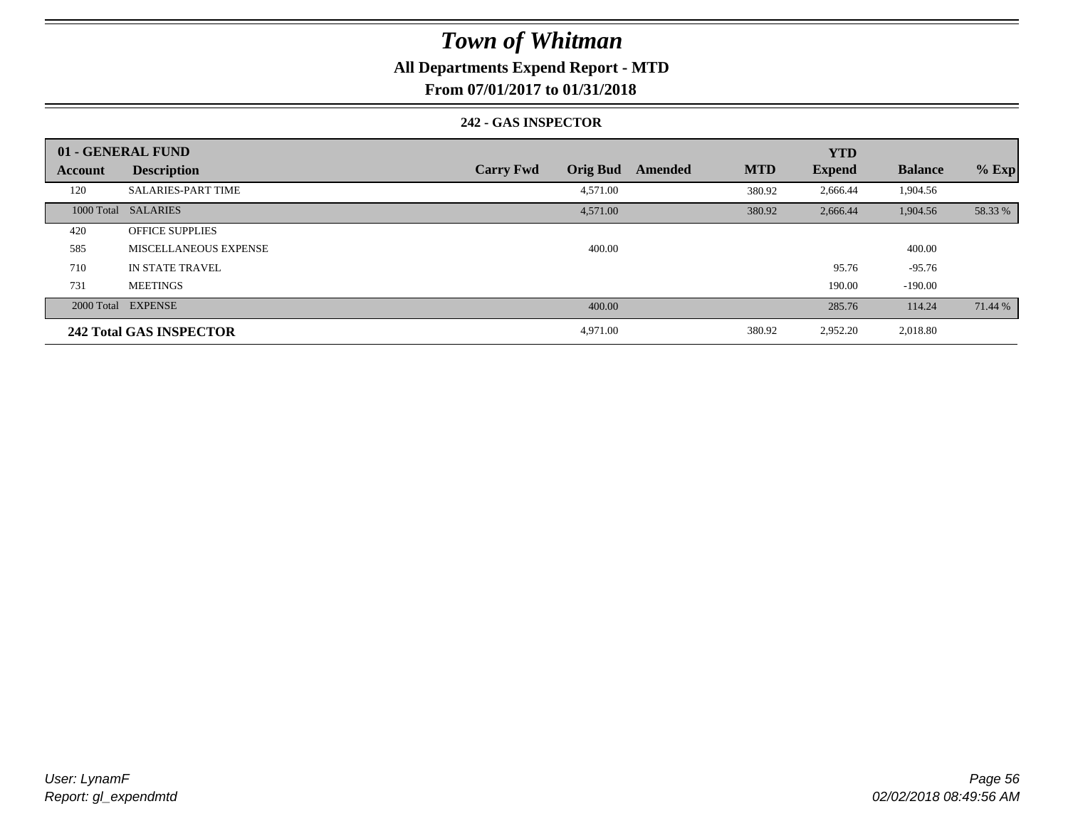### **All Departments Expend Report - MTD**

**From 07/01/2017 to 01/31/2018**

#### **242 - GAS INSPECTOR**

|         | 01 - GENERAL FUND              |                                     |                       | <b>YTD</b>    |                |         |
|---------|--------------------------------|-------------------------------------|-----------------------|---------------|----------------|---------|
| Account | <b>Description</b>             | <b>Carry Fwd</b><br><b>Orig Bud</b> | <b>MTD</b><br>Amended | <b>Expend</b> | <b>Balance</b> | $%$ Exp |
| 120     | <b>SALARIES-PART TIME</b>      | 4,571.00                            | 380.92                | 2,666.44      | 1,904.56       |         |
|         | 1000 Total SALARIES            | 4,571.00                            | 380.92                | 2,666.44      | 1,904.56       | 58.33 % |
| 420     | <b>OFFICE SUPPLIES</b>         |                                     |                       |               |                |         |
| 585     | MISCELLANEOUS EXPENSE          | 400.00                              |                       |               | 400.00         |         |
| 710     | IN STATE TRAVEL                |                                     |                       | 95.76         | $-95.76$       |         |
| 731     | <b>MEETINGS</b>                |                                     |                       | 190.00        | $-190.00$      |         |
|         | 2000 Total EXPENSE             | 400.00                              |                       | 285.76        | 114.24         | 71.44 % |
|         | <b>242 Total GAS INSPECTOR</b> | 4,971.00                            | 380.92                | 2,952.20      | 2,018.80       |         |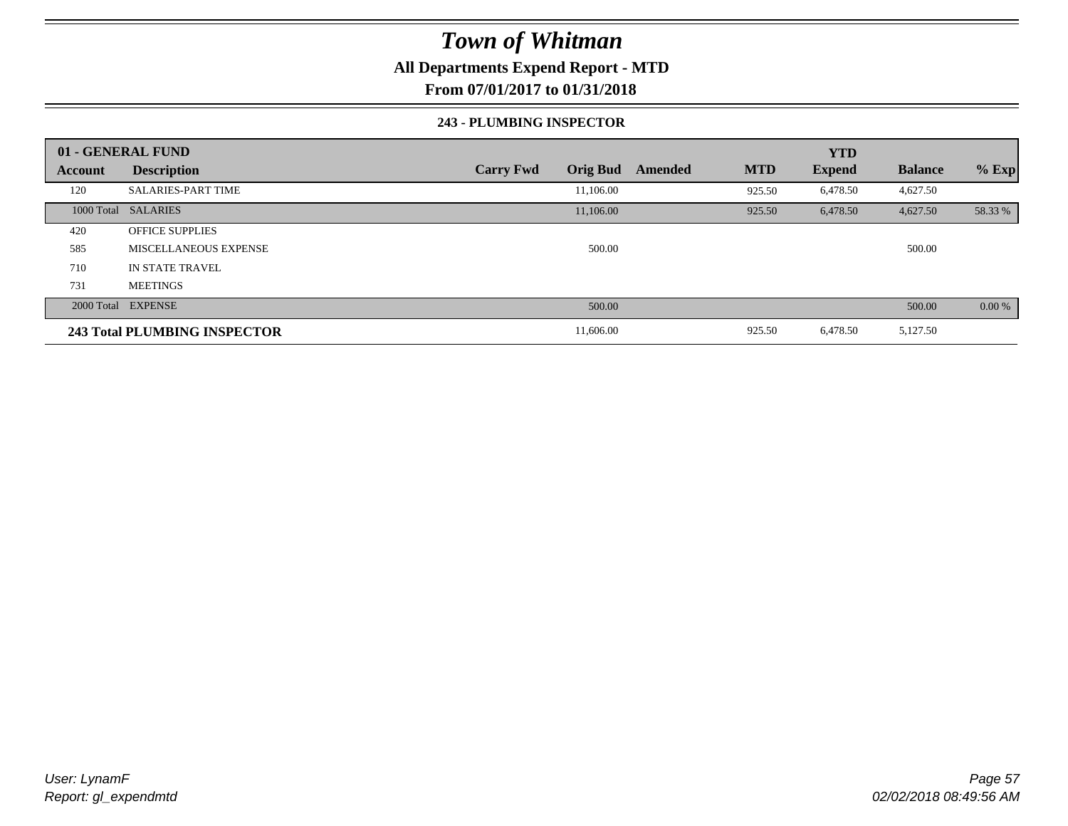### **All Departments Expend Report - MTD**

**From 07/01/2017 to 01/31/2018**

#### **243 - PLUMBING INSPECTOR**

|                | 01 - GENERAL FUND            |                                     |                       | <b>YTD</b>    |                |         |
|----------------|------------------------------|-------------------------------------|-----------------------|---------------|----------------|---------|
| <b>Account</b> | <b>Description</b>           | <b>Carry Fwd</b><br><b>Orig Bud</b> | <b>MTD</b><br>Amended | <b>Expend</b> | <b>Balance</b> | $%$ Exp |
| 120            | <b>SALARIES-PART TIME</b>    | 11,106.00                           | 925.50                | 6,478.50      | 4,627.50       |         |
|                | 1000 Total SALARIES          | 11,106.00                           | 925.50                | 6,478.50      | 4,627.50       | 58.33 % |
| 420            | <b>OFFICE SUPPLIES</b>       |                                     |                       |               |                |         |
| 585            | MISCELLANEOUS EXPENSE        | 500.00                              |                       |               | 500.00         |         |
| 710            | <b>IN STATE TRAVEL</b>       |                                     |                       |               |                |         |
| 731            | <b>MEETINGS</b>              |                                     |                       |               |                |         |
|                | 2000 Total EXPENSE           | 500.00                              |                       |               | 500.00         | 0.00%   |
|                | 243 Total PLUMBING INSPECTOR | 11,606.00                           | 925.50                | 6,478.50      | 5,127.50       |         |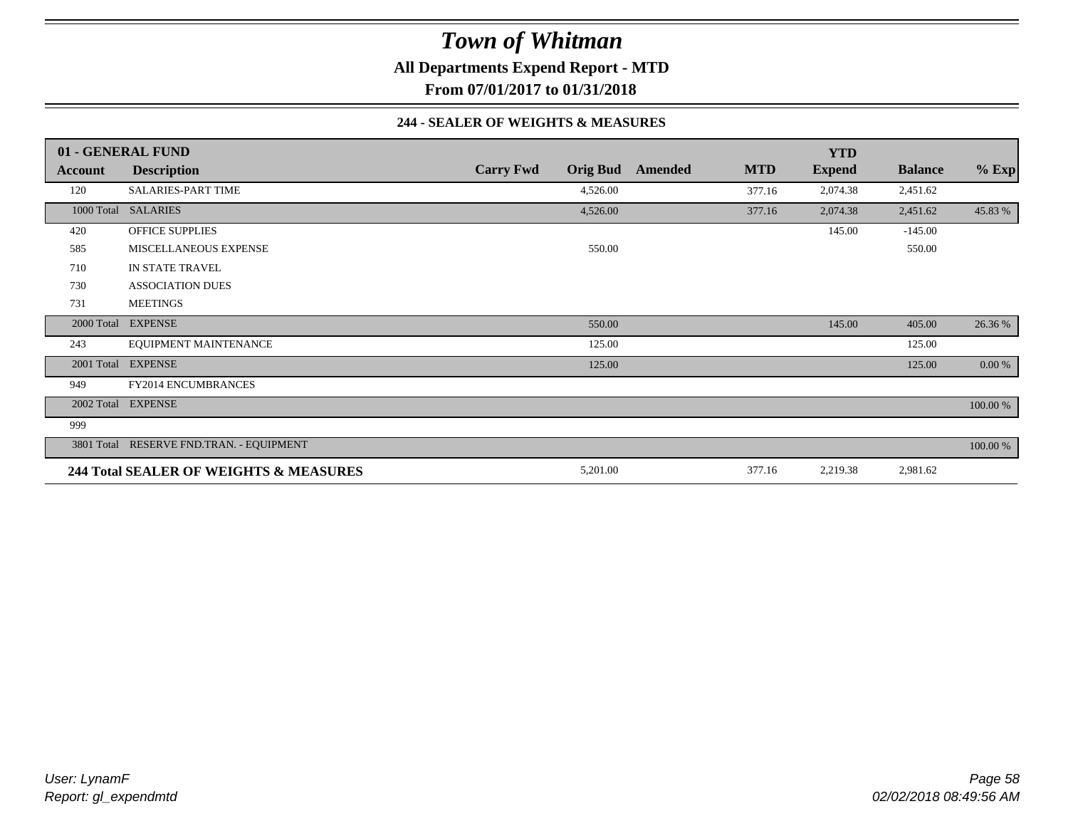## *Town of Whitman* **All Departments Expend Report - MTD**

**From 07/01/2017 to 01/31/2018**

#### **244 - SEALER OF WEIGHTS & MEASURES**

|            | 01 - GENERAL FUND                        |                  |                 |         |            | <b>YTD</b>    |                |             |
|------------|------------------------------------------|------------------|-----------------|---------|------------|---------------|----------------|-------------|
| Account    | <b>Description</b>                       | <b>Carry Fwd</b> | <b>Orig Bud</b> | Amended | <b>MTD</b> | <b>Expend</b> | <b>Balance</b> | $%$ Exp     |
| 120        | <b>SALARIES-PART TIME</b>                |                  | 4,526.00        |         | 377.16     | 2,074.38      | 2,451.62       |             |
|            | 1000 Total SALARIES                      |                  | 4,526.00        |         | 377.16     | 2,074.38      | 2,451.62       | 45.83 %     |
| 420        | <b>OFFICE SUPPLIES</b>                   |                  |                 |         |            | 145.00        | $-145.00$      |             |
| 585        | MISCELLANEOUS EXPENSE                    |                  | 550.00          |         |            |               | 550.00         |             |
| 710        | IN STATE TRAVEL                          |                  |                 |         |            |               |                |             |
| 730        | <b>ASSOCIATION DUES</b>                  |                  |                 |         |            |               |                |             |
| 731        | <b>MEETINGS</b>                          |                  |                 |         |            |               |                |             |
| 2000 Total | <b>EXPENSE</b>                           |                  | 550.00          |         |            | 145.00        | 405.00         | 26.36 %     |
| 243        | EQUIPMENT MAINTENANCE                    |                  | 125.00          |         |            |               | 125.00         |             |
|            | 2001 Total EXPENSE                       |                  | 125.00          |         |            |               | 125.00         | $0.00\%$    |
| 949        | FY2014 ENCUMBRANCES                      |                  |                 |         |            |               |                |             |
|            | 2002 Total EXPENSE                       |                  |                 |         |            |               |                | 100.00 %    |
| 999        |                                          |                  |                 |         |            |               |                |             |
|            | 3801 Total RESERVE FND.TRAN. - EQUIPMENT |                  |                 |         |            |               |                | $100.00~\%$ |
|            | 244 Total SEALER OF WEIGHTS & MEASURES   |                  | 5,201.00        |         | 377.16     | 2,219.38      | 2,981.62       |             |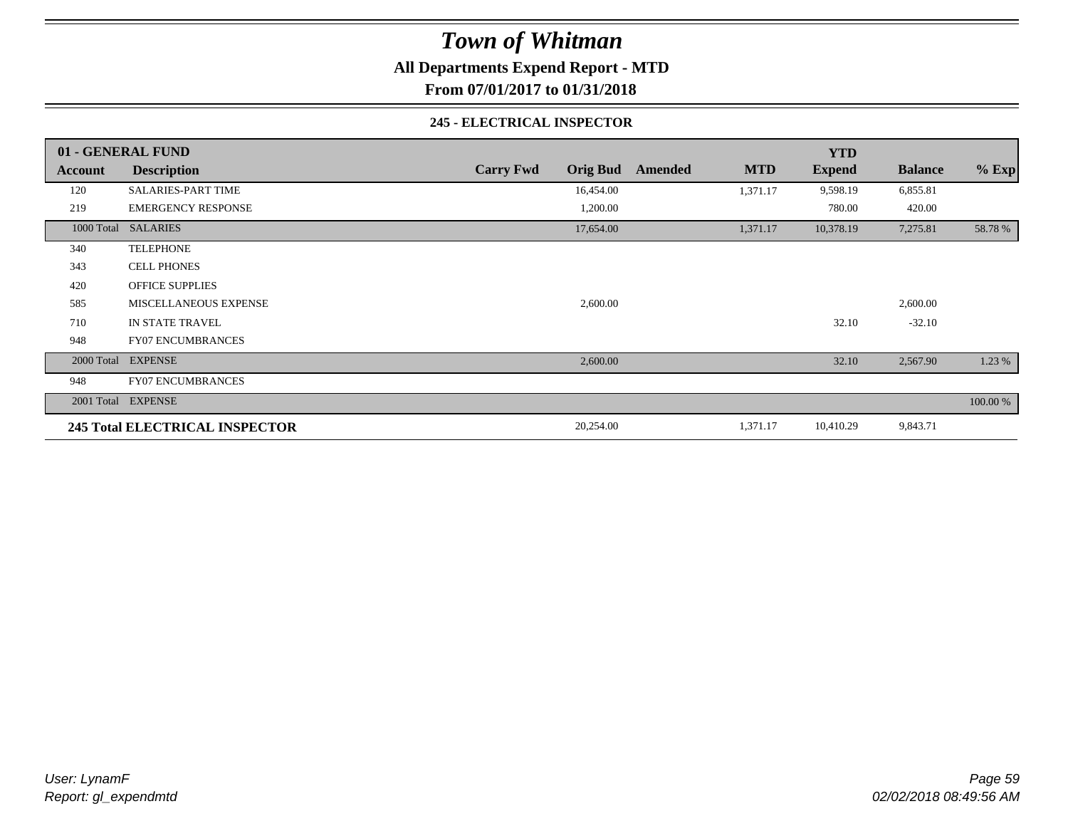**All Departments Expend Report - MTD**

**From 07/01/2017 to 01/31/2018**

#### **245 - ELECTRICAL INSPECTOR**

|         | 01 - GENERAL FUND                     |                                     |                       | <b>YTD</b>    |                |          |
|---------|---------------------------------------|-------------------------------------|-----------------------|---------------|----------------|----------|
| Account | <b>Description</b>                    | <b>Orig Bud</b><br><b>Carry Fwd</b> | <b>MTD</b><br>Amended | <b>Expend</b> | <b>Balance</b> | $%$ Exp  |
| 120     | <b>SALARIES-PART TIME</b>             | 16,454.00                           | 1,371.17              | 9,598.19      | 6,855.81       |          |
| 219     | <b>EMERGENCY RESPONSE</b>             | 1,200.00                            |                       | 780.00        | 420.00         |          |
|         | 1000 Total SALARIES                   | 17,654.00                           | 1,371.17              | 10,378.19     | 7,275.81       | 58.78 %  |
| 340     | <b>TELEPHONE</b>                      |                                     |                       |               |                |          |
| 343     | <b>CELL PHONES</b>                    |                                     |                       |               |                |          |
| 420     | <b>OFFICE SUPPLIES</b>                |                                     |                       |               |                |          |
| 585     | <b>MISCELLANEOUS EXPENSE</b>          | 2,600.00                            |                       |               | 2,600.00       |          |
| 710     | IN STATE TRAVEL                       |                                     |                       | 32.10         | $-32.10$       |          |
| 948     | <b>FY07 ENCUMBRANCES</b>              |                                     |                       |               |                |          |
|         | 2000 Total EXPENSE                    | 2,600.00                            |                       | 32.10         | 2,567.90       | 1.23 %   |
| 948     | <b>FY07 ENCUMBRANCES</b>              |                                     |                       |               |                |          |
|         | 2001 Total EXPENSE                    |                                     |                       |               |                | 100.00 % |
|         | <b>245 Total ELECTRICAL INSPECTOR</b> | 20,254.00                           | 1,371.17              | 10,410.29     | 9,843.71       |          |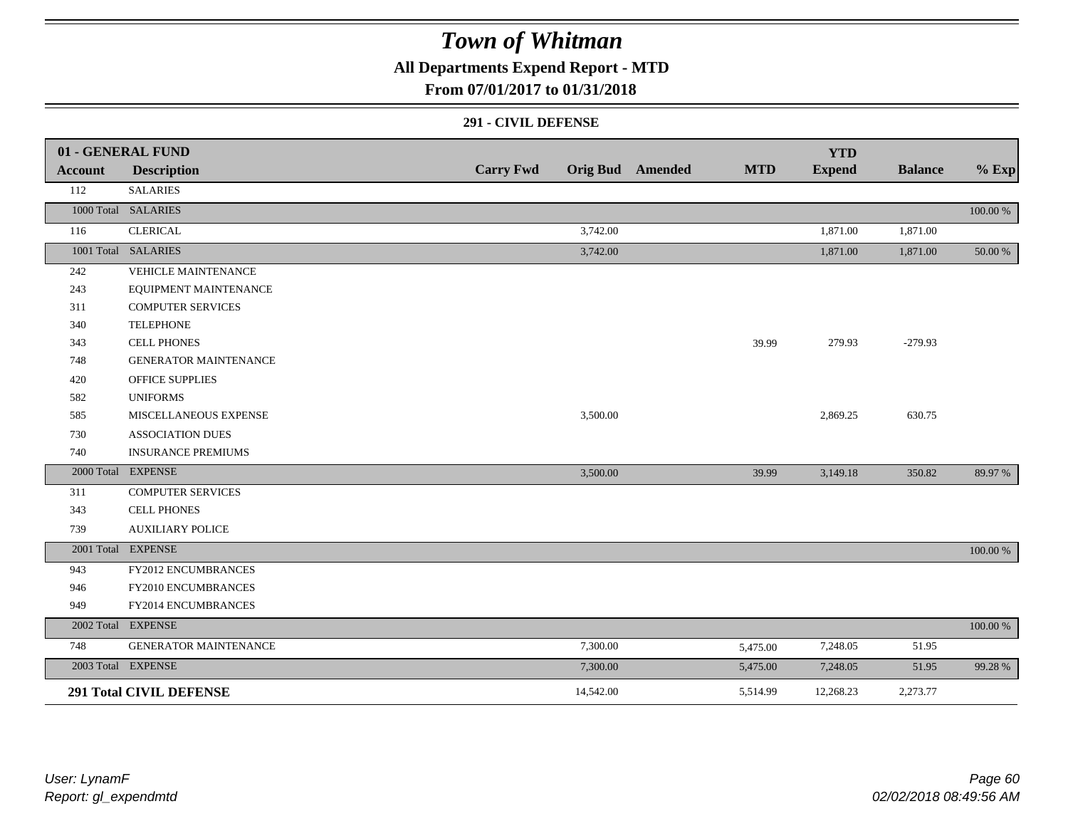**All Departments Expend Report - MTD**

### **From 07/01/2017 to 01/31/2018**

#### **291 - CIVIL DEFENSE**

|                | 01 - GENERAL FUND              |                  |           |                         |            | <b>YTD</b>    |                |          |
|----------------|--------------------------------|------------------|-----------|-------------------------|------------|---------------|----------------|----------|
| <b>Account</b> | <b>Description</b>             | <b>Carry Fwd</b> |           | <b>Orig Bud</b> Amended | <b>MTD</b> | <b>Expend</b> | <b>Balance</b> | $%$ Exp  |
| 112            | <b>SALARIES</b>                |                  |           |                         |            |               |                |          |
|                | 1000 Total SALARIES            |                  |           |                         |            |               |                | 100.00 % |
| 116            | <b>CLERICAL</b>                |                  | 3,742.00  |                         |            | 1,871.00      | 1,871.00       |          |
|                | 1001 Total SALARIES            |                  | 3,742.00  |                         |            | 1,871.00      | 1,871.00       | 50.00 %  |
| 242            | VEHICLE MAINTENANCE            |                  |           |                         |            |               |                |          |
| 243            | EQUIPMENT MAINTENANCE          |                  |           |                         |            |               |                |          |
| 311            | <b>COMPUTER SERVICES</b>       |                  |           |                         |            |               |                |          |
| 340            | <b>TELEPHONE</b>               |                  |           |                         |            |               |                |          |
| 343            | <b>CELL PHONES</b>             |                  |           |                         | 39.99      | 279.93        | $-279.93$      |          |
| 748            | <b>GENERATOR MAINTENANCE</b>   |                  |           |                         |            |               |                |          |
| 420            | <b>OFFICE SUPPLIES</b>         |                  |           |                         |            |               |                |          |
| 582            | <b>UNIFORMS</b>                |                  |           |                         |            |               |                |          |
| 585            | MISCELLANEOUS EXPENSE          |                  | 3,500.00  |                         |            | 2,869.25      | 630.75         |          |
| 730            | <b>ASSOCIATION DUES</b>        |                  |           |                         |            |               |                |          |
| 740            | <b>INSURANCE PREMIUMS</b>      |                  |           |                         |            |               |                |          |
|                | 2000 Total EXPENSE             |                  | 3,500.00  |                         | 39.99      | 3,149.18      | 350.82         | 89.97 %  |
| 311            | <b>COMPUTER SERVICES</b>       |                  |           |                         |            |               |                |          |
| 343            | <b>CELL PHONES</b>             |                  |           |                         |            |               |                |          |
| 739            | <b>AUXILIARY POLICE</b>        |                  |           |                         |            |               |                |          |
|                | 2001 Total EXPENSE             |                  |           |                         |            |               |                | 100.00 % |
| 943            | FY2012 ENCUMBRANCES            |                  |           |                         |            |               |                |          |
| 946            | FY2010 ENCUMBRANCES            |                  |           |                         |            |               |                |          |
| 949            | FY2014 ENCUMBRANCES            |                  |           |                         |            |               |                |          |
|                | 2002 Total EXPENSE             |                  |           |                         |            |               |                | 100.00 % |
| 748            | <b>GENERATOR MAINTENANCE</b>   |                  | 7,300.00  |                         | 5,475.00   | 7,248.05      | 51.95          |          |
|                | 2003 Total EXPENSE             |                  | 7,300.00  |                         | 5,475.00   | 7,248.05      | 51.95          | 99.28 %  |
|                | <b>291 Total CIVIL DEFENSE</b> |                  | 14,542.00 |                         | 5,514.99   | 12,268.23     | 2,273.77       |          |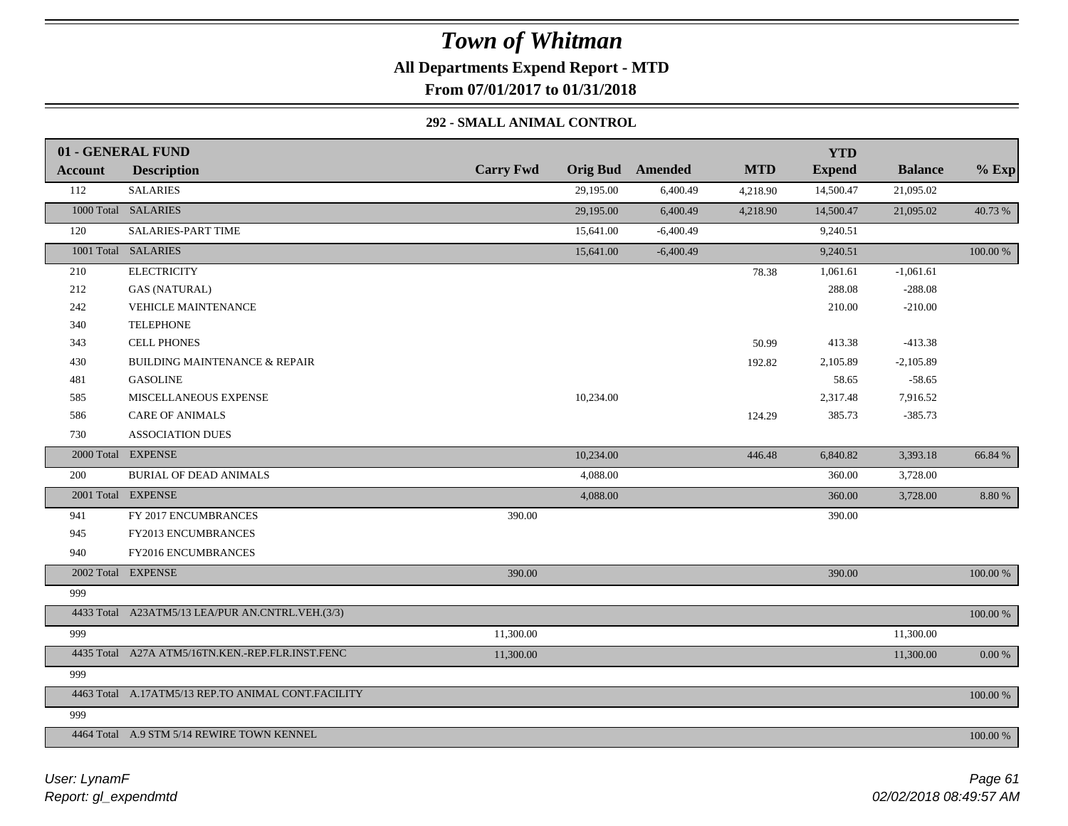### *Town of Whitman* **All Departments Expend Report - MTD From 07/01/2017 to 01/31/2018**

#### **292 - SMALL ANIMAL CONTROL**

| <b>Carry Fwd</b><br><b>Orig Bud</b> Amended<br><b>MTD</b><br><b>Expend</b><br><b>Balance</b><br><b>Description</b><br><b>Account</b><br>112<br><b>SALARIES</b><br>29,195.00<br>21,095.02<br>6,400.49<br>14,500.47<br>4,218.90<br>1000 Total SALARIES<br>29,195.00<br>6,400.49<br>14,500.47<br>4,218.90<br>21,095.02 | $%$ Exp<br>40.73 %<br>100.00 % |
|---------------------------------------------------------------------------------------------------------------------------------------------------------------------------------------------------------------------------------------------------------------------------------------------------------------------|--------------------------------|
|                                                                                                                                                                                                                                                                                                                     |                                |
|                                                                                                                                                                                                                                                                                                                     |                                |
|                                                                                                                                                                                                                                                                                                                     |                                |
| <b>SALARIES-PART TIME</b><br>120<br>15,641.00<br>$-6,400.49$<br>9,240.51                                                                                                                                                                                                                                            |                                |
| 1001 Total SALARIES<br>15,641.00<br>$-6,400.49$<br>9,240.51                                                                                                                                                                                                                                                         |                                |
| <b>ELECTRICITY</b><br>210<br>1,061.61<br>$-1,061.61$<br>78.38                                                                                                                                                                                                                                                       |                                |
| 212<br><b>GAS (NATURAL)</b><br>288.08<br>$-288.08$                                                                                                                                                                                                                                                                  |                                |
| 242<br>VEHICLE MAINTENANCE<br>210.00<br>$-210.00$                                                                                                                                                                                                                                                                   |                                |
| <b>TELEPHONE</b><br>340                                                                                                                                                                                                                                                                                             |                                |
| <b>CELL PHONES</b><br>413.38<br>$-413.38$<br>343<br>50.99                                                                                                                                                                                                                                                           |                                |
| BUILDING MAINTENANCE & REPAIR<br>2,105.89<br>$-2,105.89$<br>430<br>192.82                                                                                                                                                                                                                                           |                                |
| <b>GASOLINE</b><br>58.65<br>$-58.65$<br>481                                                                                                                                                                                                                                                                         |                                |
| 10,234.00<br>MISCELLANEOUS EXPENSE<br>2,317.48<br>7,916.52<br>585                                                                                                                                                                                                                                                   |                                |
| 586<br><b>CARE OF ANIMALS</b><br>385.73<br>$-385.73$<br>124.29                                                                                                                                                                                                                                                      |                                |
| 730<br><b>ASSOCIATION DUES</b>                                                                                                                                                                                                                                                                                      |                                |
| 2000 Total EXPENSE<br>10,234.00<br>446.48<br>3,393.18<br>6,840.82                                                                                                                                                                                                                                                   | 66.84 %                        |
| 200<br><b>BURIAL OF DEAD ANIMALS</b><br>4,088.00<br>360.00<br>3,728.00                                                                                                                                                                                                                                              |                                |
| 2001 Total EXPENSE<br>360.00<br>4,088.00<br>3,728.00                                                                                                                                                                                                                                                                | 8.80 %                         |
| 390.00<br>941<br>FY 2017 ENCUMBRANCES<br>390.00                                                                                                                                                                                                                                                                     |                                |
| 945<br>FY2013 ENCUMBRANCES                                                                                                                                                                                                                                                                                          |                                |
| 940<br>FY2016 ENCUMBRANCES                                                                                                                                                                                                                                                                                          |                                |
| 2002 Total EXPENSE<br>390.00<br>390.00                                                                                                                                                                                                                                                                              | 100.00 %                       |
| 999                                                                                                                                                                                                                                                                                                                 |                                |
| 4433 Total A23ATM5/13 LEA/PUR AN.CNTRL.VEH.(3/3)                                                                                                                                                                                                                                                                    | 100.00 %                       |
| 999<br>11,300.00<br>11,300.00                                                                                                                                                                                                                                                                                       |                                |
| 4435 Total A27A ATM5/16TN.KEN.-REP.FLR.INST.FENC<br>11,300.00<br>11,300.00                                                                                                                                                                                                                                          | 0.00 %                         |
| 999                                                                                                                                                                                                                                                                                                                 |                                |
| 4463 Total A.17ATM5/13 REP.TO ANIMAL CONT.FACILITY                                                                                                                                                                                                                                                                  | 100.00 %                       |
| 999                                                                                                                                                                                                                                                                                                                 |                                |
| 4464 Total A.9 STM 5/14 REWIRE TOWN KENNEL                                                                                                                                                                                                                                                                          | 100.00 %                       |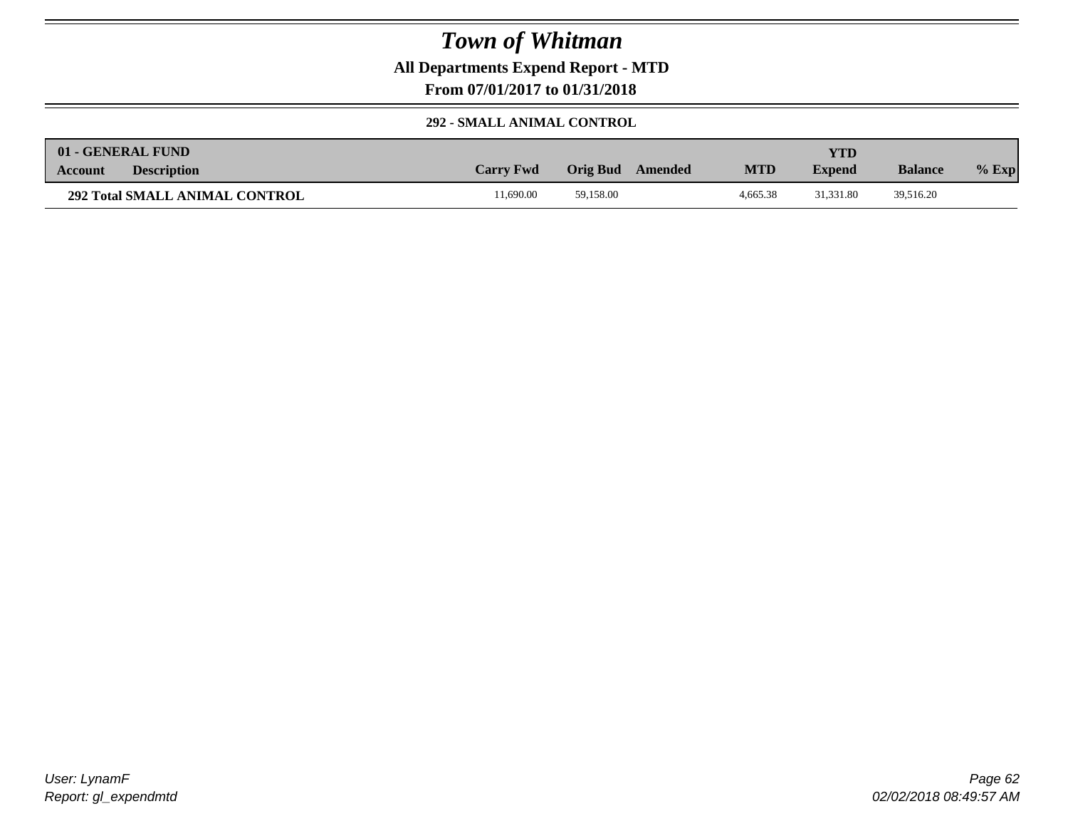**All Departments Expend Report - MTD**

**From 07/01/2017 to 01/31/2018**

### **292 - SMALL ANIMAL CONTROL**

| 01 - GENERAL FUND                     |                  |                     |            | YTD           |                |         |
|---------------------------------------|------------------|---------------------|------------|---------------|----------------|---------|
| <b>Description</b><br><b>Account</b>  | <b>Carry Fwd</b> | Orig Bud<br>Amended | <b>MTD</b> | <b>Expend</b> | <b>Balance</b> | $%$ Exp |
| <b>292 Total SMALL ANIMAL CONTROL</b> | 1.690.00         | 59.158.00           | 4.665.38   | 31.331.80     | 39,516.20      |         |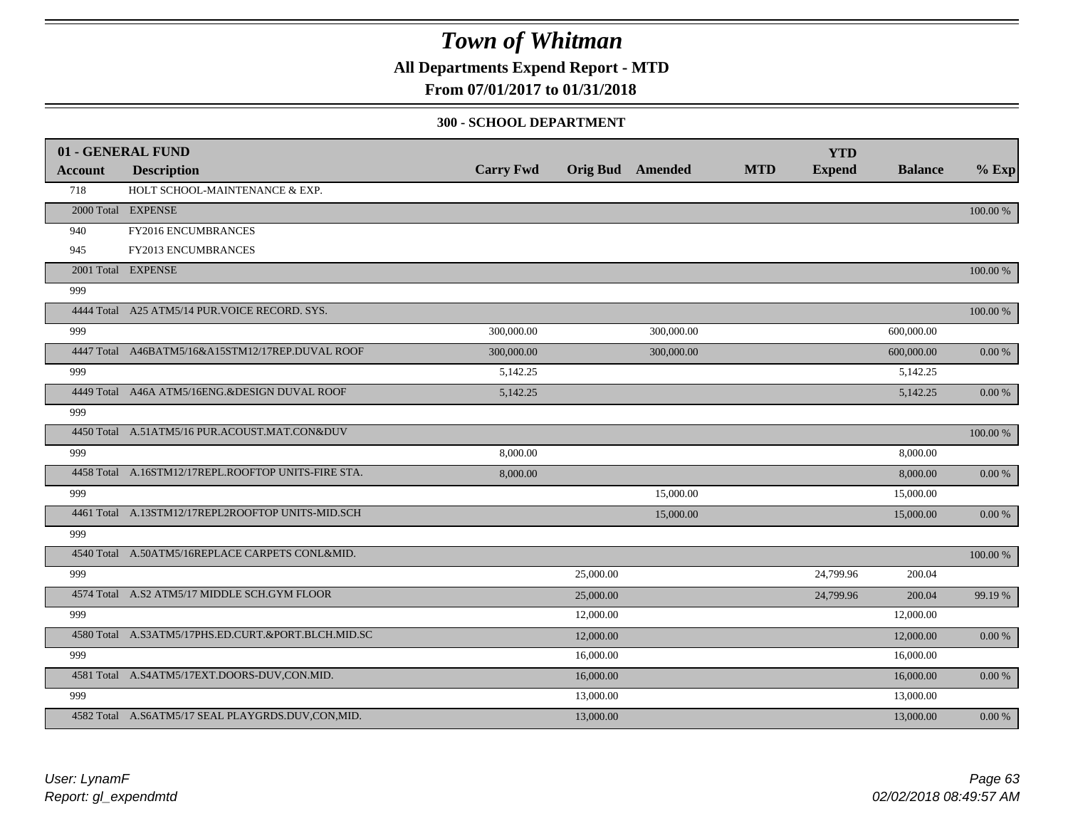**All Departments Expend Report - MTD**

### **From 07/01/2017 to 01/31/2018**

#### **300 - SCHOOL DEPARTMENT**

|         | 01 - GENERAL FUND                                   |                  |           |                         |            | <b>YTD</b>    |                |            |
|---------|-----------------------------------------------------|------------------|-----------|-------------------------|------------|---------------|----------------|------------|
| Account | <b>Description</b>                                  | <b>Carry Fwd</b> |           | <b>Orig Bud</b> Amended | <b>MTD</b> | <b>Expend</b> | <b>Balance</b> | $%$ Exp    |
| 718     | HOLT SCHOOL-MAINTENANCE & EXP.                      |                  |           |                         |            |               |                |            |
|         | 2000 Total EXPENSE                                  |                  |           |                         |            |               |                | 100.00 %   |
| 940     | FY2016 ENCUMBRANCES                                 |                  |           |                         |            |               |                |            |
| 945     | FY2013 ENCUMBRANCES                                 |                  |           |                         |            |               |                |            |
|         | 2001 Total EXPENSE                                  |                  |           |                         |            |               |                | 100.00 %   |
| 999     |                                                     |                  |           |                         |            |               |                |            |
|         | 4444 Total A25 ATM5/14 PUR. VOICE RECORD. SYS.      |                  |           |                         |            |               |                | 100.00 %   |
| 999     |                                                     | 300,000.00       |           | 300,000.00              |            |               | 600,000.00     |            |
|         | 4447 Total A46BATM5/16&A15STM12/17REP.DUVAL ROOF    | 300,000.00       |           | 300,000.00              |            |               | 600,000.00     | 0.00%      |
| 999     |                                                     | 5,142.25         |           |                         |            |               | 5,142.25       |            |
|         | 4449 Total A46A ATM5/16ENG.&DESIGN DUVAL ROOF       | 5,142.25         |           |                         |            |               | 5,142.25       | 0.00 %     |
| 999     |                                                     |                  |           |                         |            |               |                |            |
|         | 4450 Total A.51ATM5/16 PUR.ACOUST.MAT.CON&DUV       |                  |           |                         |            |               |                | 100.00 %   |
| 999     |                                                     | 8,000.00         |           |                         |            |               | 8,000.00       |            |
|         | 4458 Total A.16STM12/17REPL.ROOFTOP UNITS-FIRE STA. | 8,000.00         |           |                         |            |               | 8,000.00       | $0.00\,\%$ |
| 999     |                                                     |                  |           | 15,000.00               |            |               | 15,000.00      |            |
|         | 4461 Total A.13STM12/17REPL2ROOFTOP UNITS-MID.SCH   |                  |           | 15,000.00               |            |               | 15,000.00      | 0.00 %     |
| 999     |                                                     |                  |           |                         |            |               |                |            |
|         | 4540 Total A.50ATM5/16REPLACE CARPETS CONL&MID.     |                  |           |                         |            |               |                | 100.00 %   |
| 999     |                                                     |                  | 25,000.00 |                         |            | 24,799.96     | 200.04         |            |
|         | 4574 Total A.S2 ATM5/17 MIDDLE SCH.GYM FLOOR        |                  | 25,000.00 |                         |            | 24,799.96     | 200.04         | 99.19 %    |
| 999     |                                                     |                  | 12,000.00 |                         |            |               | 12,000.00      |            |
|         | 4580 Total A.S3ATM5/17PHS.ED.CURT.&PORT.BLCH.MID.SC |                  | 12,000.00 |                         |            |               | 12,000.00      | $0.00\ \%$ |
| 999     |                                                     |                  | 16,000.00 |                         |            |               | 16,000.00      |            |
|         | 4581 Total A.S4ATM5/17EXT.DOORS-DUV,CON.MID.        |                  | 16,000.00 |                         |            |               | 16,000.00      | 0.00%      |
| 999     |                                                     |                  | 13,000.00 |                         |            |               | 13,000.00      |            |
|         | 4582 Total A.S6ATM5/17 SEAL PLAYGRDS.DUV,CON,MID.   |                  | 13,000.00 |                         |            |               | 13,000.00      | $0.00\,\%$ |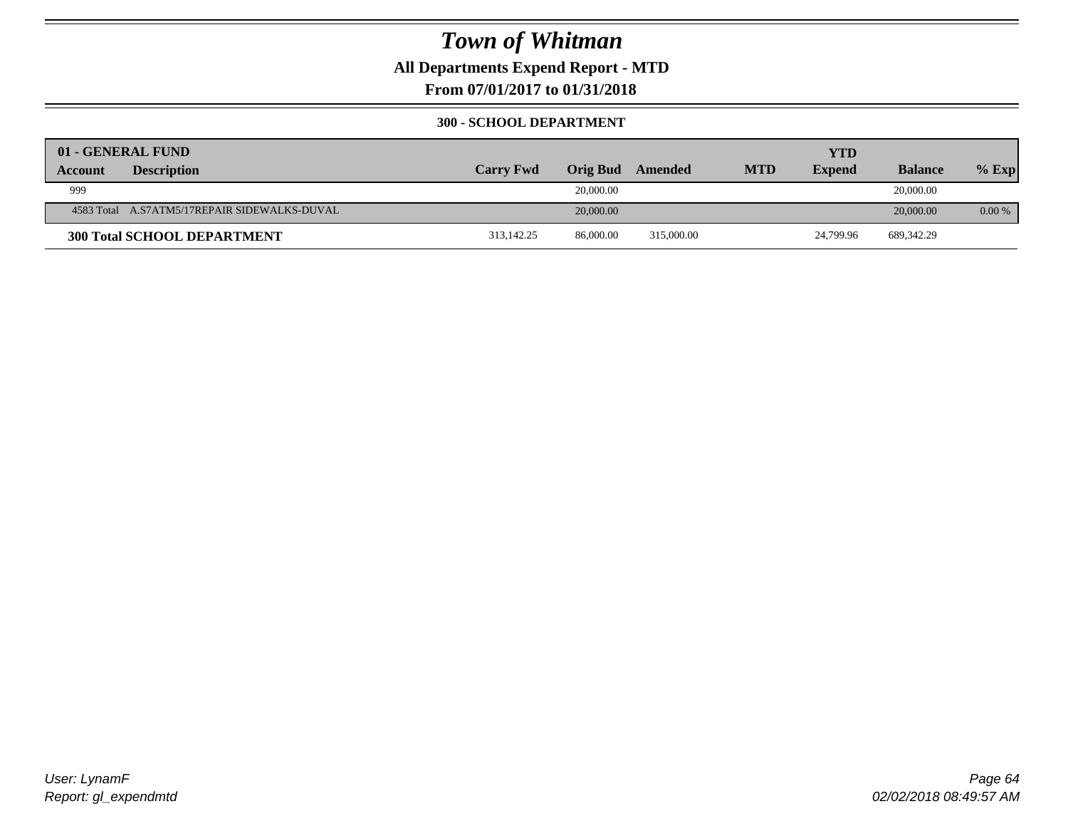**All Departments Expend Report - MTD**

**From 07/01/2017 to 01/31/2018**

#### **300 - SCHOOL DEPARTMENT**

|         | 01 - GENERAL FUND                            |                  |           |            |            | <b>YTD</b>    |                |         |
|---------|----------------------------------------------|------------------|-----------|------------|------------|---------------|----------------|---------|
| Account | <b>Description</b>                           | <b>Carry Fwd</b> | Orig Bud  | Amended    | <b>MTD</b> | <b>Expend</b> | <b>Balance</b> | $%$ Exp |
| 999     |                                              |                  | 20,000.00 |            |            |               | 20,000.00      |         |
|         | 4583 Total A.S7ATM5/17REPAIR SIDEWALKS-DUVAL |                  | 20,000.00 |            |            |               | 20,000.00      | 0.00 %  |
|         | <b>300 Total SCHOOL DEPARTMENT</b>           | 313.142.25       | 86,000.00 | 315,000.00 |            | 24,799.96     | 689, 342. 29   |         |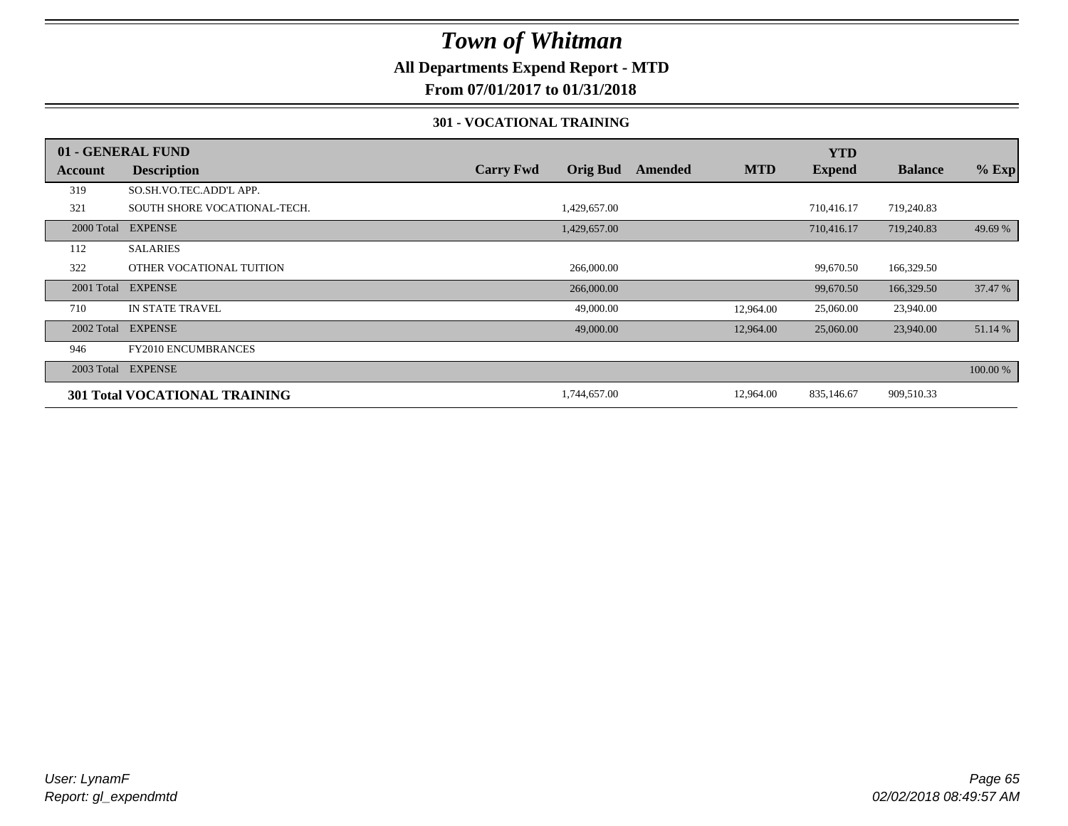### **All Departments Expend Report - MTD**

### **From 07/01/2017 to 01/31/2018**

#### **301 - VOCATIONAL TRAINING**

|            | 01 - GENERAL FUND                    |                  |                 |         |            | <b>YTD</b>    |                |          |
|------------|--------------------------------------|------------------|-----------------|---------|------------|---------------|----------------|----------|
| Account    | <b>Description</b>                   | <b>Carry Fwd</b> | <b>Orig Bud</b> | Amended | <b>MTD</b> | <b>Expend</b> | <b>Balance</b> | $%$ Exp  |
| 319        | SO.SH.VO.TEC.ADD'L APP.              |                  |                 |         |            |               |                |          |
| 321        | SOUTH SHORE VOCATIONAL-TECH.         |                  | 1,429,657.00    |         |            | 710,416.17    | 719,240.83     |          |
|            | 2000 Total EXPENSE                   |                  | 1,429,657.00    |         |            | 710,416.17    | 719,240.83     | 49.69 %  |
| 112        | <b>SALARIES</b>                      |                  |                 |         |            |               |                |          |
| 322        | OTHER VOCATIONAL TUITION             |                  | 266,000.00      |         |            | 99,670.50     | 166,329.50     |          |
| 2001 Total | <b>EXPENSE</b>                       |                  | 266,000.00      |         |            | 99,670.50     | 166,329.50     | 37.47 %  |
| 710        | <b>IN STATE TRAVEL</b>               |                  | 49,000.00       |         | 12,964.00  | 25,060.00     | 23,940.00      |          |
|            | 2002 Total EXPENSE                   |                  | 49,000.00       |         | 12,964.00  | 25,060.00     | 23,940.00      | 51.14 %  |
| 946        | <b>FY2010 ENCUMBRANCES</b>           |                  |                 |         |            |               |                |          |
|            | 2003 Total EXPENSE                   |                  |                 |         |            |               |                | 100.00 % |
|            | <b>301 Total VOCATIONAL TRAINING</b> |                  | 1,744,657.00    |         | 12,964.00  | 835,146.67    | 909,510.33     |          |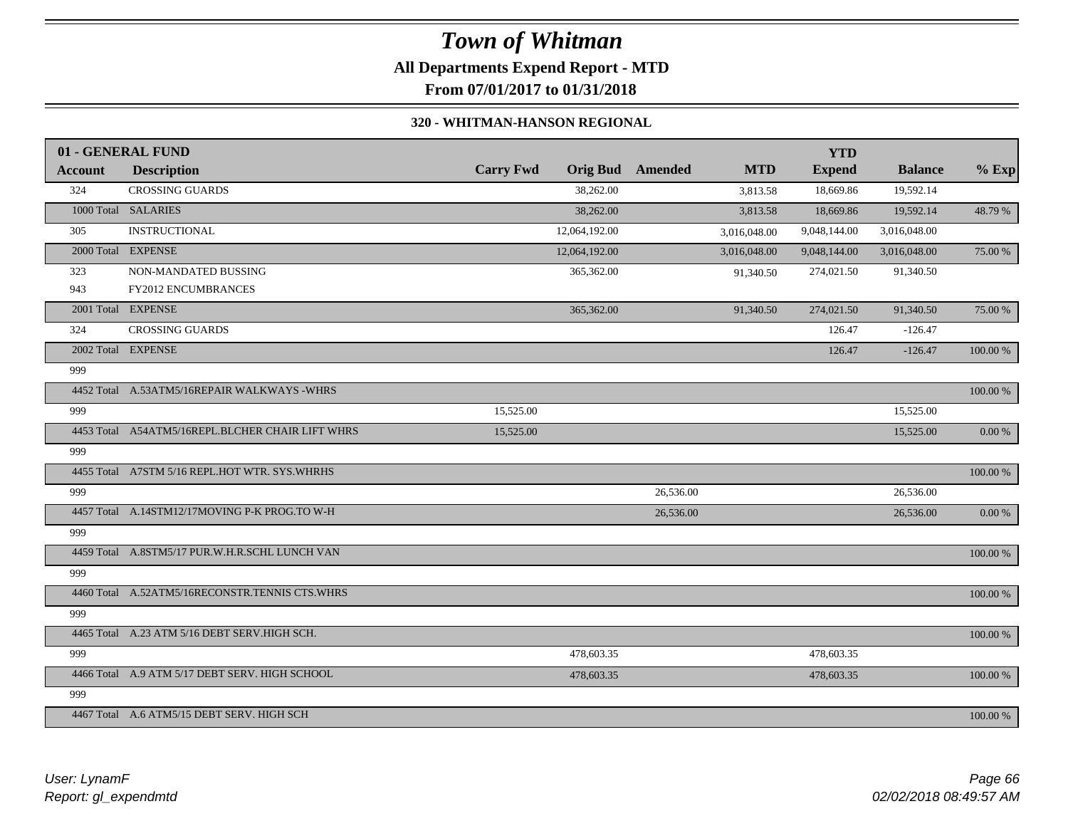### *Town of Whitman* **All Departments Expend Report - MTD From 07/01/2017 to 01/31/2018**

#### **320 - WHITMAN-HANSON REGIONAL**

|                | 01 - GENERAL FUND                                |                  |                 |           |              | <b>YTD</b>    |                |          |
|----------------|--------------------------------------------------|------------------|-----------------|-----------|--------------|---------------|----------------|----------|
| <b>Account</b> | <b>Description</b>                               | <b>Carry Fwd</b> | <b>Orig Bud</b> | Amended   | <b>MTD</b>   | <b>Expend</b> | <b>Balance</b> | $%$ Exp  |
| 324            | <b>CROSSING GUARDS</b>                           |                  | 38,262.00       |           | 3,813.58     | 18,669.86     | 19,592.14      |          |
|                | 1000 Total SALARIES                              |                  | 38,262.00       |           | 3,813.58     | 18,669.86     | 19,592.14      | 48.79 %  |
| 305            | <b>INSTRUCTIONAL</b>                             |                  | 12,064,192.00   |           | 3,016,048.00 | 9,048,144.00  | 3,016,048.00   |          |
|                | 2000 Total EXPENSE                               |                  | 12,064,192.00   |           | 3,016,048.00 | 9,048,144.00  | 3,016,048.00   | 75.00 %  |
| 323            | NON-MANDATED BUSSING                             |                  | 365,362.00      |           | 91,340.50    | 274,021.50    | 91,340.50      |          |
| 943            | FY2012 ENCUMBRANCES                              |                  |                 |           |              |               |                |          |
|                | 2001 Total EXPENSE                               |                  | 365,362.00      |           | 91,340.50    | 274,021.50    | 91,340.50      | 75.00 %  |
| 324            | <b>CROSSING GUARDS</b>                           |                  |                 |           |              | 126.47        | $-126.47$      |          |
|                | 2002 Total EXPENSE                               |                  |                 |           |              | 126.47        | $-126.47$      | 100.00 % |
| 999            |                                                  |                  |                 |           |              |               |                |          |
|                | 4452 Total A.53ATM5/16REPAIR WALKWAYS -WHRS      |                  |                 |           |              |               |                | 100.00 % |
| 999            |                                                  | 15,525.00        |                 |           |              |               | 15,525.00      |          |
|                | 4453 Total A54ATM5/16REPL.BLCHER CHAIR LIFT WHRS | 15,525.00        |                 |           |              |               | 15,525.00      | $0.00\%$ |
| 999            |                                                  |                  |                 |           |              |               |                |          |
|                | 4455 Total A7STM 5/16 REPL.HOT WTR. SYS.WHRHS    |                  |                 |           |              |               |                | 100.00 % |
| 999            |                                                  |                  |                 | 26,536.00 |              |               | 26,536.00      |          |
|                | 4457 Total A.14STM12/17MOVING P-K PROG.TO W-H    |                  |                 | 26,536.00 |              |               | 26,536.00      | 0.00 %   |
| 999            |                                                  |                  |                 |           |              |               |                |          |
|                | 4459 Total A.8STM5/17 PUR.W.H.R.SCHL LUNCH VAN   |                  |                 |           |              |               |                | 100.00 % |
| 999            |                                                  |                  |                 |           |              |               |                |          |
|                | 4460 Total A.52ATM5/16RECONSTR.TENNIS CTS.WHRS   |                  |                 |           |              |               |                | 100.00 % |
| 999            |                                                  |                  |                 |           |              |               |                |          |
|                | 4465 Total A.23 ATM 5/16 DEBT SERV.HIGH SCH.     |                  |                 |           |              |               |                | 100.00 % |
| 999            |                                                  |                  | 478,603.35      |           |              | 478,603.35    |                |          |
|                | 4466 Total A.9 ATM 5/17 DEBT SERV. HIGH SCHOOL   |                  | 478,603.35      |           |              | 478,603.35    |                | 100.00 % |
| 999            |                                                  |                  |                 |           |              |               |                |          |
|                | 4467 Total A.6 ATM5/15 DEBT SERV. HIGH SCH       |                  |                 |           |              |               |                | 100.00 % |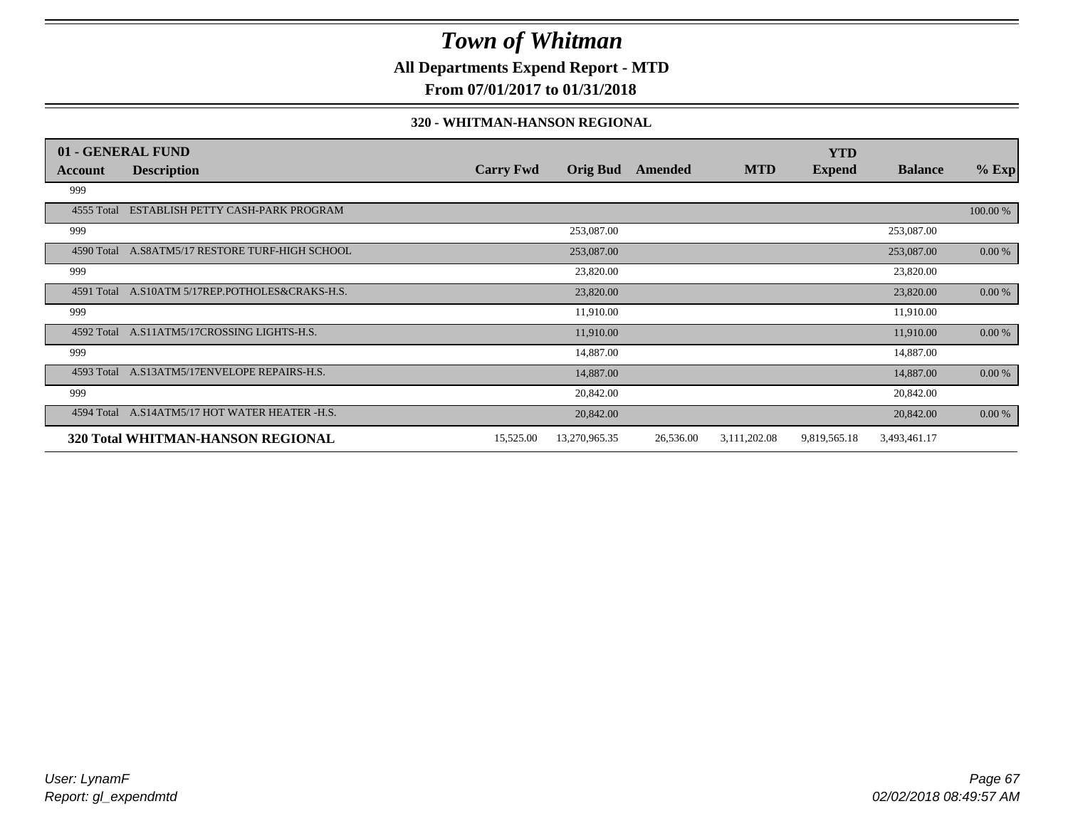### **All Departments Expend Report - MTD**

**From 07/01/2017 to 01/31/2018**

#### **320 - WHITMAN-HANSON REGIONAL**

|            | 01 - GENERAL FUND                               |                  |                 |           |              | <b>YTD</b>    |                |           |
|------------|-------------------------------------------------|------------------|-----------------|-----------|--------------|---------------|----------------|-----------|
| Account    | <b>Description</b>                              | <b>Carry Fwd</b> | <b>Orig Bud</b> | Amended   | <b>MTD</b>   | <b>Expend</b> | <b>Balance</b> | $%$ Exp   |
| 999        |                                                 |                  |                 |           |              |               |                |           |
| 4555 Total | ESTABLISH PETTY CASH-PARK PROGRAM               |                  |                 |           |              |               |                | 100.00 %  |
| 999        |                                                 |                  | 253,087.00      |           |              |               | 253,087.00     |           |
|            | 4590 Total A.S8ATM5/17 RESTORE TURF-HIGH SCHOOL |                  | 253,087.00      |           |              |               | 253,087.00     | 0.00 %    |
| 999        |                                                 |                  | 23,820.00       |           |              |               | 23,820.00      |           |
| 4591 Total | A.S10ATM 5/17REP.POTHOLES&CRAKS-H.S.            |                  | 23,820.00       |           |              |               | 23,820.00      | $0.00 \%$ |
| 999        |                                                 |                  | 11,910.00       |           |              |               | 11,910.00      |           |
| 4592 Total | A.S11ATM5/17CROSSING LIGHTS-H.S.                |                  | 11,910.00       |           |              |               | 11,910.00      | 0.00 %    |
| 999        |                                                 |                  | 14,887.00       |           |              |               | 14,887.00      |           |
|            | 4593 Total A.S13ATM5/17ENVELOPE REPAIRS-H.S.    |                  | 14,887.00       |           |              |               | 14,887.00      | $0.00 \%$ |
| 999        |                                                 |                  | 20,842.00       |           |              |               | 20,842.00      |           |
|            | 4594 Total A.S14ATM5/17 HOT WATER HEATER -H.S.  |                  | 20,842.00       |           |              |               | 20,842.00      | 0.00 %    |
|            | 320 Total WHITMAN-HANSON REGIONAL               | 15,525.00        | 13,270,965.35   | 26,536.00 | 3,111,202.08 | 9,819,565.18  | 3,493,461.17   |           |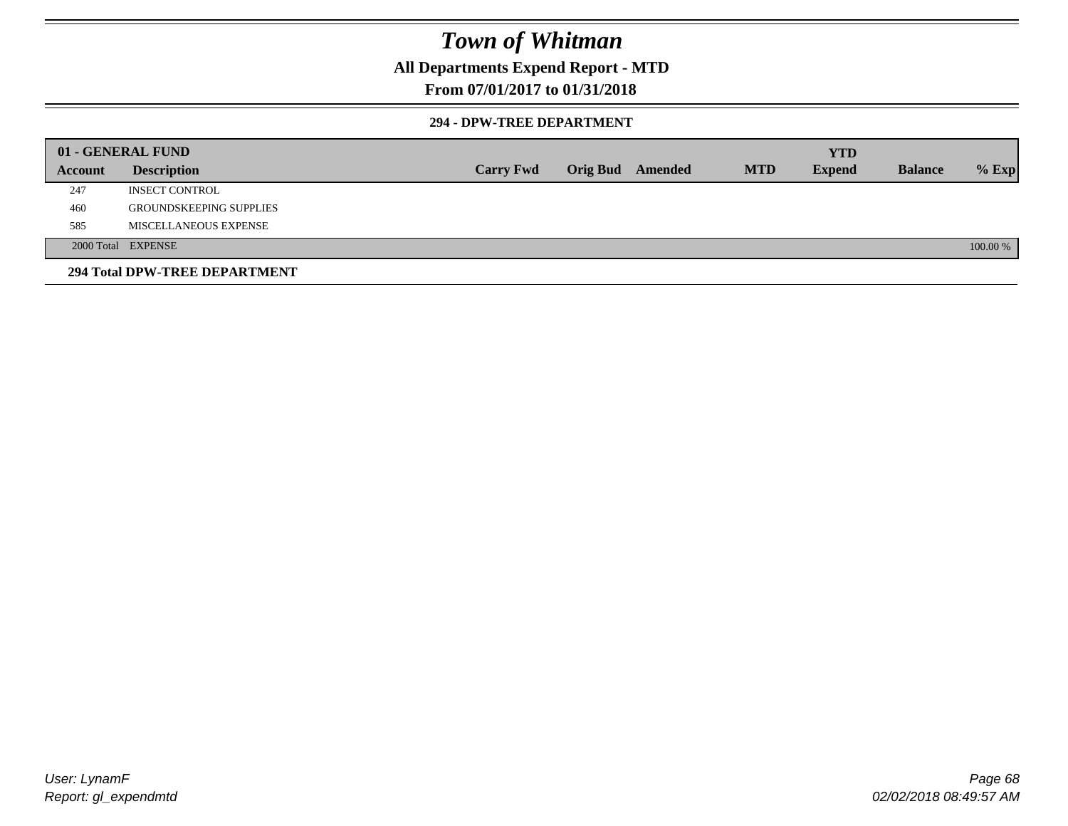### **All Departments Expend Report - MTD**

### **From 07/01/2017 to 01/31/2018**

#### **294 - DPW-TREE DEPARTMENT**

|         | 01 - GENERAL FUND              |                  |                         |            | <b>YTD</b>    |                |          |
|---------|--------------------------------|------------------|-------------------------|------------|---------------|----------------|----------|
| Account | <b>Description</b>             | <b>Carry Fwd</b> | <b>Orig Bud</b> Amended | <b>MTD</b> | <b>Expend</b> | <b>Balance</b> | $%$ Exp  |
| 247     | <b>INSECT CONTROL</b>          |                  |                         |            |               |                |          |
| 460     | <b>GROUNDSKEEPING SUPPLIES</b> |                  |                         |            |               |                |          |
| 585     | MISCELLANEOUS EXPENSE          |                  |                         |            |               |                |          |
|         | 2000 Total EXPENSE             |                  |                         |            |               |                | 100.00 % |
|         | 294 Total DPW-TREE DEPARTMENT  |                  |                         |            |               |                |          |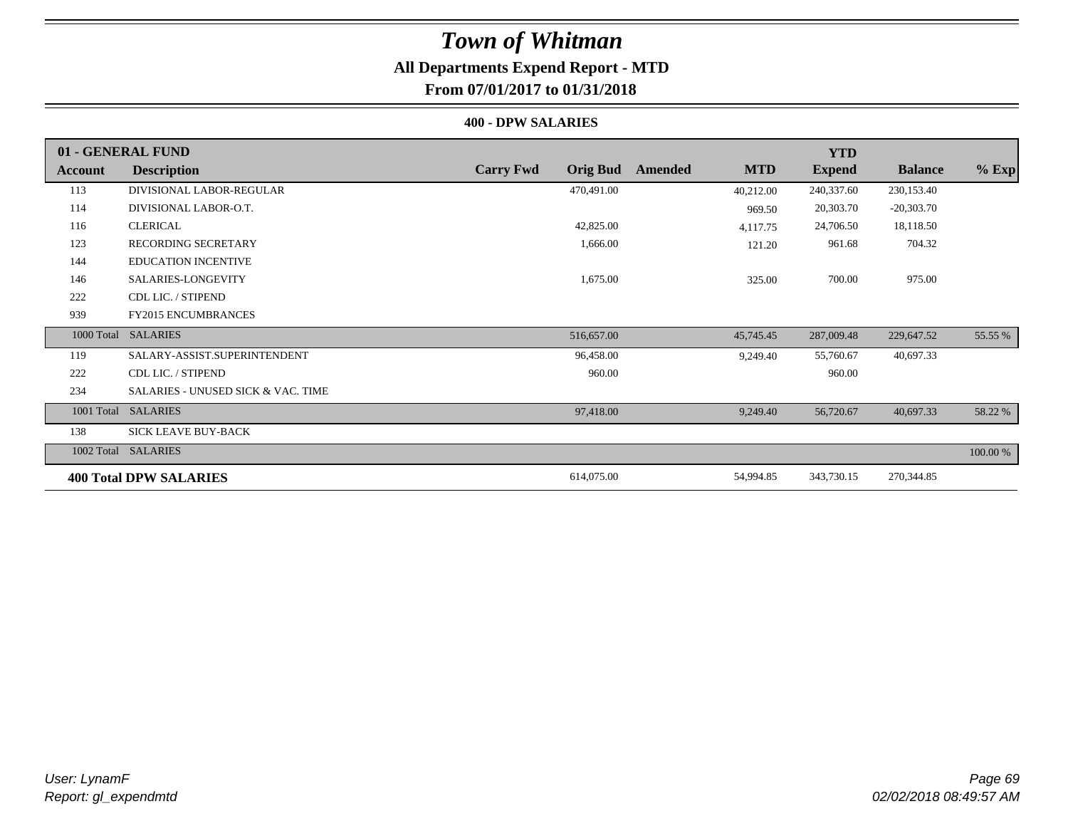## *Town of Whitman* **All Departments Expend Report - MTD**

### **From 07/01/2017 to 01/31/2018**

#### **400 - DPW SALARIES**

|         | 01 - GENERAL FUND                             |                                     |                       | <b>YTD</b>    |                |          |
|---------|-----------------------------------------------|-------------------------------------|-----------------------|---------------|----------------|----------|
| Account | <b>Description</b>                            | <b>Carry Fwd</b><br><b>Orig Bud</b> | <b>MTD</b><br>Amended | <b>Expend</b> | <b>Balance</b> | $%$ Exp  |
| 113     | DIVISIONAL LABOR-REGULAR                      | 470,491.00                          | 40,212.00             | 240,337.60    | 230,153.40     |          |
| 114     | DIVISIONAL LABOR-O.T.                         |                                     | 969.50                | 20,303.70     | $-20,303.70$   |          |
| 116     | <b>CLERICAL</b>                               | 42,825.00                           | 4,117.75              | 24,706.50     | 18,118.50      |          |
| 123     | RECORDING SECRETARY                           | 1,666.00                            | 121.20                | 961.68        | 704.32         |          |
| 144     | <b>EDUCATION INCENTIVE</b>                    |                                     |                       |               |                |          |
| 146     | SALARIES-LONGEVITY                            | 1,675.00                            | 325.00                | 700.00        | 975.00         |          |
| 222     | CDL LIC. / STIPEND                            |                                     |                       |               |                |          |
| 939     | <b>FY2015 ENCUMBRANCES</b>                    |                                     |                       |               |                |          |
|         | 1000 Total SALARIES                           | 516,657.00                          | 45,745.45             | 287,009.48    | 229,647.52     | 55.55 %  |
| 119     | SALARY-ASSIST.SUPERINTENDENT                  | 96,458.00                           | 9,249.40              | 55,760.67     | 40,697.33      |          |
| 222     | CDL LIC. / STIPEND                            | 960.00                              |                       | 960.00        |                |          |
| 234     | <b>SALARIES - UNUSED SICK &amp; VAC. TIME</b> |                                     |                       |               |                |          |
|         | 1001 Total SALARIES                           | 97,418.00                           | 9,249.40              | 56,720.67     | 40,697.33      | 58.22 %  |
| 138     | SICK LEAVE BUY-BACK                           |                                     |                       |               |                |          |
|         | 1002 Total SALARIES                           |                                     |                       |               |                | 100.00 % |
|         | <b>400 Total DPW SALARIES</b>                 | 614,075.00                          | 54,994.85             | 343,730.15    | 270,344.85     |          |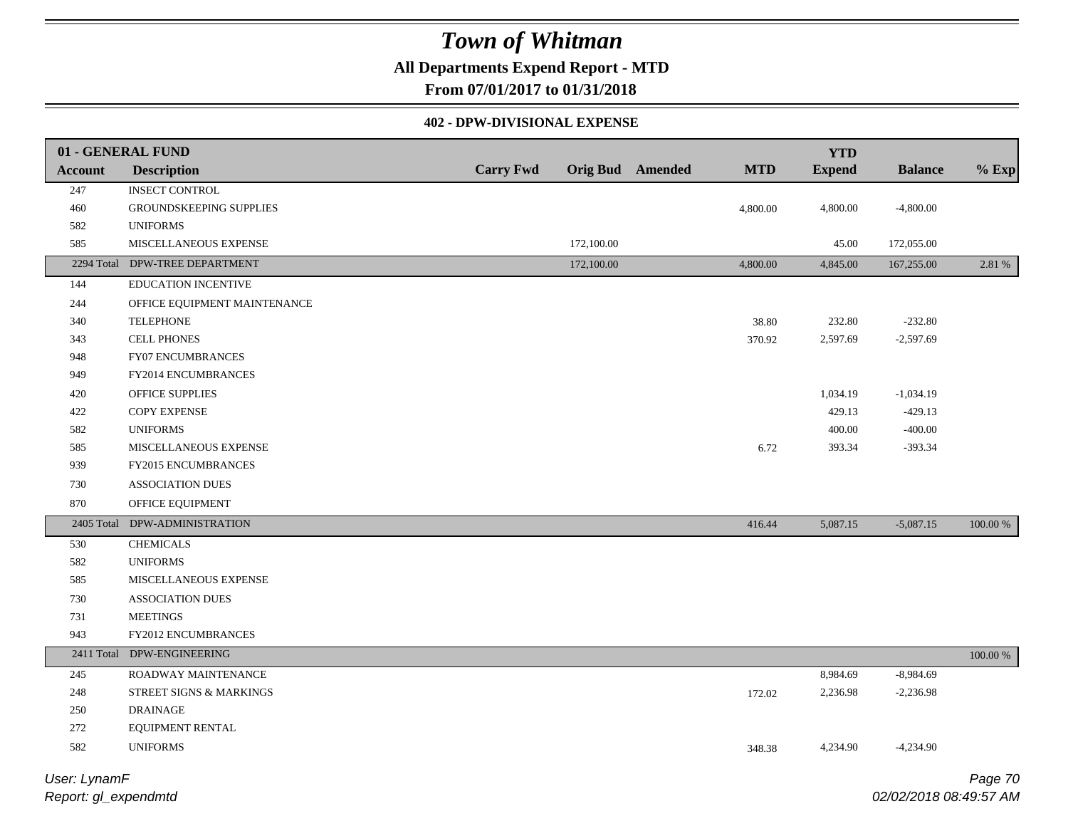### **All Departments Expend Report - MTD**

**From 07/01/2017 to 01/31/2018**

#### **402 - DPW-DIVISIONAL EXPENSE**

|                              | 01 - GENERAL FUND              |                  |            |                         |            | <b>YTD</b>    |                |          |
|------------------------------|--------------------------------|------------------|------------|-------------------------|------------|---------------|----------------|----------|
| <b>Account</b>               | <b>Description</b>             | <b>Carry Fwd</b> |            | <b>Orig Bud</b> Amended | <b>MTD</b> | <b>Expend</b> | <b>Balance</b> | $%$ Exp  |
| 247                          | <b>INSECT CONTROL</b>          |                  |            |                         |            |               |                |          |
| 460                          | GROUNDSKEEPING SUPPLIES        |                  |            |                         | 4,800.00   | 4,800.00      | $-4,800.00$    |          |
| 582                          | <b>UNIFORMS</b>                |                  |            |                         |            |               |                |          |
| 585                          | MISCELLANEOUS EXPENSE          |                  | 172,100.00 |                         |            | 45.00         | 172,055.00     |          |
|                              | 2294 Total DPW-TREE DEPARTMENT |                  | 172,100.00 |                         | 4,800.00   | 4,845.00      | 167,255.00     | 2.81 %   |
| 144                          | EDUCATION INCENTIVE            |                  |            |                         |            |               |                |          |
| 244                          | OFFICE EQUIPMENT MAINTENANCE   |                  |            |                         |            |               |                |          |
| 340                          | <b>TELEPHONE</b>               |                  |            |                         | 38.80      | 232.80        | $-232.80$      |          |
| 343                          | <b>CELL PHONES</b>             |                  |            |                         | 370.92     | 2,597.69      | $-2,597.69$    |          |
| 948                          | FY07 ENCUMBRANCES              |                  |            |                         |            |               |                |          |
| 949                          | FY2014 ENCUMBRANCES            |                  |            |                         |            |               |                |          |
| 420                          | OFFICE SUPPLIES                |                  |            |                         |            | 1,034.19      | $-1,034.19$    |          |
| 422                          | <b>COPY EXPENSE</b>            |                  |            |                         |            | 429.13        | $-429.13$      |          |
| 582                          | <b>UNIFORMS</b>                |                  |            |                         |            | 400.00        | $-400.00$      |          |
| 585                          | MISCELLANEOUS EXPENSE          |                  |            |                         | 6.72       | 393.34        | $-393.34$      |          |
| 939                          | FY2015 ENCUMBRANCES            |                  |            |                         |            |               |                |          |
| 730                          | <b>ASSOCIATION DUES</b>        |                  |            |                         |            |               |                |          |
| 870                          | OFFICE EQUIPMENT               |                  |            |                         |            |               |                |          |
|                              | 2405 Total DPW-ADMINISTRATION  |                  |            |                         | 416.44     | 5,087.15      | $-5,087.15$    | 100.00 % |
| 530                          | <b>CHEMICALS</b>               |                  |            |                         |            |               |                |          |
| 582                          | <b>UNIFORMS</b>                |                  |            |                         |            |               |                |          |
| 585                          | MISCELLANEOUS EXPENSE          |                  |            |                         |            |               |                |          |
| 730                          | <b>ASSOCIATION DUES</b>        |                  |            |                         |            |               |                |          |
| 731                          | <b>MEETINGS</b>                |                  |            |                         |            |               |                |          |
| 943                          | FY2012 ENCUMBRANCES            |                  |            |                         |            |               |                |          |
|                              | 2411 Total DPW-ENGINEERING     |                  |            |                         |            |               |                | 100.00 % |
| 245                          | ROADWAY MAINTENANCE            |                  |            |                         |            | 8,984.69      | $-8,984.69$    |          |
| 248                          | STREET SIGNS & MARKINGS        |                  |            |                         | 172.02     | 2,236.98      | $-2,236.98$    |          |
| 250                          | <b>DRAINAGE</b>                |                  |            |                         |            |               |                |          |
| 272                          | EQUIPMENT RENTAL               |                  |            |                         |            |               |                |          |
| 582                          | <b>UNIFORMS</b>                |                  |            |                         | 348.38     | 4,234.90      | $-4,234.90$    |          |
| $I$ loose $I$ isome $\Gamma$ |                                |                  |            |                         |            |               |                | Dess 70  |

*Report: gl\_expendmtd User: LynamF*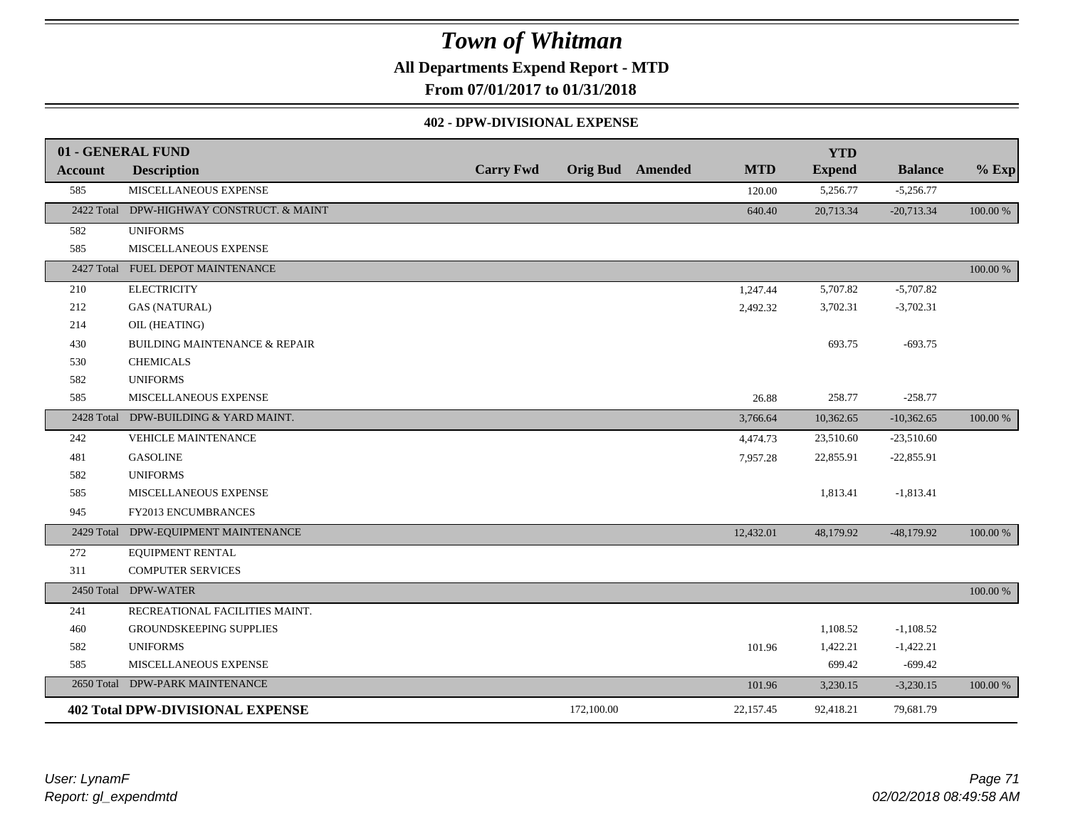**All Departments Expend Report - MTD**

**From 07/01/2017 to 01/31/2018**

#### **402 - DPW-DIVISIONAL EXPENSE**

|                | 01 - GENERAL FUND                         |                  |            |                         |            | <b>YTD</b>    |                |          |
|----------------|-------------------------------------------|------------------|------------|-------------------------|------------|---------------|----------------|----------|
| <b>Account</b> | <b>Description</b>                        | <b>Carry Fwd</b> |            | <b>Orig Bud</b> Amended | <b>MTD</b> | <b>Expend</b> | <b>Balance</b> | $%$ Exp  |
| 585            | MISCELLANEOUS EXPENSE                     |                  |            |                         | 120.00     | 5,256.77      | $-5,256.77$    |          |
|                | 2422 Total DPW-HIGHWAY CONSTRUCT. & MAINT |                  |            |                         | 640.40     | 20,713.34     | $-20,713.34$   | 100.00 % |
| 582            | <b>UNIFORMS</b>                           |                  |            |                         |            |               |                |          |
| 585            | MISCELLANEOUS EXPENSE                     |                  |            |                         |            |               |                |          |
|                | 2427 Total FUEL DEPOT MAINTENANCE         |                  |            |                         |            |               |                | 100.00 % |
| 210            | <b>ELECTRICITY</b>                        |                  |            |                         | 1,247.44   | 5,707.82      | $-5,707.82$    |          |
| 212            | <b>GAS (NATURAL)</b>                      |                  |            |                         | 2,492.32   | 3,702.31      | $-3,702.31$    |          |
| 214            | OIL (HEATING)                             |                  |            |                         |            |               |                |          |
| 430            | <b>BUILDING MAINTENANCE &amp; REPAIR</b>  |                  |            |                         |            | 693.75        | $-693.75$      |          |
| 530            | <b>CHEMICALS</b>                          |                  |            |                         |            |               |                |          |
| 582            | <b>UNIFORMS</b>                           |                  |            |                         |            |               |                |          |
| 585            | MISCELLANEOUS EXPENSE                     |                  |            |                         | 26.88      | 258.77        | $-258.77$      |          |
|                | 2428 Total DPW-BUILDING & YARD MAINT.     |                  |            |                         | 3,766.64   | 10,362.65     | $-10,362.65$   | 100.00 % |
| 242            | <b>VEHICLE MAINTENANCE</b>                |                  |            |                         | 4,474.73   | 23,510.60     | $-23,510.60$   |          |
| 481            | <b>GASOLINE</b>                           |                  |            |                         | 7,957.28   | 22,855.91     | $-22,855.91$   |          |
| 582            | <b>UNIFORMS</b>                           |                  |            |                         |            |               |                |          |
| 585            | MISCELLANEOUS EXPENSE                     |                  |            |                         |            | 1,813.41      | $-1,813.41$    |          |
| 945            | FY2013 ENCUMBRANCES                       |                  |            |                         |            |               |                |          |
|                | 2429 Total DPW-EQUIPMENT MAINTENANCE      |                  |            |                         | 12,432.01  | 48,179.92     | $-48,179.92$   | 100.00 % |
| 272            | EQUIPMENT RENTAL                          |                  |            |                         |            |               |                |          |
| 311            | <b>COMPUTER SERVICES</b>                  |                  |            |                         |            |               |                |          |
|                | 2450 Total DPW-WATER                      |                  |            |                         |            |               |                | 100.00 % |
| 241            | RECREATIONAL FACILITIES MAINT.            |                  |            |                         |            |               |                |          |
| 460            | GROUNDSKEEPING SUPPLIES                   |                  |            |                         |            | 1,108.52      | $-1,108.52$    |          |
| 582            | <b>UNIFORMS</b>                           |                  |            |                         | 101.96     | 1,422.21      | $-1,422.21$    |          |
| 585            | MISCELLANEOUS EXPENSE                     |                  |            |                         |            | 699.42        | $-699.42$      |          |
|                | 2650 Total DPW-PARK MAINTENANCE           |                  |            |                         | 101.96     | 3,230.15      | $-3,230.15$    | 100.00 % |
|                | <b>402 Total DPW-DIVISIONAL EXPENSE</b>   |                  | 172,100.00 |                         | 22,157.45  | 92,418.21     | 79,681.79      |          |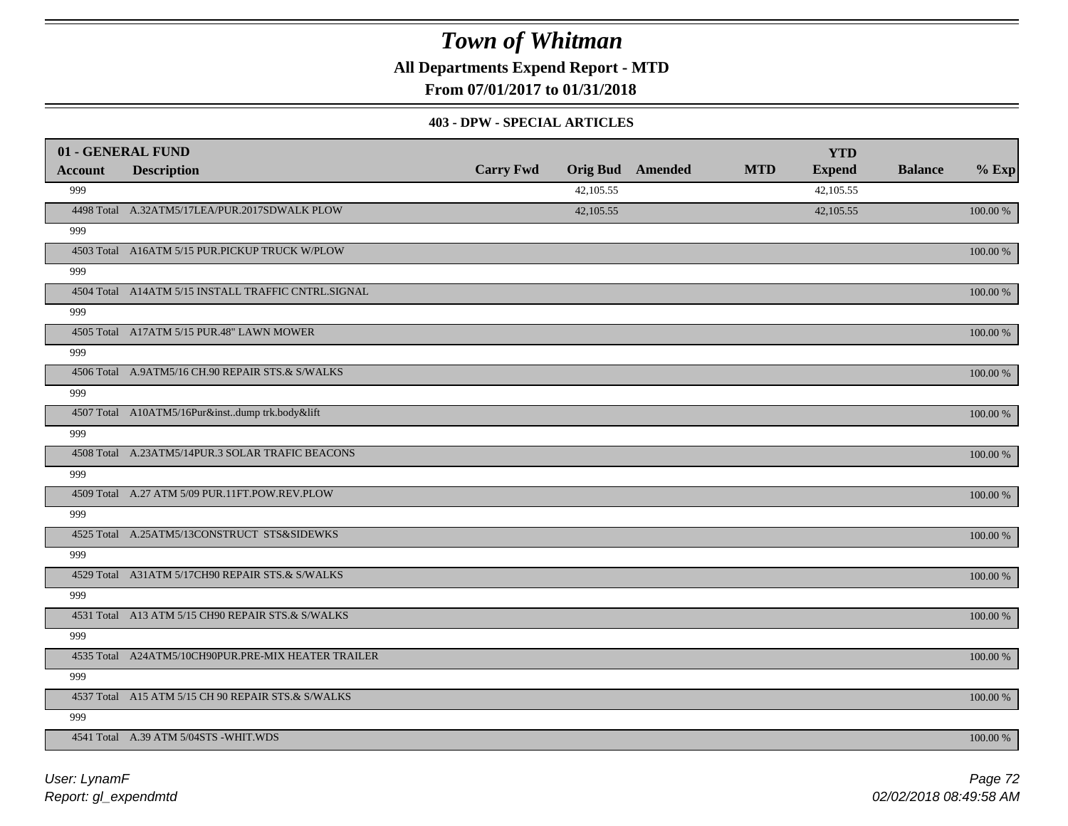**All Departments Expend Report - MTD**

**From 07/01/2017 to 01/31/2018**

#### **403 - DPW - SPECIAL ARTICLES**

|                | 01 - GENERAL FUND                                   |                  |           |                         |            | <b>YTD</b>    |                |             |
|----------------|-----------------------------------------------------|------------------|-----------|-------------------------|------------|---------------|----------------|-------------|
| <b>Account</b> | <b>Description</b>                                  | <b>Carry Fwd</b> |           | <b>Orig Bud</b> Amended | <b>MTD</b> | <b>Expend</b> | <b>Balance</b> | $%$ Exp     |
| 999            |                                                     |                  | 42,105.55 |                         |            | 42,105.55     |                |             |
|                | 4498 Total A.32ATM5/17LEA/PUR.2017SDWALK PLOW       |                  | 42,105.55 |                         |            | 42,105.55     |                | 100.00 %    |
| 999            |                                                     |                  |           |                         |            |               |                |             |
|                | 4503 Total A16ATM 5/15 PUR.PICKUP TRUCK W/PLOW      |                  |           |                         |            |               |                | 100.00 %    |
| 999            |                                                     |                  |           |                         |            |               |                |             |
|                | 4504 Total A14ATM 5/15 INSTALL TRAFFIC CNTRL.SIGNAL |                  |           |                         |            |               |                | 100.00 %    |
| 999            |                                                     |                  |           |                         |            |               |                |             |
|                | 4505 Total A17ATM 5/15 PUR.48" LAWN MOWER           |                  |           |                         |            |               |                | 100.00 %    |
| 999            |                                                     |                  |           |                         |            |               |                |             |
|                | 4506 Total A.9ATM5/16 CH.90 REPAIR STS.& S/WALKS    |                  |           |                         |            |               |                | 100.00 %    |
| 999            |                                                     |                  |           |                         |            |               |                |             |
|                | 4507 Total A10ATM5/16Pur&instdump trk.body&lift     |                  |           |                         |            |               |                | 100.00 %    |
| 999            |                                                     |                  |           |                         |            |               |                |             |
|                | 4508 Total A.23ATM5/14PUR.3 SOLAR TRAFIC BEACONS    |                  |           |                         |            |               |                | 100.00 %    |
| 999            |                                                     |                  |           |                         |            |               |                |             |
|                | 4509 Total A.27 ATM 5/09 PUR.11FT.POW.REV.PLOW      |                  |           |                         |            |               |                | 100.00 %    |
| 999            |                                                     |                  |           |                         |            |               |                |             |
|                | 4525 Total A.25ATM5/13CONSTRUCT STS&SIDEWKS         |                  |           |                         |            |               |                | 100.00 %    |
| 999            |                                                     |                  |           |                         |            |               |                |             |
|                | 4529 Total A31ATM 5/17CH90 REPAIR STS.& S/WALKS     |                  |           |                         |            |               |                | 100.00 %    |
| 999            |                                                     |                  |           |                         |            |               |                |             |
|                | 4531 Total A13 ATM 5/15 CH90 REPAIR STS.& S/WALKS   |                  |           |                         |            |               |                | 100.00 %    |
| 999            |                                                     |                  |           |                         |            |               |                |             |
|                | 4535 Total A24ATM5/10CH90PUR.PRE-MIX HEATER TRAILER |                  |           |                         |            |               |                | $100.00~\%$ |
| 999            |                                                     |                  |           |                         |            |               |                |             |
|                | 4537 Total A15 ATM 5/15 CH 90 REPAIR STS.& S/WALKS  |                  |           |                         |            |               |                | 100.00 %    |
| 999            |                                                     |                  |           |                         |            |               |                |             |
|                | 4541 Total A.39 ATM 5/04STS - WHIT.WDS              |                  |           |                         |            |               |                | 100.00 %    |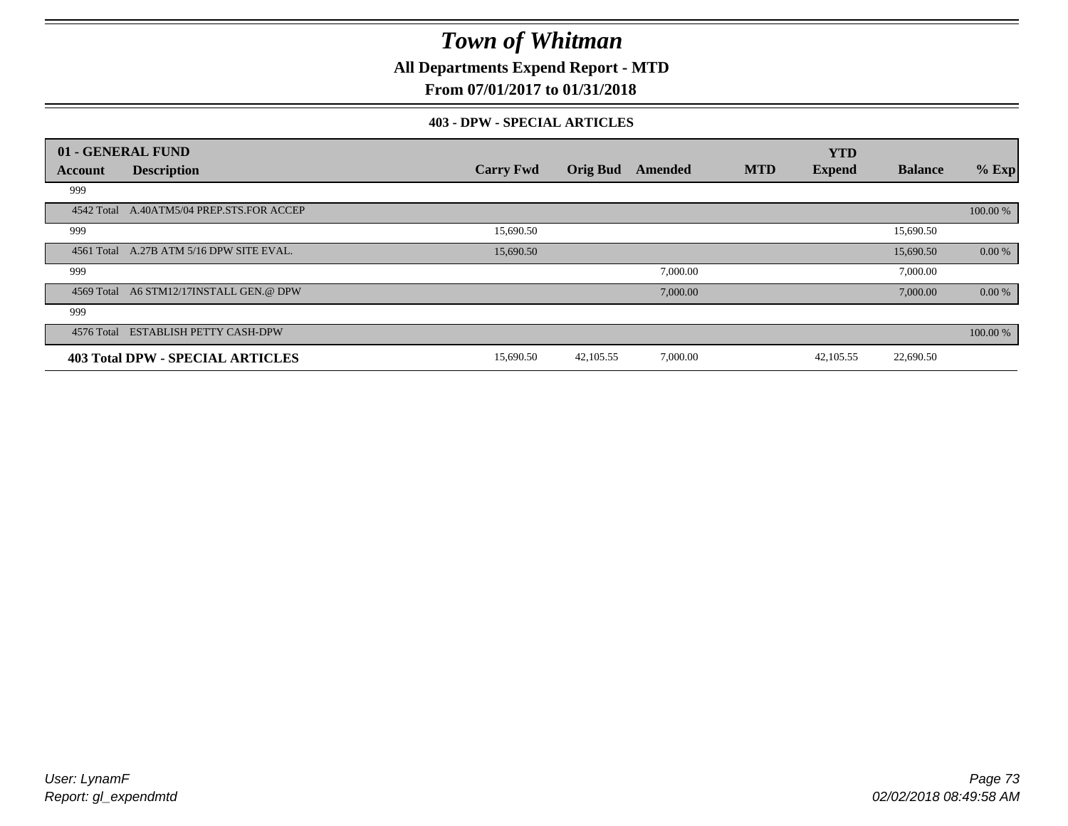**All Departments Expend Report - MTD**

### **From 07/01/2017 to 01/31/2018**

#### **403 - DPW - SPECIAL ARTICLES**

|            | 01 - GENERAL FUND                         |                  |                 |          |            | <b>YTD</b>    |                |          |
|------------|-------------------------------------------|------------------|-----------------|----------|------------|---------------|----------------|----------|
| Account    | <b>Description</b>                        | <b>Carry Fwd</b> | <b>Orig Bud</b> | Amended  | <b>MTD</b> | <b>Expend</b> | <b>Balance</b> | $%$ Exp  |
| 999        |                                           |                  |                 |          |            |               |                |          |
|            | 4542 Total A.40ATM5/04 PREP.STS.FOR ACCEP |                  |                 |          |            |               |                | 100.00 % |
| 999        |                                           | 15,690.50        |                 |          |            |               | 15,690.50      |          |
|            | 4561 Total A.27B ATM 5/16 DPW SITE EVAL.  | 15,690.50        |                 |          |            |               | 15,690.50      | 0.00 %   |
| 999        |                                           |                  |                 | 7,000.00 |            |               | 7,000.00       |          |
|            | 4569 Total A6 STM12/17INSTALL GEN.@ DPW   |                  |                 | 7,000.00 |            |               | 7,000.00       | 0.00 %   |
| 999        |                                           |                  |                 |          |            |               |                |          |
| 4576 Total | <b>ESTABLISH PETTY CASH-DPW</b>           |                  |                 |          |            |               |                | 100.00 % |
|            | <b>403 Total DPW - SPECIAL ARTICLES</b>   | 15,690.50        | 42,105.55       | 7,000.00 |            | 42,105.55     | 22,690.50      |          |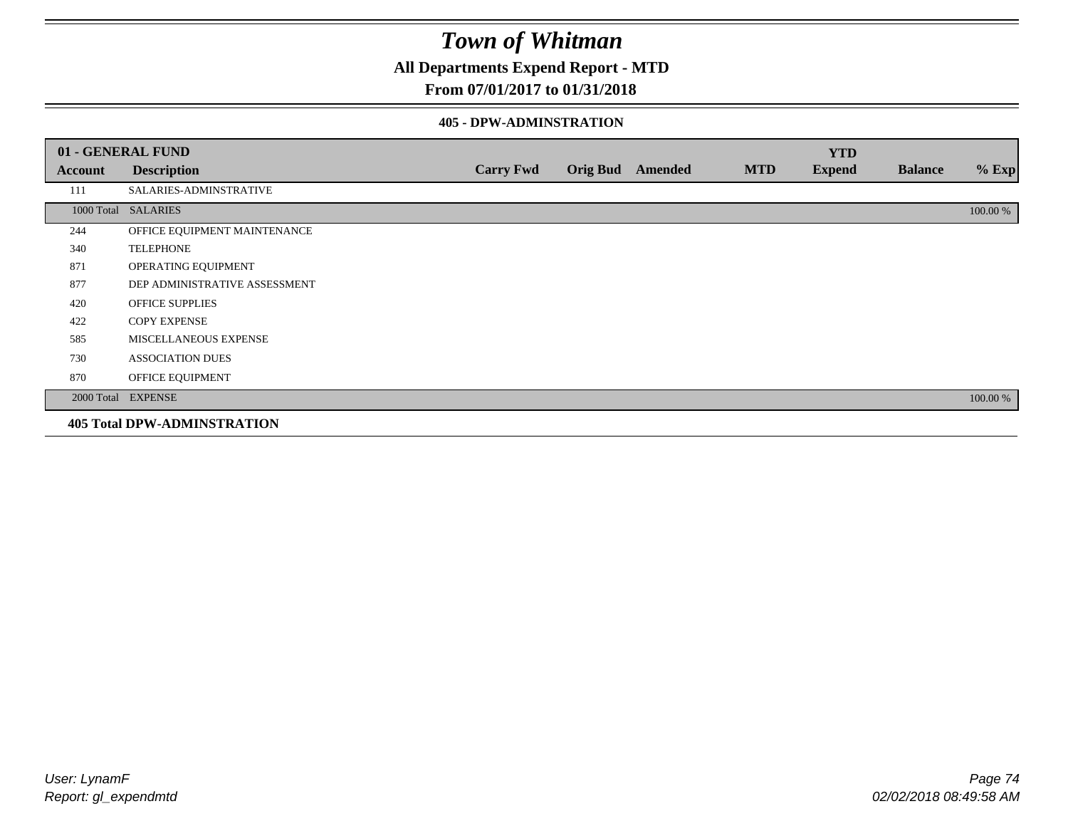**All Departments Expend Report - MTD**

### **From 07/01/2017 to 01/31/2018**

#### **405 - DPW-ADMINSTRATION**

|         | 01 - GENERAL FUND                  |                  |                         |            | <b>YTD</b>    |                |          |
|---------|------------------------------------|------------------|-------------------------|------------|---------------|----------------|----------|
| Account | <b>Description</b>                 | <b>Carry Fwd</b> | <b>Orig Bud</b> Amended | <b>MTD</b> | <b>Expend</b> | <b>Balance</b> | $%$ Exp  |
| 111     | SALARIES-ADMINSTRATIVE             |                  |                         |            |               |                |          |
|         | 1000 Total SALARIES                |                  |                         |            |               |                | 100.00 % |
| 244     | OFFICE EQUIPMENT MAINTENANCE       |                  |                         |            |               |                |          |
| 340     | <b>TELEPHONE</b>                   |                  |                         |            |               |                |          |
| 871     | OPERATING EQUIPMENT                |                  |                         |            |               |                |          |
| 877     | DEP ADMINISTRATIVE ASSESSMENT      |                  |                         |            |               |                |          |
| 420     | <b>OFFICE SUPPLIES</b>             |                  |                         |            |               |                |          |
| 422     | <b>COPY EXPENSE</b>                |                  |                         |            |               |                |          |
| 585     | MISCELLANEOUS EXPENSE              |                  |                         |            |               |                |          |
| 730     | <b>ASSOCIATION DUES</b>            |                  |                         |            |               |                |          |
| 870     | OFFICE EQUIPMENT                   |                  |                         |            |               |                |          |
|         | 2000 Total EXPENSE                 |                  |                         |            |               |                | 100.00 % |
|         | <b>405 Total DPW-ADMINSTRATION</b> |                  |                         |            |               |                |          |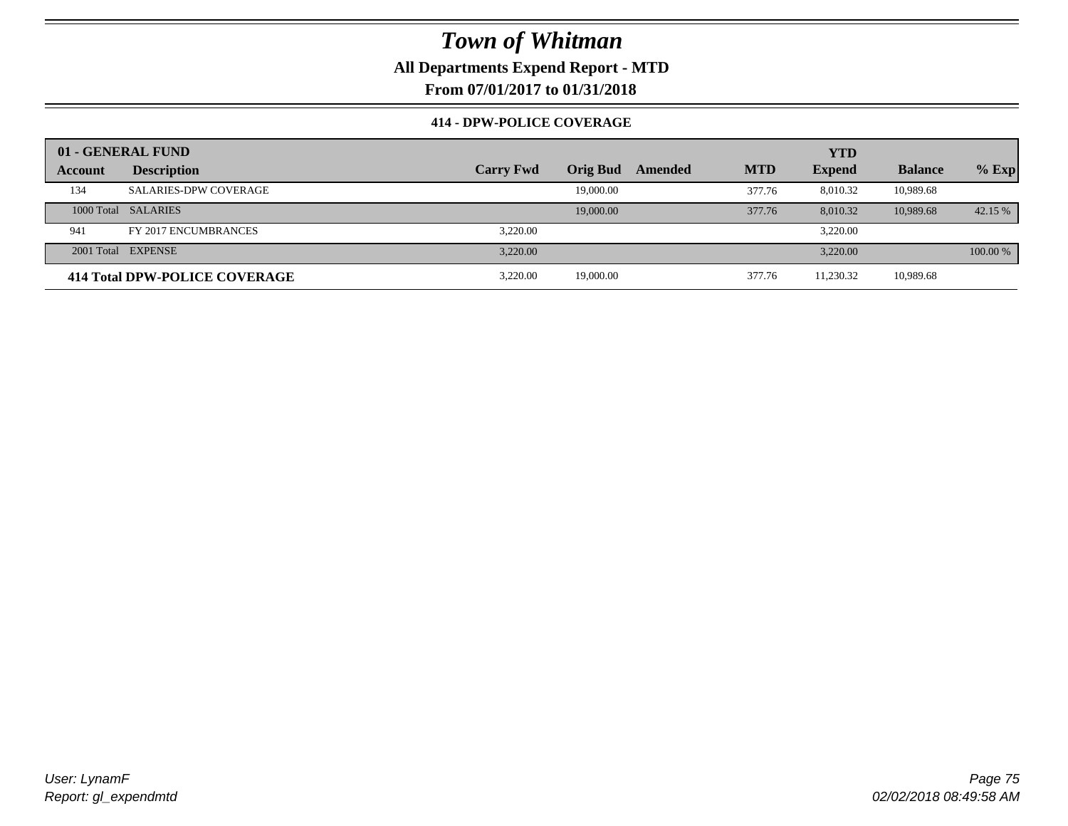**All Departments Expend Report - MTD**

**From 07/01/2017 to 01/31/2018**

#### **414 - DPW-POLICE COVERAGE**

|         | 01 - GENERAL FUND             |                  |           |         |            | <b>YTD</b>    |                |          |
|---------|-------------------------------|------------------|-----------|---------|------------|---------------|----------------|----------|
| Account | <b>Description</b>            | <b>Carry Fwd</b> | Orig Bud  | Amended | <b>MTD</b> | <b>Expend</b> | <b>Balance</b> | $%$ Exp  |
| 134     | <b>SALARIES-DPW COVERAGE</b>  |                  | 19,000.00 |         | 377.76     | 8,010.32      | 10,989.68      |          |
|         | 1000 Total SALARIES           |                  | 19,000.00 |         | 377.76     | 8.010.32      | 10,989.68      | 42.15 %  |
| 941     | FY 2017 ENCUMBRANCES          | 3.220.00         |           |         |            | 3,220.00      |                |          |
|         | 2001 Total EXPENSE            | 3.220.00         |           |         |            | 3,220.00      |                | 100.00 % |
|         | 414 Total DPW-POLICE COVERAGE | 3.220.00         | 19,000.00 |         | 377.76     | 11,230.32     | 10,989.68      |          |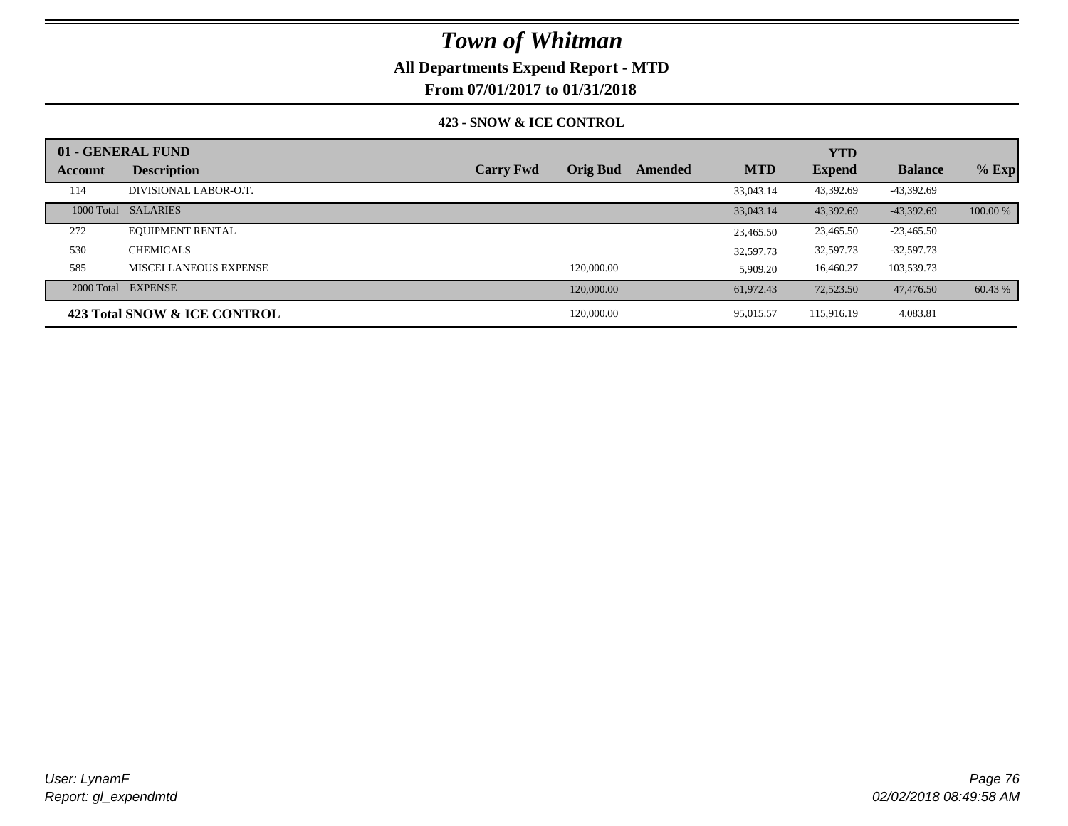### **All Departments Expend Report - MTD**

**From 07/01/2017 to 01/31/2018**

#### **423 - SNOW & ICE CONTROL**

|         | 01 - GENERAL FUND            |                  |                 |         |            | <b>YTD</b>    |                |          |
|---------|------------------------------|------------------|-----------------|---------|------------|---------------|----------------|----------|
| Account | <b>Description</b>           | <b>Carry Fwd</b> | <b>Orig Bud</b> | Amended | <b>MTD</b> | <b>Expend</b> | <b>Balance</b> | $%$ Exp  |
| 114     | DIVISIONAL LABOR-O.T.        |                  |                 |         | 33,043.14  | 43,392.69     | $-43,392.69$   |          |
|         | 1000 Total SALARIES          |                  |                 |         | 33,043.14  | 43.392.69     | $-43.392.69$   | 100.00 % |
| 272     | <b>EQUIPMENT RENTAL</b>      |                  |                 |         | 23,465.50  | 23,465.50     | $-23,465.50$   |          |
| 530     | <b>CHEMICALS</b>             |                  |                 |         | 32,597.73  | 32,597.73     | $-32,597.73$   |          |
| 585     | MISCELLANEOUS EXPENSE        |                  | 120,000.00      |         | 5,909.20   | 16,460.27     | 103,539.73     |          |
|         | 2000 Total EXPENSE           |                  | 120,000.00      |         | 61.972.43  | 72,523.50     | 47,476.50      | 60.43 %  |
|         | 423 Total SNOW & ICE CONTROL |                  | 120,000.00      |         | 95,015.57  | 115,916.19    | 4,083.81       |          |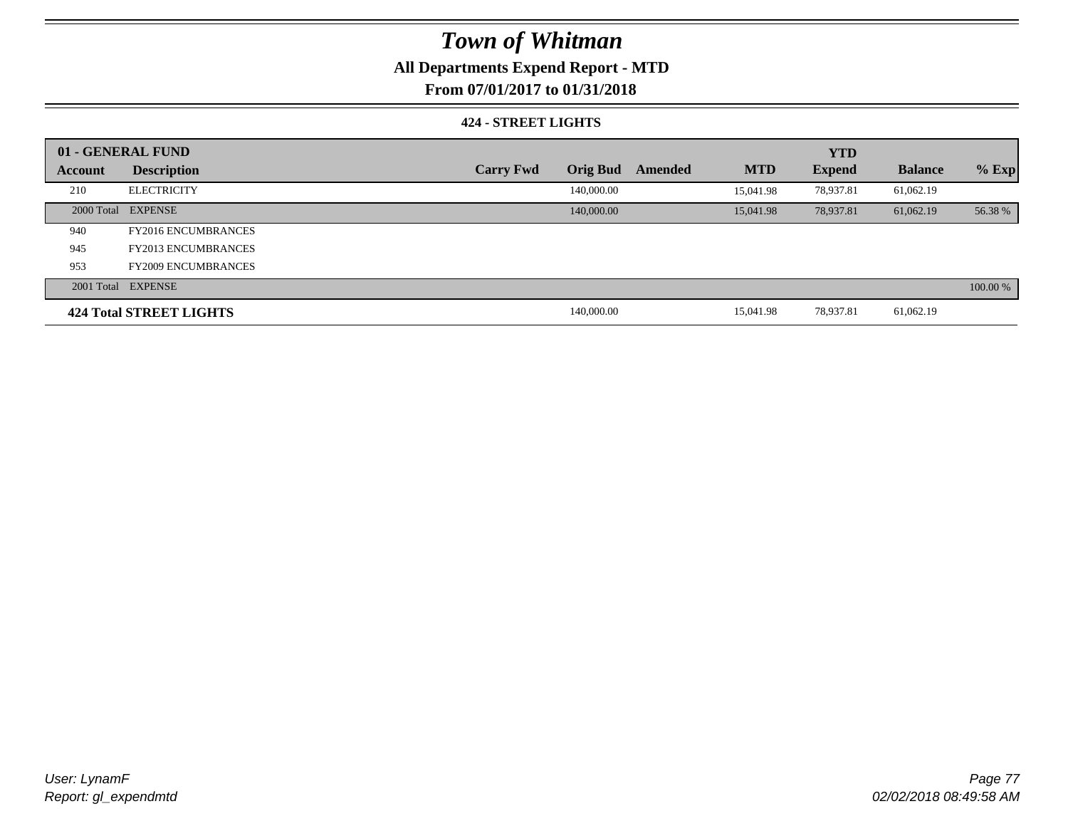## **All Departments Expend Report - MTD**

### **From 07/01/2017 to 01/31/2018**

#### **424 - STREET LIGHTS**

|         | 01 - GENERAL FUND          |                  |                 |         |            | <b>YTD</b>    |                |          |
|---------|----------------------------|------------------|-----------------|---------|------------|---------------|----------------|----------|
| Account | <b>Description</b>         | <b>Carry Fwd</b> | <b>Orig Bud</b> | Amended | <b>MTD</b> | <b>Expend</b> | <b>Balance</b> | $%$ Exp  |
| 210     | <b>ELECTRICITY</b>         |                  | 140,000.00      |         | 15.041.98  | 78,937.81     | 61,062.19      |          |
|         | 2000 Total EXPENSE         |                  | 140,000.00      |         | 15,041.98  | 78,937.81     | 61,062.19      | 56.38 %  |
| 940     | <b>FY2016 ENCUMBRANCES</b> |                  |                 |         |            |               |                |          |
| 945     | <b>FY2013 ENCUMBRANCES</b> |                  |                 |         |            |               |                |          |
| 953     | <b>FY2009 ENCUMBRANCES</b> |                  |                 |         |            |               |                |          |
|         | 2001 Total EXPENSE         |                  |                 |         |            |               |                | 100.00 % |
|         | 424 Total STREET LIGHTS    |                  | 140,000.00      |         | 15,041.98  | 78,937.81     | 61,062.19      |          |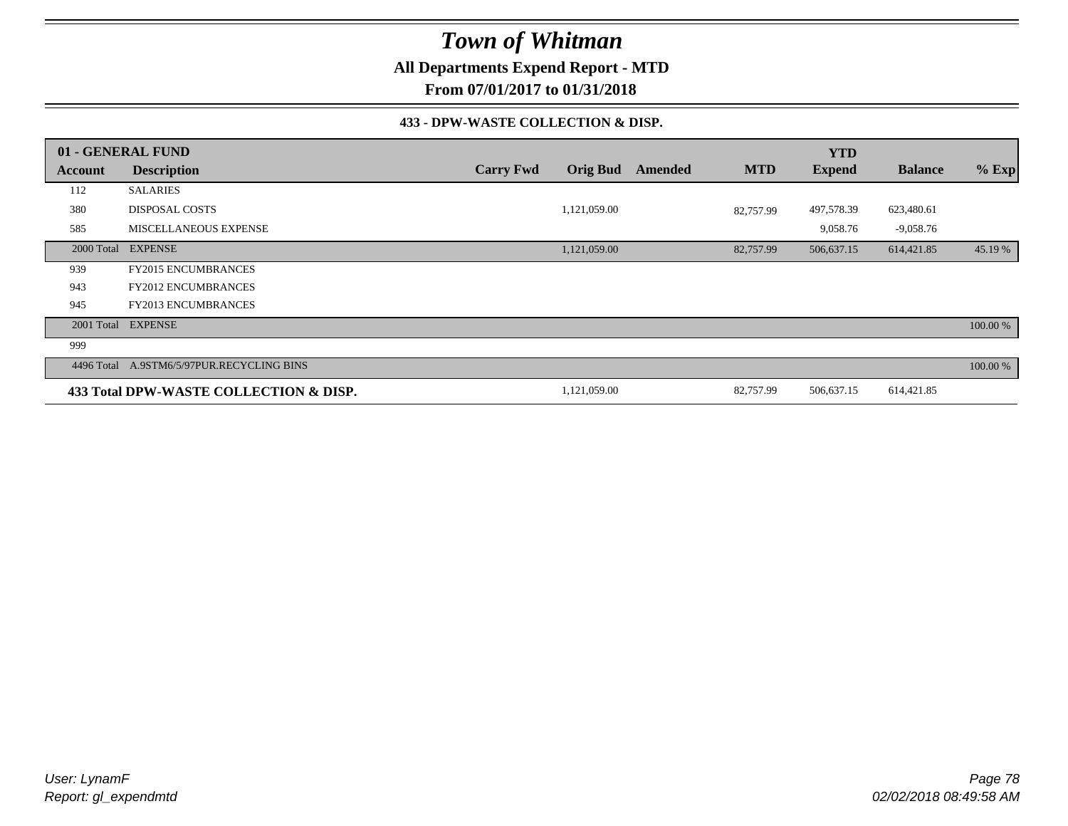**All Departments Expend Report - MTD**

**From 07/01/2017 to 01/31/2018**

#### **433 - DPW-WASTE COLLECTION & DISP.**

|            | 01 - GENERAL FUND                      |                  |                 |         |            | <b>YTD</b>    |                |          |
|------------|----------------------------------------|------------------|-----------------|---------|------------|---------------|----------------|----------|
| Account    | <b>Description</b>                     | <b>Carry Fwd</b> | <b>Orig Bud</b> | Amended | <b>MTD</b> | <b>Expend</b> | <b>Balance</b> | $%$ Exp  |
| 112        | <b>SALARIES</b>                        |                  |                 |         |            |               |                |          |
| 380        | <b>DISPOSAL COSTS</b>                  |                  | 1,121,059.00    |         | 82,757.99  | 497,578.39    | 623,480.61     |          |
| 585        | <b>MISCELLANEOUS EXPENSE</b>           |                  |                 |         |            | 9,058.76      | $-9,058.76$    |          |
| 2000 Total | <b>EXPENSE</b>                         |                  | 1,121,059.00    |         | 82,757.99  | 506,637.15    | 614,421.85     | 45.19 %  |
| 939        | <b>FY2015 ENCUMBRANCES</b>             |                  |                 |         |            |               |                |          |
| 943        | <b>FY2012 ENCUMBRANCES</b>             |                  |                 |         |            |               |                |          |
| 945        | FY2013 ENCUMBRANCES                    |                  |                 |         |            |               |                |          |
| 2001 Total | <b>EXPENSE</b>                         |                  |                 |         |            |               |                | 100.00 % |
| 999        |                                        |                  |                 |         |            |               |                |          |
| 4496 Total | A.9STM6/5/97PUR.RECYCLING BINS         |                  |                 |         |            |               |                | 100.00 % |
|            | 433 Total DPW-WASTE COLLECTION & DISP. |                  | 1,121,059.00    |         | 82,757.99  | 506,637.15    | 614,421.85     |          |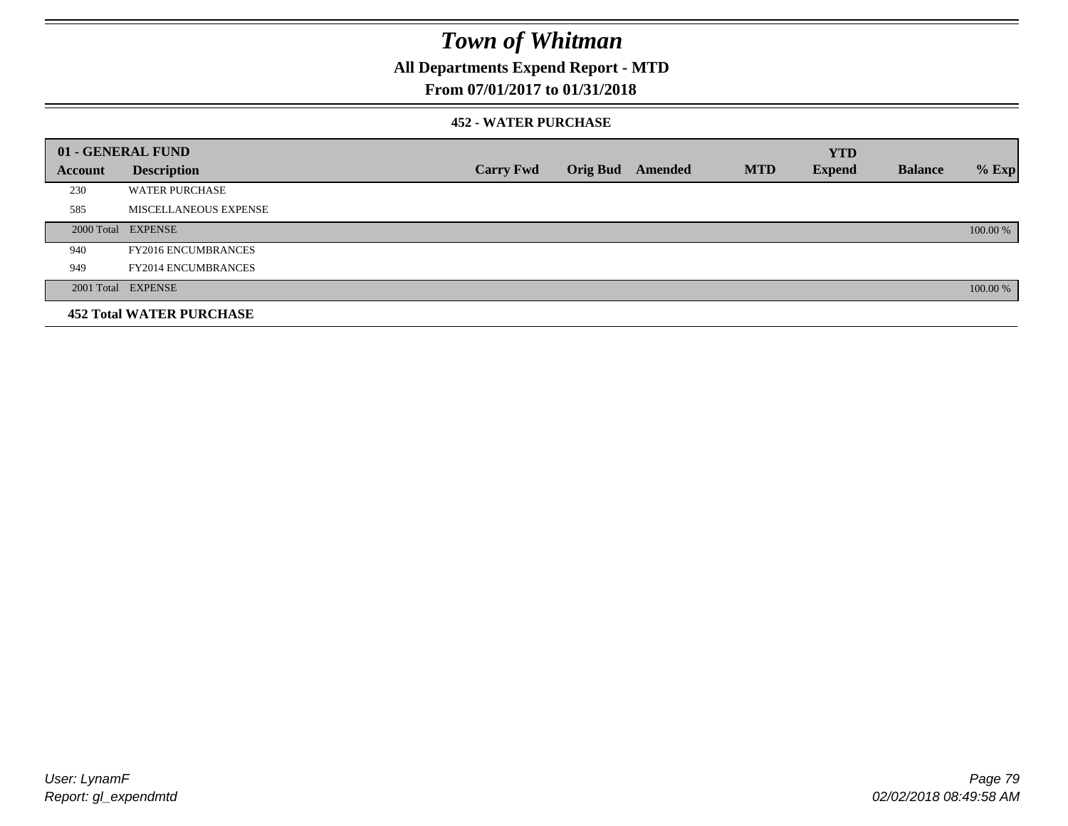## **All Departments Expend Report - MTD**

### **From 07/01/2017 to 01/31/2018**

#### **452 - WATER PURCHASE**

|         | 01 - GENERAL FUND               |                  |                 |         |            | <b>YTD</b>    |                |          |
|---------|---------------------------------|------------------|-----------------|---------|------------|---------------|----------------|----------|
| Account | <b>Description</b>              | <b>Carry Fwd</b> | <b>Orig Bud</b> | Amended | <b>MTD</b> | <b>Expend</b> | <b>Balance</b> | $%$ Exp  |
| 230     | <b>WATER PURCHASE</b>           |                  |                 |         |            |               |                |          |
| 585     | MISCELLANEOUS EXPENSE           |                  |                 |         |            |               |                |          |
|         | 2000 Total EXPENSE              |                  |                 |         |            |               |                | 100.00 % |
| 940     | <b>FY2016 ENCUMBRANCES</b>      |                  |                 |         |            |               |                |          |
| 949     | <b>FY2014 ENCUMBRANCES</b>      |                  |                 |         |            |               |                |          |
|         | 2001 Total EXPENSE              |                  |                 |         |            |               |                | 100.00 % |
|         | <b>452 Total WATER PURCHASE</b> |                  |                 |         |            |               |                |          |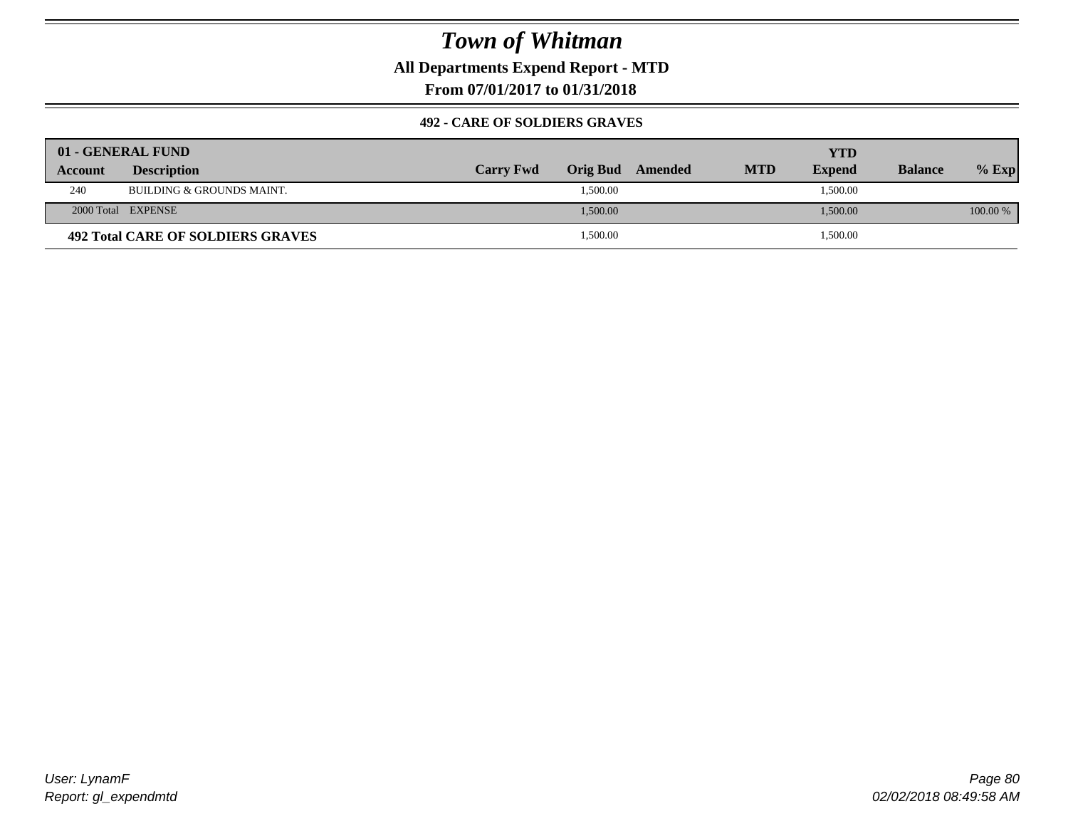**All Departments Expend Report - MTD**

**From 07/01/2017 to 01/31/2018**

#### **492 - CARE OF SOLDIERS GRAVES**

|                | 01 - GENERAL FUND                 |                  |                  |            | YTD           |                |          |
|----------------|-----------------------------------|------------------|------------------|------------|---------------|----------------|----------|
| <b>Account</b> | <b>Description</b>                | <b>Carry Fwd</b> | Orig Bud Amended | <b>MTD</b> | <b>Expend</b> | <b>Balance</b> | $%$ Exp  |
| 240            | BUILDING & GROUNDS MAINT.         |                  | 1,500.00         |            | 1,500.00      |                |          |
|                | 2000 Total EXPENSE                |                  | 1,500.00         |            | 1,500.00      |                | 100.00 % |
|                | 492 Total CARE OF SOLDIERS GRAVES |                  | 1,500.00         |            | 1,500.00      |                |          |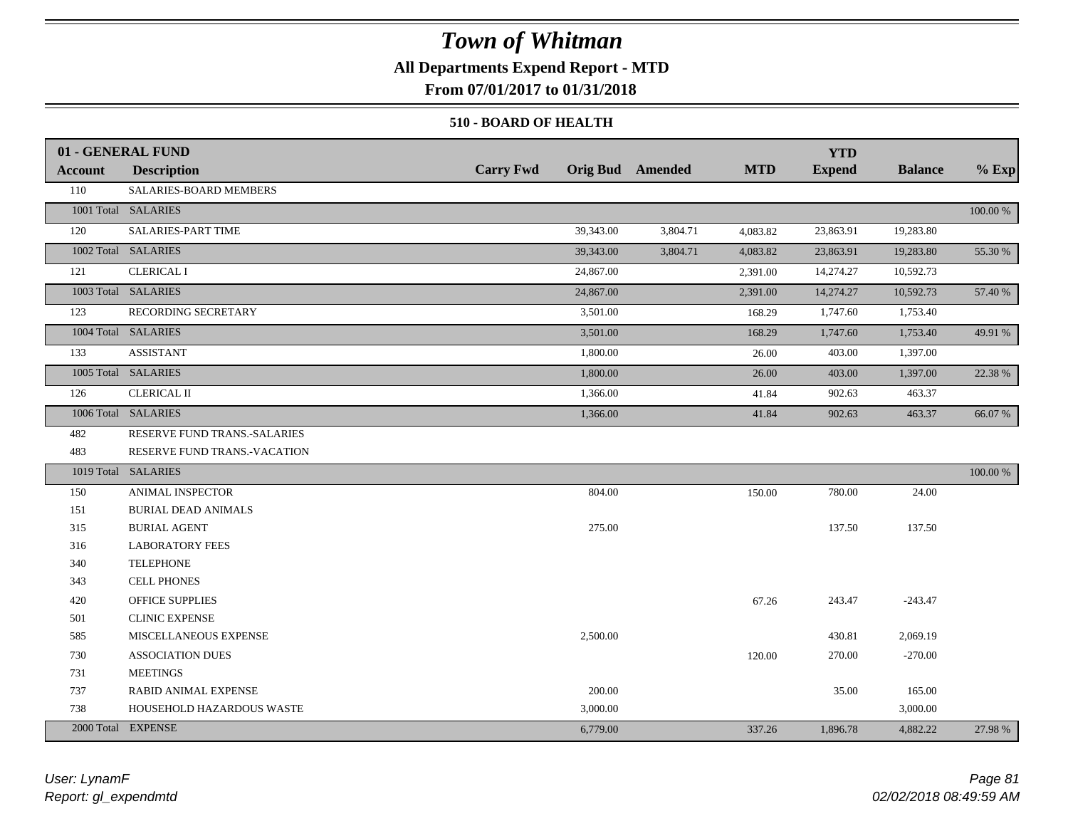### **All Departments Expend Report - MTD**

**From 07/01/2017 to 01/31/2018**

#### **510 - BOARD OF HEALTH**

|                | 01 - GENERAL FUND            |                  |                         |            | <b>YTD</b>    |                |          |
|----------------|------------------------------|------------------|-------------------------|------------|---------------|----------------|----------|
| <b>Account</b> | <b>Description</b>           | <b>Carry Fwd</b> | <b>Orig Bud</b> Amended | <b>MTD</b> | <b>Expend</b> | <b>Balance</b> | $%$ Exp  |
| 110            | SALARIES-BOARD MEMBERS       |                  |                         |            |               |                |          |
|                | 1001 Total SALARIES          |                  |                         |            |               |                | 100.00 % |
| 120            | SALARIES-PART TIME           | 39,343.00        | 3,804.71                | 4,083.82   | 23,863.91     | 19,283.80      |          |
|                | 1002 Total SALARIES          | 39,343.00        | 3,804.71                | 4,083.82   | 23,863.91     | 19,283.80      | 55.30 %  |
| 121            | <b>CLERICAL I</b>            | 24,867.00        |                         | 2,391.00   | 14,274.27     | 10,592.73      |          |
|                | 1003 Total SALARIES          | 24,867.00        |                         | 2,391.00   | 14,274.27     | 10,592.73      | 57.40 %  |
| 123            | RECORDING SECRETARY          | 3,501.00         |                         | 168.29     | 1,747.60      | 1,753.40       |          |
|                | 1004 Total SALARIES          | 3,501.00         |                         | 168.29     | 1,747.60      | 1,753.40       | 49.91 %  |
| 133            | <b>ASSISTANT</b>             | 1,800.00         |                         | 26.00      | 403.00        | 1,397.00       |          |
|                | 1005 Total SALARIES          | 1,800.00         |                         | 26.00      | 403.00        | 1,397.00       | 22.38 %  |
| 126            | <b>CLERICAL II</b>           | 1,366.00         |                         | 41.84      | 902.63        | 463.37         |          |
|                | 1006 Total SALARIES          | 1,366.00         |                         | 41.84      | 902.63        | 463.37         | 66.07 %  |
| 482            | RESERVE FUND TRANS.-SALARIES |                  |                         |            |               |                |          |
| 483            | RESERVE FUND TRANS.-VACATION |                  |                         |            |               |                |          |
|                | 1019 Total SALARIES          |                  |                         |            |               |                | 100.00 % |
| 150            | ANIMAL INSPECTOR             | 804.00           |                         | 150.00     | 780.00        | 24.00          |          |
| 151            | <b>BURIAL DEAD ANIMALS</b>   |                  |                         |            |               |                |          |
| 315            | <b>BURIAL AGENT</b>          | 275.00           |                         |            | 137.50        | 137.50         |          |
| 316            | <b>LABORATORY FEES</b>       |                  |                         |            |               |                |          |
| 340            | <b>TELEPHONE</b>             |                  |                         |            |               |                |          |
| 343            | <b>CELL PHONES</b>           |                  |                         |            |               |                |          |
| 420            | <b>OFFICE SUPPLIES</b>       |                  |                         | 67.26      | 243.47        | $-243.47$      |          |
| 501            | <b>CLINIC EXPENSE</b>        |                  |                         |            |               |                |          |
| 585            | MISCELLANEOUS EXPENSE        | 2,500.00         |                         |            | 430.81        | 2,069.19       |          |
| 730            | <b>ASSOCIATION DUES</b>      |                  |                         | 120.00     | 270.00        | $-270.00$      |          |
| 731            | <b>MEETINGS</b>              |                  |                         |            |               |                |          |
| 737            | <b>RABID ANIMAL EXPENSE</b>  | 200.00           |                         |            | 35.00         | 165.00         |          |
| 738            | HOUSEHOLD HAZARDOUS WASTE    | 3,000.00         |                         |            |               | 3,000.00       |          |
|                | 2000 Total EXPENSE           | 6,779.00         |                         | 337.26     | 1,896.78      | 4,882.22       | 27.98 %  |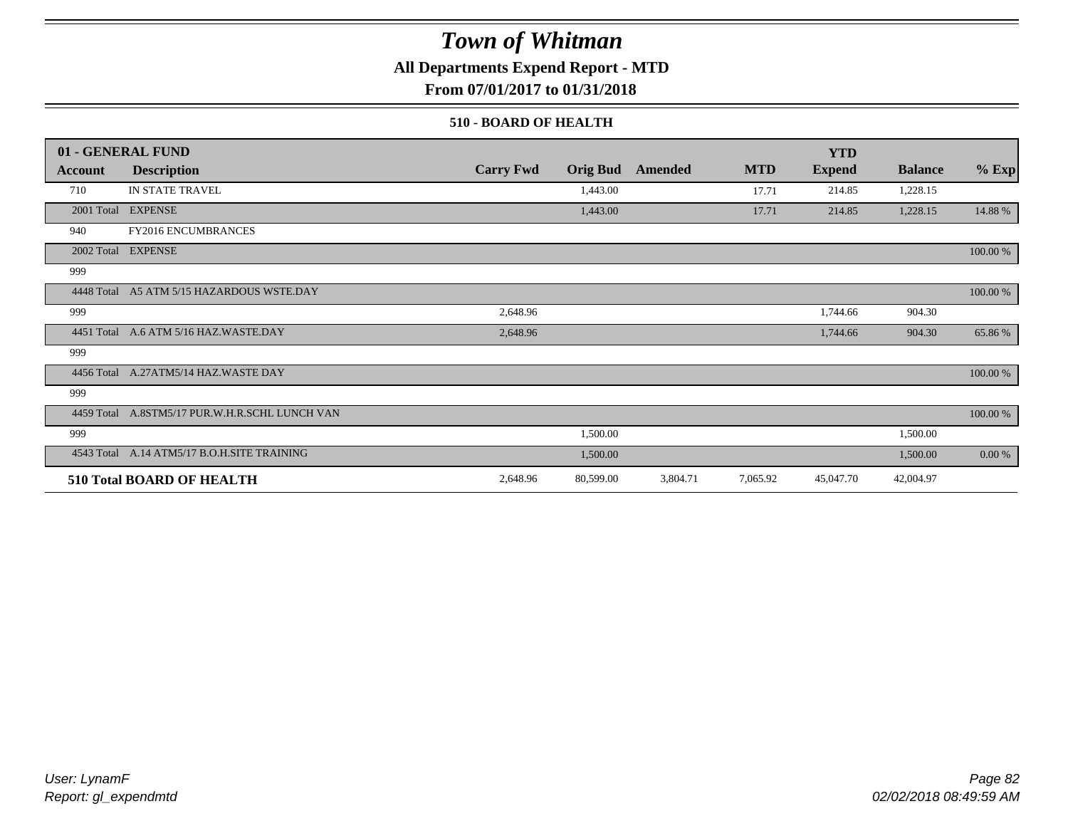**All Departments Expend Report - MTD**

**From 07/01/2017 to 01/31/2018**

#### **510 - BOARD OF HEALTH**

|            | 01 - GENERAL FUND                           |                  |                 |          |            | <b>YTD</b>    |                |           |
|------------|---------------------------------------------|------------------|-----------------|----------|------------|---------------|----------------|-----------|
| Account    | <b>Description</b>                          | <b>Carry Fwd</b> | <b>Orig Bud</b> | Amended  | <b>MTD</b> | <b>Expend</b> | <b>Balance</b> | $%$ Exp   |
| 710        | IN STATE TRAVEL                             |                  | 1,443.00        |          | 17.71      | 214.85        | 1,228.15       |           |
|            | 2001 Total EXPENSE                          |                  | 1,443.00        |          | 17.71      | 214.85        | 1,228.15       | 14.88 %   |
| 940        | FY2016 ENCUMBRANCES                         |                  |                 |          |            |               |                |           |
|            | 2002 Total EXPENSE                          |                  |                 |          |            |               |                | 100.00 %  |
| 999        |                                             |                  |                 |          |            |               |                |           |
| 4448 Total | A5 ATM 5/15 HAZARDOUS WSTE.DAY              |                  |                 |          |            |               |                | 100.00 %  |
| 999        |                                             | 2,648.96         |                 |          |            | 1,744.66      | 904.30         |           |
|            | 4451 Total A.6 ATM 5/16 HAZ.WASTE.DAY       | 2,648.96         |                 |          |            | 1,744.66      | 904.30         | 65.86%    |
| 999        |                                             |                  |                 |          |            |               |                |           |
|            | 4456 Total A.27ATM5/14 HAZ.WASTE DAY        |                  |                 |          |            |               |                | 100.00 %  |
| 999        |                                             |                  |                 |          |            |               |                |           |
| 4459 Total | A.8STM5/17 PUR.W.H.R.SCHL LUNCH VAN         |                  |                 |          |            |               |                | 100.00 %  |
| 999        |                                             |                  | 1,500.00        |          |            |               | 1,500.00       |           |
|            | 4543 Total A.14 ATM5/17 B.O.H.SITE TRAINING |                  | 1,500.00        |          |            |               | 1,500.00       | $0.00 \%$ |
|            | <b>510 Total BOARD OF HEALTH</b>            | 2,648.96         | 80,599.00       | 3,804.71 | 7,065.92   | 45,047.70     | 42,004.97      |           |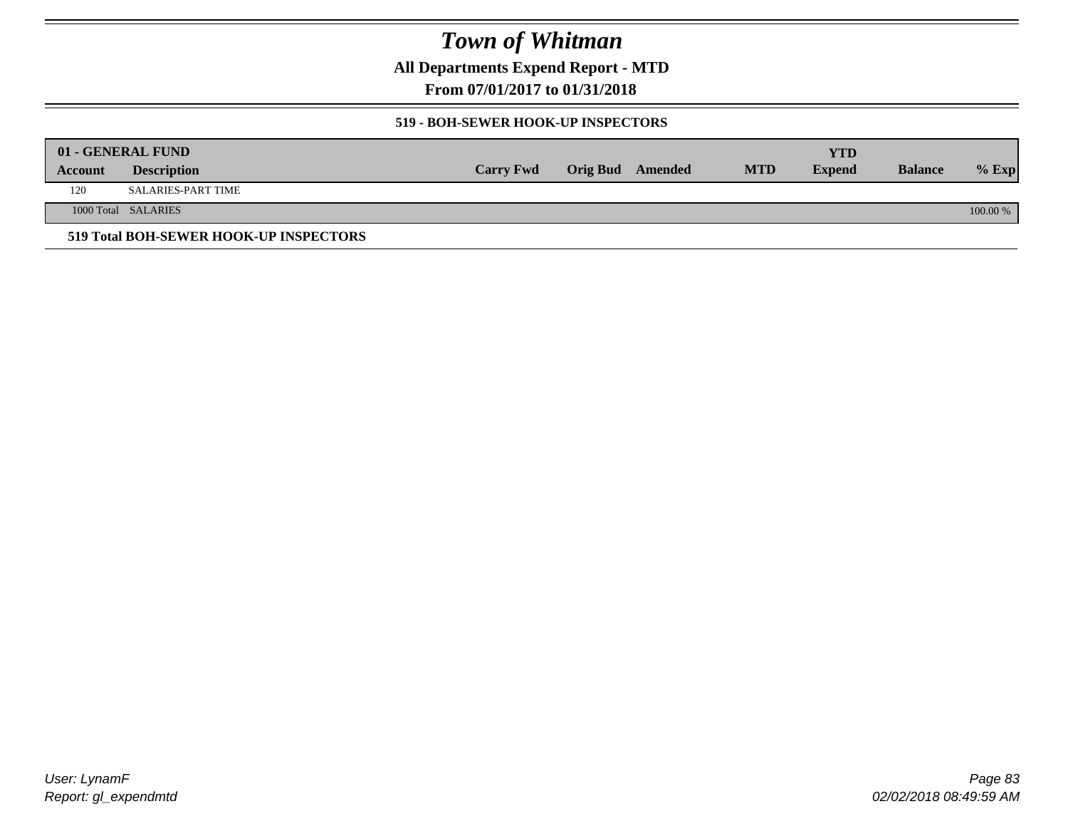**All Departments Expend Report - MTD**

**From 07/01/2017 to 01/31/2018**

#### **519 - BOH-SEWER HOOK-UP INSPECTORS**

|         | 01 - GENERAL FUND                      |                  |                  |            | YTD           |                |          |
|---------|----------------------------------------|------------------|------------------|------------|---------------|----------------|----------|
| Account | <b>Description</b>                     | <b>Carry Fwd</b> | Orig Bud Amended | <b>MTD</b> | <b>Expend</b> | <b>Balance</b> | $%$ Exp  |
| 120     | <b>SALARIES-PART TIME</b>              |                  |                  |            |               |                |          |
|         | 1000 Total SALARIES                    |                  |                  |            |               |                | 100.00 % |
|         | 519 Total BOH-SEWER HOOK-UP INSPECTORS |                  |                  |            |               |                |          |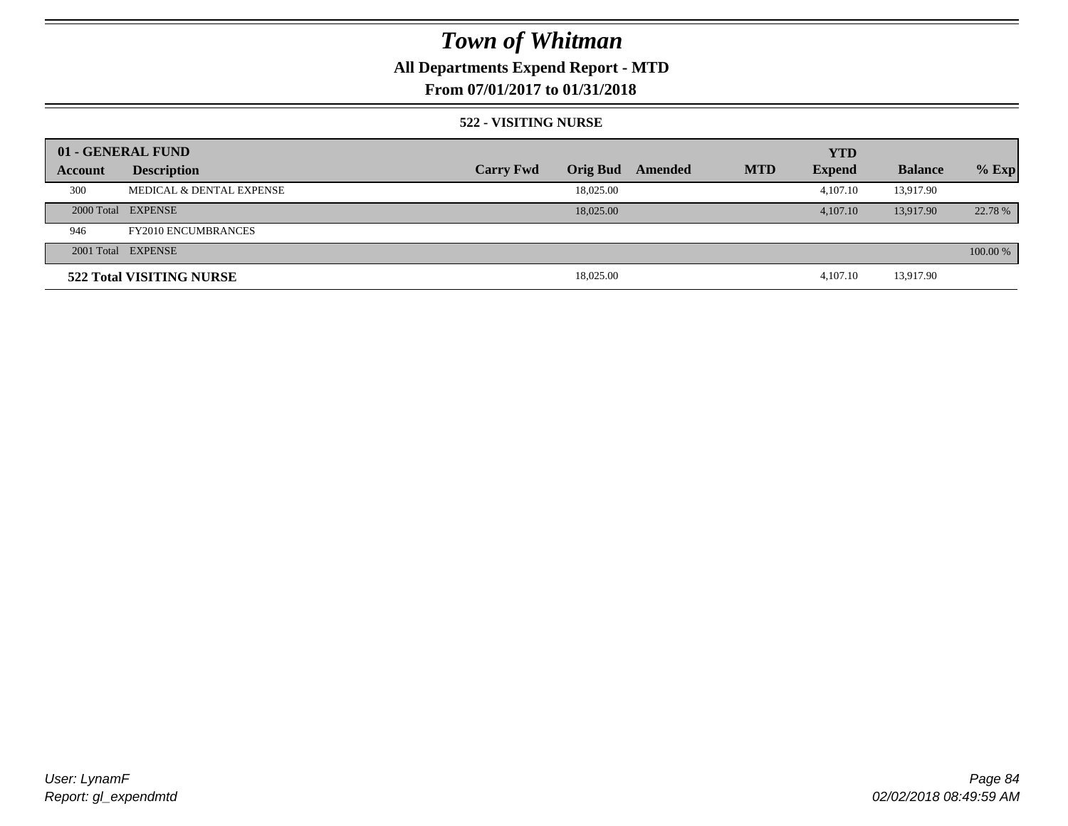## **All Departments Expend Report - MTD**

### **From 07/01/2017 to 01/31/2018**

#### **522 - VISITING NURSE**

|         | 01 - GENERAL FUND                   |                  |                 |         |            | <b>YTD</b>    |                |          |
|---------|-------------------------------------|------------------|-----------------|---------|------------|---------------|----------------|----------|
| Account | <b>Description</b>                  | <b>Carry Fwd</b> | <b>Orig Bud</b> | Amended | <b>MTD</b> | <b>Expend</b> | <b>Balance</b> | $%$ Exp  |
| 300     | <b>MEDICAL &amp; DENTAL EXPENSE</b> |                  | 18,025.00       |         |            | 4,107.10      | 13,917.90      |          |
|         | 2000 Total EXPENSE                  |                  | 18,025,00       |         |            | 4,107.10      | 13.917.90      | 22.78 %  |
| 946     | <b>FY2010 ENCUMBRANCES</b>          |                  |                 |         |            |               |                |          |
|         | 2001 Total EXPENSE                  |                  |                 |         |            |               |                | 100.00 % |
|         | 522 Total VISITING NURSE            |                  | 18,025.00       |         |            | 4.107.10      | 13,917.90      |          |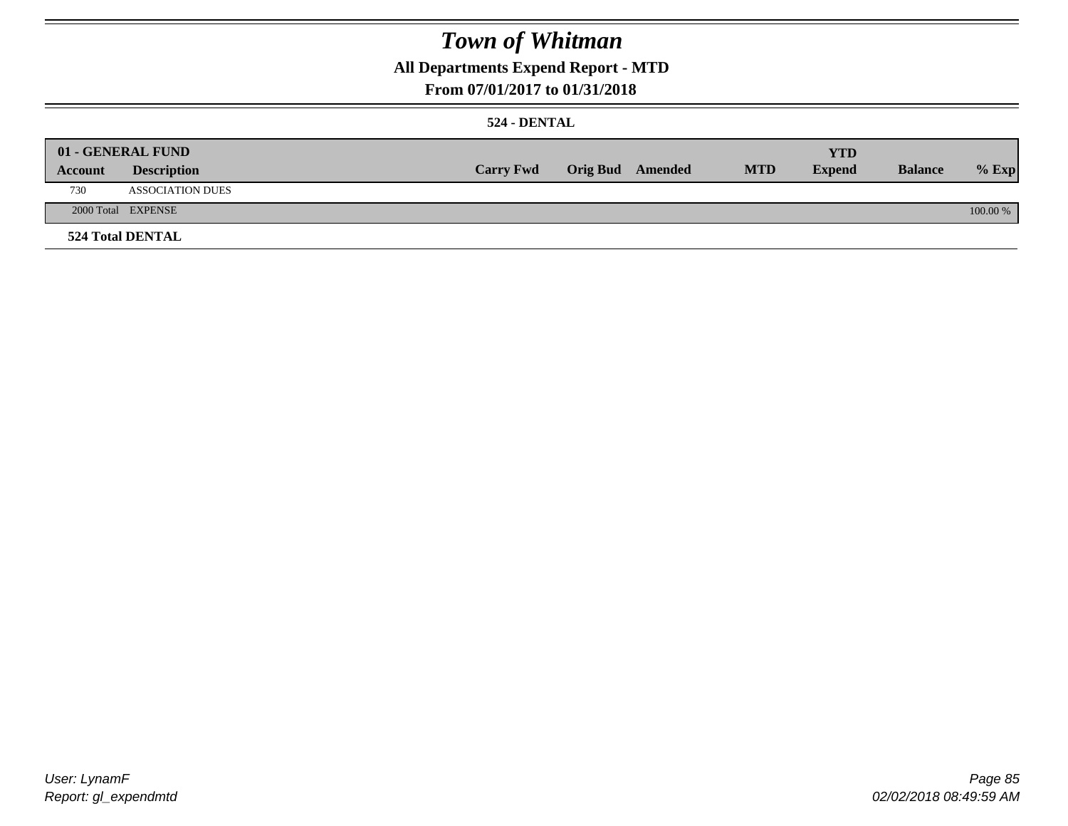## **All Departments Expend Report - MTD**

### **From 07/01/2017 to 01/31/2018**

#### **524 - DENTAL**

|         | 01 - GENERAL FUND       |                  |                  |            | <b>YTD</b>    |                |          |
|---------|-------------------------|------------------|------------------|------------|---------------|----------------|----------|
| Account | <b>Description</b>      | <b>Carry Fwd</b> | Orig Bud Amended | <b>MTD</b> | <b>Expend</b> | <b>Balance</b> | $%$ Exp  |
| 730     | <b>ASSOCIATION DUES</b> |                  |                  |            |               |                |          |
|         | 2000 Total EXPENSE      |                  |                  |            |               |                | 100.00 % |
|         | <b>524 Total DENTAL</b> |                  |                  |            |               |                |          |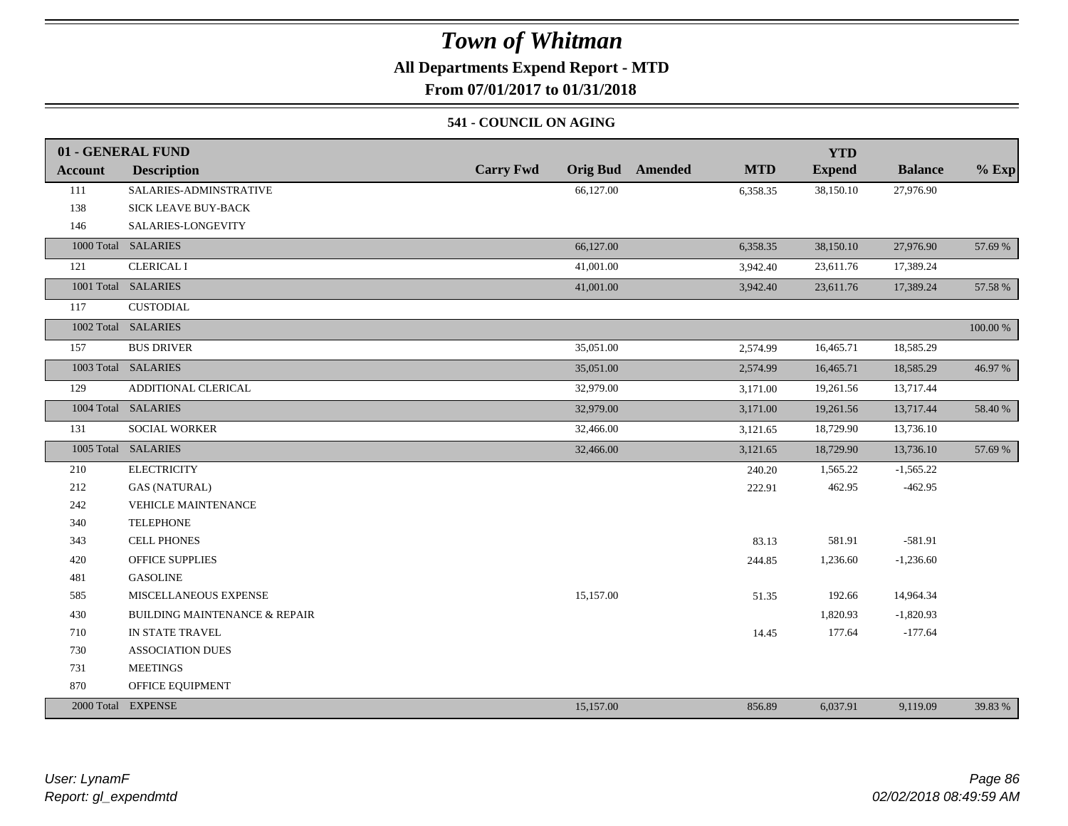### **All Departments Expend Report - MTD**

**From 07/01/2017 to 01/31/2018**

#### **541 - COUNCIL ON AGING**

|                | 01 - GENERAL FUND                        |                  |                                       | <b>YTD</b>    |                |          |
|----------------|------------------------------------------|------------------|---------------------------------------|---------------|----------------|----------|
| <b>Account</b> | <b>Description</b>                       | <b>Carry Fwd</b> | <b>MTD</b><br><b>Orig Bud</b> Amended | <b>Expend</b> | <b>Balance</b> | $%$ Exp  |
| 111            | SALARIES-ADMINSTRATIVE                   | 66,127.00        | 6,358.35                              | 38,150.10     | 27,976.90      |          |
| 138            | <b>SICK LEAVE BUY-BACK</b>               |                  |                                       |               |                |          |
| 146            | SALARIES-LONGEVITY                       |                  |                                       |               |                |          |
|                | 1000 Total SALARIES                      | 66,127.00        | 6,358.35                              | 38,150.10     | 27,976.90      | 57.69 %  |
| 121            | <b>CLERICAL I</b>                        | 41,001.00        | 3,942.40                              | 23,611.76     | 17,389.24      |          |
|                | 1001 Total SALARIES                      | 41,001.00        | 3,942.40                              | 23,611.76     | 17,389.24      | 57.58 %  |
| 117            | <b>CUSTODIAL</b>                         |                  |                                       |               |                |          |
|                | 1002 Total SALARIES                      |                  |                                       |               |                | 100.00 % |
| 157            | <b>BUS DRIVER</b>                        | 35,051.00        | 2,574.99                              | 16,465.71     | 18,585.29      |          |
|                | 1003 Total SALARIES                      | 35,051.00        | 2,574.99                              | 16,465.71     | 18,585.29      | 46.97 %  |
| 129            | ADDITIONAL CLERICAL                      | 32,979.00        | 3,171.00                              | 19,261.56     | 13,717.44      |          |
|                | 1004 Total SALARIES                      | 32,979.00        | 3,171.00                              | 19,261.56     | 13,717.44      | 58.40 %  |
| 131            | <b>SOCIAL WORKER</b>                     | 32,466.00        | 3,121.65                              | 18,729.90     | 13,736.10      |          |
|                | 1005 Total SALARIES                      | 32,466.00        | 3,121.65                              | 18,729.90     | 13,736.10      | 57.69 %  |
| 210            | <b>ELECTRICITY</b>                       |                  | 240.20                                | 1,565.22      | $-1,565.22$    |          |
| 212            | <b>GAS (NATURAL)</b>                     |                  | 222.91                                | 462.95        | $-462.95$      |          |
| 242            | <b>VEHICLE MAINTENANCE</b>               |                  |                                       |               |                |          |
| 340            | <b>TELEPHONE</b>                         |                  |                                       |               |                |          |
| 343            | <b>CELL PHONES</b>                       |                  | 83.13                                 | 581.91        | $-581.91$      |          |
| 420            | <b>OFFICE SUPPLIES</b>                   |                  | 244.85                                | 1,236.60      | $-1,236.60$    |          |
| 481            | <b>GASOLINE</b>                          |                  |                                       |               |                |          |
| 585            | MISCELLANEOUS EXPENSE                    | 15,157.00        | 51.35                                 | 192.66        | 14,964.34      |          |
| 430            | <b>BUILDING MAINTENANCE &amp; REPAIR</b> |                  |                                       | 1,820.93      | $-1,820.93$    |          |
| 710            | IN STATE TRAVEL                          |                  | 14.45                                 | 177.64        | $-177.64$      |          |
| 730            | <b>ASSOCIATION DUES</b>                  |                  |                                       |               |                |          |
| 731            | <b>MEETINGS</b>                          |                  |                                       |               |                |          |
| 870            | OFFICE EQUIPMENT                         |                  |                                       |               |                |          |
|                | 2000 Total EXPENSE                       | 15,157.00        | 856.89                                | 6,037.91      | 9,119.09       | 39.83 %  |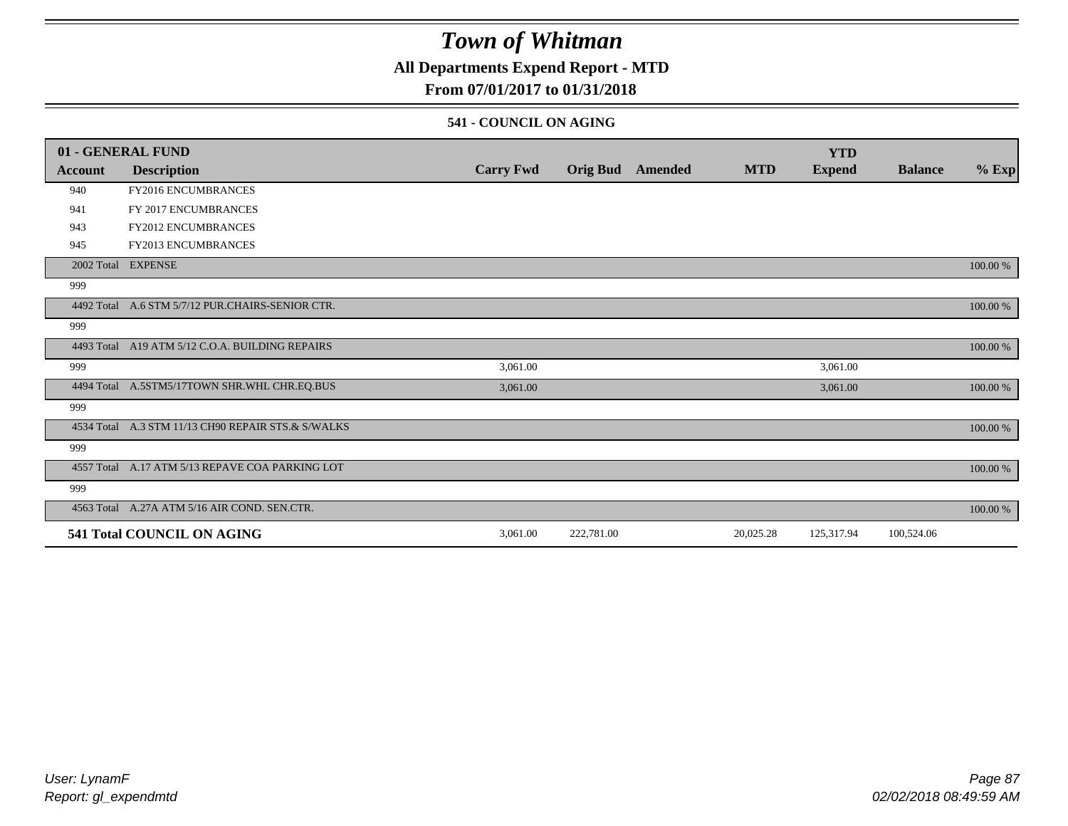### **All Departments Expend Report - MTD**

### **From 07/01/2017 to 01/31/2018**

#### **541 - COUNCIL ON AGING**

|            | 01 - GENERAL FUND                                  |                  |                 |         |            | <b>YTD</b>    |                |          |
|------------|----------------------------------------------------|------------------|-----------------|---------|------------|---------------|----------------|----------|
| Account    | <b>Description</b>                                 | <b>Carry Fwd</b> | <b>Orig Bud</b> | Amended | <b>MTD</b> | <b>Expend</b> | <b>Balance</b> | $%$ Exp  |
| 940        | FY2016 ENCUMBRANCES                                |                  |                 |         |            |               |                |          |
| 941        | FY 2017 ENCUMBRANCES                               |                  |                 |         |            |               |                |          |
| 943        | FY2012 ENCUMBRANCES                                |                  |                 |         |            |               |                |          |
| 945        | <b>FY2013 ENCUMBRANCES</b>                         |                  |                 |         |            |               |                |          |
|            | 2002 Total EXPENSE                                 |                  |                 |         |            |               |                | 100.00 % |
| 999        |                                                    |                  |                 |         |            |               |                |          |
| 4492 Total | A.6 STM 5/7/12 PUR.CHAIRS-SENIOR CTR.              |                  |                 |         |            |               |                | 100.00 % |
| 999        |                                                    |                  |                 |         |            |               |                |          |
|            | 4493 Total A19 ATM 5/12 C.O.A. BUILDING REPAIRS    |                  |                 |         |            |               |                | 100.00 % |
| 999        |                                                    | 3,061.00         |                 |         |            | 3,061.00      |                |          |
|            | 4494 Total A.5STM5/17TOWN SHR.WHL CHR.EQ.BUS       | 3,061.00         |                 |         |            | 3,061.00      |                | 100.00 % |
| 999        |                                                    |                  |                 |         |            |               |                |          |
|            | 4534 Total A.3 STM 11/13 CH90 REPAIR STS.& S/WALKS |                  |                 |         |            |               |                | 100.00 % |
| 999        |                                                    |                  |                 |         |            |               |                |          |
|            | 4557 Total A.17 ATM 5/13 REPAVE COA PARKING LOT    |                  |                 |         |            |               |                | 100.00 % |
| 999        |                                                    |                  |                 |         |            |               |                |          |
|            | 4563 Total A.27A ATM 5/16 AIR COND. SEN.CTR.       |                  |                 |         |            |               |                | 100.00 % |
|            | 541 Total COUNCIL ON AGING                         | 3,061.00         | 222,781.00      |         | 20,025.28  | 125,317.94    | 100,524.06     |          |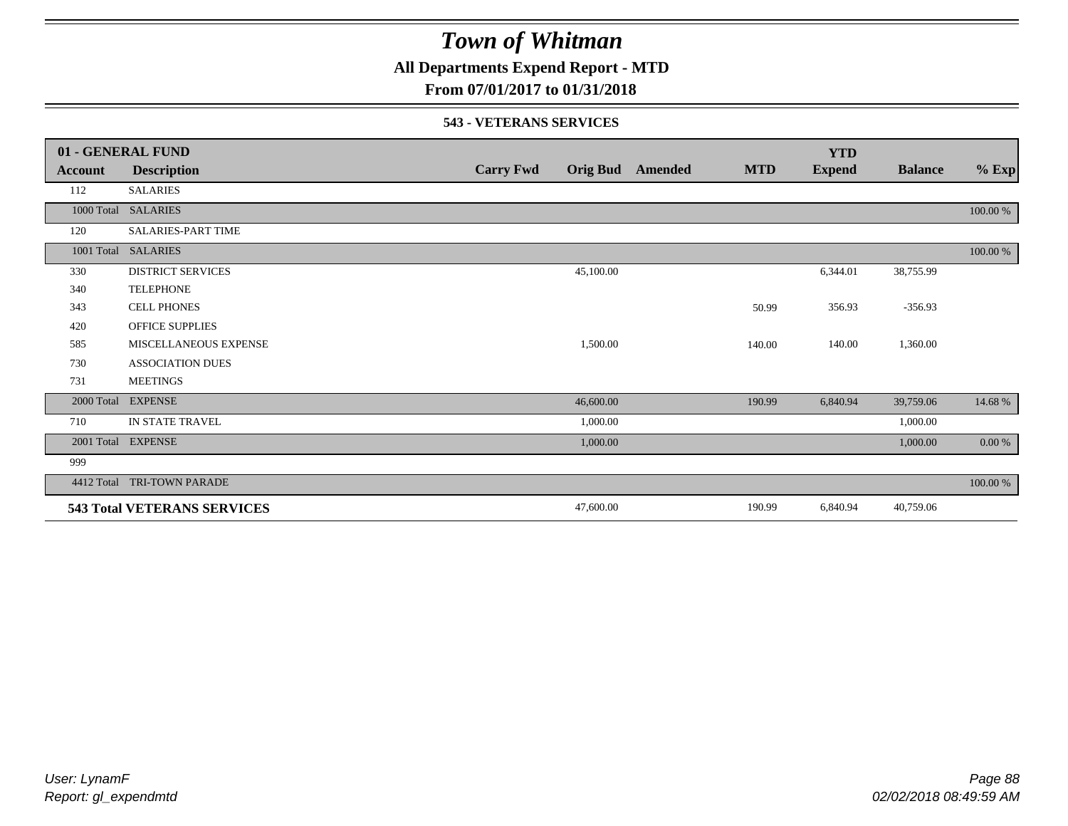**All Departments Expend Report - MTD**

### **From 07/01/2017 to 01/31/2018**

#### **543 - VETERANS SERVICES**

|            | 01 - GENERAL FUND                  |                  |                 |                |            | <b>YTD</b>    |                |          |
|------------|------------------------------------|------------------|-----------------|----------------|------------|---------------|----------------|----------|
| Account    | <b>Description</b>                 | <b>Carry Fwd</b> | <b>Orig Bud</b> | <b>Amended</b> | <b>MTD</b> | <b>Expend</b> | <b>Balance</b> | $%$ Exp  |
| 112        | <b>SALARIES</b>                    |                  |                 |                |            |               |                |          |
| 1000 Total | <b>SALARIES</b>                    |                  |                 |                |            |               |                | 100.00 % |
| 120        | <b>SALARIES-PART TIME</b>          |                  |                 |                |            |               |                |          |
| 1001 Total | <b>SALARIES</b>                    |                  |                 |                |            |               |                | 100.00 % |
| 330        | <b>DISTRICT SERVICES</b>           |                  | 45,100.00       |                |            | 6,344.01      | 38,755.99      |          |
| 340        | <b>TELEPHONE</b>                   |                  |                 |                |            |               |                |          |
| 343        | <b>CELL PHONES</b>                 |                  |                 |                | 50.99      | 356.93        | $-356.93$      |          |
| 420        | <b>OFFICE SUPPLIES</b>             |                  |                 |                |            |               |                |          |
| 585        | MISCELLANEOUS EXPENSE              |                  | 1,500.00        |                | 140.00     | 140.00        | 1,360.00       |          |
| 730        | <b>ASSOCIATION DUES</b>            |                  |                 |                |            |               |                |          |
| 731        | <b>MEETINGS</b>                    |                  |                 |                |            |               |                |          |
| 2000 Total | <b>EXPENSE</b>                     |                  | 46,600.00       |                | 190.99     | 6,840.94      | 39,759.06      | 14.68 %  |
| 710        | IN STATE TRAVEL                    |                  | 1,000.00        |                |            |               | 1,000.00       |          |
| 2001 Total | <b>EXPENSE</b>                     |                  | 1,000.00        |                |            |               | 1,000.00       | 0.00 %   |
| 999        |                                    |                  |                 |                |            |               |                |          |
| 4412 Total | <b>TRI-TOWN PARADE</b>             |                  |                 |                |            |               |                | 100.00 % |
|            | <b>543 Total VETERANS SERVICES</b> |                  | 47,600.00       |                | 190.99     | 6,840.94      | 40,759.06      |          |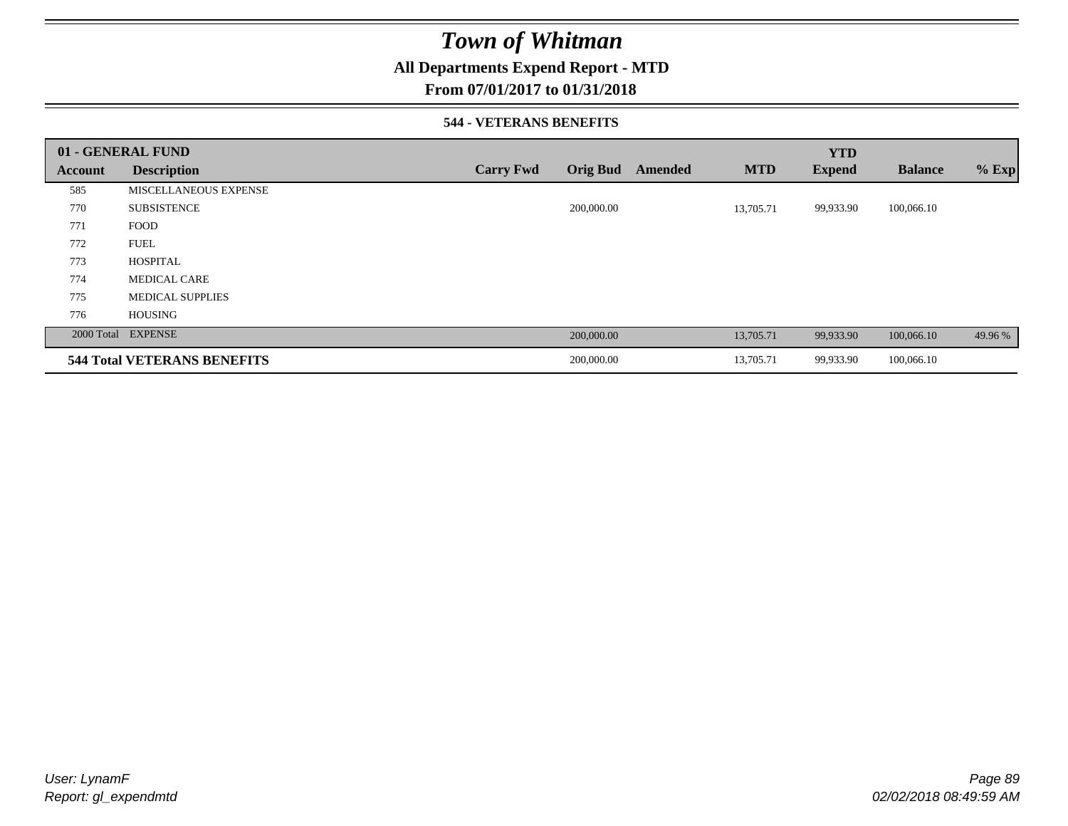### **All Departments Expend Report - MTD**

### **From 07/01/2017 to 01/31/2018**

#### **544 - VETERANS BENEFITS**

|         | 01 - GENERAL FUND                  |                  |                 |         |            | <b>YTD</b>    |                |         |
|---------|------------------------------------|------------------|-----------------|---------|------------|---------------|----------------|---------|
| Account | <b>Description</b>                 | <b>Carry Fwd</b> | <b>Orig Bud</b> | Amended | <b>MTD</b> | <b>Expend</b> | <b>Balance</b> | $%$ Exp |
| 585     | <b>MISCELLANEOUS EXPENSE</b>       |                  |                 |         |            |               |                |         |
| 770     | <b>SUBSISTENCE</b>                 |                  | 200,000.00      |         | 13,705.71  | 99,933.90     | 100,066.10     |         |
| 771     | <b>FOOD</b>                        |                  |                 |         |            |               |                |         |
| 772     | <b>FUEL</b>                        |                  |                 |         |            |               |                |         |
| 773     | <b>HOSPITAL</b>                    |                  |                 |         |            |               |                |         |
| 774     | <b>MEDICAL CARE</b>                |                  |                 |         |            |               |                |         |
| 775     | <b>MEDICAL SUPPLIES</b>            |                  |                 |         |            |               |                |         |
| 776     | <b>HOUSING</b>                     |                  |                 |         |            |               |                |         |
|         | 2000 Total EXPENSE                 |                  | 200,000.00      |         | 13,705.71  | 99,933.90     | 100,066.10     | 49.96 % |
|         | <b>544 Total VETERANS BENEFITS</b> |                  | 200,000.00      |         | 13,705.71  | 99,933.90     | 100,066.10     |         |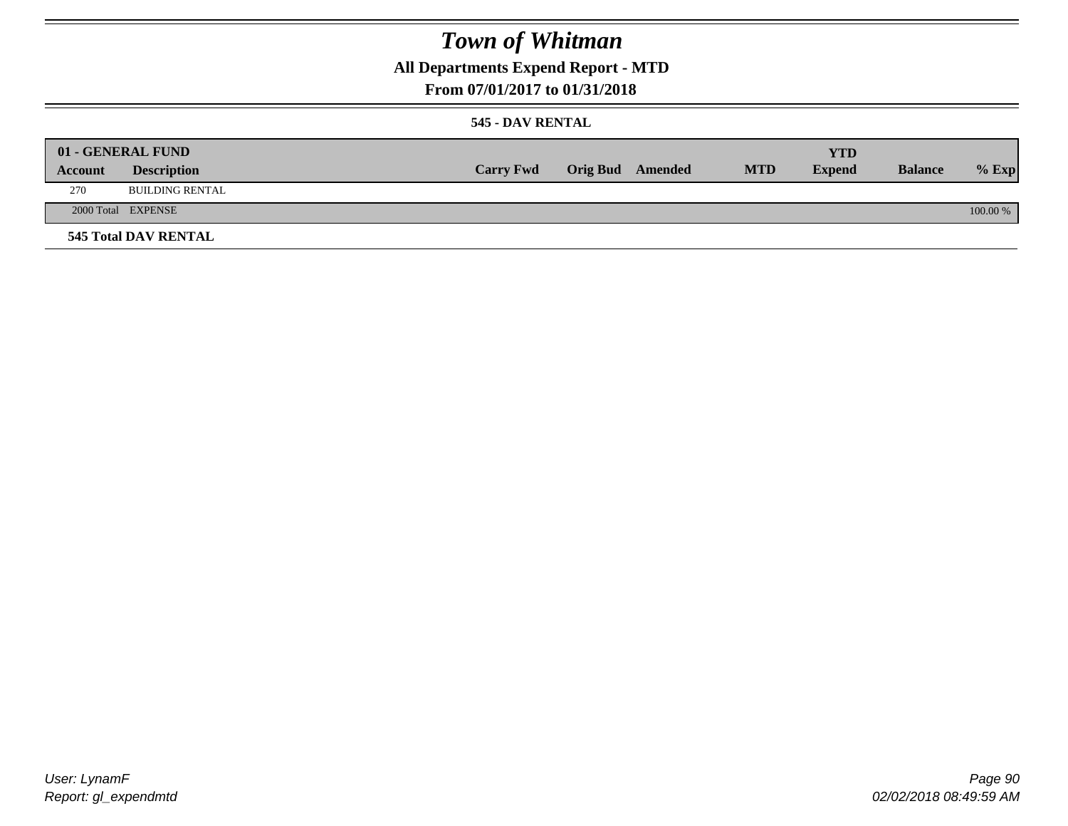**All Departments Expend Report - MTD**

### **From 07/01/2017 to 01/31/2018**

#### **545 - DAV RENTAL**

|         | 01 - GENERAL FUND           |                  |                         |            | YTD           |                |            |
|---------|-----------------------------|------------------|-------------------------|------------|---------------|----------------|------------|
| Account | <b>Description</b>          | <b>Carry Fwd</b> | <b>Orig Bud</b> Amended | <b>MTD</b> | <b>Expend</b> | <b>Balance</b> | $%$ Exp    |
| 270     | <b>BUILDING RENTAL</b>      |                  |                         |            |               |                |            |
|         | 2000 Total EXPENSE          |                  |                         |            |               |                | $100.00\%$ |
|         | <b>545 Total DAV RENTAL</b> |                  |                         |            |               |                |            |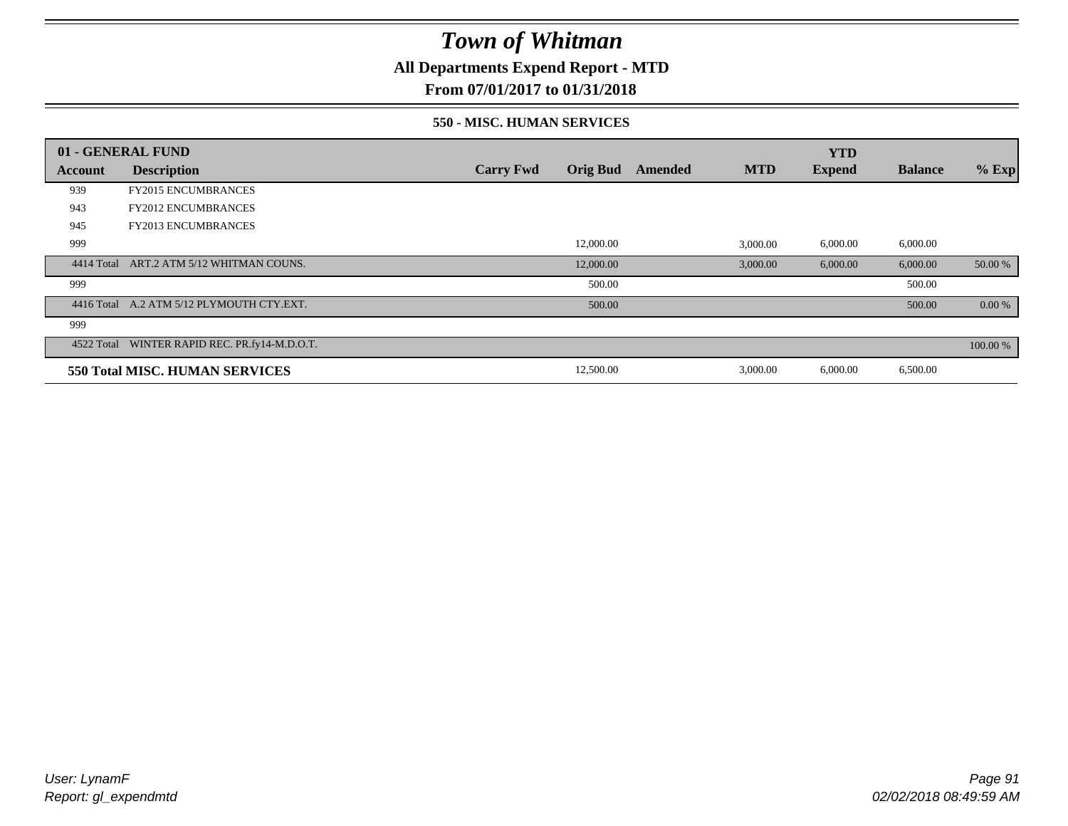**All Departments Expend Report - MTD**

**From 07/01/2017 to 01/31/2018**

#### **550 - MISC. HUMAN SERVICES**

|            | 01 - GENERAL FUND                             |                  |                 |         |            | <b>YTD</b>    |                |          |
|------------|-----------------------------------------------|------------------|-----------------|---------|------------|---------------|----------------|----------|
| Account    | <b>Description</b>                            | <b>Carry Fwd</b> | <b>Orig Bud</b> | Amended | <b>MTD</b> | <b>Expend</b> | <b>Balance</b> | $%$ Exp  |
| 939        | <b>FY2015 ENCUMBRANCES</b>                    |                  |                 |         |            |               |                |          |
| 943        | <b>FY2012 ENCUMBRANCES</b>                    |                  |                 |         |            |               |                |          |
| 945        | <b>FY2013 ENCUMBRANCES</b>                    |                  |                 |         |            |               |                |          |
| 999        |                                               |                  | 12,000.00       |         | 3,000.00   | 6,000.00      | 6,000.00       |          |
| 4414 Total | ART.2 ATM 5/12 WHITMAN COUNS.                 |                  | 12,000.00       |         | 3,000.00   | 6,000.00      | 6,000.00       | 50.00 %  |
| 999        |                                               |                  | 500.00          |         |            |               | 500.00         |          |
|            | 4416 Total A.2 ATM 5/12 PLYMOUTH CTY.EXT.     |                  | 500.00          |         |            |               | 500.00         | 0.00 %   |
| 999        |                                               |                  |                 |         |            |               |                |          |
|            | 4522 Total WINTER RAPID REC. PR.fy14-M.D.O.T. |                  |                 |         |            |               |                | 100.00 % |
|            | 550 Total MISC. HUMAN SERVICES                |                  | 12,500.00       |         | 3,000.00   | 6,000.00      | 6,500.00       |          |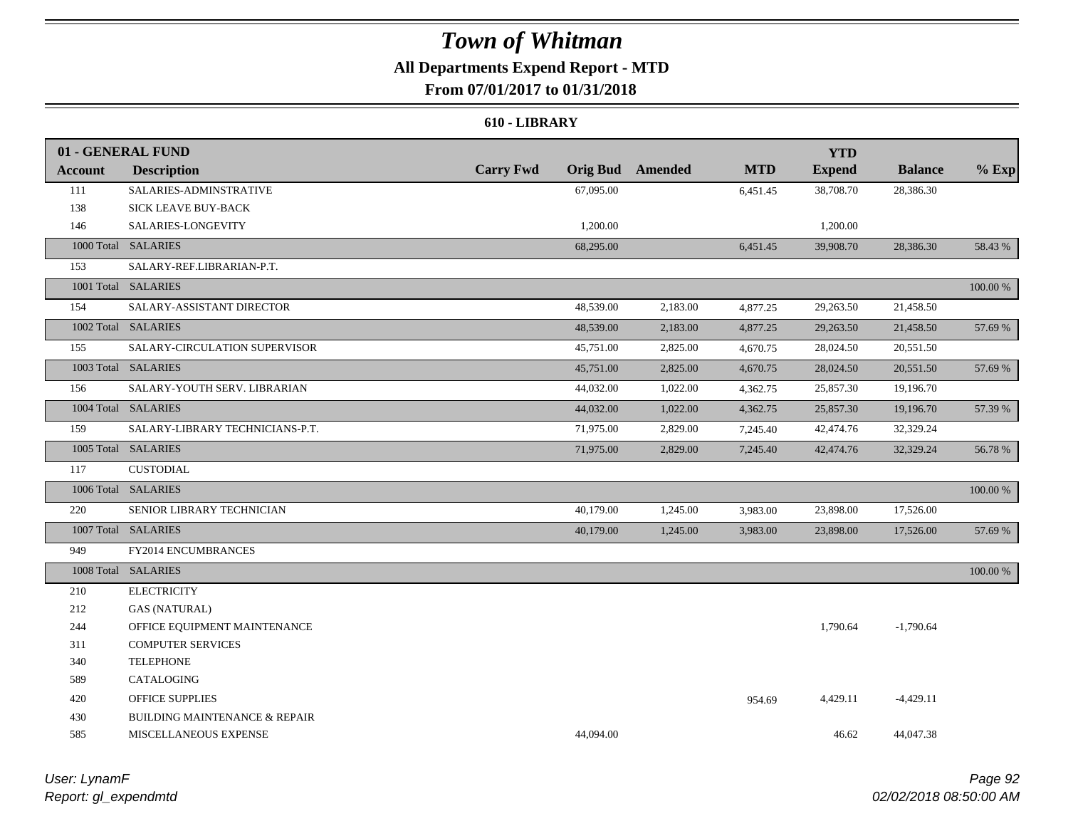### **All Departments Expend Report - MTD From 07/01/2017 to 01/31/2018**

## **610 - LIBRARY**

|                | 01 - GENERAL FUND                        |                  |                 |          |            | <b>YTD</b>    |                |          |
|----------------|------------------------------------------|------------------|-----------------|----------|------------|---------------|----------------|----------|
| <b>Account</b> | <b>Description</b>                       | <b>Carry Fwd</b> | <b>Orig Bud</b> | Amended  | <b>MTD</b> | <b>Expend</b> | <b>Balance</b> | $%$ Exp  |
| 111            | SALARIES-ADMINSTRATIVE                   |                  | 67,095.00       |          | 6,451.45   | 38,708.70     | 28,386.30      |          |
| 138            | SICK LEAVE BUY-BACK                      |                  |                 |          |            |               |                |          |
| 146            | SALARIES-LONGEVITY                       |                  | 1,200.00        |          |            | 1,200.00      |                |          |
|                | 1000 Total SALARIES                      |                  | 68,295.00       |          | 6,451.45   | 39,908.70     | 28,386.30      | 58.43 %  |
| 153            | SALARY-REF.LIBRARIAN-P.T.                |                  |                 |          |            |               |                |          |
|                | 1001 Total SALARIES                      |                  |                 |          |            |               |                | 100.00 % |
| 154            | SALARY-ASSISTANT DIRECTOR                |                  | 48,539.00       | 2,183.00 | 4,877.25   | 29,263.50     | 21,458.50      |          |
|                | 1002 Total SALARIES                      |                  | 48,539.00       | 2,183.00 | 4,877.25   | 29,263.50     | 21,458.50      | 57.69 %  |
| 155            | SALARY-CIRCULATION SUPERVISOR            |                  | 45,751.00       | 2,825.00 | 4,670.75   | 28,024.50     | 20,551.50      |          |
|                | 1003 Total SALARIES                      |                  | 45,751.00       | 2,825.00 | 4,670.75   | 28,024.50     | 20,551.50      | 57.69 %  |
| 156            | SALARY-YOUTH SERV. LIBRARIAN             |                  | 44,032.00       | 1,022.00 | 4,362.75   | 25,857.30     | 19,196.70      |          |
|                | 1004 Total SALARIES                      |                  | 44,032.00       | 1,022.00 | 4,362.75   | 25,857.30     | 19,196.70      | 57.39 %  |
| 159            | SALARY-LIBRARY TECHNICIANS-P.T.          |                  | 71,975.00       | 2,829.00 | 7,245.40   | 42,474.76     | 32,329.24      |          |
|                | 1005 Total SALARIES                      |                  | 71,975.00       | 2,829.00 | 7,245.40   | 42,474.76     | 32,329.24      | 56.78 %  |
| 117            | <b>CUSTODIAL</b>                         |                  |                 |          |            |               |                |          |
|                | 1006 Total SALARIES                      |                  |                 |          |            |               |                | 100.00 % |
| 220            | SENIOR LIBRARY TECHNICIAN                |                  | 40,179.00       | 1,245.00 | 3,983.00   | 23,898.00     | 17,526.00      |          |
|                | 1007 Total SALARIES                      |                  | 40,179.00       | 1,245.00 | 3,983.00   | 23,898.00     | 17,526.00      | 57.69 %  |
| 949            | FY2014 ENCUMBRANCES                      |                  |                 |          |            |               |                |          |
|                | 1008 Total SALARIES                      |                  |                 |          |            |               |                | 100.00 % |
| 210            | <b>ELECTRICITY</b>                       |                  |                 |          |            |               |                |          |
| 212            | <b>GAS (NATURAL)</b>                     |                  |                 |          |            |               |                |          |
| 244            | OFFICE EQUIPMENT MAINTENANCE             |                  |                 |          |            | 1,790.64      | $-1,790.64$    |          |
| 311            | <b>COMPUTER SERVICES</b>                 |                  |                 |          |            |               |                |          |
| 340            | <b>TELEPHONE</b>                         |                  |                 |          |            |               |                |          |
| 589            | CATALOGING                               |                  |                 |          |            |               |                |          |
| 420            | <b>OFFICE SUPPLIES</b>                   |                  |                 |          | 954.69     | 4,429.11      | $-4,429.11$    |          |
| 430            | <b>BUILDING MAINTENANCE &amp; REPAIR</b> |                  |                 |          |            |               |                |          |
| 585            | MISCELLANEOUS EXPENSE                    |                  | 44,094.00       |          |            | 46.62         | 44,047.38      |          |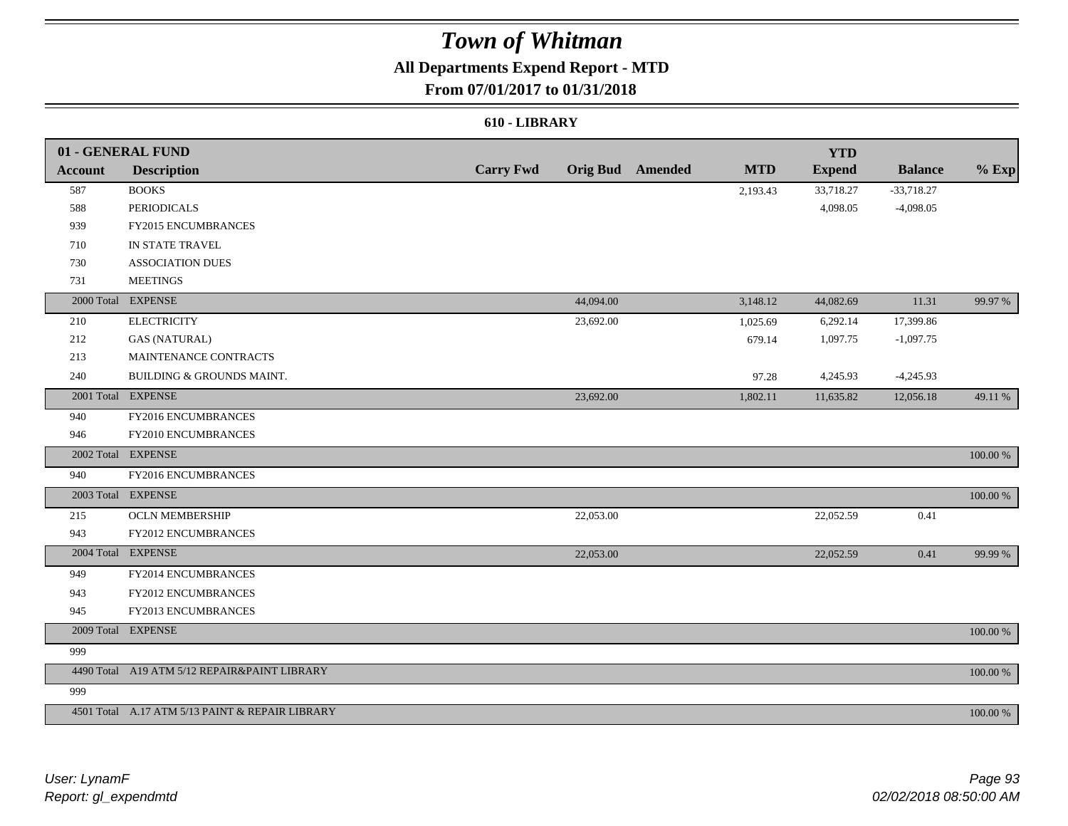## **All Departments Expend Report - MTD**

### **From 07/01/2017 to 01/31/2018**

#### **610 - LIBRARY**

|                | 01 - GENERAL FUND                               |                  |           |                         |            | <b>YTD</b>    |                |             |
|----------------|-------------------------------------------------|------------------|-----------|-------------------------|------------|---------------|----------------|-------------|
| <b>Account</b> | <b>Description</b>                              | <b>Carry Fwd</b> |           | <b>Orig Bud</b> Amended | <b>MTD</b> | <b>Expend</b> | <b>Balance</b> | $%$ Exp     |
| 587            | <b>BOOKS</b>                                    |                  |           |                         | 2,193.43   | 33,718.27     | $-33,718.27$   |             |
| 588            | <b>PERIODICALS</b>                              |                  |           |                         |            | 4,098.05      | $-4,098.05$    |             |
| 939            | FY2015 ENCUMBRANCES                             |                  |           |                         |            |               |                |             |
| 710            | IN STATE TRAVEL                                 |                  |           |                         |            |               |                |             |
| 730            | <b>ASSOCIATION DUES</b>                         |                  |           |                         |            |               |                |             |
| 731            | <b>MEETINGS</b>                                 |                  |           |                         |            |               |                |             |
|                | 2000 Total EXPENSE                              |                  | 44,094.00 |                         | 3,148.12   | 44,082.69     | 11.31          | 99.97 %     |
| 210            | <b>ELECTRICITY</b>                              |                  | 23,692.00 |                         | 1,025.69   | 6,292.14      | 17,399.86      |             |
| 212            | <b>GAS (NATURAL)</b>                            |                  |           |                         | 679.14     | 1,097.75      | $-1,097.75$    |             |
| 213            | MAINTENANCE CONTRACTS                           |                  |           |                         |            |               |                |             |
| 240            | BUILDING & GROUNDS MAINT.                       |                  |           |                         | 97.28      | 4,245.93      | $-4,245.93$    |             |
|                | 2001 Total EXPENSE                              |                  | 23,692.00 |                         | 1,802.11   | 11,635.82     | 12,056.18      | 49.11 %     |
| 940            | FY2016 ENCUMBRANCES                             |                  |           |                         |            |               |                |             |
| 946            | FY2010 ENCUMBRANCES                             |                  |           |                         |            |               |                |             |
| 2002 Total     | <b>EXPENSE</b>                                  |                  |           |                         |            |               |                | $100.00~\%$ |
| 940            | FY2016 ENCUMBRANCES                             |                  |           |                         |            |               |                |             |
|                | 2003 Total EXPENSE                              |                  |           |                         |            |               |                | 100.00 %    |
| 215            | <b>OCLN MEMBERSHIP</b>                          |                  | 22,053.00 |                         |            | 22,052.59     | 0.41           |             |
| 943            | FY2012 ENCUMBRANCES                             |                  |           |                         |            |               |                |             |
|                | 2004 Total EXPENSE                              |                  | 22,053.00 |                         |            | 22,052.59     | 0.41           | 99.99 %     |
| 949            | FY2014 ENCUMBRANCES                             |                  |           |                         |            |               |                |             |
| 943            | FY2012 ENCUMBRANCES                             |                  |           |                         |            |               |                |             |
| 945            | FY2013 ENCUMBRANCES                             |                  |           |                         |            |               |                |             |
|                | 2009 Total EXPENSE                              |                  |           |                         |            |               |                | $100.00~\%$ |
| 999            |                                                 |                  |           |                         |            |               |                |             |
|                | 4490 Total A19 ATM 5/12 REPAIR&PAINT LIBRARY    |                  |           |                         |            |               |                | 100.00 %    |
| 999            |                                                 |                  |           |                         |            |               |                |             |
|                | 4501 Total A.17 ATM 5/13 PAINT & REPAIR LIBRARY |                  |           |                         |            |               |                | 100.00 %    |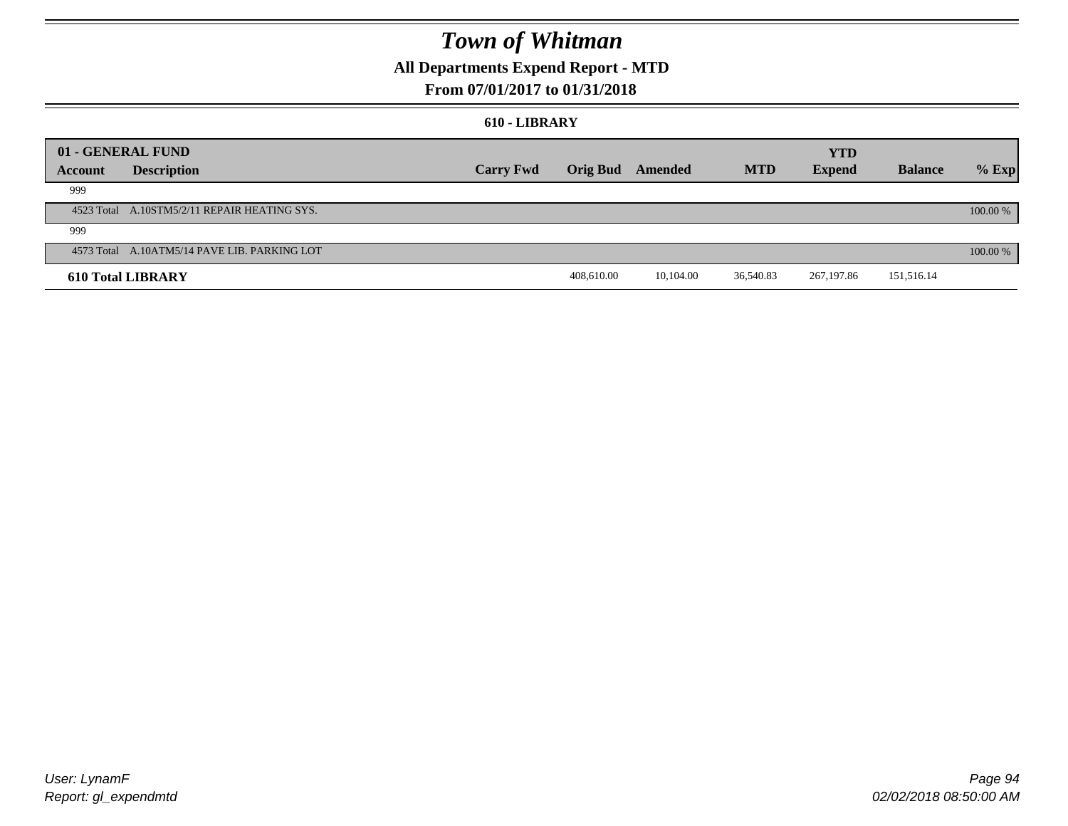## **All Departments Expend Report - MTD**

### **From 07/01/2017 to 01/31/2018**

#### **610 - LIBRARY**

|         | 01 - GENERAL FUND                            |                  |                         |           |            | <b>YTD</b>    |                |          |
|---------|----------------------------------------------|------------------|-------------------------|-----------|------------|---------------|----------------|----------|
| Account | <b>Description</b>                           | <b>Carry Fwd</b> | <b>Orig Bud</b> Amended |           | <b>MTD</b> | <b>Expend</b> | <b>Balance</b> | $%$ Exp  |
| 999     |                                              |                  |                         |           |            |               |                |          |
|         | 4523 Total A.10STM5/2/11 REPAIR HEATING SYS. |                  |                         |           |            |               |                | 100.00 % |
| 999     |                                              |                  |                         |           |            |               |                |          |
|         | 4573 Total A.10ATM5/14 PAVE LIB. PARKING LOT |                  |                         |           |            |               |                | 100.00 % |
|         | <b>610 Total LIBRARY</b>                     |                  | 408,610.00              | 10.104.00 | 36,540.83  | 267,197.86    | 151,516.14     |          |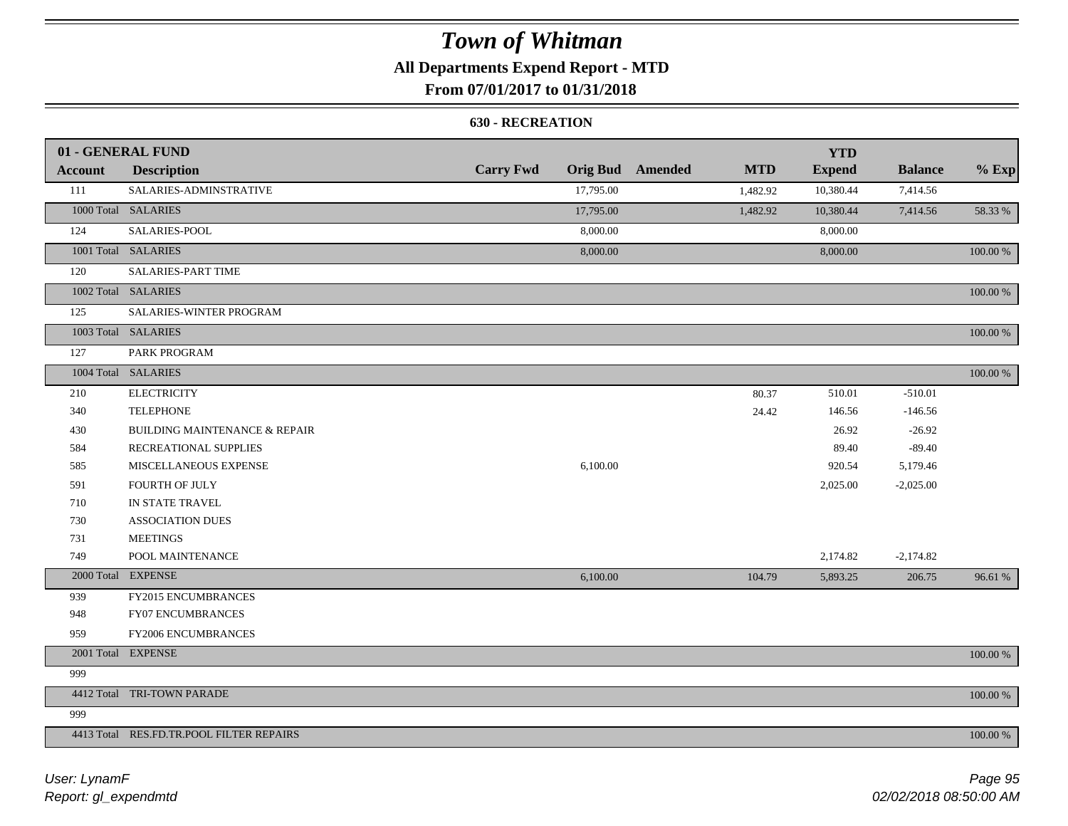## **All Departments Expend Report - MTD**

### **From 07/01/2017 to 01/31/2018**

#### **630 - RECREATION**

|         | 01 - GENERAL FUND                        |                  |           |                         |            | <b>YTD</b>    |                |             |
|---------|------------------------------------------|------------------|-----------|-------------------------|------------|---------------|----------------|-------------|
| Account | <b>Description</b>                       | <b>Carry Fwd</b> |           | <b>Orig Bud</b> Amended | <b>MTD</b> | <b>Expend</b> | <b>Balance</b> | $%$ Exp     |
| 111     | SALARIES-ADMINSTRATIVE                   |                  | 17,795.00 |                         | 1,482.92   | 10,380.44     | 7,414.56       |             |
|         | 1000 Total SALARIES                      |                  | 17,795.00 |                         | 1,482.92   | 10,380.44     | 7,414.56       | 58.33 %     |
| 124     | SALARIES-POOL                            |                  | 8,000.00  |                         |            | 8,000.00      |                |             |
|         | 1001 Total SALARIES                      |                  | 8,000.00  |                         |            | 8,000.00      |                | 100.00 %    |
| 120     | <b>SALARIES-PART TIME</b>                |                  |           |                         |            |               |                |             |
|         | 1002 Total SALARIES                      |                  |           |                         |            |               |                | $100.00~\%$ |
| 125     | SALARIES-WINTER PROGRAM                  |                  |           |                         |            |               |                |             |
|         | 1003 Total SALARIES                      |                  |           |                         |            |               |                | 100.00 %    |
| 127     | PARK PROGRAM                             |                  |           |                         |            |               |                |             |
|         | 1004 Total SALARIES                      |                  |           |                         |            |               |                | 100.00 %    |
| 210     | <b>ELECTRICITY</b>                       |                  |           |                         | 80.37      | 510.01        | $-510.01$      |             |
| 340     | <b>TELEPHONE</b>                         |                  |           |                         | 24.42      | 146.56        | $-146.56$      |             |
| 430     | <b>BUILDING MAINTENANCE &amp; REPAIR</b> |                  |           |                         |            | 26.92         | $-26.92$       |             |
| 584     | RECREATIONAL SUPPLIES                    |                  |           |                         |            | 89.40         | $-89.40$       |             |
| 585     | MISCELLANEOUS EXPENSE                    |                  | 6,100.00  |                         |            | 920.54        | 5,179.46       |             |
| 591     | <b>FOURTH OF JULY</b>                    |                  |           |                         |            | 2,025.00      | $-2,025.00$    |             |
| 710     | IN STATE TRAVEL                          |                  |           |                         |            |               |                |             |
| 730     | <b>ASSOCIATION DUES</b>                  |                  |           |                         |            |               |                |             |
| 731     | <b>MEETINGS</b>                          |                  |           |                         |            |               |                |             |
| 749     | POOL MAINTENANCE                         |                  |           |                         |            | 2,174.82      | $-2,174.82$    |             |
|         | 2000 Total EXPENSE                       |                  | 6,100.00  |                         | 104.79     | 5,893.25      | 206.75         | 96.61 %     |
| 939     | FY2015 ENCUMBRANCES                      |                  |           |                         |            |               |                |             |
| 948     | FY07 ENCUMBRANCES                        |                  |           |                         |            |               |                |             |
| 959     | FY2006 ENCUMBRANCES                      |                  |           |                         |            |               |                |             |
|         | 2001 Total EXPENSE                       |                  |           |                         |            |               |                | 100.00 %    |
| 999     |                                          |                  |           |                         |            |               |                |             |
|         | 4412 Total TRI-TOWN PARADE               |                  |           |                         |            |               |                | 100.00 %    |
| 999     |                                          |                  |           |                         |            |               |                |             |
|         | 4413 Total RES.FD.TR.POOL FILTER REPAIRS |                  |           |                         |            |               |                | 100.00 %    |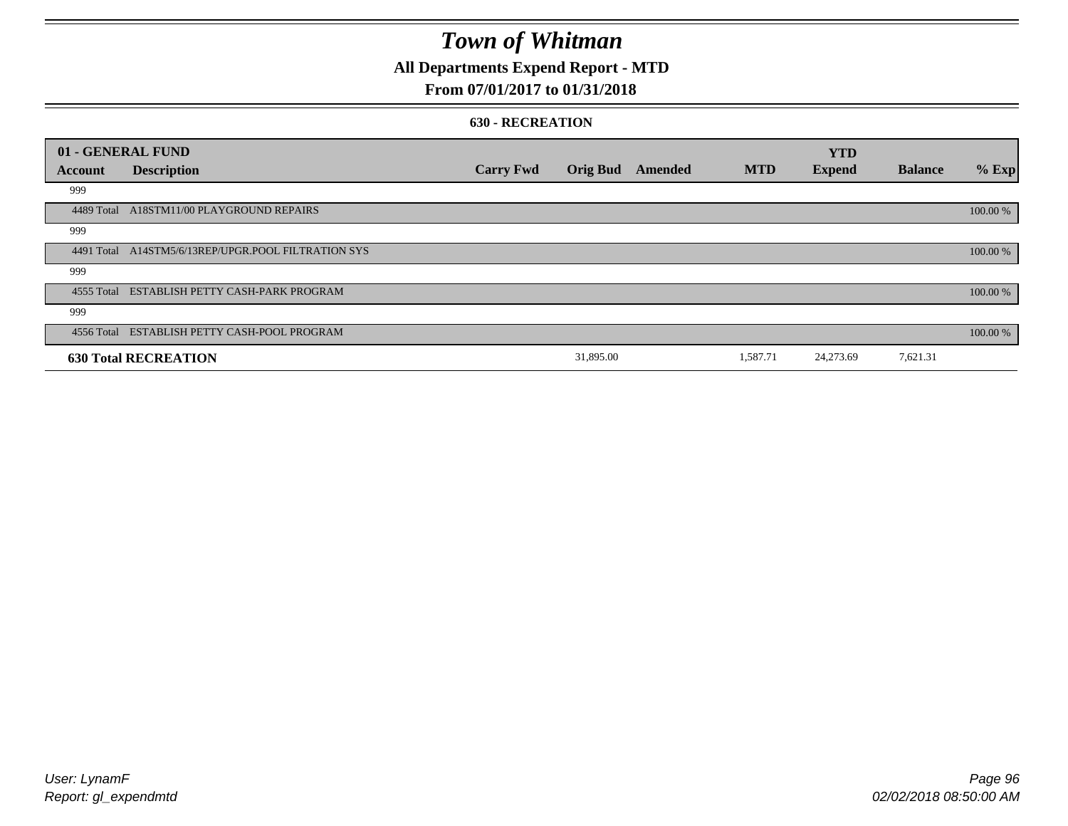## **All Departments Expend Report - MTD**

### **From 07/01/2017 to 01/31/2018**

#### **630 - RECREATION**

| 01 - GENERAL FUND |                                                     |                  |                 |         |            | <b>YTD</b>    |                |          |
|-------------------|-----------------------------------------------------|------------------|-----------------|---------|------------|---------------|----------------|----------|
| Account           | <b>Description</b>                                  | <b>Carry Fwd</b> | <b>Orig Bud</b> | Amended | <b>MTD</b> | <b>Expend</b> | <b>Balance</b> | $%$ Exp  |
| 999               |                                                     |                  |                 |         |            |               |                |          |
| 4489 Total        | A18STM11/00 PLAYGROUND REPAIRS                      |                  |                 |         |            |               |                | 100.00 % |
| 999               |                                                     |                  |                 |         |            |               |                |          |
|                   | 4491 Total A14STM5/6/13REP/UPGR.POOL FILTRATION SYS |                  |                 |         |            |               |                | 100.00 % |
| 999               |                                                     |                  |                 |         |            |               |                |          |
|                   | 4555 Total ESTABLISH PETTY CASH-PARK PROGRAM        |                  |                 |         |            |               |                | 100.00 % |
| 999               |                                                     |                  |                 |         |            |               |                |          |
|                   | 4556 Total ESTABLISH PETTY CASH-POOL PROGRAM        |                  |                 |         |            |               |                | 100.00 % |
|                   | <b>630 Total RECREATION</b>                         |                  | 31,895.00       |         | 1,587.71   | 24,273.69     | 7,621.31       |          |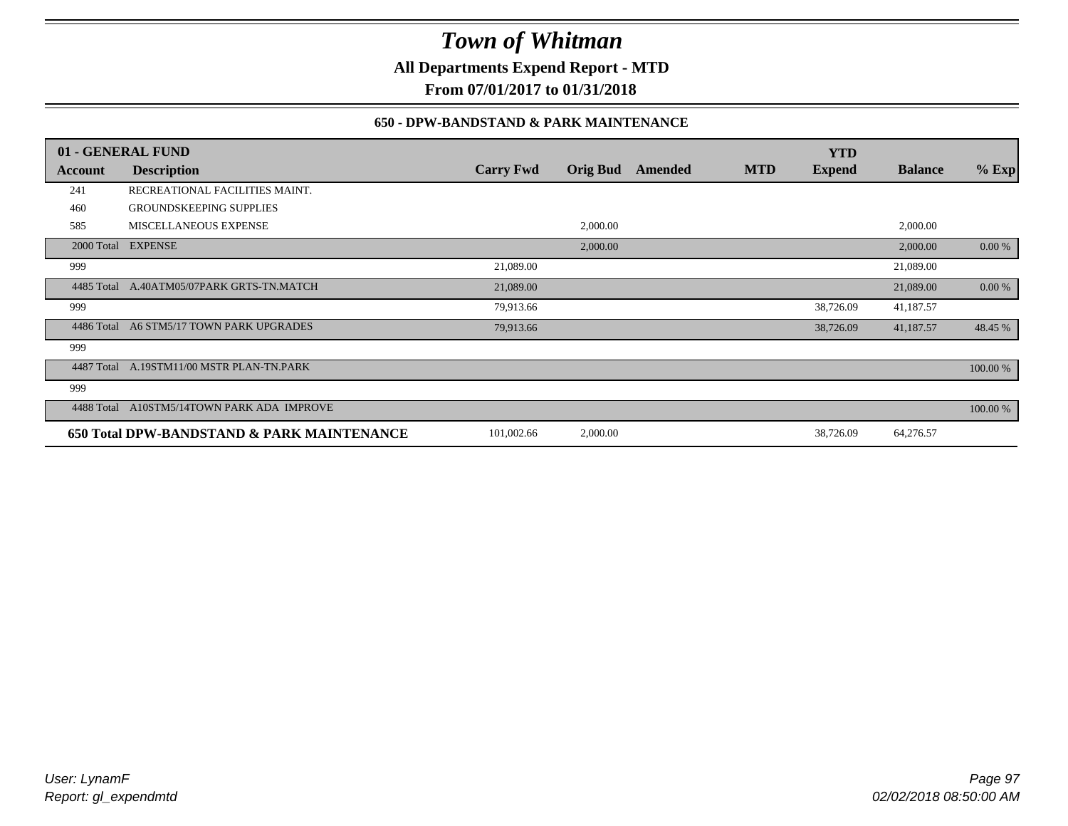**All Departments Expend Report - MTD**

**From 07/01/2017 to 01/31/2018**

### **650 - DPW-BANDSTAND & PARK MAINTENANCE**

|            | 01 - GENERAL FUND                          |                  |                 |         |            | <b>YTD</b>    |                |          |
|------------|--------------------------------------------|------------------|-----------------|---------|------------|---------------|----------------|----------|
| Account    | <b>Description</b>                         | <b>Carry Fwd</b> | <b>Orig Bud</b> | Amended | <b>MTD</b> | <b>Expend</b> | <b>Balance</b> | $%$ Exp  |
| 241        | RECREATIONAL FACILITIES MAINT.             |                  |                 |         |            |               |                |          |
| 460        | <b>GROUNDSKEEPING SUPPLIES</b>             |                  |                 |         |            |               |                |          |
| 585        | MISCELLANEOUS EXPENSE                      |                  | 2,000.00        |         |            |               | 2,000.00       |          |
|            | 2000 Total EXPENSE                         |                  | 2,000.00        |         |            |               | 2,000.00       | 0.00 %   |
| 999        |                                            | 21,089.00        |                 |         |            |               | 21,089.00      |          |
| 4485 Total | A.40ATM05/07PARK GRTS-TN.MATCH             | 21,089.00        |                 |         |            |               | 21,089.00      | 0.00 %   |
| 999        |                                            | 79,913.66        |                 |         |            | 38,726.09     | 41,187.57      |          |
| 4486 Total | A6 STM5/17 TOWN PARK UPGRADES              | 79,913.66        |                 |         |            | 38,726.09     | 41,187.57      | 48.45 %  |
| 999        |                                            |                  |                 |         |            |               |                |          |
| 4487 Total | A.19STM11/00 MSTR PLAN-TN.PARK             |                  |                 |         |            |               |                | 100.00 % |
| 999        |                                            |                  |                 |         |            |               |                |          |
| 4488 Total | A10STM5/14TOWN PARK ADA IMPROVE            |                  |                 |         |            |               |                | 100.00 % |
|            | 650 Total DPW-BANDSTAND & PARK MAINTENANCE | 101,002.66       | 2,000.00        |         |            | 38,726.09     | 64,276.57      |          |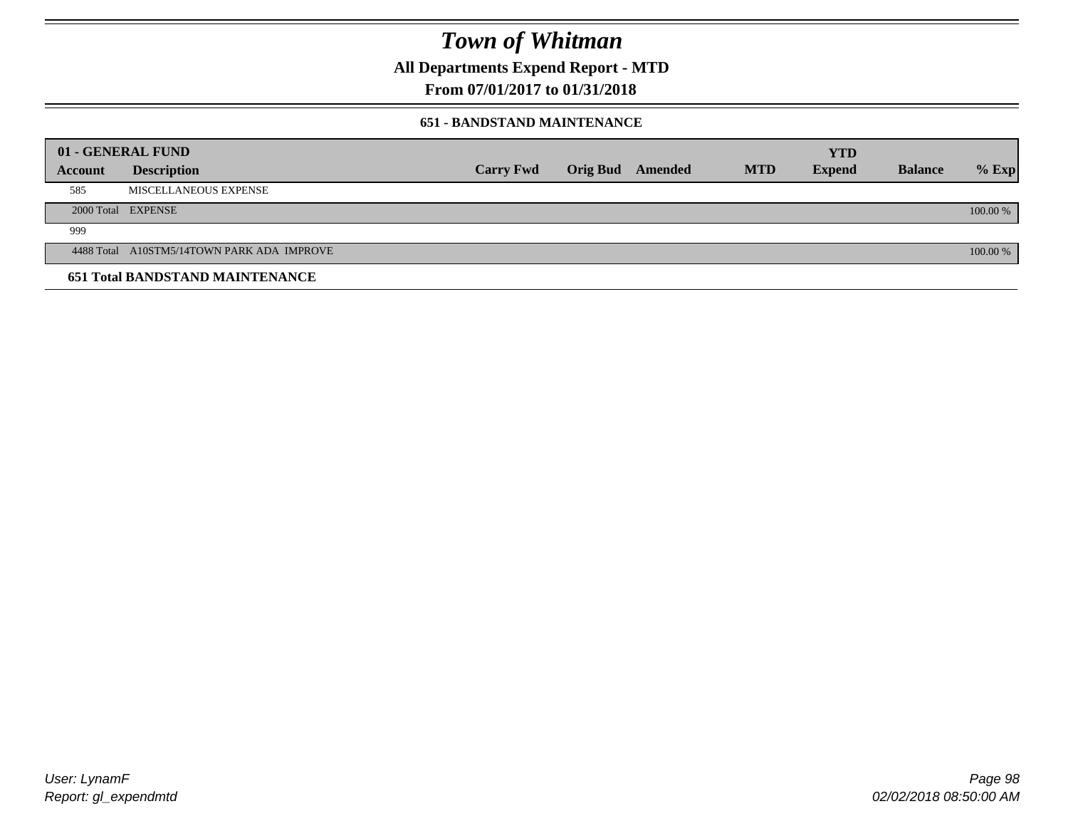**All Departments Expend Report - MTD**

### **From 07/01/2017 to 01/31/2018**

#### **651 - BANDSTAND MAINTENANCE**

|                | 01 - GENERAL FUND                          |                  |                  |            | <b>YTD</b>    |                |          |
|----------------|--------------------------------------------|------------------|------------------|------------|---------------|----------------|----------|
| <b>Account</b> | <b>Description</b>                         | <b>Carry Fwd</b> | Orig Bud Amended | <b>MTD</b> | <b>Expend</b> | <b>Balance</b> | $%$ Exp  |
| 585            | MISCELLANEOUS EXPENSE                      |                  |                  |            |               |                |          |
|                | 2000 Total EXPENSE                         |                  |                  |            |               |                | 100.00 % |
| 999            |                                            |                  |                  |            |               |                |          |
|                | 4488 Total A10STM5/14TOWN PARK ADA IMPROVE |                  |                  |            |               |                | 100.00 % |
|                | <b>651 Total BANDSTAND MAINTENANCE</b>     |                  |                  |            |               |                |          |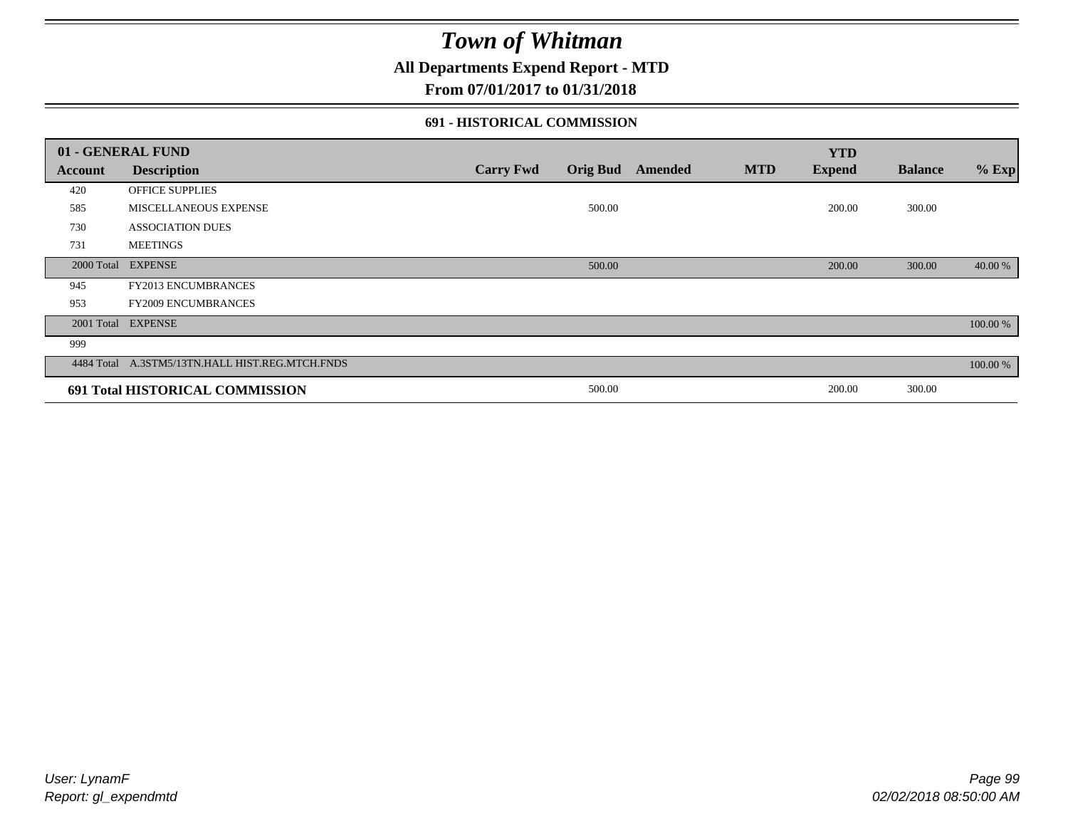### **All Departments Expend Report - MTD**

### **From 07/01/2017 to 01/31/2018**

#### **691 - HISTORICAL COMMISSION**

|            | 01 - GENERAL FUND                               |                  |                 |         |            | <b>YTD</b>    |                |          |
|------------|-------------------------------------------------|------------------|-----------------|---------|------------|---------------|----------------|----------|
| Account    | <b>Description</b>                              | <b>Carry Fwd</b> | <b>Orig Bud</b> | Amended | <b>MTD</b> | <b>Expend</b> | <b>Balance</b> | $%$ Exp  |
| 420        | <b>OFFICE SUPPLIES</b>                          |                  |                 |         |            |               |                |          |
| 585        | MISCELLANEOUS EXPENSE                           |                  | 500.00          |         |            | 200.00        | 300.00         |          |
| 730        | <b>ASSOCIATION DUES</b>                         |                  |                 |         |            |               |                |          |
| 731        | <b>MEETINGS</b>                                 |                  |                 |         |            |               |                |          |
| 2000 Total | <b>EXPENSE</b>                                  |                  | 500.00          |         |            | 200.00        | 300.00         | 40.00 %  |
| 945        | <b>FY2013 ENCUMBRANCES</b>                      |                  |                 |         |            |               |                |          |
| 953        | <b>FY2009 ENCUMBRANCES</b>                      |                  |                 |         |            |               |                |          |
| 2001 Total | <b>EXPENSE</b>                                  |                  |                 |         |            |               |                | 100.00 % |
| 999        |                                                 |                  |                 |         |            |               |                |          |
|            | 4484 Total A.3STM5/13TN.HALL HIST.REG.MTCH.FNDS |                  |                 |         |            |               |                | 100.00 % |
|            | 691 Total HISTORICAL COMMISSION                 |                  | 500.00          |         |            | 200.00        | 300.00         |          |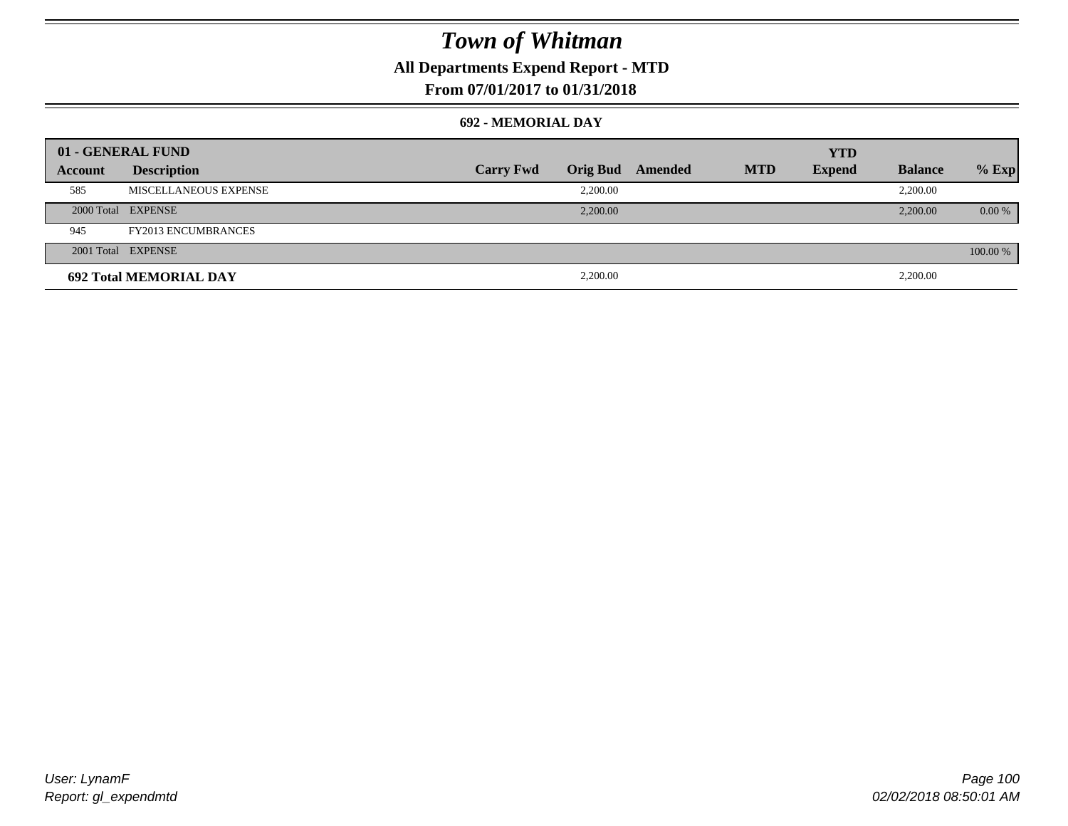### **All Departments Expend Report - MTD**

### **From 07/01/2017 to 01/31/2018**

#### **692 - MEMORIAL DAY**

| 01 - GENERAL FUND |                               |                  |                 |         |            | <b>YTD</b>    |                |          |
|-------------------|-------------------------------|------------------|-----------------|---------|------------|---------------|----------------|----------|
| Account           | <b>Description</b>            | <b>Carry Fwd</b> | <b>Orig Bud</b> | Amended | <b>MTD</b> | <b>Expend</b> | <b>Balance</b> | $%$ Exp  |
| 585               | MISCELLANEOUS EXPENSE         |                  | 2,200.00        |         |            |               | 2,200.00       |          |
|                   | 2000 Total EXPENSE            |                  | 2,200.00        |         |            |               | 2,200.00       | $0.00\%$ |
| 945               | <b>FY2013 ENCUMBRANCES</b>    |                  |                 |         |            |               |                |          |
|                   | 2001 Total EXPENSE            |                  |                 |         |            |               |                | 100.00 % |
|                   | <b>692 Total MEMORIAL DAY</b> |                  | 2,200.00        |         |            |               | 2,200.00       |          |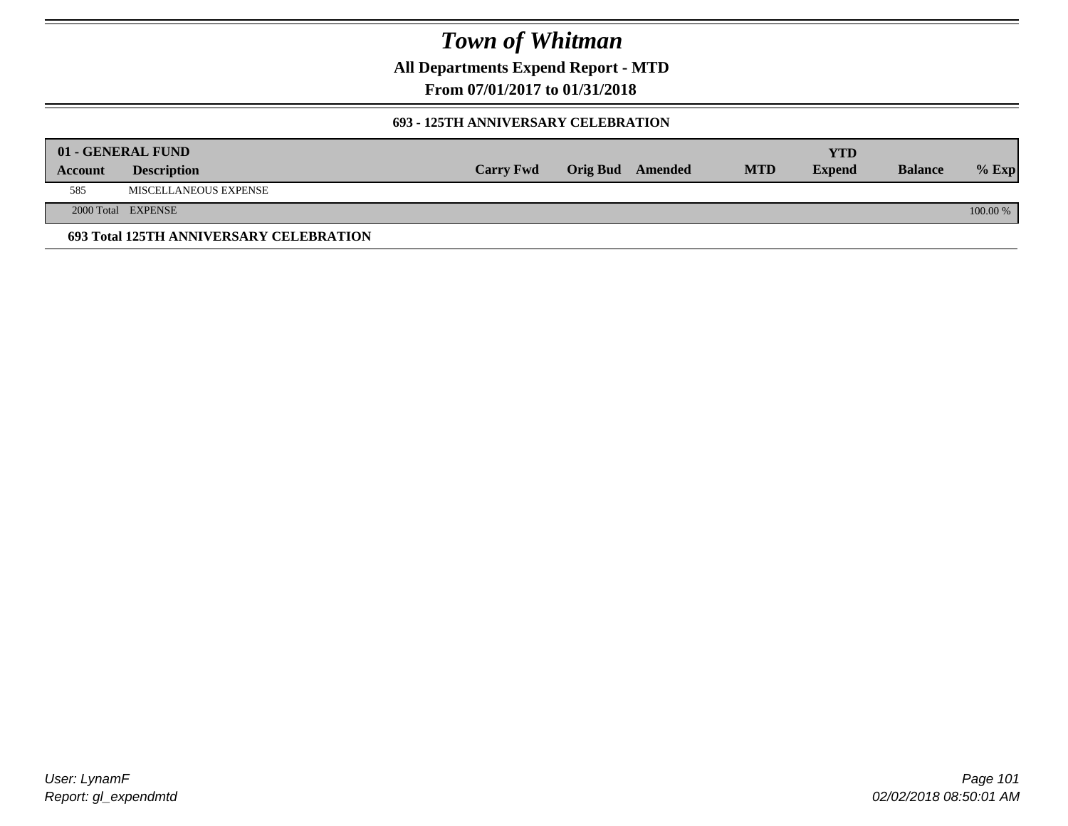**All Departments Expend Report - MTD**

**From 07/01/2017 to 01/31/2018**

#### **693 - 125TH ANNIVERSARY CELEBRATION**

|         | 01 - GENERAL FUND                       |                  |                         |            | YTD           |                |          |
|---------|-----------------------------------------|------------------|-------------------------|------------|---------------|----------------|----------|
| Account | <b>Description</b>                      | <b>Carry Fwd</b> | <b>Orig Bud</b> Amended | <b>MTD</b> | <b>Expend</b> | <b>Balance</b> | $%$ Exp  |
| 585     | MISCELLANEOUS EXPENSE                   |                  |                         |            |               |                |          |
|         | 2000 Total EXPENSE                      |                  |                         |            |               |                | 100.00 % |
|         | 693 Total 125TH ANNIVERSARY CELEBRATION |                  |                         |            |               |                |          |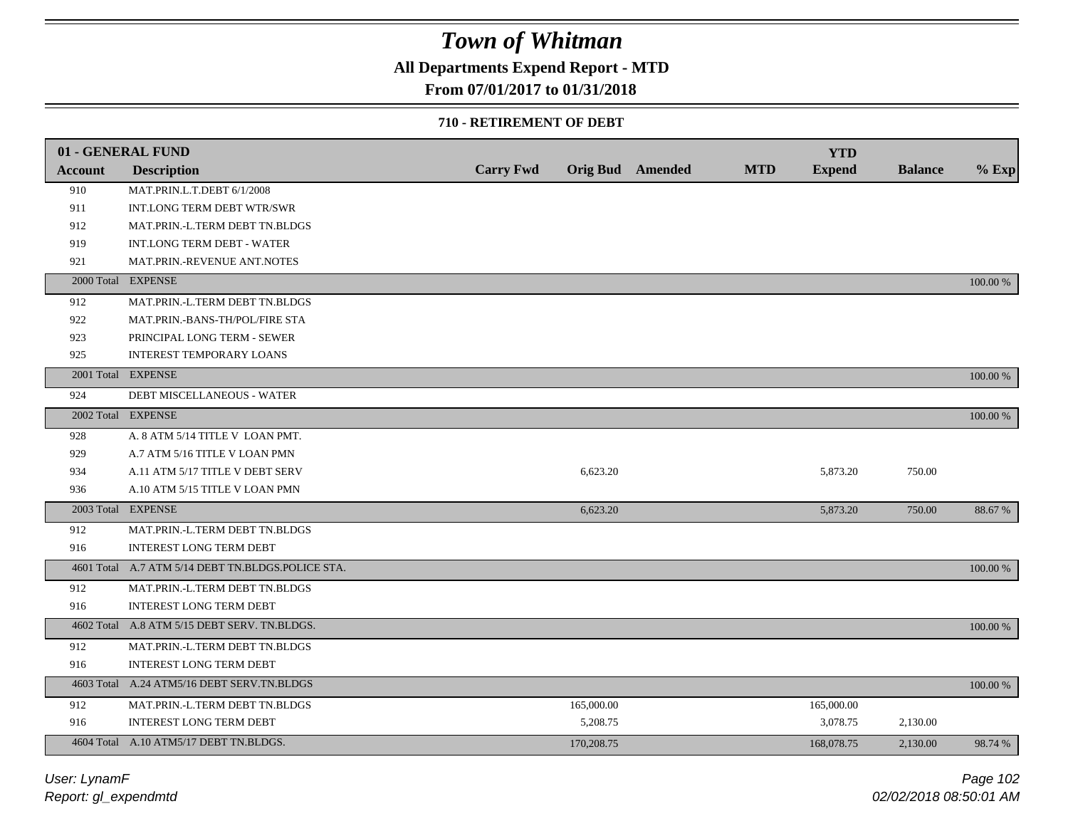## **All Departments Expend Report - MTD**

### **From 07/01/2017 to 01/31/2018**

#### **710 - RETIREMENT OF DEBT**

|                | 01 - GENERAL FUND                                 |                  |            |                  |            | <b>YTD</b>    |                |          |
|----------------|---------------------------------------------------|------------------|------------|------------------|------------|---------------|----------------|----------|
| <b>Account</b> | <b>Description</b>                                | <b>Carry Fwd</b> |            | Orig Bud Amended | <b>MTD</b> | <b>Expend</b> | <b>Balance</b> | $%$ Exp  |
| 910            | MAT.PRIN.L.T.DEBT 6/1/2008                        |                  |            |                  |            |               |                |          |
| 911            | INT.LONG TERM DEBT WTR/SWR                        |                  |            |                  |            |               |                |          |
| 912            | MAT.PRIN.-L.TERM DEBT TN.BLDGS                    |                  |            |                  |            |               |                |          |
| 919            | INT.LONG TERM DEBT - WATER                        |                  |            |                  |            |               |                |          |
| 921            | MAT.PRIN.-REVENUE ANT.NOTES                       |                  |            |                  |            |               |                |          |
|                | 2000 Total EXPENSE                                |                  |            |                  |            |               |                | 100.00 % |
| 912            | MAT.PRIN.-L.TERM DEBT TN.BLDGS                    |                  |            |                  |            |               |                |          |
| 922            | MAT.PRIN.-BANS-TH/POL/FIRE STA                    |                  |            |                  |            |               |                |          |
| 923            | PRINCIPAL LONG TERM - SEWER                       |                  |            |                  |            |               |                |          |
| 925            | <b>INTEREST TEMPORARY LOANS</b>                   |                  |            |                  |            |               |                |          |
|                | 2001 Total EXPENSE                                |                  |            |                  |            |               |                | 100.00 % |
| 924            | DEBT MISCELLANEOUS - WATER                        |                  |            |                  |            |               |                |          |
|                | 2002 Total EXPENSE                                |                  |            |                  |            |               |                | 100.00 % |
| 928            | A. 8 ATM 5/14 TITLE V LOAN PMT.                   |                  |            |                  |            |               |                |          |
| 929            | A.7 ATM 5/16 TITLE V LOAN PMN                     |                  |            |                  |            |               |                |          |
| 934            | A.11 ATM 5/17 TITLE V DEBT SERV                   |                  | 6,623.20   |                  |            | 5,873.20      | 750.00         |          |
| 936            | A.10 ATM 5/15 TITLE V LOAN PMN                    |                  |            |                  |            |               |                |          |
|                | 2003 Total EXPENSE                                |                  | 6,623.20   |                  |            | 5,873.20      | 750.00         | 88.67%   |
| 912            | MAT.PRIN.-L.TERM DEBT TN.BLDGS                    |                  |            |                  |            |               |                |          |
| 916            | INTEREST LONG TERM DEBT                           |                  |            |                  |            |               |                |          |
|                | 4601 Total A.7 ATM 5/14 DEBT TN.BLDGS.POLICE STA. |                  |            |                  |            |               |                | 100.00 % |
| 912            | MAT.PRIN.-L.TERM DEBT TN.BLDGS                    |                  |            |                  |            |               |                |          |
| 916            | <b>INTEREST LONG TERM DEBT</b>                    |                  |            |                  |            |               |                |          |
|                | 4602 Total A.8 ATM 5/15 DEBT SERV. TN.BLDGS.      |                  |            |                  |            |               |                | 100.00 % |
| 912            | MAT.PRIN.-L.TERM DEBT TN.BLDGS                    |                  |            |                  |            |               |                |          |
| 916            | <b>INTEREST LONG TERM DEBT</b>                    |                  |            |                  |            |               |                |          |
|                | 4603 Total A.24 ATM5/16 DEBT SERV.TN.BLDGS        |                  |            |                  |            |               |                | 100.00 % |
| 912            | MAT.PRIN.-L.TERM DEBT TN.BLDGS                    |                  | 165,000.00 |                  |            | 165,000.00    |                |          |
| 916            | INTEREST LONG TERM DEBT                           |                  | 5,208.75   |                  |            | 3,078.75      | 2,130.00       |          |
|                | 4604 Total A.10 ATM5/17 DEBT TN.BLDGS.            |                  | 170,208.75 |                  |            | 168,078.75    | 2.130.00       | 98.74 %  |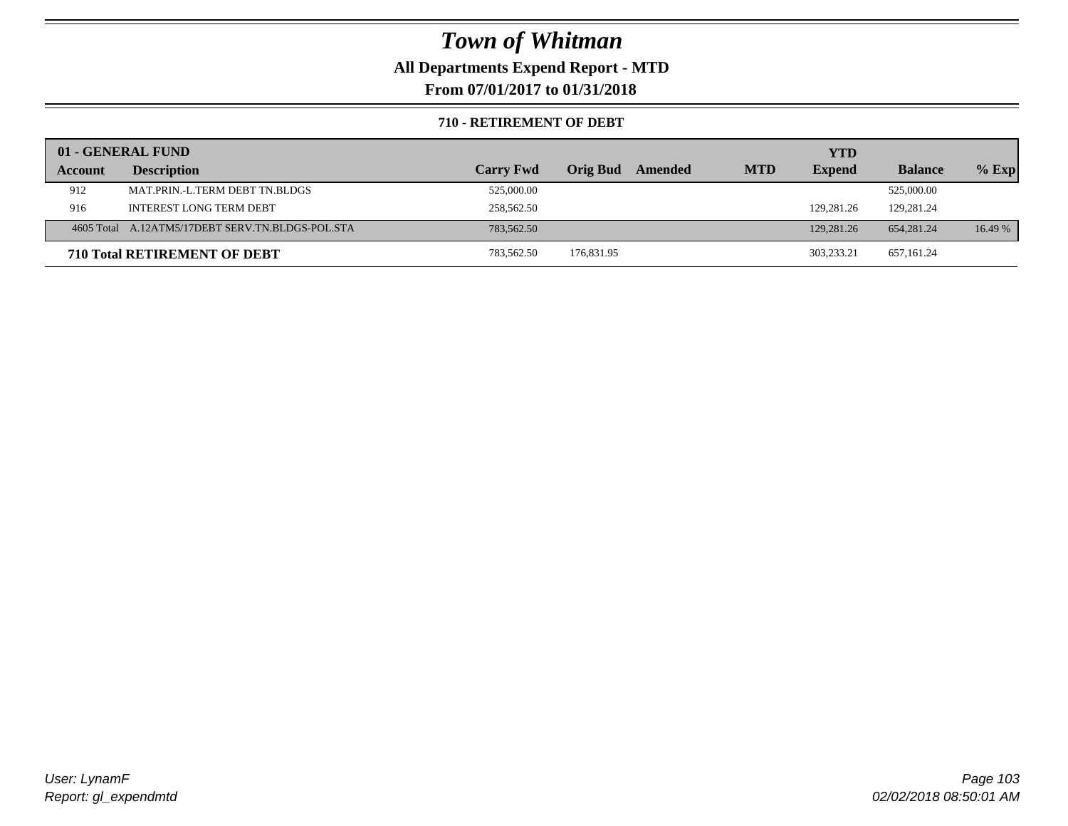### **All Departments Expend Report - MTD**

**From 07/01/2017 to 01/31/2018**

#### **710 - RETIREMENT OF DEBT**

|         | 01 - GENERAL FUND                                |                  |                     |            | <b>YTD</b>    |                |         |
|---------|--------------------------------------------------|------------------|---------------------|------------|---------------|----------------|---------|
| Account | <b>Description</b>                               | <b>Carry Fwd</b> | Orig Bud<br>Amended | <b>MTD</b> | <b>Expend</b> | <b>Balance</b> | $%$ Exp |
| 912     | MAT.PRIN.-L.TERM DEBT TN.BLDGS                   | 525,000.00       |                     |            |               | 525,000.00     |         |
| 916     | <b>INTEREST LONG TERM DEBT</b>                   | 258,562.50       |                     |            | 129,281.26    | 129,281.24     |         |
|         | 4605 Total A.12ATM5/17DEBT SERV.TN.BLDGS-POL.STA | 783,562.50       |                     |            | 129,281.26    | 654,281.24     | 16.49 % |
|         | <b>710 Total RETIREMENT OF DEBT</b>              | 783,562.50       | 176,831.95          |            | 303.233.21    | 657,161.24     |         |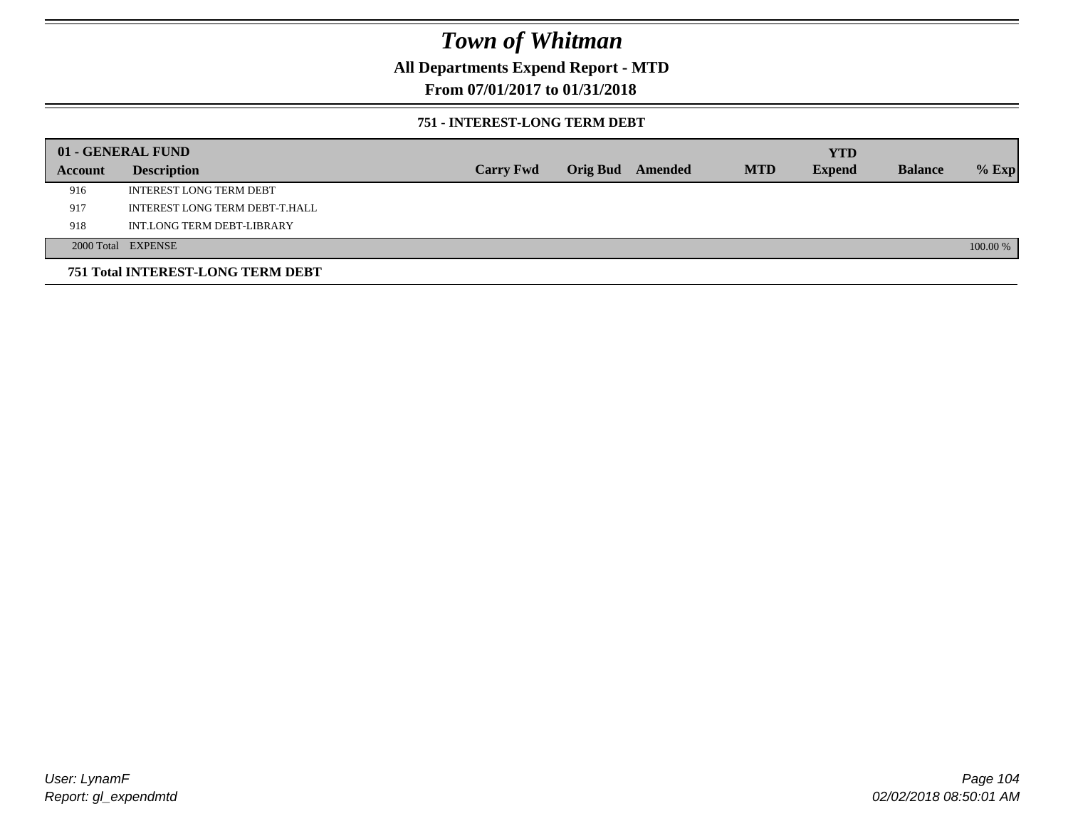### **All Departments Expend Report - MTD**

### **From 07/01/2017 to 01/31/2018**

#### **751 - INTEREST-LONG TERM DEBT**

|         | 01 - GENERAL FUND                 |                  |                  |            | <b>YTD</b>    |                |          |
|---------|-----------------------------------|------------------|------------------|------------|---------------|----------------|----------|
| Account | <b>Description</b>                | <b>Carry Fwd</b> | Orig Bud Amended | <b>MTD</b> | <b>Expend</b> | <b>Balance</b> | $%$ Exp  |
| 916     | <b>INTEREST LONG TERM DEBT</b>    |                  |                  |            |               |                |          |
| 917     | INTEREST LONG TERM DEBT-T.HALL    |                  |                  |            |               |                |          |
| 918     | INT.LONG TERM DEBT-LIBRARY        |                  |                  |            |               |                |          |
|         | 2000 Total EXPENSE                |                  |                  |            |               |                | 100.00 % |
|         | 751 Total INTEREST-LONG TERM DEBT |                  |                  |            |               |                |          |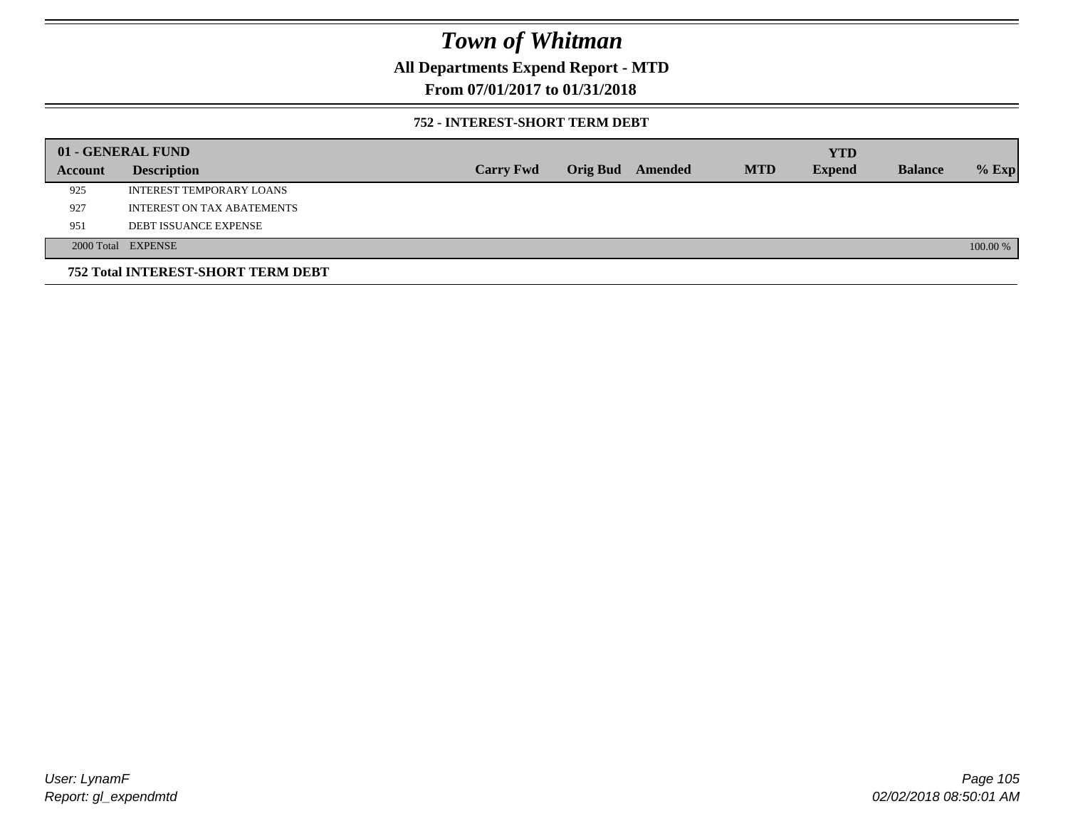### **All Departments Expend Report - MTD**

### **From 07/01/2017 to 01/31/2018**

#### **752 - INTEREST-SHORT TERM DEBT**

|         | 01 - GENERAL FUND                  |                  |                 |         |            | <b>YTD</b>    |                |          |
|---------|------------------------------------|------------------|-----------------|---------|------------|---------------|----------------|----------|
| Account | <b>Description</b>                 | <b>Carry Fwd</b> | <b>Orig Bud</b> | Amended | <b>MTD</b> | <b>Expend</b> | <b>Balance</b> | $%$ Exp  |
| 925     | INTEREST TEMPORARY LOANS           |                  |                 |         |            |               |                |          |
| 927     | <b>INTEREST ON TAX ABATEMENTS</b>  |                  |                 |         |            |               |                |          |
| 951     | <b>DEBT ISSUANCE EXPENSE</b>       |                  |                 |         |            |               |                |          |
|         | 2000 Total EXPENSE                 |                  |                 |         |            |               |                | 100.00 % |
|         | 752 Total INTEREST-SHORT TERM DEBT |                  |                 |         |            |               |                |          |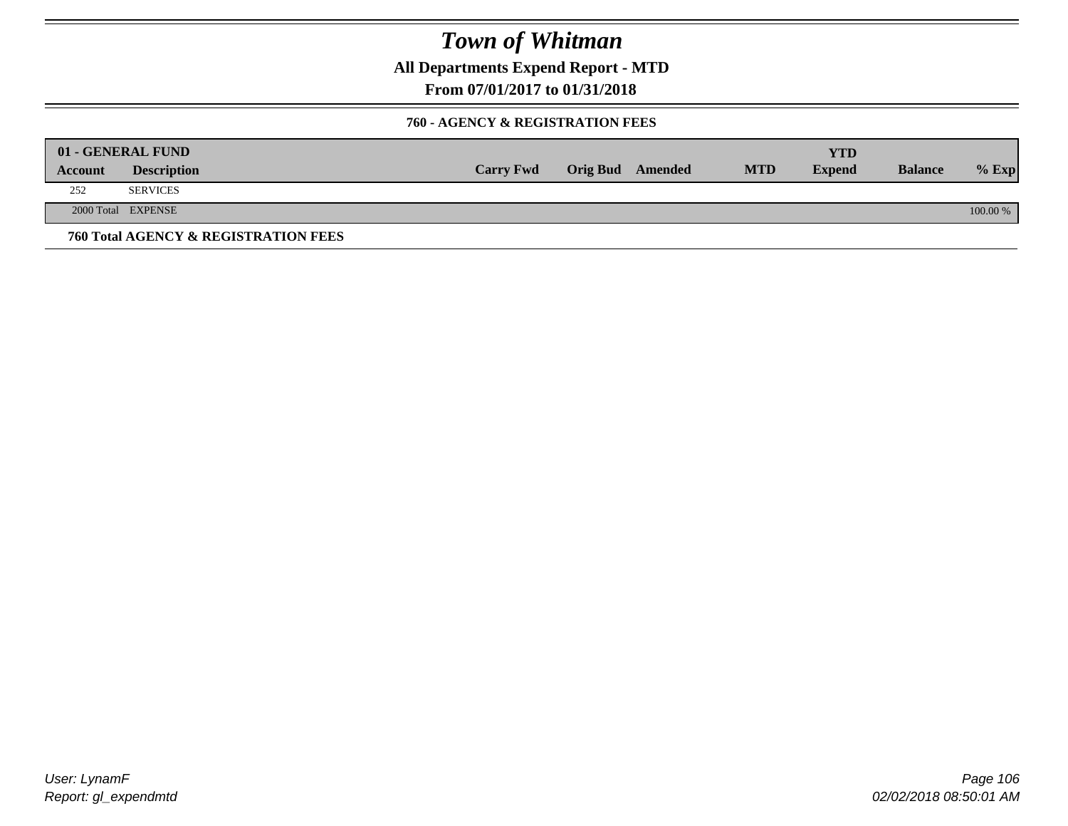**All Departments Expend Report - MTD**

**From 07/01/2017 to 01/31/2018**

#### **760 - AGENCY & REGISTRATION FEES**

|         | 01 - GENERAL FUND                    |                  |                         |            | YTD           |                |          |
|---------|--------------------------------------|------------------|-------------------------|------------|---------------|----------------|----------|
| Account | <b>Description</b>                   | <b>Carry Fwd</b> | <b>Orig Bud</b> Amended | <b>MTD</b> | <b>Expend</b> | <b>Balance</b> | $%$ Exp  |
| 252     | <b>SERVICES</b>                      |                  |                         |            |               |                |          |
|         | 2000 Total EXPENSE                   |                  |                         |            |               |                | 100.00 % |
|         | 760 Total AGENCY & REGISTRATION FEES |                  |                         |            |               |                |          |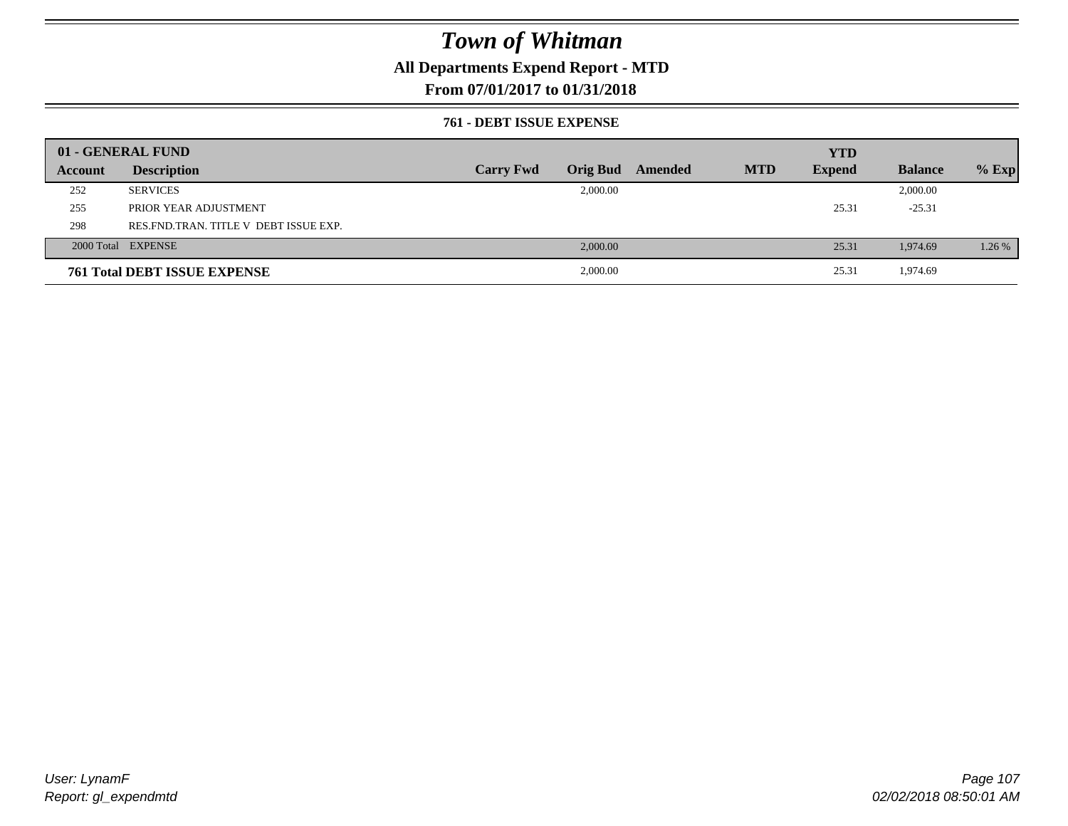### **All Departments Expend Report - MTD**

### **From 07/01/2017 to 01/31/2018**

#### **761 - DEBT ISSUE EXPENSE**

|         | 01 - GENERAL FUND                       |                  |          |                         |            | <b>YTD</b>    |                |         |
|---------|-----------------------------------------|------------------|----------|-------------------------|------------|---------------|----------------|---------|
| Account | <b>Description</b>                      | <b>Carry Fwd</b> |          | <b>Orig Bud</b> Amended | <b>MTD</b> | <b>Expend</b> | <b>Balance</b> | $%$ Exp |
| 252     | <b>SERVICES</b>                         |                  | 2,000.00 |                         |            |               | 2,000.00       |         |
| 255     | PRIOR YEAR ADJUSTMENT                   |                  |          |                         |            | 25.31         | $-25.31$       |         |
| 298     | RES. FND. TRAN. TITLE V DEBT ISSUE EXP. |                  |          |                         |            |               |                |         |
|         | 2000 Total EXPENSE                      |                  | 2,000.00 |                         |            | 25.31         | 1,974.69       | 1.26 %  |
|         | <b>761 Total DEBT ISSUE EXPENSE</b>     |                  | 2,000.00 |                         |            | 25.31         | 1,974.69       |         |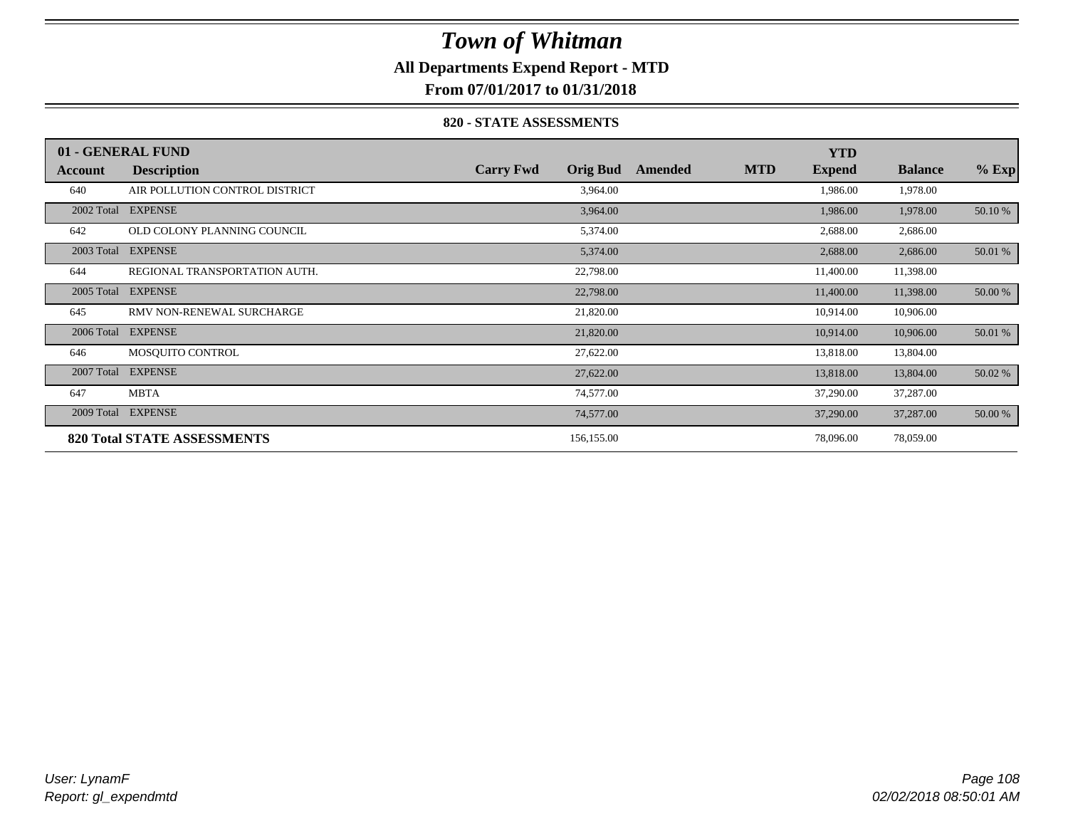### **All Departments Expend Report - MTD**

**From 07/01/2017 to 01/31/2018**

#### **820 - STATE ASSESSMENTS**

|            | 01 - GENERAL FUND                  |                  |                 |         |            | <b>YTD</b>    |                |         |
|------------|------------------------------------|------------------|-----------------|---------|------------|---------------|----------------|---------|
| Account    | <b>Description</b>                 | <b>Carry Fwd</b> | <b>Orig Bud</b> | Amended | <b>MTD</b> | <b>Expend</b> | <b>Balance</b> | $%$ Exp |
| 640        | AIR POLLUTION CONTROL DISTRICT     |                  | 3,964.00        |         |            | 1,986.00      | 1,978.00       |         |
| 2002 Total | <b>EXPENSE</b>                     |                  | 3,964.00        |         |            | 1,986.00      | 1,978.00       | 50.10 % |
| 642        | OLD COLONY PLANNING COUNCIL        |                  | 5,374.00        |         |            | 2,688.00      | 2,686.00       |         |
| 2003 Total | <b>EXPENSE</b>                     |                  | 5,374.00        |         |            | 2,688.00      | 2,686.00       | 50.01 % |
| 644        | REGIONAL TRANSPORTATION AUTH.      |                  | 22,798.00       |         |            | 11,400.00     | 11,398.00      |         |
| 2005 Total | <b>EXPENSE</b>                     |                  | 22,798.00       |         |            | 11,400.00     | 11,398.00      | 50.00 % |
| 645        | RMV NON-RENEWAL SURCHARGE          |                  | 21,820.00       |         |            | 10,914.00     | 10,906.00      |         |
| 2006 Total | <b>EXPENSE</b>                     |                  | 21,820.00       |         |            | 10,914.00     | 10,906.00      | 50.01 % |
| 646        | MOSQUITO CONTROL                   |                  | 27,622.00       |         |            | 13,818.00     | 13,804.00      |         |
| 2007 Total | <b>EXPENSE</b>                     |                  | 27,622.00       |         |            | 13,818.00     | 13,804.00      | 50.02 % |
| 647        | <b>MBTA</b>                        |                  | 74,577.00       |         |            | 37,290.00     | 37,287.00      |         |
| 2009 Total | <b>EXPENSE</b>                     |                  | 74,577.00       |         |            | 37,290.00     | 37,287.00      | 50.00 % |
|            | <b>820 Total STATE ASSESSMENTS</b> |                  | 156,155.00      |         |            | 78,096.00     | 78,059.00      |         |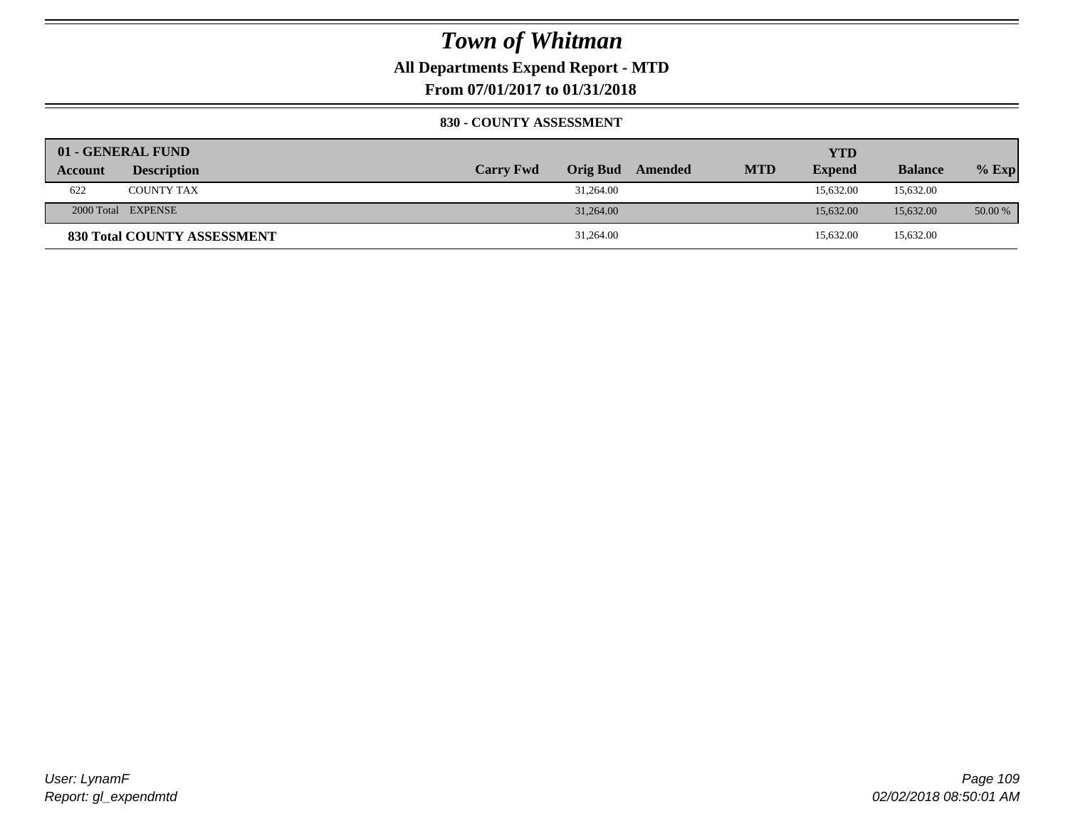**All Departments Expend Report - MTD**

**From 07/01/2017 to 01/31/2018**

#### **830 - COUNTY ASSESSMENT**

|                | 01 - GENERAL FUND           |                  |                 |         |            | YTD           |                |         |
|----------------|-----------------------------|------------------|-----------------|---------|------------|---------------|----------------|---------|
| <b>Account</b> | <b>Description</b>          | <b>Carry Fwd</b> | <b>Orig Bud</b> | Amended | <b>MTD</b> | <b>Expend</b> | <b>Balance</b> | $%$ Exp |
| 622            | <b>COUNTY TAX</b>           |                  | 31,264.00       |         |            | 15.632.00     | 15,632.00      |         |
|                | 2000 Total EXPENSE          |                  | 31,264.00       |         |            | 15,632.00     | 15,632.00      | 50.00 % |
|                | 830 Total COUNTY ASSESSMENT |                  | 31,264.00       |         |            | 15,632.00     | 15,632.00      |         |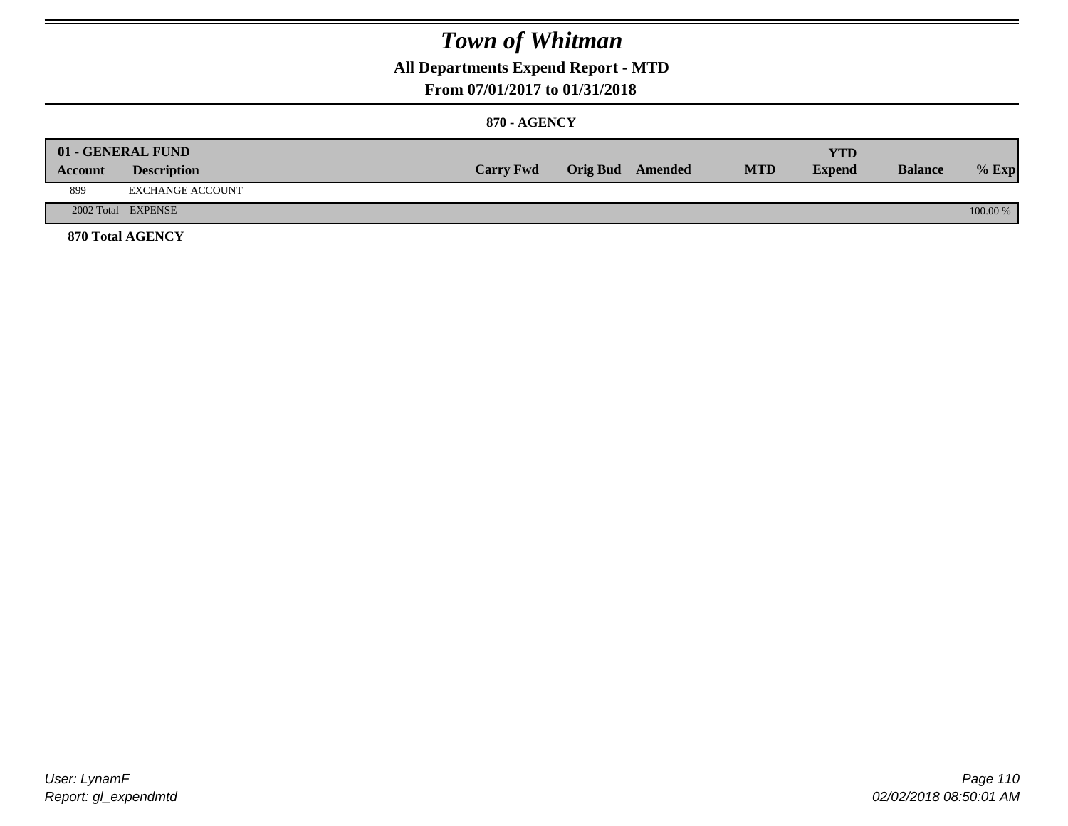### **All Departments Expend Report - MTD**

#### **From 07/01/2017 to 01/31/2018**

#### **870 - AGENCY**

| Account | 01 - GENERAL FUND<br><b>Description</b> | <b>Carry Fwd</b> | <b>Orig Bud</b> Amended | <b>MTD</b> | <b>YTD</b><br><b>Expend</b> | <b>Balance</b> | $%$ Exp  |
|---------|-----------------------------------------|------------------|-------------------------|------------|-----------------------------|----------------|----------|
| 899     | EXCHANGE ACCOUNT                        |                  |                         |            |                             |                |          |
|         | 2002 Total EXPENSE                      |                  |                         |            |                             |                | 100.00 % |
|         | <b>870 Total AGENCY</b>                 |                  |                         |            |                             |                |          |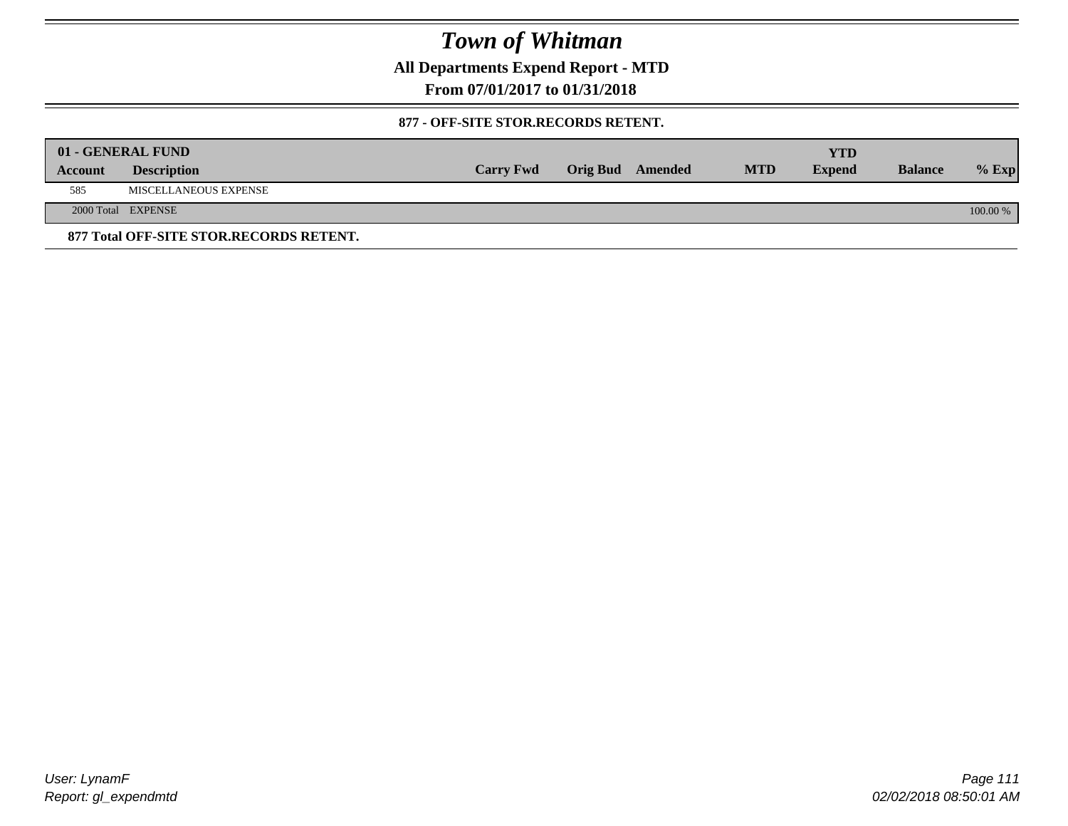**All Departments Expend Report - MTD**

**From 07/01/2017 to 01/31/2018**

#### **877 - OFF-SITE STOR.RECORDS RETENT.**

|         | 01 - GENERAL FUND                       |                  |                         |            | YTD           |                |          |
|---------|-----------------------------------------|------------------|-------------------------|------------|---------------|----------------|----------|
| Account | <b>Description</b>                      | <b>Carry Fwd</b> | <b>Orig Bud</b> Amended | <b>MTD</b> | <b>Expend</b> | <b>Balance</b> | $%$ Exp  |
| 585     | MISCELLANEOUS EXPENSE                   |                  |                         |            |               |                |          |
|         | 2000 Total EXPENSE                      |                  |                         |            |               |                | 100.00 % |
|         | 877 Total OFF-SITE STOR.RECORDS RETENT. |                  |                         |            |               |                |          |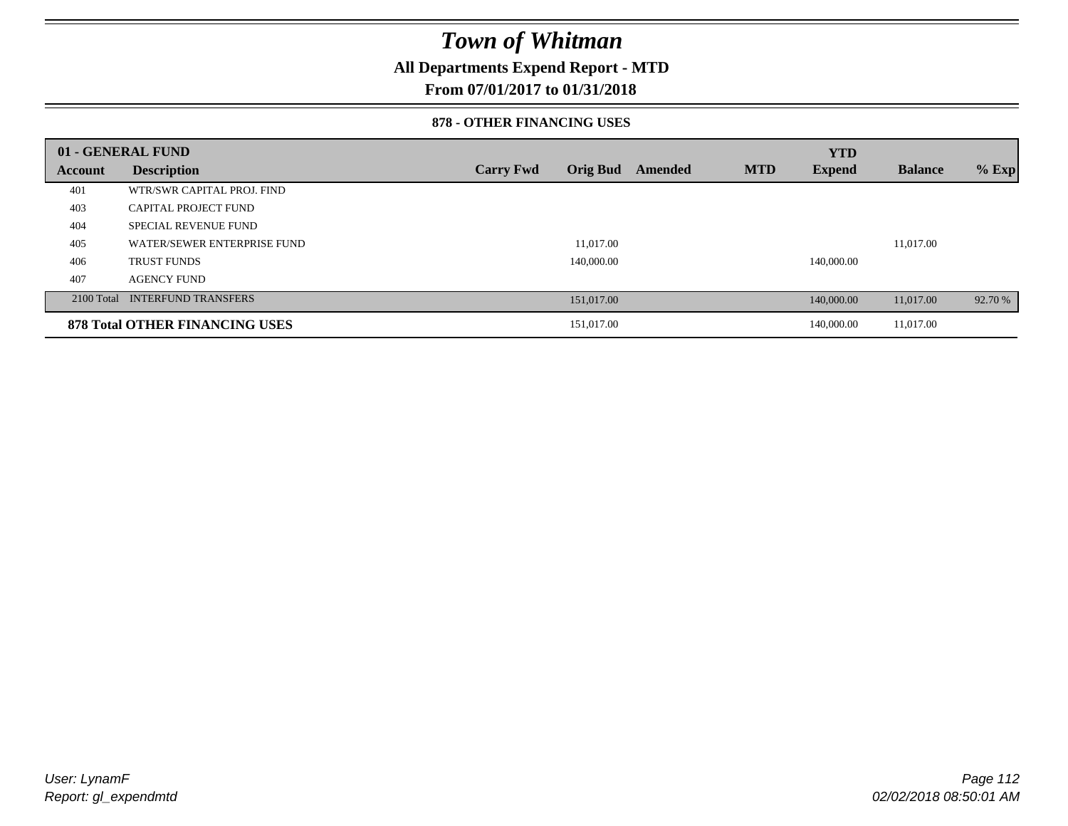### **All Departments Expend Report - MTD**

### **From 07/01/2017 to 01/31/2018**

#### **878 - OTHER FINANCING USES**

|         | 01 - GENERAL FUND                     |                  |                 |         |            | <b>YTD</b>    |                |         |
|---------|---------------------------------------|------------------|-----------------|---------|------------|---------------|----------------|---------|
| Account | <b>Description</b>                    | <b>Carry Fwd</b> | <b>Orig Bud</b> | Amended | <b>MTD</b> | <b>Expend</b> | <b>Balance</b> | $%$ Exp |
| 401     | WTR/SWR CAPITAL PROJ. FIND            |                  |                 |         |            |               |                |         |
| 403     | CAPITAL PROJECT FUND                  |                  |                 |         |            |               |                |         |
| 404     | <b>SPECIAL REVENUE FUND</b>           |                  |                 |         |            |               |                |         |
| 405     | WATER/SEWER ENTERPRISE FUND           |                  | 11,017.00       |         |            |               | 11,017.00      |         |
| 406     | <b>TRUST FUNDS</b>                    |                  | 140,000.00      |         |            | 140,000.00    |                |         |
| 407     | <b>AGENCY FUND</b>                    |                  |                 |         |            |               |                |         |
|         | 2100 Total INTERFUND TRANSFERS        |                  | 151,017.00      |         |            | 140,000,00    | 11,017.00      | 92.70 % |
|         | <b>878 Total OTHER FINANCING USES</b> |                  | 151,017.00      |         |            | 140,000.00    | 11,017.00      |         |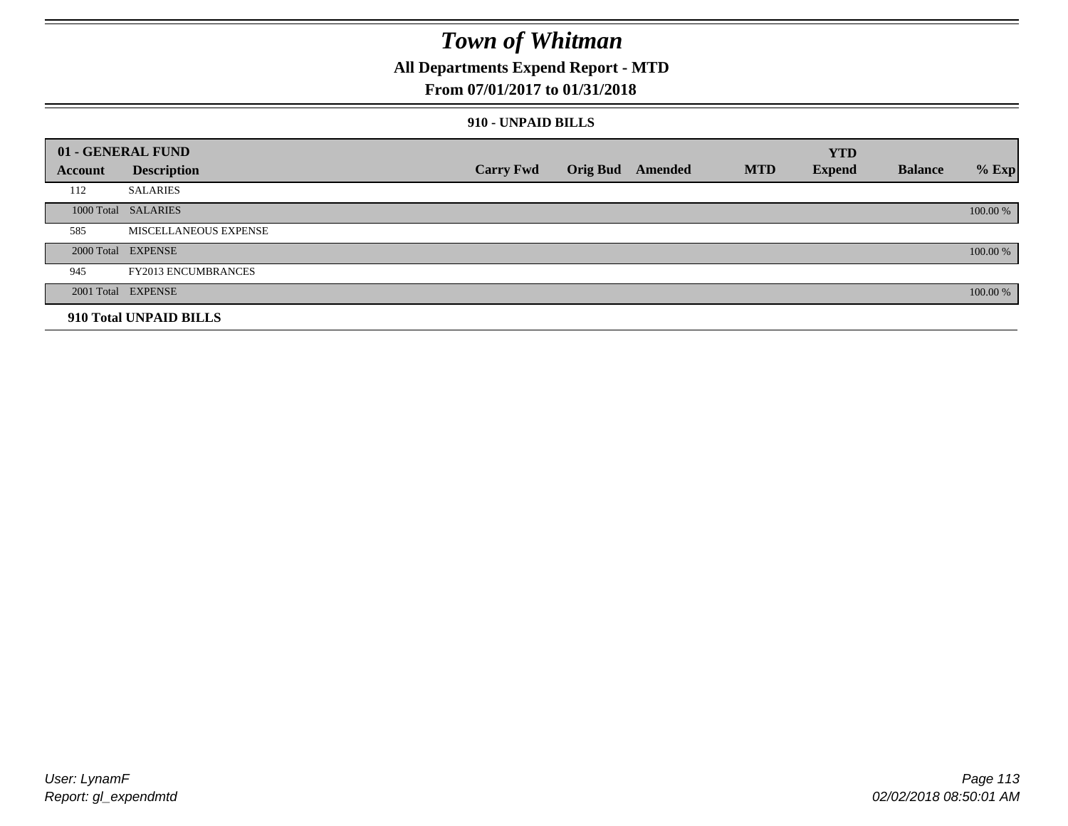### **All Departments Expend Report - MTD**

#### **From 07/01/2017 to 01/31/2018**

#### **910 - UNPAID BILLS**

|         | 01 - GENERAL FUND          |                  |                         |            | <b>YTD</b>    |                |          |
|---------|----------------------------|------------------|-------------------------|------------|---------------|----------------|----------|
| Account | <b>Description</b>         | <b>Carry Fwd</b> | <b>Orig Bud</b> Amended | <b>MTD</b> | <b>Expend</b> | <b>Balance</b> | $%$ Exp  |
| 112     | <b>SALARIES</b>            |                  |                         |            |               |                |          |
|         | 1000 Total SALARIES        |                  |                         |            |               |                | 100.00 % |
| 585     | MISCELLANEOUS EXPENSE      |                  |                         |            |               |                |          |
|         | 2000 Total EXPENSE         |                  |                         |            |               |                | 100.00 % |
| 945     | <b>FY2013 ENCUMBRANCES</b> |                  |                         |            |               |                |          |
|         | 2001 Total EXPENSE         |                  |                         |            |               |                | 100.00 % |
|         | 910 Total UNPAID BILLS     |                  |                         |            |               |                |          |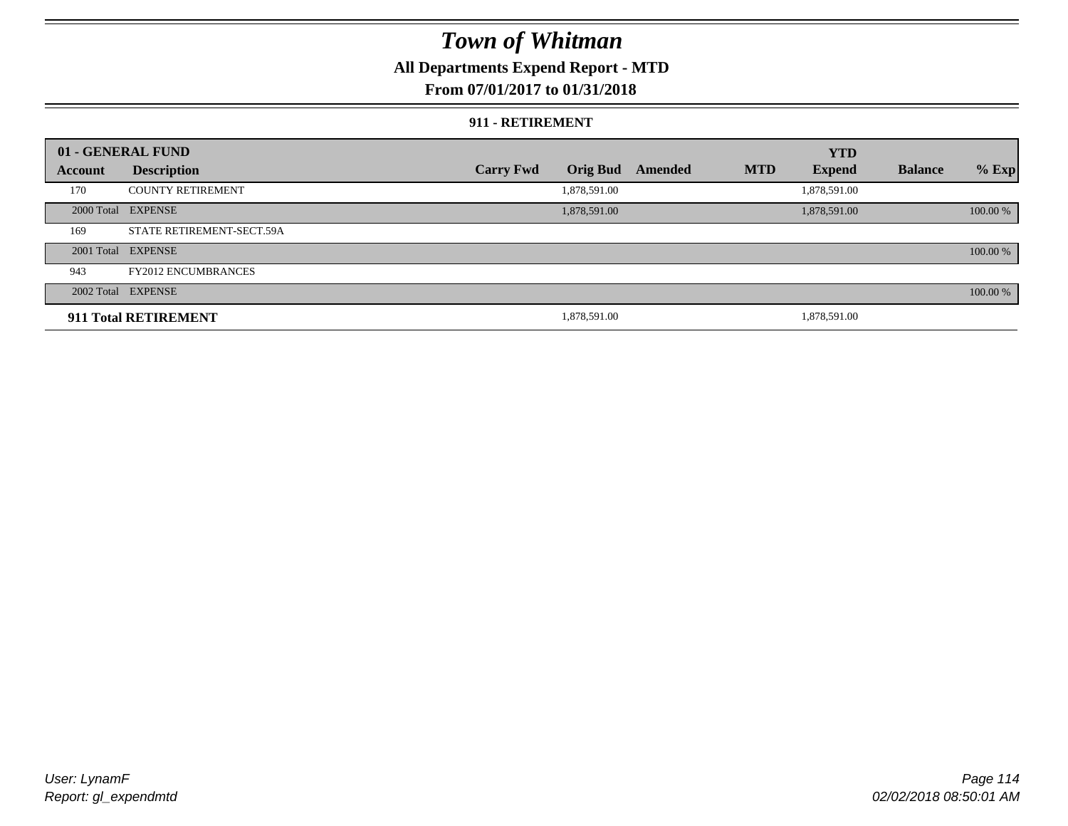### **All Departments Expend Report - MTD**

### **From 07/01/2017 to 01/31/2018**

#### **911 - RETIREMENT**

|         | 01 - GENERAL FUND          |                  |                 |         |            | <b>YTD</b>    |                |          |
|---------|----------------------------|------------------|-----------------|---------|------------|---------------|----------------|----------|
| Account | <b>Description</b>         | <b>Carry Fwd</b> | <b>Orig Bud</b> | Amended | <b>MTD</b> | <b>Expend</b> | <b>Balance</b> | $%$ Exp  |
| 170     | <b>COUNTY RETIREMENT</b>   |                  | 1,878,591.00    |         |            | 1,878,591.00  |                |          |
|         | 2000 Total EXPENSE         |                  | 1,878,591.00    |         |            | 1,878,591.00  |                | 100.00 % |
| 169     | STATE RETIREMENT-SECT.59A  |                  |                 |         |            |               |                |          |
|         | 2001 Total EXPENSE         |                  |                 |         |            |               |                | 100.00 % |
| 943     | <b>FY2012 ENCUMBRANCES</b> |                  |                 |         |            |               |                |          |
|         | 2002 Total EXPENSE         |                  |                 |         |            |               |                | 100.00 % |
|         | 911 Total RETIREMENT       |                  | 1,878,591.00    |         |            | 1,878,591.00  |                |          |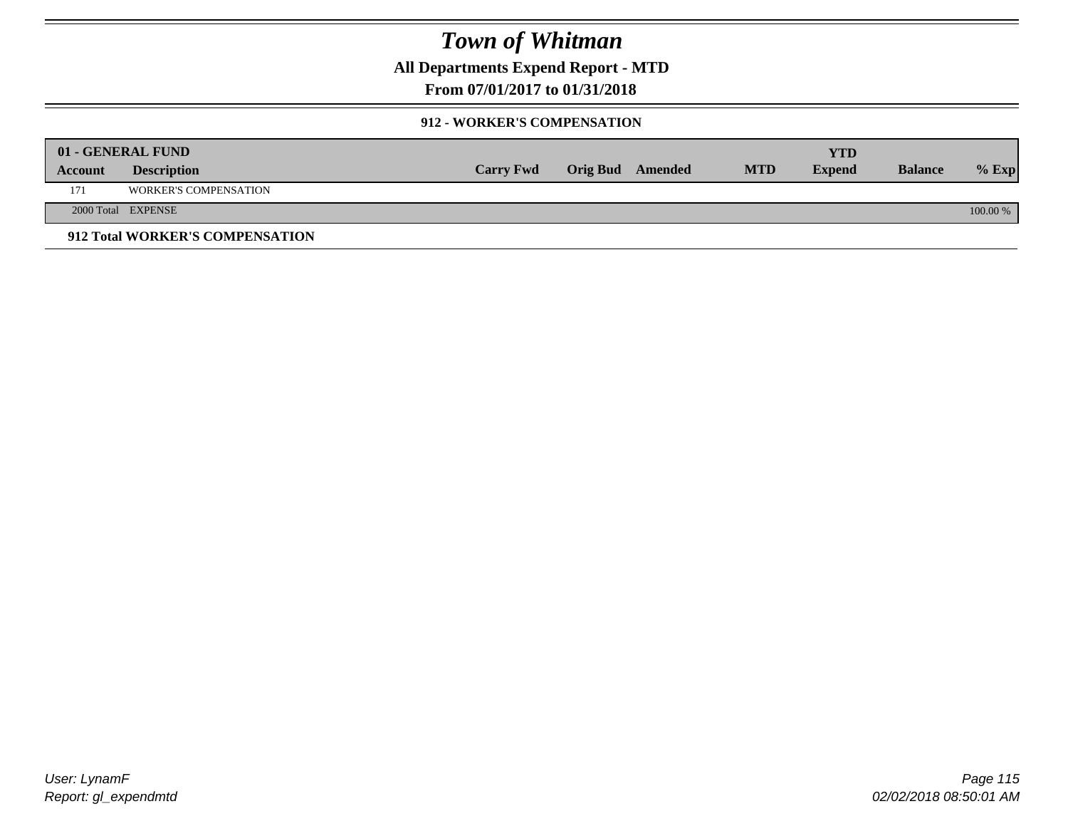**All Departments Expend Report - MTD**

### **From 07/01/2017 to 01/31/2018**

#### **912 - WORKER'S COMPENSATION**

|         | 01 - GENERAL FUND               |                  |                         |            | YTD           |                |            |
|---------|---------------------------------|------------------|-------------------------|------------|---------------|----------------|------------|
| Account | <b>Description</b>              | <b>Carry Fwd</b> | <b>Orig Bud</b> Amended | <b>MTD</b> | <b>Expend</b> | <b>Balance</b> | $%$ Exp    |
| 171     | <b>WORKER'S COMPENSATION</b>    |                  |                         |            |               |                |            |
|         | 2000 Total EXPENSE              |                  |                         |            |               |                | $100.00\%$ |
|         | 912 Total WORKER'S COMPENSATION |                  |                         |            |               |                |            |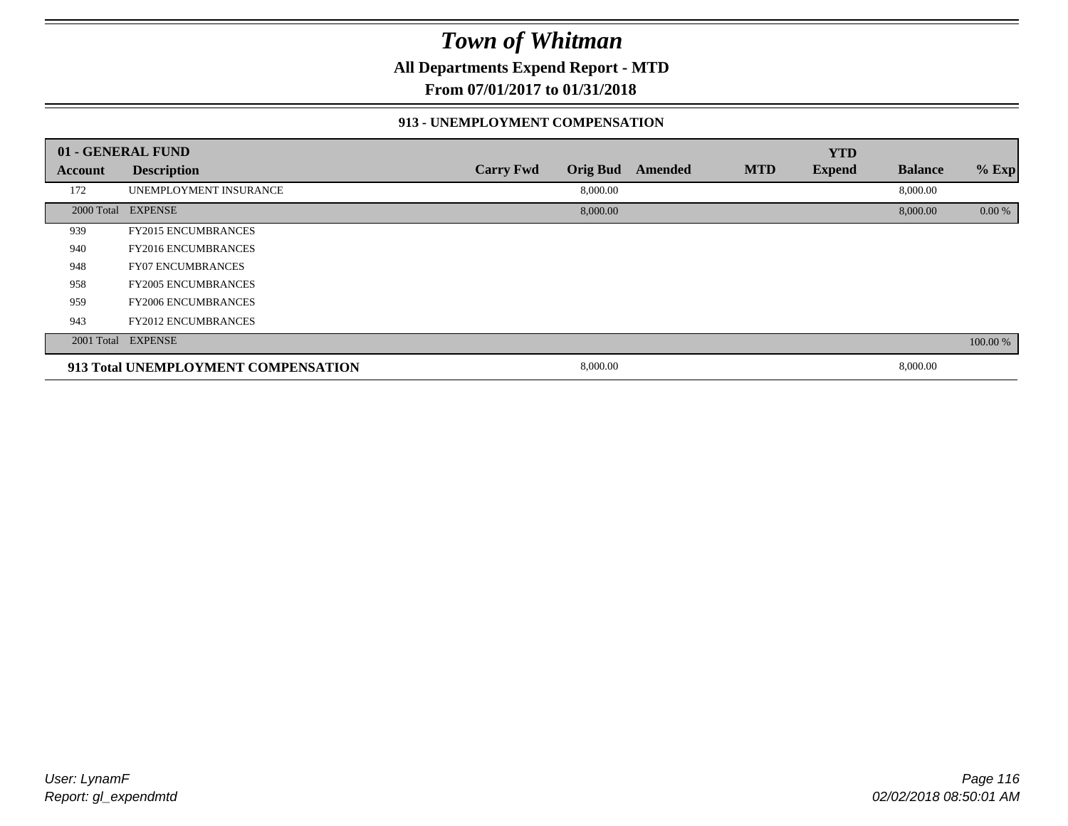**All Departments Expend Report - MTD**

**From 07/01/2017 to 01/31/2018**

#### **913 - UNEMPLOYMENT COMPENSATION**

|         | 01 - GENERAL FUND                   |                  |                 |         |            | <b>YTD</b>    |                |          |
|---------|-------------------------------------|------------------|-----------------|---------|------------|---------------|----------------|----------|
| Account | <b>Description</b>                  | <b>Carry Fwd</b> | <b>Orig Bud</b> | Amended | <b>MTD</b> | <b>Expend</b> | <b>Balance</b> | % Exp    |
| 172     | UNEMPLOYMENT INSURANCE              |                  | 8,000.00        |         |            |               | 8,000.00       |          |
|         | 2000 Total EXPENSE                  |                  | 8,000.00        |         |            |               | 8,000.00       | 0.00 %   |
| 939     | <b>FY2015 ENCUMBRANCES</b>          |                  |                 |         |            |               |                |          |
| 940     | <b>FY2016 ENCUMBRANCES</b>          |                  |                 |         |            |               |                |          |
| 948     | <b>FY07 ENCUMBRANCES</b>            |                  |                 |         |            |               |                |          |
| 958     | <b>FY2005 ENCUMBRANCES</b>          |                  |                 |         |            |               |                |          |
| 959     | <b>FY2006 ENCUMBRANCES</b>          |                  |                 |         |            |               |                |          |
| 943     | <b>FY2012 ENCUMBRANCES</b>          |                  |                 |         |            |               |                |          |
|         | 2001 Total EXPENSE                  |                  |                 |         |            |               |                | 100.00 % |
|         | 913 Total UNEMPLOYMENT COMPENSATION |                  | 8,000.00        |         |            |               | 8,000.00       |          |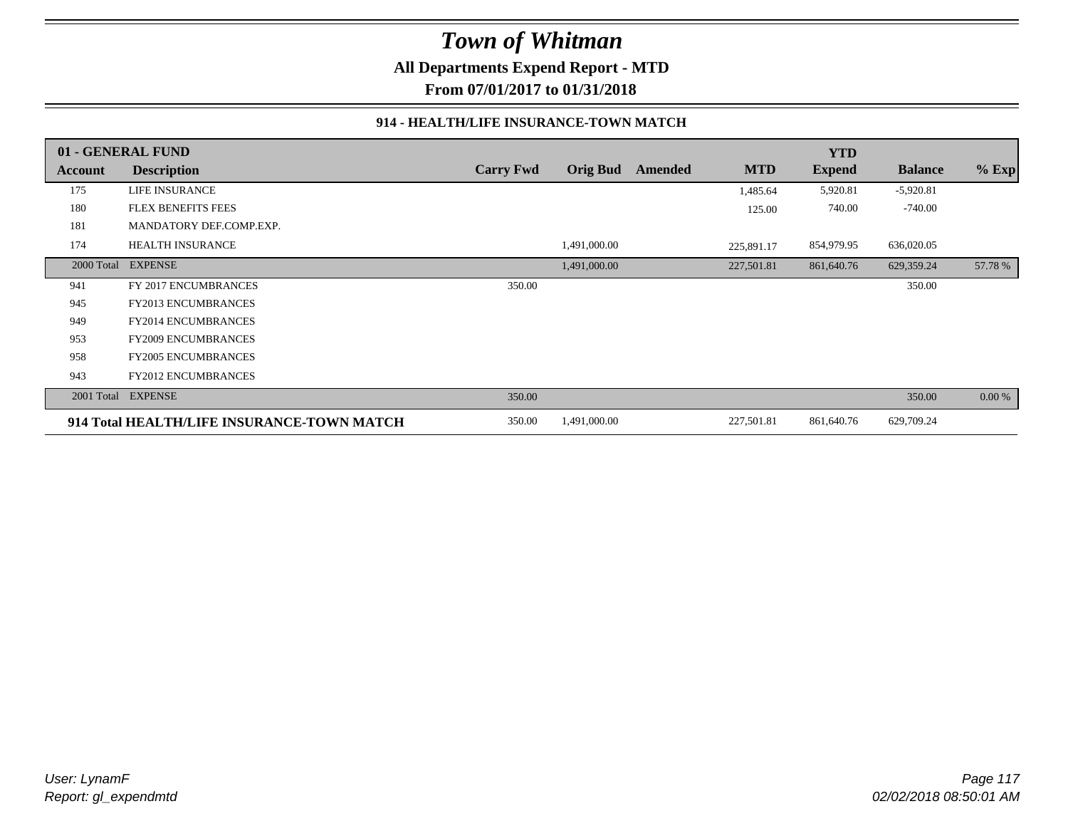**All Departments Expend Report - MTD**

**From 07/01/2017 to 01/31/2018**

#### **914 - HEALTH/LIFE INSURANCE-TOWN MATCH**

|            | 01 - GENERAL FUND                          |                  |                 |         |            | <b>YTD</b>    |                |         |
|------------|--------------------------------------------|------------------|-----------------|---------|------------|---------------|----------------|---------|
| Account    | <b>Description</b>                         | <b>Carry Fwd</b> | <b>Orig Bud</b> | Amended | <b>MTD</b> | <b>Expend</b> | <b>Balance</b> | $%$ Exp |
| 175        | LIFE INSURANCE                             |                  |                 |         | 1,485.64   | 5,920.81      | $-5,920.81$    |         |
| 180        | FLEX BENEFITS FEES                         |                  |                 |         | 125.00     | 740.00        | $-740.00$      |         |
| 181        | MANDATORY DEF.COMP.EXP.                    |                  |                 |         |            |               |                |         |
| 174        | <b>HEALTH INSURANCE</b>                    |                  | 1,491,000.00    |         | 225,891.17 | 854,979.95    | 636,020.05     |         |
| 2000 Total | <b>EXPENSE</b>                             |                  | 1,491,000.00    |         | 227,501.81 | 861,640.76    | 629,359.24     | 57.78 % |
| 941        | FY 2017 ENCUMBRANCES                       | 350.00           |                 |         |            |               | 350.00         |         |
| 945        | <b>FY2013 ENCUMBRANCES</b>                 |                  |                 |         |            |               |                |         |
| 949        | <b>FY2014 ENCUMBRANCES</b>                 |                  |                 |         |            |               |                |         |
| 953        | <b>FY2009 ENCUMBRANCES</b>                 |                  |                 |         |            |               |                |         |
| 958        | <b>FY2005 ENCUMBRANCES</b>                 |                  |                 |         |            |               |                |         |
| 943        | <b>FY2012 ENCUMBRANCES</b>                 |                  |                 |         |            |               |                |         |
| 2001 Total | <b>EXPENSE</b>                             | 350.00           |                 |         |            |               | 350.00         | 0.00 %  |
|            | 914 Total HEALTH/LIFE INSURANCE-TOWN MATCH | 350.00           | 1,491,000.00    |         | 227,501.81 | 861,640.76    | 629,709.24     |         |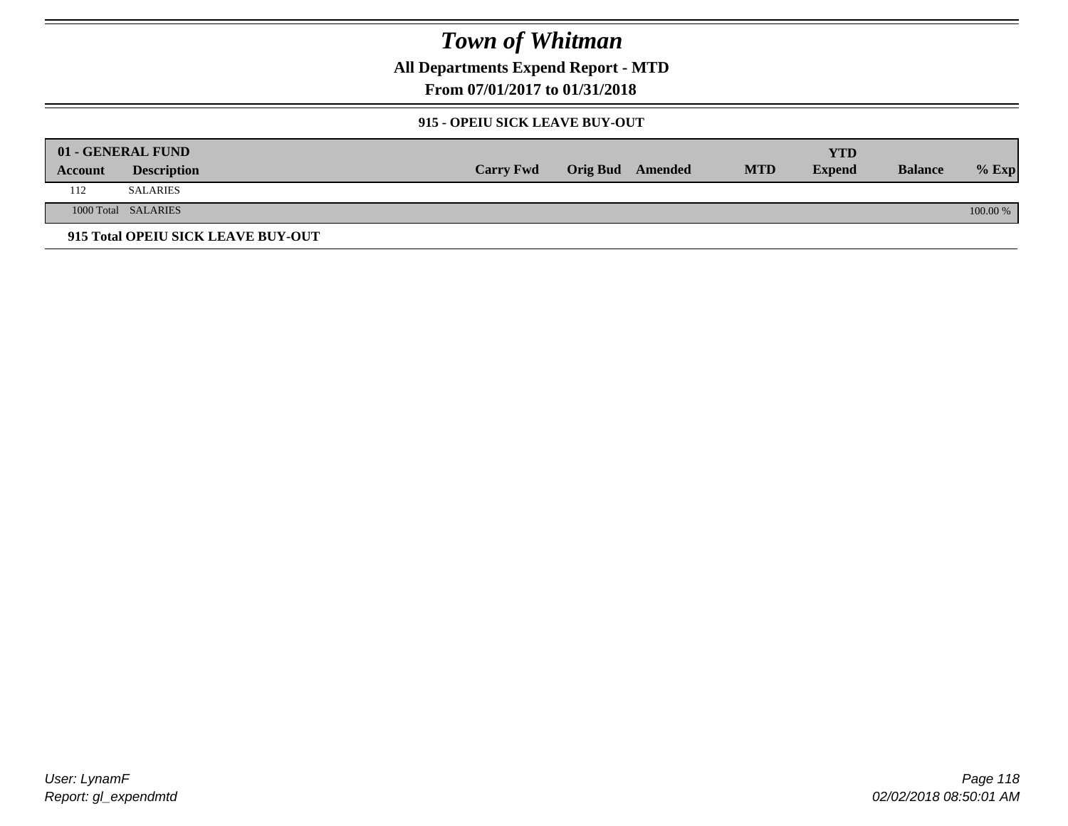**All Departments Expend Report - MTD**

**From 07/01/2017 to 01/31/2018**

#### **915 - OPEIU SICK LEAVE BUY-OUT**

|         | 01 - GENERAL FUND                  |                  |                         |            | YTD           |                |          |
|---------|------------------------------------|------------------|-------------------------|------------|---------------|----------------|----------|
| Account | <b>Description</b>                 | <b>Carry Fwd</b> | <b>Orig Bud</b> Amended | <b>MTD</b> | <b>Expend</b> | <b>Balance</b> | $%$ Exp  |
| 112     | <b>SALARIES</b>                    |                  |                         |            |               |                |          |
|         | 1000 Total SALARIES                |                  |                         |            |               |                | 100.00 % |
|         | 915 Total OPEIU SICK LEAVE BUY-OUT |                  |                         |            |               |                |          |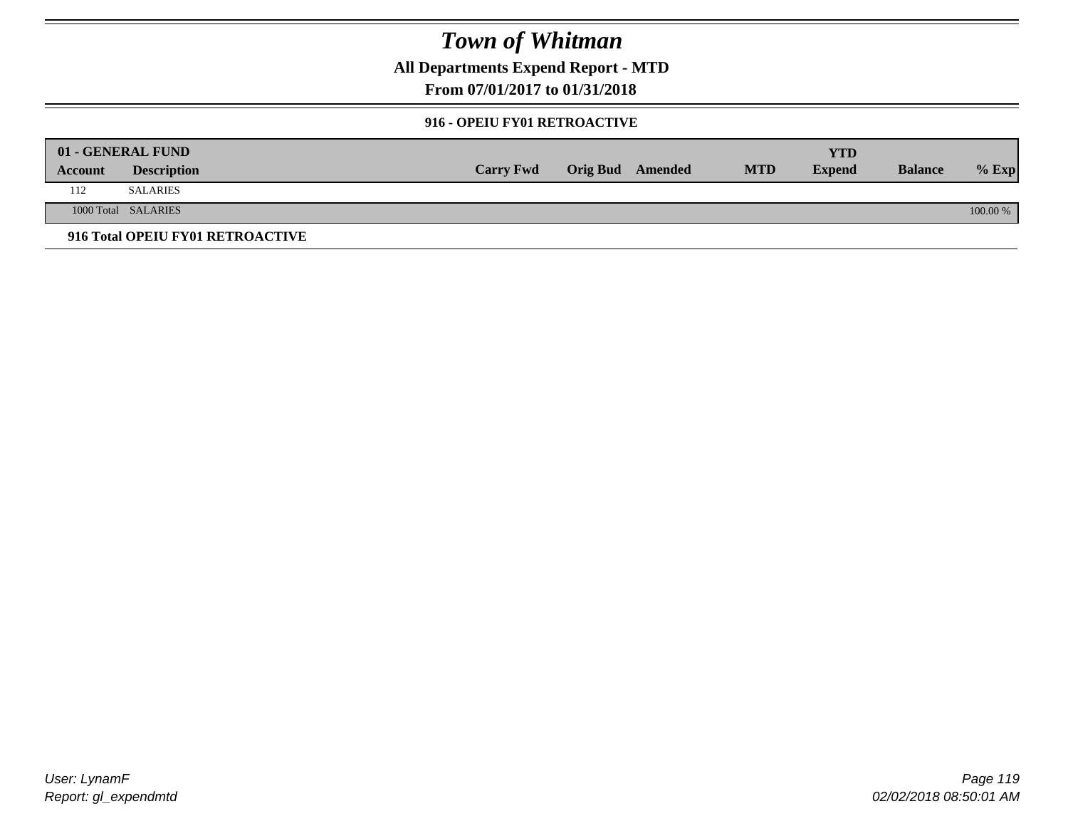**All Departments Expend Report - MTD**

### **From 07/01/2017 to 01/31/2018**

#### **916 - OPEIU FY01 RETROACTIVE**

|         | 01 - GENERAL FUND                |                  |                         |            | YTD           |                |          |
|---------|----------------------------------|------------------|-------------------------|------------|---------------|----------------|----------|
| Account | <b>Description</b>               | <b>Carry Fwd</b> | <b>Orig Bud</b> Amended | <b>MTD</b> | <b>Expend</b> | <b>Balance</b> | $%$ Exp  |
| 112     | <b>SALARIES</b>                  |                  |                         |            |               |                |          |
|         | 1000 Total SALARIES              |                  |                         |            |               |                | 100.00 % |
|         | 916 Total OPEIU FY01 RETROACTIVE |                  |                         |            |               |                |          |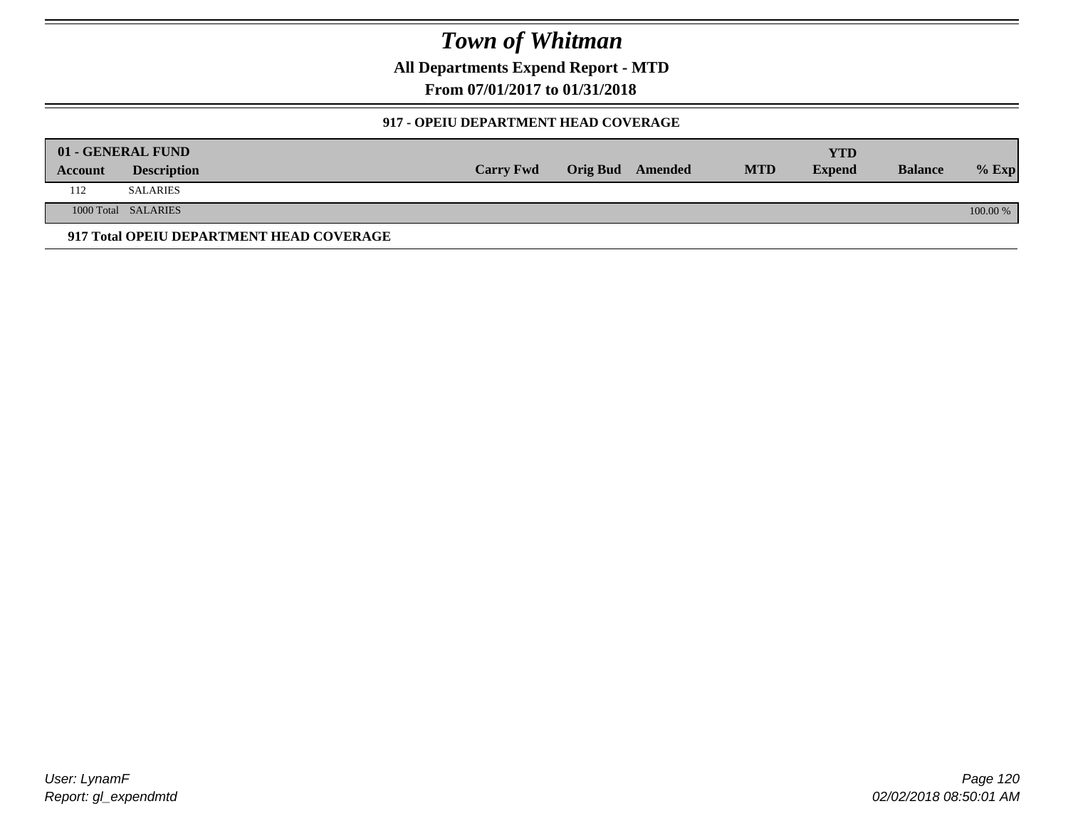**All Departments Expend Report - MTD**

**From 07/01/2017 to 01/31/2018**

#### **917 - OPEIU DEPARTMENT HEAD COVERAGE**

|         | 01 - GENERAL FUND                        |                  |                         |            | YTD           |                |          |
|---------|------------------------------------------|------------------|-------------------------|------------|---------------|----------------|----------|
| Account | <b>Description</b>                       | <b>Carry Fwd</b> | <b>Orig Bud</b> Amended | <b>MTD</b> | <b>Expend</b> | <b>Balance</b> | $%$ Exp  |
| 112     | <b>SALARIES</b>                          |                  |                         |            |               |                |          |
|         | 1000 Total SALARIES                      |                  |                         |            |               |                | 100.00 % |
|         | 917 Total OPEIU DEPARTMENT HEAD COVERAGE |                  |                         |            |               |                |          |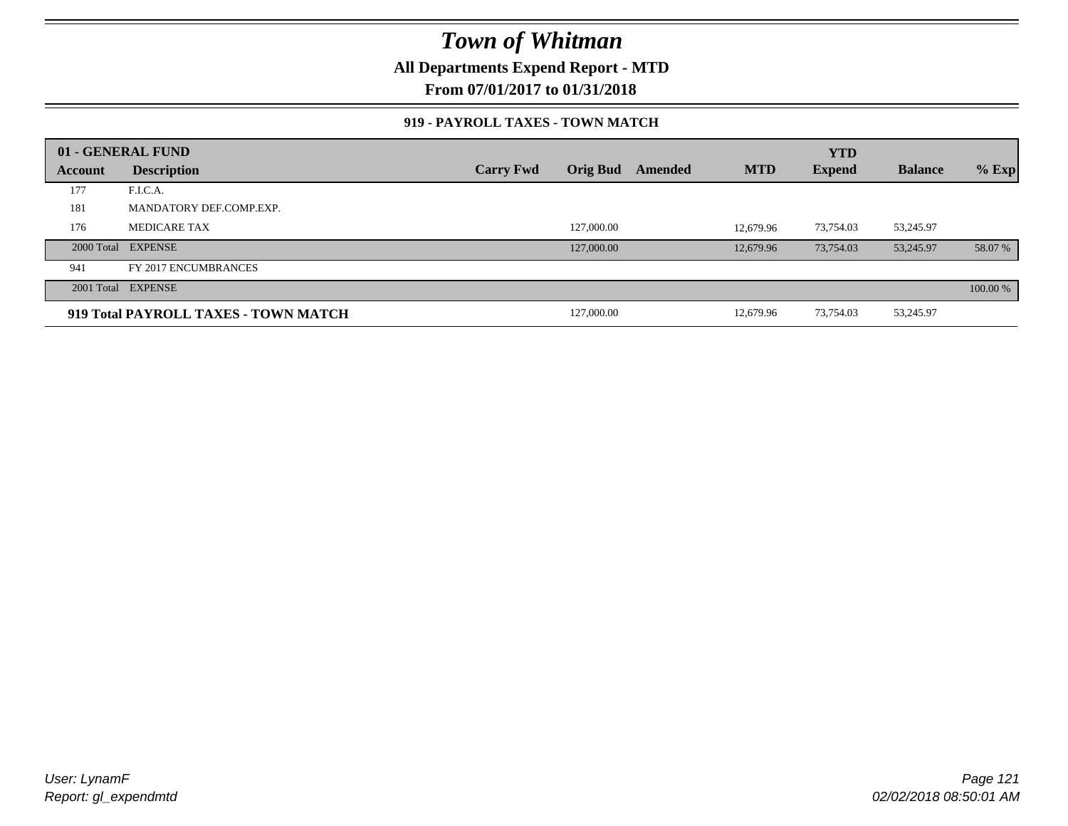**All Departments Expend Report - MTD**

**From 07/01/2017 to 01/31/2018**

#### **919 - PAYROLL TAXES - TOWN MATCH**

|         | 01 - GENERAL FUND                    |                  |                 |         |            | <b>YTD</b>    |                |          |
|---------|--------------------------------------|------------------|-----------------|---------|------------|---------------|----------------|----------|
| Account | <b>Description</b>                   | <b>Carry Fwd</b> | <b>Orig Bud</b> | Amended | <b>MTD</b> | <b>Expend</b> | <b>Balance</b> | $%$ Exp  |
| 177     | F.I.C.A.                             |                  |                 |         |            |               |                |          |
| 181     | MANDATORY DEF.COMP.EXP.              |                  |                 |         |            |               |                |          |
| 176     | <b>MEDICARE TAX</b>                  |                  | 127,000.00      |         | 12.679.96  | 73,754.03     | 53,245.97      |          |
|         | 2000 Total EXPENSE                   |                  | 127,000.00      |         | 12.679.96  | 73,754.03     | 53,245.97      | 58.07 %  |
| 941     | FY 2017 ENCUMBRANCES                 |                  |                 |         |            |               |                |          |
|         | 2001 Total EXPENSE                   |                  |                 |         |            |               |                | 100.00 % |
|         | 919 Total PAYROLL TAXES - TOWN MATCH |                  | 127,000.00      |         | 12,679.96  | 73,754.03     | 53,245.97      |          |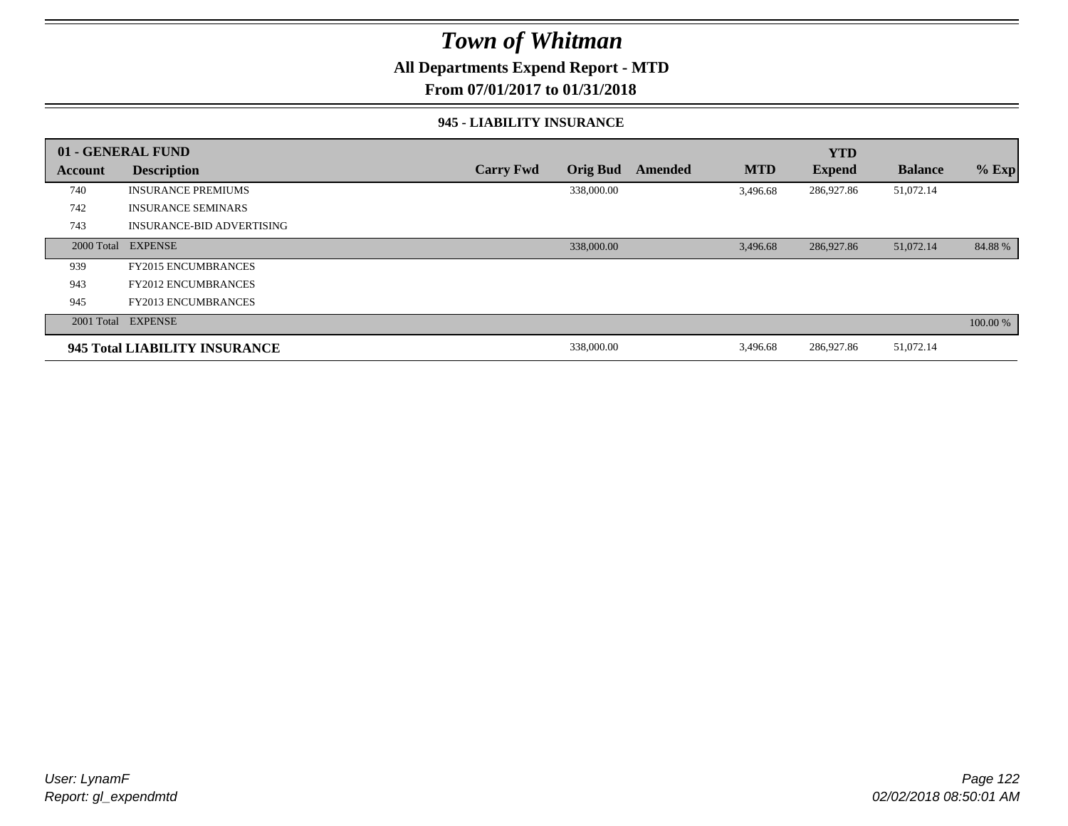### **All Departments Expend Report - MTD**

#### **From 07/01/2017 to 01/31/2018**

#### **945 - LIABILITY INSURANCE**

|         | 01 - GENERAL FUND                |                  |                 |         |            | <b>YTD</b>    |                |          |
|---------|----------------------------------|------------------|-----------------|---------|------------|---------------|----------------|----------|
| Account | <b>Description</b>               | <b>Carry Fwd</b> | <b>Orig Bud</b> | Amended | <b>MTD</b> | <b>Expend</b> | <b>Balance</b> | $%$ Exp  |
| 740     | <b>INSURANCE PREMIUMS</b>        |                  | 338,000.00      |         | 3,496.68   | 286,927.86    | 51,072.14      |          |
| 742     | <b>INSURANCE SEMINARS</b>        |                  |                 |         |            |               |                |          |
| 743     | <b>INSURANCE-BID ADVERTISING</b> |                  |                 |         |            |               |                |          |
|         | 2000 Total EXPENSE               |                  | 338,000.00      |         | 3,496.68   | 286,927.86    | 51,072.14      | 84.88%   |
| 939     | <b>FY2015 ENCUMBRANCES</b>       |                  |                 |         |            |               |                |          |
| 943     | <b>FY2012 ENCUMBRANCES</b>       |                  |                 |         |            |               |                |          |
| 945     | <b>FY2013 ENCUMBRANCES</b>       |                  |                 |         |            |               |                |          |
|         | 2001 Total EXPENSE               |                  |                 |         |            |               |                | 100.00 % |
|         | 945 Total LIABILITY INSURANCE    |                  | 338,000.00      |         | 3,496.68   | 286,927.86    | 51,072.14      |          |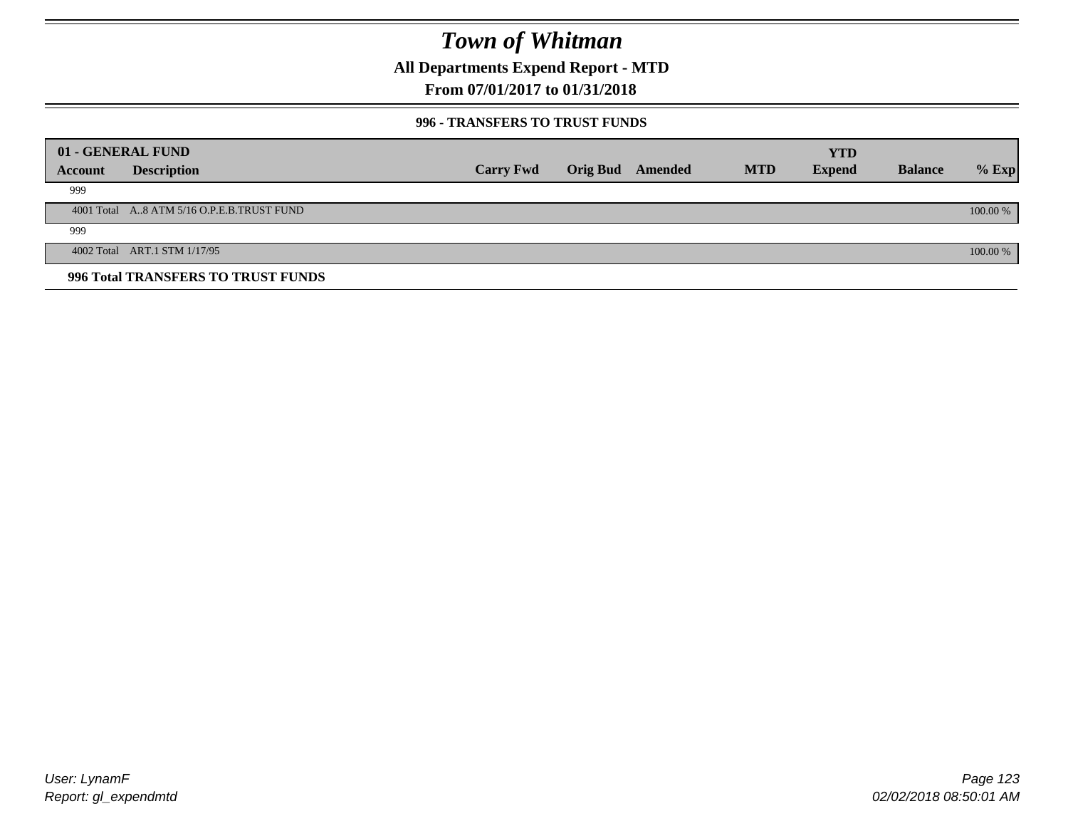**All Departments Expend Report - MTD**

### **From 07/01/2017 to 01/31/2018**

#### **996 - TRANSFERS TO TRUST FUNDS**

|         | 01 - GENERAL FUND                         |                  |                 |         |            | <b>YTD</b>    |                |            |
|---------|-------------------------------------------|------------------|-----------------|---------|------------|---------------|----------------|------------|
| Account | <b>Description</b>                        | <b>Carry Fwd</b> | <b>Orig Bud</b> | Amended | <b>MTD</b> | <b>Expend</b> | <b>Balance</b> | $%$ Exp    |
| 999     |                                           |                  |                 |         |            |               |                |            |
|         | 4001 Total A8 ATM 5/16 O.P.E.B.TRUST FUND |                  |                 |         |            |               |                | $100.00\%$ |
| 999     |                                           |                  |                 |         |            |               |                |            |
|         | 4002 Total ART.1 STM 1/17/95              |                  |                 |         |            |               |                | 100.00 %   |
|         | 996 Total TRANSFERS TO TRUST FUNDS        |                  |                 |         |            |               |                |            |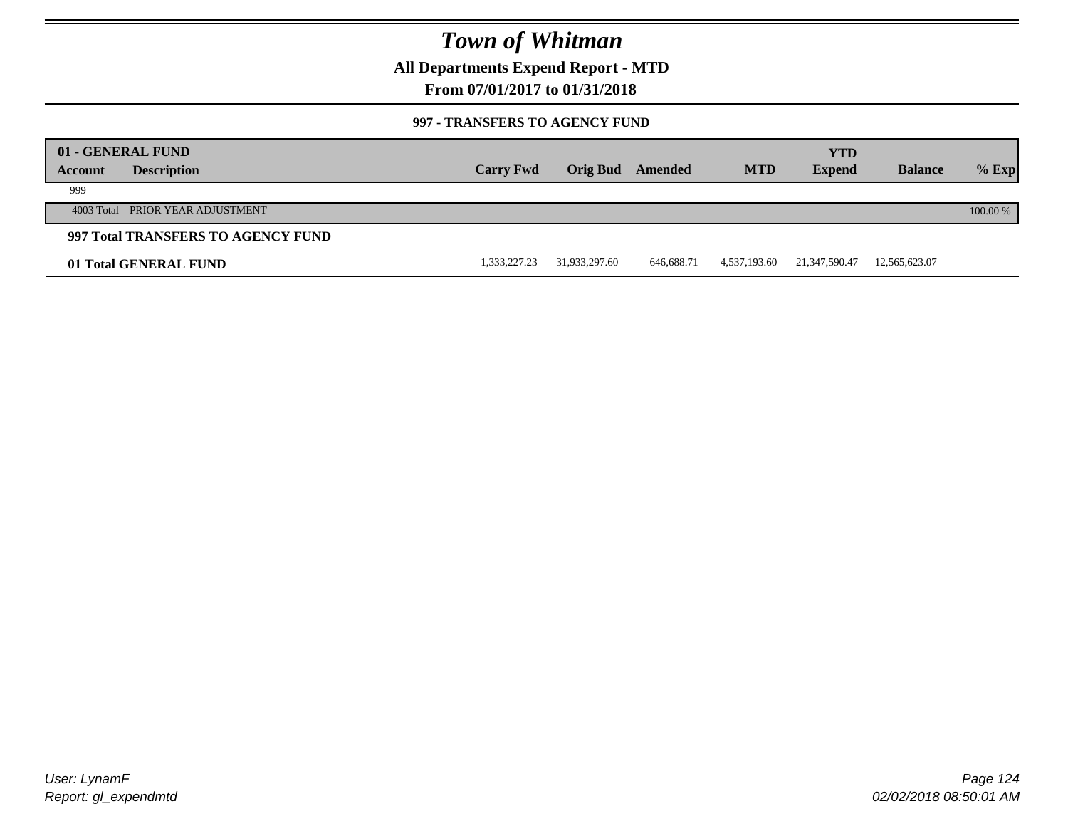**All Departments Expend Report - MTD**

### **From 07/01/2017 to 01/31/2018**

#### **997 - TRANSFERS TO AGENCY FUND**

| Account | 01 - GENERAL FUND<br><b>Description</b> | <b>Carry Fwd</b> | <b>Orig Bud</b> | Amended    | <b>MTD</b>   | <b>YTD</b><br><b>Expend</b> | <b>Balance</b> | $%$ Exp  |
|---------|-----------------------------------------|------------------|-----------------|------------|--------------|-----------------------------|----------------|----------|
| 999     |                                         |                  |                 |            |              |                             |                |          |
|         | 4003 Total PRIOR YEAR ADJUSTMENT        |                  |                 |            |              |                             |                | 100.00 % |
|         | 997 Total TRANSFERS TO AGENCY FUND      |                  |                 |            |              |                             |                |          |
|         | 01 Total GENERAL FUND                   | 1,333,227.23     | 31,933,297.60   | 646,688.71 | 4,537,193.60 | 21,347,590.47               | 12,565,623.07  |          |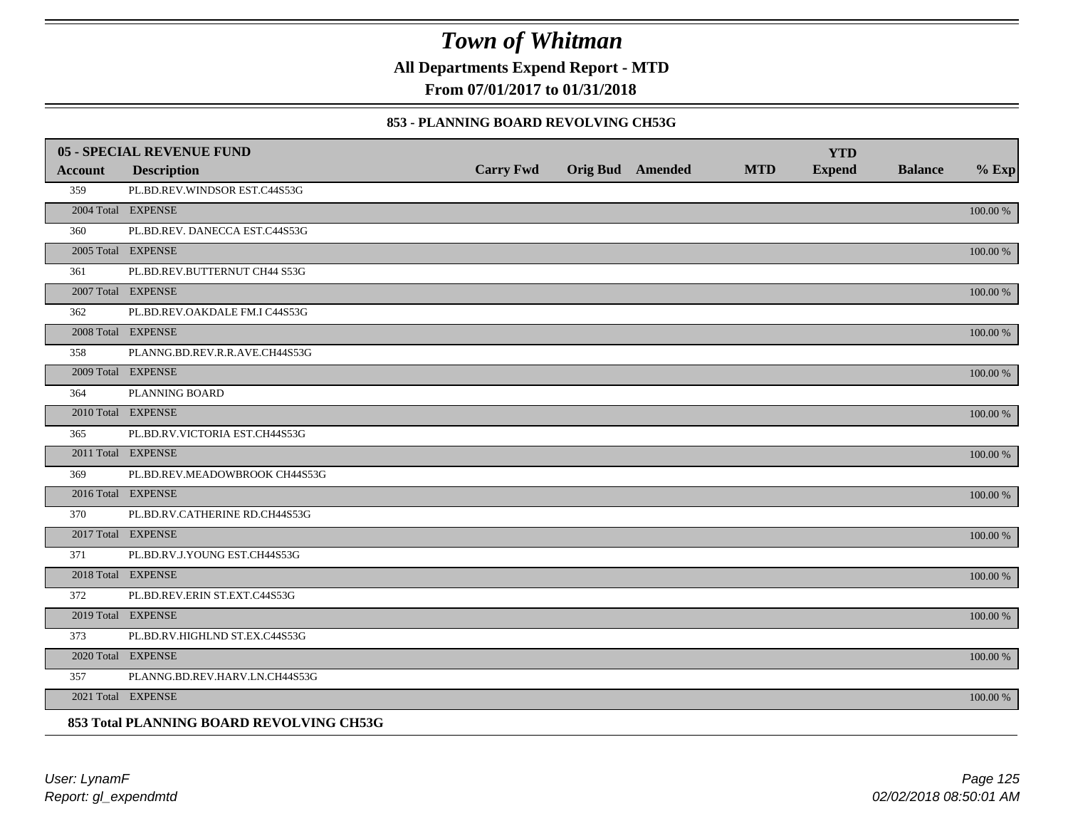**All Departments Expend Report - MTD**

**From 07/01/2017 to 01/31/2018**

#### **853 - PLANNING BOARD REVOLVING CH53G**

|         | <b>05 - SPECIAL REVENUE FUND</b>         |                  |                  |            | <b>YTD</b>    |                |             |
|---------|------------------------------------------|------------------|------------------|------------|---------------|----------------|-------------|
| Account | <b>Description</b>                       | <b>Carry Fwd</b> | Orig Bud Amended | <b>MTD</b> | <b>Expend</b> | <b>Balance</b> | $%$ Exp     |
| 359     | PL.BD.REV.WINDSOR EST.C44S53G            |                  |                  |            |               |                |             |
|         | 2004 Total EXPENSE                       |                  |                  |            |               |                | 100.00 %    |
| 360     | PL.BD.REV. DANECCA EST.C44S53G           |                  |                  |            |               |                |             |
|         | 2005 Total EXPENSE                       |                  |                  |            |               |                | 100.00 %    |
| 361     | PL.BD.REV.BUTTERNUT CH44 S53G            |                  |                  |            |               |                |             |
|         | 2007 Total EXPENSE                       |                  |                  |            |               |                | 100.00 %    |
| 362     | PL.BD.REV.OAKDALE FM.I C44S53G           |                  |                  |            |               |                |             |
|         | 2008 Total EXPENSE                       |                  |                  |            |               |                | $100.00~\%$ |
| 358     | PLANNG.BD.REV.R.R.AVE.CH44S53G           |                  |                  |            |               |                |             |
|         | 2009 Total EXPENSE                       |                  |                  |            |               |                | 100.00 %    |
| 364     | PLANNING BOARD                           |                  |                  |            |               |                |             |
|         | 2010 Total EXPENSE                       |                  |                  |            |               |                | $100.00~\%$ |
| 365     | PL.BD.RV.VICTORIA EST.CH44S53G           |                  |                  |            |               |                |             |
|         | 2011 Total EXPENSE                       |                  |                  |            |               |                | 100.00 %    |
| 369     | PL.BD.REV.MEADOWBROOK CH44S53G           |                  |                  |            |               |                |             |
|         | 2016 Total EXPENSE                       |                  |                  |            |               |                | 100.00 %    |
| 370     | PL.BD.RV.CATHERINE RD.CH44S53G           |                  |                  |            |               |                |             |
|         | 2017 Total EXPENSE                       |                  |                  |            |               |                | 100.00 %    |
| 371     | PL.BD.RV.J.YOUNG EST.CH44S53G            |                  |                  |            |               |                |             |
|         | 2018 Total EXPENSE                       |                  |                  |            |               |                | $100.00~\%$ |
| 372     | PL.BD.REV.ERIN ST.EXT.C44S53G            |                  |                  |            |               |                |             |
|         | 2019 Total EXPENSE                       |                  |                  |            |               |                | 100.00 %    |
| 373     | PL.BD.RV.HIGHLND ST.EX.C44S53G           |                  |                  |            |               |                |             |
|         | 2020 Total EXPENSE                       |                  |                  |            |               |                | 100.00 %    |
| 357     | PLANNG.BD.REV.HARV.LN.CH44S53G           |                  |                  |            |               |                |             |
|         | 2021 Total EXPENSE                       |                  |                  |            |               |                | 100.00 %    |
|         | 853 Total PLANNING BOARD REVOLVING CH53G |                  |                  |            |               |                |             |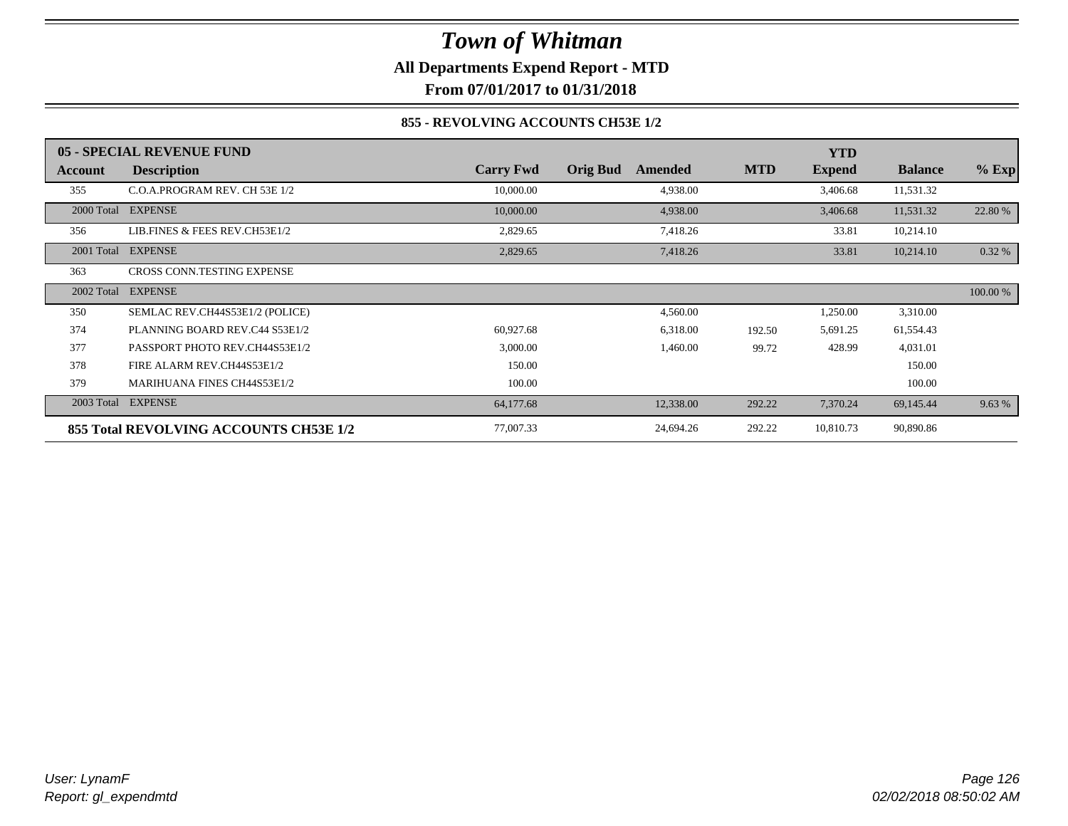### *Town of Whitman* **All Departments Expend Report - MTD From 07/01/2017 to 01/31/2018**

#### **855 - REVOLVING ACCOUNTS CH53E 1/2**

|            | 05 - SPECIAL REVENUE FUND              |                  |                            |            | <b>YTD</b>    |                |          |
|------------|----------------------------------------|------------------|----------------------------|------------|---------------|----------------|----------|
| Account    | <b>Description</b>                     | <b>Carry Fwd</b> | <b>Orig Bud</b><br>Amended | <b>MTD</b> | <b>Expend</b> | <b>Balance</b> | $%$ Exp  |
| 355        | C.O.A.PROGRAM REV. CH 53E 1/2          | 10,000.00        | 4,938.00                   |            | 3,406.68      | 11,531.32      |          |
| 2000 Total | <b>EXPENSE</b>                         | 10,000.00        | 4,938.00                   |            | 3,406.68      | 11,531.32      | 22.80 %  |
| 356        | LIB.FINES & FEES REV.CH53E1/2          | 2,829.65         | 7,418.26                   |            | 33.81         | 10,214.10      |          |
| 2001 Total | <b>EXPENSE</b>                         | 2,829.65         | 7,418.26                   |            | 33.81         | 10,214.10      | 0.32 %   |
| 363        | CROSS CONN.TESTING EXPENSE             |                  |                            |            |               |                |          |
| 2002 Total | <b>EXPENSE</b>                         |                  |                            |            |               |                | 100.00 % |
| 350        | SEMLAC REV.CH44S53E1/2 (POLICE)        |                  | 4,560.00                   |            | 1,250.00      | 3,310.00       |          |
| 374        | PLANNING BOARD REV.C44 S53E1/2         | 60,927.68        | 6,318.00                   | 192.50     | 5,691.25      | 61,554.43      |          |
| 377        | PASSPORT PHOTO REV.CH44S53E1/2         | 3,000.00         | 1,460.00                   | 99.72      | 428.99        | 4,031.01       |          |
| 378        | FIRE ALARM REV.CH44S53E1/2             | 150.00           |                            |            |               | 150.00         |          |
| 379        | <b>MARIHUANA FINES CH44S53E1/2</b>     | 100.00           |                            |            |               | 100.00         |          |
| 2003 Total | <b>EXPENSE</b>                         | 64,177.68        | 12,338.00                  | 292.22     | 7,370.24      | 69,145.44      | 9.63 %   |
|            | 855 Total REVOLVING ACCOUNTS CH53E 1/2 | 77,007.33        | 24,694.26                  | 292.22     | 10,810.73     | 90,890.86      |          |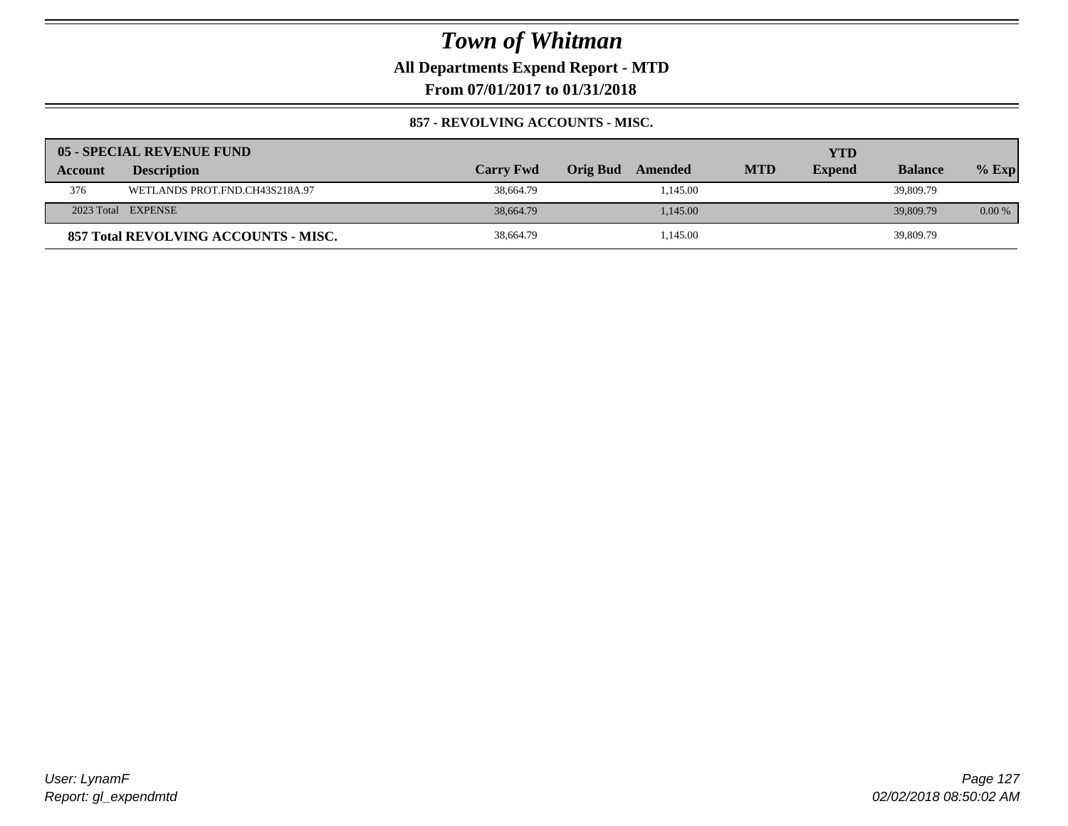**All Departments Expend Report - MTD**

**From 07/01/2017 to 01/31/2018**

#### **857 - REVOLVING ACCOUNTS - MISC.**

|         | 05 - SPECIAL REVENUE FUND            |                  |                     |            | YTD           |                |          |
|---------|--------------------------------------|------------------|---------------------|------------|---------------|----------------|----------|
| Account | <b>Description</b>                   | <b>Carry Fwd</b> | Orig Bud<br>Amended | <b>MTD</b> | <b>Expend</b> | <b>Balance</b> | $%$ Exp  |
| 376     | WETLANDS PROT.FND.CH43S218A.97       | 38,664.79        | 1,145.00            |            |               | 39,809.79      |          |
|         | 2023 Total EXPENSE                   | 38,664.79        | 1.145.00            |            |               | 39,809.79      | $0.00\%$ |
|         | 857 Total REVOLVING ACCOUNTS - MISC. | 38,664.79        | 1,145.00            |            |               | 39,809.79      |          |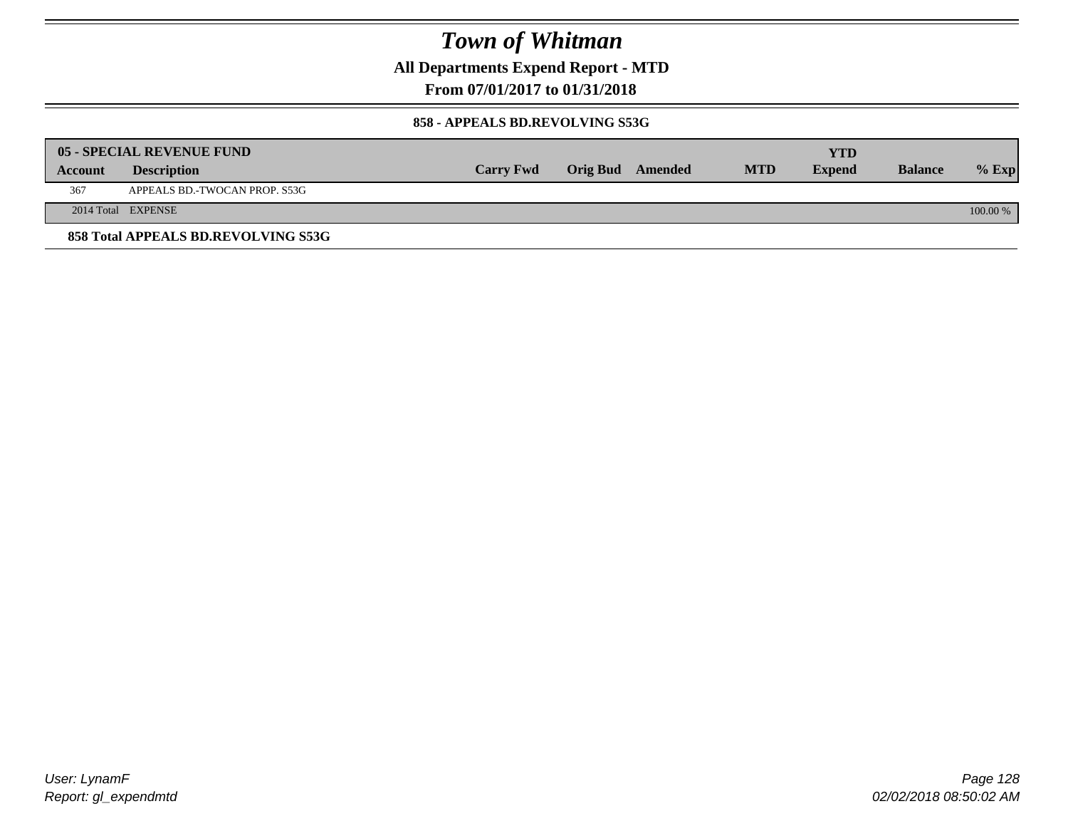**All Departments Expend Report - MTD**

**From 07/01/2017 to 01/31/2018**

#### **858 - APPEALS BD.REVOLVING S53G**

|         | 05 - SPECIAL REVENUE FUND           |                  |                  |            | YTD           |                |            |
|---------|-------------------------------------|------------------|------------------|------------|---------------|----------------|------------|
| Account | <b>Description</b>                  | <b>Carry Fwd</b> | Orig Bud Amended | <b>MTD</b> | <b>Expend</b> | <b>Balance</b> | $\%$ Exp   |
| 367     | APPEALS BD.-TWOCAN PROP. S53G       |                  |                  |            |               |                |            |
|         | 2014 Total EXPENSE                  |                  |                  |            |               |                | $100.00\%$ |
|         | 858 Total APPEALS BD.REVOLVING S53G |                  |                  |            |               |                |            |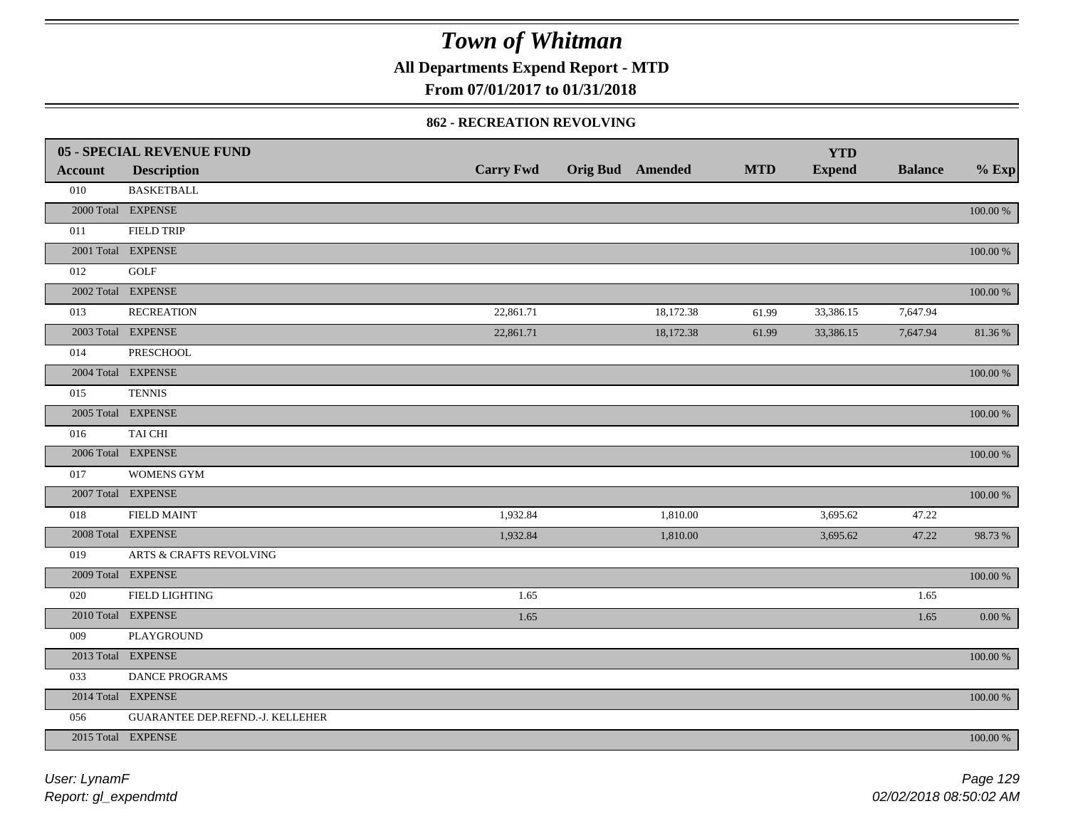**All Departments Expend Report - MTD**

### **From 07/01/2017 to 01/31/2018**

#### **862 - RECREATION REVOLVING**

|                | 05 - SPECIAL REVENUE FUND        |                  |                         |            | <b>YTD</b>    |                |             |
|----------------|----------------------------------|------------------|-------------------------|------------|---------------|----------------|-------------|
| <b>Account</b> | <b>Description</b>               | <b>Carry Fwd</b> | <b>Orig Bud</b> Amended | <b>MTD</b> | <b>Expend</b> | <b>Balance</b> | $%$ Exp     |
| 010            | <b>BASKETBALL</b>                |                  |                         |            |               |                |             |
|                | 2000 Total EXPENSE               |                  |                         |            |               |                | 100.00 %    |
| 011            | <b>FIELD TRIP</b>                |                  |                         |            |               |                |             |
|                | 2001 Total EXPENSE               |                  |                         |            |               |                | 100.00 %    |
| 012            | GOLF                             |                  |                         |            |               |                |             |
|                | 2002 Total EXPENSE               |                  |                         |            |               |                | 100.00 %    |
| 013            | <b>RECREATION</b>                | 22,861.71        | 18,172.38               | 61.99      | 33,386.15     | 7,647.94       |             |
|                | 2003 Total EXPENSE               | 22,861.71        | 18,172.38               | 61.99      | 33,386.15     | 7,647.94       | 81.36%      |
| 014            | PRESCHOOL                        |                  |                         |            |               |                |             |
|                | 2004 Total EXPENSE               |                  |                         |            |               |                | 100.00 %    |
| 015            | <b>TENNIS</b>                    |                  |                         |            |               |                |             |
|                | 2005 Total EXPENSE               |                  |                         |            |               |                | 100.00 %    |
| 016            | TAI CHI                          |                  |                         |            |               |                |             |
|                | 2006 Total EXPENSE               |                  |                         |            |               |                | 100.00 %    |
| 017            | WOMENS GYM                       |                  |                         |            |               |                |             |
|                | 2007 Total EXPENSE               |                  |                         |            |               |                | 100.00 %    |
| 018            | <b>FIELD MAINT</b>               | 1,932.84         | 1,810.00                |            | 3,695.62      | 47.22          |             |
|                | 2008 Total EXPENSE               | 1,932.84         | 1,810.00                |            | 3,695.62      | 47.22          | 98.73%      |
| 019            | ARTS & CRAFTS REVOLVING          |                  |                         |            |               |                |             |
|                | 2009 Total EXPENSE               |                  |                         |            |               |                | $100.00~\%$ |
| 020            | FIELD LIGHTING                   | 1.65             |                         |            |               | 1.65           |             |
|                | 2010 Total EXPENSE               | 1.65             |                         |            |               | 1.65           | 0.00 %      |
| 009            | PLAYGROUND                       |                  |                         |            |               |                |             |
|                | 2013 Total EXPENSE               |                  |                         |            |               |                | 100.00 %    |
| 033            | DANCE PROGRAMS                   |                  |                         |            |               |                |             |
|                | 2014 Total EXPENSE               |                  |                         |            |               |                | 100.00 %    |
| 056            | GUARANTEE DEP.REFND.-J. KELLEHER |                  |                         |            |               |                |             |
|                | 2015 Total EXPENSE               |                  |                         |            |               |                | 100.00 %    |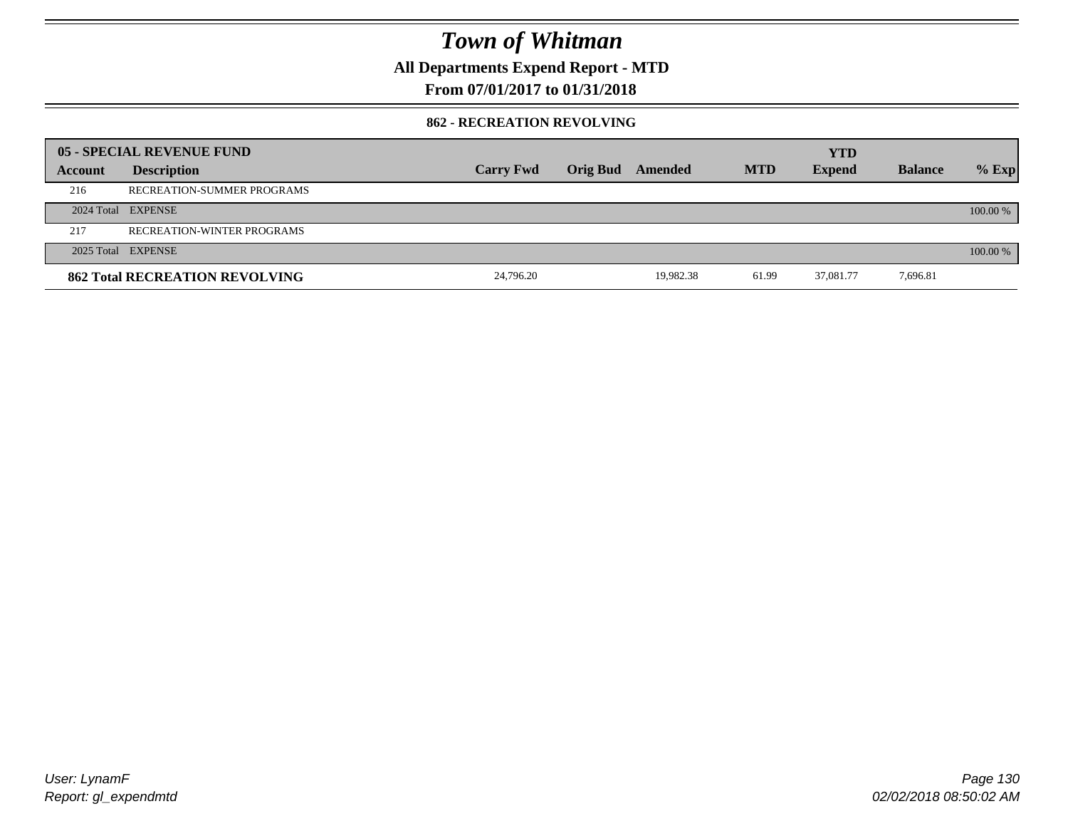**All Departments Expend Report - MTD**

### **From 07/01/2017 to 01/31/2018**

#### **862 - RECREATION REVOLVING**

|         | 05 - SPECIAL REVENUE FUND             |                  |                         |            | <b>YTD</b>    |                |          |
|---------|---------------------------------------|------------------|-------------------------|------------|---------------|----------------|----------|
| Account | <b>Description</b>                    | <b>Carry Fwd</b> | <b>Orig Bud</b> Amended | <b>MTD</b> | <b>Expend</b> | <b>Balance</b> | $%$ Exp  |
| 216     | RECREATION-SUMMER PROGRAMS            |                  |                         |            |               |                |          |
|         | 2024 Total EXPENSE                    |                  |                         |            |               |                | 100.00 % |
| 217     | <b>RECREATION-WINTER PROGRAMS</b>     |                  |                         |            |               |                |          |
|         | 2025 Total EXPENSE                    |                  |                         |            |               |                | 100.00 % |
|         | <b>862 Total RECREATION REVOLVING</b> | 24,796.20        | 19.982.38               | 61.99      | 37,081.77     | 7,696.81       |          |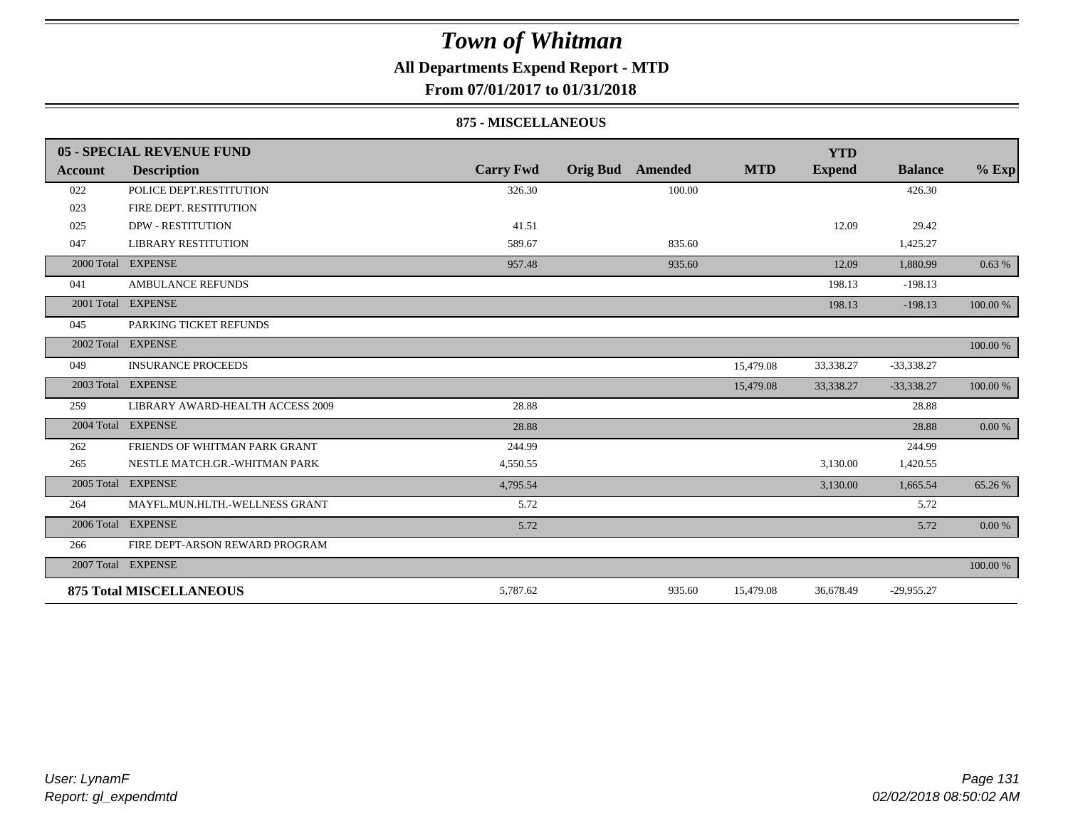### **All Departments Expend Report - MTD**

**From 07/01/2017 to 01/31/2018**

#### **875 - MISCELLANEOUS**

|            | 05 - SPECIAL REVENUE FUND        |                  |                            |            | <b>YTD</b>    |                |           |
|------------|----------------------------------|------------------|----------------------------|------------|---------------|----------------|-----------|
| Account    | <b>Description</b>               | <b>Carry Fwd</b> | <b>Orig Bud</b><br>Amended | <b>MTD</b> | <b>Expend</b> | <b>Balance</b> | $%$ Exp   |
| 022        | POLICE DEPT.RESTITUTION          | 326.30           | 100.00                     |            |               | 426.30         |           |
| 023        | FIRE DEPT. RESTITUTION           |                  |                            |            |               |                |           |
| 025        | <b>DPW - RESTITUTION</b>         | 41.51            |                            |            | 12.09         | 29.42          |           |
| 047        | <b>LIBRARY RESTITUTION</b>       | 589.67           | 835.60                     |            |               | 1,425.27       |           |
| 2000 Total | <b>EXPENSE</b>                   | 957.48           | 935.60                     |            | 12.09         | 1,880.99       | 0.63%     |
| 041        | <b>AMBULANCE REFUNDS</b>         |                  |                            |            | 198.13        | $-198.13$      |           |
| 2001 Total | <b>EXPENSE</b>                   |                  |                            |            | 198.13        | $-198.13$      | 100.00 %  |
| 045        | PARKING TICKET REFUNDS           |                  |                            |            |               |                |           |
|            | 2002 Total EXPENSE               |                  |                            |            |               |                | 100.00 %  |
| 049        | <b>INSURANCE PROCEEDS</b>        |                  |                            | 15,479.08  | 33,338.27     | $-33,338.27$   |           |
|            | 2003 Total EXPENSE               |                  |                            | 15,479.08  | 33,338.27     | $-33,338.27$   | 100.00 %  |
| 259        | LIBRARY AWARD-HEALTH ACCESS 2009 | 28.88            |                            |            |               | 28.88          |           |
| 2004 Total | <b>EXPENSE</b>                   | 28.88            |                            |            |               | 28.88          | $0.00 \%$ |
| 262        | FRIENDS OF WHITMAN PARK GRANT    | 244.99           |                            |            |               | 244.99         |           |
| 265        | NESTLE MATCH.GR.-WHITMAN PARK    | 4,550.55         |                            |            | 3,130.00      | 1,420.55       |           |
| 2005 Total | <b>EXPENSE</b>                   | 4,795.54         |                            |            | 3,130.00      | 1,665.54       | 65.26 %   |
| 264        | MAYFL.MUN.HLTH.-WELLNESS GRANT   | 5.72             |                            |            |               | 5.72           |           |
|            | 2006 Total EXPENSE               | 5.72             |                            |            |               | 5.72           | 0.00 %    |
| 266        | FIRE DEPT-ARSON REWARD PROGRAM   |                  |                            |            |               |                |           |
|            | 2007 Total EXPENSE               |                  |                            |            |               |                | 100.00 %  |
|            | <b>875 Total MISCELLANEOUS</b>   | 5,787.62         | 935.60                     | 15,479.08  | 36,678.49     | $-29,955.27$   |           |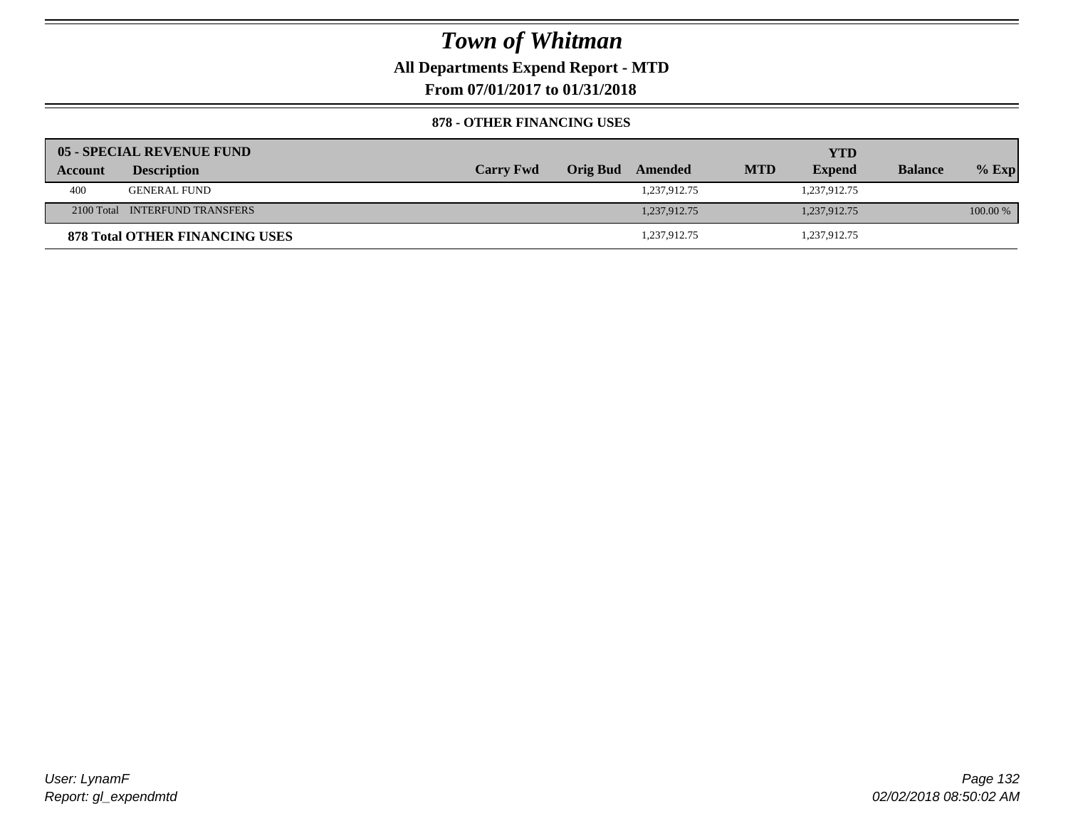**All Departments Expend Report - MTD**

**From 07/01/2017 to 01/31/2018**

#### **878 - OTHER FINANCING USES**

|         | 05 - SPECIAL REVENUE FUND             |                  |                  |            | <b>YTD</b>    |                |          |
|---------|---------------------------------------|------------------|------------------|------------|---------------|----------------|----------|
| Account | <b>Description</b>                    | <b>Carry Fwd</b> | Orig Bud Amended | <b>MTD</b> | <b>Expend</b> | <b>Balance</b> | $%$ Exp  |
| 400     | <b>GENERAL FUND</b>                   |                  | 1,237,912.75     |            | 1,237,912.75  |                |          |
|         | 2100 Total INTERFUND TRANSFERS        |                  | 1.237.912.75     |            | 1,237,912.75  |                | 100.00 % |
|         | <b>878 Total OTHER FINANCING USES</b> |                  | 1,237,912.75     |            | 1,237,912.75  |                |          |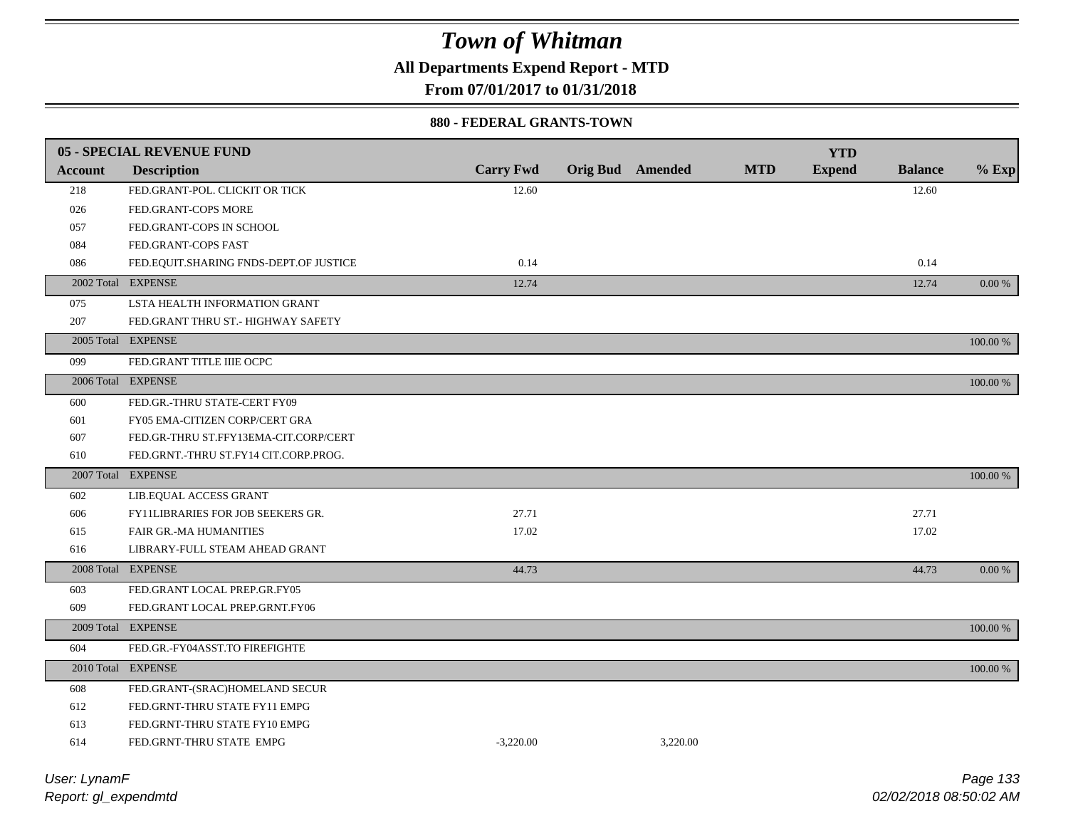**All Departments Expend Report - MTD**

**From 07/01/2017 to 01/31/2018**

#### **880 - FEDERAL GRANTS-TOWN**

|                | <b>05 - SPECIAL REVENUE FUND</b>       |                  |                         |          |            | <b>YTD</b>    |                |             |
|----------------|----------------------------------------|------------------|-------------------------|----------|------------|---------------|----------------|-------------|
| <b>Account</b> | <b>Description</b>                     | <b>Carry Fwd</b> | <b>Orig Bud</b> Amended |          | <b>MTD</b> | <b>Expend</b> | <b>Balance</b> | $%$ Exp     |
| 218            | FED.GRANT-POL. CLICKIT OR TICK         | 12.60            |                         |          |            |               | 12.60          |             |
| 026            | FED.GRANT-COPS MORE                    |                  |                         |          |            |               |                |             |
| 057            | FED.GRANT-COPS IN SCHOOL               |                  |                         |          |            |               |                |             |
| 084            | FED.GRANT-COPS FAST                    |                  |                         |          |            |               |                |             |
| 086            | FED.EQUIT.SHARING FNDS-DEPT.OF JUSTICE | 0.14             |                         |          |            |               | 0.14           |             |
|                | 2002 Total EXPENSE                     | 12.74            |                         |          |            |               | 12.74          | 0.00 %      |
| 075            | LSTA HEALTH INFORMATION GRANT          |                  |                         |          |            |               |                |             |
| 207            | FED.GRANT THRU ST.- HIGHWAY SAFETY     |                  |                         |          |            |               |                |             |
|                | 2005 Total EXPENSE                     |                  |                         |          |            |               |                | 100.00 %    |
| 099            | FED.GRANT TITLE IIIE OCPC              |                  |                         |          |            |               |                |             |
|                | 2006 Total EXPENSE                     |                  |                         |          |            |               |                | 100.00 %    |
| 600            | FED.GR.-THRU STATE-CERT FY09           |                  |                         |          |            |               |                |             |
| 601            | FY05 EMA-CITIZEN CORP/CERT GRA         |                  |                         |          |            |               |                |             |
| 607            | FED.GR-THRU ST.FFY13EMA-CIT.CORP/CERT  |                  |                         |          |            |               |                |             |
| 610            | FED.GRNT.-THRU ST.FY14 CIT.CORP.PROG.  |                  |                         |          |            |               |                |             |
|                | 2007 Total EXPENSE                     |                  |                         |          |            |               |                | $100.00~\%$ |
| 602            | LIB.EQUAL ACCESS GRANT                 |                  |                         |          |            |               |                |             |
| 606            | FY11LIBRARIES FOR JOB SEEKERS GR.      | 27.71            |                         |          |            |               | 27.71          |             |
| 615            | <b>FAIR GR.-MA HUMANITIES</b>          | 17.02            |                         |          |            |               | 17.02          |             |
| 616            | LIBRARY-FULL STEAM AHEAD GRANT         |                  |                         |          |            |               |                |             |
|                | 2008 Total EXPENSE                     | 44.73            |                         |          |            |               | 44.73          | $0.00\ \%$  |
| 603            | FED.GRANT LOCAL PREP.GR.FY05           |                  |                         |          |            |               |                |             |
| 609            | FED.GRANT LOCAL PREP.GRNT.FY06         |                  |                         |          |            |               |                |             |
|                | 2009 Total EXPENSE                     |                  |                         |          |            |               |                | 100.00 %    |
| 604            | FED.GR.-FY04ASST.TO FIREFIGHTE         |                  |                         |          |            |               |                |             |
|                | 2010 Total EXPENSE                     |                  |                         |          |            |               |                | 100.00 %    |
| 608            | FED.GRANT-(SRAC)HOMELAND SECUR         |                  |                         |          |            |               |                |             |
| 612            | FED.GRNT-THRU STATE FY11 EMPG          |                  |                         |          |            |               |                |             |
| 613            | FED.GRNT-THRU STATE FY10 EMPG          |                  |                         |          |            |               |                |             |
| 614            | FED.GRNT-THRU STATE EMPG               | $-3,220.00$      |                         | 3,220.00 |            |               |                |             |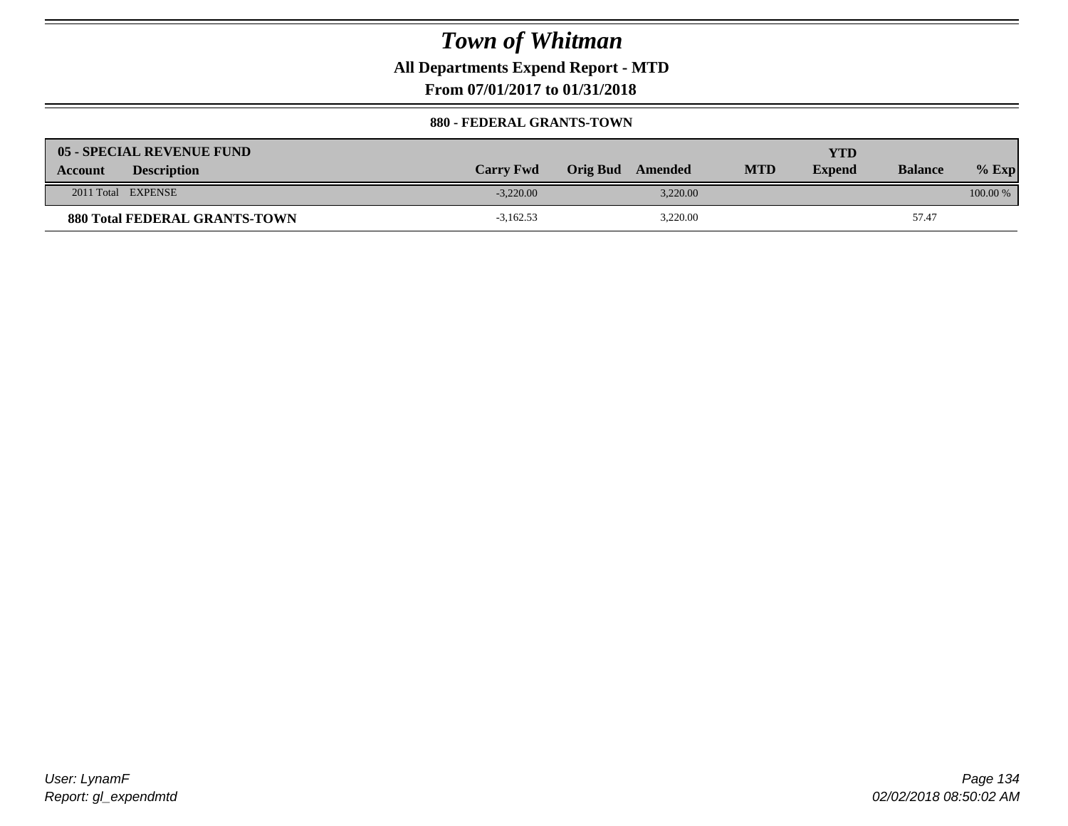**All Departments Expend Report - MTD**

**From 07/01/2017 to 01/31/2018**

#### **880 - FEDERAL GRANTS-TOWN**

| 05 - SPECIAL REVENUE FUND            |                  |                     |            | YTD           |                |            |
|--------------------------------------|------------------|---------------------|------------|---------------|----------------|------------|
| <b>Description</b><br><b>Account</b> | <b>Carry Fwd</b> | Orig Bud<br>Amended | <b>MTD</b> | <b>Expend</b> | <b>Balance</b> | $%$ Exp    |
| 2011 Total EXPENSE                   | $-3.220.00$      | 3.220.00            |            |               |                | $100.00\%$ |
| <b>880 Total FEDERAL GRANTS-TOWN</b> | $-3,162.53$      | 3,220.00            |            |               | 57.47          |            |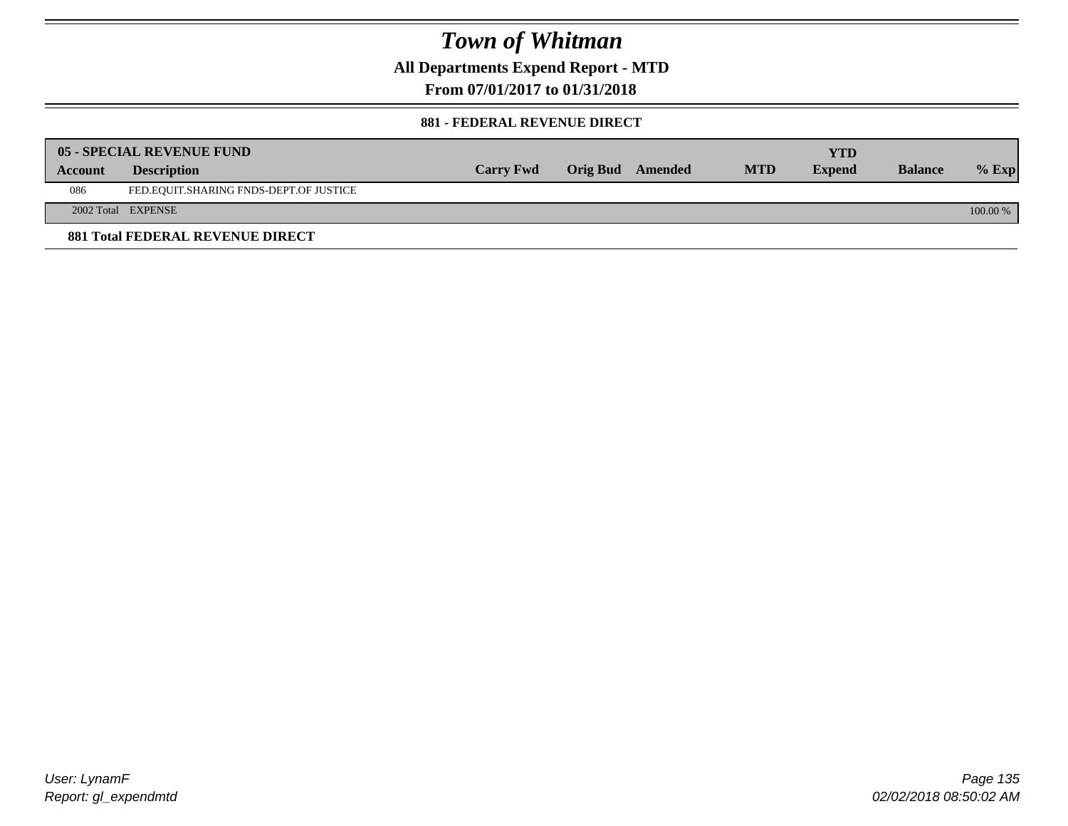**All Departments Expend Report - MTD**

**From 07/01/2017 to 01/31/2018**

#### **881 - FEDERAL REVENUE DIRECT**

|         | <b>05 - SPECIAL REVENUE FUND</b>        |                  |                  |            | YTD           |                |          |
|---------|-----------------------------------------|------------------|------------------|------------|---------------|----------------|----------|
| Account | <b>Description</b>                      | <b>Carry Fwd</b> | Orig Bud Amended | <b>MTD</b> | <b>Expend</b> | <b>Balance</b> | $%$ Exp  |
| 086     | FED.EQUIT.SHARING FNDS-DEPT.OF JUSTICE  |                  |                  |            |               |                |          |
|         | 2002 Total EXPENSE                      |                  |                  |            |               |                | 100.00 % |
|         | <b>881 Total FEDERAL REVENUE DIRECT</b> |                  |                  |            |               |                |          |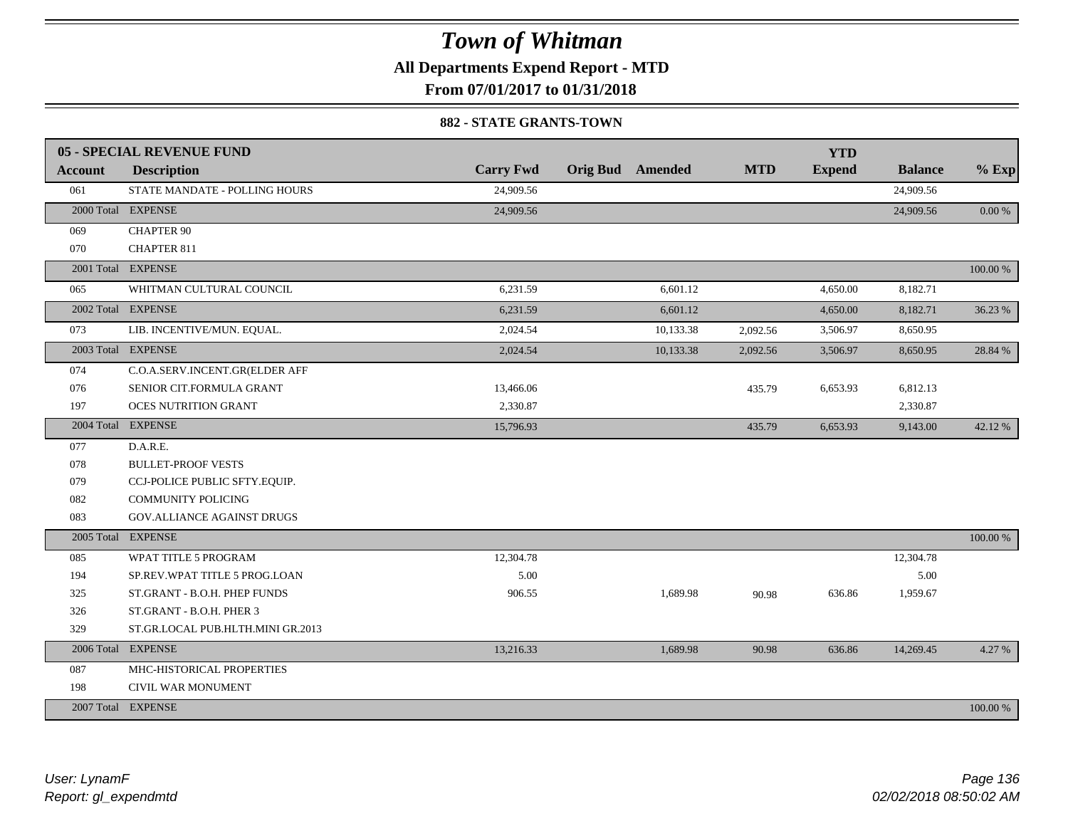**All Departments Expend Report - MTD**

**From 07/01/2017 to 01/31/2018**

#### **882 - STATE GRANTS-TOWN**

|                | <b>05 - SPECIAL REVENUE FUND</b>  |                  |                         |            | <b>YTD</b>    |                |          |
|----------------|-----------------------------------|------------------|-------------------------|------------|---------------|----------------|----------|
| <b>Account</b> | <b>Description</b>                | <b>Carry Fwd</b> | <b>Orig Bud</b> Amended | <b>MTD</b> | <b>Expend</b> | <b>Balance</b> | $%$ Exp  |
| 061            | STATE MANDATE - POLLING HOURS     | 24,909.56        |                         |            |               | 24,909.56      |          |
|                | 2000 Total EXPENSE                | 24,909.56        |                         |            |               | 24,909.56      | 0.00 %   |
| 069            | <b>CHAPTER 90</b>                 |                  |                         |            |               |                |          |
| 070            | <b>CHAPTER 811</b>                |                  |                         |            |               |                |          |
|                | 2001 Total EXPENSE                |                  |                         |            |               |                | 100.00 % |
| 065            | WHITMAN CULTURAL COUNCIL          | 6,231.59         | 6,601.12                |            | 4,650.00      | 8,182.71       |          |
|                | 2002 Total EXPENSE                | 6,231.59         | 6,601.12                |            | 4,650.00      | 8,182.71       | 36.23 %  |
| 073            | LIB. INCENTIVE/MUN. EQUAL.        | 2,024.54         | 10,133.38               | 2,092.56   | 3,506.97      | 8,650.95       |          |
|                | 2003 Total EXPENSE                | 2,024.54         | 10,133.38               | 2,092.56   | 3,506.97      | 8,650.95       | 28.84 %  |
| 074            | C.O.A.SERV.INCENT.GR(ELDER AFF    |                  |                         |            |               |                |          |
| 076            | SENIOR CIT.FORMULA GRANT          | 13,466.06        |                         | 435.79     | 6,653.93      | 6,812.13       |          |
| 197            | <b>OCES NUTRITION GRANT</b>       | 2,330.87         |                         |            |               | 2,330.87       |          |
|                | 2004 Total EXPENSE                | 15,796.93        |                         | 435.79     | 6,653.93      | 9,143.00       | 42.12%   |
| 077            | D.A.R.E.                          |                  |                         |            |               |                |          |
| 078            | <b>BULLET-PROOF VESTS</b>         |                  |                         |            |               |                |          |
| 079            | CCJ-POLICE PUBLIC SFTY.EQUIP.     |                  |                         |            |               |                |          |
| 082            | <b>COMMUNITY POLICING</b>         |                  |                         |            |               |                |          |
| 083            | <b>GOV.ALLIANCE AGAINST DRUGS</b> |                  |                         |            |               |                |          |
| 2005 Total     | <b>EXPENSE</b>                    |                  |                         |            |               |                | 100.00 % |
| 085            | WPAT TITLE 5 PROGRAM              | 12,304.78        |                         |            |               | 12,304.78      |          |
| 194            | SP.REV.WPAT TITLE 5 PROG.LOAN     | 5.00             |                         |            |               | 5.00           |          |
| 325            | ST.GRANT - B.O.H. PHEP FUNDS      | 906.55           | 1,689.98                | 90.98      | 636.86        | 1,959.67       |          |
| 326            | ST.GRANT - B.O.H. PHER 3          |                  |                         |            |               |                |          |
| 329            | ST.GR.LOCAL PUB.HLTH.MINI GR.2013 |                  |                         |            |               |                |          |
|                | 2006 Total EXPENSE                | 13,216.33        | 1,689.98                | 90.98      | 636.86        | 14,269.45      | 4.27 %   |
| 087            | MHC-HISTORICAL PROPERTIES         |                  |                         |            |               |                |          |
| 198            | CIVIL WAR MONUMENT                |                  |                         |            |               |                |          |
|                | 2007 Total EXPENSE                |                  |                         |            |               |                | 100.00 % |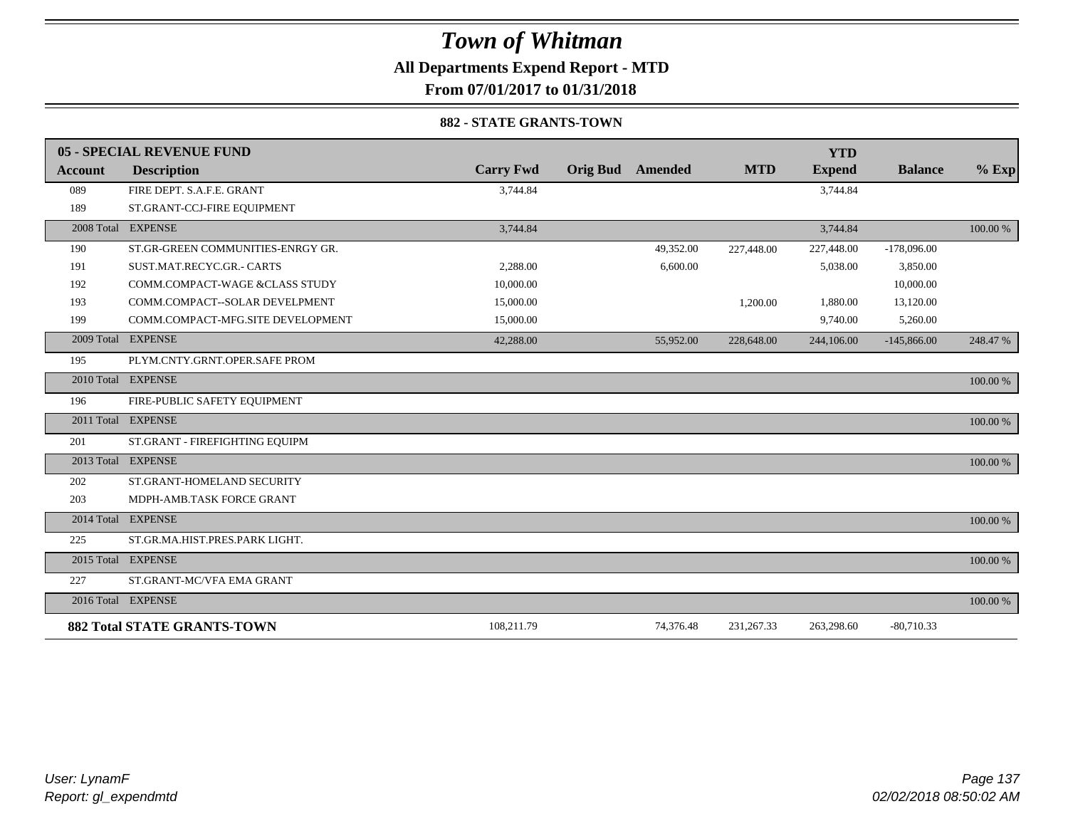**All Departments Expend Report - MTD**

**From 07/01/2017 to 01/31/2018**

#### **882 - STATE GRANTS-TOWN**

|         | 05 - SPECIAL REVENUE FUND          |                  |                 |                |            | <b>YTD</b>    |                |          |
|---------|------------------------------------|------------------|-----------------|----------------|------------|---------------|----------------|----------|
| Account | <b>Description</b>                 | <b>Carry Fwd</b> | <b>Orig Bud</b> | <b>Amended</b> | <b>MTD</b> | <b>Expend</b> | <b>Balance</b> | $%$ Exp  |
| 089     | FIRE DEPT. S.A.F.E. GRANT          | 3,744.84         |                 |                |            | 3,744.84      |                |          |
| 189     | ST.GRANT-CCJ-FIRE EQUIPMENT        |                  |                 |                |            |               |                |          |
|         | 2008 Total EXPENSE                 | 3,744.84         |                 |                |            | 3,744.84      |                | 100.00 % |
| 190     | ST.GR-GREEN COMMUNITIES-ENRGY GR.  |                  |                 | 49,352.00      | 227,448.00 | 227,448.00    | $-178,096.00$  |          |
| 191     | SUST.MAT.RECYC.GR.- CARTS          | 2,288.00         |                 | 6,600.00       |            | 5,038.00      | 3,850.00       |          |
| 192     | COMM.COMPACT-WAGE &CLASS STUDY     | 10,000.00        |                 |                |            |               | 10,000.00      |          |
| 193     | COMM.COMPACT--SOLAR DEVELPMENT     | 15,000.00        |                 |                | 1,200.00   | 1,880.00      | 13,120.00      |          |
| 199     | COMM.COMPACT-MFG.SITE DEVELOPMENT  | 15,000.00        |                 |                |            | 9,740.00      | 5,260.00       |          |
|         | 2009 Total EXPENSE                 | 42,288.00        |                 | 55,952.00      | 228,648.00 | 244,106.00    | $-145,866.00$  | 248.47 % |
| 195     | PLYM.CNTY.GRNT.OPER.SAFE PROM      |                  |                 |                |            |               |                |          |
|         | 2010 Total EXPENSE                 |                  |                 |                |            |               |                | 100.00 % |
| 196     | FIRE-PUBLIC SAFETY EQUIPMENT       |                  |                 |                |            |               |                |          |
|         | 2011 Total EXPENSE                 |                  |                 |                |            |               |                | 100.00 % |
| 201     | ST.GRANT - FIREFIGHTING EQUIPM     |                  |                 |                |            |               |                |          |
|         | 2013 Total EXPENSE                 |                  |                 |                |            |               |                | 100.00 % |
| 202     | ST.GRANT-HOMELAND SECURITY         |                  |                 |                |            |               |                |          |
| 203     | MDPH-AMB.TASK FORCE GRANT          |                  |                 |                |            |               |                |          |
|         | 2014 Total EXPENSE                 |                  |                 |                |            |               |                | 100.00 % |
| 225     | ST.GR.MA.HIST.PRES.PARK LIGHT.     |                  |                 |                |            |               |                |          |
|         | 2015 Total EXPENSE                 |                  |                 |                |            |               |                | 100.00 % |
| 227     | ST.GRANT-MC/VFA EMA GRANT          |                  |                 |                |            |               |                |          |
|         | 2016 Total EXPENSE                 |                  |                 |                |            |               |                | 100.00 % |
|         | <b>882 Total STATE GRANTS-TOWN</b> | 108,211.79       |                 | 74,376.48      | 231,267.33 | 263,298.60    | $-80,710.33$   |          |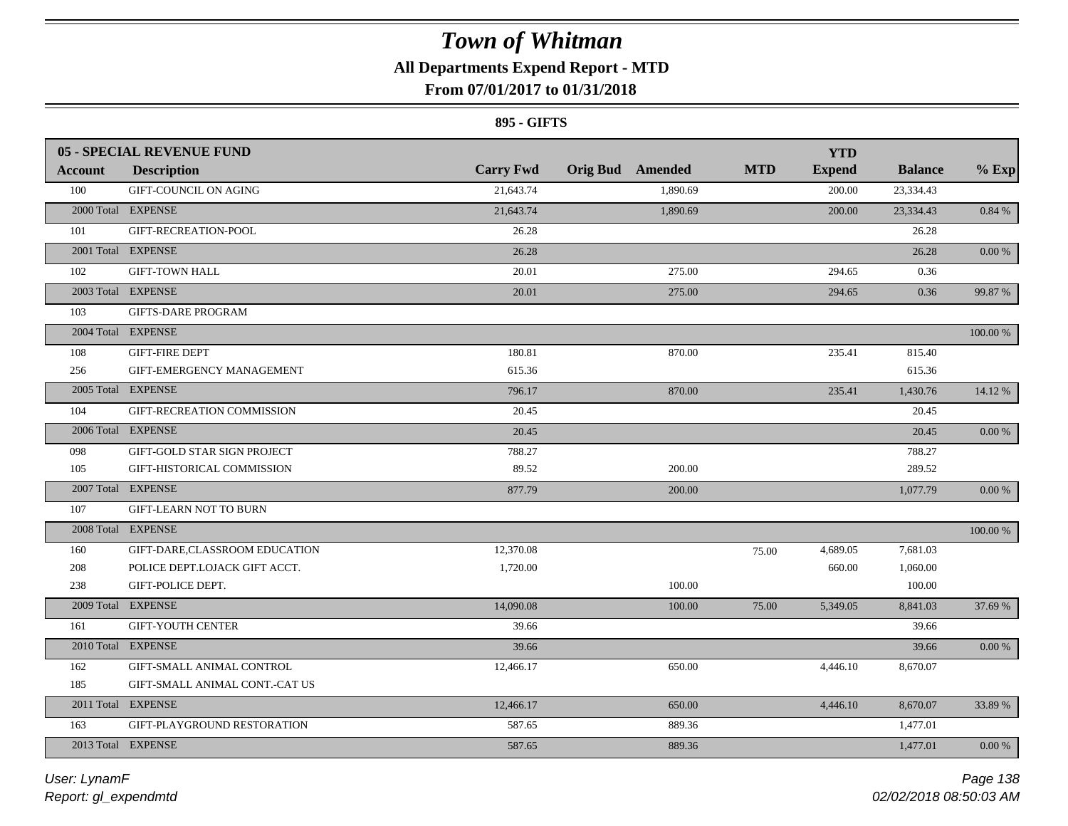# **All Departments Expend Report - MTD**

### **From 07/01/2017 to 01/31/2018**

#### **895 - GIFTS**

|                | <b>05 - SPECIAL REVENUE FUND</b> |                  |                         |            | <b>YTD</b>    |                |            |
|----------------|----------------------------------|------------------|-------------------------|------------|---------------|----------------|------------|
| <b>Account</b> | <b>Description</b>               | <b>Carry Fwd</b> | <b>Orig Bud</b> Amended | <b>MTD</b> | <b>Expend</b> | <b>Balance</b> | $%$ Exp    |
| 100            | GIFT-COUNCIL ON AGING            | 21,643.74        | 1,890.69                |            | 200.00        | 23,334.43      |            |
|                | 2000 Total EXPENSE               | 21,643.74        | 1,890.69                |            | 200.00        | 23,334.43      | $0.84\ \%$ |
| 101            | GIFT-RECREATION-POOL             | 26.28            |                         |            |               | 26.28          |            |
|                | 2001 Total EXPENSE               | 26.28            |                         |            |               | 26.28          | $0.00\ \%$ |
| 102            | <b>GIFT-TOWN HALL</b>            | 20.01            | 275.00                  |            | 294.65        | 0.36           |            |
|                | 2003 Total EXPENSE               | 20.01            | 275.00                  |            | 294.65        | 0.36           | 99.87 %    |
| 103            | <b>GIFTS-DARE PROGRAM</b>        |                  |                         |            |               |                |            |
|                | 2004 Total EXPENSE               |                  |                         |            |               |                | 100.00 %   |
| 108            | <b>GIFT-FIRE DEPT</b>            | 180.81           | 870.00                  |            | 235.41        | 815.40         |            |
| 256            | GIFT-EMERGENCY MANAGEMENT        | 615.36           |                         |            |               | 615.36         |            |
|                | 2005 Total EXPENSE               | 796.17           | 870.00                  |            | 235.41        | 1,430.76       | 14.12 %    |
| 104            | GIFT-RECREATION COMMISSION       | 20.45            |                         |            |               | 20.45          |            |
|                | 2006 Total EXPENSE               | 20.45            |                         |            |               | 20.45          | 0.00 %     |
| 098            | GIFT-GOLD STAR SIGN PROJECT      | 788.27           |                         |            |               | 788.27         |            |
| 105            | GIFT-HISTORICAL COMMISSION       | 89.52            | 200.00                  |            |               | 289.52         |            |
|                | 2007 Total EXPENSE               | 877.79           | 200.00                  |            |               | 1,077.79       | $0.00\%$   |
| 107            | <b>GIFT-LEARN NOT TO BURN</b>    |                  |                         |            |               |                |            |
|                | 2008 Total EXPENSE               |                  |                         |            |               |                | 100.00 %   |
| 160            | GIFT-DARE, CLASSROOM EDUCATION   | 12,370.08        |                         | 75.00      | 4,689.05      | 7,681.03       |            |
| 208            | POLICE DEPT.LOJACK GIFT ACCT.    | 1,720.00         |                         |            | 660.00        | 1,060.00       |            |
| 238            | GIFT-POLICE DEPT.                |                  | 100.00                  |            |               | 100.00         |            |
|                | 2009 Total EXPENSE               | 14,090.08        | 100.00                  | 75.00      | 5,349.05      | 8,841.03       | 37.69 %    |
| 161            | <b>GIFT-YOUTH CENTER</b>         | 39.66            |                         |            |               | 39.66          |            |
|                | 2010 Total EXPENSE               | 39.66            |                         |            |               | 39.66          | $0.00\,\%$ |
| 162            | GIFT-SMALL ANIMAL CONTROL        | 12,466.17        | 650.00                  |            | 4,446.10      | 8,670.07       |            |
| 185            | GIFT-SMALL ANIMAL CONT.-CAT US   |                  |                         |            |               |                |            |
|                | 2011 Total EXPENSE               | 12,466.17        | 650.00                  |            | 4,446.10      | 8,670.07       | 33.89 %    |
| 163            | GIFT-PLAYGROUND RESTORATION      | 587.65           | 889.36                  |            |               | 1,477.01       |            |
|                | 2013 Total EXPENSE               | 587.65           | 889.36                  |            |               | 1,477.01       | 0.00 %     |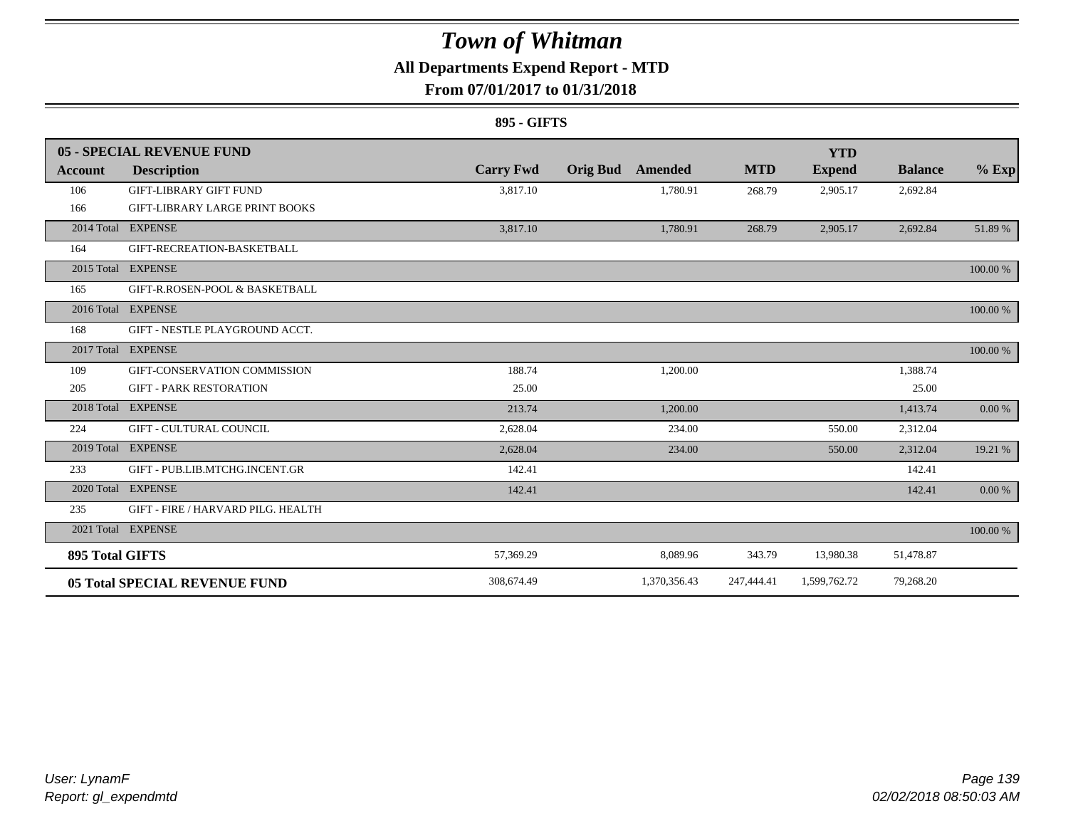### **All Departments Expend Report - MTD**

### **From 07/01/2017 to 01/31/2018**

#### **895 - GIFTS**

|                        | 05 - SPECIAL REVENUE FUND             |                  |                 |              |            | <b>YTD</b>    |                |          |
|------------------------|---------------------------------------|------------------|-----------------|--------------|------------|---------------|----------------|----------|
| Account                | <b>Description</b>                    | <b>Carry Fwd</b> | <b>Orig Bud</b> | Amended      | <b>MTD</b> | <b>Expend</b> | <b>Balance</b> | $%$ Exp  |
| 106                    | <b>GIFT-LIBRARY GIFT FUND</b>         | 3,817.10         |                 | 1,780.91     | 268.79     | 2,905.17      | 2,692.84       |          |
| 166                    | <b>GIFT-LIBRARY LARGE PRINT BOOKS</b> |                  |                 |              |            |               |                |          |
|                        | 2014 Total EXPENSE                    | 3,817.10         |                 | 1,780.91     | 268.79     | 2,905.17      | 2,692.84       | 51.89%   |
| 164                    | GIFT-RECREATION-BASKETBALL            |                  |                 |              |            |               |                |          |
|                        | 2015 Total EXPENSE                    |                  |                 |              |            |               |                | 100.00 % |
| 165                    | GIFT-R.ROSEN-POOL & BASKETBALL        |                  |                 |              |            |               |                |          |
|                        | 2016 Total EXPENSE                    |                  |                 |              |            |               |                | 100.00 % |
| 168                    | GIFT - NESTLE PLAYGROUND ACCT.        |                  |                 |              |            |               |                |          |
| 2017 Total             | <b>EXPENSE</b>                        |                  |                 |              |            |               |                | 100.00 % |
| 109                    | GIFT-CONSERVATION COMMISSION          | 188.74           |                 | 1,200.00     |            |               | 1,388.74       |          |
| 205                    | <b>GIFT - PARK RESTORATION</b>        | 25.00            |                 |              |            |               | 25.00          |          |
| 2018 Total             | <b>EXPENSE</b>                        | 213.74           |                 | 1.200.00     |            |               | 1,413.74       | 0.00 %   |
| 224                    | <b>GIFT - CULTURAL COUNCIL</b>        | 2,628.04         |                 | 234.00       |            | 550.00        | 2,312.04       |          |
|                        | 2019 Total EXPENSE                    | 2,628.04         |                 | 234.00       |            | 550.00        | 2,312.04       | 19.21 %  |
| 233                    | GIFT - PUB.LIB.MTCHG.INCENT.GR        | 142.41           |                 |              |            |               | 142.41         |          |
|                        | 2020 Total EXPENSE                    | 142.41           |                 |              |            |               | 142.41         | 0.00 %   |
| 235                    | GIFT - FIRE / HARVARD PILG. HEALTH    |                  |                 |              |            |               |                |          |
|                        | 2021 Total EXPENSE                    |                  |                 |              |            |               |                | 100.00 % |
| <b>895 Total GIFTS</b> |                                       | 57,369.29        |                 | 8,089.96     | 343.79     | 13,980.38     | 51,478.87      |          |
|                        | <b>05 Total SPECIAL REVENUE FUND</b>  | 308.674.49       |                 | 1,370,356.43 | 247,444.41 | 1,599,762.72  | 79,268.20      |          |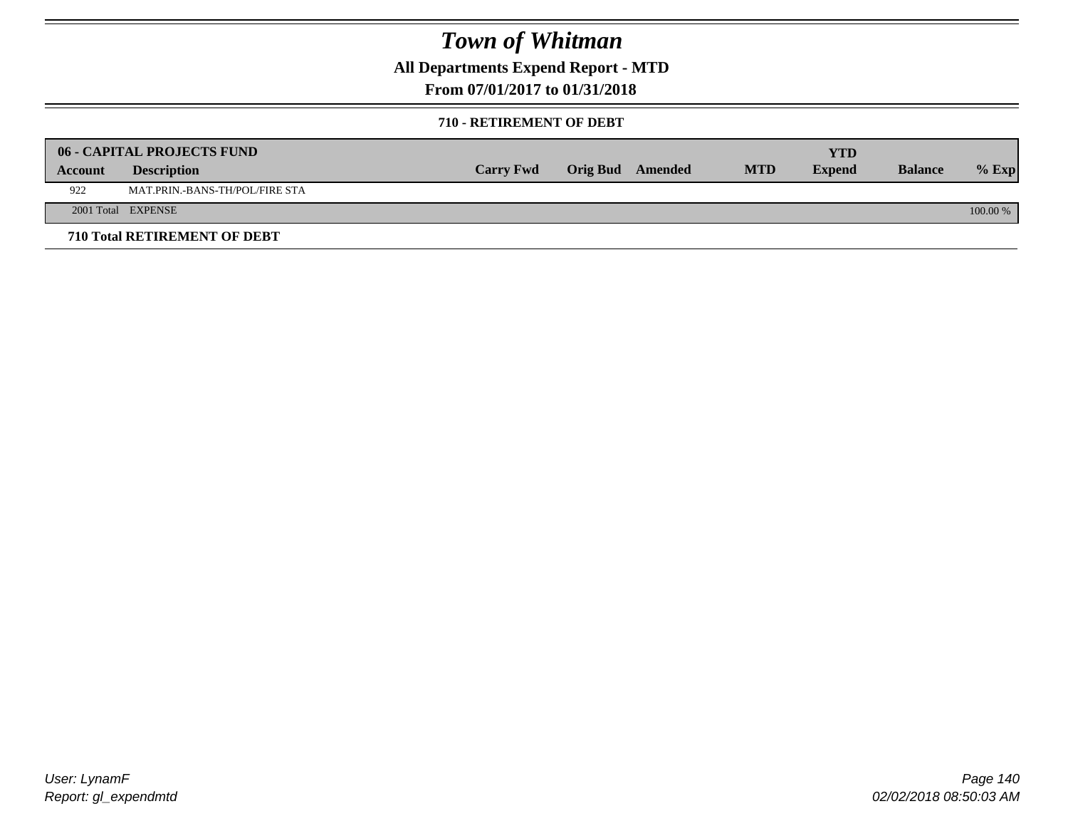**All Departments Expend Report - MTD**

### **From 07/01/2017 to 01/31/2018**

#### **710 - RETIREMENT OF DEBT**

|         | <b>06 - CAPITAL PROJECTS FUND</b>     |                  |                  |            | YTD           |                |            |
|---------|---------------------------------------|------------------|------------------|------------|---------------|----------------|------------|
| Account | <b>Description</b>                    | <b>Carry Fwd</b> | Orig Bud Amended | <b>MTD</b> | <b>Expend</b> | <b>Balance</b> | $%$ Exp    |
| 922     | <b>MAT.PRIN.-BANS-TH/POL/FIRE STA</b> |                  |                  |            |               |                |            |
|         | 2001 Total EXPENSE                    |                  |                  |            |               |                | $100.00\%$ |
|         | 710 Total RETIREMENT OF DEBT          |                  |                  |            |               |                |            |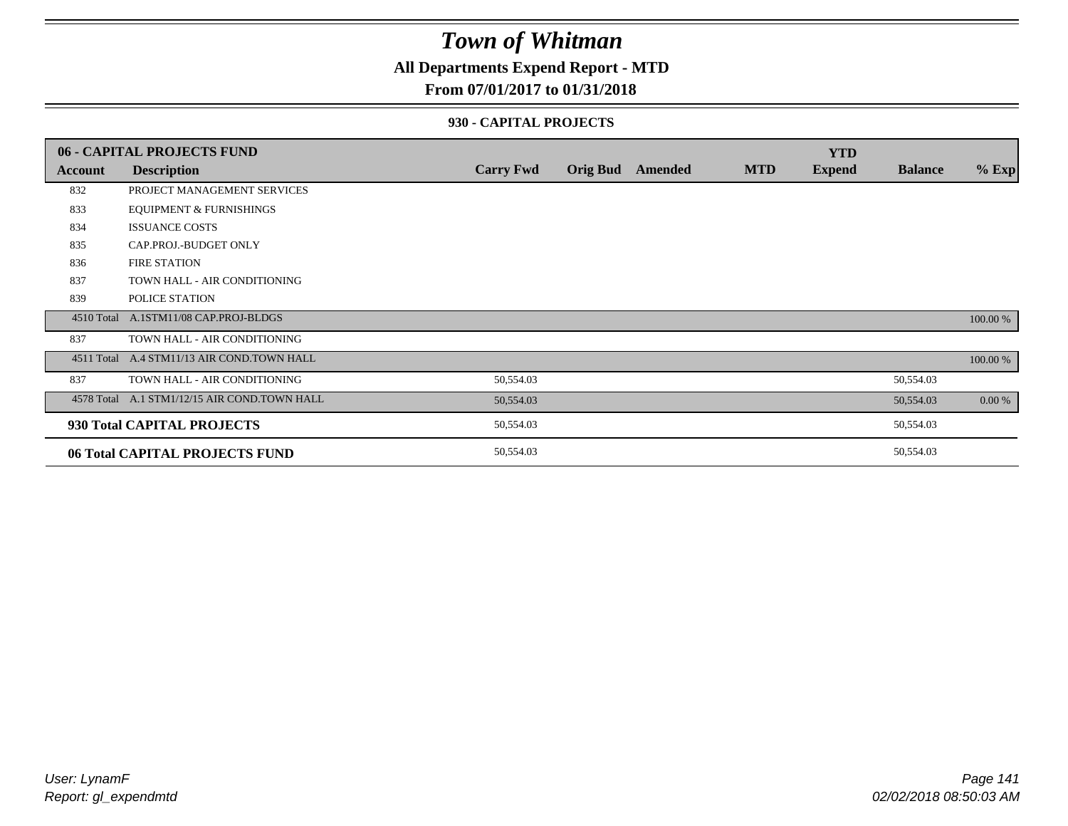### **All Departments Expend Report - MTD**

### **From 07/01/2017 to 01/31/2018**

#### **930 - CAPITAL PROJECTS**

|            | 06 - CAPITAL PROJECTS FUND                   |                  |                 |         |            | <b>YTD</b>    |                |          |
|------------|----------------------------------------------|------------------|-----------------|---------|------------|---------------|----------------|----------|
| Account    | <b>Description</b>                           | <b>Carry Fwd</b> | <b>Orig Bud</b> | Amended | <b>MTD</b> | <b>Expend</b> | <b>Balance</b> | $%$ Exp  |
| 832        | PROJECT MANAGEMENT SERVICES                  |                  |                 |         |            |               |                |          |
| 833        | <b>EQUIPMENT &amp; FURNISHINGS</b>           |                  |                 |         |            |               |                |          |
| 834        | <b>ISSUANCE COSTS</b>                        |                  |                 |         |            |               |                |          |
| 835        | CAP.PROJ.-BUDGET ONLY                        |                  |                 |         |            |               |                |          |
| 836        | <b>FIRE STATION</b>                          |                  |                 |         |            |               |                |          |
| 837        | TOWN HALL - AIR CONDITIONING                 |                  |                 |         |            |               |                |          |
| 839        | POLICE STATION                               |                  |                 |         |            |               |                |          |
|            | 4510 Total A.1STM11/08 CAP.PROJ-BLDGS        |                  |                 |         |            |               |                | 100.00 % |
| 837        | TOWN HALL - AIR CONDITIONING                 |                  |                 |         |            |               |                |          |
| 4511 Total | A.4 STM11/13 AIR COND.TOWN HALL              |                  |                 |         |            |               |                | 100.00 % |
| 837        | TOWN HALL - AIR CONDITIONING                 | 50,554.03        |                 |         |            |               | 50,554.03      |          |
|            | 4578 Total A.1 STM1/12/15 AIR COND.TOWN HALL | 50,554.03        |                 |         |            |               | 50,554.03      | 0.00 %   |
|            | 930 Total CAPITAL PROJECTS                   | 50,554.03        |                 |         |            |               | 50,554.03      |          |
|            | 06 Total CAPITAL PROJECTS FUND               | 50,554.03        |                 |         |            |               | 50,554.03      |          |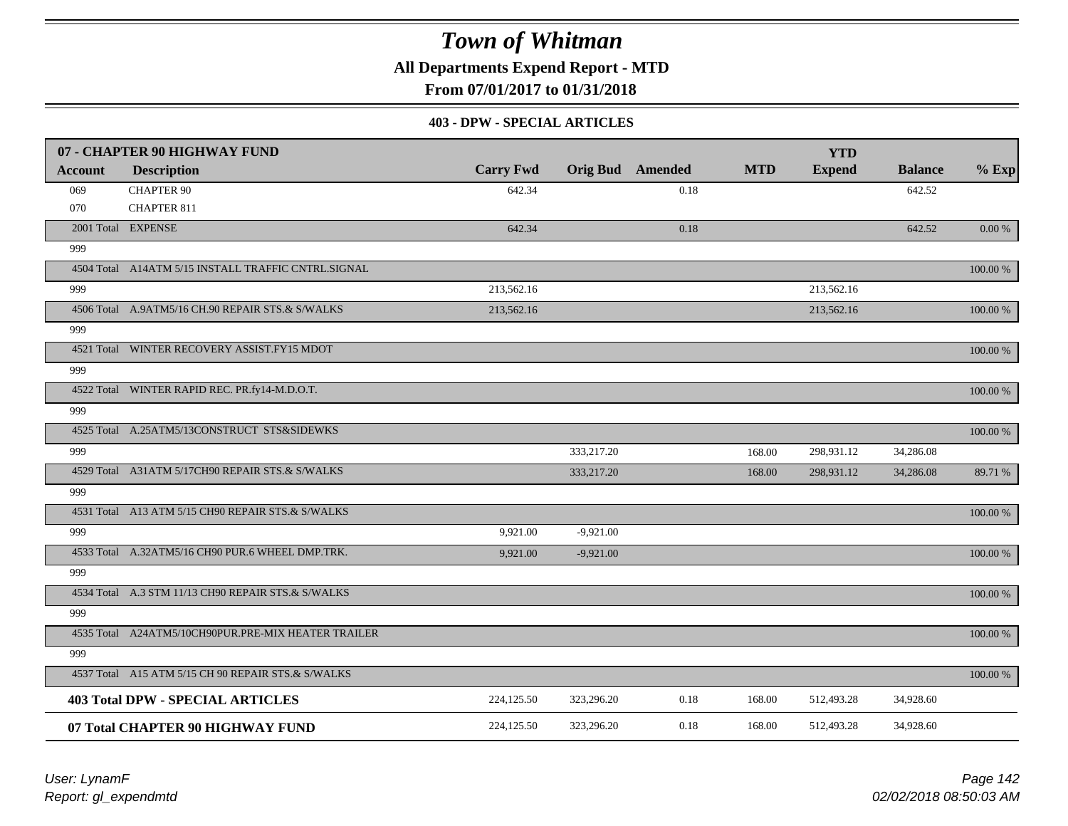**All Departments Expend Report - MTD**

**From 07/01/2017 to 01/31/2018**

#### **403 - DPW - SPECIAL ARTICLES**

|                | 07 - CHAPTER 90 HIGHWAY FUND                        |                  |             |                         |            | <b>YTD</b>    |                |           |
|----------------|-----------------------------------------------------|------------------|-------------|-------------------------|------------|---------------|----------------|-----------|
| <b>Account</b> | <b>Description</b>                                  | <b>Carry Fwd</b> |             | <b>Orig Bud</b> Amended | <b>MTD</b> | <b>Expend</b> | <b>Balance</b> | $%$ Exp   |
| 069            | <b>CHAPTER 90</b>                                   | 642.34           |             | 0.18                    |            |               | 642.52         |           |
| 070            | <b>CHAPTER 811</b>                                  |                  |             |                         |            |               |                |           |
|                | 2001 Total EXPENSE                                  | 642.34           |             | 0.18                    |            |               | 642.52         | $0.00~\%$ |
| 999            |                                                     |                  |             |                         |            |               |                |           |
|                | 4504 Total A14ATM 5/15 INSTALL TRAFFIC CNTRL.SIGNAL |                  |             |                         |            |               |                | 100.00 %  |
| 999            |                                                     | 213,562.16       |             |                         |            | 213,562.16    |                |           |
|                | 4506 Total A.9ATM5/16 CH.90 REPAIR STS.& S/WALKS    | 213,562.16       |             |                         |            | 213,562.16    |                | 100.00 %  |
| 999            |                                                     |                  |             |                         |            |               |                |           |
|                | 4521 Total WINTER RECOVERY ASSIST.FY15 MDOT         |                  |             |                         |            |               |                | 100.00 %  |
| 999            |                                                     |                  |             |                         |            |               |                |           |
|                | 4522 Total WINTER RAPID REC. PR.fy14-M.D.O.T.       |                  |             |                         |            |               |                | 100.00 %  |
| 999            |                                                     |                  |             |                         |            |               |                |           |
|                | 4525 Total A.25ATM5/13CONSTRUCT STS&SIDEWKS         |                  |             |                         |            |               |                | 100.00 %  |
| 999            |                                                     |                  | 333,217.20  |                         | 168.00     | 298,931.12    | 34,286.08      |           |
|                | 4529 Total A31ATM 5/17CH90 REPAIR STS.& S/WALKS     |                  | 333,217.20  |                         | 168.00     | 298,931.12    | 34,286.08      | 89.71 %   |
| 999            |                                                     |                  |             |                         |            |               |                |           |
|                | 4531 Total A13 ATM 5/15 CH90 REPAIR STS.& S/WALKS   |                  |             |                         |            |               |                | 100.00 %  |
| 999            |                                                     | 9,921.00         | $-9,921.00$ |                         |            |               |                |           |
|                | 4533 Total A.32ATM5/16 CH90 PUR.6 WHEEL DMP.TRK.    | 9.921.00         | $-9,921.00$ |                         |            |               |                | 100.00 %  |
| 999            |                                                     |                  |             |                         |            |               |                |           |
|                | 4534 Total A.3 STM 11/13 CH90 REPAIR STS.& S/WALKS  |                  |             |                         |            |               |                | 100.00 %  |
| 999            |                                                     |                  |             |                         |            |               |                |           |
|                | 4535 Total A24ATM5/10CH90PUR.PRE-MIX HEATER TRAILER |                  |             |                         |            |               |                | 100.00 %  |
| 999            |                                                     |                  |             |                         |            |               |                |           |
|                | 4537 Total A15 ATM 5/15 CH 90 REPAIR STS.& S/WALKS  |                  |             |                         |            |               |                | 100.00 %  |
|                | <b>403 Total DPW - SPECIAL ARTICLES</b>             | 224,125.50       | 323,296.20  | 0.18                    | 168.00     | 512,493.28    | 34,928.60      |           |
|                | 07 Total CHAPTER 90 HIGHWAY FUND                    | 224,125.50       | 323,296.20  | 0.18                    | 168.00     | 512,493.28    | 34,928.60      |           |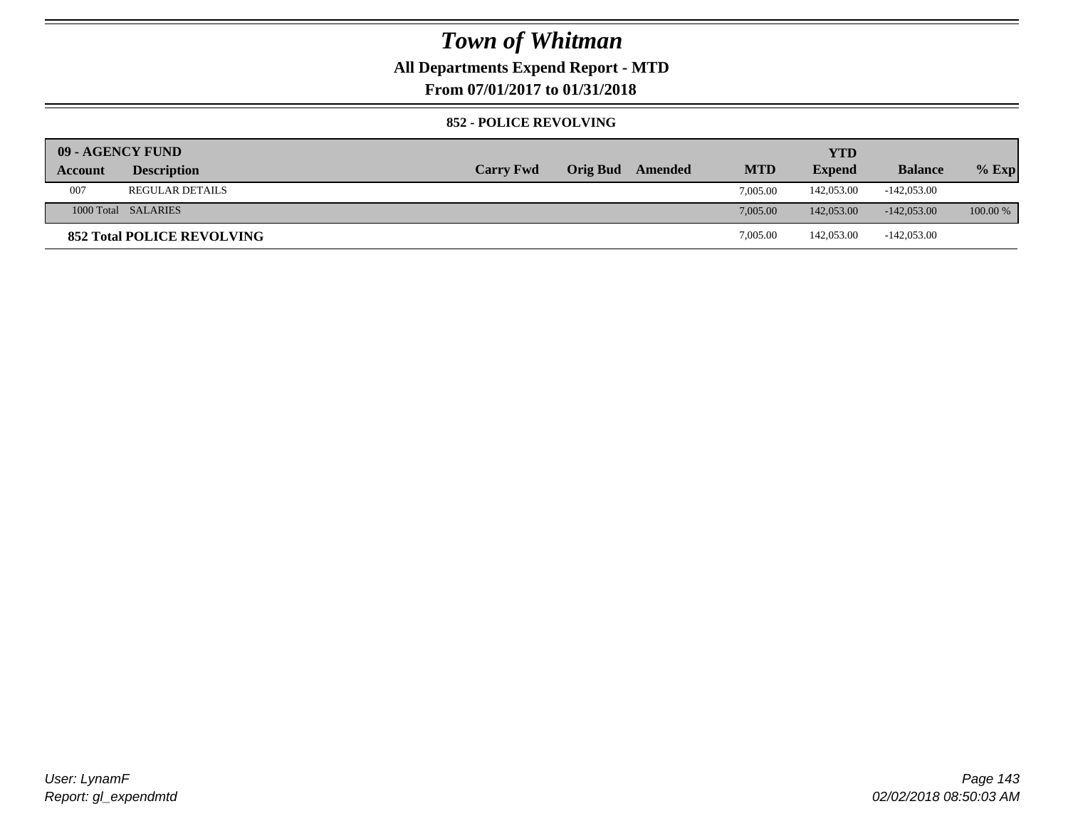### **All Departments Expend Report - MTD**

**From 07/01/2017 to 01/31/2018**

#### **852 - POLICE REVOLVING**

| 09 - AGENCY FUND |                                   |                  |                 |         |            | <b>YTD</b>    |                |          |
|------------------|-----------------------------------|------------------|-----------------|---------|------------|---------------|----------------|----------|
| Account          | <b>Description</b>                | <b>Carry Fwd</b> | <b>Orig Bud</b> | Amended | <b>MTD</b> | <b>Expend</b> | <b>Balance</b> | $%$ Exp  |
| 007              | <b>REGULAR DETAILS</b>            |                  |                 |         | 7.005.00   | 142,053.00    | $-142,053.00$  |          |
|                  | 1000 Total SALARIES               |                  |                 |         | 7,005.00   | 142,053,00    | $-142.053.00$  | 100.00 % |
|                  | <b>852 Total POLICE REVOLVING</b> |                  |                 |         | 7,005.00   | 142,053.00    | $-142,053.00$  |          |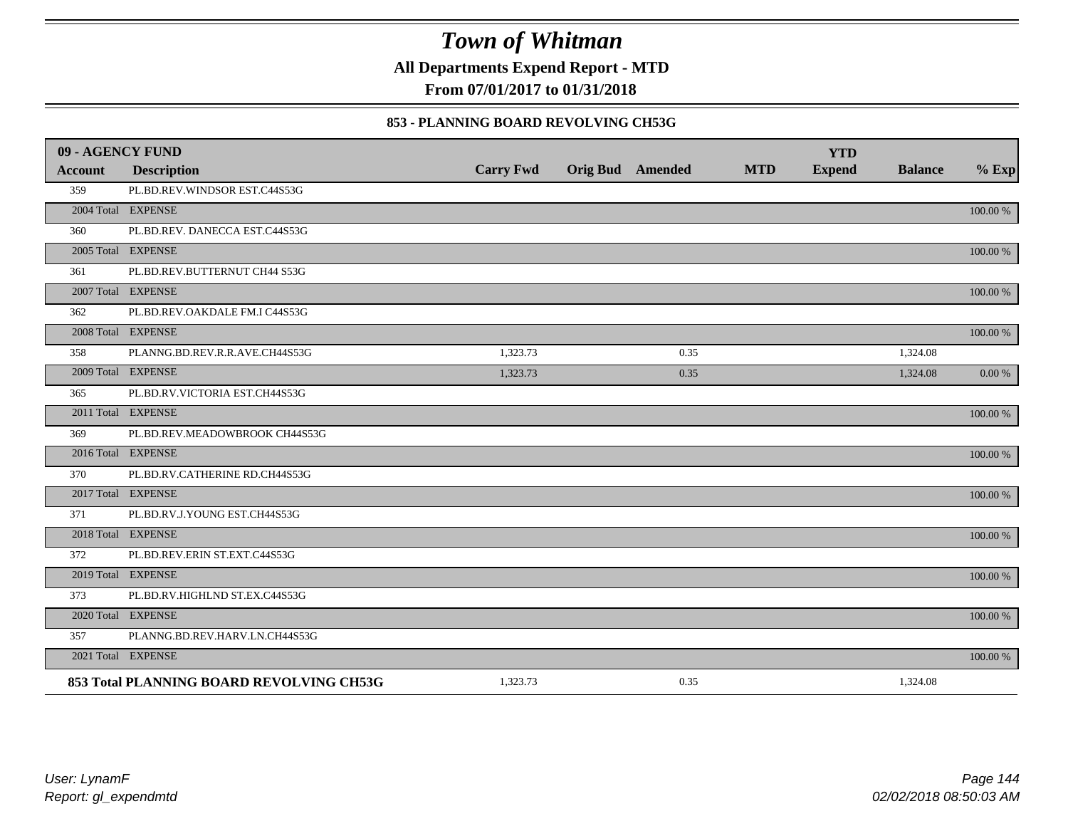**All Departments Expend Report - MTD**

**From 07/01/2017 to 01/31/2018**

#### **853 - PLANNING BOARD REVOLVING CH53G**

| 09 - AGENCY FUND |                                          |                  |                         |            | <b>YTD</b>    |                |             |
|------------------|------------------------------------------|------------------|-------------------------|------------|---------------|----------------|-------------|
| <b>Account</b>   | <b>Description</b>                       | <b>Carry Fwd</b> | <b>Orig Bud</b> Amended | <b>MTD</b> | <b>Expend</b> | <b>Balance</b> | $%$ Exp     |
| 359              | PL.BD.REV.WINDSOR EST.C44S53G            |                  |                         |            |               |                |             |
|                  | 2004 Total EXPENSE                       |                  |                         |            |               |                | 100.00 %    |
| 360              | PL.BD.REV. DANECCA EST.C44S53G           |                  |                         |            |               |                |             |
|                  | 2005 Total EXPENSE                       |                  |                         |            |               |                | 100.00 %    |
| 361              | PL.BD.REV.BUTTERNUT CH44 S53G            |                  |                         |            |               |                |             |
|                  | 2007 Total EXPENSE                       |                  |                         |            |               |                | $100.00~\%$ |
| 362              | PL.BD.REV.OAKDALE FM.I C44S53G           |                  |                         |            |               |                |             |
|                  | 2008 Total EXPENSE                       |                  |                         |            |               |                | 100.00 %    |
| 358              | PLANNG.BD.REV.R.R.AVE.CH44S53G           | 1,323.73         | 0.35                    |            |               | 1,324.08       |             |
|                  | 2009 Total EXPENSE                       | 1,323.73         | 0.35                    |            |               | 1,324.08       | 0.00 %      |
| 365              | PL.BD.RV.VICTORIA EST.CH44S53G           |                  |                         |            |               |                |             |
|                  | 2011 Total EXPENSE                       |                  |                         |            |               |                | $100.00~\%$ |
| 369              | PL.BD.REV.MEADOWBROOK CH44S53G           |                  |                         |            |               |                |             |
|                  | 2016 Total EXPENSE                       |                  |                         |            |               |                | 100.00 %    |
| 370              | PL.BD.RV.CATHERINE RD.CH44S53G           |                  |                         |            |               |                |             |
|                  | 2017 Total EXPENSE                       |                  |                         |            |               |                | 100.00 %    |
| 371              | PL.BD.RV.J.YOUNG EST.CH44S53G            |                  |                         |            |               |                |             |
|                  | 2018 Total EXPENSE                       |                  |                         |            |               |                | 100.00 %    |
| 372              | PL.BD.REV.ERIN ST.EXT.C44S53G            |                  |                         |            |               |                |             |
|                  | 2019 Total EXPENSE                       |                  |                         |            |               |                | 100.00 %    |
| 373              | PL.BD.RV.HIGHLND ST.EX.C44S53G           |                  |                         |            |               |                |             |
|                  | 2020 Total EXPENSE                       |                  |                         |            |               |                | 100.00 %    |
| 357              | PLANNG.BD.REV.HARV.LN.CH44S53G           |                  |                         |            |               |                |             |
|                  | 2021 Total EXPENSE                       |                  |                         |            |               |                | 100.00 %    |
|                  | 853 Total PLANNING BOARD REVOLVING CH53G | 1,323.73         | 0.35                    |            |               | 1,324.08       |             |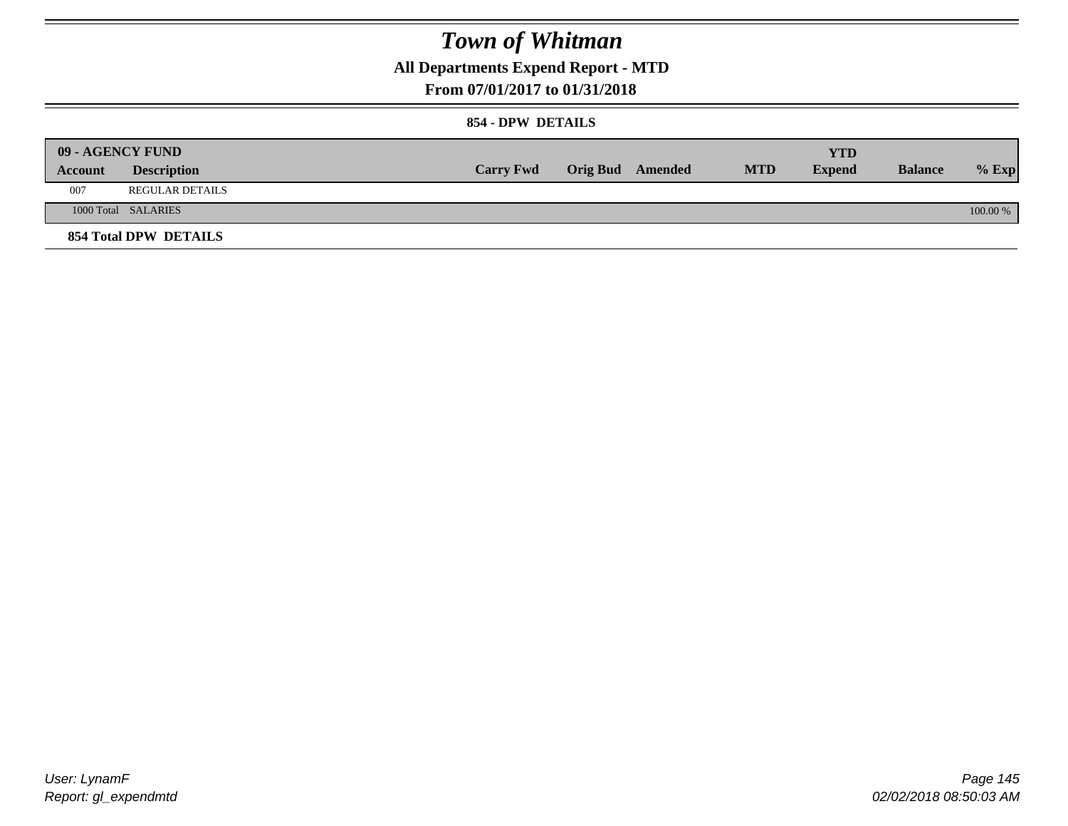**All Departments Expend Report - MTD**

### **From 07/01/2017 to 01/31/2018**

#### **854 - DPW DETAILS**

|         | 09 - AGENCY FUND             |                  |                         |            | <b>YTD</b>    |                |          |
|---------|------------------------------|------------------|-------------------------|------------|---------------|----------------|----------|
| Account | <b>Description</b>           | <b>Carry Fwd</b> | <b>Orig Bud</b> Amended | <b>MTD</b> | <b>Expend</b> | <b>Balance</b> | $%$ Exp  |
| 007     | <b>REGULAR DETAILS</b>       |                  |                         |            |               |                |          |
|         | 1000 Total SALARIES          |                  |                         |            |               |                | 100.00 % |
|         | <b>854 Total DPW DETAILS</b> |                  |                         |            |               |                |          |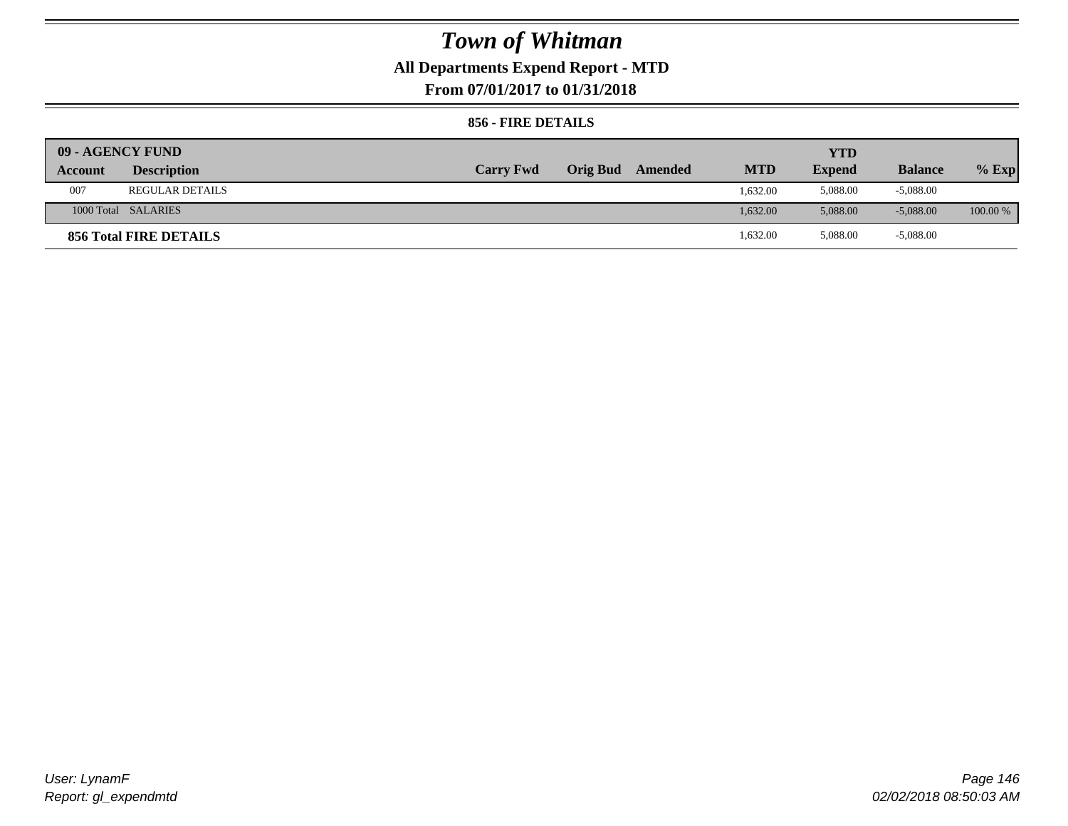## **All Departments Expend Report - MTD**

**From 07/01/2017 to 01/31/2018**

### **856 - FIRE DETAILS**

|         | 09 - AGENCY FUND       |                  |                 |         |            | YTD           |                |            |
|---------|------------------------|------------------|-----------------|---------|------------|---------------|----------------|------------|
| Account | <b>Description</b>     | <b>Carry Fwd</b> | <b>Orig Bud</b> | Amended | <b>MTD</b> | <b>Expend</b> | <b>Balance</b> | $%$ Exp    |
| 007     | <b>REGULAR DETAILS</b> |                  |                 |         | 1.632.00   | 5,088.00      | $-5,088.00$    |            |
|         | 1000 Total SALARIES    |                  |                 |         | 1.632.00   | 5,088,00      | $-5.088.00$    | $100.00\%$ |
|         | 856 Total FIRE DETAILS |                  |                 |         | 1,632.00   | 5,088.00      | $-5,088.00$    |            |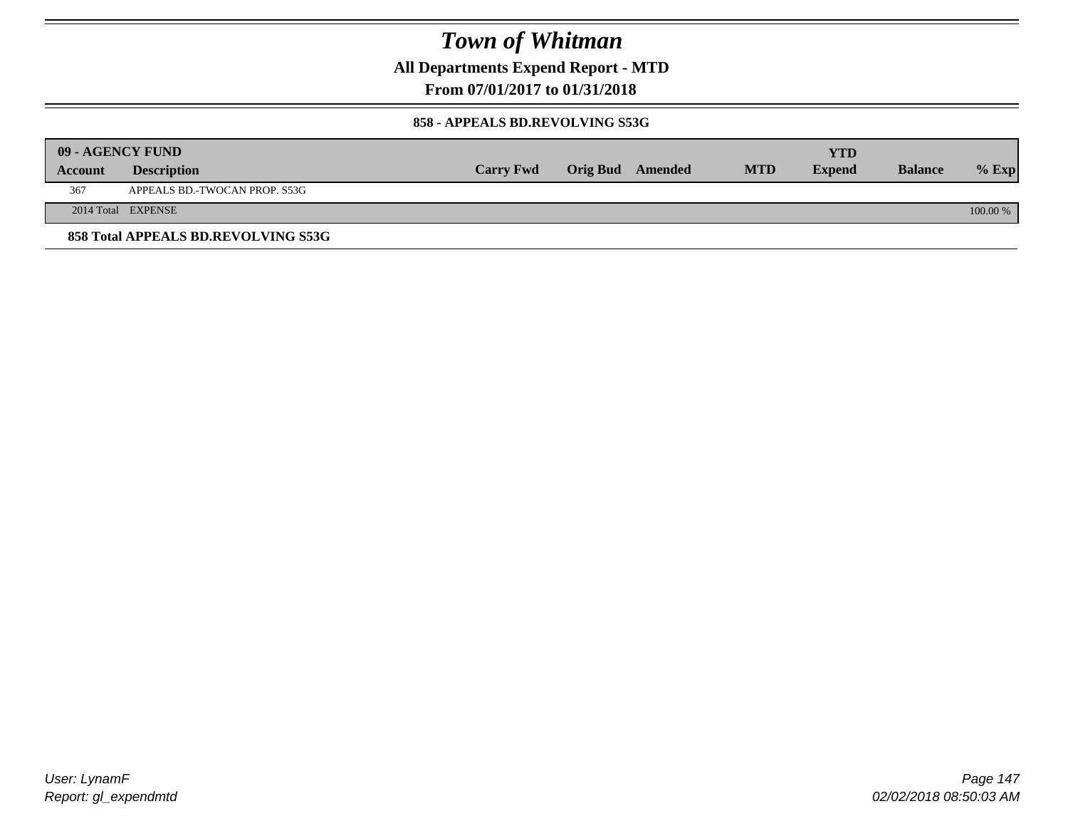**All Departments Expend Report - MTD**

### **From 07/01/2017 to 01/31/2018**

#### **858 - APPEALS BD.REVOLVING S53G**

| 09 - AGENCY FUND |                                     |                  |                  |            | <b>YTD</b>    |                |            |
|------------------|-------------------------------------|------------------|------------------|------------|---------------|----------------|------------|
| <b>Account</b>   | <b>Description</b>                  | <b>Carry Fwd</b> | Orig Bud Amended | <b>MTD</b> | <b>Expend</b> | <b>Balance</b> | $\%$ Exp   |
| 367              | APPEALS BD.-TWOCAN PROP. S53G       |                  |                  |            |               |                |            |
|                  | 2014 Total EXPENSE                  |                  |                  |            |               |                | $100.00\%$ |
|                  | 858 Total APPEALS BD.REVOLVING S53G |                  |                  |            |               |                |            |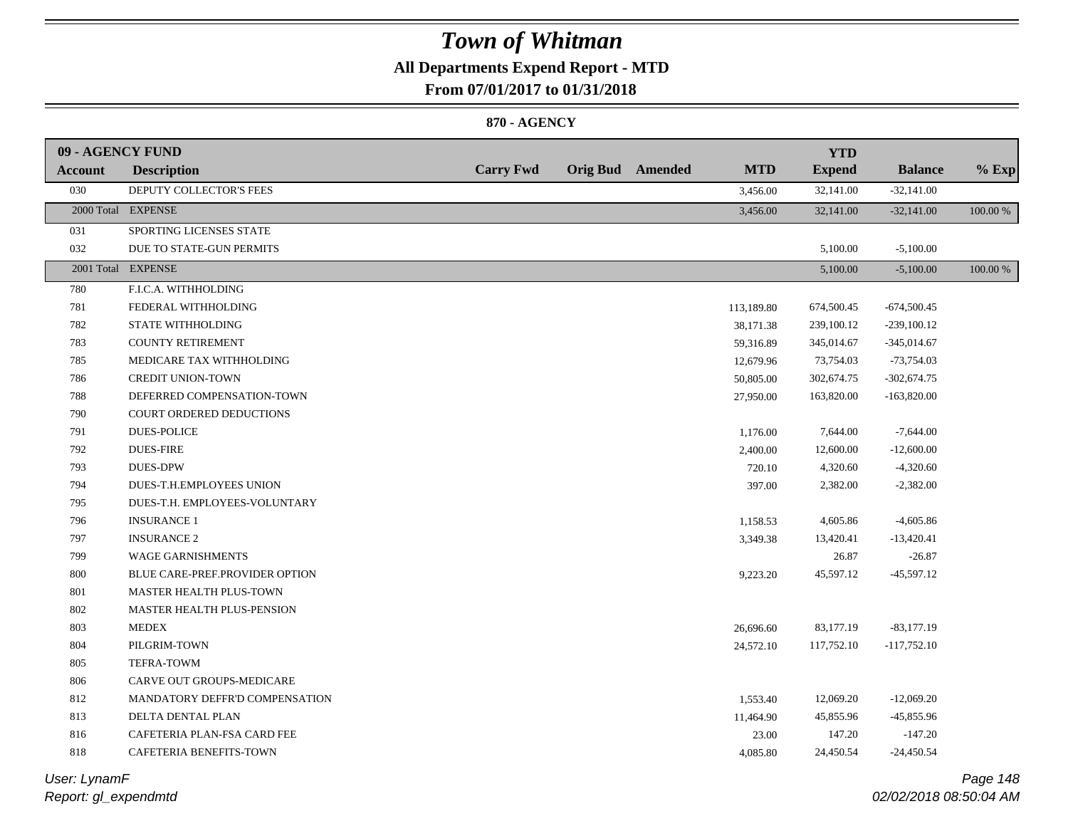## **All Departments Expend Report - MTD**

**From 07/01/2017 to 01/31/2018**

#### **870 - AGENCY**

| 09 - AGENCY FUND |                                |                  |                         |            | <b>YTD</b>    |                |          |
|------------------|--------------------------------|------------------|-------------------------|------------|---------------|----------------|----------|
| Account          | <b>Description</b>             | <b>Carry Fwd</b> | <b>Orig Bud</b> Amended | <b>MTD</b> | <b>Expend</b> | <b>Balance</b> | $%$ Exp  |
| 030              | DEPUTY COLLECTOR'S FEES        |                  |                         | 3,456.00   | 32,141.00     | $-32,141.00$   |          |
|                  | 2000 Total EXPENSE             |                  |                         | 3,456.00   | 32,141.00     | $-32,141.00$   | 100.00 % |
| 031              | SPORTING LICENSES STATE        |                  |                         |            |               |                |          |
| 032              | DUE TO STATE-GUN PERMITS       |                  |                         |            | 5,100.00      | $-5,100.00$    |          |
|                  | 2001 Total EXPENSE             |                  |                         |            | 5,100.00      | $-5,100.00$    | 100.00 % |
| 780              | F.I.C.A. WITHHOLDING           |                  |                         |            |               |                |          |
| 781              | FEDERAL WITHHOLDING            |                  |                         | 113,189.80 | 674,500.45    | $-674,500.45$  |          |
| 782              | <b>STATE WITHHOLDING</b>       |                  |                         | 38,171.38  | 239,100.12    | $-239,100.12$  |          |
| 783              | <b>COUNTY RETIREMENT</b>       |                  |                         | 59,316.89  | 345,014.67    | $-345,014.67$  |          |
| 785              | MEDICARE TAX WITHHOLDING       |                  |                         | 12,679.96  | 73,754.03     | $-73,754.03$   |          |
| 786              | <b>CREDIT UNION-TOWN</b>       |                  |                         | 50,805.00  | 302,674.75    | $-302,674.75$  |          |
| 788              | DEFERRED COMPENSATION-TOWN     |                  |                         | 27,950.00  | 163,820.00    | $-163,820.00$  |          |
| 790              | COURT ORDERED DEDUCTIONS       |                  |                         |            |               |                |          |
| 791              | <b>DUES-POLICE</b>             |                  |                         | 1,176.00   | 7,644.00      | $-7,644.00$    |          |
| 792              | <b>DUES-FIRE</b>               |                  |                         | 2,400.00   | 12,600.00     | $-12,600.00$   |          |
| 793              | <b>DUES-DPW</b>                |                  |                         | 720.10     | 4,320.60      | $-4,320.60$    |          |
| 794              | DUES-T.H.EMPLOYEES UNION       |                  |                         | 397.00     | 2,382.00      | $-2,382.00$    |          |
| 795              | DUES-T.H. EMPLOYEES-VOLUNTARY  |                  |                         |            |               |                |          |
| 796              | <b>INSURANCE 1</b>             |                  |                         | 1,158.53   | 4,605.86      | $-4,605.86$    |          |
| 797              | <b>INSURANCE 2</b>             |                  |                         | 3,349.38   | 13,420.41     | $-13,420.41$   |          |
| 799              | <b>WAGE GARNISHMENTS</b>       |                  |                         |            | 26.87         | $-26.87$       |          |
| 800              | BLUE CARE-PREF.PROVIDER OPTION |                  |                         | 9,223.20   | 45,597.12     | $-45,597.12$   |          |
| 801              | <b>MASTER HEALTH PLUS-TOWN</b> |                  |                         |            |               |                |          |
| 802              | MASTER HEALTH PLUS-PENSION     |                  |                         |            |               |                |          |
| 803              | <b>MEDEX</b>                   |                  |                         | 26,696.60  | 83,177.19     | $-83,177.19$   |          |
| 804              | PILGRIM-TOWN                   |                  |                         | 24,572.10  | 117,752.10    | $-117,752.10$  |          |
| 805              | <b>TEFRA-TOWM</b>              |                  |                         |            |               |                |          |
| 806              | CARVE OUT GROUPS-MEDICARE      |                  |                         |            |               |                |          |
| 812              | MANDATORY DEFFR'D COMPENSATION |                  |                         | 1,553.40   | 12,069.20     | $-12,069.20$   |          |
| 813              | DELTA DENTAL PLAN              |                  |                         | 11,464.90  | 45,855.96     | $-45,855.96$   |          |
| 816              | CAFETERIA PLAN-FSA CARD FEE    |                  |                         | 23.00      | 147.20        | $-147.20$      |          |
| 818              | CAFETERIA BENEFITS-TOWN        |                  |                         | 4,085.80   | 24,450.54     | $-24,450.54$   |          |
|                  |                                |                  |                         |            |               |                |          |

*Report: gl\_expendmtd User: LynamF*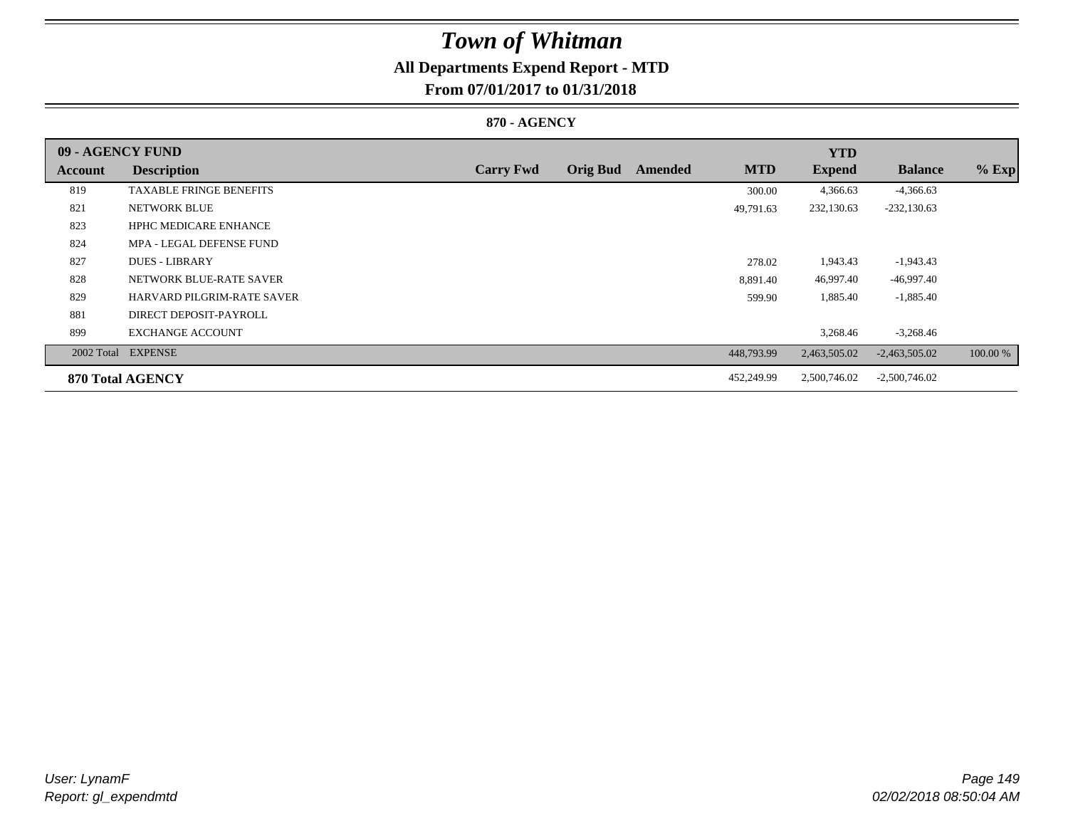## **All Departments Expend Report - MTD**

## **From 07/01/2017 to 01/31/2018**

### **870 - AGENCY**

| 09 - AGENCY FUND |                                   |                  |                 |         |            | <b>YTD</b>    |                 |          |
|------------------|-----------------------------------|------------------|-----------------|---------|------------|---------------|-----------------|----------|
| Account          | <b>Description</b>                | <b>Carry Fwd</b> | <b>Orig Bud</b> | Amended | <b>MTD</b> | <b>Expend</b> | <b>Balance</b>  | $%$ Exp  |
| 819              | <b>TAXABLE FRINGE BENEFITS</b>    |                  |                 |         | 300.00     | 4,366.63      | $-4,366.63$     |          |
| 821              | NETWORK BLUE                      |                  |                 |         | 49,791.63  | 232,130.63    | $-232,130.63$   |          |
| 823              | <b>HPHC MEDICARE ENHANCE</b>      |                  |                 |         |            |               |                 |          |
| 824              | MPA - LEGAL DEFENSE FUND          |                  |                 |         |            |               |                 |          |
| 827              | <b>DUES - LIBRARY</b>             |                  |                 |         | 278.02     | 1,943.43      | $-1,943.43$     |          |
| 828              | NETWORK BLUE-RATE SAVER           |                  |                 |         | 8,891.40   | 46,997.40     | -46,997.40      |          |
| 829              | <b>HARVARD PILGRIM-RATE SAVER</b> |                  |                 |         | 599.90     | 1,885.40      | $-1,885.40$     |          |
| 881              | DIRECT DEPOSIT-PAYROLL            |                  |                 |         |            |               |                 |          |
| 899              | <b>EXCHANGE ACCOUNT</b>           |                  |                 |         |            | 3,268.46      | $-3,268.46$     |          |
|                  | 2002 Total EXPENSE                |                  |                 |         | 448,793.99 | 2,463,505.02  | $-2,463,505.02$ | 100.00 % |
|                  | 870 Total AGENCY                  |                  |                 |         | 452,249.99 | 2,500,746.02  | $-2,500,746.02$ |          |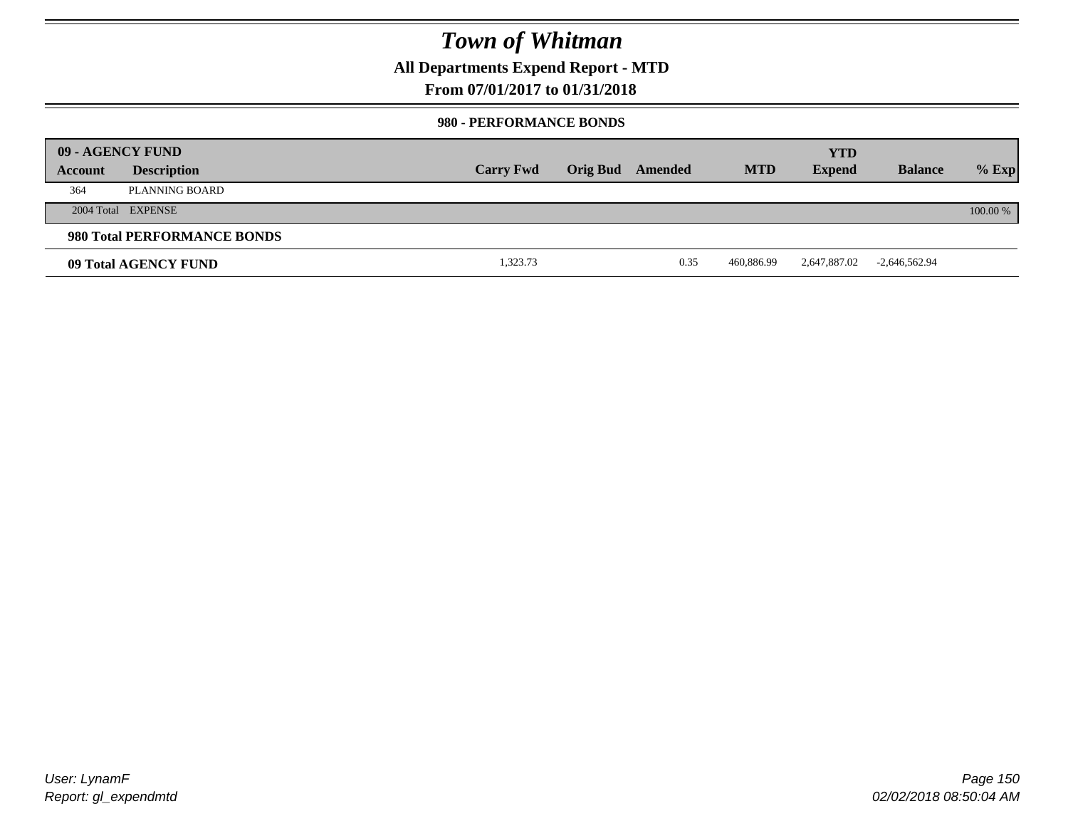**All Departments Expend Report - MTD**

### **From 07/01/2017 to 01/31/2018**

#### **980 - PERFORMANCE BONDS**

|         | 09 - AGENCY FUND            |                  |                 |         |            | <b>YTD</b>    |                 |          |
|---------|-----------------------------|------------------|-----------------|---------|------------|---------------|-----------------|----------|
| Account | <b>Description</b>          | <b>Carry Fwd</b> | <b>Orig Bud</b> | Amended | <b>MTD</b> | <b>Expend</b> | <b>Balance</b>  | $%$ Exp  |
| 364     | PLANNING BOARD              |                  |                 |         |            |               |                 |          |
|         | 2004 Total EXPENSE          |                  |                 |         |            |               |                 | 100.00 % |
|         | 980 Total PERFORMANCE BONDS |                  |                 |         |            |               |                 |          |
|         | 09 Total AGENCY FUND        | 1,323.73         |                 | 0.35    | 460,886.99 | 2,647,887.02  | $-2,646,562.94$ |          |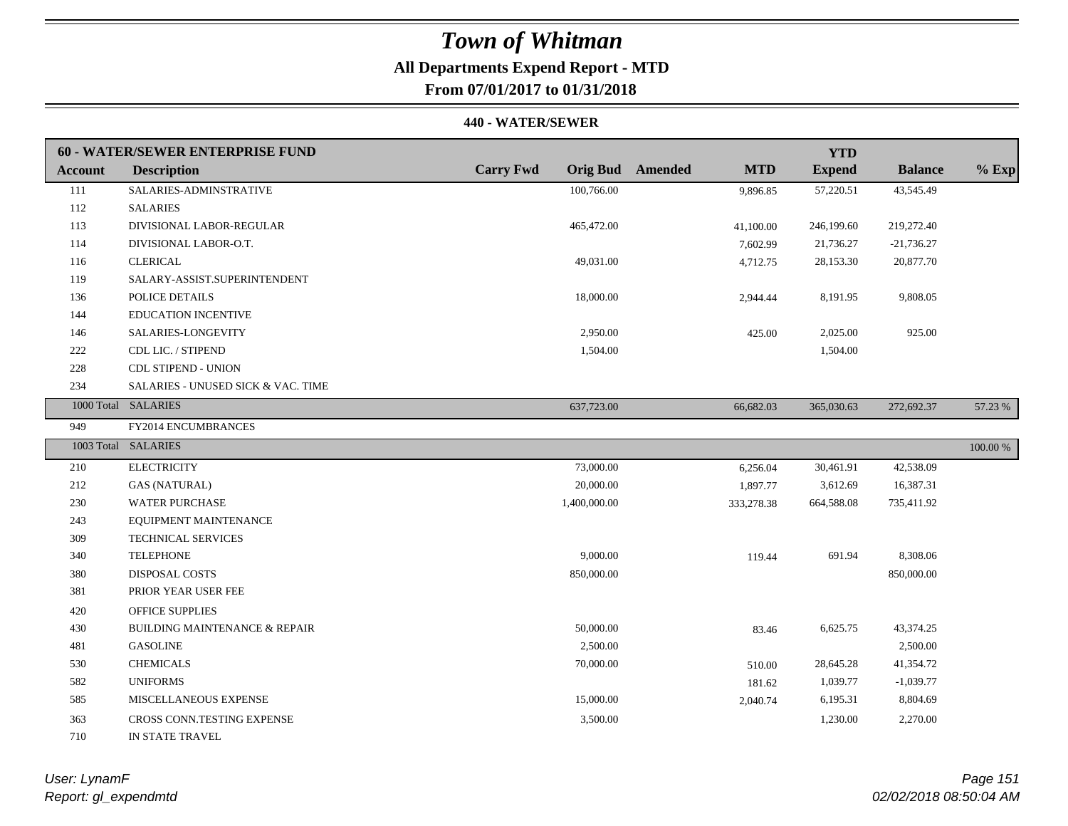# **All Departments Expend Report - MTD**

## **From 07/01/2017 to 01/31/2018**

#### **440 - WATER/SEWER**

|                | <b>60 - WATER/SEWER ENTERPRISE FUND</b>  |                  |                                       | <b>YTD</b>    |                |             |
|----------------|------------------------------------------|------------------|---------------------------------------|---------------|----------------|-------------|
| <b>Account</b> | <b>Description</b>                       | <b>Carry Fwd</b> | <b>Orig Bud</b> Amended<br><b>MTD</b> | <b>Expend</b> | <b>Balance</b> | $%$ Exp     |
| 111            | SALARIES-ADMINSTRATIVE                   | 100,766.00       | 9,896.85                              | 57,220.51     | 43,545.49      |             |
| 112            | <b>SALARIES</b>                          |                  |                                       |               |                |             |
| 113            | DIVISIONAL LABOR-REGULAR                 | 465,472.00       | 41,100.00                             | 246,199.60    | 219,272.40     |             |
| 114            | DIVISIONAL LABOR-O.T.                    |                  | 7,602.99                              | 21,736.27     | $-21,736.27$   |             |
| 116            | <b>CLERICAL</b>                          | 49,031.00        | 4,712.75                              | 28,153.30     | 20,877.70      |             |
| 119            | SALARY-ASSIST.SUPERINTENDENT             |                  |                                       |               |                |             |
| 136            | POLICE DETAILS                           | 18,000.00        | 2,944.44                              | 8,191.95      | 9,808.05       |             |
| 144            | <b>EDUCATION INCENTIVE</b>               |                  |                                       |               |                |             |
| 146            | SALARIES-LONGEVITY                       | 2,950.00         | 425.00                                | 2,025.00      | 925.00         |             |
| 222            | CDL LIC. / STIPEND                       | 1,504.00         |                                       | 1,504.00      |                |             |
| 228            | <b>CDL STIPEND - UNION</b>               |                  |                                       |               |                |             |
| 234            | SALARIES - UNUSED SICK & VAC. TIME       |                  |                                       |               |                |             |
|                | 1000 Total SALARIES                      | 637,723.00       | 66,682.03                             | 365,030.63    | 272,692.37     | 57.23 %     |
| 949            | FY2014 ENCUMBRANCES                      |                  |                                       |               |                |             |
|                | 1003 Total SALARIES                      |                  |                                       |               |                | $100.00~\%$ |
| 210            | <b>ELECTRICITY</b>                       | 73,000.00        | 6,256.04                              | 30,461.91     | 42,538.09      |             |
| 212            | <b>GAS (NATURAL)</b>                     | 20,000.00        | 1,897.77                              | 3,612.69      | 16,387.31      |             |
| 230            | <b>WATER PURCHASE</b>                    | 1,400,000.00     | 333,278.38                            | 664,588.08    | 735,411.92     |             |
| 243            | EQUIPMENT MAINTENANCE                    |                  |                                       |               |                |             |
| 309            | TECHNICAL SERVICES                       |                  |                                       |               |                |             |
| 340            | <b>TELEPHONE</b>                         | 9,000.00         | 119.44                                | 691.94        | 8,308.06       |             |
| 380            | DISPOSAL COSTS                           | 850,000.00       |                                       |               | 850,000.00     |             |
| 381            | PRIOR YEAR USER FEE                      |                  |                                       |               |                |             |
| 420            | <b>OFFICE SUPPLIES</b>                   |                  |                                       |               |                |             |
| 430            | <b>BUILDING MAINTENANCE &amp; REPAIR</b> | 50,000.00        | 83.46                                 | 6,625.75      | 43,374.25      |             |
| 481            | <b>GASOLINE</b>                          | 2,500.00         |                                       |               | 2,500.00       |             |
| 530            | <b>CHEMICALS</b>                         | 70,000.00        | 510.00                                | 28,645.28     | 41,354.72      |             |
| 582            | <b>UNIFORMS</b>                          |                  | 181.62                                | 1,039.77      | $-1,039.77$    |             |
| 585            | MISCELLANEOUS EXPENSE                    | 15,000.00        | 2,040.74                              | 6,195.31      | 8,804.69       |             |
| 363            | CROSS CONN.TESTING EXPENSE               | 3,500.00         |                                       | 1,230.00      | 2,270.00       |             |
| 710            | IN STATE TRAVEL                          |                  |                                       |               |                |             |

*Report: gl\_expendmtd User: LynamF*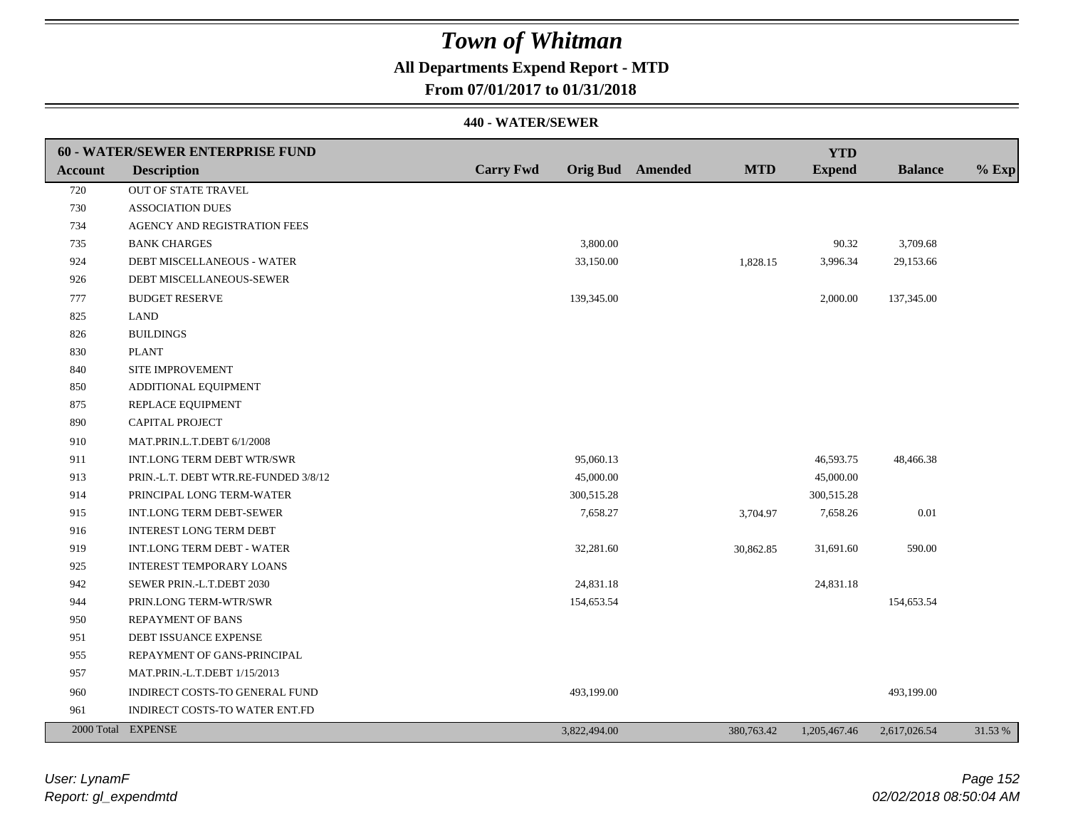## **All Departments Expend Report - MTD**

### **From 07/01/2017 to 01/31/2018**

|         | 60 - WATER/SEWER ENTERPRISE FUND     |                  |                         |            | <b>YTD</b>    |                |         |
|---------|--------------------------------------|------------------|-------------------------|------------|---------------|----------------|---------|
| Account | <b>Description</b>                   | <b>Carry Fwd</b> | <b>Orig Bud</b> Amended | <b>MTD</b> | <b>Expend</b> | <b>Balance</b> | $%$ Exp |
| 720     | OUT OF STATE TRAVEL                  |                  |                         |            |               |                |         |
| 730     | <b>ASSOCIATION DUES</b>              |                  |                         |            |               |                |         |
| 734     | AGENCY AND REGISTRATION FEES         |                  |                         |            |               |                |         |
| 735     | <b>BANK CHARGES</b>                  |                  | 3,800.00                |            | 90.32         | 3,709.68       |         |
| 924     | DEBT MISCELLANEOUS - WATER           |                  | 33,150.00               | 1,828.15   | 3,996.34      | 29,153.66      |         |
| 926     | DEBT MISCELLANEOUS-SEWER             |                  |                         |            |               |                |         |
| 777     | <b>BUDGET RESERVE</b>                |                  | 139,345.00              |            | 2,000.00      | 137,345.00     |         |
| 825     | <b>LAND</b>                          |                  |                         |            |               |                |         |
| 826     | <b>BUILDINGS</b>                     |                  |                         |            |               |                |         |
| 830     | <b>PLANT</b>                         |                  |                         |            |               |                |         |
| 840     | SITE IMPROVEMENT                     |                  |                         |            |               |                |         |
| 850     | ADDITIONAL EQUIPMENT                 |                  |                         |            |               |                |         |
| 875     | REPLACE EQUIPMENT                    |                  |                         |            |               |                |         |
| 890     | CAPITAL PROJECT                      |                  |                         |            |               |                |         |
| 910     | MAT.PRIN.L.T.DEBT 6/1/2008           |                  |                         |            |               |                |         |
| 911     | INT.LONG TERM DEBT WTR/SWR           |                  | 95,060.13               |            | 46,593.75     | 48,466.38      |         |
| 913     | PRIN.-L.T. DEBT WTR.RE-FUNDED 3/8/12 |                  | 45,000.00               |            | 45,000.00     |                |         |
| 914     | PRINCIPAL LONG TERM-WATER            |                  | 300,515.28              |            | 300,515.28    |                |         |
| 915     | INT.LONG TERM DEBT-SEWER             |                  | 7,658.27                | 3,704.97   | 7,658.26      | $0.01\,$       |         |
| 916     | <b>INTEREST LONG TERM DEBT</b>       |                  |                         |            |               |                |         |
| 919     | <b>INT.LONG TERM DEBT - WATER</b>    |                  | 32,281.60               | 30,862.85  | 31,691.60     | 590.00         |         |
| 925     | <b>INTEREST TEMPORARY LOANS</b>      |                  |                         |            |               |                |         |
| 942     | SEWER PRIN.-L.T.DEBT 2030            |                  | 24,831.18               |            | 24,831.18     |                |         |
| 944     | PRIN.LONG TERM-WTR/SWR               |                  | 154,653.54              |            |               | 154,653.54     |         |
| 950     | <b>REPAYMENT OF BANS</b>             |                  |                         |            |               |                |         |
| 951     | DEBT ISSUANCE EXPENSE                |                  |                         |            |               |                |         |
| 955     | REPAYMENT OF GANS-PRINCIPAL          |                  |                         |            |               |                |         |
| 957     | MAT.PRIN.-L.T.DEBT 1/15/2013         |                  |                         |            |               |                |         |
| 960     | INDIRECT COSTS-TO GENERAL FUND       |                  | 493,199.00              |            |               | 493,199.00     |         |
| 961     | INDIRECT COSTS-TO WATER ENT.FD       |                  |                         |            |               |                |         |
|         | 2000 Total EXPENSE                   |                  | 3,822,494.00            | 380,763.42 | 1,205,467.46  | 2,617,026.54   | 31.53 % |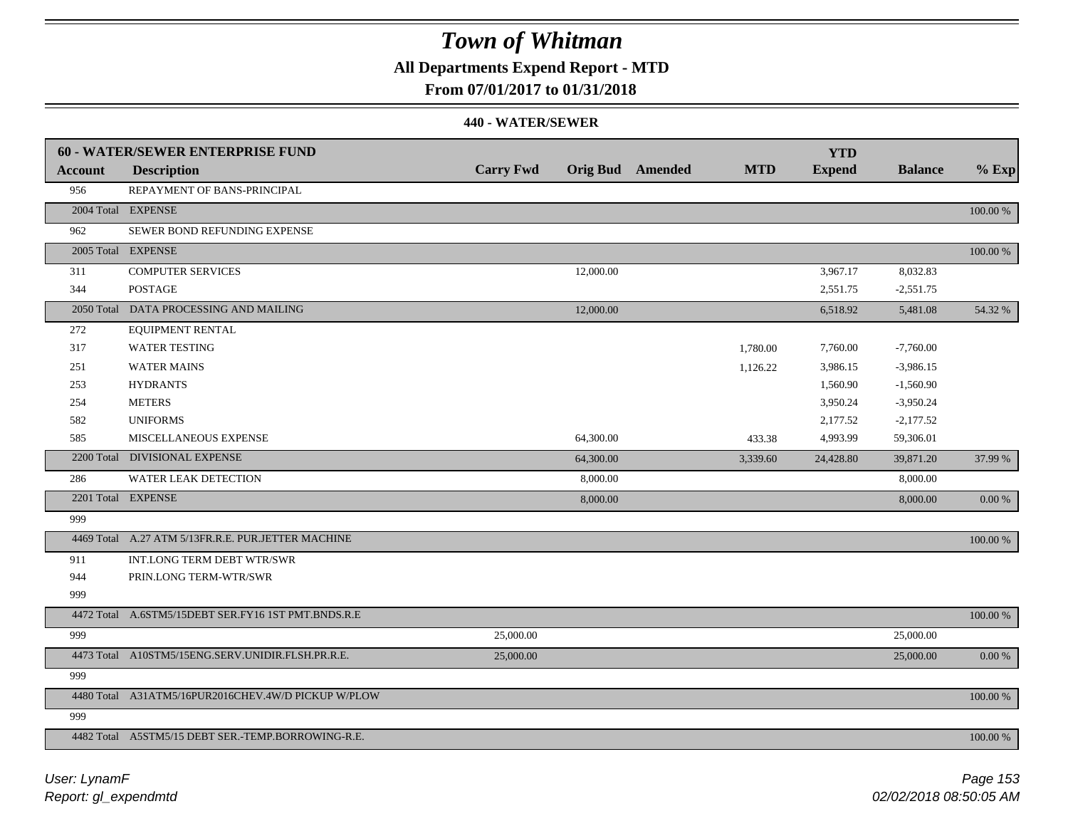### **All Departments Expend Report - MTD**

### **From 07/01/2017 to 01/31/2018**

|                | 60 - WATER/SEWER ENTERPRISE FUND                    |                  |           |                         |            | <b>YTD</b>    |                |            |
|----------------|-----------------------------------------------------|------------------|-----------|-------------------------|------------|---------------|----------------|------------|
| <b>Account</b> | <b>Description</b>                                  | <b>Carry Fwd</b> |           | <b>Orig Bud</b> Amended | <b>MTD</b> | <b>Expend</b> | <b>Balance</b> | $%$ Exp    |
| 956            | REPAYMENT OF BANS-PRINCIPAL                         |                  |           |                         |            |               |                |            |
|                | 2004 Total EXPENSE                                  |                  |           |                         |            |               |                | 100.00 %   |
| 962            | SEWER BOND REFUNDING EXPENSE                        |                  |           |                         |            |               |                |            |
|                | 2005 Total EXPENSE                                  |                  |           |                         |            |               |                | 100.00 %   |
| 311            | <b>COMPUTER SERVICES</b>                            |                  | 12,000.00 |                         |            | 3,967.17      | 8,032.83       |            |
| 344            | <b>POSTAGE</b>                                      |                  |           |                         |            | 2,551.75      | $-2,551.75$    |            |
|                | 2050 Total DATA PROCESSING AND MAILING              |                  | 12,000.00 |                         |            | 6,518.92      | 5,481.08       | 54.32 %    |
| 272            | <b>EQUIPMENT RENTAL</b>                             |                  |           |                         |            |               |                |            |
| 317            | <b>WATER TESTING</b>                                |                  |           |                         | 1,780.00   | 7,760.00      | $-7,760.00$    |            |
| 251            | <b>WATER MAINS</b>                                  |                  |           |                         | 1,126.22   | 3,986.15      | $-3,986.15$    |            |
| 253            | <b>HYDRANTS</b>                                     |                  |           |                         |            | 1,560.90      | $-1,560.90$    |            |
| 254            | <b>METERS</b>                                       |                  |           |                         |            | 3,950.24      | $-3,950.24$    |            |
| 582            | <b>UNIFORMS</b>                                     |                  |           |                         |            | 2,177.52      | $-2,177.52$    |            |
| 585            | MISCELLANEOUS EXPENSE                               |                  | 64,300.00 |                         | 433.38     | 4,993.99      | 59,306.01      |            |
|                | 2200 Total DIVISIONAL EXPENSE                       |                  | 64,300.00 |                         | 3,339.60   | 24,428.80     | 39,871.20      | 37.99 %    |
| 286            | <b>WATER LEAK DETECTION</b>                         |                  | 8,000.00  |                         |            |               | 8,000.00       |            |
|                | 2201 Total EXPENSE                                  |                  | 8,000.00  |                         |            |               | 8,000.00       | $0.00\ \%$ |
| 999            |                                                     |                  |           |                         |            |               |                |            |
|                | 4469 Total A.27 ATM 5/13FR.R.E. PUR.JETTER MACHINE  |                  |           |                         |            |               |                | 100.00 %   |
| 911            | INT.LONG TERM DEBT WTR/SWR                          |                  |           |                         |            |               |                |            |
| 944            | PRIN.LONG TERM-WTR/SWR                              |                  |           |                         |            |               |                |            |
| 999            |                                                     |                  |           |                         |            |               |                |            |
|                | 4472 Total A.6STM5/15DEBT SER.FY16 1ST PMT.BNDS.R.E |                  |           |                         |            |               |                | 100.00 %   |
| 999            |                                                     | 25,000.00        |           |                         |            |               | 25,000.00      |            |
|                | 4473 Total A10STM5/15ENG.SERV.UNIDIR.FLSH.PR.R.E.   | 25,000.00        |           |                         |            |               | 25,000.00      | $0.00\ \%$ |
| 999            |                                                     |                  |           |                         |            |               |                |            |
|                | 4480 Total A31ATM5/16PUR2016CHEV.4W/D PICKUP W/PLOW |                  |           |                         |            |               |                | 100.00 %   |
| 999            |                                                     |                  |           |                         |            |               |                |            |
|                | 4482 Total A5STM5/15 DEBT SER.-TEMP.BORROWING-R.E.  |                  |           |                         |            |               |                | 100.00 %   |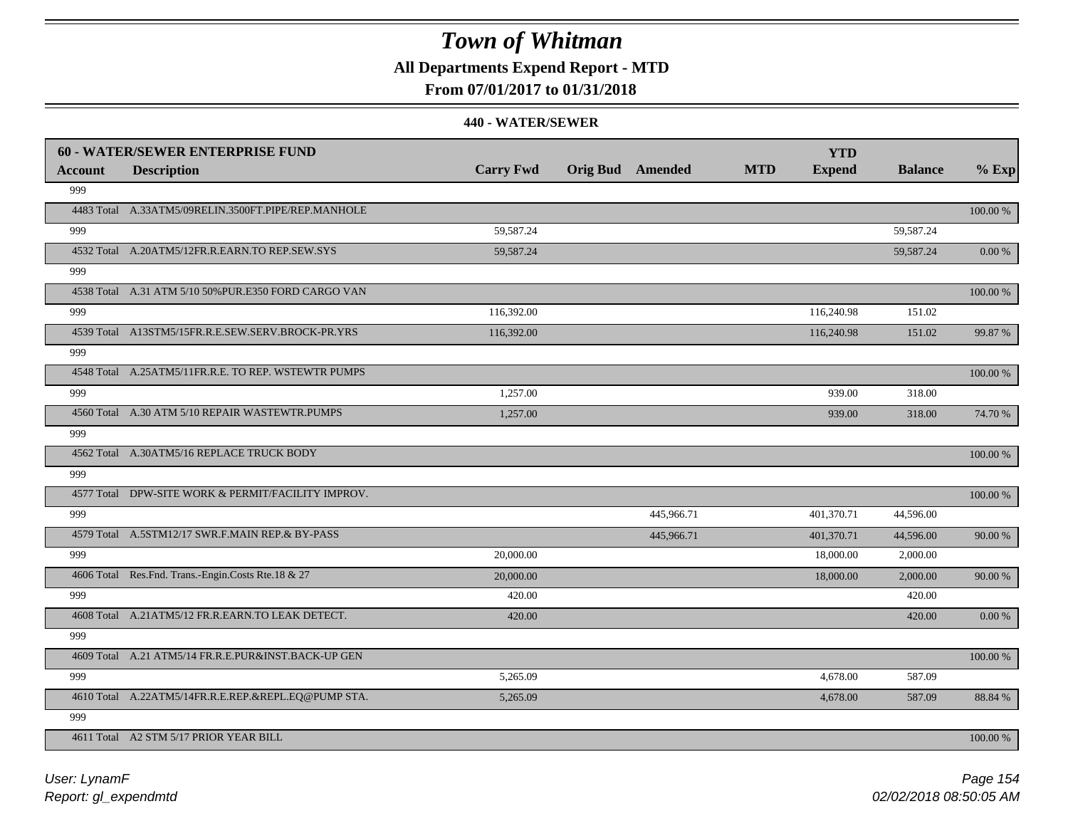**All Departments Expend Report - MTD**

### **From 07/01/2017 to 01/31/2018**

|                | <b>60 - WATER/SEWER ENTERPRISE FUND</b>              |                  |                         |            | <b>YTD</b>    |                |          |
|----------------|------------------------------------------------------|------------------|-------------------------|------------|---------------|----------------|----------|
| <b>Account</b> | <b>Description</b>                                   | <b>Carry Fwd</b> | <b>Orig Bud</b> Amended | <b>MTD</b> | <b>Expend</b> | <b>Balance</b> | $%$ Exp  |
| 999            |                                                      |                  |                         |            |               |                |          |
|                | 4483 Total A.33ATM5/09RELIN.3500FT.PIPE/REP.MANHOLE  |                  |                         |            |               |                | 100.00 % |
| 999            |                                                      | 59,587.24        |                         |            |               | 59,587.24      |          |
|                | 4532 Total A.20ATM5/12FR.R.EARN.TO REP.SEW.SYS       | 59,587.24        |                         |            |               | 59,587.24      | 0.00 %   |
| 999            |                                                      |                  |                         |            |               |                |          |
|                | 4538 Total A.31 ATM 5/10 50% PUR.E350 FORD CARGO VAN |                  |                         |            |               |                | 100.00 % |
| 999            |                                                      | 116,392.00       |                         |            | 116,240.98    | 151.02         |          |
|                | 4539 Total A13STM5/15FR.R.E.SEW.SERV.BROCK-PR.YRS    | 116,392.00       |                         |            | 116,240.98    | 151.02         | 99.87 %  |
| 999            |                                                      |                  |                         |            |               |                |          |
|                | 4548 Total A.25ATM5/11FR.R.E. TO REP. WSTEWTR PUMPS  |                  |                         |            |               |                | 100.00 % |
| 999            |                                                      | 1,257.00         |                         |            | 939.00        | 318.00         |          |
|                | 4560 Total A.30 ATM 5/10 REPAIR WASTEWTR.PUMPS       | 1,257.00         |                         |            | 939.00        | 318.00         | 74.70 %  |
| 999            |                                                      |                  |                         |            |               |                |          |
|                | 4562 Total A.30ATM5/16 REPLACE TRUCK BODY            |                  |                         |            |               |                | 100.00 % |
| 999            |                                                      |                  |                         |            |               |                |          |
|                | 4577 Total DPW-SITE WORK & PERMIT/FACILITY IMPROV.   |                  |                         |            |               |                | 100.00 % |
| 999            |                                                      |                  | 445,966.71              |            | 401,370.71    | 44,596.00      |          |
|                | 4579 Total A.5STM12/17 SWR.F.MAIN REP.& BY-PASS      |                  | 445,966.71              |            | 401,370.71    | 44,596.00      | 90.00 %  |
| 999            |                                                      | 20,000.00        |                         |            | 18,000.00     | 2,000.00       |          |
|                | 4606 Total Res.Fnd. Trans.-Engin.Costs Rte.18 & 27   | 20,000.00        |                         |            | 18,000.00     | 2,000.00       | 90.00 %  |
| 999            |                                                      | 420.00           |                         |            |               | 420.00         |          |
|                | 4608 Total A.21ATM5/12 FR.R.EARN.TO LEAK DETECT.     | 420.00           |                         |            |               | 420.00         | 0.00 %   |
| 999            |                                                      |                  |                         |            |               |                |          |
|                | 4609 Total A.21 ATM5/14 FR.R.E.PUR&INST.BACK-UP GEN  |                  |                         |            |               |                | 100.00 % |
| 999            |                                                      | 5,265.09         |                         |            | 4,678.00      | 587.09         |          |
|                | 4610 Total A.22ATM5/14FR.R.E.REP.&REPL.EQ@PUMP STA.  | 5,265.09         |                         |            | 4,678.00      | 587.09         | 88.84 %  |
| 999            |                                                      |                  |                         |            |               |                |          |
|                | 4611 Total A2 STM 5/17 PRIOR YEAR BILL               |                  |                         |            |               |                | 100.00 % |
|                |                                                      |                  |                         |            |               |                |          |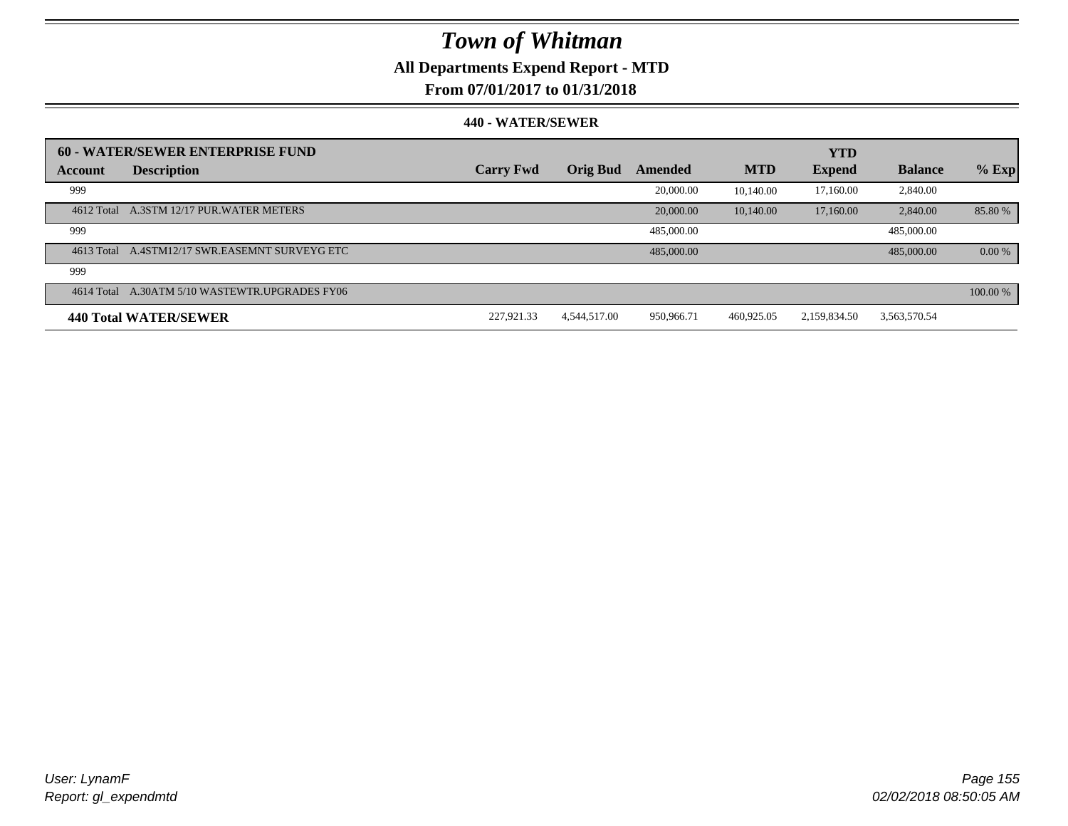## **All Departments Expend Report - MTD**

### **From 07/01/2017 to 01/31/2018**

|            | 60 - WATER/SEWER ENTERPRISE FUND               |                  |                 |            |            | <b>YTD</b>    |                |          |
|------------|------------------------------------------------|------------------|-----------------|------------|------------|---------------|----------------|----------|
| Account    | <b>Description</b>                             | <b>Carry Fwd</b> | <b>Orig Bud</b> | Amended    | <b>MTD</b> | <b>Expend</b> | <b>Balance</b> | $%$ Exp  |
| 999        |                                                |                  |                 | 20,000.00  | 10.140.00  | 17.160.00     | 2,840.00       |          |
|            | 4612 Total A.3STM 12/17 PUR. WATER METERS      |                  |                 | 20,000.00  | 10.140.00  | 17,160.00     | 2,840.00       | 85.80%   |
| 999        |                                                |                  |                 | 485,000.00 |            |               | 485,000.00     |          |
|            | 4613 Total A.4STM12/17 SWR.EASEMNT SURVEYG ETC |                  |                 | 485,000.00 |            |               | 485,000,00     | 0.00 %   |
| 999        |                                                |                  |                 |            |            |               |                |          |
| 4614 Total | A.30ATM 5/10 WASTEWTR.UPGRADES FY06            |                  |                 |            |            |               |                | 100.00 % |
|            | 440 Total WATER/SEWER                          | 227.921.33       | 4,544,517.00    | 950,966.71 | 460,925.05 | 2.159.834.50  | 3,563,570.54   |          |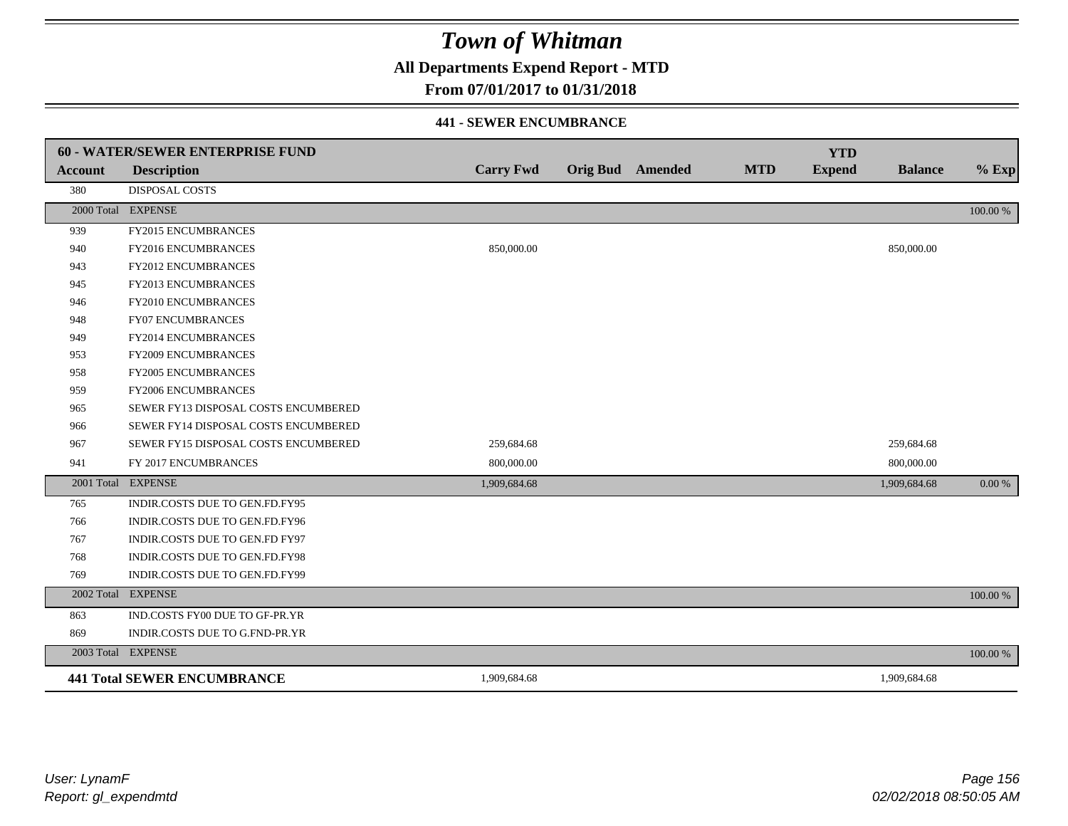**All Departments Expend Report - MTD**

### **From 07/01/2017 to 01/31/2018**

#### **441 - SEWER ENCUMBRANCE**

|                | <b>60 - WATER/SEWER ENTERPRISE FUND</b> |                  |                         |            | <b>YTD</b>    |                |          |
|----------------|-----------------------------------------|------------------|-------------------------|------------|---------------|----------------|----------|
| <b>Account</b> | <b>Description</b>                      | <b>Carry Fwd</b> | <b>Orig Bud</b> Amended | <b>MTD</b> | <b>Expend</b> | <b>Balance</b> | $%$ Exp  |
| 380            | <b>DISPOSAL COSTS</b>                   |                  |                         |            |               |                |          |
|                | 2000 Total EXPENSE                      |                  |                         |            |               |                | 100.00 % |
| 939            | <b>FY2015 ENCUMBRANCES</b>              |                  |                         |            |               |                |          |
| 940            | FY2016 ENCUMBRANCES                     | 850,000.00       |                         |            |               | 850,000.00     |          |
| 943            | <b>FY2012 ENCUMBRANCES</b>              |                  |                         |            |               |                |          |
| 945            | FY2013 ENCUMBRANCES                     |                  |                         |            |               |                |          |
| 946            | FY2010 ENCUMBRANCES                     |                  |                         |            |               |                |          |
| 948            | <b>FY07 ENCUMBRANCES</b>                |                  |                         |            |               |                |          |
| 949            | <b>FY2014 ENCUMBRANCES</b>              |                  |                         |            |               |                |          |
| 953            | FY2009 ENCUMBRANCES                     |                  |                         |            |               |                |          |
| 958            | <b>FY2005 ENCUMBRANCES</b>              |                  |                         |            |               |                |          |
| 959            | FY2006 ENCUMBRANCES                     |                  |                         |            |               |                |          |
| 965            | SEWER FY13 DISPOSAL COSTS ENCUMBERED    |                  |                         |            |               |                |          |
| 966            | SEWER FY14 DISPOSAL COSTS ENCUMBERED    |                  |                         |            |               |                |          |
| 967            | SEWER FY15 DISPOSAL COSTS ENCUMBERED    | 259,684.68       |                         |            |               | 259,684.68     |          |
| 941            | FY 2017 ENCUMBRANCES                    | 800,000.00       |                         |            |               | 800,000.00     |          |
|                | 2001 Total EXPENSE                      | 1,909,684.68     |                         |            |               | 1,909,684.68   | 0.00 %   |
| 765            | INDIR.COSTS DUE TO GEN.FD.FY95          |                  |                         |            |               |                |          |
| 766            | INDIR.COSTS DUE TO GEN.FD.FY96          |                  |                         |            |               |                |          |
| 767            | INDIR.COSTS DUE TO GEN.FD FY97          |                  |                         |            |               |                |          |
| 768            | INDIR.COSTS DUE TO GEN.FD.FY98          |                  |                         |            |               |                |          |
| 769            | INDIR.COSTS DUE TO GEN.FD.FY99          |                  |                         |            |               |                |          |
|                | 2002 Total EXPENSE                      |                  |                         |            |               |                | 100.00 % |
| 863            | IND.COSTS FY00 DUE TO GF-PR.YR          |                  |                         |            |               |                |          |
| 869            | INDIR.COSTS DUE TO G.FND-PR.YR          |                  |                         |            |               |                |          |
|                | 2003 Total EXPENSE                      |                  |                         |            |               |                | 100.00 % |
|                | <b>441 Total SEWER ENCUMBRANCE</b>      | 1,909,684.68     |                         |            |               | 1,909,684.68   |          |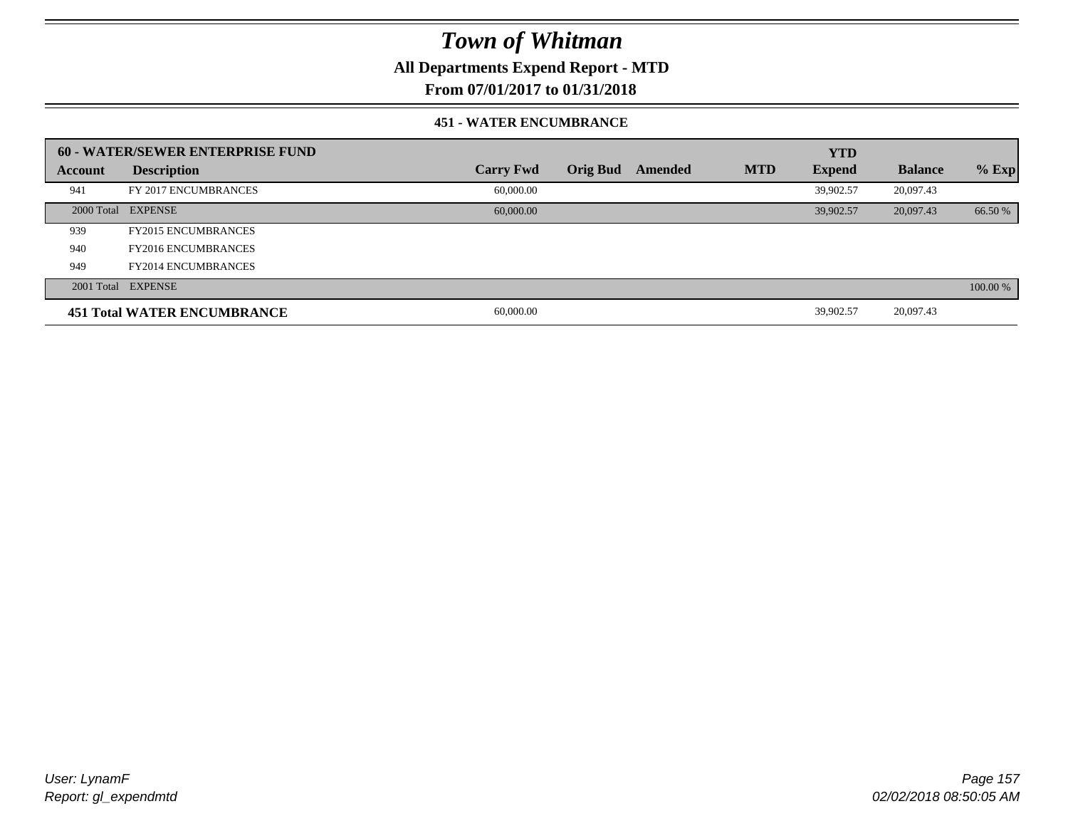**All Departments Expend Report - MTD**

### **From 07/01/2017 to 01/31/2018**

#### **451 - WATER ENCUMBRANCE**

|         | <b>60 - WATER/SEWER ENTERPRISE FUND</b> |                  |          |         |            | <b>YTD</b>    |                |          |
|---------|-----------------------------------------|------------------|----------|---------|------------|---------------|----------------|----------|
| Account | <b>Description</b>                      | <b>Carry Fwd</b> | Orig Bud | Amended | <b>MTD</b> | <b>Expend</b> | <b>Balance</b> | $%$ Exp  |
| 941     | FY 2017 ENCUMBRANCES                    | 60,000.00        |          |         |            | 39.902.57     | 20,097.43      |          |
|         | 2000 Total EXPENSE                      | 60,000,00        |          |         |            | 39.902.57     | 20,097.43      | 66.50 %  |
| 939     | <b>FY2015 ENCUMBRANCES</b>              |                  |          |         |            |               |                |          |
| 940     | <b>FY2016 ENCUMBRANCES</b>              |                  |          |         |            |               |                |          |
| 949     | <b>FY2014 ENCUMBRANCES</b>              |                  |          |         |            |               |                |          |
|         | 2001 Total EXPENSE                      |                  |          |         |            |               |                | 100.00 % |
|         | <b>451 Total WATER ENCUMBRANCE</b>      | 60,000.00        |          |         |            | 39,902.57     | 20,097.43      |          |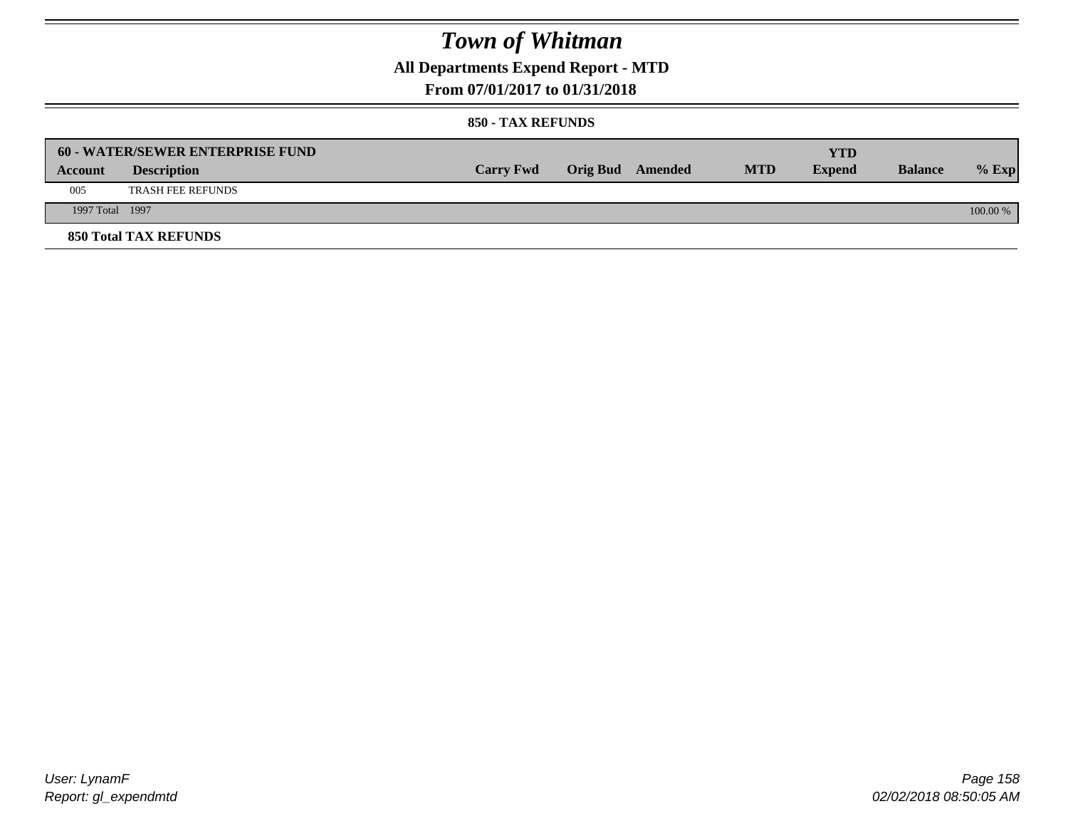**All Departments Expend Report - MTD**

### **From 07/01/2017 to 01/31/2018**

|                 | <b>60 - WATER/SEWER ENTERPRISE FUND</b> |                  |                         |            | YTD           |                |            |
|-----------------|-----------------------------------------|------------------|-------------------------|------------|---------------|----------------|------------|
| Account         | <b>Description</b>                      | <b>Carry Fwd</b> | <b>Orig Bud</b> Amended | <b>MTD</b> | <b>Expend</b> | <b>Balance</b> | $%$ Exp    |
| 005             | <b>TRASH FEE REFUNDS</b>                |                  |                         |            |               |                |            |
| 1997 Total 1997 |                                         |                  |                         |            |               |                | $100.00\%$ |
|                 | <b>850 Total TAX REFUNDS</b>            |                  |                         |            |               |                |            |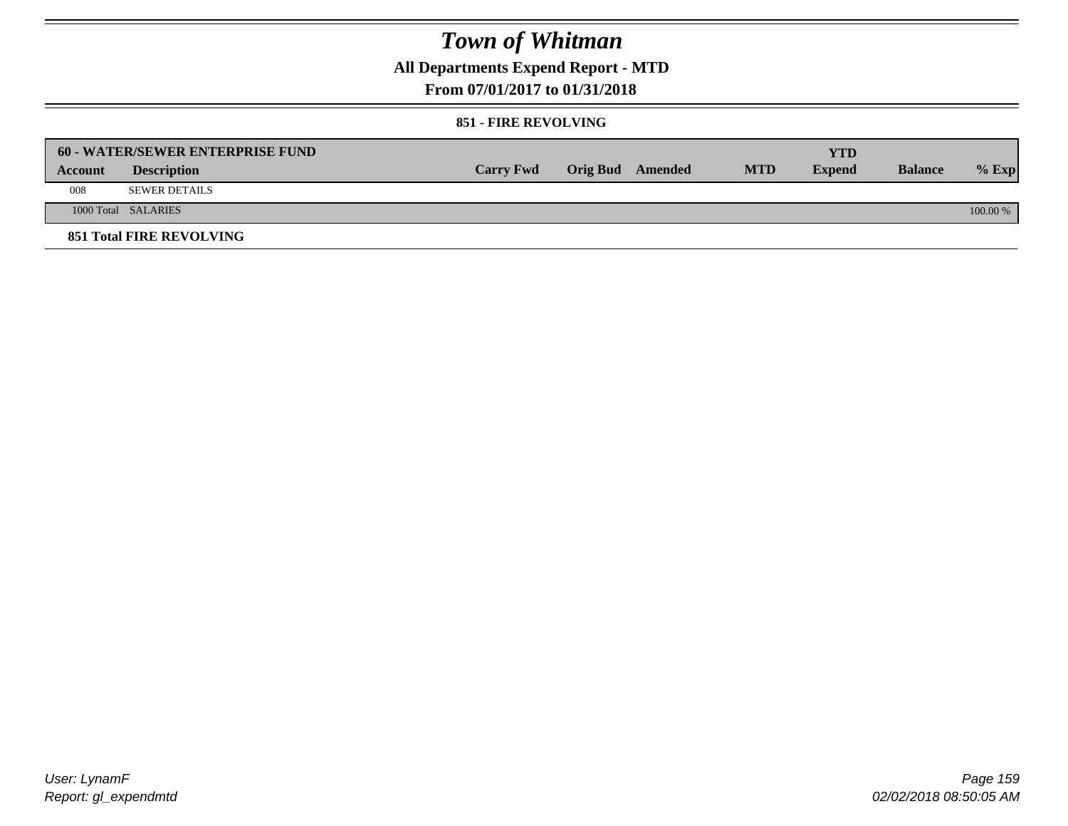**All Departments Expend Report - MTD**

### **From 07/01/2017 to 01/31/2018**

#### **851 - FIRE REVOLVING**

|         | <b>60 - WATER/SEWER ENTERPRISE FUND</b> |                  |                  |            | YTD           |                |            |
|---------|-----------------------------------------|------------------|------------------|------------|---------------|----------------|------------|
| Account | <b>Description</b>                      | <b>Carry Fwd</b> | Orig Bud Amended | <b>MTD</b> | <b>Expend</b> | <b>Balance</b> | $%$ Exp    |
| 008     | SEWER DETAILS                           |                  |                  |            |               |                |            |
|         | 1000 Total SALARIES                     |                  |                  |            |               |                | $100.00\%$ |
|         | <b>851 Total FIRE REVOLVING</b>         |                  |                  |            |               |                |            |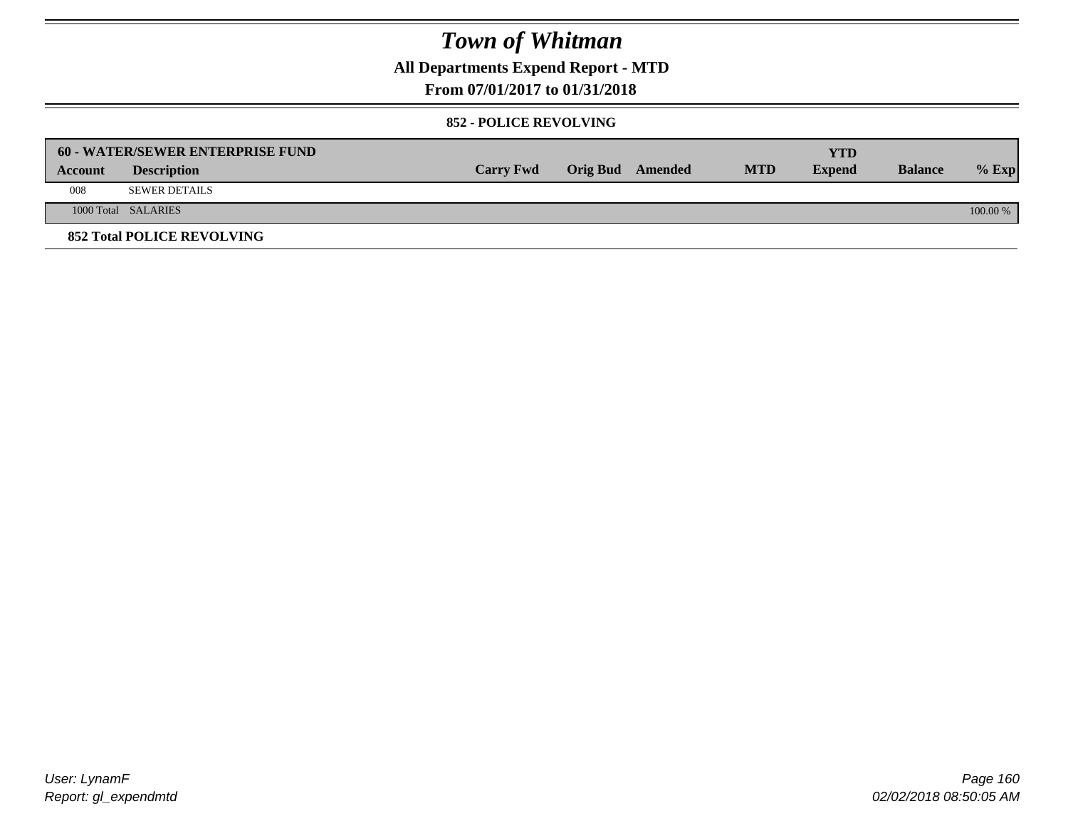**All Departments Expend Report - MTD**

### **From 07/01/2017 to 01/31/2018**

#### **852 - POLICE REVOLVING**

|         | 60 - WATER/SEWER ENTERPRISE FUND  |                  |                  |            | YTD           |                |            |
|---------|-----------------------------------|------------------|------------------|------------|---------------|----------------|------------|
| Account | <b>Description</b>                | <b>Carry Fwd</b> | Orig Bud Amended | <b>MTD</b> | <b>Expend</b> | <b>Balance</b> | $%$ Exp    |
| 008     | <b>SEWER DETAILS</b>              |                  |                  |            |               |                |            |
|         | 1000 Total SALARIES               |                  |                  |            |               |                | $100.00\%$ |
|         | <b>852 Total POLICE REVOLVING</b> |                  |                  |            |               |                |            |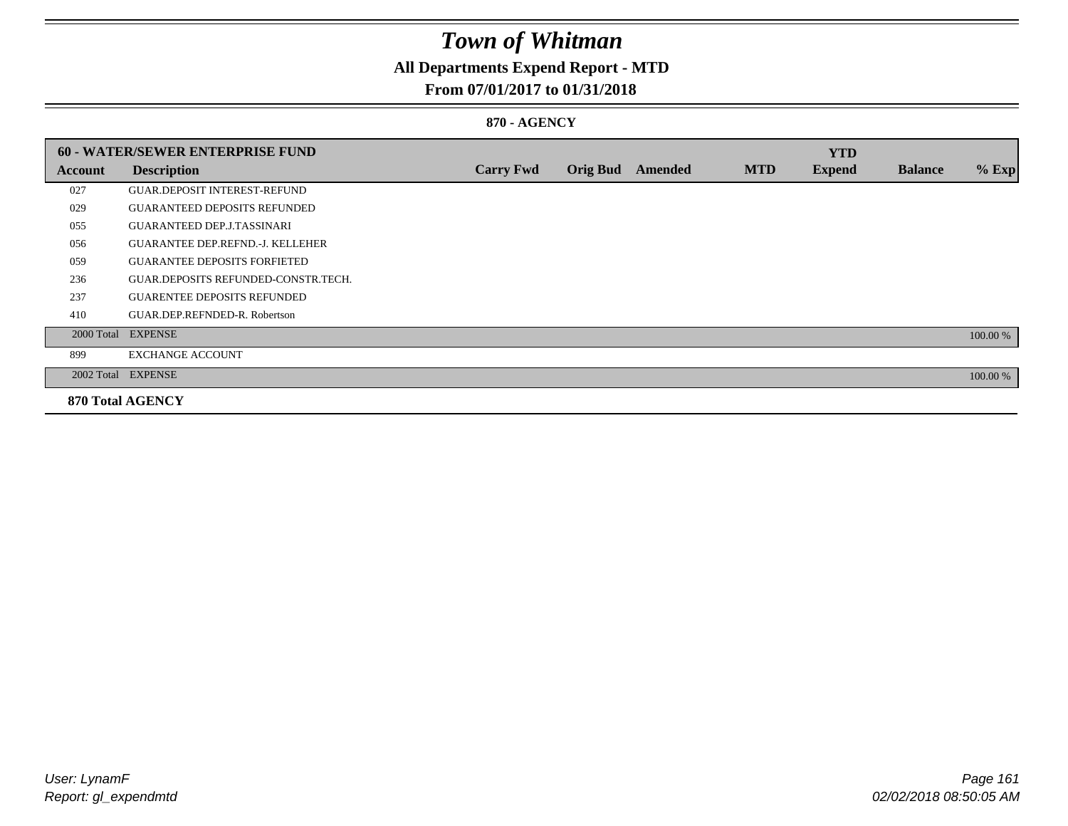## **All Departments Expend Report - MTD**

### **From 07/01/2017 to 01/31/2018**

#### **870 - AGENCY**

|         | 60 - WATER/SEWER ENTERPRISE FUND        |                  |                 |         |            | <b>YTD</b>    |                |          |
|---------|-----------------------------------------|------------------|-----------------|---------|------------|---------------|----------------|----------|
| Account | <b>Description</b>                      | <b>Carry Fwd</b> | <b>Orig Bud</b> | Amended | <b>MTD</b> | <b>Expend</b> | <b>Balance</b> | $%$ Exp  |
| 027     | <b>GUAR DEPOSIT INTEREST-REFUND</b>     |                  |                 |         |            |               |                |          |
| 029     | <b>GUARANTEED DEPOSITS REFUNDED</b>     |                  |                 |         |            |               |                |          |
| 055     | <b>GUARANTEED DEP.J.TASSINARI</b>       |                  |                 |         |            |               |                |          |
| 056     | <b>GUARANTEE DEP.REFND.-J. KELLEHER</b> |                  |                 |         |            |               |                |          |
| 059     | <b>GUARANTEE DEPOSITS FORFIETED</b>     |                  |                 |         |            |               |                |          |
| 236     | GUAR.DEPOSITS REFUNDED-CONSTR.TECH.     |                  |                 |         |            |               |                |          |
| 237     | <b>GUARENTEE DEPOSITS REFUNDED</b>      |                  |                 |         |            |               |                |          |
| 410     | GUAR.DEP.REFNDED-R. Robertson           |                  |                 |         |            |               |                |          |
|         | 2000 Total EXPENSE                      |                  |                 |         |            |               |                | 100.00 % |
| 899     | <b>EXCHANGE ACCOUNT</b>                 |                  |                 |         |            |               |                |          |
|         | 2002 Total EXPENSE                      |                  |                 |         |            |               |                | 100.00 % |
|         | <b>870 Total AGENCY</b>                 |                  |                 |         |            |               |                |          |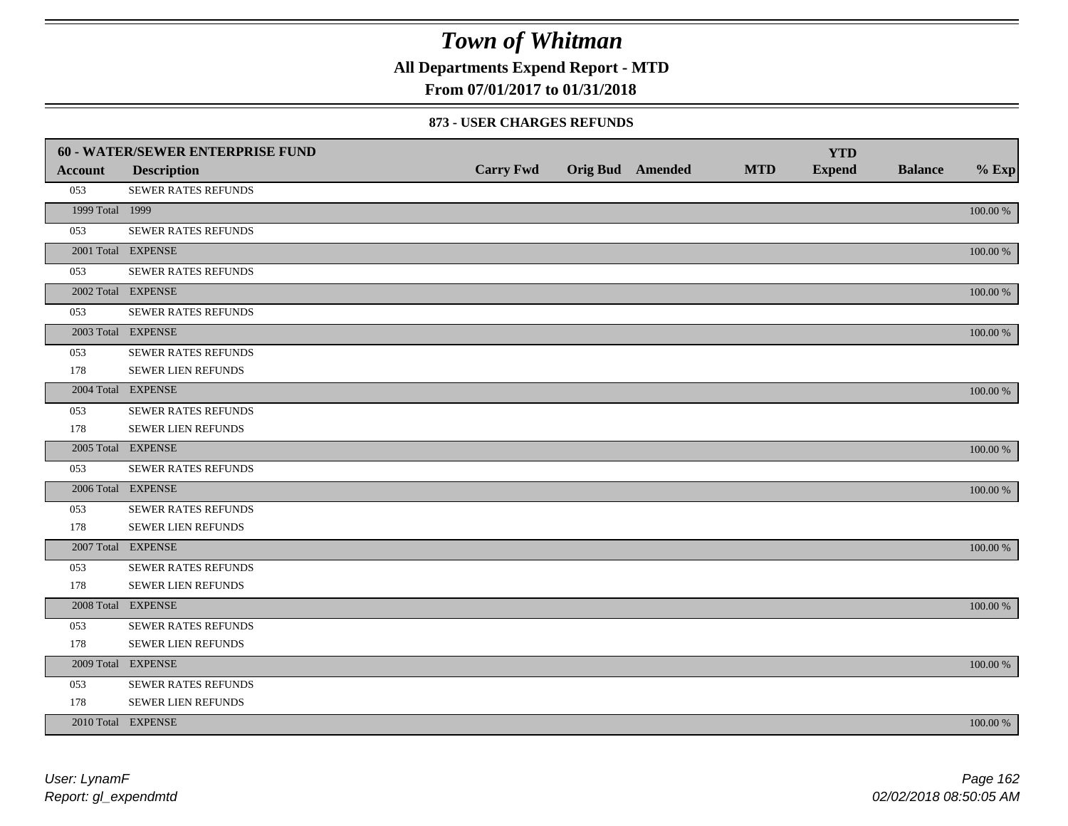**All Departments Expend Report - MTD**

### **From 07/01/2017 to 01/31/2018**

#### **873 - USER CHARGES REFUNDS**

|                 | 60 - WATER/SEWER ENTERPRISE FUND |                  |                         |            | <b>YTD</b>    |                |             |
|-----------------|----------------------------------|------------------|-------------------------|------------|---------------|----------------|-------------|
| <b>Account</b>  | <b>Description</b>               | <b>Carry Fwd</b> | <b>Orig Bud</b> Amended | <b>MTD</b> | <b>Expend</b> | <b>Balance</b> | $%$ Exp     |
| 053             | SEWER RATES REFUNDS              |                  |                         |            |               |                |             |
| 1999 Total 1999 |                                  |                  |                         |            |               |                | 100.00 %    |
| 053             | SEWER RATES REFUNDS              |                  |                         |            |               |                |             |
|                 | 2001 Total EXPENSE               |                  |                         |            |               |                | 100.00 %    |
| 053             | SEWER RATES REFUNDS              |                  |                         |            |               |                |             |
|                 | 2002 Total EXPENSE               |                  |                         |            |               |                | 100.00 %    |
| 053             | <b>SEWER RATES REFUNDS</b>       |                  |                         |            |               |                |             |
|                 | 2003 Total EXPENSE               |                  |                         |            |               |                | 100.00 %    |
| 053             | <b>SEWER RATES REFUNDS</b>       |                  |                         |            |               |                |             |
| 178             | SEWER LIEN REFUNDS               |                  |                         |            |               |                |             |
|                 | 2004 Total EXPENSE               |                  |                         |            |               |                | 100.00 %    |
| 053             | SEWER RATES REFUNDS              |                  |                         |            |               |                |             |
| 178             | SEWER LIEN REFUNDS               |                  |                         |            |               |                |             |
|                 | 2005 Total EXPENSE               |                  |                         |            |               |                | 100.00 %    |
| 053             | SEWER RATES REFUNDS              |                  |                         |            |               |                |             |
|                 | 2006 Total EXPENSE               |                  |                         |            |               |                | 100.00 %    |
| 053             | SEWER RATES REFUNDS              |                  |                         |            |               |                |             |
| 178             | <b>SEWER LIEN REFUNDS</b>        |                  |                         |            |               |                |             |
|                 | 2007 Total EXPENSE               |                  |                         |            |               |                | 100.00 %    |
| 053             | <b>SEWER RATES REFUNDS</b>       |                  |                         |            |               |                |             |
| 178             | SEWER LIEN REFUNDS               |                  |                         |            |               |                |             |
|                 | 2008 Total EXPENSE               |                  |                         |            |               |                | 100.00 %    |
| 053             | <b>SEWER RATES REFUNDS</b>       |                  |                         |            |               |                |             |
| 178             | SEWER LIEN REFUNDS               |                  |                         |            |               |                |             |
|                 | 2009 Total EXPENSE               |                  |                         |            |               |                | 100.00 %    |
| 053             | SEWER RATES REFUNDS              |                  |                         |            |               |                |             |
| 178             | SEWER LIEN REFUNDS               |                  |                         |            |               |                |             |
|                 | 2010 Total EXPENSE               |                  |                         |            |               |                | $100.00~\%$ |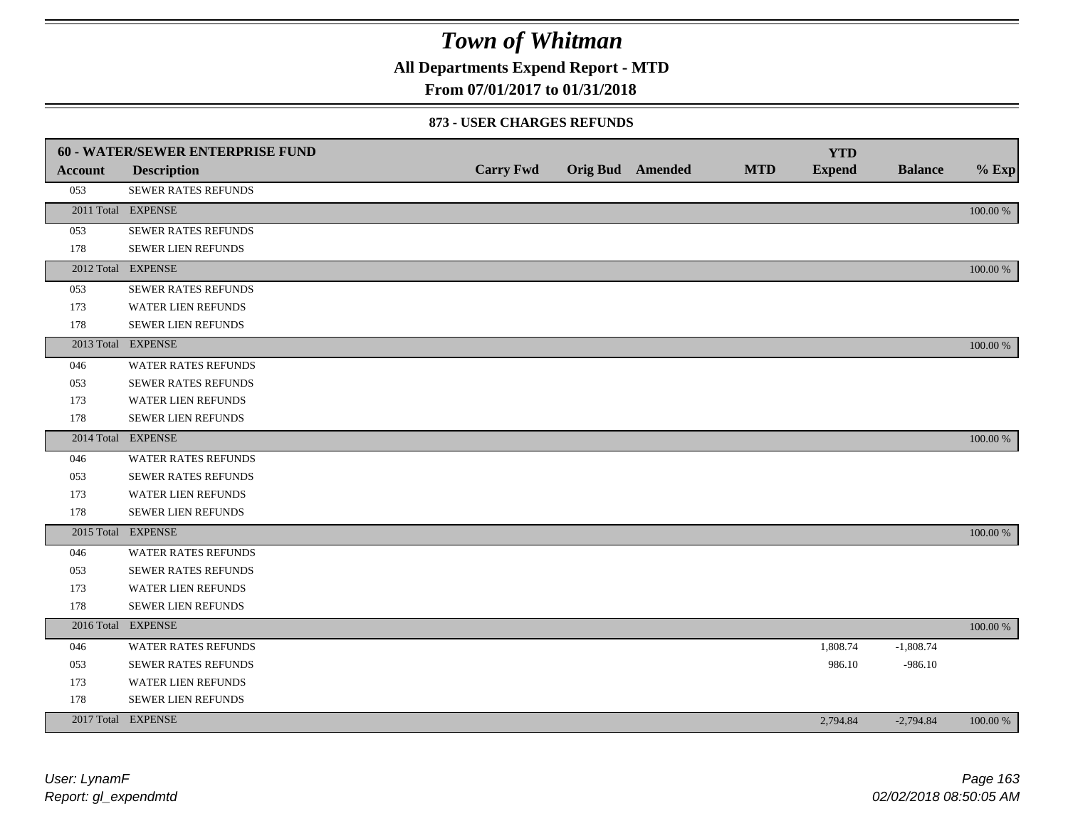**All Departments Expend Report - MTD**

### **From 07/01/2017 to 01/31/2018**

#### **873 - USER CHARGES REFUNDS**

|                | <b>60 - WATER/SEWER ENTERPRISE FUND</b> |                  |                         |            | <b>YTD</b>    |                |          |
|----------------|-----------------------------------------|------------------|-------------------------|------------|---------------|----------------|----------|
| <b>Account</b> | <b>Description</b>                      | <b>Carry Fwd</b> | <b>Orig Bud</b> Amended | <b>MTD</b> | <b>Expend</b> | <b>Balance</b> | $%$ Exp  |
| 053            | SEWER RATES REFUNDS                     |                  |                         |            |               |                |          |
|                | 2011 Total EXPENSE                      |                  |                         |            |               |                | 100.00 % |
| 053            | SEWER RATES REFUNDS                     |                  |                         |            |               |                |          |
| 178            | SEWER LIEN REFUNDS                      |                  |                         |            |               |                |          |
|                | 2012 Total EXPENSE                      |                  |                         |            |               |                | 100.00 % |
| 053            | SEWER RATES REFUNDS                     |                  |                         |            |               |                |          |
| 173            | WATER LIEN REFUNDS                      |                  |                         |            |               |                |          |
| 178            | SEWER LIEN REFUNDS                      |                  |                         |            |               |                |          |
|                | 2013 Total EXPENSE                      |                  |                         |            |               |                | 100.00 % |
| 046            | <b>WATER RATES REFUNDS</b>              |                  |                         |            |               |                |          |
| 053            | SEWER RATES REFUNDS                     |                  |                         |            |               |                |          |
| 173            | WATER LIEN REFUNDS                      |                  |                         |            |               |                |          |
| 178            | <b>SEWER LIEN REFUNDS</b>               |                  |                         |            |               |                |          |
|                | 2014 Total EXPENSE                      |                  |                         |            |               |                | 100.00 % |
| 046            | <b>WATER RATES REFUNDS</b>              |                  |                         |            |               |                |          |
| 053            | SEWER RATES REFUNDS                     |                  |                         |            |               |                |          |
| 173            | <b>WATER LIEN REFUNDS</b>               |                  |                         |            |               |                |          |
| 178            | <b>SEWER LIEN REFUNDS</b>               |                  |                         |            |               |                |          |
|                | 2015 Total EXPENSE                      |                  |                         |            |               |                | 100.00 % |
| 046            | <b>WATER RATES REFUNDS</b>              |                  |                         |            |               |                |          |
| 053            | SEWER RATES REFUNDS                     |                  |                         |            |               |                |          |
| 173            | WATER LIEN REFUNDS                      |                  |                         |            |               |                |          |
| 178            | SEWER LIEN REFUNDS                      |                  |                         |            |               |                |          |
|                | 2016 Total EXPENSE                      |                  |                         |            |               |                | 100.00 % |
| 046            | WATER RATES REFUNDS                     |                  |                         |            | 1,808.74      | $-1,808.74$    |          |
| 053            | <b>SEWER RATES REFUNDS</b>              |                  |                         |            | 986.10        | $-986.10$      |          |
| 173            | WATER LIEN REFUNDS                      |                  |                         |            |               |                |          |
| 178            | <b>SEWER LIEN REFUNDS</b>               |                  |                         |            |               |                |          |
|                | 2017 Total EXPENSE                      |                  |                         |            | 2,794.84      | $-2,794.84$    | 100.00 % |
|                |                                         |                  |                         |            |               |                |          |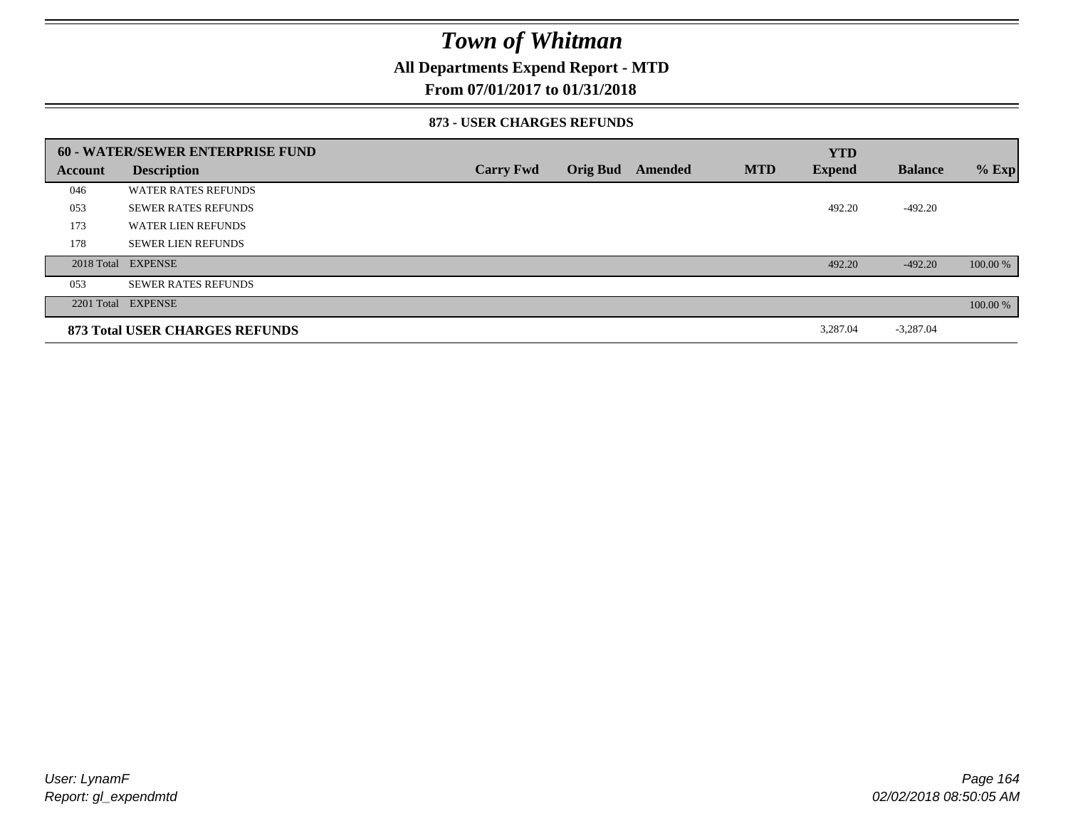### **All Departments Expend Report - MTD**

### **From 07/01/2017 to 01/31/2018**

#### **873 - USER CHARGES REFUNDS**

|         | 60 - WATER/SEWER ENTERPRISE FUND |                  |                 |         |            | <b>YTD</b>    |                |          |
|---------|----------------------------------|------------------|-----------------|---------|------------|---------------|----------------|----------|
| Account | <b>Description</b>               | <b>Carry Fwd</b> | <b>Orig Bud</b> | Amended | <b>MTD</b> | <b>Expend</b> | <b>Balance</b> | $%$ Exp  |
| 046     | <b>WATER RATES REFUNDS</b>       |                  |                 |         |            |               |                |          |
| 053     | <b>SEWER RATES REFUNDS</b>       |                  |                 |         |            | 492.20        | $-492.20$      |          |
| 173     | <b>WATER LIEN REFUNDS</b>        |                  |                 |         |            |               |                |          |
| 178     | <b>SEWER LIEN REFUNDS</b>        |                  |                 |         |            |               |                |          |
|         | 2018 Total EXPENSE               |                  |                 |         |            | 492.20        | $-492.20$      | 100.00 % |
| 053     | <b>SEWER RATES REFUNDS</b>       |                  |                 |         |            |               |                |          |
|         | 2201 Total EXPENSE               |                  |                 |         |            |               |                | 100.00 % |
|         | 873 Total USER CHARGES REFUNDS   |                  |                 |         |            | 3,287.04      | $-3,287.04$    |          |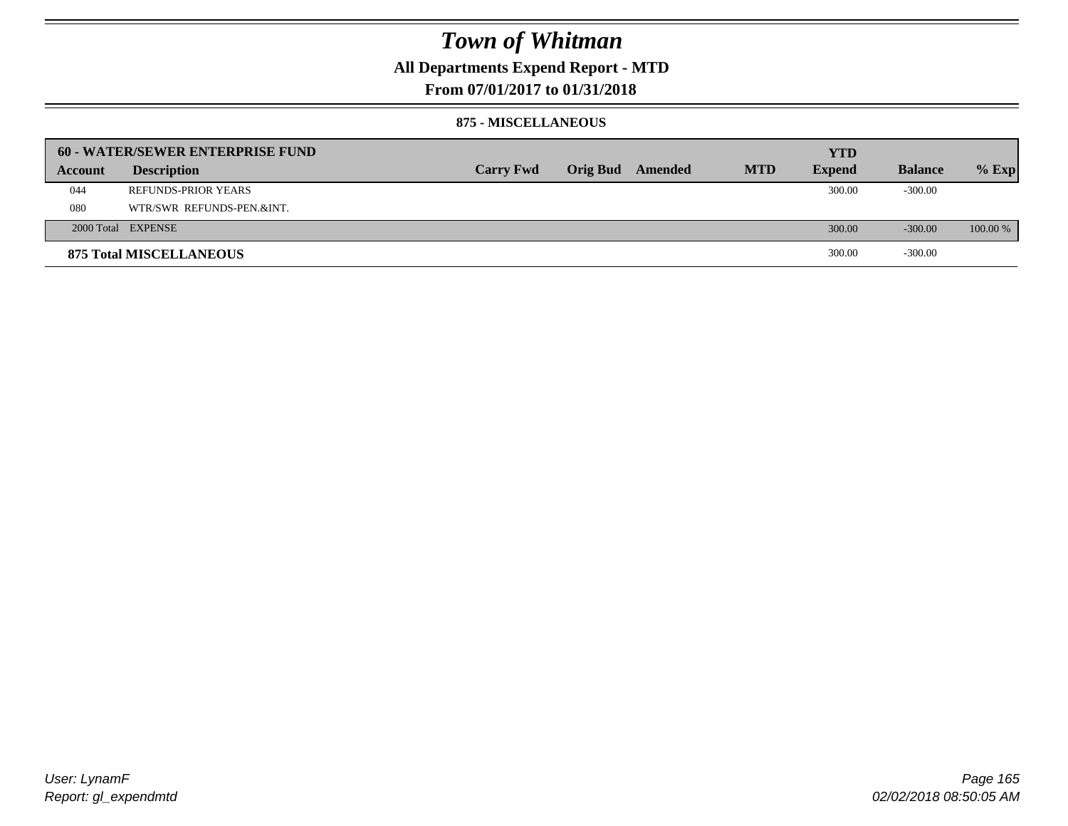### **All Departments Expend Report - MTD**

**From 07/01/2017 to 01/31/2018**

#### **875 - MISCELLANEOUS**

|         | 60 - WATER/SEWER ENTERPRISE FUND |                  |                         |            | <b>YTD</b>    |                |            |
|---------|----------------------------------|------------------|-------------------------|------------|---------------|----------------|------------|
| Account | <b>Description</b>               | <b>Carry Fwd</b> | <b>Orig Bud</b> Amended | <b>MTD</b> | <b>Expend</b> | <b>Balance</b> | $%$ Exp    |
| 044     | <b>REFUNDS-PRIOR YEARS</b>       |                  |                         |            | 300.00        | $-300.00$      |            |
| 080     | WTR/SWR REFUNDS-PEN.&INT.        |                  |                         |            |               |                |            |
|         | 2000 Total EXPENSE               |                  |                         |            | 300.00        | $-300.00$      | $100.00\%$ |
|         | <b>875 Total MISCELLANEOUS</b>   |                  |                         |            | 300.00        | $-300.00$      |            |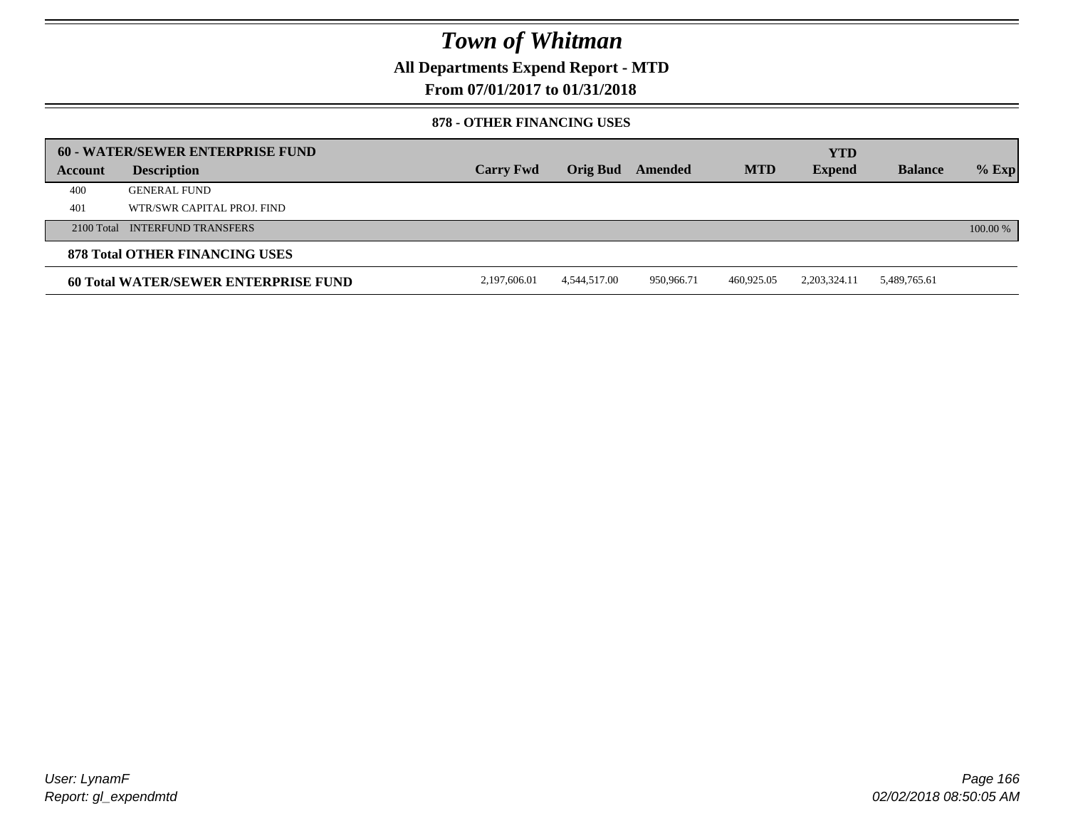**All Departments Expend Report - MTD**

### **From 07/01/2017 to 01/31/2018**

#### **878 - OTHER FINANCING USES**

|         | 60 - WATER/SEWER ENTERPRISE FUND      |                  |              |            |            | <b>YTD</b>      |                |            |
|---------|---------------------------------------|------------------|--------------|------------|------------|-----------------|----------------|------------|
| Account | <b>Description</b>                    | <b>Carry Fwd</b> | Orig Bud     | Amended    | <b>MTD</b> | <b>Expend</b>   | <b>Balance</b> | $%$ Exp    |
| 400     | <b>GENERAL FUND</b>                   |                  |              |            |            |                 |                |            |
| 401     | WTR/SWR CAPITAL PROJ. FIND            |                  |              |            |            |                 |                |            |
|         | 2100 Total INTERFUND TRANSFERS        |                  |              |            |            |                 |                | $100.00\%$ |
|         | <b>878 Total OTHER FINANCING USES</b> |                  |              |            |            |                 |                |            |
|         | 60 Total WATER/SEWER ENTERPRISE FUND  | 2,197,606.01     | 4,544,517.00 | 950,966.71 | 460,925.05 | 2, 203, 324. 11 | 5,489,765.61   |            |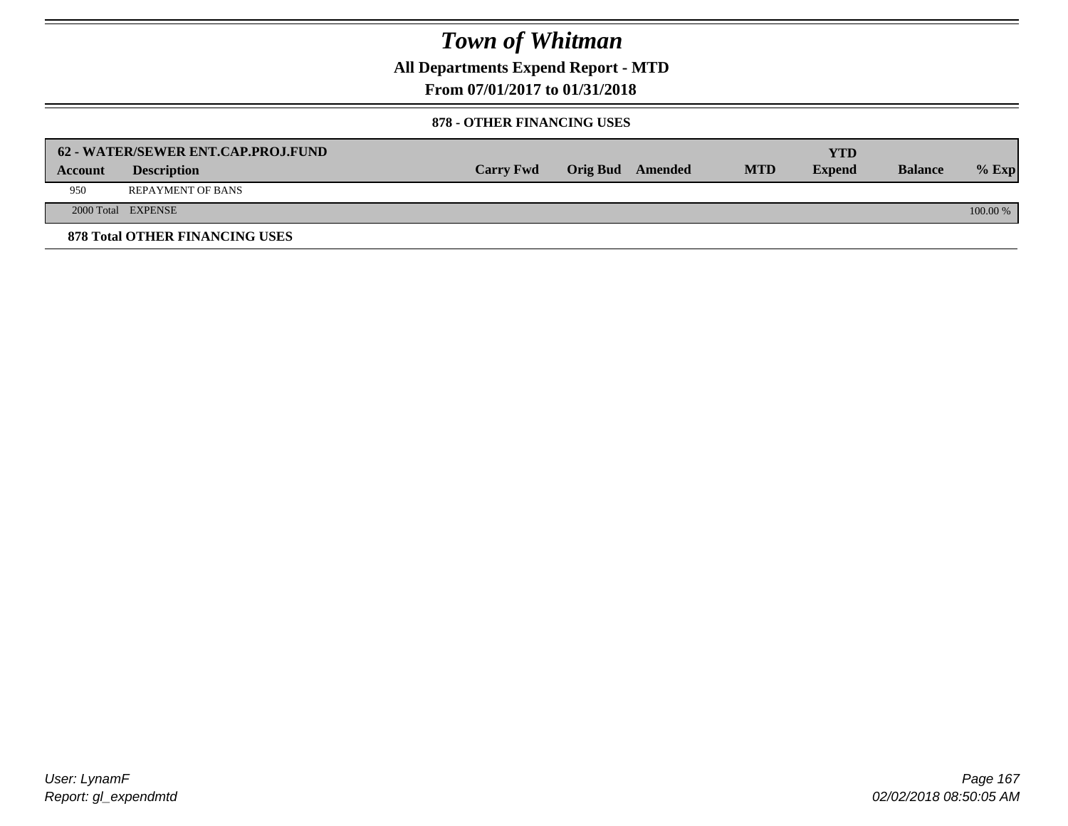**All Departments Expend Report - MTD**

**From 07/01/2017 to 01/31/2018**

#### **878 - OTHER FINANCING USES**

|         | 62 - WATER/SEWER ENT.CAP.PROJ.FUND    |                  |                  |            | <b>YTD</b>    |                |            |
|---------|---------------------------------------|------------------|------------------|------------|---------------|----------------|------------|
| Account | <b>Description</b>                    | <b>Carry Fwd</b> | Orig Bud Amended | <b>MTD</b> | <b>Expend</b> | <b>Balance</b> | $%$ Exp    |
| 950     | <b>REPAYMENT OF BANS</b>              |                  |                  |            |               |                |            |
|         | 2000 Total EXPENSE                    |                  |                  |            |               |                | $100.00\%$ |
|         | <b>878 Total OTHER FINANCING USES</b> |                  |                  |            |               |                |            |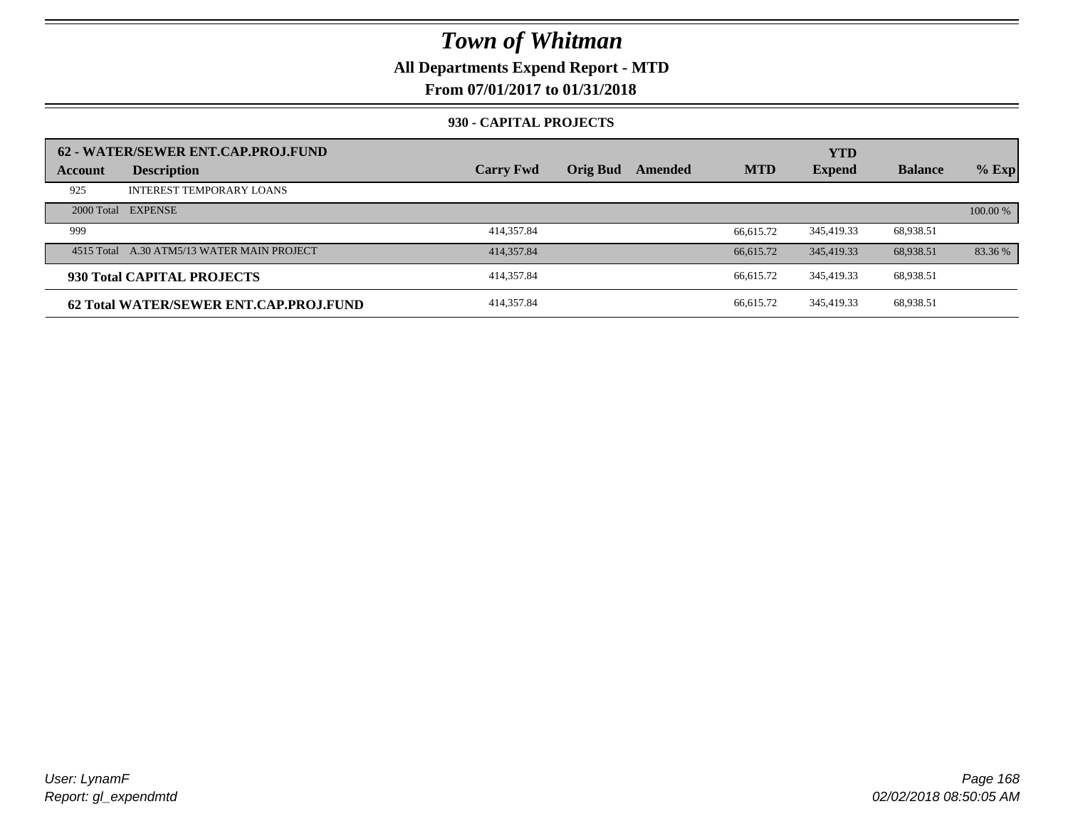### **All Departments Expend Report - MTD**

### **From 07/01/2017 to 01/31/2018**

#### **930 - CAPITAL PROJECTS**

| Account | 62 - WATER/SEWER ENT.CAP.PROJ.FUND<br><b>Description</b> | <b>Carry Fwd</b> | <b>Orig Bud</b> | Amended | <b>MTD</b> | <b>YTD</b><br><b>Expend</b> | <b>Balance</b> | $%$ Exp  |
|---------|----------------------------------------------------------|------------------|-----------------|---------|------------|-----------------------------|----------------|----------|
| 925     | <b>INTEREST TEMPORARY LOANS</b>                          |                  |                 |         |            |                             |                |          |
|         | 2000 Total EXPENSE                                       |                  |                 |         |            |                             |                | 100.00 % |
| 999     |                                                          | 414,357.84       |                 |         | 66.615.72  | 345,419.33                  | 68,938.51      |          |
|         | 4515 Total A.30 ATM5/13 WATER MAIN PROJECT               | 414, 357.84      |                 |         | 66,615.72  | 345,419.33                  | 68.938.51      | 83.36 %  |
|         | 930 Total CAPITAL PROJECTS                               | 414,357.84       |                 |         | 66.615.72  | 345.419.33                  | 68,938.51      |          |
|         | 62 Total WATER/SEWER ENT.CAP.PROJ.FUND                   | 414,357.84       |                 |         | 66.615.72  | 345.419.33                  | 68,938.51      |          |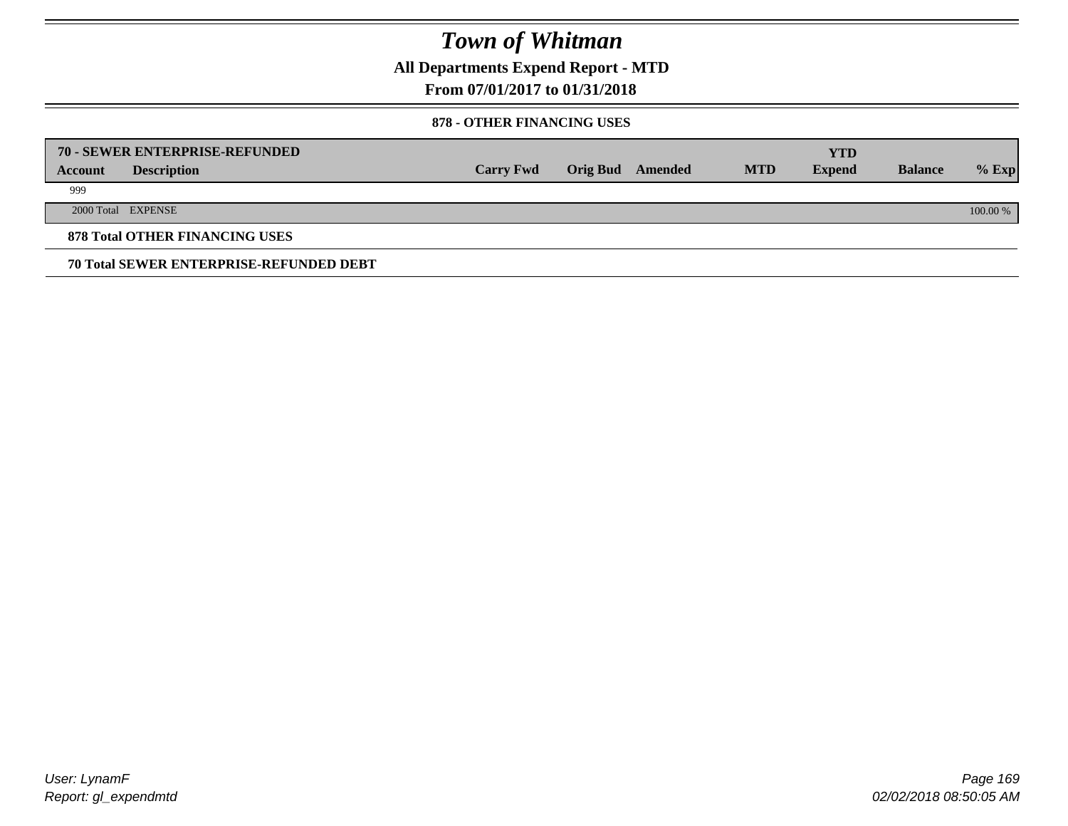**All Departments Expend Report - MTD**

### **From 07/01/2017 to 01/31/2018**

#### **878 - OTHER FINANCING USES**

|         | 70 - SEWER ENTERPRISE-REFUNDED                 |                  |                 |         |            | <b>YTD</b>    |                |          |
|---------|------------------------------------------------|------------------|-----------------|---------|------------|---------------|----------------|----------|
| Account | <b>Description</b>                             | <b>Carry Fwd</b> | <b>Orig Bud</b> | Amended | <b>MTD</b> | <b>Expend</b> | <b>Balance</b> | $%$ Exp  |
| 999     |                                                |                  |                 |         |            |               |                |          |
|         | 2000 Total EXPENSE                             |                  |                 |         |            |               |                | 100.00 % |
|         | <b>878 Total OTHER FINANCING USES</b>          |                  |                 |         |            |               |                |          |
|         | <b>70 Total SEWER ENTERPRISE-REFUNDED DEBT</b> |                  |                 |         |            |               |                |          |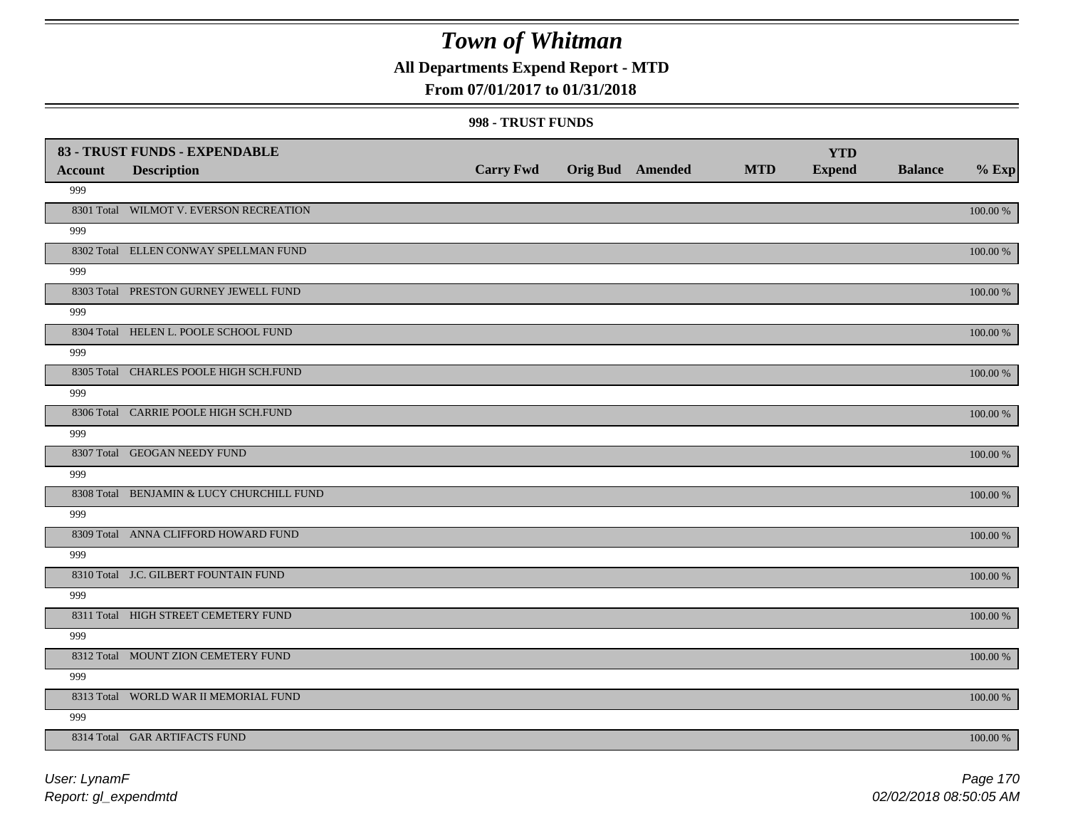## **All Departments Expend Report - MTD**

### **From 07/01/2017 to 01/31/2018**

#### **998 - TRUST FUNDS**

|                | 83 - TRUST FUNDS - EXPENDABLE             |                  |                         |            | <b>YTD</b>    |                |             |
|----------------|-------------------------------------------|------------------|-------------------------|------------|---------------|----------------|-------------|
| <b>Account</b> | <b>Description</b>                        | <b>Carry Fwd</b> | <b>Orig Bud Amended</b> | <b>MTD</b> | <b>Expend</b> | <b>Balance</b> | $%$ Exp     |
| 999            |                                           |                  |                         |            |               |                |             |
|                | 8301 Total WILMOT V. EVERSON RECREATION   |                  |                         |            |               |                | $100.00~\%$ |
| 999            |                                           |                  |                         |            |               |                |             |
|                | 8302 Total ELLEN CONWAY SPELLMAN FUND     |                  |                         |            |               |                | 100.00 %    |
| 999            |                                           |                  |                         |            |               |                |             |
|                | 8303 Total PRESTON GURNEY JEWELL FUND     |                  |                         |            |               |                | 100.00 %    |
| 999            |                                           |                  |                         |            |               |                |             |
|                | 8304 Total HELEN L. POOLE SCHOOL FUND     |                  |                         |            |               |                | 100.00 %    |
| 999            |                                           |                  |                         |            |               |                |             |
|                | 8305 Total CHARLES POOLE HIGH SCH.FUND    |                  |                         |            |               |                | 100.00 %    |
| 999            |                                           |                  |                         |            |               |                |             |
|                | 8306 Total CARRIE POOLE HIGH SCH.FUND     |                  |                         |            |               |                | 100.00 %    |
| 999            |                                           |                  |                         |            |               |                |             |
|                | 8307 Total GEOGAN NEEDY FUND              |                  |                         |            |               |                | 100.00 %    |
| 999            |                                           |                  |                         |            |               |                |             |
|                | 8308 Total BENJAMIN & LUCY CHURCHILL FUND |                  |                         |            |               |                | $100.00~\%$ |
| 999            |                                           |                  |                         |            |               |                |             |
|                | 8309 Total ANNA CLIFFORD HOWARD FUND      |                  |                         |            |               |                | $100.00~\%$ |
| 999            |                                           |                  |                         |            |               |                |             |
|                | 8310 Total J.C. GILBERT FOUNTAIN FUND     |                  |                         |            |               |                | 100.00 %    |
| 999            |                                           |                  |                         |            |               |                |             |
|                | 8311 Total HIGH STREET CEMETERY FUND      |                  |                         |            |               |                | 100.00 %    |
| 999            |                                           |                  |                         |            |               |                |             |
|                | 8312 Total MOUNT ZION CEMETERY FUND       |                  |                         |            |               |                | 100.00 %    |
| 999            |                                           |                  |                         |            |               |                |             |
|                | 8313 Total WORLD WAR II MEMORIAL FUND     |                  |                         |            |               |                | 100.00 %    |
| 999            |                                           |                  |                         |            |               |                |             |
|                | 8314 Total GAR ARTIFACTS FUND             |                  |                         |            |               |                | 100.00 %    |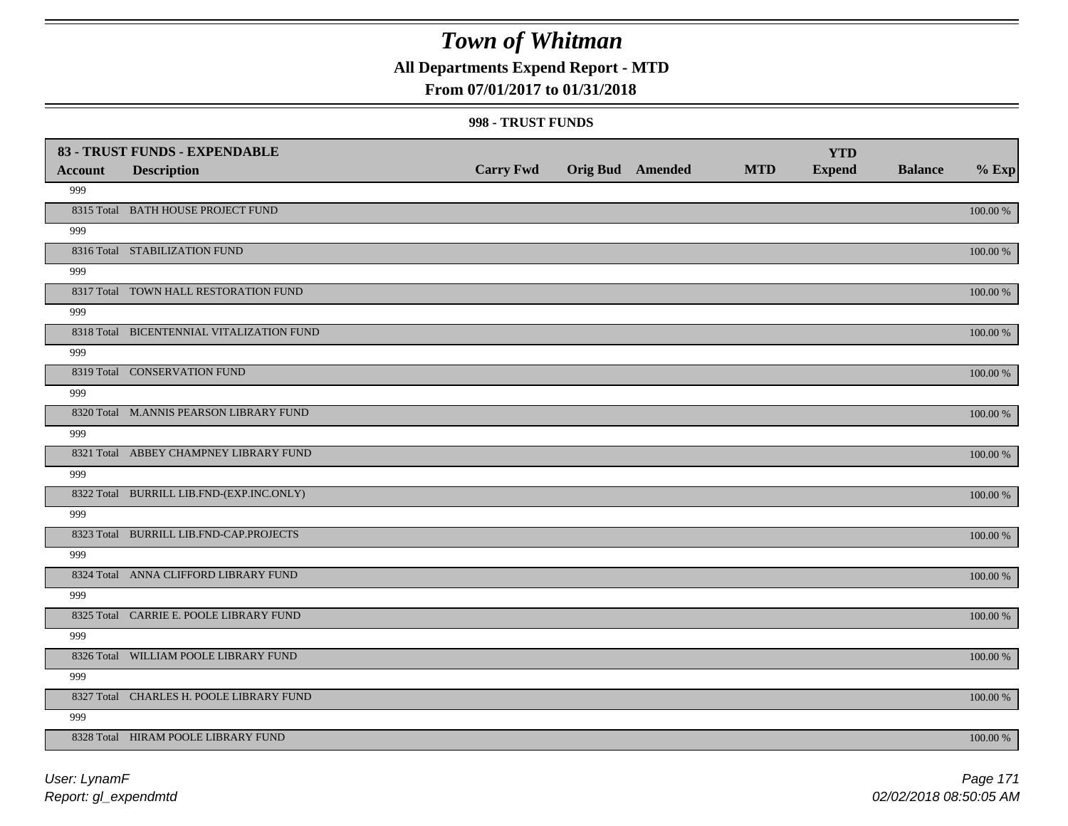## **All Departments Expend Report - MTD**

### **From 07/01/2017 to 01/31/2018**

#### **998 - TRUST FUNDS**

| <b>Account</b> | 83 - TRUST FUNDS - EXPENDABLE<br><b>Description</b> | <b>Carry Fwd</b> | <b>Orig Bud</b> Amended | <b>MTD</b> | <b>YTD</b><br><b>Expend</b> | <b>Balance</b> | $%$ Exp     |
|----------------|-----------------------------------------------------|------------------|-------------------------|------------|-----------------------------|----------------|-------------|
| 999            |                                                     |                  |                         |            |                             |                |             |
|                | 8315 Total BATH HOUSE PROJECT FUND                  |                  |                         |            |                             |                | 100.00 %    |
| 999            |                                                     |                  |                         |            |                             |                |             |
|                | 8316 Total STABILIZATION FUND                       |                  |                         |            |                             |                | 100.00 %    |
| 999            |                                                     |                  |                         |            |                             |                |             |
|                | 8317 Total TOWN HALL RESTORATION FUND               |                  |                         |            |                             |                | 100.00 %    |
| 999            |                                                     |                  |                         |            |                             |                |             |
|                | 8318 Total BICENTENNIAL VITALIZATION FUND           |                  |                         |            |                             |                | 100.00 %    |
| 999            |                                                     |                  |                         |            |                             |                |             |
|                | 8319 Total CONSERVATION FUND                        |                  |                         |            |                             |                | 100.00 %    |
| 999            |                                                     |                  |                         |            |                             |                |             |
|                | 8320 Total M.ANNIS PEARSON LIBRARY FUND             |                  |                         |            |                             |                | 100.00 %    |
| 999            |                                                     |                  |                         |            |                             |                |             |
|                | 8321 Total ABBEY CHAMPNEY LIBRARY FUND              |                  |                         |            |                             |                | 100.00 %    |
| 999            |                                                     |                  |                         |            |                             |                |             |
|                | 8322 Total BURRILL LIB.FND-(EXP.INC.ONLY)           |                  |                         |            |                             |                | 100.00 %    |
| 999            |                                                     |                  |                         |            |                             |                |             |
|                | 8323 Total BURRILL LIB.FND-CAP.PROJECTS             |                  |                         |            |                             |                | 100.00 %    |
| 999            |                                                     |                  |                         |            |                             |                |             |
|                | 8324 Total ANNA CLIFFORD LIBRARY FUND               |                  |                         |            |                             |                | 100.00 %    |
| 999            |                                                     |                  |                         |            |                             |                |             |
|                | 8325 Total CARRIE E. POOLE LIBRARY FUND             |                  |                         |            |                             |                | 100.00 %    |
| 999            |                                                     |                  |                         |            |                             |                |             |
|                | 8326 Total WILLIAM POOLE LIBRARY FUND               |                  |                         |            |                             |                | $100.00~\%$ |
| 999            |                                                     |                  |                         |            |                             |                |             |
|                | 8327 Total CHARLES H. POOLE LIBRARY FUND            |                  |                         |            |                             |                | 100.00 %    |
| 999            |                                                     |                  |                         |            |                             |                |             |
|                | 8328 Total HIRAM POOLE LIBRARY FUND                 |                  |                         |            |                             |                | 100.00 %    |

*Report: gl\_expendmtd User: LynamF*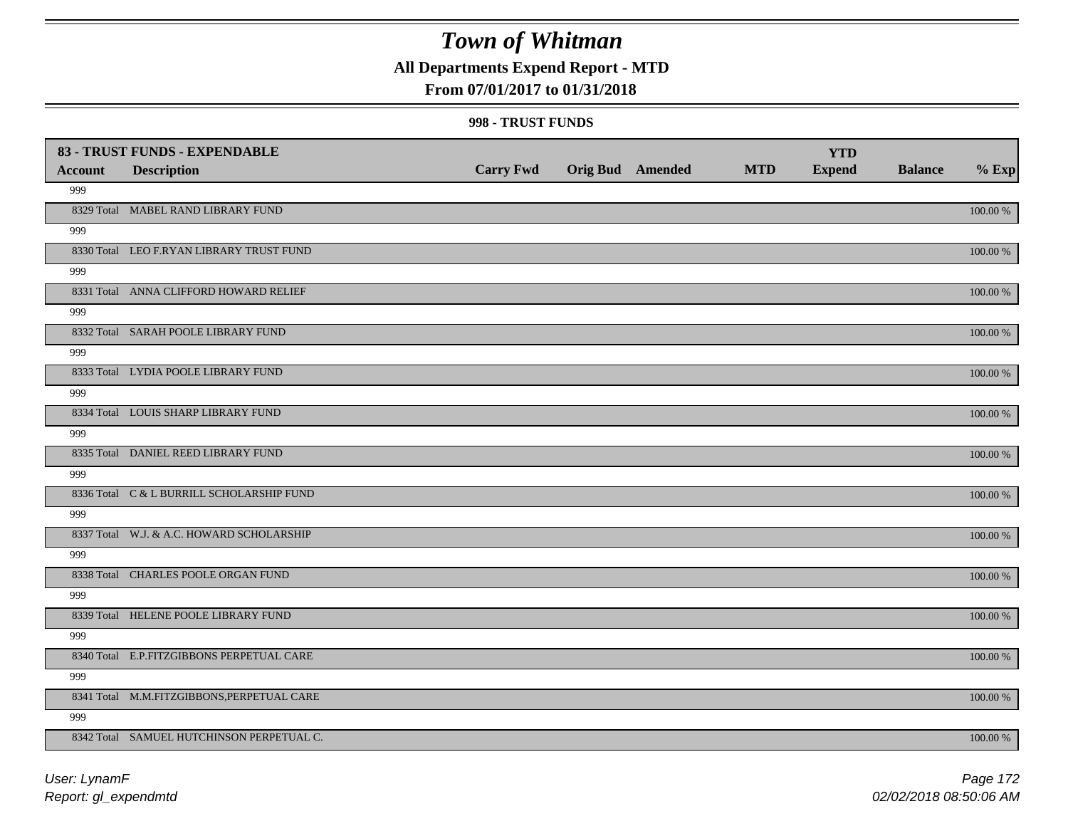**All Departments Expend Report - MTD**

### **From 07/01/2017 to 01/31/2018**

#### **998 - TRUST FUNDS**

| <b>Account</b> | 83 - TRUST FUNDS - EXPENDABLE<br><b>Description</b> | <b>Carry Fwd</b> | <b>Orig Bud</b> Amended | <b>MTD</b> | <b>YTD</b><br><b>Expend</b> | <b>Balance</b> | $%$ Exp     |
|----------------|-----------------------------------------------------|------------------|-------------------------|------------|-----------------------------|----------------|-------------|
| 999            |                                                     |                  |                         |            |                             |                |             |
|                | 8329 Total MABEL RAND LIBRARY FUND                  |                  |                         |            |                             |                | 100.00 %    |
| 999            |                                                     |                  |                         |            |                             |                |             |
|                | 8330 Total LEO F.RYAN LIBRARY TRUST FUND            |                  |                         |            |                             |                | 100.00 %    |
| 999            |                                                     |                  |                         |            |                             |                |             |
|                | 8331 Total ANNA CLIFFORD HOWARD RELIEF              |                  |                         |            |                             |                | 100.00 %    |
| 999            |                                                     |                  |                         |            |                             |                |             |
|                | 8332 Total SARAH POOLE LIBRARY FUND                 |                  |                         |            |                             |                | 100.00 %    |
| 999            |                                                     |                  |                         |            |                             |                |             |
|                | 8333 Total LYDIA POOLE LIBRARY FUND                 |                  |                         |            |                             |                | 100.00 %    |
| 999            |                                                     |                  |                         |            |                             |                |             |
|                | 8334 Total LOUIS SHARP LIBRARY FUND                 |                  |                         |            |                             |                | 100.00 %    |
| 999            |                                                     |                  |                         |            |                             |                |             |
|                | 8335 Total DANIEL REED LIBRARY FUND                 |                  |                         |            |                             |                | 100.00 %    |
| 999            |                                                     |                  |                         |            |                             |                |             |
|                | 8336 Total C & L BURRILL SCHOLARSHIP FUND           |                  |                         |            |                             |                | 100.00 %    |
| 999            |                                                     |                  |                         |            |                             |                |             |
|                | 8337 Total W.J. & A.C. HOWARD SCHOLARSHIP           |                  |                         |            |                             |                | 100.00 %    |
| 999            |                                                     |                  |                         |            |                             |                |             |
|                | 8338 Total CHARLES POOLE ORGAN FUND                 |                  |                         |            |                             |                | $100.00~\%$ |
| 999            |                                                     |                  |                         |            |                             |                |             |
|                | 8339 Total HELENE POOLE LIBRARY FUND                |                  |                         |            |                             |                | $100.00~\%$ |
| 999            |                                                     |                  |                         |            |                             |                |             |
|                | 8340 Total E.P.FITZGIBBONS PERPETUAL CARE           |                  |                         |            |                             |                | 100.00 %    |
| 999            |                                                     |                  |                         |            |                             |                |             |
|                | 8341 Total M.M.FITZGIBBONS, PERPETUAL CARE          |                  |                         |            |                             |                | 100.00 %    |
| 999            |                                                     |                  |                         |            |                             |                |             |
|                | 8342 Total SAMUEL HUTCHINSON PERPETUAL C.           |                  |                         |            |                             |                | 100.00 %    |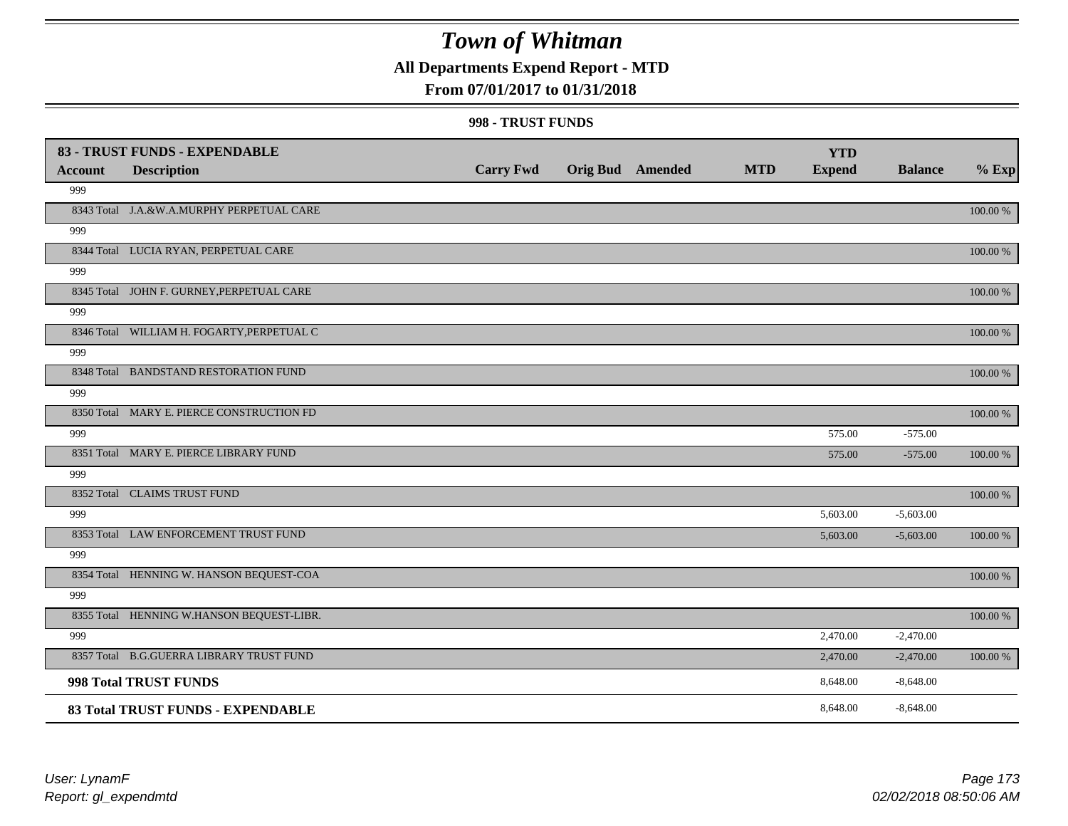## **All Departments Expend Report - MTD**

### **From 07/01/2017 to 01/31/2018**

#### **998 - TRUST FUNDS**

| <b>Account</b> | 83 - TRUST FUNDS - EXPENDABLE<br><b>Description</b> | <b>Carry Fwd</b> | Orig Bud Amended | <b>MTD</b> | <b>YTD</b><br><b>Expend</b> | <b>Balance</b> | $%$ Exp     |
|----------------|-----------------------------------------------------|------------------|------------------|------------|-----------------------------|----------------|-------------|
| 999            |                                                     |                  |                  |            |                             |                |             |
|                | 8343 Total J.A.&W.A.MURPHY PERPETUAL CARE           |                  |                  |            |                             |                | 100.00 %    |
| 999            |                                                     |                  |                  |            |                             |                |             |
|                | 8344 Total LUCIA RYAN, PERPETUAL CARE               |                  |                  |            |                             |                | 100.00 %    |
| 999            |                                                     |                  |                  |            |                             |                |             |
|                | 8345 Total JOHN F. GURNEY, PERPETUAL CARE           |                  |                  |            |                             |                | 100.00 %    |
| 999            |                                                     |                  |                  |            |                             |                |             |
|                | 8346 Total WILLIAM H. FOGARTY, PERPETUAL C          |                  |                  |            |                             |                | 100.00 %    |
| 999            |                                                     |                  |                  |            |                             |                |             |
|                | 8348 Total BANDSTAND RESTORATION FUND               |                  |                  |            |                             |                | 100.00 %    |
| 999            |                                                     |                  |                  |            |                             |                |             |
|                | 8350 Total MARY E. PIERCE CONSTRUCTION FD           |                  |                  |            |                             |                | 100.00 %    |
| 999            |                                                     |                  |                  |            | 575.00                      | $-575.00$      |             |
|                | 8351 Total MARY E. PIERCE LIBRARY FUND              |                  |                  |            | 575.00                      | $-575.00$      | 100.00 %    |
| 999            |                                                     |                  |                  |            |                             |                |             |
|                | 8352 Total CLAIMS TRUST FUND                        |                  |                  |            |                             |                | 100.00 %    |
| 999            |                                                     |                  |                  |            | 5,603.00                    | $-5,603.00$    |             |
|                | 8353 Total LAW ENFORCEMENT TRUST FUND               |                  |                  |            | 5,603.00                    | $-5,603.00$    | 100.00 %    |
| 999            |                                                     |                  |                  |            |                             |                |             |
|                | 8354 Total HENNING W. HANSON BEQUEST-COA            |                  |                  |            |                             |                | $100.00~\%$ |
| 999            |                                                     |                  |                  |            |                             |                |             |
|                | 8355 Total HENNING W.HANSON BEQUEST-LIBR.           |                  |                  |            |                             |                | 100.00 %    |
| 999            |                                                     |                  |                  |            | 2,470.00                    | $-2,470.00$    |             |
|                | 8357 Total B.G.GUERRA LIBRARY TRUST FUND            |                  |                  |            | 2,470.00                    | $-2,470.00$    | 100.00 %    |
|                | 998 Total TRUST FUNDS                               |                  |                  |            | 8,648.00                    | $-8,648.00$    |             |
|                | 83 Total TRUST FUNDS - EXPENDABLE                   |                  |                  |            | 8,648.00                    | $-8,648.00$    |             |

*Report: gl\_expendmtd User: LynamF*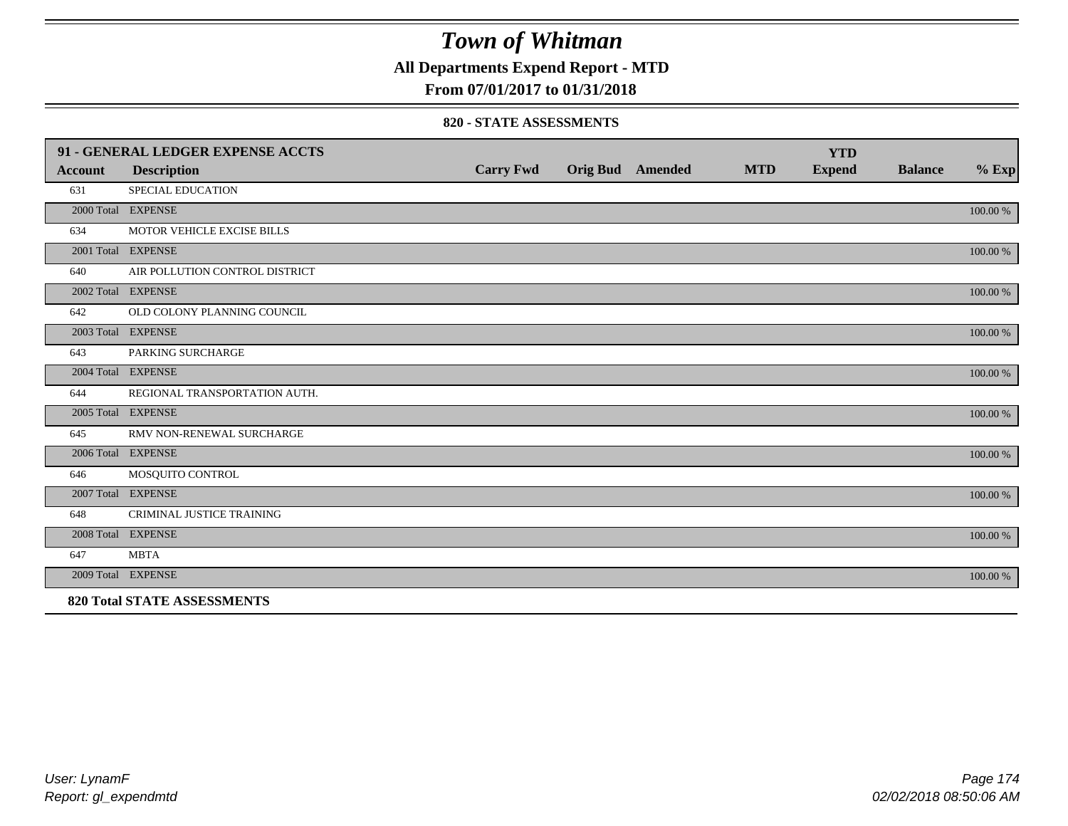**All Departments Expend Report - MTD**

### **From 07/01/2017 to 01/31/2018**

#### **820 - STATE ASSESSMENTS**

|                | 91 - GENERAL LEDGER EXPENSE ACCTS  |                  |                         |            | <b>YTD</b>    |                |          |
|----------------|------------------------------------|------------------|-------------------------|------------|---------------|----------------|----------|
| <b>Account</b> | <b>Description</b>                 | <b>Carry Fwd</b> | <b>Orig Bud</b> Amended | <b>MTD</b> | <b>Expend</b> | <b>Balance</b> | $%$ Exp  |
| 631            | SPECIAL EDUCATION                  |                  |                         |            |               |                |          |
|                | 2000 Total EXPENSE                 |                  |                         |            |               |                | 100.00 % |
| 634            | MOTOR VEHICLE EXCISE BILLS         |                  |                         |            |               |                |          |
|                | 2001 Total EXPENSE                 |                  |                         |            |               |                | 100.00 % |
| 640            | AIR POLLUTION CONTROL DISTRICT     |                  |                         |            |               |                |          |
|                | 2002 Total EXPENSE                 |                  |                         |            |               |                | 100.00 % |
| 642            | OLD COLONY PLANNING COUNCIL        |                  |                         |            |               |                |          |
|                | 2003 Total EXPENSE                 |                  |                         |            |               |                | 100.00 % |
| 643            | PARKING SURCHARGE                  |                  |                         |            |               |                |          |
|                | 2004 Total EXPENSE                 |                  |                         |            |               |                | 100.00 % |
| 644            | REGIONAL TRANSPORTATION AUTH.      |                  |                         |            |               |                |          |
|                | 2005 Total EXPENSE                 |                  |                         |            |               |                | 100.00 % |
| 645            | RMV NON-RENEWAL SURCHARGE          |                  |                         |            |               |                |          |
|                | 2006 Total EXPENSE                 |                  |                         |            |               |                | 100.00 % |
| 646            | MOSQUITO CONTROL                   |                  |                         |            |               |                |          |
|                | 2007 Total EXPENSE                 |                  |                         |            |               |                | 100.00 % |
| 648            | <b>CRIMINAL JUSTICE TRAINING</b>   |                  |                         |            |               |                |          |
|                | 2008 Total EXPENSE                 |                  |                         |            |               |                | 100.00 % |
| 647            | <b>MBTA</b>                        |                  |                         |            |               |                |          |
|                | 2009 Total EXPENSE                 |                  |                         |            |               |                | 100.00 % |
|                | <b>820 Total STATE ASSESSMENTS</b> |                  |                         |            |               |                |          |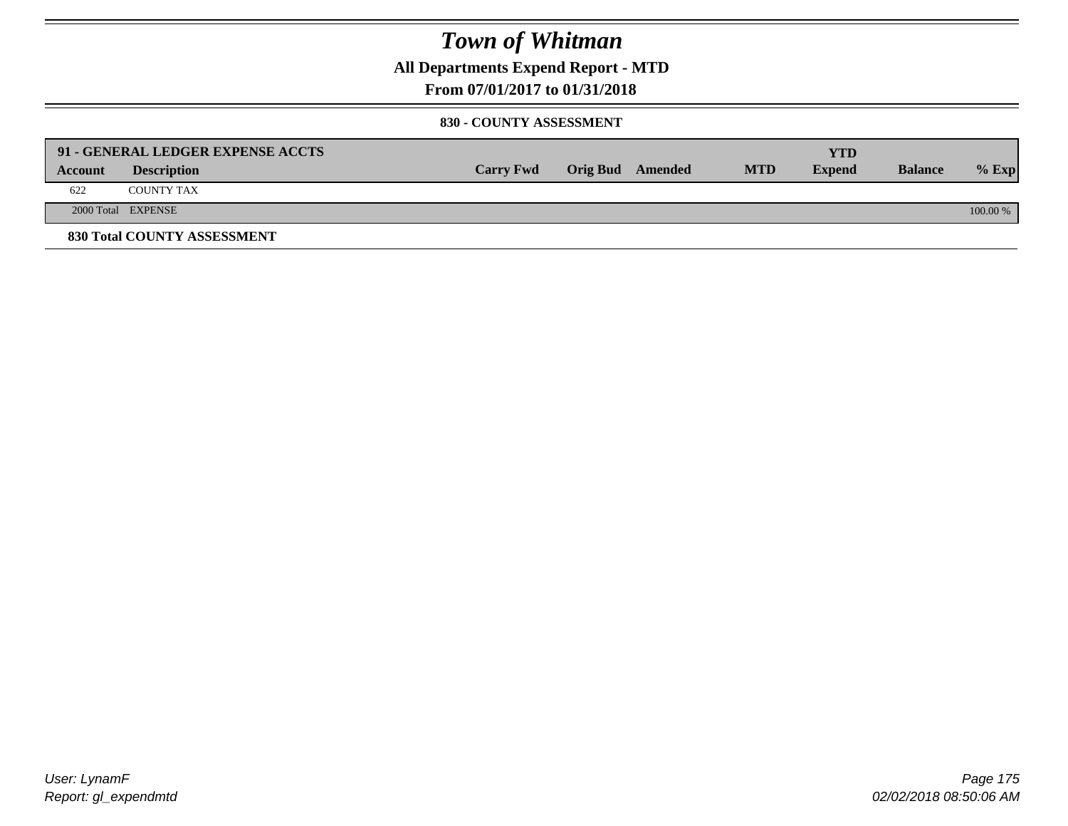**All Departments Expend Report - MTD**

### **From 07/01/2017 to 01/31/2018**

#### **830 - COUNTY ASSESSMENT**

|         | 91 - GENERAL LEDGER EXPENSE ACCTS |                  |                         |            | YTD           |                |            |
|---------|-----------------------------------|------------------|-------------------------|------------|---------------|----------------|------------|
| Account | <b>Description</b>                | <b>Carry Fwd</b> | <b>Orig Bud</b> Amended | <b>MTD</b> | <b>Expend</b> | <b>Balance</b> | $%$ Exp    |
| 622     | <b>COUNTY TAX</b>                 |                  |                         |            |               |                |            |
|         | 2000 Total EXPENSE                |                  |                         |            |               |                | $100.00\%$ |
|         | 830 Total COUNTY ASSESSMENT       |                  |                         |            |               |                |            |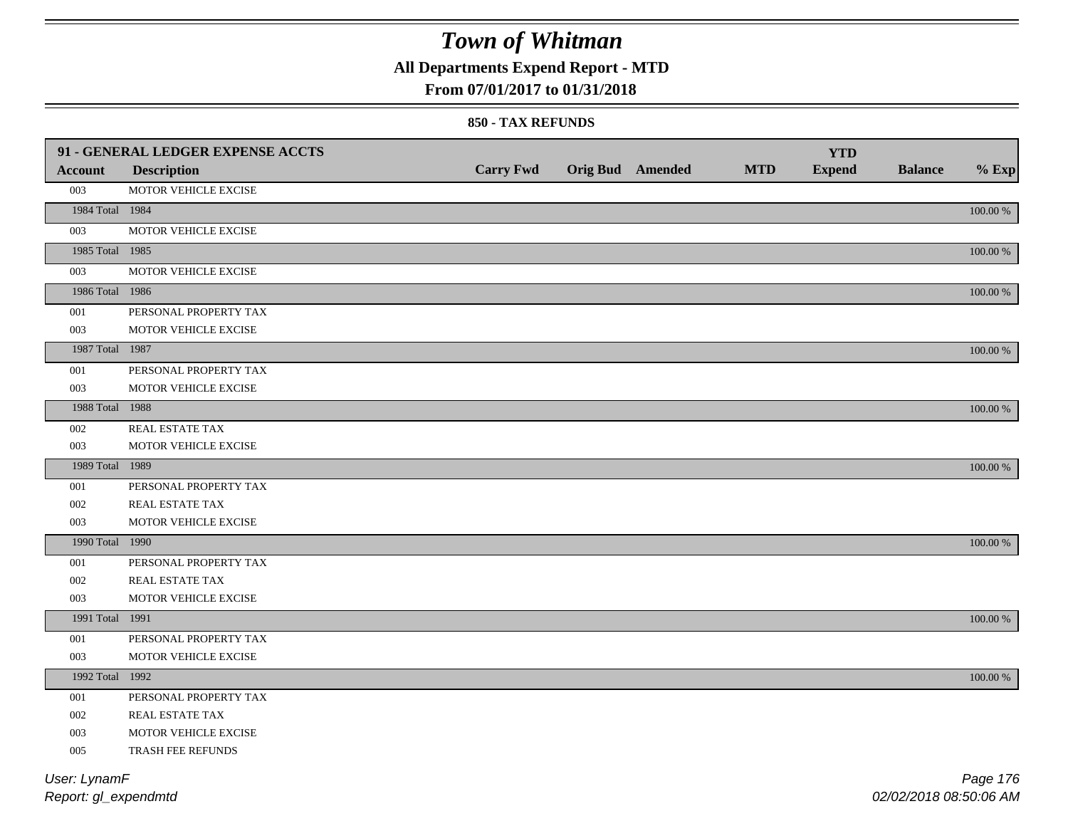**All Departments Expend Report - MTD**

### **From 07/01/2017 to 01/31/2018**

#### **850 - TAX REFUNDS**

|                 | 91 - GENERAL LEDGER EXPENSE ACCTS |                  |                  |            | <b>YTD</b>    |                |             |
|-----------------|-----------------------------------|------------------|------------------|------------|---------------|----------------|-------------|
| <b>Account</b>  | <b>Description</b>                | <b>Carry Fwd</b> | Orig Bud Amended | <b>MTD</b> | <b>Expend</b> | <b>Balance</b> | $%$ Exp     |
| 003             | MOTOR VEHICLE EXCISE              |                  |                  |            |               |                |             |
| 1984 Total 1984 |                                   |                  |                  |            |               |                | $100.00~\%$ |
| 003             | MOTOR VEHICLE EXCISE              |                  |                  |            |               |                |             |
| 1985 Total 1985 |                                   |                  |                  |            |               |                | 100.00 %    |
| 003             | MOTOR VEHICLE EXCISE              |                  |                  |            |               |                |             |
| 1986 Total 1986 |                                   |                  |                  |            |               |                | 100.00 %    |
| 001             | PERSONAL PROPERTY TAX             |                  |                  |            |               |                |             |
| 003             | MOTOR VEHICLE EXCISE              |                  |                  |            |               |                |             |
| 1987 Total 1987 |                                   |                  |                  |            |               |                | $100.00~\%$ |
| 001             | PERSONAL PROPERTY TAX             |                  |                  |            |               |                |             |
| 003             | MOTOR VEHICLE EXCISE              |                  |                  |            |               |                |             |
| 1988 Total 1988 |                                   |                  |                  |            |               |                | 100.00 %    |
| 002             | REAL ESTATE TAX                   |                  |                  |            |               |                |             |
| 003             | MOTOR VEHICLE EXCISE              |                  |                  |            |               |                |             |
| 1989 Total 1989 |                                   |                  |                  |            |               |                | 100.00 %    |
| 001             | PERSONAL PROPERTY TAX             |                  |                  |            |               |                |             |
| 002             | REAL ESTATE TAX                   |                  |                  |            |               |                |             |
| 003             | MOTOR VEHICLE EXCISE              |                  |                  |            |               |                |             |
| 1990 Total 1990 |                                   |                  |                  |            |               |                | 100.00 %    |
| 001             | PERSONAL PROPERTY TAX             |                  |                  |            |               |                |             |
| 002             | REAL ESTATE TAX                   |                  |                  |            |               |                |             |
| 003             | MOTOR VEHICLE EXCISE              |                  |                  |            |               |                |             |
| 1991 Total 1991 |                                   |                  |                  |            |               |                | 100.00 %    |
| 001             | PERSONAL PROPERTY TAX             |                  |                  |            |               |                |             |
| 003             | MOTOR VEHICLE EXCISE              |                  |                  |            |               |                |             |
| 1992 Total 1992 |                                   |                  |                  |            |               |                | 100.00 %    |
| 001             | PERSONAL PROPERTY TAX             |                  |                  |            |               |                |             |
| 002             | REAL ESTATE TAX                   |                  |                  |            |               |                |             |
| 003             | MOTOR VEHICLE EXCISE              |                  |                  |            |               |                |             |
| 005             | TRASH FEE REFUNDS                 |                  |                  |            |               |                |             |
| User: LynamF    |                                   |                  |                  |            |               |                | Page 176    |

*Report: gl\_expendmtd*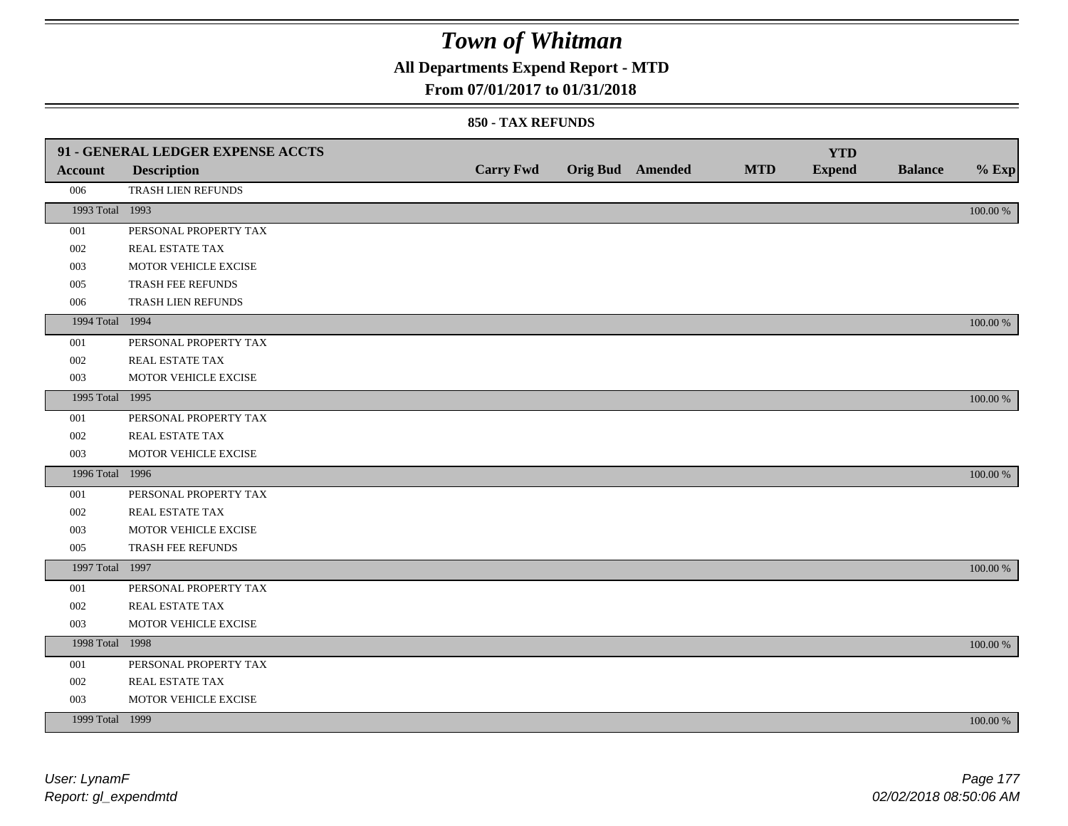**All Departments Expend Report - MTD**

### **From 07/01/2017 to 01/31/2018**

|                 | 91 - GENERAL LEDGER EXPENSE ACCTS |                  |                         |            | <b>YTD</b>    |                |          |
|-----------------|-----------------------------------|------------------|-------------------------|------------|---------------|----------------|----------|
| <b>Account</b>  | <b>Description</b>                | <b>Carry Fwd</b> | <b>Orig Bud</b> Amended | <b>MTD</b> | <b>Expend</b> | <b>Balance</b> | $%$ Exp  |
| 006             | TRASH LIEN REFUNDS                |                  |                         |            |               |                |          |
| 1993 Total 1993 |                                   |                  |                         |            |               |                | 100.00 % |
| 001             | PERSONAL PROPERTY TAX             |                  |                         |            |               |                |          |
| 002             | REAL ESTATE TAX                   |                  |                         |            |               |                |          |
| 003             | MOTOR VEHICLE EXCISE              |                  |                         |            |               |                |          |
| 005             | TRASH FEE REFUNDS                 |                  |                         |            |               |                |          |
| 006             | TRASH LIEN REFUNDS                |                  |                         |            |               |                |          |
| 1994 Total 1994 |                                   |                  |                         |            |               |                | 100.00 % |
| 001             | PERSONAL PROPERTY TAX             |                  |                         |            |               |                |          |
| 002             | REAL ESTATE TAX                   |                  |                         |            |               |                |          |
| 003             | MOTOR VEHICLE EXCISE              |                  |                         |            |               |                |          |
| 1995 Total 1995 |                                   |                  |                         |            |               |                | 100.00 % |
| 001             | PERSONAL PROPERTY TAX             |                  |                         |            |               |                |          |
| 002             | REAL ESTATE TAX                   |                  |                         |            |               |                |          |
| 003             | MOTOR VEHICLE EXCISE              |                  |                         |            |               |                |          |
| 1996 Total 1996 |                                   |                  |                         |            |               |                | 100.00 % |
| 001             | PERSONAL PROPERTY TAX             |                  |                         |            |               |                |          |
| 002             | REAL ESTATE TAX                   |                  |                         |            |               |                |          |
| 003             | MOTOR VEHICLE EXCISE              |                  |                         |            |               |                |          |
| 005             | TRASH FEE REFUNDS                 |                  |                         |            |               |                |          |
| 1997 Total 1997 |                                   |                  |                         |            |               |                | 100.00 % |
| 001             | PERSONAL PROPERTY TAX             |                  |                         |            |               |                |          |
| 002             | REAL ESTATE TAX                   |                  |                         |            |               |                |          |
| 003             | MOTOR VEHICLE EXCISE              |                  |                         |            |               |                |          |
| 1998 Total 1998 |                                   |                  |                         |            |               |                | 100.00 % |
| 001             | PERSONAL PROPERTY TAX             |                  |                         |            |               |                |          |
| 002             | REAL ESTATE TAX                   |                  |                         |            |               |                |          |
| 003             | MOTOR VEHICLE EXCISE              |                  |                         |            |               |                |          |
| 1999 Total 1999 |                                   |                  |                         |            |               |                | 100.00 % |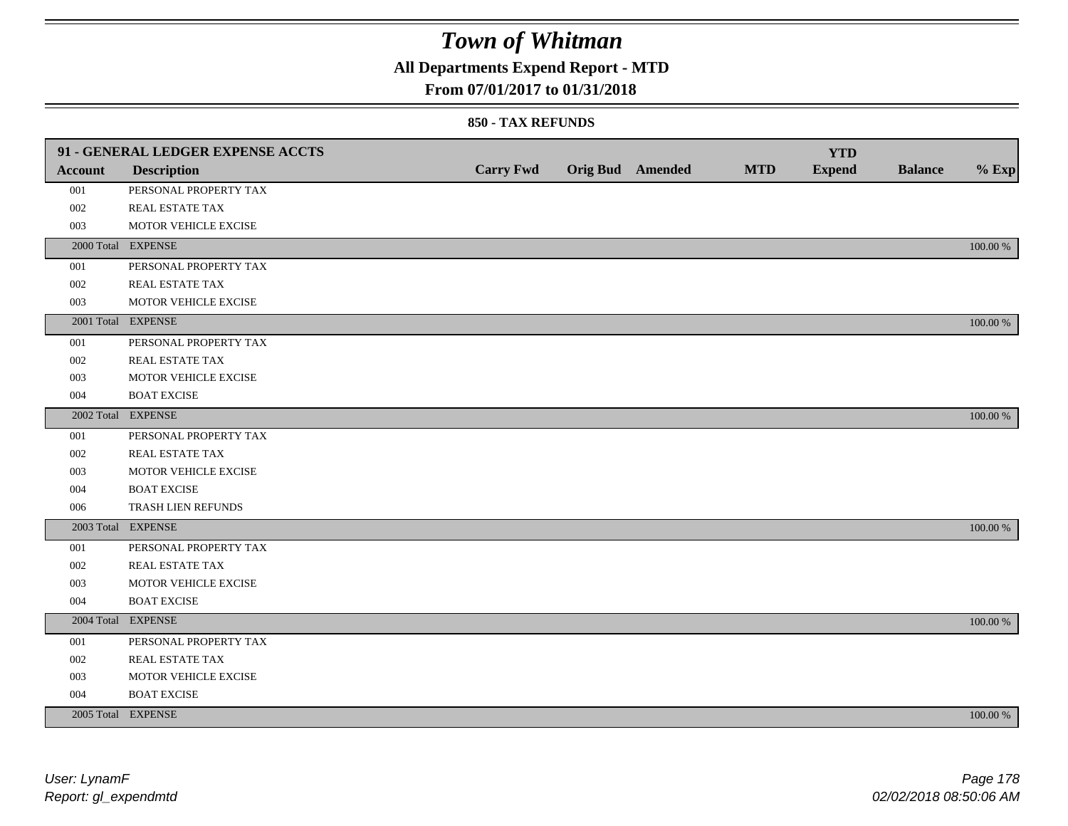## **All Departments Expend Report - MTD**

### **From 07/01/2017 to 01/31/2018**

|                | 91 - GENERAL LEDGER EXPENSE ACCTS |                  |                         |            | <b>YTD</b>    |                |          |
|----------------|-----------------------------------|------------------|-------------------------|------------|---------------|----------------|----------|
| <b>Account</b> | <b>Description</b>                | <b>Carry Fwd</b> | <b>Orig Bud</b> Amended | <b>MTD</b> | <b>Expend</b> | <b>Balance</b> | $%$ Exp  |
| 001            | PERSONAL PROPERTY TAX             |                  |                         |            |               |                |          |
| 002            | REAL ESTATE TAX                   |                  |                         |            |               |                |          |
| 003            | MOTOR VEHICLE EXCISE              |                  |                         |            |               |                |          |
|                | 2000 Total EXPENSE                |                  |                         |            |               |                | 100.00 % |
| 001            | PERSONAL PROPERTY TAX             |                  |                         |            |               |                |          |
| 002            | REAL ESTATE TAX                   |                  |                         |            |               |                |          |
| 003            | MOTOR VEHICLE EXCISE              |                  |                         |            |               |                |          |
|                | 2001 Total EXPENSE                |                  |                         |            |               |                | 100.00 % |
| 001            | PERSONAL PROPERTY TAX             |                  |                         |            |               |                |          |
| 002            | REAL ESTATE TAX                   |                  |                         |            |               |                |          |
| 003            | MOTOR VEHICLE EXCISE              |                  |                         |            |               |                |          |
| 004            | <b>BOAT EXCISE</b>                |                  |                         |            |               |                |          |
|                | 2002 Total EXPENSE                |                  |                         |            |               |                | 100.00 % |
| 001            | PERSONAL PROPERTY TAX             |                  |                         |            |               |                |          |
| 002            | REAL ESTATE TAX                   |                  |                         |            |               |                |          |
| 003            | MOTOR VEHICLE EXCISE              |                  |                         |            |               |                |          |
| 004            | <b>BOAT EXCISE</b>                |                  |                         |            |               |                |          |
| 006            | TRASH LIEN REFUNDS                |                  |                         |            |               |                |          |
|                | 2003 Total EXPENSE                |                  |                         |            |               |                | 100.00 % |
| 001            | PERSONAL PROPERTY TAX             |                  |                         |            |               |                |          |
| 002            | REAL ESTATE TAX                   |                  |                         |            |               |                |          |
| 003            | MOTOR VEHICLE EXCISE              |                  |                         |            |               |                |          |
| 004            | <b>BOAT EXCISE</b>                |                  |                         |            |               |                |          |
|                | 2004 Total EXPENSE                |                  |                         |            |               |                | 100.00 % |
| 001            | PERSONAL PROPERTY TAX             |                  |                         |            |               |                |          |
| 002            | REAL ESTATE TAX                   |                  |                         |            |               |                |          |
| 003            | MOTOR VEHICLE EXCISE              |                  |                         |            |               |                |          |
| 004            | <b>BOAT EXCISE</b>                |                  |                         |            |               |                |          |
|                | 2005 Total EXPENSE                |                  |                         |            |               |                | 100.00 % |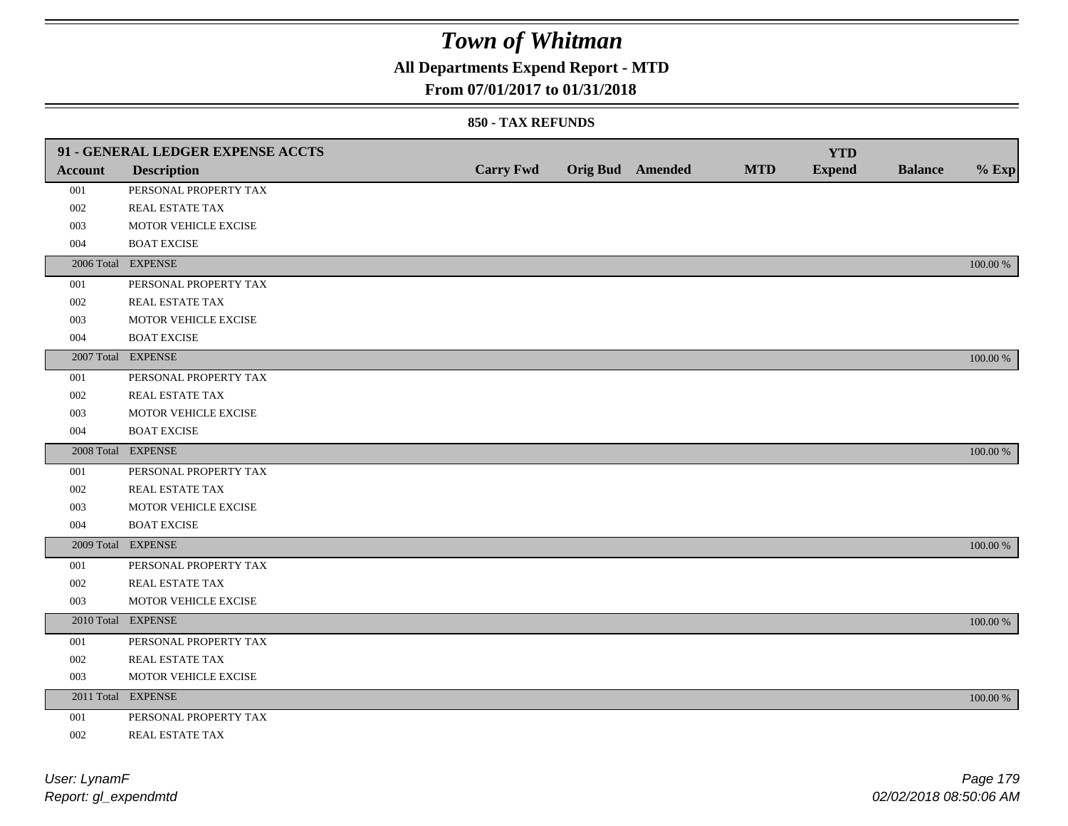## **All Departments Expend Report - MTD**

### **From 07/01/2017 to 01/31/2018**

|                | 91 - GENERAL LEDGER EXPENSE ACCTS |                  |                  |            | <b>YTD</b>    |                |             |
|----------------|-----------------------------------|------------------|------------------|------------|---------------|----------------|-------------|
| <b>Account</b> | <b>Description</b>                | <b>Carry Fwd</b> | Orig Bud Amended | <b>MTD</b> | <b>Expend</b> | <b>Balance</b> | $%$ Exp     |
| 001            | PERSONAL PROPERTY TAX             |                  |                  |            |               |                |             |
| 002            | REAL ESTATE TAX                   |                  |                  |            |               |                |             |
| 003            | MOTOR VEHICLE EXCISE              |                  |                  |            |               |                |             |
| 004            | <b>BOAT EXCISE</b>                |                  |                  |            |               |                |             |
|                | 2006 Total EXPENSE                |                  |                  |            |               |                | 100.00 %    |
| 001            | PERSONAL PROPERTY TAX             |                  |                  |            |               |                |             |
| 002            | REAL ESTATE TAX                   |                  |                  |            |               |                |             |
| 003            | MOTOR VEHICLE EXCISE              |                  |                  |            |               |                |             |
| 004            | <b>BOAT EXCISE</b>                |                  |                  |            |               |                |             |
|                | 2007 Total EXPENSE                |                  |                  |            |               |                | $100.00\%$  |
| 001            | PERSONAL PROPERTY TAX             |                  |                  |            |               |                |             |
| 002            | REAL ESTATE TAX                   |                  |                  |            |               |                |             |
| 003            | MOTOR VEHICLE EXCISE              |                  |                  |            |               |                |             |
| 004            | <b>BOAT EXCISE</b>                |                  |                  |            |               |                |             |
|                | 2008 Total EXPENSE                |                  |                  |            |               |                | 100.00 %    |
| 001            | PERSONAL PROPERTY TAX             |                  |                  |            |               |                |             |
| 002            | REAL ESTATE TAX                   |                  |                  |            |               |                |             |
| 003            | MOTOR VEHICLE EXCISE              |                  |                  |            |               |                |             |
| 004            | <b>BOAT EXCISE</b>                |                  |                  |            |               |                |             |
|                | 2009 Total EXPENSE                |                  |                  |            |               |                | 100.00 %    |
| 001            | PERSONAL PROPERTY TAX             |                  |                  |            |               |                |             |
| 002            | REAL ESTATE TAX                   |                  |                  |            |               |                |             |
| 003            | MOTOR VEHICLE EXCISE              |                  |                  |            |               |                |             |
|                | 2010 Total EXPENSE                |                  |                  |            |               |                | $100.00~\%$ |
| 001            | PERSONAL PROPERTY TAX             |                  |                  |            |               |                |             |
| 002            | REAL ESTATE TAX                   |                  |                  |            |               |                |             |
| 003            | MOTOR VEHICLE EXCISE              |                  |                  |            |               |                |             |
|                | 2011 Total EXPENSE                |                  |                  |            |               |                | 100.00 %    |
| 001            | PERSONAL PROPERTY TAX             |                  |                  |            |               |                |             |
| 002            | REAL ESTATE TAX                   |                  |                  |            |               |                |             |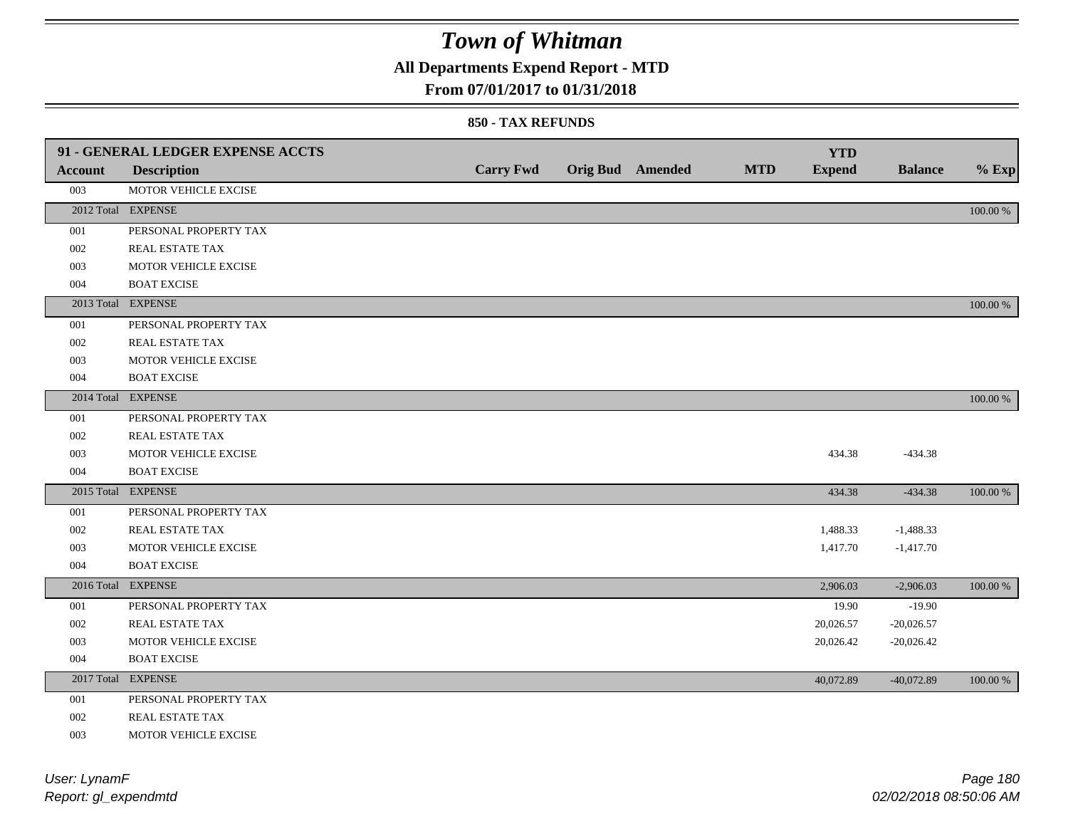## **All Departments Expend Report - MTD**

#### **From 07/01/2017 to 01/31/2018**

#### **850 - TAX REFUNDS**

|         | 91 - GENERAL LEDGER EXPENSE ACCTS |                  |                         |            | <b>YTD</b>    |                |          |
|---------|-----------------------------------|------------------|-------------------------|------------|---------------|----------------|----------|
| Account | <b>Description</b>                | <b>Carry Fwd</b> | <b>Orig Bud</b> Amended | <b>MTD</b> | <b>Expend</b> | <b>Balance</b> | $%$ Exp  |
| 003     | MOTOR VEHICLE EXCISE              |                  |                         |            |               |                |          |
|         | 2012 Total EXPENSE                |                  |                         |            |               |                | 100.00 % |
| 001     | PERSONAL PROPERTY TAX             |                  |                         |            |               |                |          |
| 002     | REAL ESTATE TAX                   |                  |                         |            |               |                |          |
| 003     | MOTOR VEHICLE EXCISE              |                  |                         |            |               |                |          |
| 004     | <b>BOAT EXCISE</b>                |                  |                         |            |               |                |          |
|         | 2013 Total EXPENSE                |                  |                         |            |               |                | 100.00 % |
| 001     | PERSONAL PROPERTY TAX             |                  |                         |            |               |                |          |
| 002     | <b>REAL ESTATE TAX</b>            |                  |                         |            |               |                |          |
| 003     | MOTOR VEHICLE EXCISE              |                  |                         |            |               |                |          |
| 004     | <b>BOAT EXCISE</b>                |                  |                         |            |               |                |          |
|         | 2014 Total EXPENSE                |                  |                         |            |               |                | 100.00 % |
| 001     | PERSONAL PROPERTY TAX             |                  |                         |            |               |                |          |
| 002     | REAL ESTATE TAX                   |                  |                         |            |               |                |          |
| 003     | MOTOR VEHICLE EXCISE              |                  |                         |            | 434.38        | $-434.38$      |          |
| 004     | <b>BOAT EXCISE</b>                |                  |                         |            |               |                |          |
|         | 2015 Total EXPENSE                |                  |                         |            | 434.38        | $-434.38$      | 100.00 % |
| 001     | PERSONAL PROPERTY TAX             |                  |                         |            |               |                |          |
| 002     | REAL ESTATE TAX                   |                  |                         |            | 1,488.33      | $-1,488.33$    |          |
| 003     | MOTOR VEHICLE EXCISE              |                  |                         |            | 1,417.70      | $-1,417.70$    |          |
| 004     | <b>BOAT EXCISE</b>                |                  |                         |            |               |                |          |
|         | 2016 Total EXPENSE                |                  |                         |            | 2,906.03      | $-2,906.03$    | 100.00 % |
| 001     | PERSONAL PROPERTY TAX             |                  |                         |            | 19.90         | $-19.90$       |          |
| 002     | REAL ESTATE TAX                   |                  |                         |            | 20,026.57     | $-20,026.57$   |          |
| 003     | MOTOR VEHICLE EXCISE              |                  |                         |            | 20,026.42     | $-20,026.42$   |          |
| 004     | <b>BOAT EXCISE</b>                |                  |                         |            |               |                |          |
|         | 2017 Total EXPENSE                |                  |                         |            | 40,072.89     | $-40,072.89$   | 100.00 % |
| 001     | PERSONAL PROPERTY TAX             |                  |                         |            |               |                |          |
| 002     | REAL ESTATE TAX                   |                  |                         |            |               |                |          |
| 003     | MOTOR VEHICLE EXCISE              |                  |                         |            |               |                |          |

*Report: gl\_expendmtd User: LynamF*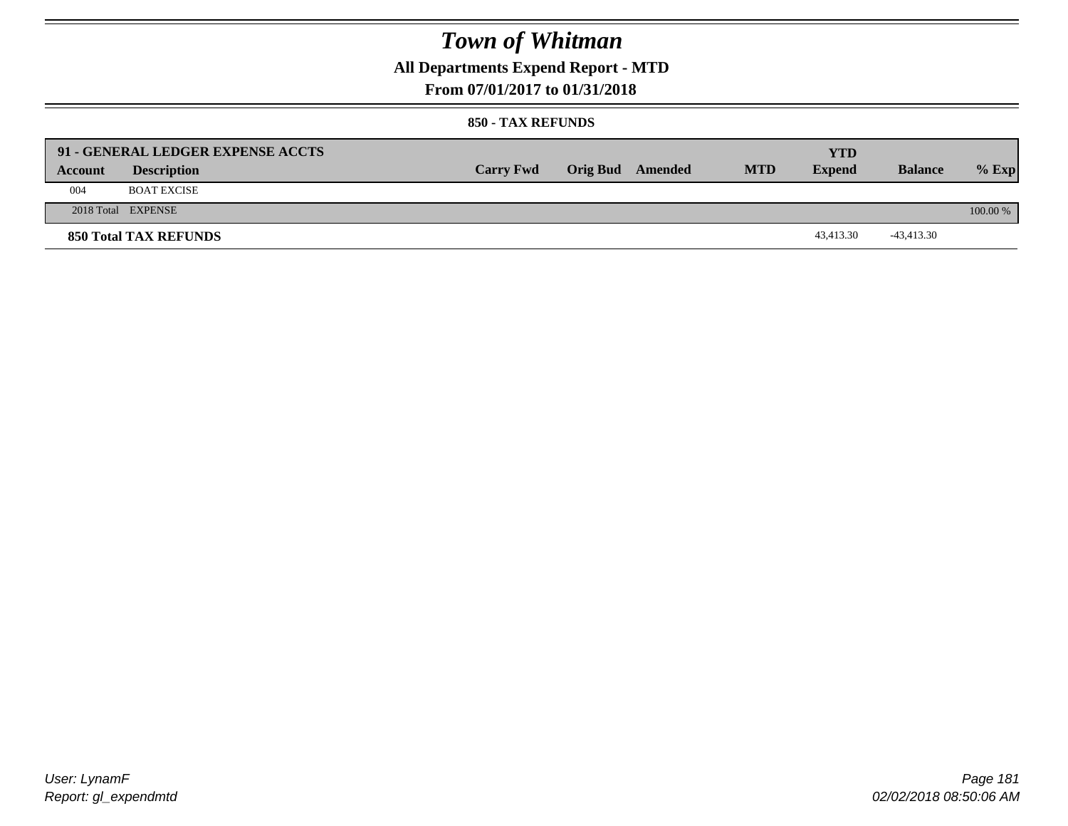**All Departments Expend Report - MTD**

### **From 07/01/2017 to 01/31/2018**

#### **850 - TAX REFUNDS**

| Account | 91 - GENERAL LEDGER EXPENSE ACCTS<br><b>Description</b> | <b>Carry Fwd</b> | <b>Orig Bud</b> Amended | <b>MTD</b> | <b>YTD</b><br><b>Expend</b> | <b>Balance</b> | $%$ Exp    |
|---------|---------------------------------------------------------|------------------|-------------------------|------------|-----------------------------|----------------|------------|
| 004     | <b>BOAT EXCISE</b>                                      |                  |                         |            |                             |                |            |
|         | 2018 Total EXPENSE                                      |                  |                         |            |                             |                | $100.00\%$ |
|         | 850 Total TAX REFUNDS                                   |                  |                         |            | 43.413.30                   | -43,413.30     |            |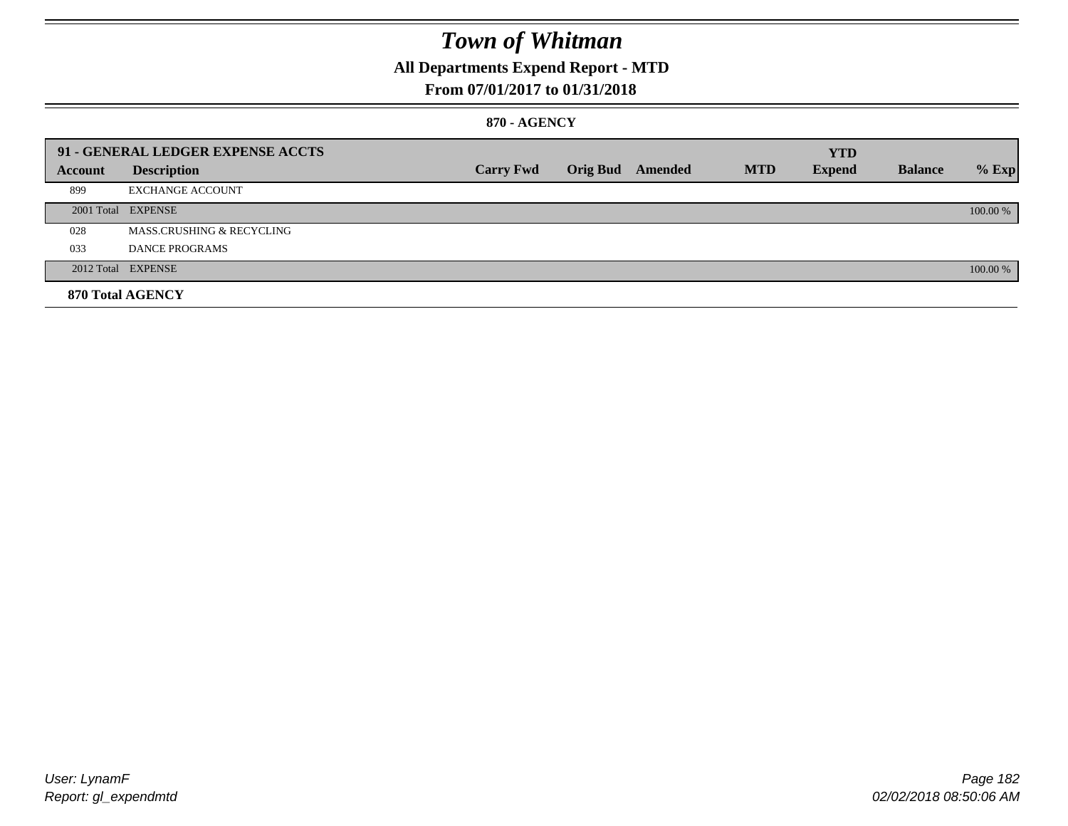## **All Departments Expend Report - MTD**

### **From 07/01/2017 to 01/31/2018**

#### **870 - AGENCY**

|         | 91 - GENERAL LEDGER EXPENSE ACCTS    |                  |                         |            | <b>YTD</b>    |                |          |
|---------|--------------------------------------|------------------|-------------------------|------------|---------------|----------------|----------|
| Account | <b>Description</b>                   | <b>Carry Fwd</b> | <b>Orig Bud</b> Amended | <b>MTD</b> | <b>Expend</b> | <b>Balance</b> | $%$ Exp  |
| 899     | <b>EXCHANGE ACCOUNT</b>              |                  |                         |            |               |                |          |
|         | 2001 Total EXPENSE                   |                  |                         |            |               |                | 100.00 % |
| 028     | <b>MASS.CRUSHING &amp; RECYCLING</b> |                  |                         |            |               |                |          |
| 033     | DANCE PROGRAMS                       |                  |                         |            |               |                |          |
|         | 2012 Total EXPENSE                   |                  |                         |            |               |                | 100.00 % |
|         | 870 Total AGENCY                     |                  |                         |            |               |                |          |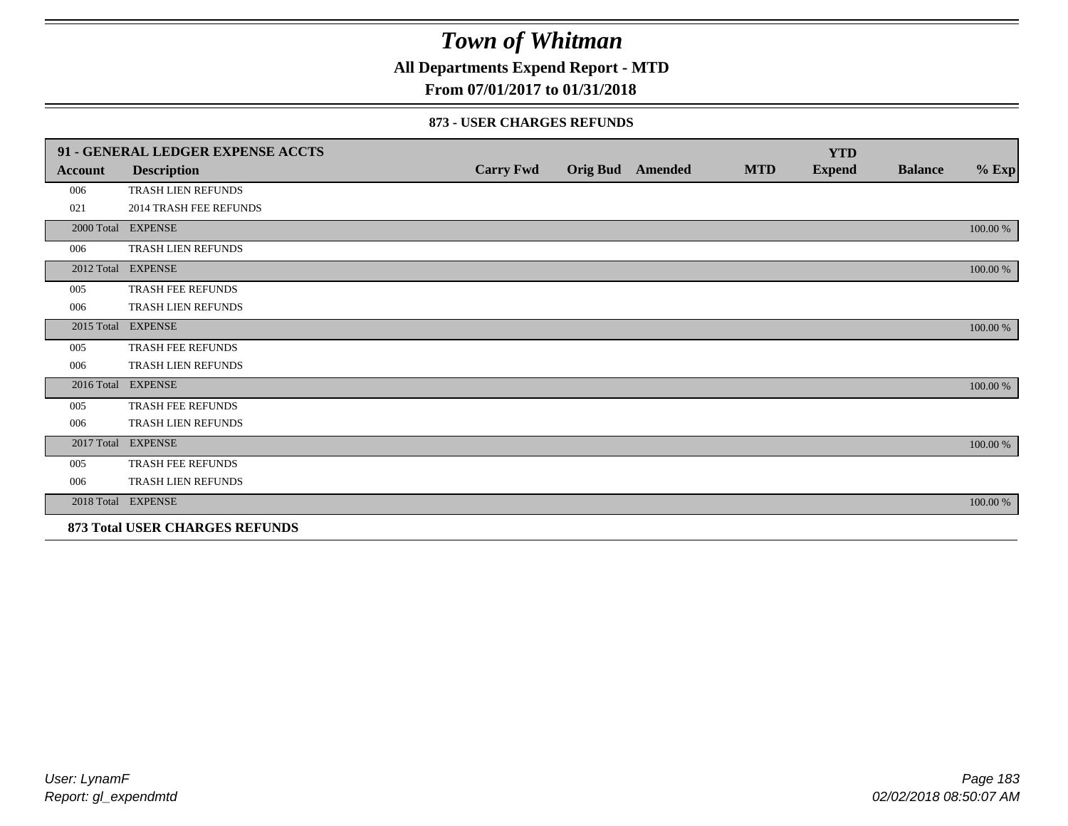**All Departments Expend Report - MTD**

## **From 07/01/2017 to 01/31/2018**

#### **873 - USER CHARGES REFUNDS**

|            | 91 - GENERAL LEDGER EXPENSE ACCTS |                  |                  |            | <b>YTD</b>    |                |          |
|------------|-----------------------------------|------------------|------------------|------------|---------------|----------------|----------|
| Account    | <b>Description</b>                | <b>Carry Fwd</b> | Orig Bud Amended | <b>MTD</b> | <b>Expend</b> | <b>Balance</b> | $%$ Exp  |
| 006        | TRASH LIEN REFUNDS                |                  |                  |            |               |                |          |
| 021        | <b>2014 TRASH FEE REFUNDS</b>     |                  |                  |            |               |                |          |
|            | 2000 Total EXPENSE                |                  |                  |            |               |                | 100.00 % |
| 006        | TRASH LIEN REFUNDS                |                  |                  |            |               |                |          |
|            | 2012 Total EXPENSE                |                  |                  |            |               |                | 100.00 % |
| 005        | <b>TRASH FEE REFUNDS</b>          |                  |                  |            |               |                |          |
| 006        | TRASH LIEN REFUNDS                |                  |                  |            |               |                |          |
| 2015 Total | <b>EXPENSE</b>                    |                  |                  |            |               |                | 100.00 % |
| 005        | <b>TRASH FEE REFUNDS</b>          |                  |                  |            |               |                |          |
| 006        | TRASH LIEN REFUNDS                |                  |                  |            |               |                |          |
|            | 2016 Total EXPENSE                |                  |                  |            |               |                | 100.00 % |
| 005        | TRASH FEE REFUNDS                 |                  |                  |            |               |                |          |
| 006        | <b>TRASH LIEN REFUNDS</b>         |                  |                  |            |               |                |          |
|            | 2017 Total EXPENSE                |                  |                  |            |               |                | 100.00 % |
| 005        | <b>TRASH FEE REFUNDS</b>          |                  |                  |            |               |                |          |
| 006        | TRASH LIEN REFUNDS                |                  |                  |            |               |                |          |
|            | 2018 Total EXPENSE                |                  |                  |            |               |                | 100.00 % |
|            | 873 Total USER CHARGES REFUNDS    |                  |                  |            |               |                |          |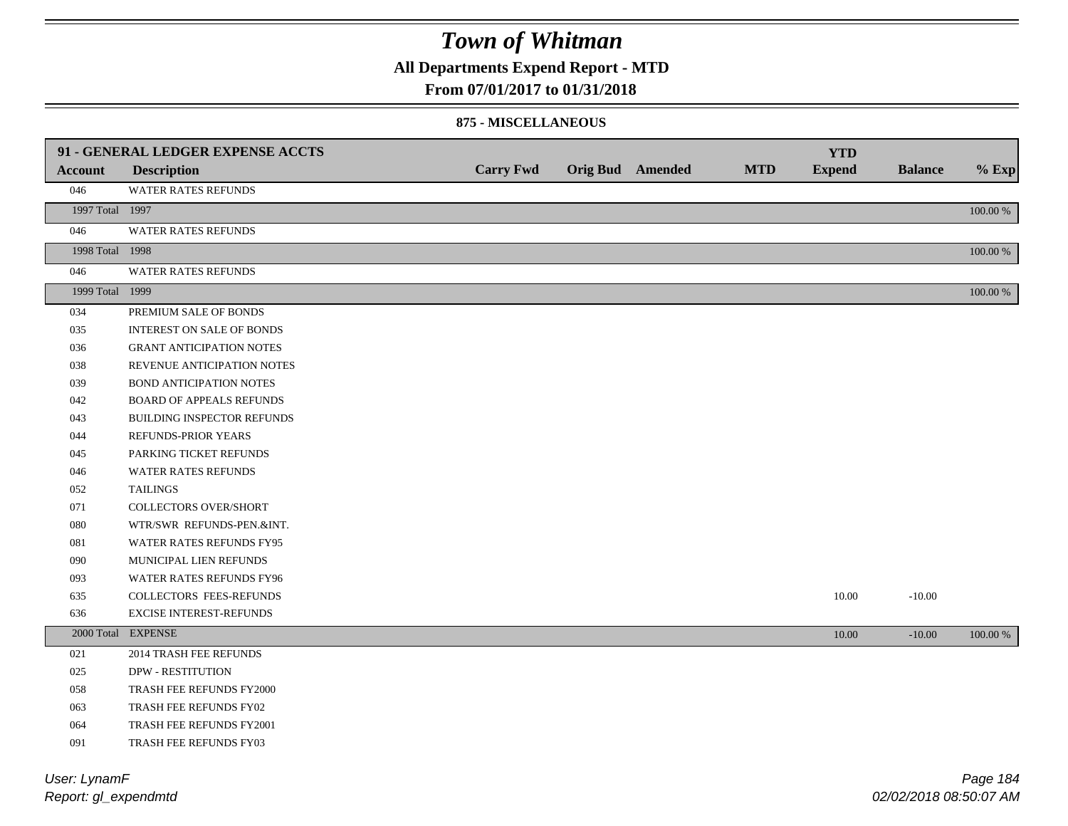**All Departments Expend Report - MTD**

### **From 07/01/2017 to 01/31/2018**

#### **875 - MISCELLANEOUS**

|                 | 91 - GENERAL LEDGER EXPENSE ACCTS |                  |                         |            | <b>YTD</b>    |                |             |
|-----------------|-----------------------------------|------------------|-------------------------|------------|---------------|----------------|-------------|
| <b>Account</b>  | <b>Description</b>                | <b>Carry Fwd</b> | <b>Orig Bud</b> Amended | <b>MTD</b> | <b>Expend</b> | <b>Balance</b> | $%$ Exp     |
| 046             | WATER RATES REFUNDS               |                  |                         |            |               |                |             |
| 1997 Total 1997 |                                   |                  |                         |            |               |                | $100.00~\%$ |
| 046             | WATER RATES REFUNDS               |                  |                         |            |               |                |             |
| 1998 Total 1998 |                                   |                  |                         |            |               |                | $100.00~\%$ |
| 046             | WATER RATES REFUNDS               |                  |                         |            |               |                |             |
| 1999 Total 1999 |                                   |                  |                         |            |               |                | $100.00~\%$ |
| 034             | PREMIUM SALE OF BONDS             |                  |                         |            |               |                |             |
| 035             | INTEREST ON SALE OF BONDS         |                  |                         |            |               |                |             |
| 036             | <b>GRANT ANTICIPATION NOTES</b>   |                  |                         |            |               |                |             |
| 038             | REVENUE ANTICIPATION NOTES        |                  |                         |            |               |                |             |
| 039             | BOND ANTICIPATION NOTES           |                  |                         |            |               |                |             |
| 042             | <b>BOARD OF APPEALS REFUNDS</b>   |                  |                         |            |               |                |             |
| 043             | BUILDING INSPECTOR REFUNDS        |                  |                         |            |               |                |             |
| 044             | REFUNDS-PRIOR YEARS               |                  |                         |            |               |                |             |
| 045             | PARKING TICKET REFUNDS            |                  |                         |            |               |                |             |
| 046             | <b>WATER RATES REFUNDS</b>        |                  |                         |            |               |                |             |
| 052             | <b>TAILINGS</b>                   |                  |                         |            |               |                |             |
| 071             | COLLECTORS OVER/SHORT             |                  |                         |            |               |                |             |
| 080             | WTR/SWR REFUNDS-PEN.&INT.         |                  |                         |            |               |                |             |
| 081             | WATER RATES REFUNDS FY95          |                  |                         |            |               |                |             |
| 090             | MUNICIPAL LIEN REFUNDS            |                  |                         |            |               |                |             |
| 093             | WATER RATES REFUNDS FY96          |                  |                         |            |               |                |             |
| 635             | <b>COLLECTORS FEES-REFUNDS</b>    |                  |                         |            | 10.00         | $-10.00$       |             |
| 636             | EXCISE INTEREST-REFUNDS           |                  |                         |            |               |                |             |
|                 | 2000 Total EXPENSE                |                  |                         |            | 10.00         | $-10.00$       | 100.00 %    |
| 021             | 2014 TRASH FEE REFUNDS            |                  |                         |            |               |                |             |
| 025             | <b>DPW - RESTITUTION</b>          |                  |                         |            |               |                |             |
| 058             | TRASH FEE REFUNDS FY2000          |                  |                         |            |               |                |             |
| 063             | TRASH FEE REFUNDS FY02            |                  |                         |            |               |                |             |
| 064             | TRASH FEE REFUNDS FY2001          |                  |                         |            |               |                |             |
| 091             | TRASH FEE REFUNDS FY03            |                  |                         |            |               |                |             |
|                 |                                   |                  |                         |            |               |                |             |

*Report: gl\_expendmtd User: LynamF*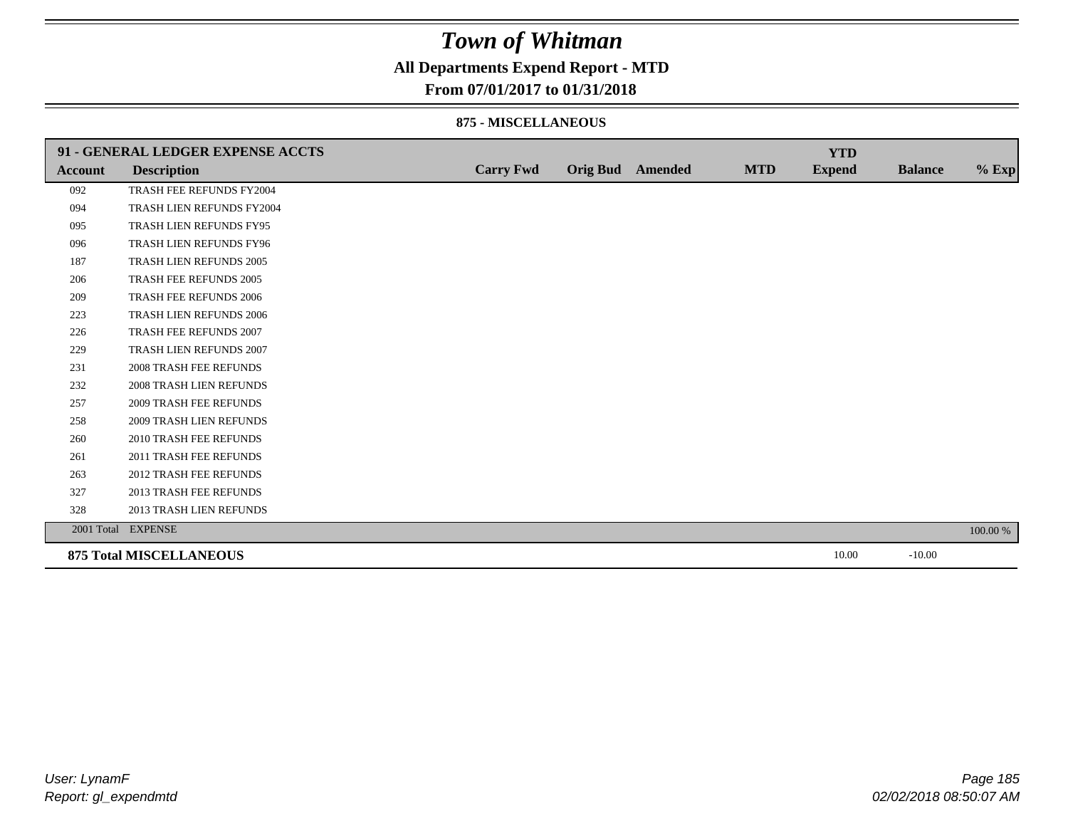### **All Departments Expend Report - MTD**

### **From 07/01/2017 to 01/31/2018**

#### **875 - MISCELLANEOUS**

|         | 91 - GENERAL LEDGER EXPENSE ACCTS |                  |                         |            | <b>YTD</b>    |                |          |
|---------|-----------------------------------|------------------|-------------------------|------------|---------------|----------------|----------|
| Account | <b>Description</b>                | <b>Carry Fwd</b> | <b>Orig Bud</b> Amended | <b>MTD</b> | <b>Expend</b> | <b>Balance</b> | $%$ Exp  |
| 092     | TRASH FEE REFUNDS FY2004          |                  |                         |            |               |                |          |
| 094     | TRASH LIEN REFUNDS FY2004         |                  |                         |            |               |                |          |
| 095     | TRASH LIEN REFUNDS FY95           |                  |                         |            |               |                |          |
| 096     | TRASH LIEN REFUNDS FY96           |                  |                         |            |               |                |          |
| 187     | TRASH LIEN REFUNDS 2005           |                  |                         |            |               |                |          |
| 206     | TRASH FEE REFUNDS 2005            |                  |                         |            |               |                |          |
| 209     | <b>TRASH FEE REFUNDS 2006</b>     |                  |                         |            |               |                |          |
| 223     | TRASH LIEN REFUNDS 2006           |                  |                         |            |               |                |          |
| 226     | TRASH FEE REFUNDS 2007            |                  |                         |            |               |                |          |
| 229     | TRASH LIEN REFUNDS 2007           |                  |                         |            |               |                |          |
| 231     | <b>2008 TRASH FEE REFUNDS</b>     |                  |                         |            |               |                |          |
| 232     | 2008 TRASH LIEN REFUNDS           |                  |                         |            |               |                |          |
| 257     | <b>2009 TRASH FEE REFUNDS</b>     |                  |                         |            |               |                |          |
| 258     | <b>2009 TRASH LIEN REFUNDS</b>    |                  |                         |            |               |                |          |
| 260     | 2010 TRASH FEE REFUNDS            |                  |                         |            |               |                |          |
| 261     | 2011 TRASH FEE REFUNDS            |                  |                         |            |               |                |          |
| 263     | <b>2012 TRASH FEE REFUNDS</b>     |                  |                         |            |               |                |          |
| 327     | <b>2013 TRASH FEE REFUNDS</b>     |                  |                         |            |               |                |          |
| 328     | 2013 TRASH LIEN REFUNDS           |                  |                         |            |               |                |          |
|         | 2001 Total EXPENSE                |                  |                         |            |               |                | 100.00 % |
|         | <b>875 Total MISCELLANEOUS</b>    |                  |                         |            | 10.00         | $-10.00$       |          |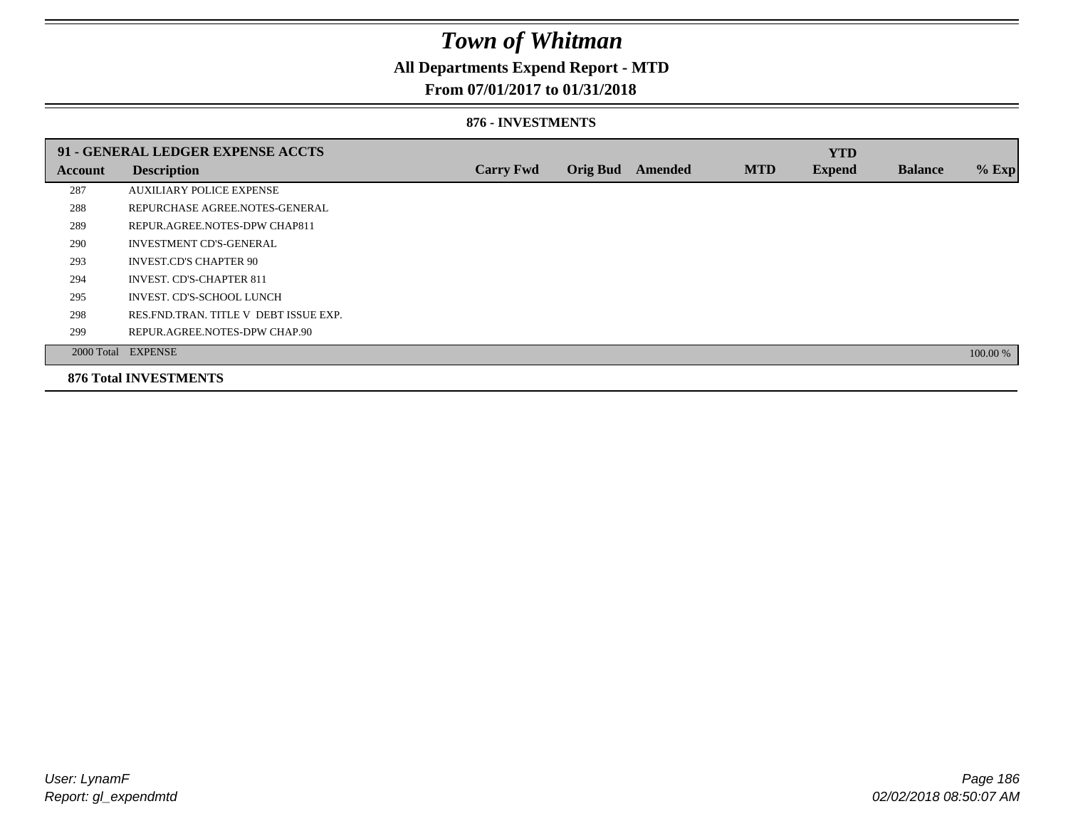## **All Departments Expend Report - MTD**

### **From 07/01/2017 to 01/31/2018**

#### **876 - INVESTMENTS**

|         | 91 - GENERAL LEDGER EXPENSE ACCTS       |                  |                 |         |            | <b>YTD</b>    |                |          |
|---------|-----------------------------------------|------------------|-----------------|---------|------------|---------------|----------------|----------|
| Account | <b>Description</b>                      | <b>Carry Fwd</b> | <b>Orig Bud</b> | Amended | <b>MTD</b> | <b>Expend</b> | <b>Balance</b> | $%$ Exp  |
| 287     | <b>AUXILIARY POLICE EXPENSE</b>         |                  |                 |         |            |               |                |          |
| 288     | REPURCHASE AGREE NOTES-GENERAL          |                  |                 |         |            |               |                |          |
| 289     | REPUR.AGREE.NOTES-DPW CHAP811           |                  |                 |         |            |               |                |          |
| 290     | <b>INVESTMENT CD'S-GENERAL</b>          |                  |                 |         |            |               |                |          |
| 293     | <b>INVEST.CD'S CHAPTER 90</b>           |                  |                 |         |            |               |                |          |
| 294     | <b>INVEST. CD'S-CHAPTER 811</b>         |                  |                 |         |            |               |                |          |
| 295     | INVEST. CD'S-SCHOOL LUNCH               |                  |                 |         |            |               |                |          |
| 298     | RES. FND. TRAN. TITLE V DEBT ISSUE EXP. |                  |                 |         |            |               |                |          |
| 299     | REPUR.AGREE.NOTES-DPW CHAP.90           |                  |                 |         |            |               |                |          |
|         | 2000 Total EXPENSE                      |                  |                 |         |            |               |                | 100.00 % |
|         | <b>876 Total INVESTMENTS</b>            |                  |                 |         |            |               |                |          |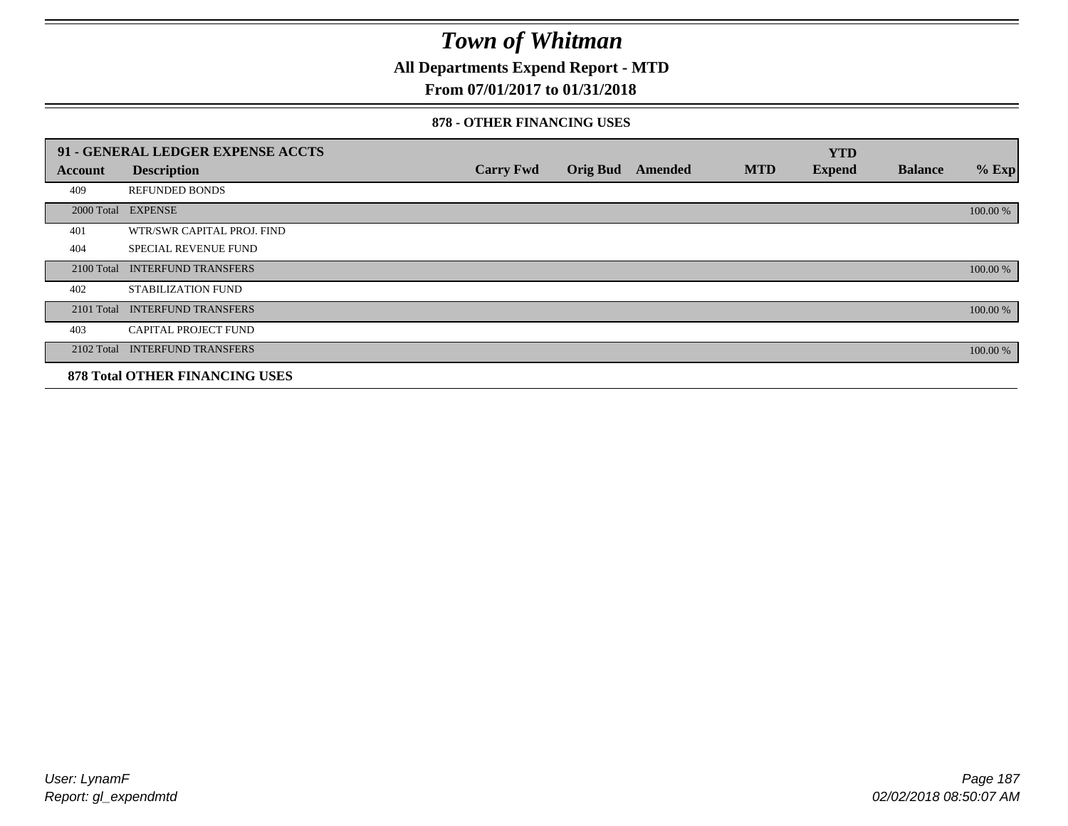**All Departments Expend Report - MTD**

## **From 07/01/2017 to 01/31/2018**

#### **878 - OTHER FINANCING USES**

|            | 91 - GENERAL LEDGER EXPENSE ACCTS     |                  |                 |         |            | <b>YTD</b>    |                |          |
|------------|---------------------------------------|------------------|-----------------|---------|------------|---------------|----------------|----------|
| Account    | <b>Description</b>                    | <b>Carry Fwd</b> | <b>Orig Bud</b> | Amended | <b>MTD</b> | <b>Expend</b> | <b>Balance</b> | $%$ Exp  |
| 409        | <b>REFUNDED BONDS</b>                 |                  |                 |         |            |               |                |          |
| 2000 Total | <b>EXPENSE</b>                        |                  |                 |         |            |               |                | 100.00 % |
| 401        | WTR/SWR CAPITAL PROJ. FIND            |                  |                 |         |            |               |                |          |
| 404        | <b>SPECIAL REVENUE FUND</b>           |                  |                 |         |            |               |                |          |
| 2100 Total | <b>INTERFUND TRANSFERS</b>            |                  |                 |         |            |               |                | 100.00 % |
| 402        | STABILIZATION FUND                    |                  |                 |         |            |               |                |          |
| 2101 Total | <b>INTERFUND TRANSFERS</b>            |                  |                 |         |            |               |                | 100.00 % |
| 403        | <b>CAPITAL PROJECT FUND</b>           |                  |                 |         |            |               |                |          |
|            | 2102 Total INTERFUND TRANSFERS        |                  |                 |         |            |               |                | 100.00 % |
|            | <b>878 Total OTHER FINANCING USES</b> |                  |                 |         |            |               |                |          |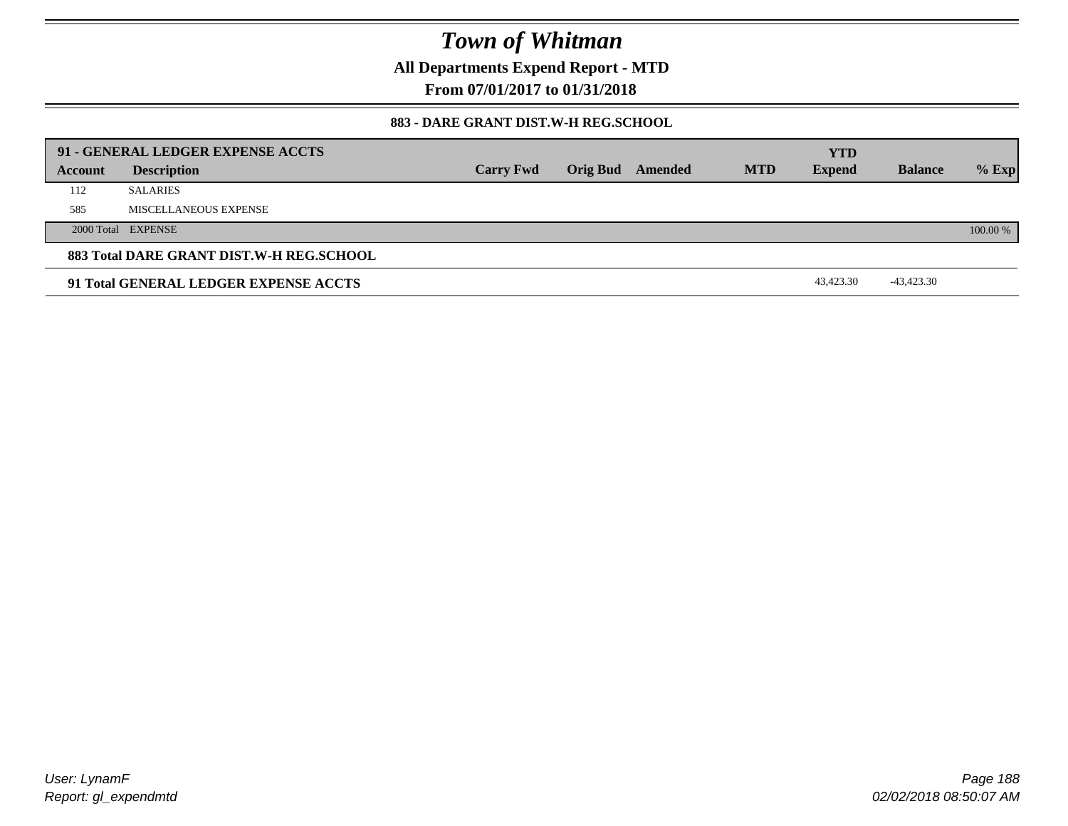**All Departments Expend Report - MTD**

**From 07/01/2017 to 01/31/2018**

#### **883 - DARE GRANT DIST.W-H REG.SCHOOL**

|         | 91 - GENERAL LEDGER EXPENSE ACCTS        |                  |                 |         |            | <b>YTD</b>    |                |          |
|---------|------------------------------------------|------------------|-----------------|---------|------------|---------------|----------------|----------|
| Account | <b>Description</b>                       | <b>Carry Fwd</b> | <b>Orig Bud</b> | Amended | <b>MTD</b> | <b>Expend</b> | <b>Balance</b> | $%$ Exp  |
| 112     | <b>SALARIES</b>                          |                  |                 |         |            |               |                |          |
| 585     | MISCELLANEOUS EXPENSE                    |                  |                 |         |            |               |                |          |
|         | 2000 Total EXPENSE                       |                  |                 |         |            |               |                | 100.00 % |
|         | 883 Total DARE GRANT DIST.W-H REG.SCHOOL |                  |                 |         |            |               |                |          |
|         | 91 Total GENERAL LEDGER EXPENSE ACCTS    |                  |                 |         |            | 43,423.30     | $-43,423.30$   |          |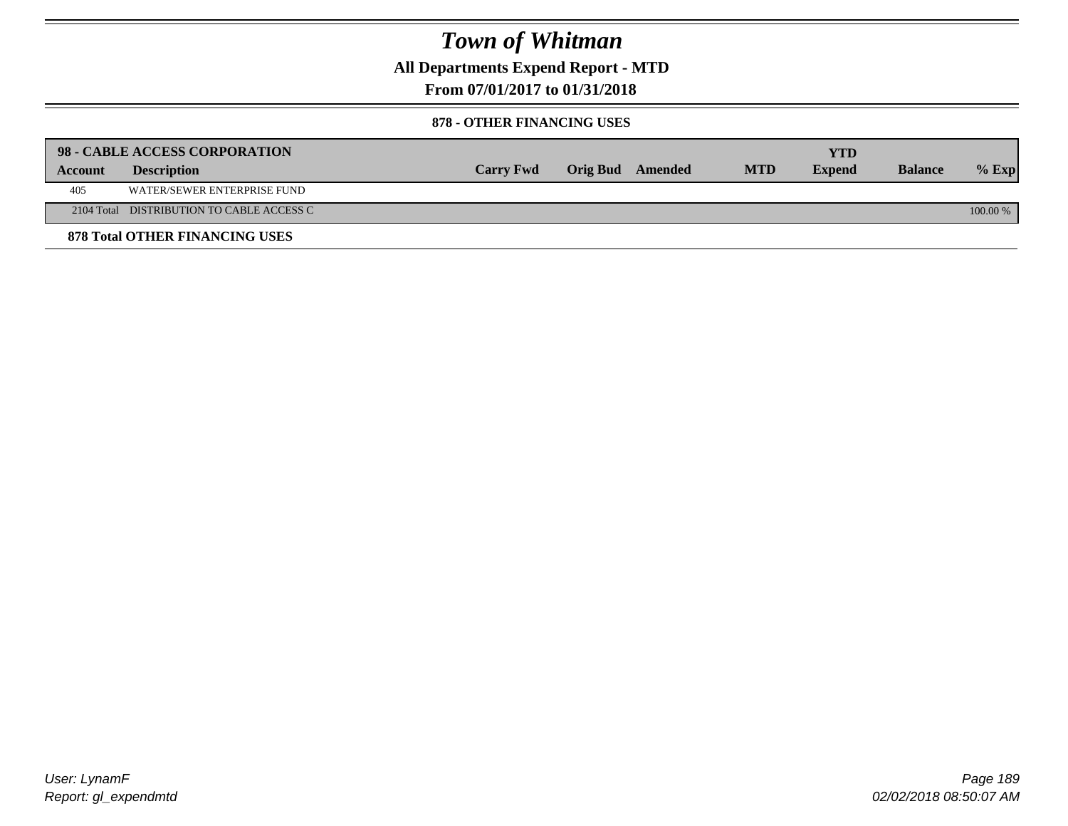**All Departments Expend Report - MTD**

## **From 07/01/2017 to 01/31/2018**

#### **878 - OTHER FINANCING USES**

|         | 98 - CABLE ACCESS CORPORATION             |                  |                  |            | <b>YTD</b>    |                |            |
|---------|-------------------------------------------|------------------|------------------|------------|---------------|----------------|------------|
| Account | <b>Description</b>                        | <b>Carry Fwd</b> | Orig Bud Amended | <b>MTD</b> | <b>Expend</b> | <b>Balance</b> | $%$ Exp    |
| 405     | WATER/SEWER ENTERPRISE FUND               |                  |                  |            |               |                |            |
|         | 2104 Total DISTRIBUTION TO CABLE ACCESS C |                  |                  |            |               |                | $100.00\%$ |
|         | <b>878 Total OTHER FINANCING USES</b>     |                  |                  |            |               |                |            |